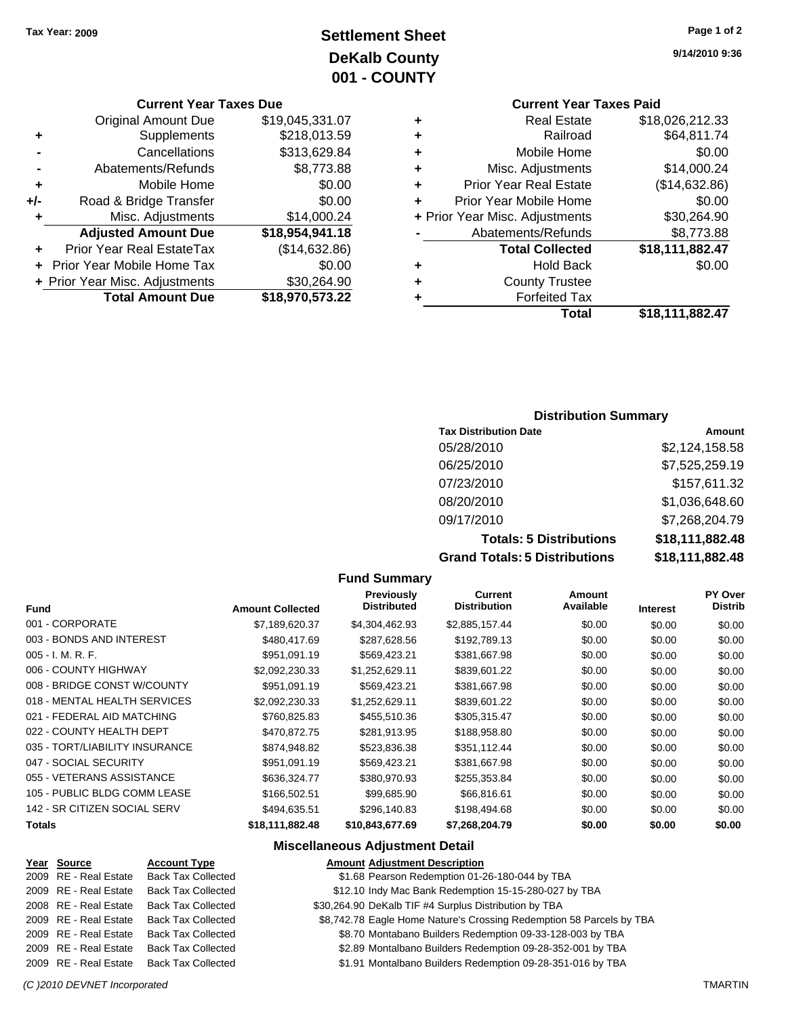## **Settlement Sheet Tax Year: 2009 Page 1 of 2 DeKalb County 001 - COUNTY**

### **Current Year Taxes Due**

|     | <b>Original Amount Due</b>        | \$19,045,331.07 |
|-----|-----------------------------------|-----------------|
| ٠   | Supplements                       | \$218,013.59    |
|     | Cancellations                     | \$313,629.84    |
|     | Abatements/Refunds                | \$8,773.88      |
| ÷   | Mobile Home                       | \$0.00          |
| +/- | Road & Bridge Transfer            | \$0.00          |
| ٠   | Misc. Adjustments                 | \$14,000.24     |
|     | <b>Adjusted Amount Due</b>        | \$18,954,941.18 |
|     | Prior Year Real EstateTax         | (\$14,632.86)   |
|     | <b>Prior Year Mobile Home Tax</b> | \$0.00          |
|     | + Prior Year Misc. Adjustments    | \$30,264.90     |
|     | <b>Total Amount Due</b>           | \$18,970,573.22 |

**9/14/2010 9:36**

## **Current Year Taxes Paid**

| ٠ | Total                          | \$18,111,882.47 |
|---|--------------------------------|-----------------|
|   | <b>Forfeited Tax</b>           |                 |
| ٠ | <b>County Trustee</b>          |                 |
| ٠ | <b>Hold Back</b>               | \$0.00          |
|   | <b>Total Collected</b>         | \$18,111,882.47 |
|   | Abatements/Refunds             | \$8,773.88      |
|   | + Prior Year Misc. Adjustments | \$30,264.90     |
| ÷ | Prior Year Mobile Home         | \$0.00          |
| ٠ | <b>Prior Year Real Estate</b>  | (\$14,632.86)   |
| ٠ | Misc. Adjustments              | \$14,000.24     |
| ٠ | Mobile Home                    | \$0.00          |
| ٠ | Railroad                       | \$64,811.74     |
| ٠ | <b>Real Estate</b>             | \$18,026,212.33 |

### **Distribution Summary**

| <b>Tax Distribution Date</b>         | Amount          |
|--------------------------------------|-----------------|
| 05/28/2010                           | \$2,124,158.58  |
| 06/25/2010                           | \$7,525,259.19  |
| 07/23/2010                           | \$157,611.32    |
| 08/20/2010                           | \$1,036,648.60  |
| 09/17/2010                           | \$7,268,204.79  |
| <b>Totals: 5 Distributions</b>       | \$18,111,882.48 |
| <b>Grand Totals: 5 Distributions</b> | \$18,111,882.48 |

#### **Fund Summary**

|                                |                         | <b>Previously</b>  | Current             | Amount    |                 | <b>PY Over</b> |
|--------------------------------|-------------------------|--------------------|---------------------|-----------|-----------------|----------------|
| Fund                           | <b>Amount Collected</b> | <b>Distributed</b> | <b>Distribution</b> | Available | <b>Interest</b> | Distrib        |
| 001 - CORPORATE                | \$7,189,620.37          | \$4,304,462.93     | \$2,885,157.44      | \$0.00    | \$0.00          | \$0.00         |
| 003 - BONDS AND INTEREST       | \$480,417.69            | \$287,628.56       | \$192,789.13        | \$0.00    | \$0.00          | \$0.00         |
| $005 - I. M. R. F.$            | \$951.091.19            | \$569,423.21       | \$381,667.98        | \$0.00    | \$0.00          | \$0.00         |
| 006 - COUNTY HIGHWAY           | \$2,092,230.33          | \$1,252,629.11     | \$839,601.22        | \$0.00    | \$0.00          | \$0.00         |
| 008 - BRIDGE CONST W/COUNTY    | \$951,091.19            | \$569,423.21       | \$381,667.98        | \$0.00    | \$0.00          | \$0.00         |
| 018 - MENTAL HEALTH SERVICES   | \$2,092,230.33          | \$1,252,629.11     | \$839,601.22        | \$0.00    | \$0.00          | \$0.00         |
| 021 - FEDERAL AID MATCHING     | \$760,825.83            | \$455,510.36       | \$305,315.47        | \$0.00    | \$0.00          | \$0.00         |
| 022 - COUNTY HEALTH DEPT       | \$470,872.75            | \$281.913.95       | \$188,958.80        | \$0.00    | \$0.00          | \$0.00         |
| 035 - TORT/LIABILITY INSURANCE | \$874,948.82            | \$523,836.38       | \$351,112.44        | \$0.00    | \$0.00          | \$0.00         |
| 047 - SOCIAL SECURITY          | \$951.091.19            | \$569,423.21       | \$381,667.98        | \$0.00    | \$0.00          | \$0.00         |
| 055 - VETERANS ASSISTANCE      | \$636,324,77            | \$380.970.93       | \$255,353.84        | \$0.00    | \$0.00          | \$0.00         |
| 105 - PUBLIC BLDG COMM LEASE   | \$166,502.51            | \$99,685.90        | \$66,816.61         | \$0.00    | \$0.00          | \$0.00         |
| 142 - SR CITIZEN SOCIAL SERV   | \$494,635.51            | \$296,140.83       | \$198,494.68        | \$0.00    | \$0.00          | \$0.00         |
| Totals                         | \$18,111,882.48         | \$10,843,677.69    | \$7.268.204.79      | \$0.00    | \$0.00          | \$0.00         |

### **Miscellaneous Adjustment Detail**

| Year Source           | <b>Account Type</b>       | <b>Amount Adjustment Description</b>                                 |  |
|-----------------------|---------------------------|----------------------------------------------------------------------|--|
| 2009 RE - Real Estate | <b>Back Tax Collected</b> | \$1.68 Pearson Redemption 01-26-180-044 by TBA                       |  |
| 2009 RE - Real Estate | <b>Back Tax Collected</b> | \$12.10 Indy Mac Bank Redemption 15-15-280-027 by TBA                |  |
| 2008 RE - Real Estate | <b>Back Tax Collected</b> | \$30,264.90 DeKalb TIF #4 Surplus Distribution by TBA                |  |
| 2009 RE - Real Estate | <b>Back Tax Collected</b> | \$8,742.78 Eagle Home Nature's Crossing Redemption 58 Parcels by TBA |  |
| 2009 RE - Real Estate | <b>Back Tax Collected</b> | \$8.70 Montabano Builders Redemption 09-33-128-003 by TBA            |  |
| 2009 RE - Real Estate | <b>Back Tax Collected</b> | \$2.89 Montalbano Builders Redemption 09-28-352-001 by TBA           |  |
| 2009 RE - Real Estate | <b>Back Tax Collected</b> | \$1.91 Montalbano Builders Redemption 09-28-351-016 by TBA           |  |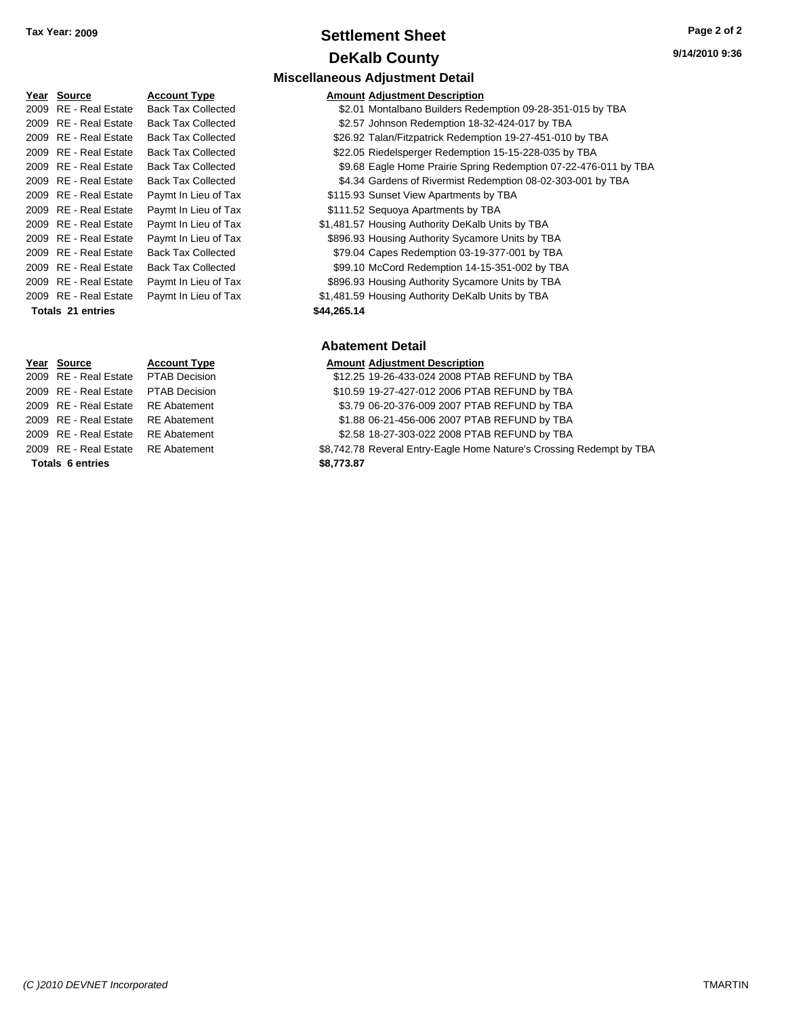### **Settlement Sheet Tax Year: 2009 Page 2 of 2 DeKalb County**

| Year | Source                  | <b>Account Type</b>       | Amount      |
|------|-------------------------|---------------------------|-------------|
| 2009 | <b>RE</b> - Real Estate | <b>Back Tax Collected</b> | \$2.01      |
| 2009 | <b>RE</b> - Real Estate | <b>Back Tax Collected</b> | \$2.57      |
| 2009 | <b>RE</b> - Real Estate | <b>Back Tax Collected</b> | \$26.92     |
| 2009 | <b>RE</b> - Real Estate | <b>Back Tax Collected</b> | \$22.05     |
|      | 2009 RE - Real Estate   | <b>Back Tax Collected</b> | \$9.68      |
|      | 2009 RE - Real Estate   | <b>Back Tax Collected</b> | \$4.34      |
|      | 2009 RE - Real Estate   | Paymt In Lieu of Tax      | \$115.93    |
|      | 2009 RE - Real Estate   | Paymt In Lieu of Tax      | \$111.52    |
| 2009 | <b>RE</b> - Real Estate | Paymt In Lieu of Tax      | \$1,481.57  |
|      | 2009 RE - Real Estate   | Paymt In Lieu of Tax      | \$896.93    |
|      | 2009 RE - Real Estate   | <b>Back Tax Collected</b> | \$79.04     |
|      | 2009 RE - Real Estate   | <b>Back Tax Collected</b> | \$99.10     |
|      | 2009 RE - Real Estate   | Paymt In Lieu of Tax      | \$896.93    |
|      | 2009 RE - Real Estate   | Paymt In Lieu of Tax      | \$1,481.59  |
|      | Totals 21 entries       |                           | \$44,265.14 |

### **Miscellaneous Adjustment Detail**

#### **Yearth Type Amount Adjustment Description**

- Tax Collected **2006** S2.01 Montalbano Builders Redemption 09-28-351-015 by TBA
- Tax Collected **32.57 Johnson Redemption 18-32-424-017 by TBA**
- Tax Collected **326.92 Talan/Fitzpatrick Redemption 19-27-451-010 by TBA**
- Tax Collected **22.05 Riedelsperger Redemption 15-15-228-035 by TBA**
- Tax Collected **2006 89.68 Eagle Home Prairie Spring Redemption 07-22-476-011 by TBA**
- Tax Collected **2006** S4.34 Gardens of Rivermist Redemption 08-02-303-001 by TBA
- <sup>2</sup> at In Lieu of Tax **Access 2009 State \$115.93** Sunset View Apartments by TBA
- <sup>2</sup> at In Lieu of Tax **Fig. 2009 CENS** \$111.52 Sequoya Apartments by TBA
- <sup>2</sup>1,481.57 Housing Authority DeKalb Units by TBA **Payment In Lieu of Tax**
- 2009 Real Authority Sycamore Units by TBA at the Lieu of Tax
- Tax Collected **2008** S79.04 Capes Redemption 03-19-377-001 by TBA
- Tax Collected **2009 SPU \$99.10 McCord Redemption 14-15-351-002 by TBA**
- 1009 It In Lieu of Tax **Canad Estate State State State State State State In Lieu of Tax**
- 1009 It In Lieu of Tax **6009 CM** \$1,481.59 Housing Authority DeKalb Units by TBA
	-

### **Abatement Detail**

| Year Source                         | <b>Account Type</b> | <b>Amount Adjustment Description</b>                                 |
|-------------------------------------|---------------------|----------------------------------------------------------------------|
| 2009 RE - Real Estate PTAB Decision |                     | \$12.25 19-26-433-024 2008 PTAB REFUND by TBA                        |
| 2009 RE - Real Estate               | PTAB Decision       | \$10.59 19-27-427-012 2006 PTAB REFUND by TBA                        |
| 2009 RE - Real Estate               | RE Abatement        | \$3.79 06-20-376-009 2007 PTAB REFUND by TBA                         |
| 2009 RE - Real Estate               | RE Abatement        | \$1.88 06-21-456-006 2007 PTAB REFUND by TBA                         |
| 2009 RE - Real Estate               | RE Abatement        | \$2.58 18-27-303-022 2008 PTAB REFUND by TBA                         |
| 2009 RE - Real Estate RE Abatement  |                     | \$8,742.78 Reveral Entry-Eagle Home Nature's Crossing Redempt by TBA |
| <b>Totals 6 entries</b>             |                     | \$8,773.87                                                           |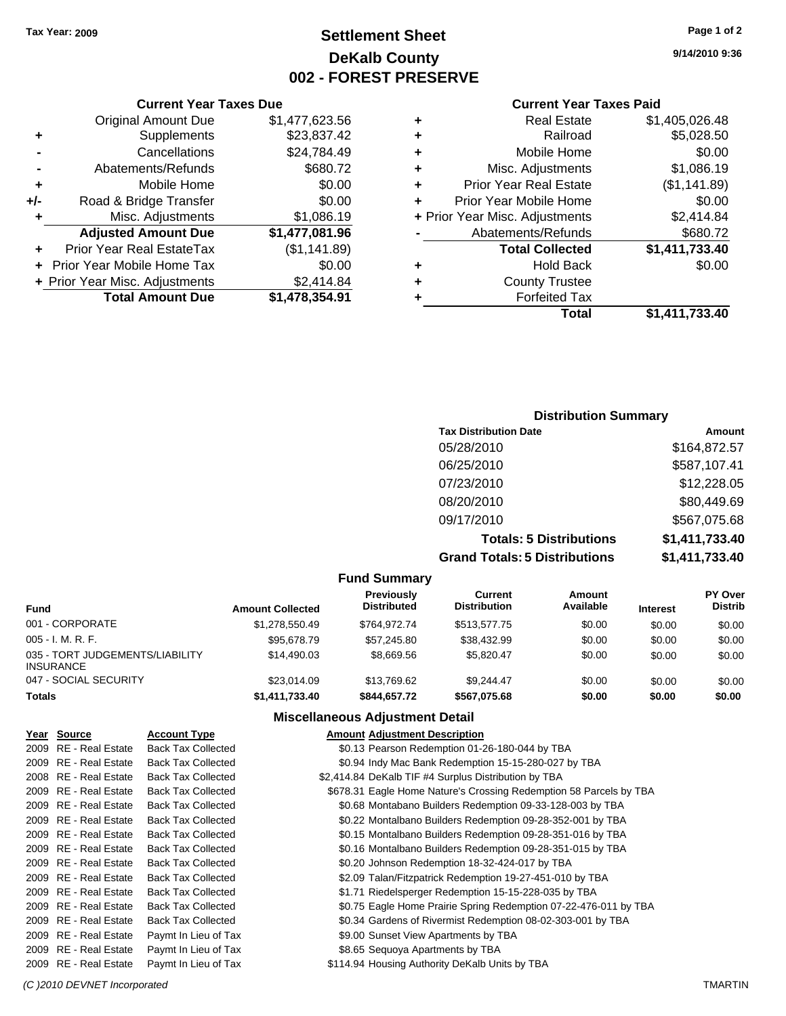### **Settlement Sheet Tax Year: 2009 Page 1 of 2 DeKalb County 002 - FOREST PRESERVE**

**9/14/2010 9:36**

### **Current Year Taxes Paid**

| ٠ | <b>Real Estate</b>             | \$1,405,026.48 |
|---|--------------------------------|----------------|
| ٠ | Railroad                       | \$5,028.50     |
| ٠ | Mobile Home                    | \$0.00         |
| ٠ | Misc. Adjustments              | \$1,086.19     |
| ٠ | <b>Prior Year Real Estate</b>  | (\$1,141.89)   |
| ٠ | Prior Year Mobile Home         | \$0.00         |
|   | + Prior Year Misc. Adjustments | \$2,414.84     |
|   | Abatements/Refunds             | \$680.72       |
|   | <b>Total Collected</b>         | \$1,411,733.40 |
| ٠ | <b>Hold Back</b>               | \$0.00         |
| ٠ | <b>County Trustee</b>          |                |
|   | <b>Forfeited Tax</b>           |                |
|   | Total                          | \$1,411,733.40 |

|     | <b>Current Year Taxes Due</b>  |                |
|-----|--------------------------------|----------------|
|     | <b>Original Amount Due</b>     | \$1,477,623.56 |
| ٠   | Supplements                    | \$23,837.42    |
|     | Cancellations                  | \$24,784.49    |
|     | Abatements/Refunds             | \$680.72       |
| ٠   | Mobile Home                    | \$0.00         |
| +/- | Road & Bridge Transfer         | \$0.00         |
| ÷   | Misc. Adjustments              | \$1,086.19     |
|     | <b>Adjusted Amount Due</b>     | \$1,477,081.96 |
|     | Prior Year Real EstateTax      | (\$1,141.89)   |
|     | Prior Year Mobile Home Tax     | \$0.00         |
|     | + Prior Year Misc. Adjustments | \$2,414.84     |
|     | <b>Total Amount Due</b>        | \$1,478,354.91 |

| <b>Distribution Summary</b> |  |
|-----------------------------|--|
|-----------------------------|--|

| Amount         |
|----------------|
| \$164,872.57   |
| \$587,107.41   |
| \$12,228.05    |
| \$80,449.69    |
| \$567,075.68   |
| \$1,411,733.40 |
| \$1,411,733.40 |
|                |

**Fund Summary**

| <b>Amount Collected</b> | Previously<br><b>Distributed</b> | Current<br><b>Distribution</b> | Amount<br>Available | <b>Interest</b> | <b>PY Over</b><br><b>Distrib</b> |  |
|-------------------------|----------------------------------|--------------------------------|---------------------|-----------------|----------------------------------|--|
| \$1,278,550.49          | \$764.972.74                     | \$513,577.75                   | \$0.00              | \$0.00          | \$0.00                           |  |
| \$95,678.79             | \$57,245.80                      | \$38,432.99                    | \$0.00              | \$0.00          | \$0.00                           |  |
| \$14,490.03             | \$8.669.56                       | \$5.820.47                     | \$0.00              | \$0.00          | \$0.00                           |  |
| \$23,014.09             | \$13,769.62                      | \$9.244.47                     | \$0.00              | \$0.00          | \$0.00                           |  |
| \$1,411,733.40          | \$844.657.72                     | \$567.075.68                   | \$0.00              | \$0.00          | \$0.00                           |  |
|                         |                                  |                                |                     |                 |                                  |  |

### **Miscellaneous Adjustment Detail**

| Year Source           | <b>Account Type</b>       | <b>Amount Adjustment Description</b>                               |
|-----------------------|---------------------------|--------------------------------------------------------------------|
| 2009 RE - Real Estate | <b>Back Tax Collected</b> | \$0.13 Pearson Redemption 01-26-180-044 by TBA                     |
| 2009 RE - Real Estate | <b>Back Tax Collected</b> | \$0.94 Indy Mac Bank Redemption 15-15-280-027 by TBA               |
| 2008 RE - Real Estate | <b>Back Tax Collected</b> | \$2,414.84 DeKalb TIF #4 Surplus Distribution by TBA               |
| 2009 RE - Real Estate | <b>Back Tax Collected</b> | \$678.31 Eagle Home Nature's Crossing Redemption 58 Parcels by TBA |
| 2009 RE - Real Estate | <b>Back Tax Collected</b> | \$0.68 Montabano Builders Redemption 09-33-128-003 by TBA          |
| 2009 RE - Real Estate | <b>Back Tax Collected</b> | \$0.22 Montalbano Builders Redemption 09-28-352-001 by TBA         |
| 2009 RE - Real Estate | <b>Back Tax Collected</b> | \$0.15 Montalbano Builders Redemption 09-28-351-016 by TBA         |
| 2009 RE - Real Estate | <b>Back Tax Collected</b> | \$0.16 Montalbano Builders Redemption 09-28-351-015 by TBA         |
| 2009 RE - Real Estate | <b>Back Tax Collected</b> | \$0.20 Johnson Redemption 18-32-424-017 by TBA                     |
| 2009 RE - Real Estate | <b>Back Tax Collected</b> | \$2.09 Talan/Fitzpatrick Redemption 19-27-451-010 by TBA           |
| 2009 RE - Real Estate | <b>Back Tax Collected</b> | \$1.71 Riedelsperger Redemption 15-15-228-035 by TBA               |
| 2009 RE - Real Estate | <b>Back Tax Collected</b> | \$0.75 Eagle Home Prairie Spring Redemption 07-22-476-011 by TBA   |
| 2009 RE - Real Estate | <b>Back Tax Collected</b> | \$0.34 Gardens of Rivermist Redemption 08-02-303-001 by TBA        |
| 2009 RE - Real Estate | Paymt In Lieu of Tax      | \$9.00 Sunset View Apartments by TBA                               |
| 2009 RE - Real Estate | Paymt In Lieu of Tax      | \$8.65 Sequoya Apartments by TBA                                   |
| 2009 RE - Real Estate | Paymt In Lieu of Tax      | \$114.94 Housing Authority DeKalb Units by TBA                     |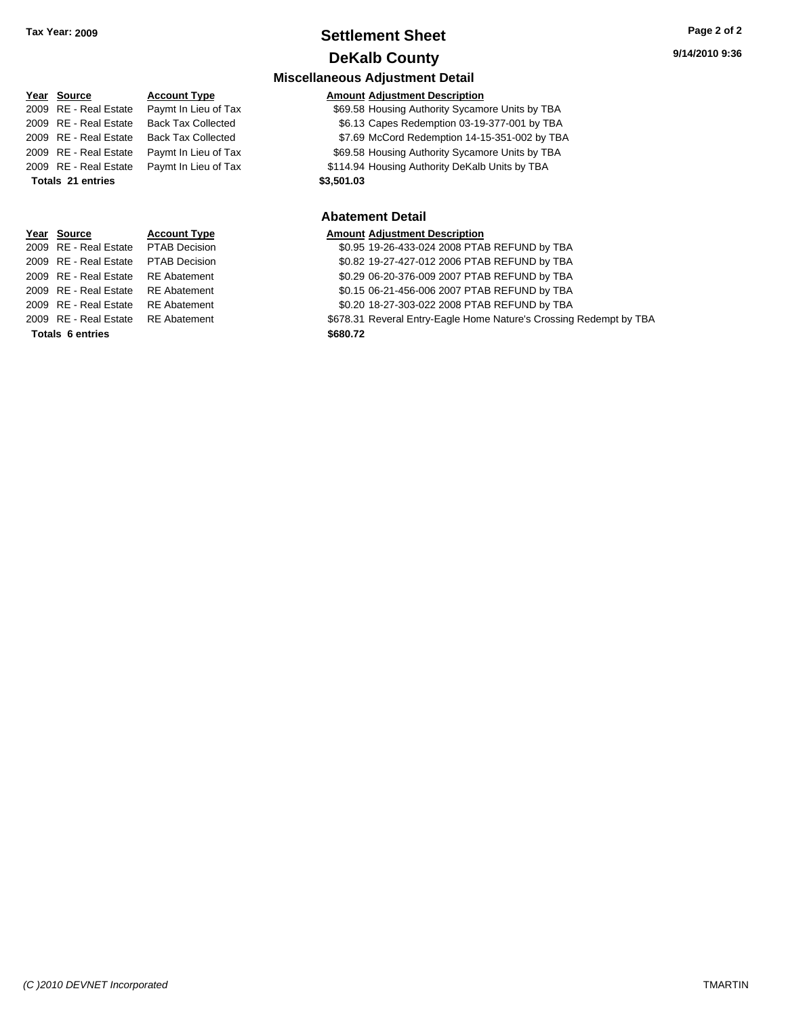## **Settlement Sheet Tax Year: 2009 Page 2 of 2 DeKalb County**

| <b>Miscellaneous Adjustment Detail</b> |                           |                                                                    |  |  |
|----------------------------------------|---------------------------|--------------------------------------------------------------------|--|--|
| Year Source                            | <b>Account Type</b>       | <b>Amount Adjustment Description</b>                               |  |  |
| 2009 RE - Real Estate                  | Paymt In Lieu of Tax      | \$69.58 Housing Authority Sycamore Units by TBA                    |  |  |
| 2009 RE - Real Estate                  | <b>Back Tax Collected</b> | \$6.13 Capes Redemption 03-19-377-001 by TBA                       |  |  |
| 2009 RE - Real Estate                  | <b>Back Tax Collected</b> | \$7.69 McCord Redemption 14-15-351-002 by TBA                      |  |  |
| 2009 RE - Real Estate                  | Paymt In Lieu of Tax      | \$69.58 Housing Authority Sycamore Units by TBA                    |  |  |
| 2009 RE - Real Estate                  | Paymt In Lieu of Tax      | \$114.94 Housing Authority DeKalb Units by TBA                     |  |  |
| Totals 21 entries                      |                           | \$3,501.03                                                         |  |  |
|                                        |                           |                                                                    |  |  |
|                                        |                           | <b>Abatement Detail</b>                                            |  |  |
| Year Source                            | <b>Account Type</b>       | <b>Amount Adjustment Description</b>                               |  |  |
| 2009 RE - Real Estate                  | <b>PTAB Decision</b>      | \$0.95 19-26-433-024 2008 PTAB REFUND by TBA                       |  |  |
| 2009 RE - Real Estate                  | <b>PTAB Decision</b>      | \$0.82 19-27-427-012 2006 PTAB REFUND by TBA                       |  |  |
| 2009 RE - Real Estate                  | <b>RE</b> Abatement       | \$0.29 06-20-376-009 2007 PTAB REFUND by TBA                       |  |  |
| 2009 RE - Real Estate                  | <b>RE</b> Abatement       | \$0.15 06-21-456-006 2007 PTAB REFUND by TBA                       |  |  |
| 2009 RE - Real Estate                  | <b>RE</b> Abatement       | \$0.20 18-27-303-022 2008 PTAB REFUND by TBA                       |  |  |
| 2009 RE - Real Estate                  | <b>RE</b> Abatement       | \$678.31 Reveral Entry-Eagle Home Nature's Crossing Redempt by TBA |  |  |
|                                        |                           |                                                                    |  |  |

**Totals \$680.72 6 entries**

*(C )2010 DEVNET Incorporated* TMARTIN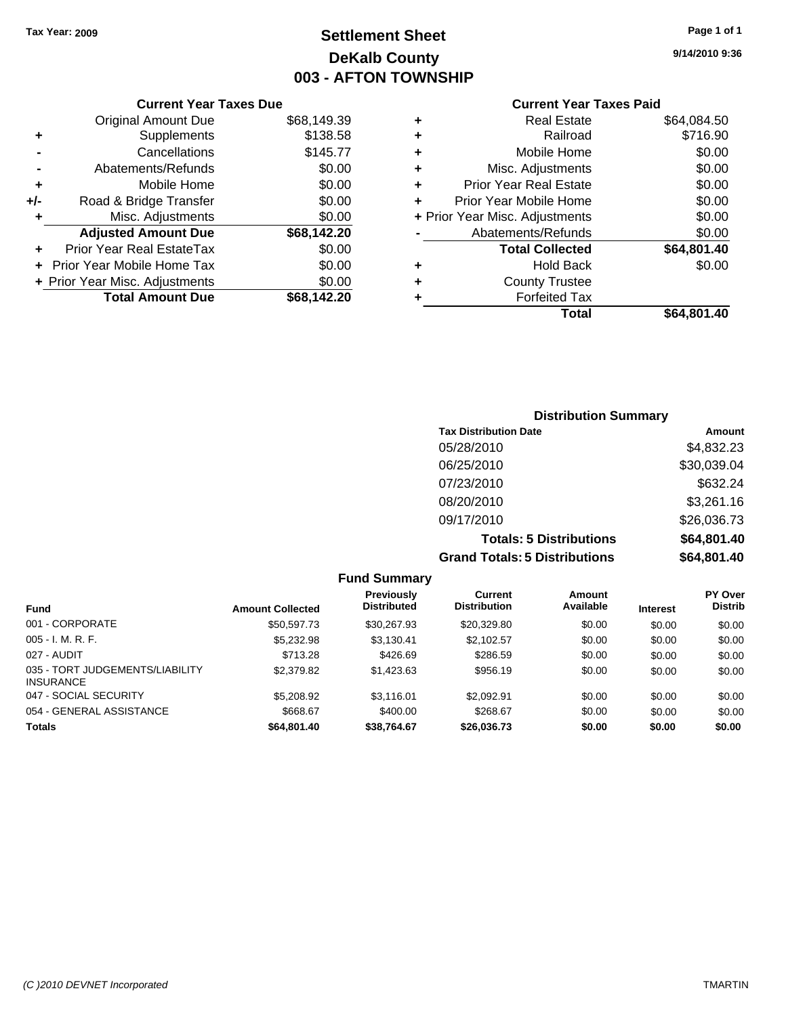### **Settlement Sheet Tax Year: 2009 Page 1 of 1 DeKalb County 003 - AFTON TOWNSHIP**

**9/14/2010 9:36**

### **Current Year Taxes Paid**

|       | OGNON, I GAI TAAGO DAG         |             |   |                  |
|-------|--------------------------------|-------------|---|------------------|
|       | <b>Original Amount Due</b>     | \$68,149.39 | ٠ |                  |
| ٠     | Supplements                    | \$138.58    | ٠ |                  |
|       | Cancellations                  | \$145.77    | ٠ |                  |
|       | Abatements/Refunds             | \$0.00      | ٠ | Mis              |
| ٠     | Mobile Home                    | \$0.00      | ٠ | Prior Ye         |
| $+/-$ | Road & Bridge Transfer         | \$0.00      |   | Prior Yea        |
|       | Misc. Adjustments              | \$0.00      |   | + Prior Year Mis |
|       | <b>Adjusted Amount Due</b>     | \$68,142.20 |   | Abater           |
|       | Prior Year Real EstateTax      | \$0.00      |   | Ъ                |
|       | Prior Year Mobile Home Tax     | \$0.00      | ٠ |                  |
|       | + Prior Year Misc. Adjustments | \$0.00      | ٠ |                  |
|       | <b>Total Amount Due</b>        | \$68,142.20 |   |                  |
|       |                                |             |   |                  |

**Current Year Taxes Due**

| ٠ | Real Estate                    | \$64,084.50 |
|---|--------------------------------|-------------|
| ٠ | Railroad                       | \$716.90    |
| ٠ | Mobile Home                    | \$0.00      |
| ٠ | Misc. Adjustments              | \$0.00      |
| ٠ | <b>Prior Year Real Estate</b>  | \$0.00      |
| ÷ | Prior Year Mobile Home         | \$0.00      |
|   | + Prior Year Misc. Adjustments | \$0.00      |
|   | Abatements/Refunds             | \$0.00      |
|   | <b>Total Collected</b>         | \$64,801.40 |
| ٠ | <b>Hold Back</b>               | \$0.00      |
| ٠ | <b>County Trustee</b>          |             |
| ٠ | <b>Forfeited Tax</b>           |             |
|   | Total                          | \$64,801.40 |
|   |                                |             |

### **Distribution Summary Tax Distribution Date Amount** 05/28/2010 \$4,832.23 06/25/2010 \$30,039.04 07/23/2010 \$632.24 08/20/2010 \$3,261.16 09/17/2010 \$26,036.73 **Totals: 5 Distributions \$64,801.40 Grand Totals: 5 Distributions \$64,801.40**

|                                                     |                         | <b>Fund Summary</b>              |                                |                     |                 |                           |
|-----------------------------------------------------|-------------------------|----------------------------------|--------------------------------|---------------------|-----------------|---------------------------|
| <b>Fund</b>                                         | <b>Amount Collected</b> | Previously<br><b>Distributed</b> | Current<br><b>Distribution</b> | Amount<br>Available | <b>Interest</b> | PY Over<br><b>Distrib</b> |
| 001 - CORPORATE                                     | \$50,597.73             | \$30,267.93                      | \$20,329.80                    | \$0.00              | \$0.00          | \$0.00                    |
| $005 - I. M. R. F.$                                 | \$5,232.98              | \$3,130.41                       | \$2,102.57                     | \$0.00              | \$0.00          | \$0.00                    |
| 027 - AUDIT                                         | \$713.28                | \$426.69                         | \$286.59                       | \$0.00              | \$0.00          | \$0.00                    |
| 035 - TORT JUDGEMENTS/LIABILITY<br><b>INSURANCE</b> | \$2,379.82              | \$1,423.63                       | \$956.19                       | \$0.00              | \$0.00          | \$0.00                    |
| 047 - SOCIAL SECURITY                               | \$5,208.92              | \$3.116.01                       | \$2.092.91                     | \$0.00              | \$0.00          | \$0.00                    |
| 054 - GENERAL ASSISTANCE                            | \$668.67                | \$400.00                         | \$268.67                       | \$0.00              | \$0.00          | \$0.00                    |
| <b>Totals</b>                                       | \$64,801.40             | \$38,764.67                      | \$26,036.73                    | \$0.00              | \$0.00          | \$0.00                    |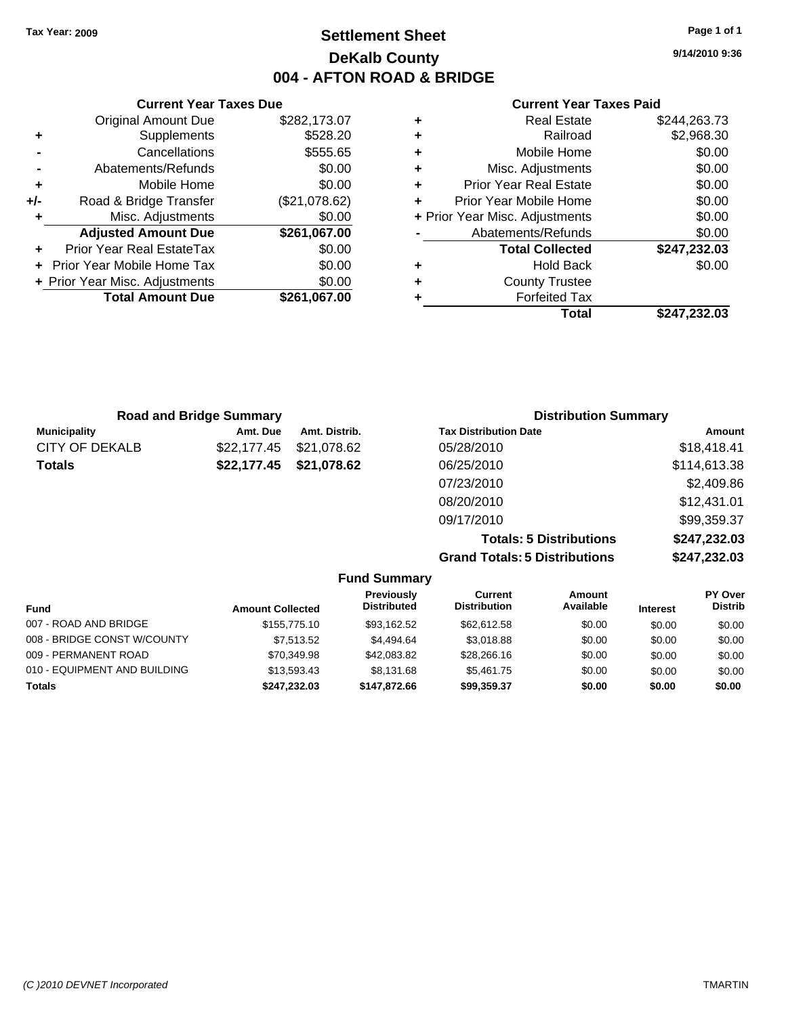**Current Year Taxes Due** Original Amount Due \$282,173.07

**Adjusted Amount Due \$261,067.00**

**Total Amount Due \$261,067.00**

**+** Supplements \$528.20 **-** Cancellations **\$555.65 -** Abatements/Refunds \$0.00 **+** Mobile Home \$0.00 **+/-** Road & Bridge Transfer (\$21,078.62) **+** Misc. Adjustments \$0.00

**+** Prior Year Real EstateTax \$0.00 **+** Prior Year Mobile Home Tax \$0.00 **+ Prior Year Misc. Adjustments**  $$0.00$ 

### **Settlement Sheet Tax Year: 2009 Page 1 of 1 DeKalb County 004 - AFTON ROAD & BRIDGE**

**9/14/2010 9:36**

#### **Current Year Taxes Paid**

| <b>Road and Bridge Summary</b> |             |               | <b>Distribution Summary</b>  |              |  |
|--------------------------------|-------------|---------------|------------------------------|--------------|--|
| <b>Municipality</b>            | Amt. Due    | Amt. Distrib. | <b>Tax Distribution Date</b> | Amount       |  |
| CITY OF DEKALB                 | \$22,177.45 | \$21,078.62   | 05/28/2010                   | \$18,418.41  |  |
| <b>Totals</b>                  | \$22,177.45 | \$21,078.62   | 06/25/2010                   | \$114,613.38 |  |
|                                |             |               | 07/23/2010                   | \$2,409.86   |  |
|                                |             |               | 08/20/2010                   | \$12,431.01  |  |
|                                |             |               | 09/17/2010                   | \$99,359.37  |  |

**Totals: 5 Distributions \$247,232.03 Grand Totals: 5 Distributions \$247,232.03**

|                              |                         | <b>Fund Summary</b>              |                                |                     |                 |                           |
|------------------------------|-------------------------|----------------------------------|--------------------------------|---------------------|-----------------|---------------------------|
| <b>Fund</b>                  | <b>Amount Collected</b> | Previously<br><b>Distributed</b> | Current<br><b>Distribution</b> | Amount<br>Available | <b>Interest</b> | PY Over<br><b>Distrib</b> |
| 007 - ROAD AND BRIDGE        | \$155,775.10            | \$93.162.52                      | \$62,612.58                    | \$0.00              | \$0.00          | \$0.00                    |
| 008 - BRIDGE CONST W/COUNTY  | \$7.513.52              | \$4.494.64                       | \$3.018.88                     | \$0.00              | \$0.00          | \$0.00                    |
| 009 - PERMANENT ROAD         | \$70,349.98             | \$42,083.82                      | \$28,266.16                    | \$0.00              | \$0.00          | \$0.00                    |
| 010 - EQUIPMENT AND BUILDING | \$13,593.43             | \$8.131.68                       | \$5,461.75                     | \$0.00              | \$0.00          | \$0.00                    |
| <b>Totals</b>                | \$247.232.03            | \$147.872.66                     | \$99,359.37                    | \$0.00              | \$0.00          | \$0.00                    |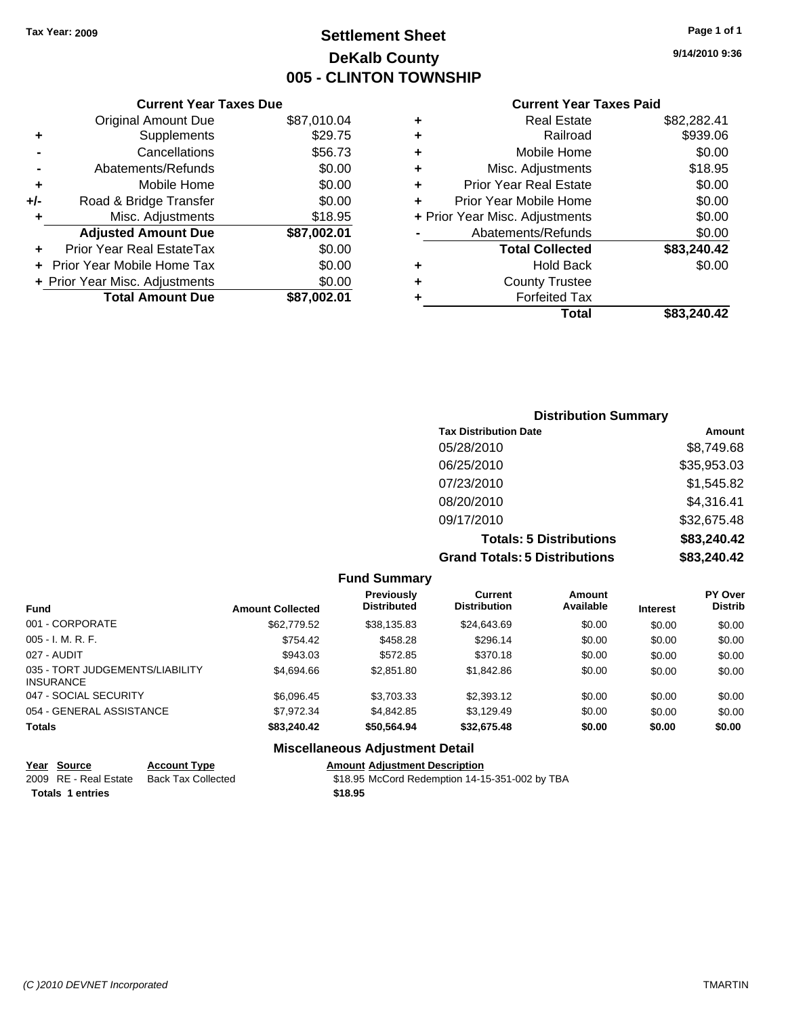### **Settlement Sheet Tax Year: 2009 Page 1 of 1 DeKalb County 005 - CLINTON TOWNSHIP**

**9/14/2010 9:36**

#### **Current Year Taxes Paid**

|     | <b>Current Year Taxes Due</b>  |             |   |
|-----|--------------------------------|-------------|---|
|     | <b>Original Amount Due</b>     | \$87,010.04 |   |
|     | Supplements                    | \$29.75     |   |
|     | Cancellations                  | \$56.73     |   |
|     | Abatements/Refunds             | \$0.00      |   |
|     | Mobile Home                    | \$0.00      |   |
| +/- | Road & Bridge Transfer         | \$0.00      | ٠ |
|     | Misc. Adjustments              | \$18.95     |   |
|     | <b>Adjusted Amount Due</b>     | \$87,002.01 |   |
|     | Prior Year Real EstateTax      | \$0.00      |   |
|     | Prior Year Mobile Home Tax     | \$0.00      |   |
|     | + Prior Year Misc. Adjustments | \$0.00      |   |
|     | <b>Total Amount Due</b>        | \$87,002.01 |   |
|     |                                |             |   |

|   | <b>Real Estate</b>             | \$82,282.41 |
|---|--------------------------------|-------------|
| ٠ | Railroad                       | \$939.06    |
| ٠ | Mobile Home                    | \$0.00      |
| ٠ | Misc. Adjustments              | \$18.95     |
| ٠ | Prior Year Real Estate         | \$0.00      |
| ÷ | Prior Year Mobile Home         | \$0.00      |
|   | + Prior Year Misc. Adjustments | \$0.00      |
|   | Abatements/Refunds             | \$0.00      |
|   | <b>Total Collected</b>         | \$83,240.42 |
| ٠ | <b>Hold Back</b>               | \$0.00      |
| ٠ | <b>County Trustee</b>          |             |
| ٠ | <b>Forfeited Tax</b>           |             |
|   | Total                          | \$83,240.42 |
|   |                                |             |

### **Distribution Summary Tax Distribution Date Amount** 05/28/2010 \$8,749.68 06/25/2010 \$35,953.03 07/23/2010 \$1,545.82 08/20/2010 \$4,316.41 09/17/2010 \$32,675.48 **Totals: 5 Distributions \$83,240.42 Grand Totals: 5 Distributions \$83,240.42**

#### **Fund Summary Fund Interest Amount Collected Distributed PY Over Distrib Amount Available Current Distribution Previously** 001 - CORPORATE \$62,779.52 \$38,135.83 \$24,643.69 \$0.00 \$0.00 \$0.00 005 - I. M. R. F. \$754.42 \$458.28 \$296.14 \$0.00 \$0.00 \$0.00 027 - AUDIT \$943.03 \$572.85 \$370.18 \$0.00 \$0.00 \$0.00 035 - TORT JUDGEMENTS/LIABILITY INSURANCE \$4,694.66 \$2,851.80 \$1,842.86 \$0.00 \$0.00 \$0.00 047 - SOCIAL SECURITY 66,096.45 \$3,703.33 \$2,393.12 \$0.00 \$0.00 \$0.00 \$0.00 054 - GENERAL ASSISTANCE \$7,972.34 \$4,842.85 \$3,129.49 \$0.00 \$0.00 \$0.00 **Totals \$83,240.42 \$50,564.94 \$32,675.48 \$0.00 \$0.00 \$0.00 Miscellaneous Adjustment Detail**

|                  | Year Source           | <b>Account Type</b> | <b>Amount Adiustment Description</b>           |
|------------------|-----------------------|---------------------|------------------------------------------------|
|                  | 2009 RE - Real Estate | Back Tax Collected  | \$18.95 McCord Redemption 14-15-351-002 by TBA |
| Totals 1 entries |                       |                     | \$18.95                                        |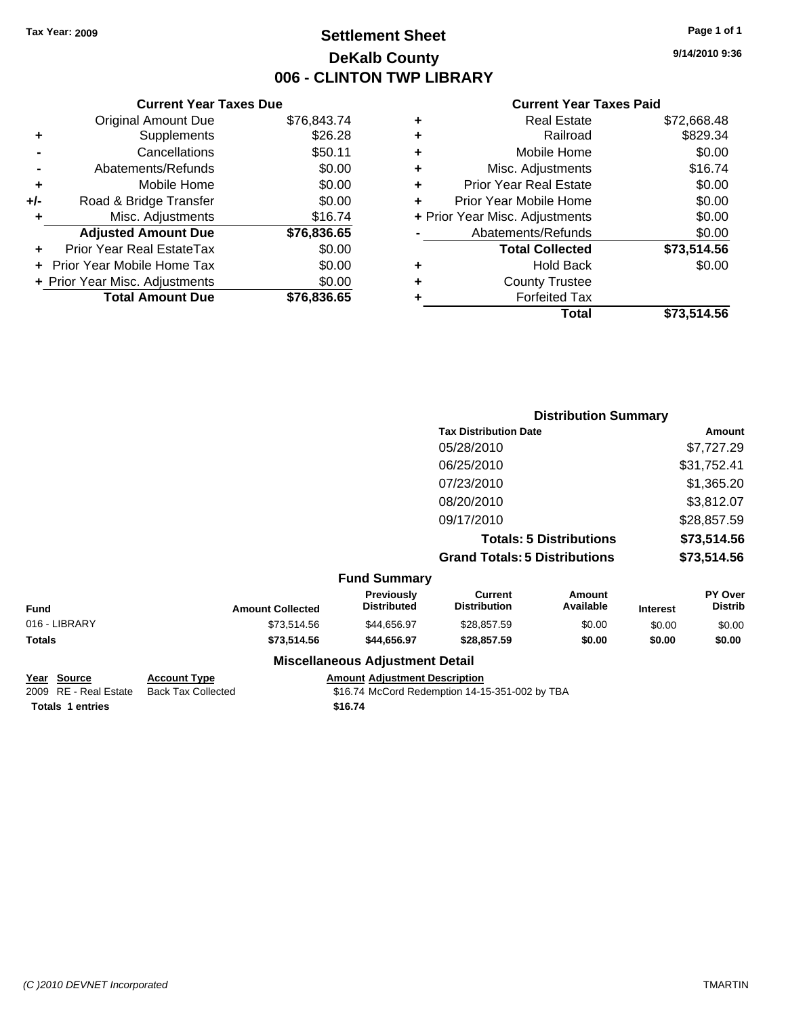### **Settlement Sheet Tax Year: 2009 Page 1 of 1 DeKalb County 006 - CLINTON TWP LIBRARY**

### **Current Year Taxes Due** Original Amount Due \$76,843.74 **+** Supplements \$26.28 **-** Cancellations \$50.11 **-** Abatements/Refunds \$0.00 **+** Mobile Home \$0.00 **+/-** Road & Bridge Transfer \$0.00 **+** Misc. Adjustments \$16.74 **Adjusted Amount Due \$76,836.65 +** Prior Year Real EstateTax \$0.00 **+** Prior Year Mobile Home Tax \$0.00 **+ Prior Year Misc. Adjustments**  $$0.00$ **Total Amount Due \$76,836.65**

#### **Current Year Taxes Paid**

|   | <b>Real Estate</b>             | \$72,668.48 |
|---|--------------------------------|-------------|
| ٠ | Railroad                       | \$829.34    |
| ٠ | Mobile Home                    | \$0.00      |
| ٠ | Misc. Adjustments              | \$16.74     |
| ٠ | <b>Prior Year Real Estate</b>  | \$0.00      |
|   | Prior Year Mobile Home         | \$0.00      |
|   | + Prior Year Misc. Adjustments | \$0.00      |
|   | Abatements/Refunds             | \$0.00      |
|   | <b>Total Collected</b>         | \$73,514.56 |
| ٠ | <b>Hold Back</b>               | \$0.00      |
| ٠ | <b>County Trustee</b>          |             |
| ٠ | <b>Forfeited Tax</b>           |             |
|   | Total                          | \$73,514.56 |
|   |                                |             |

|               |                         |                                         | <b>Distribution Summary</b>           |                                |                 |                    |
|---------------|-------------------------|-----------------------------------------|---------------------------------------|--------------------------------|-----------------|--------------------|
|               |                         |                                         | <b>Tax Distribution Date</b>          |                                |                 | Amount             |
|               |                         |                                         | 05/28/2010                            |                                |                 | \$7,727.29         |
|               |                         |                                         | 06/25/2010                            |                                |                 | \$31,752.41        |
|               |                         |                                         | 07/23/2010                            |                                |                 | \$1,365.20         |
|               |                         |                                         | 08/20/2010                            |                                |                 | \$3,812.07         |
|               |                         |                                         | 09/17/2010                            |                                |                 | \$28,857.59        |
|               |                         |                                         |                                       | <b>Totals: 5 Distributions</b> |                 | \$73,514.56        |
|               |                         |                                         | <b>Grand Totals: 5 Distributions</b>  |                                |                 | \$73,514.56        |
|               |                         | <b>Fund Summary</b>                     |                                       |                                |                 |                    |
| Fund          | <b>Amount Collected</b> | <b>Previously</b><br><b>Distributed</b> | <b>Current</b><br><b>Distribution</b> | <b>Amount</b><br>Available     | <b>Interest</b> | PY Over<br>Distrib |
| 016 - LIBRARY | \$73,514.56             | \$44,656.97                             | \$28,857.59                           | \$0.00                         | \$0.00          | \$0.00             |
| Totals        | \$73,514.56             | \$44,656.97                             | \$28,857.59                           | \$0.00                         | \$0.00          | \$0.00             |
|               |                         | <b>Miscellaneous Adjustment Detail</b>  |                                       |                                |                 |                    |

# **Totals \$16.74 1 entries**

## **Year Source Account Type Amount Adjustment Description**

2009 RE - Real Estate Back Tax Collected \$16.74 McCord Redemption 14-15-351-002 by TBA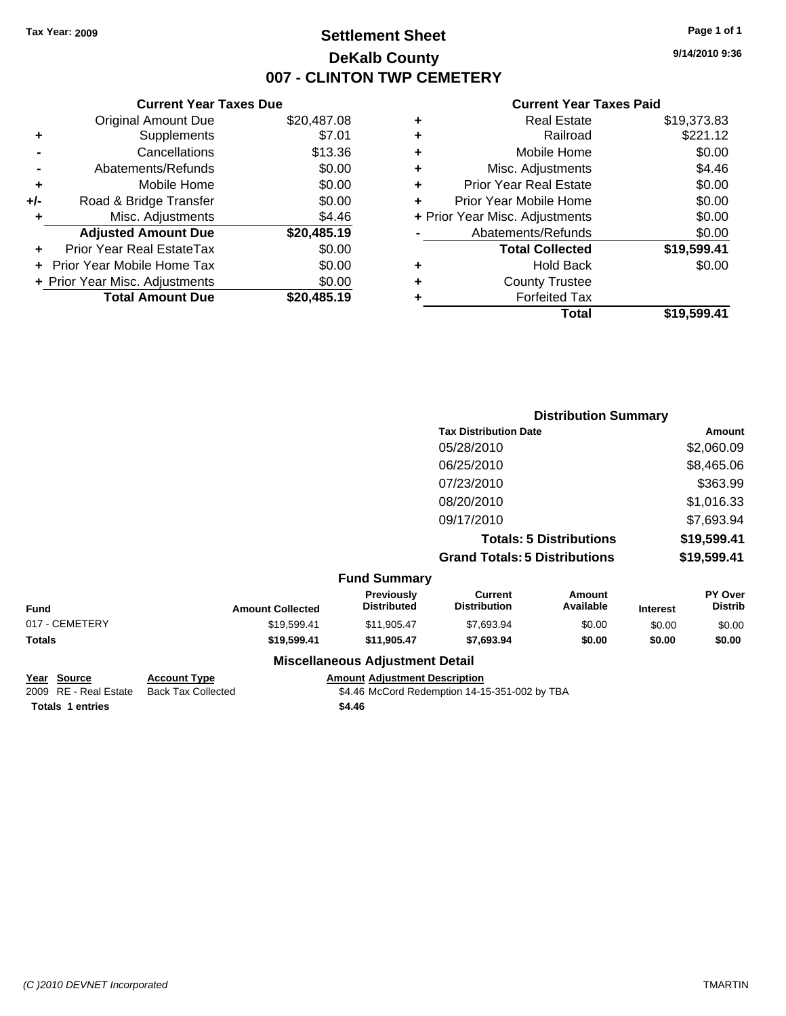### **Settlement Sheet Tax Year: 2009 Page 1 of 1 DeKalb County 007 - CLINTON TWP CEMETERY**

**9/14/2010 9:36**

#### **Current Year Taxes Paid**

|   | Total                          | \$19,599.41 |
|---|--------------------------------|-------------|
|   | <b>Forfeited Tax</b>           |             |
| ٠ | <b>County Trustee</b>          |             |
| ٠ | <b>Hold Back</b>               | \$0.00      |
|   | <b>Total Collected</b>         | \$19,599.41 |
|   | Abatements/Refunds             | \$0.00      |
|   | + Prior Year Misc. Adjustments | \$0.00      |
|   | Prior Year Mobile Home         | \$0.00      |
| ٠ | <b>Prior Year Real Estate</b>  | \$0.00      |
| ٠ | Misc. Adjustments              | \$4.46      |
| ٠ | Mobile Home                    | \$0.00      |
| ٠ | Railroad                       | \$221.12    |
|   | <b>Real Estate</b>             | \$19,373.83 |

|                |                         |                                         | <b>Distribution Summary</b>           |                                |                 |                           |
|----------------|-------------------------|-----------------------------------------|---------------------------------------|--------------------------------|-----------------|---------------------------|
|                |                         |                                         | <b>Tax Distribution Date</b>          |                                |                 | Amount                    |
|                |                         |                                         | 05/28/2010                            |                                |                 | \$2,060.09                |
|                |                         |                                         | 06/25/2010                            |                                |                 | \$8,465.06                |
|                |                         |                                         | 07/23/2010                            |                                |                 | \$363.99                  |
|                |                         |                                         | 08/20/2010                            |                                |                 | \$1,016.33                |
|                |                         |                                         | 09/17/2010                            |                                |                 | \$7,693.94                |
|                |                         |                                         |                                       | <b>Totals: 5 Distributions</b> |                 | \$19,599.41               |
|                |                         |                                         | <b>Grand Totals: 5 Distributions</b>  |                                |                 | \$19,599.41               |
|                |                         | <b>Fund Summary</b>                     |                                       |                                |                 |                           |
| <b>Fund</b>    | <b>Amount Collected</b> | <b>Previously</b><br><b>Distributed</b> | <b>Current</b><br><b>Distribution</b> | <b>Amount</b><br>Available     | <b>Interest</b> | PY Over<br><b>Distrib</b> |
| 017 - CEMETERY | \$19,599.41             | \$11,905.47                             | \$7,693.94                            | \$0.00                         | \$0.00          | \$0.00                    |
| Totals         | \$19,599.41             | \$11,905.47                             | \$7,693.94                            | \$0.00                         | \$0.00          | \$0.00                    |
|                |                         | <b>Miscellaneous Adjustment Detail</b>  |                                       |                                |                 |                           |

**Totals \$4.46 1 entries**

**Current Year Taxes Due** Original Amount Due \$20,487.08

**Adjusted Amount Due \$20,485.19**

**Total Amount Due \$20,485.19**

**+** Supplements \$7.01 **-** Cancellations \$13.36 **-** Abatements/Refunds \$0.00 **+** Mobile Home \$0.00 **+/-** Road & Bridge Transfer \$0.00 **+** Misc. Adjustments \$4.46

**+** Prior Year Real EstateTax \$0.00 **+** Prior Year Mobile Home Tax \$0.00 **+ Prior Year Misc. Adjustments**  $$0.00$ 

**Year Source Account Type Amount Adjustment Description** 2009 RE - Real Estate Back Tax Collected \$4.46 McCord Redemption 14-15-351-002 by TBA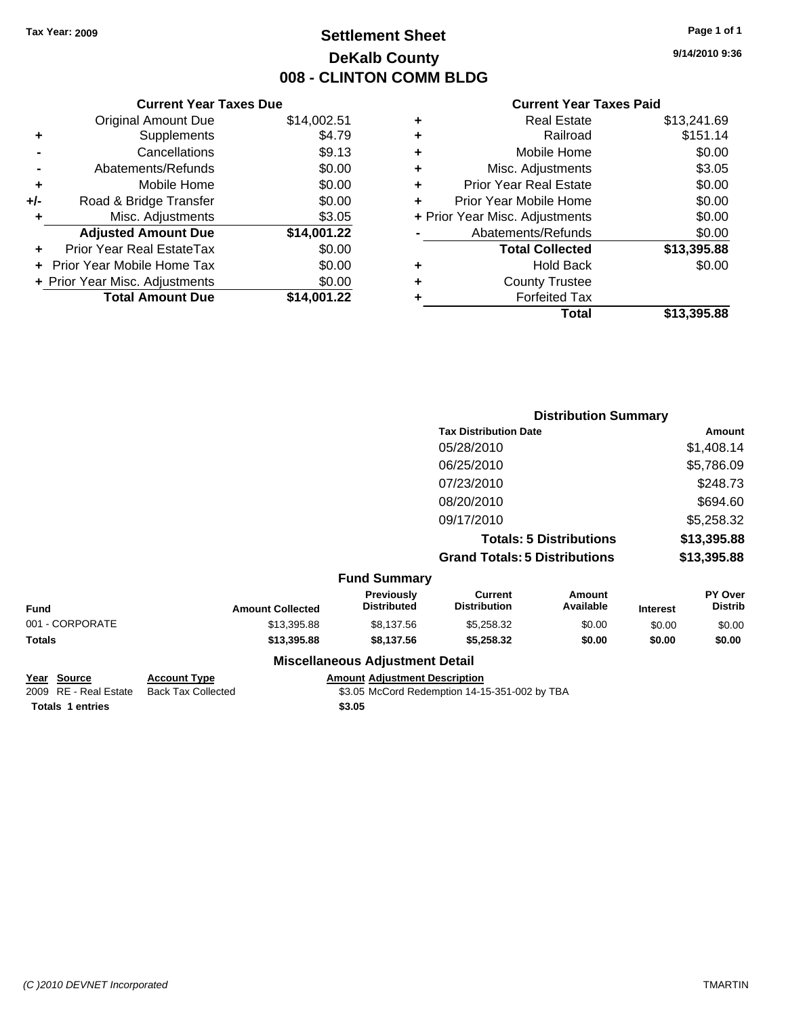### **Settlement Sheet Tax Year: 2009 Page 1 of 1 DeKalb County 008 - CLINTON COMM BLDG**

**9/14/2010 9:36**

#### **Current Year Taxes Paid**

| \$14,002.51 |
|-------------|
| \$4.79      |
| \$9.13      |
| \$0.00      |
| \$0.00      |
| \$0.00      |
| \$3.05      |
| \$14,001.22 |
| \$0.00      |
| \$0.00      |
| \$0.00      |
| \$14.001.22 |
|             |

|   | <b>Real Estate</b>             | \$13,241.69 |
|---|--------------------------------|-------------|
| ٠ | Railroad                       | \$151.14    |
| ٠ | Mobile Home                    | \$0.00      |
| ٠ | Misc. Adjustments              | \$3.05      |
| ٠ | <b>Prior Year Real Estate</b>  | \$0.00      |
| ٠ | Prior Year Mobile Home         | \$0.00      |
|   | + Prior Year Misc. Adjustments | \$0.00      |
|   | Abatements/Refunds             | \$0.00      |
|   | <b>Total Collected</b>         | \$13,395.88 |
| ٠ | <b>Hold Back</b>               | \$0.00      |
| ٠ | <b>County Trustee</b>          |             |
|   | <b>Forfeited Tax</b>           |             |
|   | Total                          | \$13,395.88 |
|   |                                |             |

|                        |                                  | <b>Distribution Summary</b>           |                                |                 |                                  |
|------------------------|----------------------------------|---------------------------------------|--------------------------------|-----------------|----------------------------------|
|                        |                                  | <b>Tax Distribution Date</b>          | Amount                         |                 |                                  |
|                        |                                  | 05/28/2010                            |                                |                 | \$1,408.14                       |
|                        |                                  | 06/25/2010                            |                                | \$5,786.09      |                                  |
|                        |                                  | 07/23/2010                            |                                |                 | \$248.73                         |
|                        |                                  | 08/20/2010                            |                                |                 | \$694.60                         |
|                        |                                  | 09/17/2010                            |                                |                 | \$5,258.32                       |
|                        |                                  |                                       | <b>Totals: 5 Distributions</b> |                 | \$13,395.88                      |
|                        |                                  | <b>Grand Totals: 5 Distributions</b>  |                                |                 | \$13,395.88                      |
|                        | <b>Fund Summary</b>              |                                       |                                |                 |                                  |
| American Orally at a d | Previously<br><b>Dictributad</b> | <b>Current</b><br><b>Distribution</b> | Amount<br><b>Availahla</b>     | $1 - 1 - 1 - 1$ | <b>PY Over</b><br><b>Dictrib</b> |

| Fund            | <b>Amount Collected</b> | <b>Previously</b><br><b>Distributed</b> | Current<br><b>Distribution</b> | Amount<br>Available | <b>Interest</b> | <b>PY Over</b><br><b>Distrib</b> |
|-----------------|-------------------------|-----------------------------------------|--------------------------------|---------------------|-----------------|----------------------------------|
| 001 - CORPORATE | \$13,395.88             | \$8.137.56                              | \$5,258,32                     | \$0.00              | \$0.00          | \$0.00                           |
| Totals          | \$13,395.88             | \$8.137.56                              | \$5,258,32                     | \$0.00              | \$0.00          | \$0.00                           |
|                 |                         | <b>Miscellaneous Adjustment Detail</b>  |                                |                     |                 |                                  |

**Totals 1 entries** \$3.05

**Miscellaneous Adjustment Detail**

**Year Source Account Type Amount Adjustment Description**

2009 RE - Real Estate Back Tax Collected \$3.05 McCord Redemption 14-15-351-002 by TBA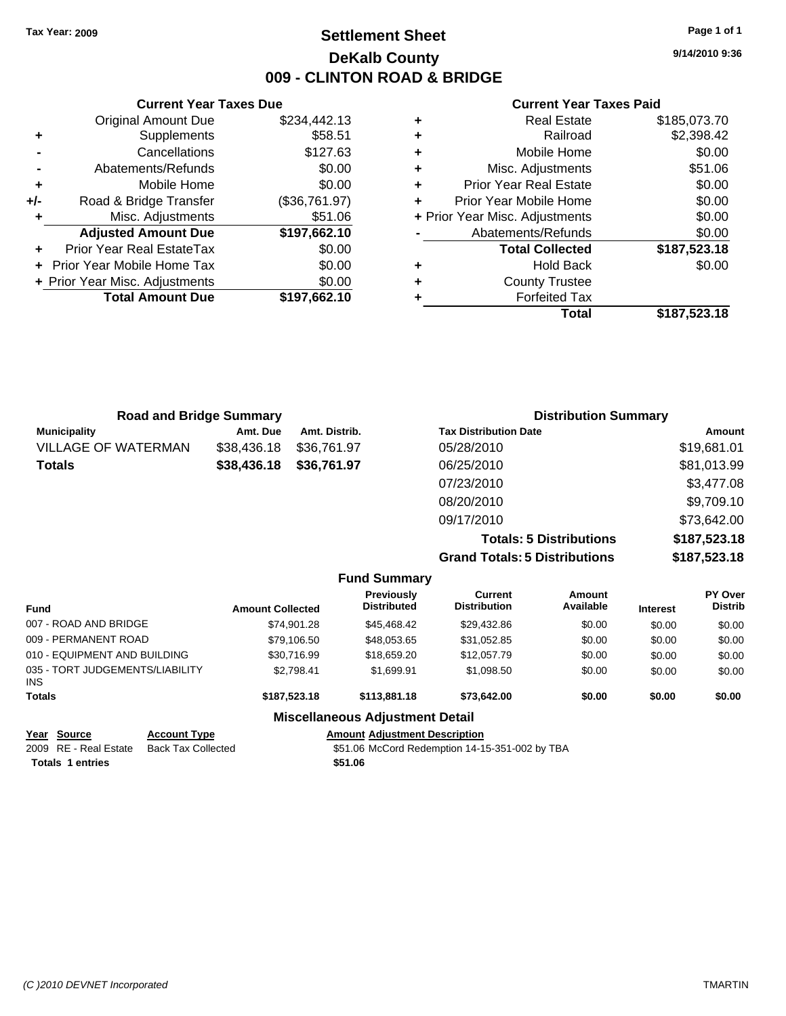### **Settlement Sheet Tax Year: 2009 Page 1 of 1 DeKalb County 009 - CLINTON ROAD & BRIDGE**

**9/14/2010 9:36**

#### **Current Year Taxes Paid**

| <b>Road and Bridge Summary</b> |             |               | <b>Distribution Summary</b>  |             |
|--------------------------------|-------------|---------------|------------------------------|-------------|
| <b>Municipality</b>            | Amt. Due    | Amt. Distrib. | <b>Tax Distribution Date</b> | Amount      |
| <b>VILLAGE OF WATERMAN</b>     | \$38,436.18 | \$36,761.97   | 05/28/2010                   | \$19,681.01 |
| <b>Totals</b>                  | \$38,436.18 | \$36,761.97   | 06/25/2010                   | \$81,013.99 |
|                                |             |               | 07/23/2010                   | \$3,477.08  |
|                                |             |               | 08/20/2010                   | \$9,709.10  |
|                                |             |               | 09/17/2010                   | \$73,642.00 |

**Totals: 5 Distributions \$187,523.18 Grand Totals: 5 Distributions \$187,523.18**

|                                         |                         | <b>Fund Summary</b>                     |                                |                     |                 |                           |
|-----------------------------------------|-------------------------|-----------------------------------------|--------------------------------|---------------------|-----------------|---------------------------|
| Fund                                    | <b>Amount Collected</b> | <b>Previously</b><br><b>Distributed</b> | Current<br><b>Distribution</b> | Amount<br>Available | <b>Interest</b> | PY Over<br><b>Distrib</b> |
| 007 - ROAD AND BRIDGE                   | \$74.901.28             | \$45,468,42                             | \$29,432.86                    | \$0.00              | \$0.00          | \$0.00                    |
| 009 - PERMANENT ROAD                    | \$79,106.50             | \$48,053.65                             | \$31,052.85                    | \$0.00              | \$0.00          | \$0.00                    |
| 010 - EQUIPMENT AND BUILDING            | \$30.716.99             | \$18,659.20                             | \$12,057.79                    | \$0.00              | \$0.00          | \$0.00                    |
| 035 - TORT JUDGEMENTS/LIABILITY<br>INS. | \$2.798.41              | \$1,699.91                              | \$1,098.50                     | \$0.00              | \$0.00          | \$0.00                    |
| <b>Totals</b>                           | \$187,523.18            | \$113,881.18                            | \$73.642.00                    | \$0.00              | \$0.00          | \$0.00                    |
|                                         |                         | <b>Miscellaneous Adjustment Detail</b>  |                                |                     |                 |                           |
| $\sim$ $\sim$ $\sim$                    |                         |                                         |                                |                     |                 |                           |

| Year Source           | <b>Account Type</b> | <b>Amount Adjustment Description</b> |
|-----------------------|---------------------|--------------------------------------|
| 2009 RE - Real Estate | Back Tax Collected  | \$51.06 McCord Redemption 14-1       |

**Totals \$51.06 1 entries**

**Current Year Taxes Due** Original Amount Due \$234,442.13

**Adjusted Amount Due \$197,662.10**

**Total Amount Due \$197,662.10**

**+** Supplements \$58.51 **-** Cancellations \$127.63 **-** Abatements/Refunds \$0.00 **+** Mobile Home \$0.00 **+/-** Road & Bridge Transfer (\$36,761.97) **+** Misc. Adjustments \$51.06

**+** Prior Year Real EstateTax \$0.00 **+** Prior Year Mobile Home Tax \$0.00 **+ Prior Year Misc. Adjustments**  $$0.00$ 

 $$51.06$  McCord Redemption 14-15-351-002 by TBA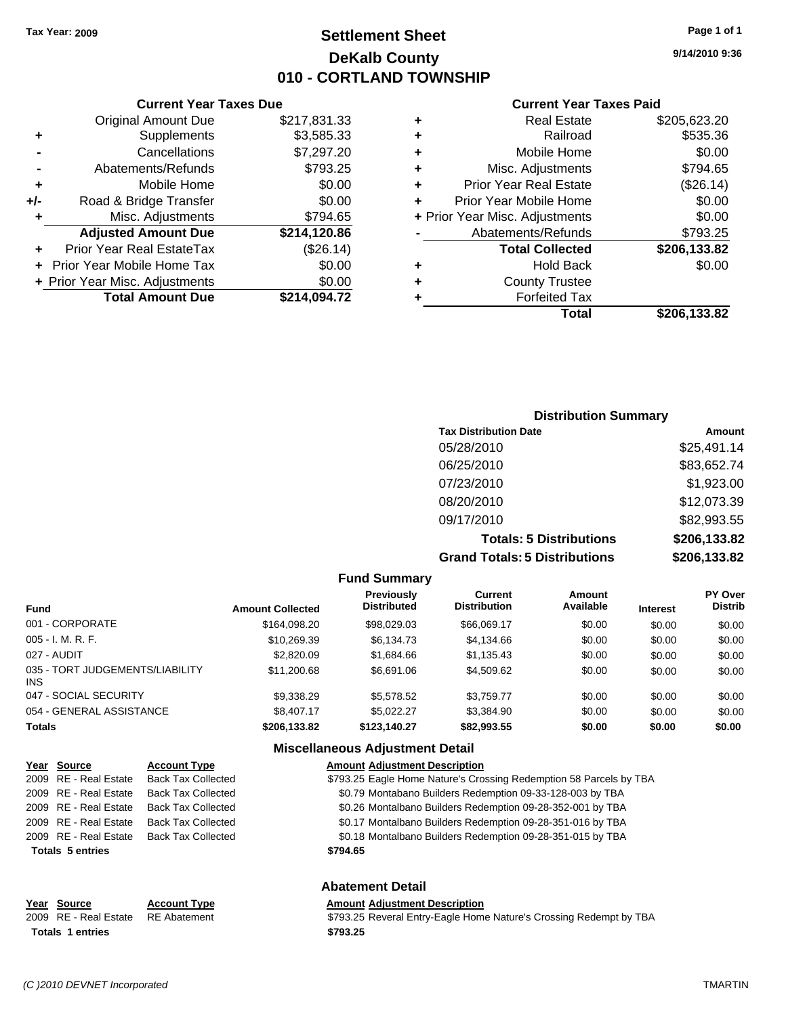### **Settlement Sheet Tax Year: 2009 Page 1 of 1 DeKalb County 010 - CORTLAND TOWNSHIP**

### **Current Year Taxes Due**

|       | <b>Original Amount Due</b>        | \$217,831.33 |
|-------|-----------------------------------|--------------|
| ٠     | Supplements                       | \$3,585.33   |
|       | Cancellations                     | \$7,297.20   |
|       | Abatements/Refunds                | \$793.25     |
| ٠     | Mobile Home                       | \$0.00       |
| $+/-$ | Road & Bridge Transfer            | \$0.00       |
| ٠     | Misc. Adjustments                 | \$794.65     |
|       | <b>Adjusted Amount Due</b>        | \$214,120.86 |
|       | Prior Year Real EstateTax         | (\$26.14)    |
|       | <b>Prior Year Mobile Home Tax</b> | \$0.00       |
|       | + Prior Year Misc. Adjustments    | \$0.00       |
|       | <b>Total Amount Due</b>           | \$214,094.72 |

#### **Current Year Taxes Paid**

|   | <b>Real Estate</b>             | \$205,623.20 |
|---|--------------------------------|--------------|
| ٠ | Railroad                       | \$535.36     |
| ٠ | Mobile Home                    | \$0.00       |
| ٠ | Misc. Adjustments              | \$794.65     |
| ٠ | <b>Prior Year Real Estate</b>  | (\$26.14)    |
|   | Prior Year Mobile Home         | \$0.00       |
|   | + Prior Year Misc. Adjustments | \$0.00       |
|   | Abatements/Refunds             | \$793.25     |
|   | <b>Total Collected</b>         | \$206,133.82 |
| ٠ | Hold Back                      | \$0.00       |
| ٠ | <b>County Trustee</b>          |              |
| ٠ | <b>Forfeited Tax</b>           |              |
|   | Total                          | \$206,133.82 |
|   |                                |              |

## **9/14/2010 9:36**

| <b>Distribution Summary</b>          |              |
|--------------------------------------|--------------|
| <b>Tax Distribution Date</b>         | Amount       |
| 05/28/2010                           | \$25,491.14  |
| 06/25/2010                           | \$83,652.74  |
| 07/23/2010                           | \$1,923.00   |
| 08/20/2010                           | \$12,073.39  |
| 09/17/2010                           | \$82,993.55  |
| <b>Totals: 5 Distributions</b>       | \$206,133.82 |
| <b>Grand Totals: 5 Distributions</b> | \$206,133.82 |
|                                      |              |

### **Fund Summary**

| <b>Fund</b>                                   | <b>Amount Collected</b> | <b>Previously</b><br><b>Distributed</b> | Current<br><b>Distribution</b> | Amount<br>Available | <b>Interest</b> | PY Over<br><b>Distrib</b> |
|-----------------------------------------------|-------------------------|-----------------------------------------|--------------------------------|---------------------|-----------------|---------------------------|
| 001 - CORPORATE                               | \$164.098.20            | \$98.029.03                             | \$66,069.17                    | \$0.00              | \$0.00          | \$0.00                    |
| $005 - I. M. R. F.$                           | \$10,269.39             | \$6.134.73                              | \$4,134.66                     | \$0.00              | \$0.00          | \$0.00                    |
| 027 - AUDIT                                   | \$2,820.09              | \$1,684.66                              | \$1.135.43                     | \$0.00              | \$0.00          | \$0.00                    |
| 035 - TORT JUDGEMENTS/LIABILITY<br><b>INS</b> | \$11,200.68             | \$6,691.06                              | \$4,509.62                     | \$0.00              | \$0.00          | \$0.00                    |
| 047 - SOCIAL SECURITY                         | \$9,338.29              | \$5,578,52                              | \$3.759.77                     | \$0.00              | \$0.00          | \$0.00                    |
| 054 - GENERAL ASSISTANCE                      | \$8,407.17              | \$5.022.27                              | \$3.384.90                     | \$0.00              | \$0.00          | \$0.00                    |
| <b>Totals</b>                                 | \$206,133.82            | \$123,140.27                            | \$82,993.55                    | \$0.00              | \$0.00          | \$0.00                    |

### **Miscellaneous Adjustment Detail**

| Year Source             | <b>Account Type</b>       | <b>Amount Adjustment Description</b>                               |
|-------------------------|---------------------------|--------------------------------------------------------------------|
| 2009 RE - Real Estate   | <b>Back Tax Collected</b> | \$793.25 Eagle Home Nature's Crossing Redemption 58 Parcels by TBA |
| 2009 RE - Real Estate   | <b>Back Tax Collected</b> | \$0.79 Montabano Builders Redemption 09-33-128-003 by TBA          |
| 2009 RE - Real Estate   | <b>Back Tax Collected</b> | \$0.26 Montalbano Builders Redemption 09-28-352-001 by TBA         |
| 2009 RE - Real Estate   | <b>Back Tax Collected</b> | \$0.17 Montalbano Builders Redemption 09-28-351-016 by TBA         |
| 2009 RE - Real Estate   | <b>Back Tax Collected</b> | \$0.18 Montalbano Builders Redemption 09-28-351-015 by TBA         |
| <b>Totals 5 entries</b> |                           | \$794.65                                                           |
|                         |                           | <b>Abatement Detail</b>                                            |
| Year Source             | <b>Account Type</b>       | <b>Amount Adjustment Description</b>                               |
| 2009 RE - Real Estate   | <b>RE</b> Abatement       | \$793.25 Reveral Entry-Eagle Home Nature's Crossing Redempt by TBA |

**Totals \$793.25 1 entries**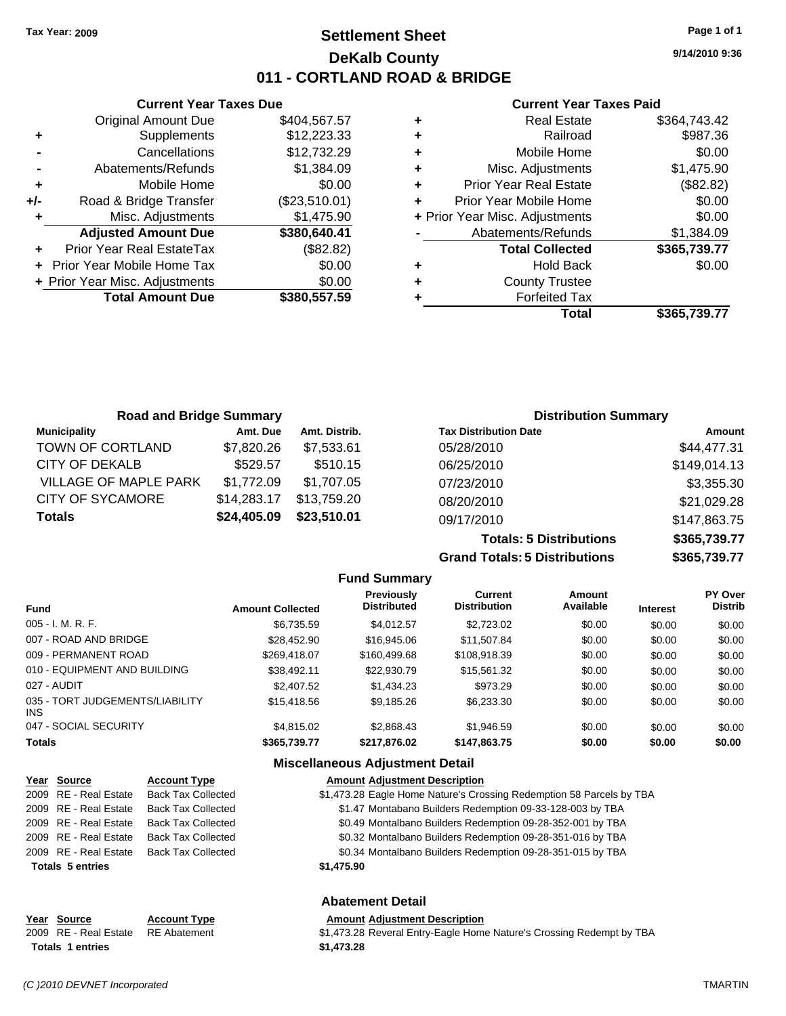**Current Year Taxes Due** Original Amount Due \$404,567.57

**Adjusted Amount Due \$380,640.41**

**Total Amount Due \$380,557.59**

**+** Supplements \$12,223.33 **-** Cancellations \$12,732.29 **-** Abatements/Refunds \$1,384.09 **+** Mobile Home \$0.00 **+/-** Road & Bridge Transfer (\$23,510.01) **+** Misc. Adjustments \$1,475.90

**+** Prior Year Real EstateTax (\$82.82) **+** Prior Year Mobile Home Tax \$0.00 **+ Prior Year Misc. Adjustments**  $$0.00$ 

### **Settlement Sheet Tax Year: 2009 Page 1 of 1 DeKalb County 011 - CORTLAND ROAD & BRIDGE**

**9/14/2010 9:36**

#### **Current Year Taxes Paid**

|   | <b>Real Estate</b>             | \$364,743.42 |
|---|--------------------------------|--------------|
| ٠ | Railroad                       | \$987.36     |
| ٠ | Mobile Home                    | \$0.00       |
| ٠ | Misc. Adjustments              | \$1,475.90   |
| ٠ | <b>Prior Year Real Estate</b>  | (\$82.82)    |
|   | Prior Year Mobile Home         | \$0.00       |
|   | + Prior Year Misc. Adjustments | \$0.00       |
|   | Abatements/Refunds             | \$1,384.09   |
|   | <b>Total Collected</b>         | \$365,739.77 |
| ٠ | <b>Hold Back</b>               | \$0.00       |
| ٠ | <b>County Trustee</b>          |              |
|   | <b>Forfeited Tax</b>           |              |
|   | Total                          | \$365,739.77 |
|   |                                |              |

| <b>Road and Bridge Summary</b> |             |               | <b>Distribution Summary</b>  |              |
|--------------------------------|-------------|---------------|------------------------------|--------------|
| <b>Municipality</b>            | Amt. Due    | Amt. Distrib. | <b>Tax Distribution Date</b> | Amount       |
| TOWN OF CORTLAND               | \$7,820.26  | \$7,533.61    | 05/28/2010                   | \$44,477.31  |
| <b>CITY OF DEKALB</b>          | \$529.57    | \$510.15      | 06/25/2010                   | \$149,014.13 |
| VILLAGE OF MAPLE PARK          | \$1,772.09  | \$1,707.05    | 07/23/2010                   | \$3,355.30   |
| CITY OF SYCAMORE               | \$14,283.17 | \$13,759.20   | 08/20/2010                   | \$21,029.28  |
| <b>Totals</b>                  | \$24,405.09 | \$23,510.01   | 09/17/2010                   | \$147,863.75 |

**Totals: 5 Distributions \$365,739.77 Grand Totals: 5 Distributions \$365,739.77**

|                                               |                         | <b>Fund Summary</b>                     |                                       |                     |                 |                           |
|-----------------------------------------------|-------------------------|-----------------------------------------|---------------------------------------|---------------------|-----------------|---------------------------|
| <b>Fund</b>                                   | <b>Amount Collected</b> | <b>Previously</b><br><b>Distributed</b> | <b>Current</b><br><b>Distribution</b> | Amount<br>Available | <b>Interest</b> | PY Over<br><b>Distrib</b> |
| $005 - I. M. R. F.$                           | \$6.735.59              | \$4.012.57                              | \$2,723.02                            | \$0.00              | \$0.00          | \$0.00                    |
| 007 - ROAD AND BRIDGE                         | \$28,452.90             | \$16,945.06                             | \$11.507.84                           | \$0.00              | \$0.00          | \$0.00                    |
| 009 - PERMANENT ROAD                          | \$269.418.07            | \$160,499.68                            | \$108.918.39                          | \$0.00              | \$0.00          | \$0.00                    |
| 010 - EQUIPMENT AND BUILDING                  | \$38,492.11             | \$22,930.79                             | \$15.561.32                           | \$0.00              | \$0.00          | \$0.00                    |
| 027 - AUDIT                                   | \$2,407.52              | \$1,434.23                              | \$973.29                              | \$0.00              | \$0.00          | \$0.00                    |
| 035 - TORT JUDGEMENTS/LIABILITY<br><b>INS</b> | \$15,418.56             | \$9.185.26                              | \$6,233,30                            | \$0.00              | \$0.00          | \$0.00                    |
| 047 - SOCIAL SECURITY                         | \$4,815.02              | \$2,868.43                              | \$1.946.59                            | \$0.00              | \$0.00          | \$0.00                    |
| <b>Totals</b>                                 | \$365,739.77            | \$217,876.02                            | \$147,863.75                          | \$0.00              | \$0.00          | \$0.00                    |
|                                               |                         |                                         |                                       |                     |                 |                           |

#### **Miscellaneous Adjustment Detail**

| Year Source             | <b>Account Type</b>       | <b>Amount Adjustment Description</b>                                 |
|-------------------------|---------------------------|----------------------------------------------------------------------|
| 2009 RE - Real Estate   | <b>Back Tax Collected</b> | \$1,473.28 Eagle Home Nature's Crossing Redemption 58 Parcels by TBA |
| 2009 RE - Real Estate   | <b>Back Tax Collected</b> | \$1.47 Montabano Builders Redemption 09-33-128-003 by TBA            |
| 2009 RE - Real Estate   | <b>Back Tax Collected</b> | \$0.49 Montalbano Builders Redemption 09-28-352-001 by TBA           |
| 2009 RE - Real Estate   | <b>Back Tax Collected</b> | \$0.32 Montalbano Builders Redemption 09-28-351-016 by TBA           |
| 2009 RE - Real Estate   | Back Tax Collected        | \$0.34 Montalbano Builders Redemption 09-28-351-015 by TBA           |
| <b>Totals 5 entries</b> |                           | \$1,475.90                                                           |

### **Abatement Detail**

### **Year Source Account Type Amount Adjustment Description**

2009 RE - Real Estate RE Abatement \$1,473.28 Reveral Entry-Eagle Home Nature's Crossing Redempt by TBA **Totals \$1,473.28 1 entries**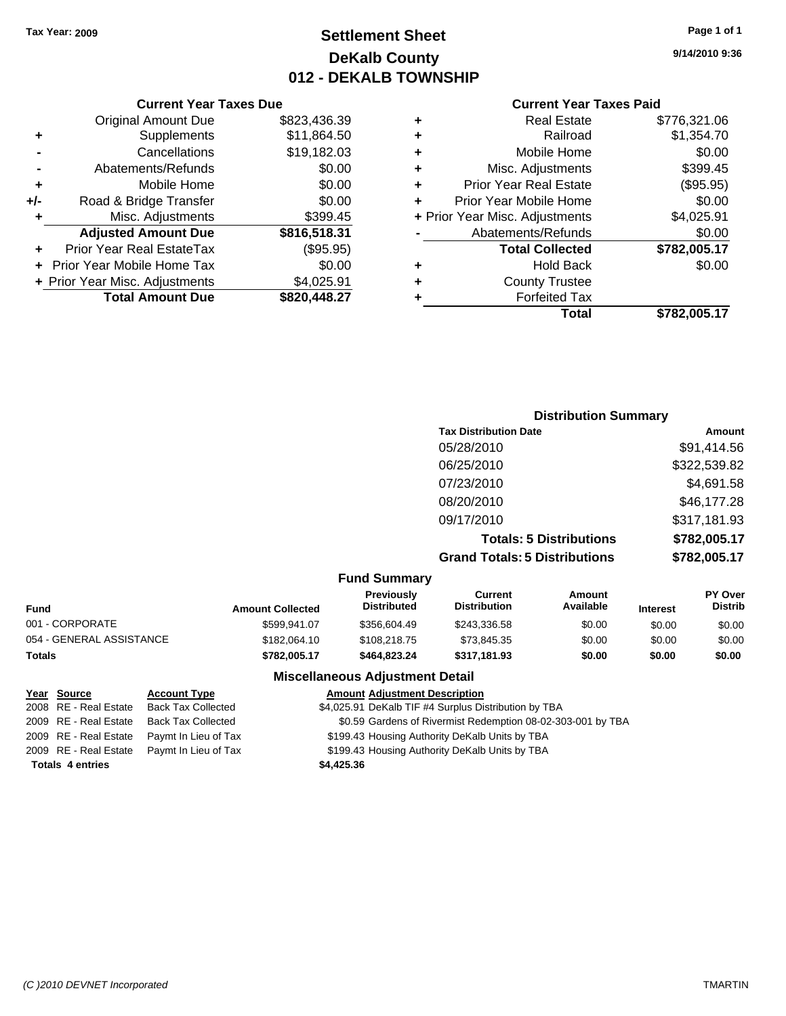**Current Year Taxes Due** Original Amount Due \$823,436.39

**Adjusted Amount Due \$816,518.31**

**Total Amount Due \$820,448.27**

**+** Supplements \$11,864.50 **-** Cancellations \$19,182.03 **-** Abatements/Refunds \$0.00 **+** Mobile Home \$0.00 **+/-** Road & Bridge Transfer \$0.00 **+** Misc. Adjustments \$399.45

**+** Prior Year Real EstateTax (\$95.95) **+** Prior Year Mobile Home Tax \$0.00 **+** Prior Year Misc. Adjustments \$4,025.91

### **Settlement Sheet Tax Year: 2009 Page 1 of 1 DeKalb County 012 - DEKALB TOWNSHIP**

**9/14/2010 9:36**

#### **Current Year Taxes Paid**

| Total                          | \$782.005.17 |
|--------------------------------|--------------|
| <b>Forfeited Tax</b>           |              |
| <b>County Trustee</b>          |              |
| <b>Hold Back</b>               | \$0.00       |
| <b>Total Collected</b>         | \$782,005.17 |
| Abatements/Refunds             | \$0.00       |
| + Prior Year Misc. Adjustments | \$4,025.91   |
| Prior Year Mobile Home         | \$0.00       |
| <b>Prior Year Real Estate</b>  | (\$95.95)    |
| Misc. Adjustments              | \$399.45     |
| Mobile Home                    | \$0.00       |
| Railroad                       | \$1,354.70   |
| <b>Real Estate</b>             | \$776,321.06 |
|                                |              |

### **Distribution Summary Tax Distribution Date Amount** 05/28/2010 \$91,414.56 06/25/2010 \$322,539.82 07/23/2010 \$4,691.58 08/20/2010 \$46,177.28 09/17/2010 \$317,181.93 **Totals: 5 Distributions \$782,005.17 Grand Totals: 5 Distributions \$782,005.17**

#### **Fund Summary**

|                          | - ----- - ----------    |                                         |                                |                     |                 |                                  |
|--------------------------|-------------------------|-----------------------------------------|--------------------------------|---------------------|-----------------|----------------------------------|
| <b>Fund</b>              | <b>Amount Collected</b> | <b>Previously</b><br><b>Distributed</b> | Current<br><b>Distribution</b> | Amount<br>Available | <b>Interest</b> | <b>PY Over</b><br><b>Distrib</b> |
| 001 - CORPORATE          | \$599.941.07            | \$356,604.49                            | \$243,336.58                   | \$0.00              | \$0.00          | \$0.00                           |
| 054 - GENERAL ASSISTANCE | \$182,064.10            | \$108,218,75                            | \$73,845.35                    | \$0.00              | \$0.00          | \$0.00                           |
| <b>Totals</b>            | \$782,005.17            | \$464.823.24                            | \$317.181.93                   | \$0.00              | \$0.00          | \$0.00                           |

### **Miscellaneous Adjustment Detail**

### **Year Source Account Type Amount Adjustment Description**

2008 RE - Real Estate Back Tax Collected \$4,025.91 DeKalb TIF #4 Surplus Distribution by TBA

2009 RE - Real Estate Back Tax Collected \$0.59 Gardens of Rivermist Redemption 08-02-303-001 by TBA

2009 RE - Real Estate Paymt In Lieu of Tax \$199.43 Housing Authority DeKalb Units by TBA

2009 RE - Real Estate Paymt In Lieu of Tax \$199.43 Housing Authority DeKalb Units by TBA

**Totals \$4,425.36 4 entries**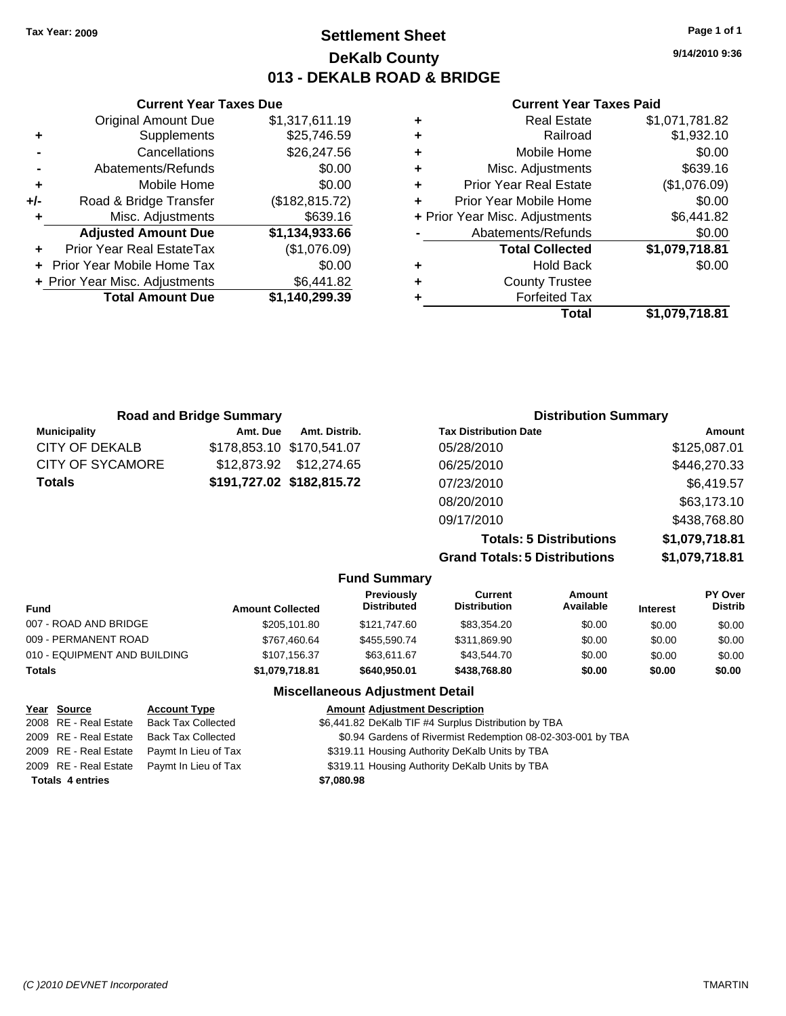### **Settlement Sheet Tax Year: 2009 Page 1 of 1 DeKalb County 013 - DEKALB ROAD & BRIDGE**

**9/14/2010 9:36**

#### **Current Year Taxes Paid**

|   | <b>Real Estate</b>             | \$1,071,781.82 |
|---|--------------------------------|----------------|
| ٠ | Railroad                       | \$1,932.10     |
| ٠ | Mobile Home                    | \$0.00         |
| ٠ | Misc. Adjustments              | \$639.16       |
| ٠ | <b>Prior Year Real Estate</b>  | (\$1,076.09)   |
|   | Prior Year Mobile Home         | \$0.00         |
|   | + Prior Year Misc. Adjustments | \$6,441.82     |
|   | Abatements/Refunds             | \$0.00         |
|   | <b>Total Collected</b>         | \$1,079,718.81 |
| ٠ | <b>Hold Back</b>               | \$0.00         |
| ٠ | <b>County Trustee</b>          |                |
|   | <b>Forfeited Tax</b>           |                |
|   | Total                          | \$1.079.718.81 |

|     | <b>Current Year Taxes Due</b>    |                 |  |  |  |
|-----|----------------------------------|-----------------|--|--|--|
|     | <b>Original Amount Due</b>       | \$1,317,611.19  |  |  |  |
| ٠   | Supplements                      | \$25,746.59     |  |  |  |
|     | Cancellations                    | \$26,247.56     |  |  |  |
|     | Abatements/Refunds               | \$0.00          |  |  |  |
| ٠   | Mobile Home                      | \$0.00          |  |  |  |
| +/- | Road & Bridge Transfer           | (\$182, 815.72) |  |  |  |
| ٠   | Misc. Adjustments                | \$639.16        |  |  |  |
|     | <b>Adjusted Amount Due</b>       | \$1,134,933.66  |  |  |  |
|     | <b>Prior Year Real EstateTax</b> | (\$1,076.09)    |  |  |  |
|     | Prior Year Mobile Home Tax       | \$0.00          |  |  |  |
|     | + Prior Year Misc. Adjustments   | \$6,441.82      |  |  |  |
|     | <b>Total Amount Due</b>          | \$1,140,299.39  |  |  |  |
|     |                                  |                 |  |  |  |

| <b>Road and Bridge Summary</b> |                           |                           | <b>Distribution Summary</b>          |                |  |  |
|--------------------------------|---------------------------|---------------------------|--------------------------------------|----------------|--|--|
| <b>Municipality</b>            | Amt. Due                  | Amt. Distrib.             | <b>Tax Distribution Date</b>         | Amount         |  |  |
| <b>CITY OF DEKALB</b>          | \$178,853.10 \$170,541.07 |                           | 05/28/2010                           | \$125,087.01   |  |  |
| <b>CITY OF SYCAMORE</b>        | \$12.873.92               | \$12,274.65               | 06/25/2010                           | \$446,270.33   |  |  |
| Totals                         |                           | \$191,727.02 \$182,815.72 | 07/23/2010                           | \$6,419.57     |  |  |
|                                |                           |                           | 08/20/2010                           | \$63,173.10    |  |  |
|                                |                           |                           | 09/17/2010                           | \$438,768.80   |  |  |
|                                |                           |                           | <b>Totals: 5 Distributions</b>       | \$1,079,718.81 |  |  |
|                                |                           |                           | <b>Grand Totals: 5 Distributions</b> | \$1,079,718.81 |  |  |

|                              |                         | <b>Fund Summary</b>                     |                                |                     |                 |                           |
|------------------------------|-------------------------|-----------------------------------------|--------------------------------|---------------------|-----------------|---------------------------|
| <b>Fund</b>                  | <b>Amount Collected</b> | <b>Previously</b><br><b>Distributed</b> | Current<br><b>Distribution</b> | Amount<br>Available | <b>Interest</b> | PY Over<br><b>Distrib</b> |
| 007 - ROAD AND BRIDGE        | \$205,101.80            | \$121.747.60                            | \$83,354.20                    | \$0.00              | \$0.00          | \$0.00                    |
| 009 - PERMANENT ROAD         | \$767.460.64            | \$455,590.74                            | \$311,869.90                   | \$0.00              | \$0.00          | \$0.00                    |
| 010 - EQUIPMENT AND BUILDING | \$107.156.37            | \$63.611.67                             | \$43,544.70                    | \$0.00              | \$0.00          | \$0.00                    |
| Totals                       | \$1,079,718.81          | \$640,950.01                            | \$438,768,80                   | \$0.00              | \$0.00          | \$0.00                    |
|                              |                         | Missellenseus Adjustment Detail         |                                |                     |                 |                           |

### **Miscellaneous Adjustment Detail**

| Year Source             | <b>Account Type</b>  | <b>Amount Adjustment Description</b>                        |
|-------------------------|----------------------|-------------------------------------------------------------|
| 2008 RE - Real Estate   | Back Tax Collected   | \$6,441.82 DeKalb TIF #4 Surplus Distribution by TBA        |
| 2009 RE - Real Estate   | Back Tax Collected   | \$0.94 Gardens of Rivermist Redemption 08-02-303-001 by TBA |
| 2009 RE - Real Estate   | Paymt In Lieu of Tax | \$319.11 Housing Authority DeKalb Units by TBA              |
| 2009 RE - Real Estate   | Paymt In Lieu of Tax | \$319.11 Housing Authority DeKalb Units by TBA              |
| <b>Totals 4 entries</b> |                      | \$7,080.98                                                  |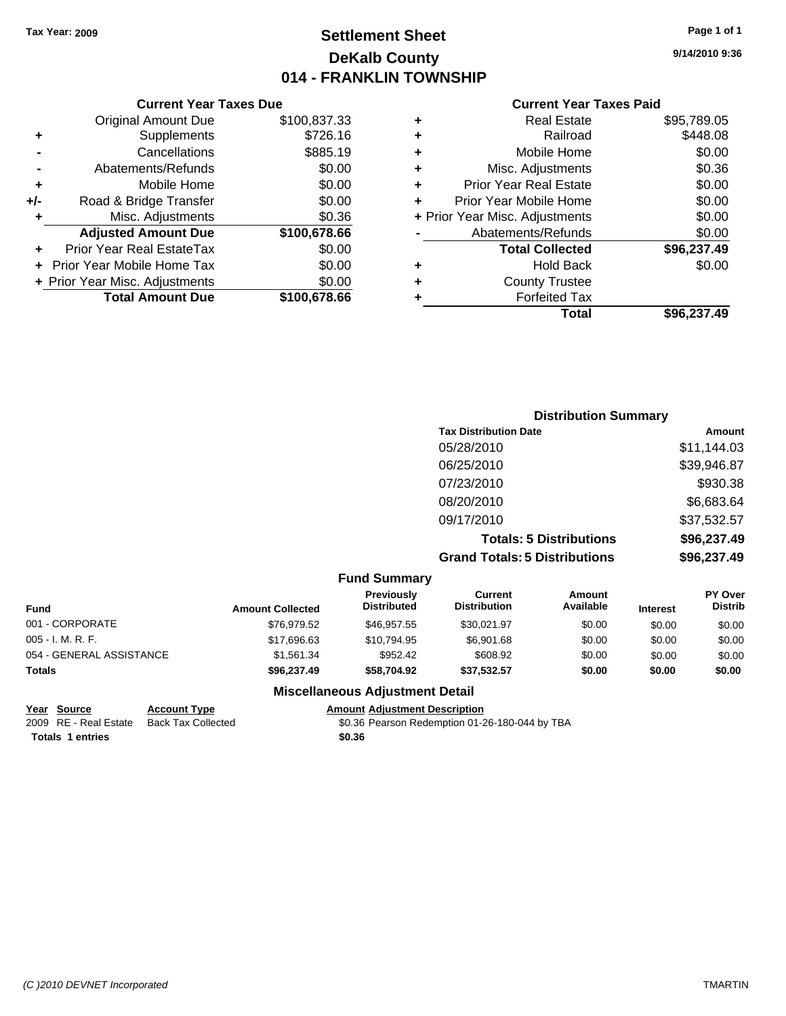### **Settlement Sheet Tax Year: 2009 Page 1 of 1 DeKalb County 014 - FRANKLIN TOWNSHIP**

#### **Current Year Taxes Due**

|     | <b>Original Amount Due</b>        | \$100,837.33 |
|-----|-----------------------------------|--------------|
|     | Supplements                       | \$726.16     |
|     | Cancellations                     | \$885.19     |
|     | Abatements/Refunds                | \$0.00       |
| ٠   | Mobile Home                       | \$0.00       |
| +/- | Road & Bridge Transfer            | \$0.00       |
|     | Misc. Adjustments                 | \$0.36       |
|     | <b>Adjusted Amount Due</b>        | \$100,678.66 |
|     | <b>Prior Year Real EstateTax</b>  | \$0.00       |
|     | <b>Prior Year Mobile Home Tax</b> | \$0.00       |
|     | + Prior Year Misc. Adjustments    | \$0.00       |
|     | <b>Total Amount Due</b>           | \$100,678.66 |

#### **Current Year Taxes Paid**

| ٠ | <b>Real Estate</b>             | \$95,789.05 |
|---|--------------------------------|-------------|
| ٠ | Railroad                       | \$448.08    |
| ٠ | Mobile Home                    | \$0.00      |
| ٠ | Misc. Adjustments              | \$0.36      |
| ÷ | <b>Prior Year Real Estate</b>  | \$0.00      |
| ٠ | Prior Year Mobile Home         | \$0.00      |
|   | + Prior Year Misc. Adjustments | \$0.00      |
|   | Abatements/Refunds             | \$0.00      |
|   | <b>Total Collected</b>         | \$96,237.49 |
| ٠ | <b>Hold Back</b>               | \$0.00      |
| ٠ | <b>County Trustee</b>          |             |
| ٠ | <b>Forfeited Tax</b>           |             |
|   | Total                          | \$96,237.49 |
|   |                                |             |

### **Distribution Summary Tax Distribution Date Amount** 05/28/2010 \$11,144.03 06/25/2010 \$39,946.87 07/23/2010 \$930.38 08/20/2010 \$6,683.64 09/17/2010 \$37,532.57 **Totals: 5 Distributions \$96,237.49 Grand Totals: 5 Distributions \$96,237.49**

|                          |                         | <b>Fund Summary</b>              |                                |                     |                 |                                  |
|--------------------------|-------------------------|----------------------------------|--------------------------------|---------------------|-----------------|----------------------------------|
| <b>Fund</b>              | <b>Amount Collected</b> | Previously<br><b>Distributed</b> | Current<br><b>Distribution</b> | Amount<br>Available | <b>Interest</b> | <b>PY Over</b><br><b>Distrib</b> |
| 001 - CORPORATE          | \$76.979.52             | \$46,957.55                      | \$30.021.97                    | \$0.00              | \$0.00          | \$0.00                           |
| $005 - I. M. R. F.$      | \$17,696.63             | \$10.794.95                      | \$6,901.68                     | \$0.00              | \$0.00          | \$0.00                           |
| 054 - GENERAL ASSISTANCE | \$1.561.34              | \$952.42                         | \$608.92                       | \$0.00              | \$0.00          | \$0.00                           |
| <b>Totals</b>            | \$96,237.49             | \$58,704.92                      | \$37.532.57                    | \$0.00              | \$0.00          | \$0.00                           |

#### **Miscellaneous Adjustment Detail**

| Year Source             | <b>Account Type</b> | Amount |
|-------------------------|---------------------|--------|
| 2009 RE - Real Estate   | Back Tax Collected  | \$0.36 |
| <b>Totals 1 entries</b> |                     | \$0.36 |

**Yearth Type Account Type Amount Adjustment Description** ack Tax Collected **2009 Case Access 10.36 Pearson Redemption 01-26-180-044 by TBA**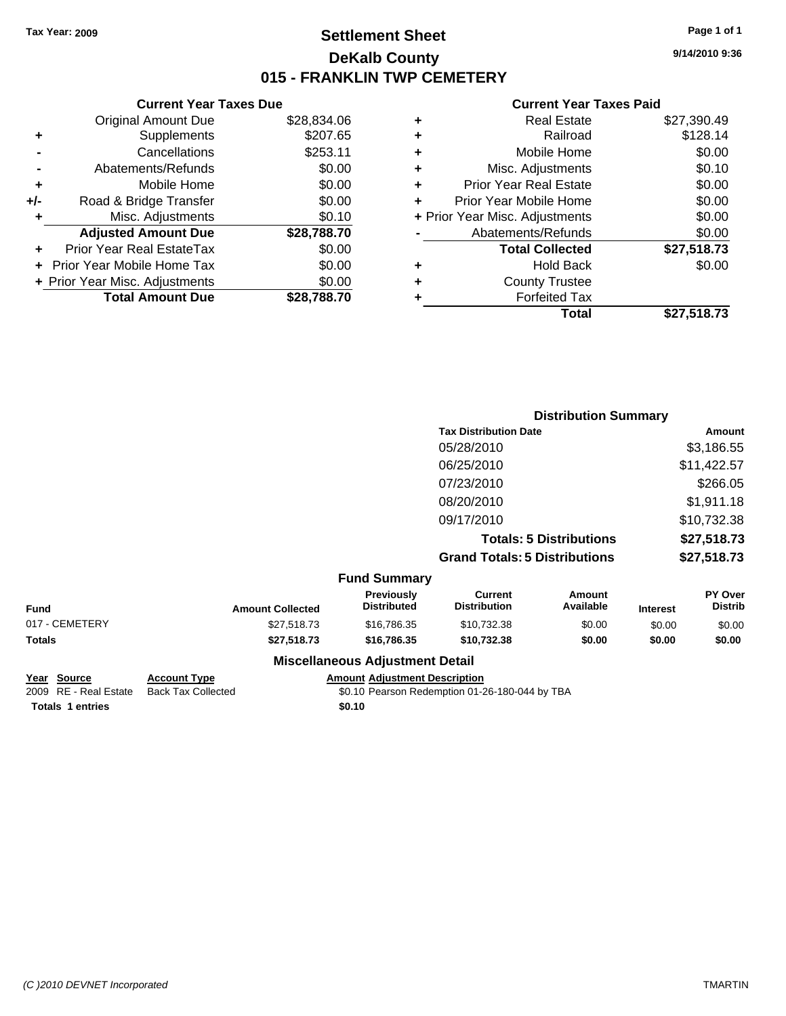### **Settlement Sheet Tax Year: 2009 Page 1 of 1 DeKalb County 015 - FRANKLIN TWP CEMETERY**

#### **Current Year Taxes Due**

|       | <b>Original Amount Due</b>     | \$28,834.06 |
|-------|--------------------------------|-------------|
| ٠     | Supplements                    | \$207.65    |
|       | Cancellations                  | \$253.11    |
|       | Abatements/Refunds             | \$0.00      |
| ٠     | Mobile Home                    | \$0.00      |
| $+/-$ | Road & Bridge Transfer         | \$0.00      |
|       | Misc. Adjustments              | \$0.10      |
|       | <b>Adjusted Amount Due</b>     | \$28,788.70 |
|       | Prior Year Real EstateTax      | \$0.00      |
|       | Prior Year Mobile Home Tax     | \$0.00      |
|       | + Prior Year Misc. Adjustments | \$0.00      |
|       | <b>Total Amount Due</b>        | \$28.788.70 |

#### **Current Year Taxes Paid**

|   | <b>Real Estate</b>             | \$27,390.49 |
|---|--------------------------------|-------------|
| ٠ | Railroad                       | \$128.14    |
| ٠ | Mobile Home                    | \$0.00      |
| ٠ | Misc. Adjustments              | \$0.10      |
| ٠ | <b>Prior Year Real Estate</b>  | \$0.00      |
|   | Prior Year Mobile Home         | \$0.00      |
|   | + Prior Year Misc. Adjustments | \$0.00      |
|   | Abatements/Refunds             | \$0.00      |
|   | <b>Total Collected</b>         | \$27,518.73 |
| ٠ | Hold Back                      | \$0.00      |
| ٠ | <b>County Trustee</b>          |             |
| ٠ | <b>Forfeited Tax</b>           |             |
|   | Total                          | \$27,518.73 |
|   |                                |             |

|                         |                                  |                                       | <b>Distribution Summary</b>    |                 |                                  |
|-------------------------|----------------------------------|---------------------------------------|--------------------------------|-----------------|----------------------------------|
|                         |                                  | <b>Tax Distribution Date</b>          |                                |                 | Amount                           |
|                         |                                  | 05/28/2010                            |                                |                 | \$3,186.55                       |
|                         |                                  | 06/25/2010                            |                                |                 | \$11,422.57                      |
|                         |                                  | 07/23/2010                            |                                |                 | \$266.05                         |
|                         |                                  | 08/20/2010                            |                                |                 | \$1,911.18                       |
|                         |                                  | 09/17/2010                            |                                |                 | \$10,732.38                      |
|                         |                                  |                                       | <b>Totals: 5 Distributions</b> |                 | \$27,518.73                      |
|                         |                                  | <b>Grand Totals: 5 Distributions</b>  |                                |                 | \$27,518.73                      |
|                         | <b>Fund Summary</b>              |                                       |                                |                 |                                  |
| <b>Amount Collected</b> | Previously<br><b>Distributed</b> | <b>Current</b><br><b>Distribution</b> | Amount<br>Available            | <b>Interest</b> | <b>PY Over</b><br><b>Distrib</b> |

| Fund           | <b>Amount Collected</b> | <b>Previously</b><br><b>Distributed</b> | Current<br>Distribution | Amount<br>Available | <b>Interest</b> | <b>PY Over</b><br><b>Distrib</b> |
|----------------|-------------------------|-----------------------------------------|-------------------------|---------------------|-----------------|----------------------------------|
| 017 - CEMETERY | \$27,518,73             | \$16,786,35                             | \$10.732.38             | \$0.00              | \$0.00          | \$0.00                           |
| Totals         | \$27,518,73             | \$16,786,35                             | \$10.732.38             | \$0.00              | \$0.00          | \$0.00                           |
|                |                         | <b>Miscellaneous Adjustment Detail</b>  |                         |                     |                 |                                  |

**Totals 1 entries** \$0.10

**Year Source Account Type Amount Adjustment Description**

2009 RE - Real Estate Back Tax Collected \$0.10 Pearson Redemption 01-26-180-044 by TBA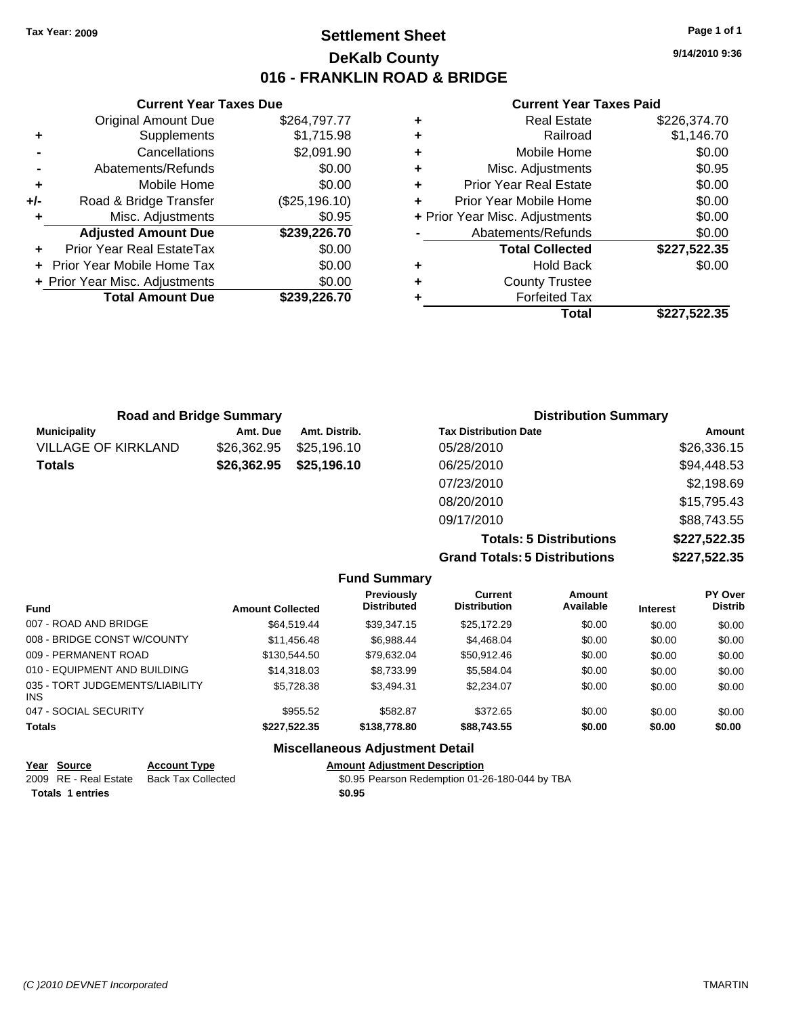**Current Year Taxes Due** Original Amount Due \$264,797.77

**Adjusted Amount Due \$239,226.70**

**Total Amount Due \$239,226.70**

**+** Supplements \$1,715.98 **-** Cancellations \$2,091.90 **-** Abatements/Refunds \$0.00 **+** Mobile Home \$0.00 **+/-** Road & Bridge Transfer (\$25,196.10) **+** Misc. Adjustments \$0.95

**+** Prior Year Real EstateTax \$0.00 **+** Prior Year Mobile Home Tax \$0.00 **+ Prior Year Misc. Adjustments**  $$0.00$ 

### **Settlement Sheet Tax Year: 2009 Page 1 of 1 DeKalb County 016 - FRANKLIN ROAD & BRIDGE**

**9/14/2010 9:36**

#### **Current Year Taxes Paid**

|   | Total                          | \$227,522.35 |
|---|--------------------------------|--------------|
| ٠ | <b>Forfeited Tax</b>           |              |
| ٠ | <b>County Trustee</b>          |              |
| ٠ | <b>Hold Back</b>               | \$0.00       |
|   | <b>Total Collected</b>         | \$227,522.35 |
|   | Abatements/Refunds             | \$0.00       |
|   | + Prior Year Misc. Adjustments | \$0.00       |
| ٠ | Prior Year Mobile Home         | \$0.00       |
| ٠ | <b>Prior Year Real Estate</b>  | \$0.00       |
| ٠ | Misc. Adjustments              | \$0.95       |
| ٠ | Mobile Home                    | \$0.00       |
| ٠ | Railroad                       | \$1,146.70   |
| ٠ | <b>Real Estate</b>             | \$226,374.70 |
|   |                                |              |

| <b>Road and Bridge Summary</b> |             |               | <b>Distribution Summary</b>  |             |
|--------------------------------|-------------|---------------|------------------------------|-------------|
| <b>Municipality</b>            | Amt. Due    | Amt. Distrib. | <b>Tax Distribution Date</b> | Amount      |
| <b>VILLAGE OF KIRKLAND</b>     | \$26,362.95 | \$25,196.10   | 05/28/2010                   | \$26,336.15 |
| <b>Totals</b>                  | \$26,362.95 | \$25,196.10   | 06/25/2010                   | \$94,448.53 |
|                                |             |               | 07/23/2010                   | \$2,198.69  |
|                                |             |               | 08/20/2010                   | \$15,795.43 |
|                                |             |               | 09/17/2010                   | \$88,743.55 |

**Totals: 5 Distributions \$227,522.35 Grand Totals: 5 Distributions \$227,522.35**

|                                               |                         | <b>Fund Summary</b>                     |                                |                     |                 |                           |
|-----------------------------------------------|-------------------------|-----------------------------------------|--------------------------------|---------------------|-----------------|---------------------------|
| <b>Fund</b>                                   | <b>Amount Collected</b> | <b>Previously</b><br><b>Distributed</b> | Current<br><b>Distribution</b> | Amount<br>Available | <b>Interest</b> | PY Over<br><b>Distrib</b> |
| 007 - ROAD AND BRIDGE                         | \$64.519.44             | \$39.347.15                             | \$25,172.29                    | \$0.00              | \$0.00          | \$0.00                    |
| 008 - BRIDGE CONST W/COUNTY                   | \$11.456.48             | \$6.988.44                              | \$4,468,04                     | \$0.00              | \$0.00          | \$0.00                    |
| 009 - PERMANENT ROAD                          | \$130.544.50            | \$79.632.04                             | \$50.912.46                    | \$0.00              | \$0.00          | \$0.00                    |
| 010 - EQUIPMENT AND BUILDING                  | \$14,318,03             | \$8.733.99                              | \$5.584.04                     | \$0.00              | \$0.00          | \$0.00                    |
| 035 - TORT JUDGEMENTS/LIABILITY<br><b>INS</b> | \$5.728.38              | \$3.494.31                              | \$2.234.07                     | \$0.00              | \$0.00          | \$0.00                    |
| 047 - SOCIAL SECURITY                         | \$955.52                | \$582.87                                | \$372.65                       | \$0.00              | \$0.00          | \$0.00                    |
| <b>Totals</b>                                 | \$227.522.35            | \$138,778.80                            | \$88.743.55                    | \$0.00              | \$0.00          | \$0.00                    |
|                                               |                         | <b>Miscellaneous Adjustment Detail</b>  |                                |                     |                 |                           |

| Year Source             | <b>Account Type</b> | <b>Amount Adiustment Description</b>           |
|-------------------------|---------------------|------------------------------------------------|
| 2009 RE - Real Estate   | Back Tax Collected  | \$0.95 Pearson Redemption 01-26-180-044 by TBA |
| <b>Totals 1 entries</b> |                     | \$0.95                                         |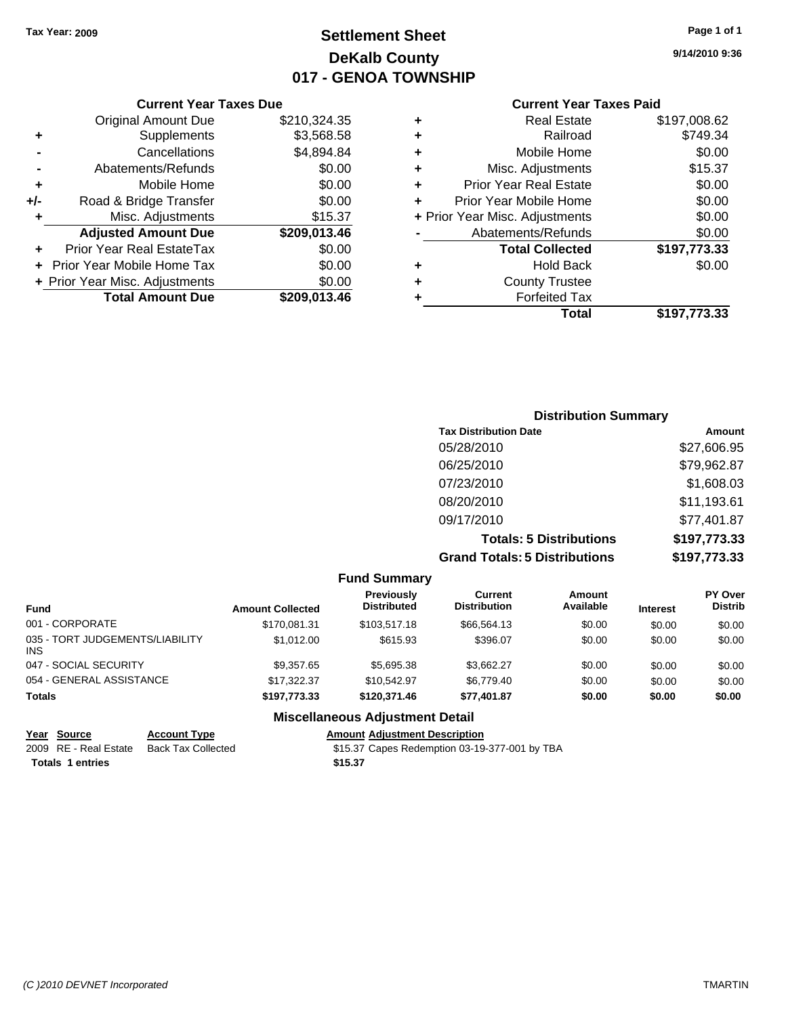### **Settlement Sheet Tax Year: 2009 Page 1 of 1 DeKalb County 017 - GENOA TOWNSHIP**

**9/14/2010 9:36**

### **Current Year Taxes Paid**

|     | <b>Current Year Taxes Due</b>  |              |
|-----|--------------------------------|--------------|
|     | <b>Original Amount Due</b>     | \$210,324.35 |
| ٠   | Supplements                    | \$3,568.58   |
|     | Cancellations                  | \$4,894.84   |
|     | Abatements/Refunds             | \$0.00       |
| ٠   | Mobile Home                    | \$0.00       |
| +/- | Road & Bridge Transfer         | \$0.00       |
| ٠   | Misc. Adjustments              | \$15.37      |
|     | <b>Adjusted Amount Due</b>     | \$209,013.46 |
|     | Prior Year Real EstateTax      | \$0.00       |
|     | Prior Year Mobile Home Tax     | \$0.00       |
|     | + Prior Year Misc. Adjustments | \$0.00       |
|     | <b>Total Amount Due</b>        | \$209,013.46 |
|     |                                |              |

|   | Total                          | \$197,773.33 |
|---|--------------------------------|--------------|
| ٠ | <b>Forfeited Tax</b>           |              |
| ٠ | <b>County Trustee</b>          |              |
| ٠ | <b>Hold Back</b>               | \$0.00       |
|   | <b>Total Collected</b>         | \$197,773.33 |
|   | Abatements/Refunds             | \$0.00       |
|   | + Prior Year Misc. Adjustments | \$0.00       |
| ÷ | Prior Year Mobile Home         | \$0.00       |
| ÷ | <b>Prior Year Real Estate</b>  | \$0.00       |
| ٠ | Misc. Adjustments              | \$15.37      |
| ٠ | Mobile Home                    | \$0.00       |
| ٠ | Railroad                       | \$749.34     |
| ٠ | <b>Real Estate</b>             | \$197,008.62 |
|   |                                |              |

### **Distribution Summary Tax Distribution Date Amount** 05/28/2010 \$27,606.95 06/25/2010 \$79,962.87 07/23/2010 \$1,608.03 08/20/2010 \$11,193.61 09/17/2010 \$77,401.87 **Totals: 5 Distributions \$197,773.33 Grand Totals: 5 Distributions \$197,773.33**

| <b>Fund Summary</b>                     |                         |                                         |                                |                     |                 |                                  |
|-----------------------------------------|-------------------------|-----------------------------------------|--------------------------------|---------------------|-----------------|----------------------------------|
| <b>Fund</b>                             | <b>Amount Collected</b> | <b>Previously</b><br><b>Distributed</b> | Current<br><b>Distribution</b> | Amount<br>Available | <b>Interest</b> | <b>PY Over</b><br><b>Distrib</b> |
| 001 - CORPORATE                         | \$170.081.31            | \$103.517.18                            | \$66.564.13                    | \$0.00              | \$0.00          | \$0.00                           |
| 035 - TORT JUDGEMENTS/LIABILITY<br>INS. | \$1,012.00              | \$615.93                                | \$396.07                       | \$0.00              | \$0.00          | \$0.00                           |
| 047 - SOCIAL SECURITY                   | \$9,357.65              | \$5,695.38                              | \$3,662.27                     | \$0.00              | \$0.00          | \$0.00                           |
| 054 - GENERAL ASSISTANCE                | \$17.322.37             | \$10.542.97                             | \$6,779.40                     | \$0.00              | \$0.00          | \$0.00                           |
| <b>Totals</b>                           | \$197.773.33            | \$120,371.46                            | \$77.401.87                    | \$0.00              | \$0.00          | \$0.00                           |
|                                         |                         | Micoollanoous Adjustment Detail         |                                |                     |                 |                                  |

### **Miscellaneous Adjustment Detail**

**Year Source Account Type Amount Adjustment Description Totals 1 entries** \$15.37

 $\overline{$15.37}$  Capes Redemption 03-19-377-001 by TBA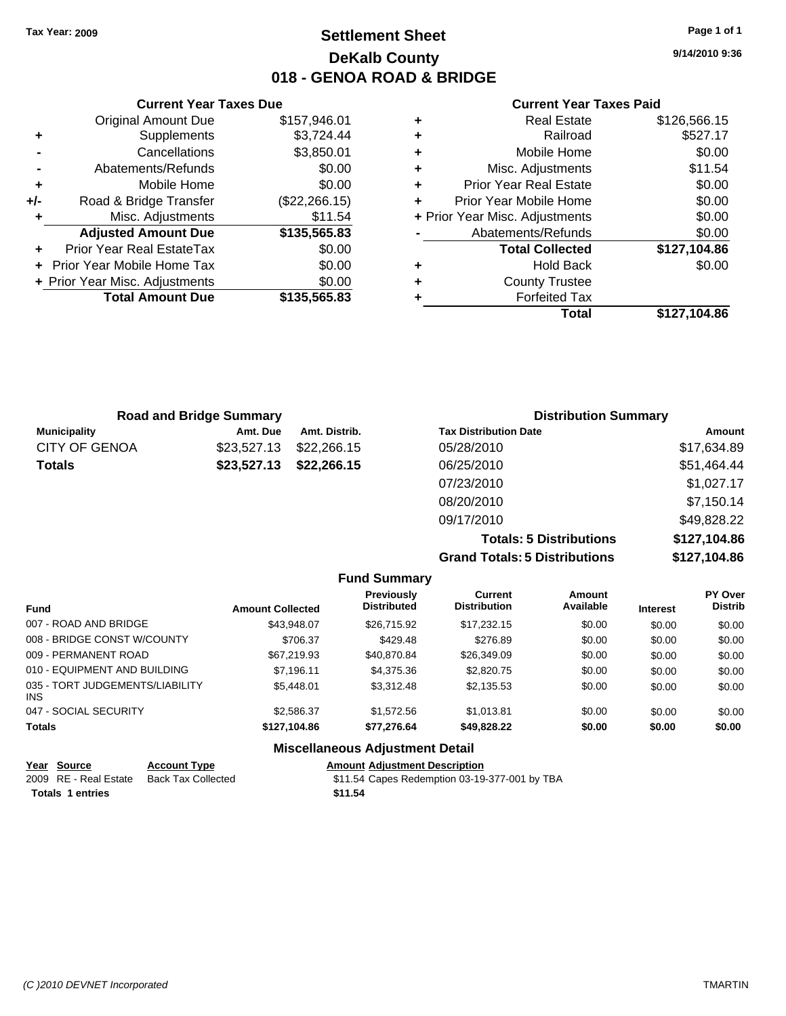### **Settlement Sheet Tax Year: 2009 Page 1 of 1 DeKalb County 018 - GENOA ROAD & BRIDGE**

**9/14/2010 9:36**

#### **Current Year Taxes Paid**

|     | <b>Current Year Taxes Due</b>  |               |         |
|-----|--------------------------------|---------------|---------|
|     | <b>Original Amount Due</b>     | \$157,946.01  | ٠       |
|     | <b>Supplements</b>             | \$3,724.44    | ٠       |
|     | Cancellations                  | \$3,850.01    | ٠       |
|     | Abatements/Refunds             | \$0.00        | ٠       |
|     | Mobile Home                    | \$0.00        | ٠       |
| +/- | Road & Bridge Transfer         | (\$22,266.15) |         |
|     | Misc. Adjustments              | \$11.54       | + Prior |
|     | <b>Adjusted Amount Due</b>     | \$135,565.83  |         |
|     | Prior Year Real EstateTax      | \$0.00        |         |
|     | Prior Year Mobile Home Tax     | \$0.00        |         |
|     | + Prior Year Misc. Adjustments | \$0.00        |         |
|     | <b>Total Amount Due</b>        | \$135,565.83  |         |
|     |                                |               |         |

| \$527.17     |
|--------------|
|              |
| \$0.00       |
| \$11.54      |
| \$0.00       |
| \$0.00       |
| \$0.00       |
| \$0.00       |
| \$127,104.86 |
| \$0.00       |
|              |
|              |
| \$127,104.86 |
|              |

|                      | <b>Road and Bridge Summary</b> |               | <b>Distribution Summary</b>  |             |
|----------------------|--------------------------------|---------------|------------------------------|-------------|
| <b>Municipality</b>  | Amt. Due                       | Amt. Distrib. | <b>Tax Distribution Date</b> | Amount      |
| <b>CITY OF GENOA</b> | \$23,527.13                    | \$22,266.15   | 05/28/2010                   | \$17,634.89 |
| <b>Totals</b>        | \$23,527.13                    | \$22,266.15   | 06/25/2010                   | \$51,464.44 |
|                      |                                |               | 07/23/2010                   | \$1,027.17  |
|                      |                                |               | 08/20/2010                   | \$7,150.14  |
|                      |                                |               | 09/17/2010                   | \$49,828.22 |
|                      |                                |               | アー・コール こうこうしょうせいしょうしゅう       | $$          |

**Totals: 5 Distributions \$127,104.86 Grand Totals: 5 Distributions \$127,104.86**

| <b>Fund Summary</b>                           |                         |                                         |                                       |                     |                 |                           |
|-----------------------------------------------|-------------------------|-----------------------------------------|---------------------------------------|---------------------|-----------------|---------------------------|
| <b>Fund</b>                                   | <b>Amount Collected</b> | <b>Previously</b><br><b>Distributed</b> | <b>Current</b><br><b>Distribution</b> | Amount<br>Available | <b>Interest</b> | PY Over<br><b>Distrib</b> |
| 007 - ROAD AND BRIDGE                         | \$43.948.07             | \$26,715.92                             | \$17.232.15                           | \$0.00              | \$0.00          | \$0.00                    |
| 008 - BRIDGE CONST W/COUNTY                   | \$706.37                | \$429.48                                | \$276.89                              | \$0.00              | \$0.00          | \$0.00                    |
| 009 - PERMANENT ROAD                          | \$67,219.93             | \$40.870.84                             | \$26,349.09                           | \$0.00              | \$0.00          | \$0.00                    |
| 010 - EQUIPMENT AND BUILDING                  | \$7.196.11              | \$4,375,36                              | \$2,820.75                            | \$0.00              | \$0.00          | \$0.00                    |
| 035 - TORT JUDGEMENTS/LIABILITY<br><b>INS</b> | \$5,448.01              | \$3.312.48                              | \$2,135.53                            | \$0.00              | \$0.00          | \$0.00                    |
| 047 - SOCIAL SECURITY                         | \$2,586.37              | \$1,572.56                              | \$1.013.81                            | \$0.00              | \$0.00          | \$0.00                    |
| <b>Totals</b>                                 | \$127.104.86            | \$77.276.64                             | \$49.828.22                           | \$0.00              | \$0.00          | \$0.00                    |
|                                               |                         | <b>Miscellaneous Adjustment Detail</b>  |                                       |                     |                 |                           |

| Year Source           | <b>Account Type</b> | <b>Amount Adiustment Description</b>          |
|-----------------------|---------------------|-----------------------------------------------|
| 2009 RE - Real Estate | Back Tax Collected  | \$11.54 Capes Redemption 03-19-377-001 by TBA |
| Totals 1 entries      |                     | \$11.54                                       |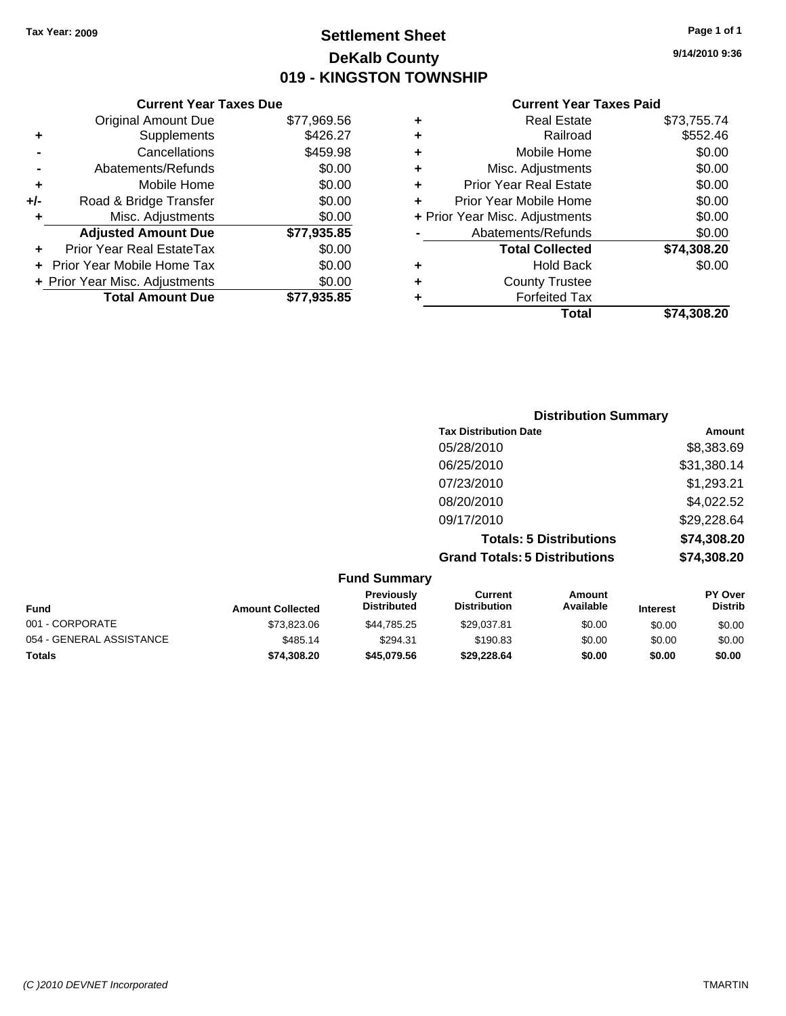**Current Year Taxes Due** Original Amount Due \$77,969.56

**Adjusted Amount Due \$77,935.85**

**Total Amount Due \$77,935.85**

**+** Supplements \$426.27 **-** Cancellations \$459.98 **-** Abatements/Refunds \$0.00 **+** Mobile Home \$0.00 **+/-** Road & Bridge Transfer \$0.00 **+** Misc. Adjustments \$0.00

**+** Prior Year Real EstateTax \$0.00 **+** Prior Year Mobile Home Tax \$0.00 **+ Prior Year Misc. Adjustments**  $$0.00$ 

### **Settlement Sheet Tax Year: 2009 Page 1 of 1 DeKalb County 019 - KINGSTON TOWNSHIP**

**9/14/2010 9:36**

#### **Current Year Taxes Paid**

| Total                          | \$74,308.20 |
|--------------------------------|-------------|
| <b>Forfeited Tax</b>           |             |
| <b>County Trustee</b>          |             |
| <b>Hold Back</b>               | \$0.00      |
| <b>Total Collected</b>         | \$74,308.20 |
| Abatements/Refunds             | \$0.00      |
| + Prior Year Misc. Adjustments | \$0.00      |
| Prior Year Mobile Home         | \$0.00      |
| <b>Prior Year Real Estate</b>  | \$0.00      |
| Misc. Adjustments              | \$0.00      |
| Mobile Home                    | \$0.00      |
| Railroad                       | \$552.46    |
| <b>Real Estate</b>             | \$73,755.74 |
|                                |             |

|                     | <b>Distribution Summary</b>          |             |
|---------------------|--------------------------------------|-------------|
|                     | <b>Tax Distribution Date</b>         | Amount      |
|                     | 05/28/2010                           | \$8,383.69  |
|                     | 06/25/2010                           | \$31,380.14 |
|                     | 07/23/2010                           | \$1,293.21  |
|                     | 08/20/2010                           | \$4,022.52  |
|                     | 09/17/2010                           | \$29,228.64 |
|                     | <b>Totals: 5 Distributions</b>       | \$74,308.20 |
|                     | <b>Grand Totals: 5 Distributions</b> | \$74,308.20 |
| <b>Fund Summary</b> |                                      |             |

| <b>Fund</b>              | <b>Amount Collected</b> | <b>Previously</b><br><b>Distributed</b> | Current<br><b>Distribution</b> | Amount<br>Available | <b>Interest</b> | <b>PY Over</b><br><b>Distrib</b> |
|--------------------------|-------------------------|-----------------------------------------|--------------------------------|---------------------|-----------------|----------------------------------|
| 001 - CORPORATE          | \$73,823,06             | \$44.785.25                             | \$29,037.81                    | \$0.00              | \$0.00          | \$0.00                           |
| 054 - GENERAL ASSISTANCE | \$485.14                | \$294.31                                | \$190.83                       | \$0.00              | \$0.00          | \$0.00                           |
| Totals                   | \$74.308.20             | \$45,079.56                             | \$29.228.64                    | \$0.00              | \$0.00          | \$0.00                           |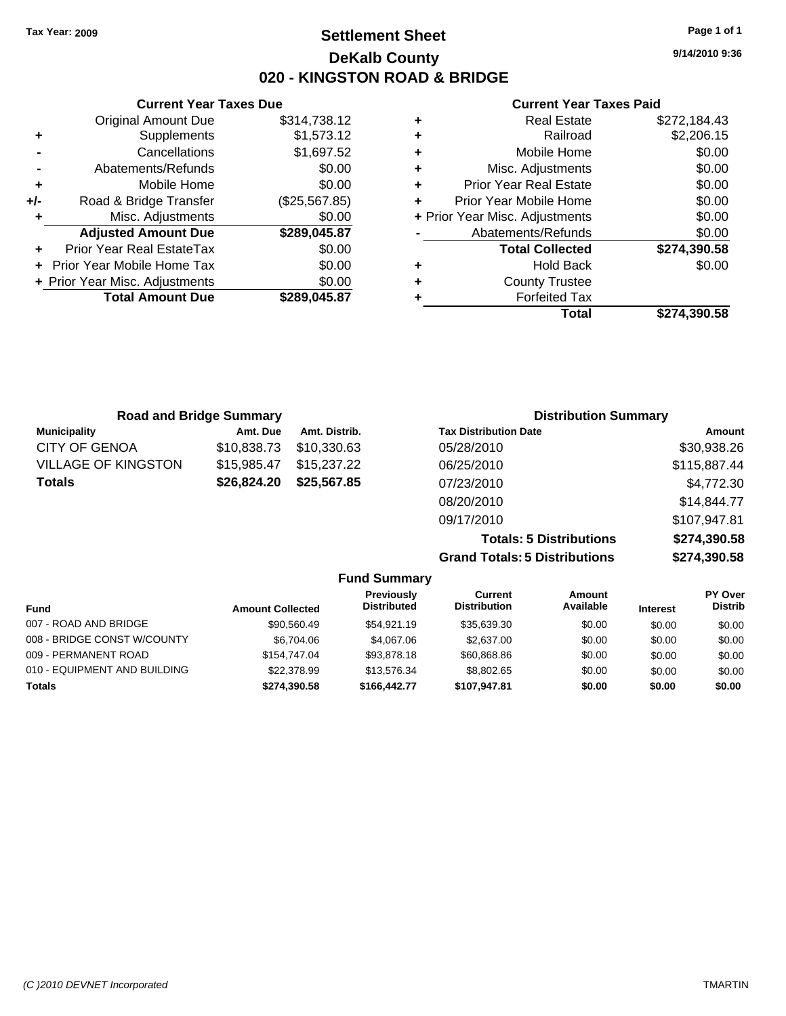**Current Year Taxes Due** Original Amount Due \$314,738.12

**Adjusted Amount Due \$289,045.87**

**Total Amount Due \$289,045.87**

**+** Supplements \$1,573.12 **-** Cancellations \$1,697.52 **-** Abatements/Refunds \$0.00 **+** Mobile Home \$0.00 **+/-** Road & Bridge Transfer (\$25,567.85) **+** Misc. Adjustments \$0.00

**+** Prior Year Real EstateTax \$0.00 **+** Prior Year Mobile Home Tax \$0.00 **+ Prior Year Misc. Adjustments**  $$0.00$ 

### **Settlement Sheet Tax Year: 2009 Page 1 of 1 DeKalb County 020 - KINGSTON ROAD & BRIDGE**

**9/14/2010 9:36**

#### **Current Year Taxes Paid**

| ٠ | <b>Real Estate</b>             | \$272,184.43 |
|---|--------------------------------|--------------|
| ٠ | Railroad                       | \$2,206.15   |
| ٠ | Mobile Home                    | \$0.00       |
| ٠ | Misc. Adjustments              | \$0.00       |
| ٠ | <b>Prior Year Real Estate</b>  | \$0.00       |
| ÷ | Prior Year Mobile Home         | \$0.00       |
|   | + Prior Year Misc. Adjustments | \$0.00       |
|   | Abatements/Refunds             | \$0.00       |
|   | <b>Total Collected</b>         | \$274,390.58 |
| ٠ | <b>Hold Back</b>               | \$0.00       |
| ٠ | <b>County Trustee</b>          |              |
|   | <b>Forfeited Tax</b>           |              |
|   | Total                          | \$274.390.58 |

| <b>Road and Bridge Summary</b> |             |               | <b>Distribution Summary</b>  |              |
|--------------------------------|-------------|---------------|------------------------------|--------------|
| <b>Municipality</b>            | Amt. Due    | Amt. Distrib. | <b>Tax Distribution Date</b> | Amount       |
| CITY OF GENOA                  | \$10,838.73 | \$10.330.63   | 05/28/2010                   | \$30,938.26  |
| <b>VILLAGE OF KINGSTON</b>     | \$15,985.47 | \$15,237.22   | 06/25/2010                   | \$115,887.44 |
| <b>Totals</b>                  | \$26,824.20 | \$25,567.85   | 07/23/2010                   | \$4,772.30   |
|                                |             |               | 08/20/2010                   | \$14,844.77  |
|                                |             |               | 09/17/2010                   | \$107,947.81 |

**Totals: 5 Distributions \$274,390.58 Grand Totals: 5 Distributions \$274,390.58**

|                              |                         | <b>Fund Summary</b>              |                                |                     |                 |                           |
|------------------------------|-------------------------|----------------------------------|--------------------------------|---------------------|-----------------|---------------------------|
| Fund                         | <b>Amount Collected</b> | Previously<br><b>Distributed</b> | Current<br><b>Distribution</b> | Amount<br>Available | <b>Interest</b> | PY Over<br><b>Distrib</b> |
| 007 - ROAD AND BRIDGE        | \$90,560.49             | \$54.921.19                      | \$35,639.30                    | \$0.00              | \$0.00          | \$0.00                    |
| 008 - BRIDGE CONST W/COUNTY  | \$6,704.06              | \$4,067.06                       | \$2,637.00                     | \$0.00              | \$0.00          | \$0.00                    |
| 009 - PERMANENT ROAD         | \$154.747.04            | \$93,878.18                      | \$60,868,86                    | \$0.00              | \$0.00          | \$0.00                    |
| 010 - EQUIPMENT AND BUILDING | \$22,378.99             | \$13,576.34                      | \$8,802.65                     | \$0.00              | \$0.00          | \$0.00                    |
| <b>Totals</b>                | \$274.390.58            | \$166,442.77                     | \$107.947.81                   | \$0.00              | \$0.00          | \$0.00                    |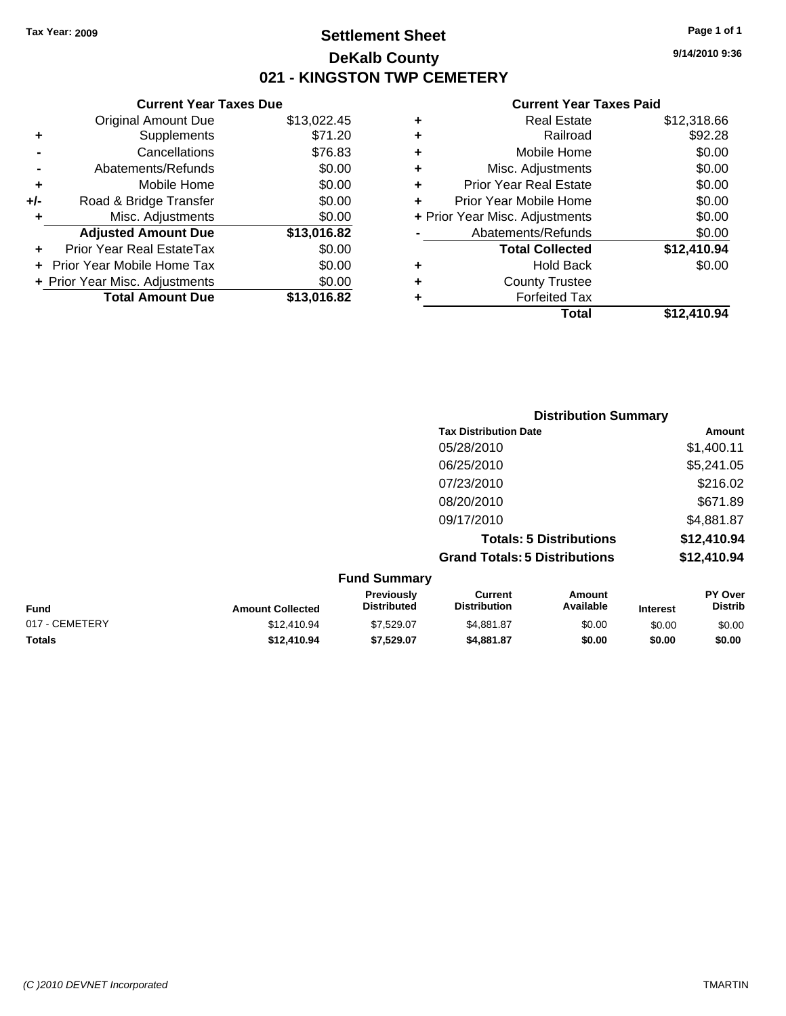### **Settlement Sheet Tax Year: 2009 Page 1 of 1 DeKalb County 021 - KINGSTON TWP CEMETERY**

### **Current Year Taxes Due**

|     | <b>Original Amount Due</b>     | \$13,022.45 |
|-----|--------------------------------|-------------|
| ٠   | Supplements                    | \$71.20     |
|     | Cancellations                  | \$76.83     |
|     | Abatements/Refunds             | \$0.00      |
| ٠   | Mobile Home                    | \$0.00      |
| +/- | Road & Bridge Transfer         | \$0.00      |
| ٠   | Misc. Adjustments              | \$0.00      |
|     | <b>Adjusted Amount Due</b>     | \$13,016.82 |
|     | Prior Year Real EstateTax      | \$0.00      |
|     | Prior Year Mobile Home Tax     | \$0.00      |
|     | + Prior Year Misc. Adjustments | \$0.00      |
|     | <b>Total Amount Due</b>        | \$13,016.82 |

#### **Current Year Taxes Paid**

|   | <b>Real Estate</b>             | \$12,318.66 |
|---|--------------------------------|-------------|
| ٠ | Railroad                       | \$92.28     |
| ٠ | Mobile Home                    | \$0.00      |
| ٠ | Misc. Adjustments              | \$0.00      |
| ٠ | <b>Prior Year Real Estate</b>  | \$0.00      |
|   | Prior Year Mobile Home         | \$0.00      |
|   | + Prior Year Misc. Adjustments | \$0.00      |
|   | Abatements/Refunds             | \$0.00      |
|   | <b>Total Collected</b>         | \$12,410.94 |
| ٠ | <b>Hold Back</b>               | \$0.00      |
| ٠ | <b>County Trustee</b>          |             |
| ٠ | <b>Forfeited Tax</b>           |             |
|   | Total                          | \$12,410.94 |
|   |                                |             |

|                     | <b>Distribution Summary</b>          |             |
|---------------------|--------------------------------------|-------------|
|                     | <b>Tax Distribution Date</b>         | Amount      |
|                     | 05/28/2010                           | \$1,400.11  |
|                     | 06/25/2010                           | \$5,241.05  |
|                     | 07/23/2010                           | \$216.02    |
|                     | 08/20/2010                           | \$671.89    |
|                     | 09/17/2010                           | \$4,881.87  |
|                     | <b>Totals: 5 Distributions</b>       | \$12,410.94 |
|                     | <b>Grand Totals: 5 Distributions</b> | \$12,410.94 |
| <b>Eund Cummory</b> |                                      |             |

|                |                         | <b>Fund Summary</b>                     |                                |                     |                 |                           |
|----------------|-------------------------|-----------------------------------------|--------------------------------|---------------------|-----------------|---------------------------|
| <b>Fund</b>    | <b>Amount Collected</b> | <b>Previously</b><br><b>Distributed</b> | Current<br><b>Distribution</b> | Amount<br>Available | <b>Interest</b> | PY Over<br><b>Distrib</b> |
| 017 - CEMETERY | \$12,410.94             | \$7.529.07                              | \$4.881.87                     | \$0.00              | \$0.00          | \$0.00                    |
| <b>Totals</b>  | \$12,410.94             | \$7.529.07                              | \$4.881.87                     | \$0.00              | \$0.00          | \$0.00                    |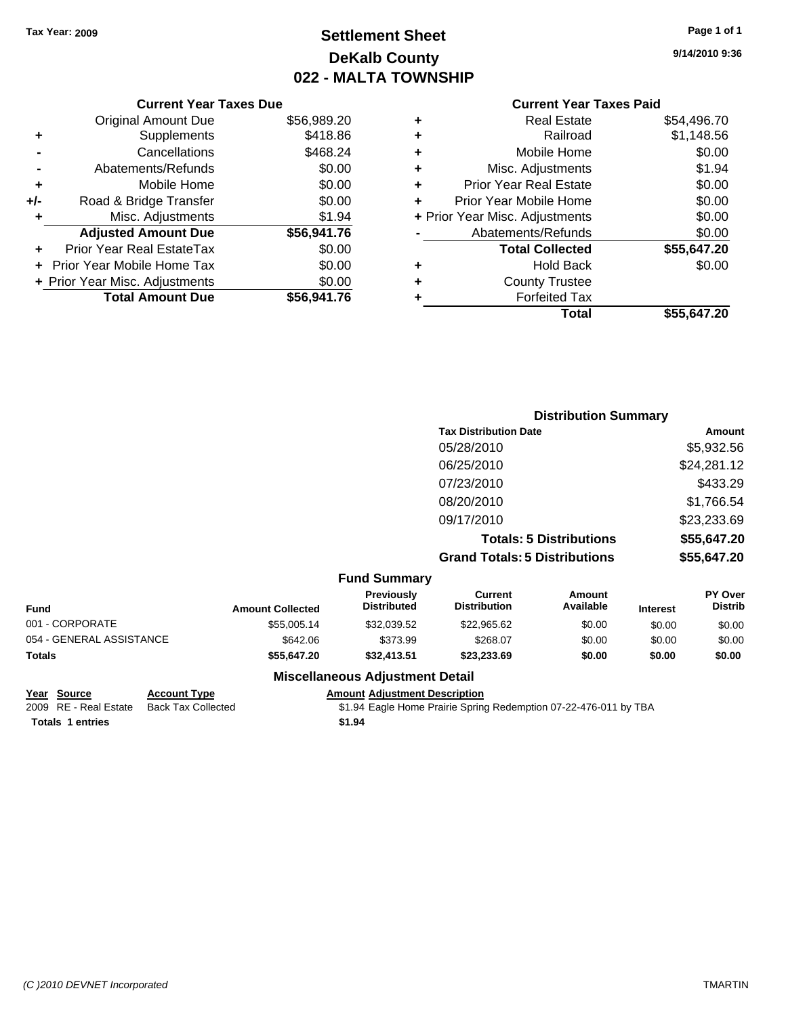### **Settlement Sheet Tax Year: 2009 Page 1 of 1 DeKalb County 022 - MALTA TOWNSHIP**

**9/14/2010 9:36**

| <b>Current Year Taxes Paid</b> |  |  |
|--------------------------------|--|--|
|                                |  |  |

|     | <b>Original Amount Due</b>       | \$56,989.20 |
|-----|----------------------------------|-------------|
| ٠   | Supplements                      | \$418.86    |
|     | Cancellations                    | \$468.24    |
|     | Abatements/Refunds               | \$0.00      |
| ٠   | Mobile Home                      | \$0.00      |
| +/- | Road & Bridge Transfer           | \$0.00      |
| ٠   | Misc. Adjustments                | \$1.94      |
|     | <b>Adjusted Amount Due</b>       | \$56,941.76 |
|     | <b>Prior Year Real EstateTax</b> | \$0.00      |
|     | Prior Year Mobile Home Tax       | \$0.00      |
|     | + Prior Year Misc. Adjustments   | \$0.00      |
|     | <b>Total Amount Due</b>          | \$56.941.76 |
|     |                                  |             |

**Current Year Taxes Due**

|   | <b>Real Estate</b>             | \$54,496.70 |
|---|--------------------------------|-------------|
| ٠ | Railroad                       | \$1,148.56  |
| ٠ | Mobile Home                    | \$0.00      |
| ٠ | Misc. Adjustments              | \$1.94      |
| ÷ | <b>Prior Year Real Estate</b>  | \$0.00      |
| ÷ | Prior Year Mobile Home         | \$0.00      |
|   | + Prior Year Misc. Adjustments | \$0.00      |
|   | Abatements/Refunds             | \$0.00      |
|   | <b>Total Collected</b>         | \$55,647.20 |
| ٠ | <b>Hold Back</b>               | \$0.00      |
| ٠ | <b>County Trustee</b>          |             |
| ٠ | <b>Forfeited Tax</b>           |             |
|   | Total                          | \$55,647.20 |

|                     | <b>Distribution Summary</b>          |             |
|---------------------|--------------------------------------|-------------|
|                     | <b>Tax Distribution Date</b>         | Amount      |
|                     | 05/28/2010                           | \$5,932.56  |
|                     | 06/25/2010                           | \$24,281.12 |
|                     | 07/23/2010                           | \$433.29    |
|                     | 08/20/2010                           | \$1,766.54  |
|                     | 09/17/2010                           | \$23,233.69 |
|                     | <b>Totals: 5 Distributions</b>       | \$55,647.20 |
|                     | <b>Grand Totals: 5 Distributions</b> | \$55,647.20 |
| <b>Fund Summary</b> |                                      |             |

| <b>Amount Collected</b> | <b>Previously</b><br><b>Distributed</b> | Current<br><b>Distribution</b> | Amount<br>Available | <b>Interest</b> | <b>PY Over</b><br><b>Distrib</b> |
|-------------------------|-----------------------------------------|--------------------------------|---------------------|-----------------|----------------------------------|
| \$55,005.14             | \$32.039.52                             | \$22,965.62                    | \$0.00              | \$0.00          | \$0.00                           |
| \$642.06                | \$373.99                                | \$268.07                       | \$0.00              | \$0.00          | \$0.00                           |
| \$55.647.20             | \$32,413.51                             | \$23,233,69                    | \$0.00              | \$0.00          | \$0.00                           |
|                         |                                         |                                |                     |                 |                                  |

### **Miscellaneous Adjustment Detail**

**Totals \$1.94 1 entries**

**Year Source Account Type Amount Adjustment Description** \$1.94 Eagle Home Prairie Spring Redemption 07-22-476-011 by TBA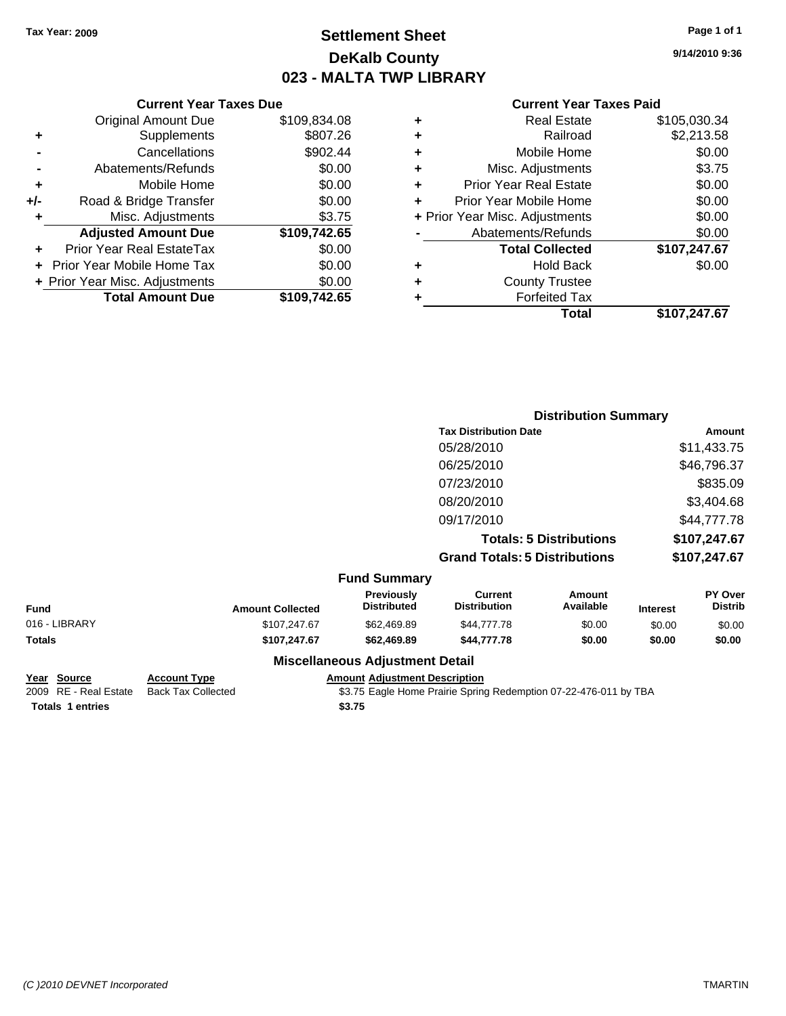### **Settlement Sheet Tax Year: 2009 Page 1 of 1 DeKalb County 023 - MALTA TWP LIBRARY**

**9/14/2010 9:36**

#### **Current Year Taxes Paid**

| Prior Year Mobile Home<br>+ Prior Year Misc. Adjustments<br>Abatements/Refunds<br><b>Total Collected</b><br><b>Hold Back</b><br><b>County Trustee</b><br><b>Forfeited Tax</b> | \$0.00<br>\$0.00<br>\$0.00<br>\$107,247.67<br>\$0.00 |
|-------------------------------------------------------------------------------------------------------------------------------------------------------------------------------|------------------------------------------------------|
|                                                                                                                                                                               |                                                      |
|                                                                                                                                                                               |                                                      |
|                                                                                                                                                                               |                                                      |
|                                                                                                                                                                               |                                                      |
|                                                                                                                                                                               |                                                      |
|                                                                                                                                                                               |                                                      |
|                                                                                                                                                                               |                                                      |
| <b>Prior Year Real Estate</b>                                                                                                                                                 | \$0.00                                               |
| Misc. Adjustments                                                                                                                                                             | \$3.75                                               |
| Mobile Home                                                                                                                                                                   | \$0.00                                               |
| Railroad                                                                                                                                                                      | \$2,213.58                                           |
|                                                                                                                                                                               | \$105,030.34                                         |
|                                                                                                                                                                               | <b>Real Estate</b>                                   |

|               |                         |                                        |                                       | <b>Total</b>                   |                 | \$107,247.67              |
|---------------|-------------------------|----------------------------------------|---------------------------------------|--------------------------------|-----------------|---------------------------|
|               |                         |                                        |                                       |                                |                 |                           |
|               |                         |                                        |                                       | <b>Distribution Summary</b>    |                 |                           |
|               |                         |                                        | <b>Tax Distribution Date</b>          |                                | Amount          |                           |
|               |                         |                                        | 05/28/2010                            |                                |                 | \$11,433.75               |
|               |                         |                                        | 06/25/2010                            |                                |                 | \$46,796.37               |
|               |                         |                                        | 07/23/2010                            |                                |                 | \$835.09                  |
|               |                         |                                        | 08/20/2010                            |                                |                 | \$3,404.68                |
|               |                         |                                        | 09/17/2010                            |                                |                 | \$44,777.78               |
|               |                         |                                        |                                       | <b>Totals: 5 Distributions</b> |                 | \$107,247.67              |
|               |                         |                                        | <b>Grand Totals: 5 Distributions</b>  |                                |                 | \$107,247.67              |
|               |                         | <b>Fund Summary</b>                    |                                       |                                |                 |                           |
| Fund          | <b>Amount Collected</b> | Previously<br><b>Distributed</b>       | <b>Current</b><br><b>Distribution</b> | <b>Amount</b><br>Available     | <b>Interest</b> | PY Over<br><b>Distrib</b> |
| 016 - LIBRARY | \$107,247.67            | \$62,469.89                            | \$44,777.78                           | \$0.00                         | \$0.00          | \$0.00                    |
| Totals        | \$107,247.67            | \$62,469.89                            | \$44,777.78                           | \$0.00                         | \$0.00          | \$0.00                    |
|               |                         | <b>Miscellaneous Adjustment Detail</b> |                                       |                                |                 |                           |

# **Totals 1 entries** \$3.75

**Current Year Taxes Due** Original Amount Due \$109,834.08

**Adjusted Amount Due \$109,742.65**

**Total Amount Due \$109,742.65**

**+** Supplements \$807.26 **-** Cancellations **\$902.44 -** Abatements/Refunds \$0.00 **+** Mobile Home \$0.00 **+/-** Road & Bridge Transfer \$0.00 **+** Misc. Adjustments \$3.75

**+** Prior Year Real EstateTax \$0.00 **+** Prior Year Mobile Home Tax \$0.00 **+ Prior Year Misc. Adjustments**  $$0.00$ 

### **Year Source Account Type Amount Adjustment Description**

2009 RE - Real Estate Back Tax Collected **\$3.75 Eagle Home Prairie Spring Redemption 07-22-476-011 by TBA**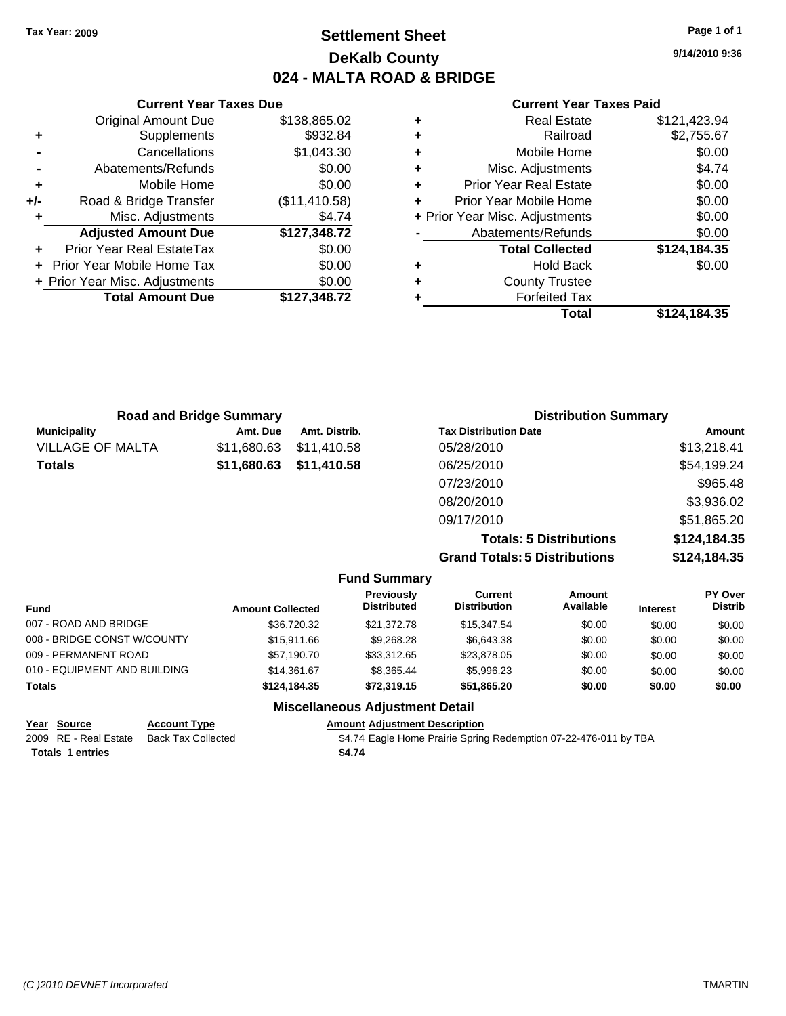### **Settlement Sheet Tax Year: 2009 Page 1 of 1 DeKalb County 024 - MALTA ROAD & BRIDGE**

**9/14/2010 9:36**

#### **Current Year Taxes Paid**

| ٠ | <b>Real Estate</b>             | \$121,423.94 |
|---|--------------------------------|--------------|
| ٠ | Railroad                       | \$2,755.67   |
| ٠ | Mobile Home                    | \$0.00       |
| ٠ | Misc. Adjustments              | \$4.74       |
| ٠ | <b>Prior Year Real Estate</b>  | \$0.00       |
|   | Prior Year Mobile Home         | \$0.00       |
|   | + Prior Year Misc. Adjustments | \$0.00       |
|   | Abatements/Refunds             | \$0.00       |
|   | <b>Total Collected</b>         | \$124,184.35 |
| ٠ | <b>Hold Back</b>               | \$0.00       |
| ٠ | <b>County Trustee</b>          |              |
|   | <b>Forfeited Tax</b>           |              |
|   | Total                          | \$124.184.35 |

| Abatements/R        |   | \$127,348.72 | <b>Adjusted Amount Due</b>     |
|---------------------|---|--------------|--------------------------------|
| <b>Total Co</b>     |   | \$0.00       | Prior Year Real EstateTax      |
| Hol                 | ٠ | \$0.00       | + Prior Year Mobile Home Tax   |
| County <sup>-</sup> | ٠ | \$0.00       | + Prior Year Misc. Adjustments |
| Forfeit             |   | \$127,348.72 | <b>Total Amount Due</b>        |
|                     |   |              |                                |
|                     |   |              |                                |
|                     |   |              |                                |
|                     |   |              |                                |
|                     |   |              |                                |

**Current Year Taxes Due** Original Amount Due \$138,865.02

**+** Supplements \$932.84 **-** Cancellations \$1,043.30 **-** Abatements/Refunds \$0.00 **+** Mobile Home \$0.00 **+/-** Road & Bridge Transfer (\$11,410.58) **+** Misc. Adjustments \$4.74

| <b>Road and Bridge Summary</b> |             |                     | <b>Distribution Summary</b>          |              |  |
|--------------------------------|-------------|---------------------|--------------------------------------|--------------|--|
| <b>Municipality</b>            | Amt. Due    | Amt. Distrib.       | <b>Tax Distribution Date</b>         | Amount       |  |
| VILLAGE OF MALTA               | \$11,680.63 | \$11,410.58         | 05/28/2010                           | \$13,218.41  |  |
| Totals                         | \$11,680.63 | \$11,410.58         | 06/25/2010                           | \$54,199.24  |  |
|                                |             |                     | 07/23/2010                           | \$965.48     |  |
|                                |             |                     | 08/20/2010                           | \$3,936.02   |  |
|                                |             |                     | 09/17/2010                           | \$51,865.20  |  |
|                                |             |                     | <b>Totals: 5 Distributions</b>       | \$124,184.35 |  |
|                                |             |                     | <b>Grand Totals: 5 Distributions</b> | \$124,184.35 |  |
|                                |             | <b>Fund Summary</b> |                                      |              |  |

| <b>Fund</b>                  | <b>Amount Collected</b> | <b>Previously</b><br><b>Distributed</b> | Current<br><b>Distribution</b> | Amount<br>Available | <b>Interest</b> | PY Over<br><b>Distrib</b> |
|------------------------------|-------------------------|-----------------------------------------|--------------------------------|---------------------|-----------------|---------------------------|
| 007 - ROAD AND BRIDGE        | \$36,720.32             | \$21.372.78                             | \$15,347.54                    | \$0.00              | \$0.00          | \$0.00                    |
| 008 - BRIDGE CONST W/COUNTY  | \$15,911.66             | \$9,268,28                              | \$6,643.38                     | \$0.00              | \$0.00          | \$0.00                    |
| 009 - PERMANENT ROAD         | \$57.190.70             | \$33,312.65                             | \$23,878.05                    | \$0.00              | \$0.00          | \$0.00                    |
| 010 - EQUIPMENT AND BUILDING | \$14.361.67             | \$8,365.44                              | \$5,996.23                     | \$0.00              | \$0.00          | \$0.00                    |
| <b>Totals</b>                | \$124,184,35            | \$72,319.15                             | \$51.865.20                    | \$0.00              | \$0.00          | \$0.00                    |

### **Miscellaneous Adjustment Detail**

| Year Source             | <b>Account Type</b>       | Amount A |
|-------------------------|---------------------------|----------|
| 2009 RE - Real Estate   | <b>Back Tax Collected</b> | \$4.74 E |
| <b>Totals 1 entries</b> |                           | \$4.74   |

**Year Source Account Type Amount Adjustment Description** Eagle Home Prairie Spring Redemption 07-22-476-011 by TBA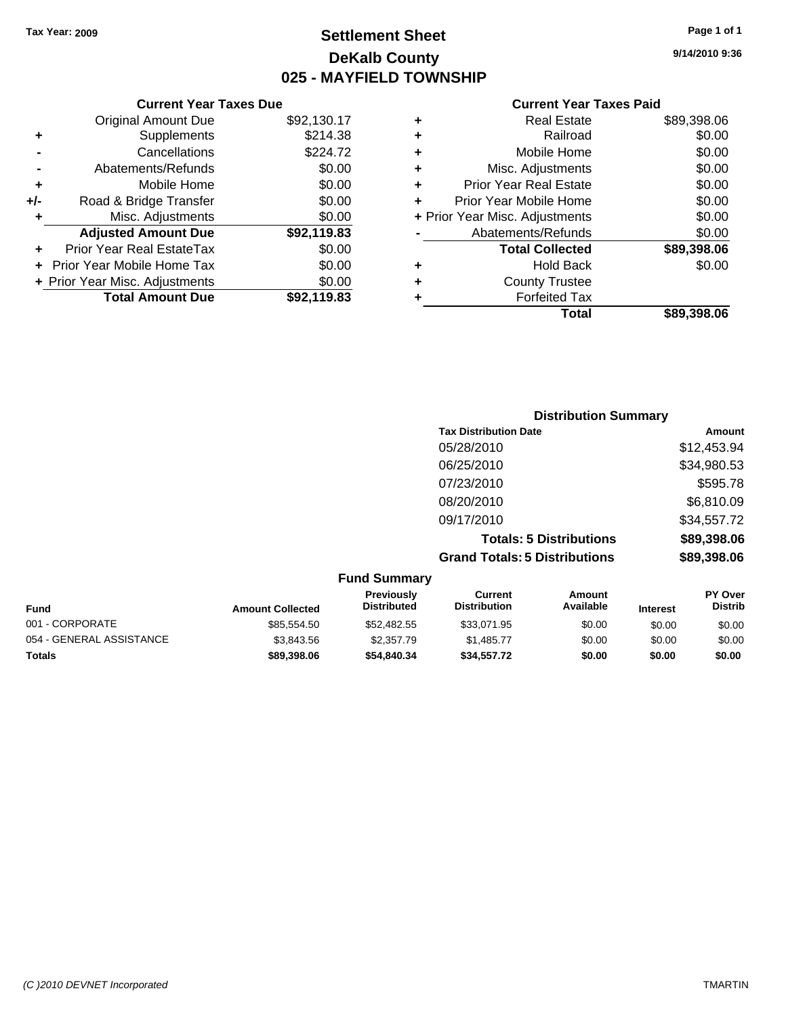**Current Year Taxes Due** Original Amount Due \$92,130.17

**Proad & Bridge Transfer \$0.00** 

**+** Supplements \$214.38 **-** Cancellations \$224.72 **-** Abatements/Refunds \$0.00 **+** Mobile Home \$0.00<br>**+/-** Road & Bridge Transfer \$0.00

**+** Misc. Adjustments \$0.00

### **Settlement Sheet Tax Year: 2009 Page 1 of 1 DeKalb County 025 - MAYFIELD TOWNSHIP**

**9/14/2010 9:36**

### **Current Year Taxes Paid**

| ٠ | <b>Real Estate</b>             | \$89,398.06 |
|---|--------------------------------|-------------|
| ٠ | Railroad                       | \$0.00      |
| ÷ | Mobile Home                    | \$0.00      |
| ٠ | Misc. Adjustments              | \$0.00      |
| ٠ | <b>Prior Year Real Estate</b>  | \$0.00      |
| ÷ | Prior Year Mobile Home         | \$0.00      |
|   | + Prior Year Misc. Adjustments | \$0.00      |
|   | Abatements/Refunds             | \$0.00      |
|   | <b>Total Collected</b>         | \$89,398.06 |
| ٠ | <b>Hold Back</b>               | \$0.00      |
| ٠ | <b>County Trustee</b>          |             |
|   | <b>Forfeited Tax</b>           |             |
|   | Total                          | \$89.398.06 |

|   | <b>Adjusted Amount Due</b>     | \$92,119.83 |   | Abatements/Refunds          |  |
|---|--------------------------------|-------------|---|-----------------------------|--|
| ÷ | Prior Year Real EstateTax      | \$0.00      |   | <b>Total Collected</b>      |  |
|   | + Prior Year Mobile Home Tax   | \$0.00      | ٠ | <b>Hold Back</b>            |  |
|   | + Prior Year Misc. Adjustments | \$0.00      | ٠ | <b>County Trustee</b>       |  |
|   | <b>Total Amount Due</b>        | \$92,119.83 |   | <b>Forfeited Tax</b>        |  |
|   |                                |             |   | <b>Total</b>                |  |
|   |                                |             |   |                             |  |
|   |                                |             |   | <b>Distribution Summary</b> |  |

| <b>Tax Distribution Date</b>         | Amount      |
|--------------------------------------|-------------|
| 05/28/2010                           | \$12,453.94 |
| 06/25/2010                           | \$34,980.53 |
| 07/23/2010                           | \$595.78    |
| 08/20/2010                           | \$6,810.09  |
| 09/17/2010                           | \$34,557.72 |
| <b>Totals: 5 Distributions</b>       | \$89,398.06 |
| <b>Grand Totals: 5 Distributions</b> | \$89,398.06 |
|                                      |             |

| <b>Fund Summary</b>      |                         |                                         |                                |                     |                 |                                  |
|--------------------------|-------------------------|-----------------------------------------|--------------------------------|---------------------|-----------------|----------------------------------|
| <b>Fund</b>              | <b>Amount Collected</b> | <b>Previously</b><br><b>Distributed</b> | Current<br><b>Distribution</b> | Amount<br>Available | <b>Interest</b> | <b>PY Over</b><br><b>Distrib</b> |
| 001 - CORPORATE          | \$85,554.50             | \$52,482.55                             | \$33,071.95                    | \$0.00              | \$0.00          | \$0.00                           |
| 054 - GENERAL ASSISTANCE | \$3,843.56              | \$2,357.79                              | \$1,485.77                     | \$0.00              | \$0.00          | \$0.00                           |
| <b>Totals</b>            | \$89,398.06             | \$54,840,34                             | \$34,557,72                    | \$0.00              | \$0.00          | \$0.00                           |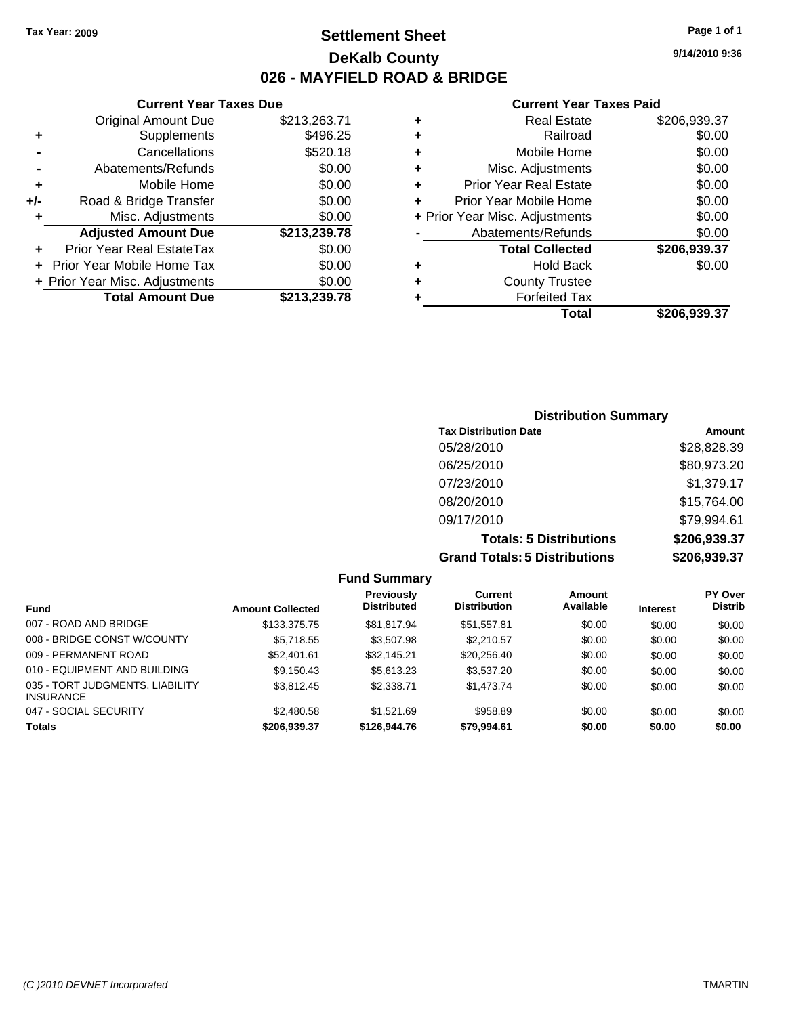### **Settlement Sheet Tax Year: 2009 Page 1 of 1 DeKalb County 026 - MAYFIELD ROAD & BRIDGE**

### **Current Year Taxes Due**

|     | <b>Original Amount Due</b>     | \$213,263.71 |
|-----|--------------------------------|--------------|
| ٠   | Supplements                    | \$496.25     |
|     | Cancellations                  | \$520.18     |
|     | Abatements/Refunds             | \$0.00       |
| ٠   | Mobile Home                    | \$0.00       |
| +/- | Road & Bridge Transfer         | \$0.00       |
| ٠   | Misc. Adjustments              | \$0.00       |
|     |                                |              |
|     | <b>Adjusted Amount Due</b>     | \$213,239.78 |
|     | Prior Year Real EstateTax      | \$0.00       |
|     | Prior Year Mobile Home Tax     | \$0.00       |
|     | + Prior Year Misc. Adjustments | \$0.00       |
|     | <b>Total Amount Due</b>        | \$213,239.78 |

#### **Current Year Taxes Paid**

|   | <b>Real Estate</b>             | \$206,939.37 |
|---|--------------------------------|--------------|
| ٠ | Railroad                       | \$0.00       |
| ٠ | Mobile Home                    | \$0.00       |
| ٠ | Misc. Adjustments              | \$0.00       |
| ٠ | <b>Prior Year Real Estate</b>  | \$0.00       |
|   | Prior Year Mobile Home         | \$0.00       |
|   | + Prior Year Misc. Adjustments | \$0.00       |
|   | Abatements/Refunds             | \$0.00       |
|   | <b>Total Collected</b>         | \$206,939.37 |
| ٠ | Hold Back                      | \$0.00       |
| ٠ | <b>County Trustee</b>          |              |
|   | <b>Forfeited Tax</b>           |              |
|   | Total                          | \$206,939.37 |
|   |                                |              |

### **Distribution Summary Tax Distribution Date Amount** 05/28/2010 \$28,828.39 06/25/2010 \$80,973.20 07/23/2010 \$1,379.17 08/20/2010 \$15,764.00 09/17/2010 \$79,994.61 **Totals: 5 Distributions \$206,939.37 Grand Totals: 5 Distributions \$206,939.37**

|                                                     |                         | <b>Fund Summary</b>                     |                                |                     |                 |                                  |
|-----------------------------------------------------|-------------------------|-----------------------------------------|--------------------------------|---------------------|-----------------|----------------------------------|
| <b>Fund</b>                                         | <b>Amount Collected</b> | <b>Previously</b><br><b>Distributed</b> | Current<br><b>Distribution</b> | Amount<br>Available | <b>Interest</b> | <b>PY Over</b><br><b>Distrib</b> |
| 007 - ROAD AND BRIDGE                               | \$133,375.75            | \$81.817.94                             | \$51,557.81                    | \$0.00              | \$0.00          | \$0.00                           |
| 008 - BRIDGE CONST W/COUNTY                         | \$5,718.55              | \$3,507.98                              | \$2,210.57                     | \$0.00              | \$0.00          | \$0.00                           |
| 009 - PERMANENT ROAD                                | \$52,401.61             | \$32,145.21                             | \$20,256.40                    | \$0.00              | \$0.00          | \$0.00                           |
| 010 - EQUIPMENT AND BUILDING                        | \$9,150.43              | \$5,613.23                              | \$3,537.20                     | \$0.00              | \$0.00          | \$0.00                           |
| 035 - TORT JUDGMENTS, LIABILITY<br><b>INSURANCE</b> | \$3.812.45              | \$2,338.71                              | \$1,473.74                     | \$0.00              | \$0.00          | \$0.00                           |
| 047 - SOCIAL SECURITY                               | \$2,480.58              | \$1.521.69                              | \$958.89                       | \$0.00              | \$0.00          | \$0.00                           |
| <b>Totals</b>                                       | \$206,939.37            | \$126,944.76                            | \$79,994.61                    | \$0.00              | \$0.00          | \$0.00                           |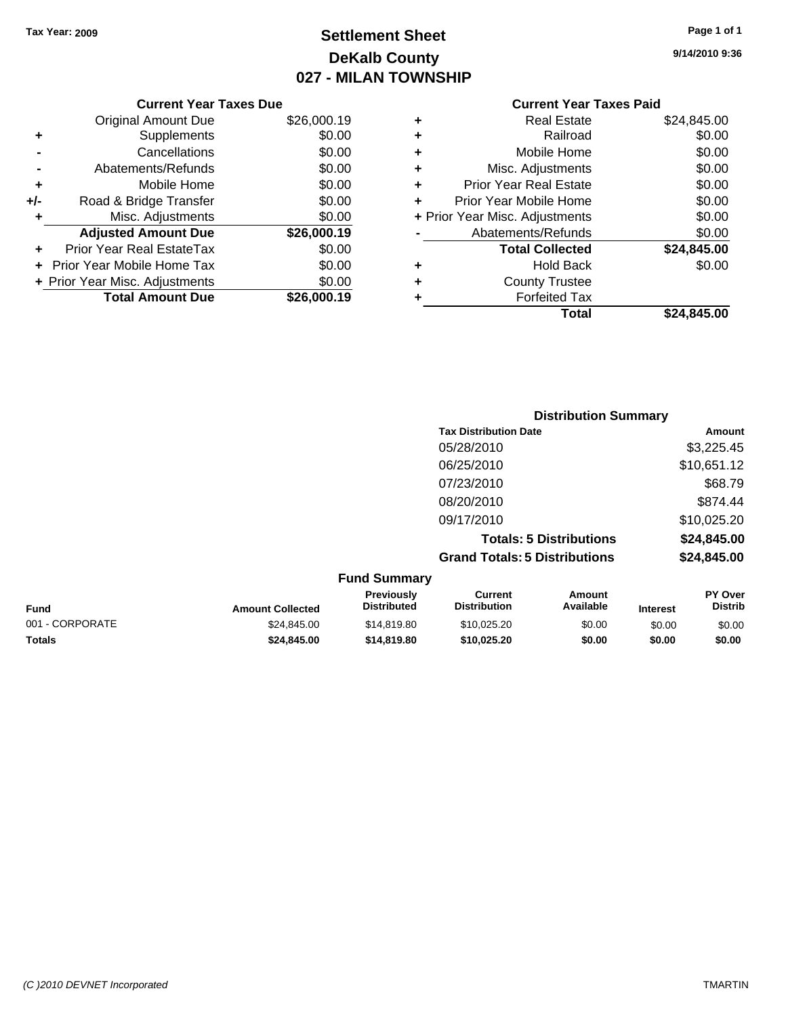## **Settlement Sheet Tax Year: 2009 Page 1 of 1 DeKalb County 027 - MILAN TOWNSHIP**

| Page 1 of 1 |  |  |  |
|-------------|--|--|--|
|-------------|--|--|--|

**9/14/2010 9:36**

| <b>Current Year Taxes Paid</b> |  |  |  |
|--------------------------------|--|--|--|
|--------------------------------|--|--|--|

|     | <b>Current Year Taxes Due</b>  |             |
|-----|--------------------------------|-------------|
|     | <b>Original Amount Due</b>     | \$26,000.19 |
| ٠   | Supplements                    | \$0.00      |
|     | Cancellations                  | \$0.00      |
|     | Abatements/Refunds             | \$0.00      |
| ٠   | Mobile Home                    | \$0.00      |
| +/- | Road & Bridge Transfer         | \$0.00      |
| ٠   | Misc. Adjustments              | \$0.00      |
|     | <b>Adjusted Amount Due</b>     | \$26,000.19 |
|     | Prior Year Real EstateTax      | \$0.00      |
|     | Prior Year Mobile Home Tax     | \$0.00      |
|     | + Prior Year Misc. Adjustments | \$0.00      |
|     | <b>Total Amount Due</b>        | \$26.000.19 |
|     |                                |             |

|   | Total                          | \$24,845.00 |
|---|--------------------------------|-------------|
| ٠ | <b>Forfeited Tax</b>           |             |
| ٠ | <b>County Trustee</b>          |             |
| ٠ | <b>Hold Back</b>               | \$0.00      |
|   | <b>Total Collected</b>         | \$24,845.00 |
|   | Abatements/Refunds             | \$0.00      |
|   | + Prior Year Misc. Adjustments | \$0.00      |
| ÷ | Prior Year Mobile Home         | \$0.00      |
| ÷ | <b>Prior Year Real Estate</b>  | \$0.00      |
| ٠ | Misc. Adjustments              | \$0.00      |
| ٠ | Mobile Home                    | \$0.00      |
| ٠ | Railroad                       | \$0.00      |
| ٠ | <b>Real Estate</b>             | \$24,845.00 |
|   |                                |             |

|                     | <b>Distribution Summary</b>          |             |
|---------------------|--------------------------------------|-------------|
|                     | <b>Tax Distribution Date</b>         | Amount      |
|                     | 05/28/2010                           | \$3,225.45  |
|                     | 06/25/2010                           | \$10,651.12 |
|                     | 07/23/2010                           | \$68.79     |
|                     | 08/20/2010                           | \$874.44    |
|                     | 09/17/2010                           | \$10,025.20 |
|                     | <b>Totals: 5 Distributions</b>       | \$24,845.00 |
|                     | <b>Grand Totals: 5 Distributions</b> | \$24,845.00 |
| <b>Fund Summary</b> |                                      |             |

| <b>Fund</b>     | <b>Amount Collected</b> | <b>Previously</b><br><b>Distributed</b> | Current<br><b>Distribution</b> | Amount<br>Available | <b>Interest</b> | <b>PY Over</b><br><b>Distrib</b> |
|-----------------|-------------------------|-----------------------------------------|--------------------------------|---------------------|-----------------|----------------------------------|
| 001 - CORPORATE | \$24.845.00             | \$14,819.80                             | \$10.025.20                    | \$0.00              | \$0.00          | \$0.00                           |
| <b>Totals</b>   | \$24,845,00             | \$14,819,80                             | \$10,025.20                    | \$0.00              | \$0.00          | \$0.00                           |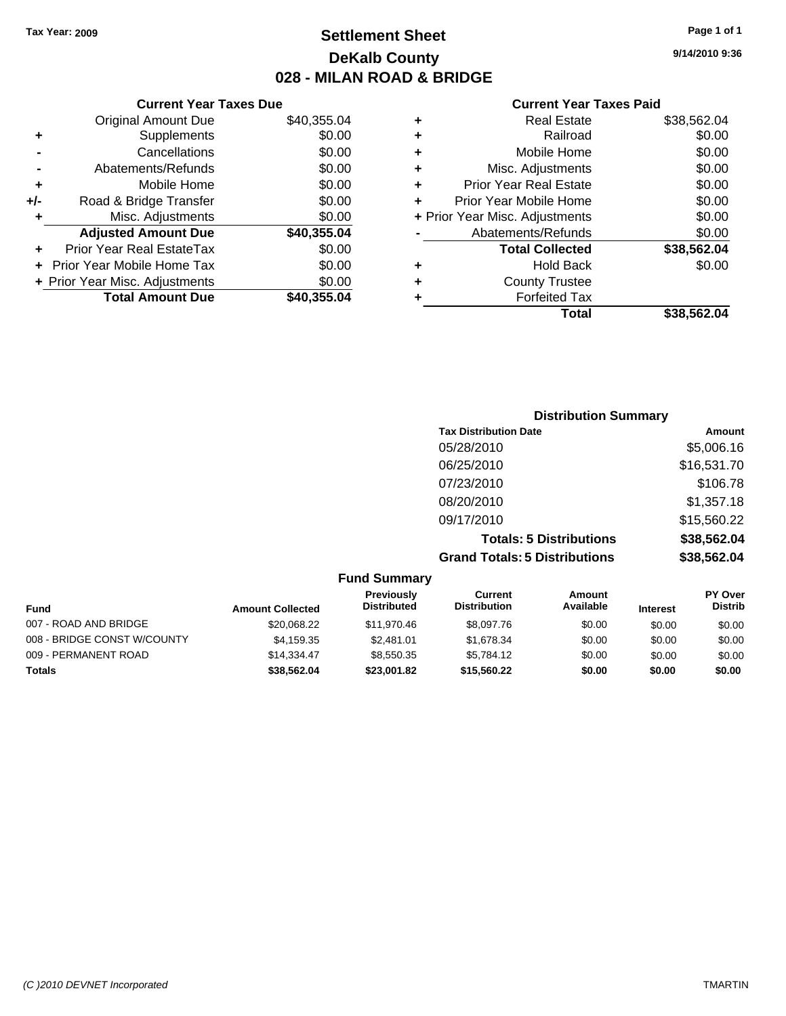### **Settlement Sheet Tax Year: 2009 Page 1 of 1 DeKalb County 028 - MILAN ROAD & BRIDGE**

### **Current Year Taxes Due**

|     | <b>Original Amount Due</b>        | \$40,355.04 |
|-----|-----------------------------------|-------------|
| ٠   | Supplements                       | \$0.00      |
|     | Cancellations                     | \$0.00      |
|     | Abatements/Refunds                | \$0.00      |
| ٠   | Mobile Home                       | \$0.00      |
| +/- | Road & Bridge Transfer            | \$0.00      |
|     | Misc. Adjustments                 | \$0.00      |
|     | <b>Adjusted Amount Due</b>        | \$40,355.04 |
|     | Prior Year Real EstateTax         | \$0.00      |
|     | <b>Prior Year Mobile Home Tax</b> | \$0.00      |
|     | + Prior Year Misc. Adjustments    | \$0.00      |
|     | <b>Total Amount Due</b>           | \$40,355.04 |

#### **Current Year Taxes Paid**

| ٠                              | <b>Real Estate</b>            | \$38,562.04 |
|--------------------------------|-------------------------------|-------------|
| ٠                              | Railroad                      | \$0.00      |
| ٠                              | Mobile Home                   | \$0.00      |
| ٠                              | Misc. Adjustments             | \$0.00      |
| ÷                              | <b>Prior Year Real Estate</b> | \$0.00      |
| ÷                              | Prior Year Mobile Home        | \$0.00      |
| + Prior Year Misc. Adjustments |                               | \$0.00      |
|                                | Abatements/Refunds            | \$0.00      |
|                                | <b>Total Collected</b>        | \$38,562.04 |
| ٠                              | <b>Hold Back</b>              | \$0.00      |
| ٠                              | <b>County Trustee</b>         |             |
| ٠                              | <b>Forfeited Tax</b>          |             |
|                                | Total                         | \$38,562.04 |
|                                |                               |             |

### **Distribution Summary Tax Distribution Date Amount** 05/28/2010 \$5,006.16 06/25/2010 \$16,531.70 07/23/2010 \$106.78 08/20/2010 \$1,357.18 09/17/2010 \$15,560.22 **Totals: 5 Distributions \$38,562.04 Grand Totals: 5 Distributions \$38,562.04**

|                             |                         | <b>Fund Summary</b>                     |                                |                     |                 |                                  |
|-----------------------------|-------------------------|-----------------------------------------|--------------------------------|---------------------|-----------------|----------------------------------|
| Fund                        | <b>Amount Collected</b> | <b>Previously</b><br><b>Distributed</b> | Current<br><b>Distribution</b> | Amount<br>Available | <b>Interest</b> | <b>PY Over</b><br><b>Distrib</b> |
| 007 - ROAD AND BRIDGE       | \$20,068.22             | \$11,970.46                             | \$8,097.76                     | \$0.00              | \$0.00          | \$0.00                           |
| 008 - BRIDGE CONST W/COUNTY | \$4,159.35              | \$2.481.01                              | \$1,678.34                     | \$0.00              | \$0.00          | \$0.00                           |
| 009 - PERMANENT ROAD        | \$14,334.47             | \$8,550.35                              | \$5,784.12                     | \$0.00              | \$0.00          | \$0.00                           |
| <b>Totals</b>               | \$38.562.04             | \$23,001.82                             | \$15,560,22                    | \$0.00              | \$0.00          | \$0.00                           |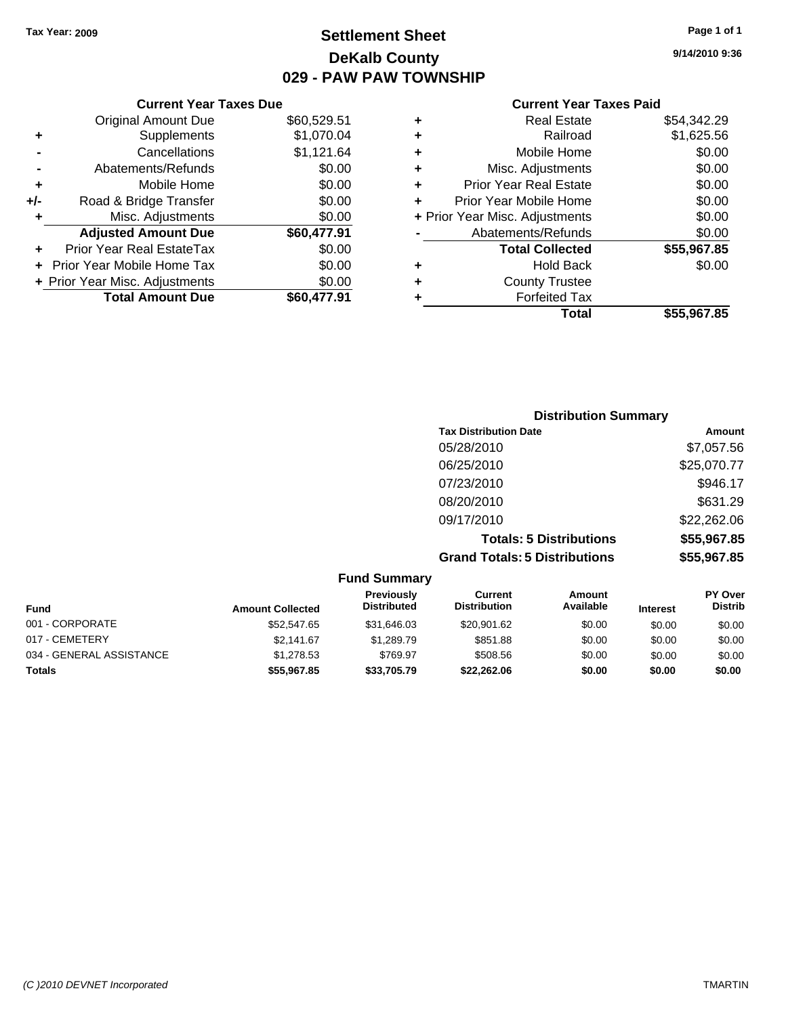### **Settlement Sheet Tax Year: 2009 Page 1 of 1 DeKalb County 029 - PAW PAW TOWNSHIP**

**9/14/2010 9:36**

### **Current Year Taxes Paid**

|     | <b>Current Year Taxes Due</b>  |             |       |
|-----|--------------------------------|-------------|-------|
|     | <b>Original Amount Due</b>     | \$60,529.51 | ٠     |
|     | Supplements                    | \$1,070.04  | ٠     |
|     | Cancellations                  | \$1,121.64  | ٠     |
|     | Abatements/Refunds             | \$0.00      | ٠     |
|     | Mobile Home                    | \$0.00      | ٠     |
| +/- | Road & Bridge Transfer         | \$0.00      |       |
|     | Misc. Adjustments              | \$0.00      | + Pri |
|     | <b>Adjusted Amount Due</b>     | \$60,477.91 |       |
|     | Prior Year Real EstateTax      | \$0.00      |       |
|     | Prior Year Mobile Home Tax     | \$0.00      |       |
|     | + Prior Year Misc. Adjustments | \$0.00      |       |
|     | <b>Total Amount Due</b>        | \$60,477.91 |       |
|     |                                |             |       |

| ٠ | <b>Real Estate</b>             | \$54,342.29 |
|---|--------------------------------|-------------|
| ٠ | Railroad                       | \$1,625.56  |
| ٠ | Mobile Home                    | \$0.00      |
| ٠ | Misc. Adjustments              | \$0.00      |
| ٠ | <b>Prior Year Real Estate</b>  | \$0.00      |
| ÷ | Prior Year Mobile Home         | \$0.00      |
|   | + Prior Year Misc. Adjustments | \$0.00      |
|   | Abatements/Refunds             | \$0.00      |
|   | <b>Total Collected</b>         | \$55,967.85 |
| ٠ | <b>Hold Back</b>               | \$0.00      |
| ٠ | <b>County Trustee</b>          |             |
| ٠ | <b>Forfeited Tax</b>           |             |
|   | Total                          | \$55,967.85 |
|   |                                |             |

| <b>Distribution Summary</b>          |             |
|--------------------------------------|-------------|
| <b>Tax Distribution Date</b>         | Amount      |
| 05/28/2010                           | \$7,057.56  |
| 06/25/2010                           | \$25,070.77 |
| 07/23/2010                           | \$946.17    |
| 08/20/2010                           | \$631.29    |
| 09/17/2010                           | \$22,262.06 |
| <b>Totals: 5 Distributions</b>       | \$55,967.85 |
| <b>Grand Totals: 5 Distributions</b> | \$55,967.85 |

|                          |                         | <b>Fund Summary</b>              |                                |                            |                 |                                  |
|--------------------------|-------------------------|----------------------------------|--------------------------------|----------------------------|-----------------|----------------------------------|
| <b>Fund</b>              | <b>Amount Collected</b> | Previously<br><b>Distributed</b> | Current<br><b>Distribution</b> | <b>Amount</b><br>Available | <b>Interest</b> | <b>PY Over</b><br><b>Distrib</b> |
| 001 - CORPORATE          | \$52,547.65             | \$31,646.03                      | \$20,901.62                    | \$0.00                     | \$0.00          | \$0.00                           |
| 017 - CEMETERY           | \$2,141.67              | \$1,289.79                       | \$851.88                       | \$0.00                     | \$0.00          | \$0.00                           |
| 034 - GENERAL ASSISTANCE | \$1.278.53              | \$769.97                         | \$508.56                       | \$0.00                     | \$0.00          | \$0.00                           |
| Totals                   | \$55,967.85             | \$33,705.79                      | \$22,262.06                    | \$0.00                     | \$0.00          | \$0.00                           |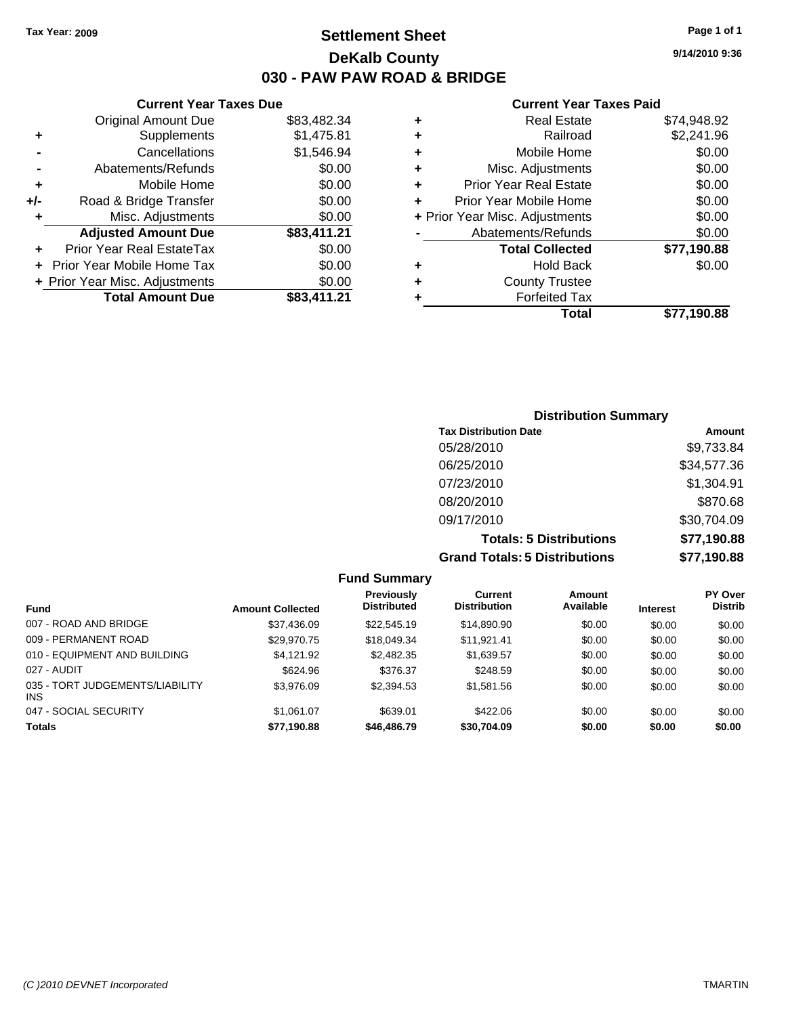### **Settlement Sheet Tax Year: 2009 Page 1 of 1 DeKalb County 030 - PAW PAW ROAD & BRIDGE**

**Current Year Taxes Due**

|     | Original Amount Due              | \$83,482.34 |
|-----|----------------------------------|-------------|
| ٠   | Supplements                      | \$1,475.81  |
|     | Cancellations                    | \$1,546.94  |
|     | Abatements/Refunds               | \$0.00      |
| ٠   | Mobile Home                      | \$0.00      |
| +/- | Road & Bridge Transfer           | \$0.00      |
| ٠   | Misc. Adjustments                | \$0.00      |
|     | <b>Adjusted Amount Due</b>       | \$83,411.21 |
|     | <b>Prior Year Real EstateTax</b> | \$0.00      |
|     | Prior Year Mobile Home Tax       | \$0.00      |
|     | + Prior Year Misc. Adjustments   | \$0.00      |
|     | <b>Total Amount Due</b>          | \$83,411.21 |
|     |                                  |             |

#### **Current Year Taxes Paid**

|   | <b>Real Estate</b>             | \$74,948.92 |
|---|--------------------------------|-------------|
| ٠ | Railroad                       | \$2,241.96  |
| ٠ | Mobile Home                    | \$0.00      |
| ٠ | Misc. Adjustments              | \$0.00      |
| ٠ | <b>Prior Year Real Estate</b>  | \$0.00      |
|   | Prior Year Mobile Home         | \$0.00      |
|   | + Prior Year Misc. Adjustments | \$0.00      |
|   | Abatements/Refunds             | \$0.00      |
|   | <b>Total Collected</b>         | \$77,190.88 |
| ٠ | <b>Hold Back</b>               | \$0.00      |
| ٠ | <b>County Trustee</b>          |             |
| ٠ | <b>Forfeited Tax</b>           |             |
|   | Total                          | \$77,190.88 |
|   |                                |             |

| <b>Distribution Summary</b>    |             |
|--------------------------------|-------------|
| <b>Tax Distribution Date</b>   | Amount      |
| 05/28/2010                     | \$9,733.84  |
| 06/25/2010                     | \$34,577.36 |
| 07/23/2010                     | \$1,304.91  |
| 08/20/2010                     | \$870.68    |
| 09/17/2010                     | \$30,704.09 |
| <b>Totals: 5 Distributions</b> | \$77,190.88 |
| Crond Totolo: E Diotributions  |             |

**Grand Totals: 5 Distributions \$77,190.88**

|                                        |                         | <b>Fund Summary</b>              |                                |                     |                 |                           |
|----------------------------------------|-------------------------|----------------------------------|--------------------------------|---------------------|-----------------|---------------------------|
| <b>Fund</b>                            | <b>Amount Collected</b> | Previously<br><b>Distributed</b> | Current<br><b>Distribution</b> | Amount<br>Available | <b>Interest</b> | PY Over<br><b>Distrib</b> |
| 007 - ROAD AND BRIDGE                  | \$37,436.09             | \$22,545.19                      | \$14,890.90                    | \$0.00              | \$0.00          | \$0.00                    |
| 009 - PERMANENT ROAD                   | \$29,970.75             | \$18,049.34                      | \$11,921.41                    | \$0.00              | \$0.00          | \$0.00                    |
| 010 - EQUIPMENT AND BUILDING           | \$4.121.92              | \$2,482.35                       | \$1,639.57                     | \$0.00              | \$0.00          | \$0.00                    |
| 027 - AUDIT                            | \$624.96                | \$376.37                         | \$248.59                       | \$0.00              | \$0.00          | \$0.00                    |
| 035 - TORT JUDGEMENTS/LIABILITY<br>INS | \$3,976.09              | \$2,394.53                       | \$1,581.56                     | \$0.00              | \$0.00          | \$0.00                    |
| 047 - SOCIAL SECURITY                  | \$1.061.07              | \$639.01                         | \$422.06                       | \$0.00              | \$0.00          | \$0.00                    |
| <b>Totals</b>                          | \$77,190.88             | \$46,486.79                      | \$30,704.09                    | \$0.00              | \$0.00          | \$0.00                    |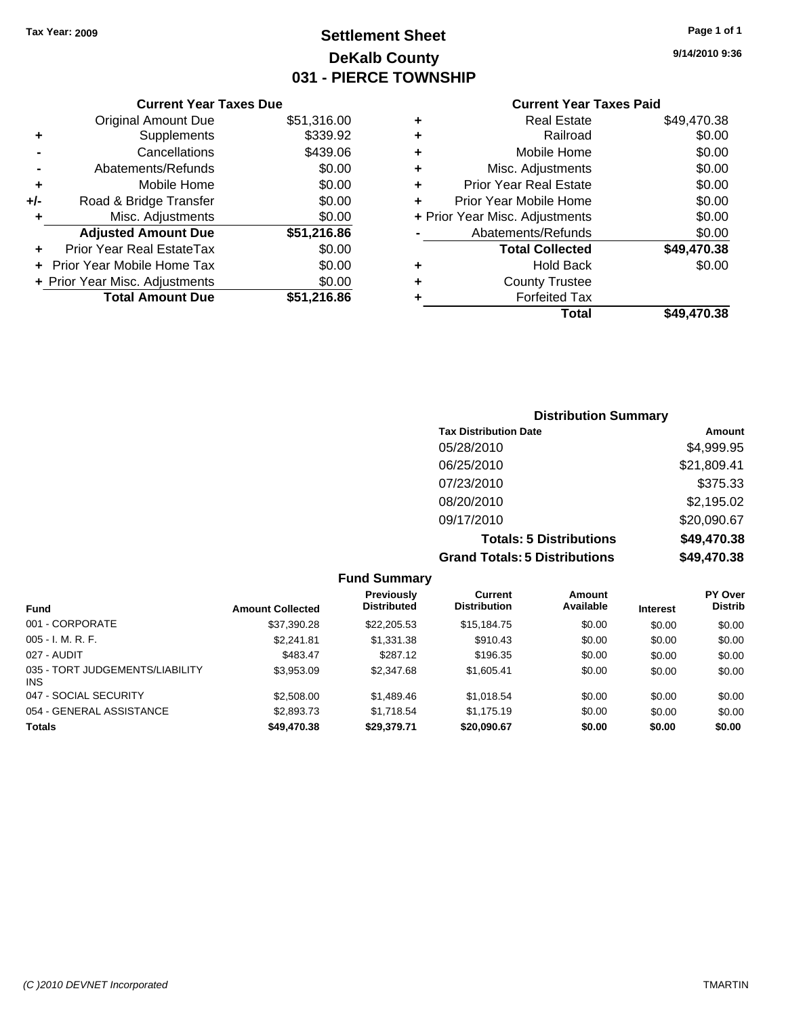### **Settlement Sheet Tax Year: 2009 Page 1 of 1 DeKalb County 031 - PIERCE TOWNSHIP**

**9/14/2010 9:36**

### **Current Year Taxes Paid**

|   | Total                          | \$49.470.38 |
|---|--------------------------------|-------------|
|   | <b>Forfeited Tax</b>           |             |
| ٠ | <b>County Trustee</b>          |             |
| ٠ | <b>Hold Back</b>               | \$0.00      |
|   | <b>Total Collected</b>         | \$49,470.38 |
|   | Abatements/Refunds             | \$0.00      |
|   | + Prior Year Misc. Adjustments | \$0.00      |
| ٠ | Prior Year Mobile Home         | \$0.00      |
| ٠ | <b>Prior Year Real Estate</b>  | \$0.00      |
| ٠ | Misc. Adjustments              | \$0.00      |
| ٠ | Mobile Home                    | \$0.00      |
| ٠ | Railroad                       | \$0.00      |
|   | <b>Real Estate</b>             | \$49,470.38 |

|     | <b>Current Year Taxes Due</b>    |             |
|-----|----------------------------------|-------------|
|     | <b>Original Amount Due</b>       | \$51,316.00 |
| ٠   | Supplements                      | \$339.92    |
|     | Cancellations                    | \$439.06    |
|     | Abatements/Refunds               | \$0.00      |
| ÷   | Mobile Home                      | \$0.00      |
| +/- | Road & Bridge Transfer           | \$0.00      |
| ٠   | Misc. Adjustments                | \$0.00      |
|     | <b>Adjusted Amount Due</b>       | \$51,216.86 |
|     | <b>Prior Year Real EstateTax</b> | \$0.00      |
|     | Prior Year Mobile Home Tax       | \$0.00      |
|     | + Prior Year Misc. Adjustments   | \$0.00      |
|     | <b>Total Amount Due</b>          | \$51,216.86 |

## **Distribution Summary**

| <b>Tax Distribution Date</b>         | Amount      |
|--------------------------------------|-------------|
| 05/28/2010                           | \$4,999.95  |
| 06/25/2010                           | \$21,809.41 |
| 07/23/2010                           | \$375.33    |
| 08/20/2010                           | \$2,195.02  |
| 09/17/2010                           | \$20,090.67 |
| <b>Totals: 5 Distributions</b>       | \$49,470.38 |
| <b>Grand Totals: 5 Distributions</b> | \$49,470.38 |

|                                         |                         | <b>Fund Summary</b>                     |                                       |                     |                 |                                  |
|-----------------------------------------|-------------------------|-----------------------------------------|---------------------------------------|---------------------|-----------------|----------------------------------|
| <b>Fund</b>                             | <b>Amount Collected</b> | <b>Previously</b><br><b>Distributed</b> | <b>Current</b><br><b>Distribution</b> | Amount<br>Available | <b>Interest</b> | <b>PY Over</b><br><b>Distrib</b> |
| 001 - CORPORATE                         | \$37,390.28             | \$22,205.53                             | \$15.184.75                           | \$0.00              | \$0.00          | \$0.00                           |
| $005 - I. M. R. F.$                     | \$2,241.81              | \$1,331.38                              | \$910.43                              | \$0.00              | \$0.00          | \$0.00                           |
| 027 - AUDIT                             | \$483.47                | \$287.12                                | \$196.35                              | \$0.00              | \$0.00          | \$0.00                           |
| 035 - TORT JUDGEMENTS/LIABILITY<br>INS. | \$3,953.09              | \$2,347.68                              | \$1,605.41                            | \$0.00              | \$0.00          | \$0.00                           |
| 047 - SOCIAL SECURITY                   | \$2,508.00              | \$1,489.46                              | \$1,018.54                            | \$0.00              | \$0.00          | \$0.00                           |
| 054 - GENERAL ASSISTANCE                | \$2,893.73              | \$1.718.54                              | \$1.175.19                            | \$0.00              | \$0.00          | \$0.00                           |
| <b>Totals</b>                           | \$49,470.38             | \$29,379.71                             | \$20,090.67                           | \$0.00              | \$0.00          | \$0.00                           |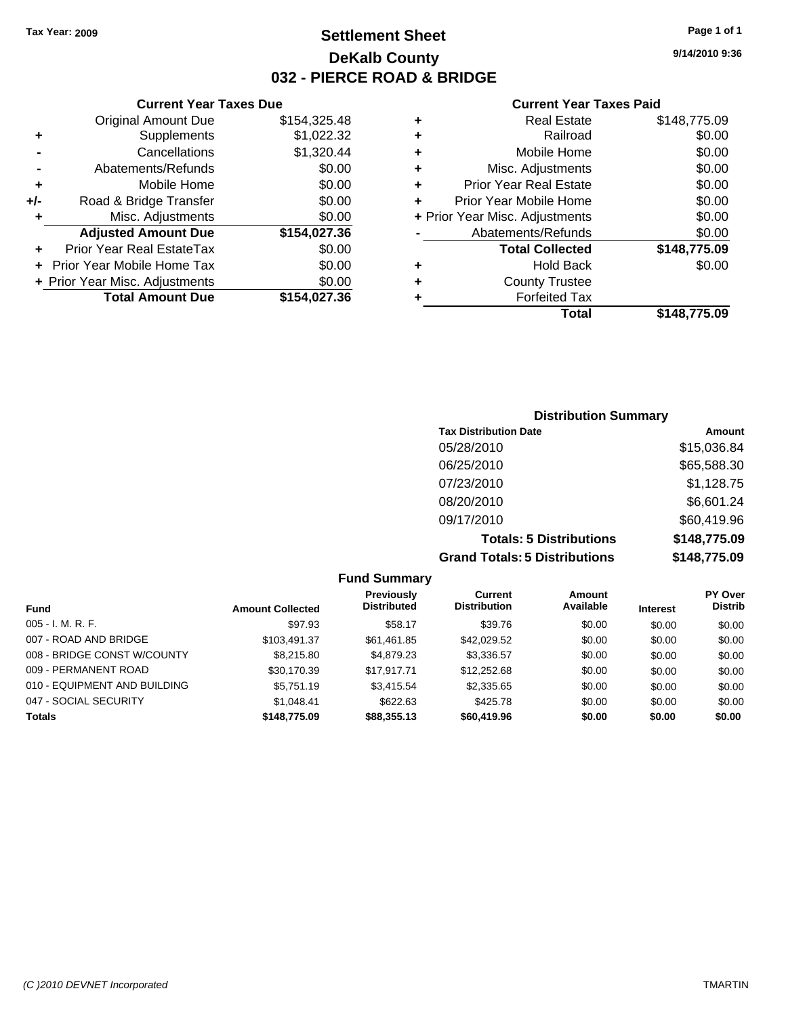### **Settlement Sheet Tax Year: 2009 Page 1 of 1 DeKalb County 032 - PIERCE ROAD & BRIDGE**

#### **Current Year Taxes Due**

|     | <b>Original Amount Due</b>       | \$154,325.48 |
|-----|----------------------------------|--------------|
| ٠   | Supplements                      | \$1,022.32   |
|     | Cancellations                    | \$1,320.44   |
|     | Abatements/Refunds               | \$0.00       |
| ٠   | Mobile Home                      | \$0.00       |
| +/- | Road & Bridge Transfer           | \$0.00       |
|     | Misc. Adjustments                | \$0.00       |
|     | <b>Adjusted Amount Due</b>       | \$154,027.36 |
|     | <b>Prior Year Real EstateTax</b> | \$0.00       |
|     | Prior Year Mobile Home Tax       | \$0.00       |
|     | + Prior Year Misc. Adjustments   | \$0.00       |
|     | <b>Total Amount Due</b>          | \$154,027.36 |

#### **Current Year Taxes Paid**

|   | <b>Real Estate</b>             | \$148,775.09 |
|---|--------------------------------|--------------|
| ٠ | Railroad                       | \$0.00       |
| ٠ | Mobile Home                    | \$0.00       |
| ٠ | Misc. Adjustments              | \$0.00       |
| ٠ | <b>Prior Year Real Estate</b>  | \$0.00       |
|   | Prior Year Mobile Home         | \$0.00       |
|   | + Prior Year Misc. Adjustments | \$0.00       |
|   | Abatements/Refunds             | \$0.00       |
|   | <b>Total Collected</b>         | \$148,775.09 |
| ٠ | <b>Hold Back</b>               | \$0.00       |
| ٠ | <b>County Trustee</b>          |              |
| ٠ | <b>Forfeited Tax</b>           |              |
|   | Total                          | \$148,775.09 |
|   |                                |              |

### **Distribution Summary Tax Distribution Date Amount** 05/28/2010 \$15,036.84 06/25/2010 \$65,588.30 07/23/2010 \$1,128.75 08/20/2010 \$6,601.24 09/17/2010 \$60,419.96 **Totals: 5 Distributions \$148,775.09 Grand Totals: 5 Distributions \$148,775.09**

**Fund Summary Fund Interest Amount Collected Distributed PY Over Distrib Amount Available Current Distribution Previously** 005 - I. M. R. F. \$97.93 \$58.17 \$39.76 \$0.00 \$0.00 \$0.00 007 - ROAD AND BRIDGE \$103,491.37 \$61,461.85 \$42,029.52 \$0.00 \$0.00 \$0.00 008 - BRIDGE CONST W/COUNTY  $$8,215.80$   $$4,879.23$   $$3,336.57$   $$0.00$   $$0.00$   $$0.00$ 009 - PERMANENT ROAD \$30,170.39 \$17,917.71 \$12,252.68 \$0.00 \$0.00 \$0.00 \$0.00 010 - EQUIPMENT AND BUILDING \$5,751.19 \$3,415.54 \$2,335.65 \$0.00 \$0.00 \$0.00 047 - SOCIAL SECURITY \$1,048.41 \$622.63 \$425.78 \$0.00 \$0.00 \$0.00 **Totals \$148,775.09 \$88,355.13 \$60,419.96 \$0.00 \$0.00 \$0.00**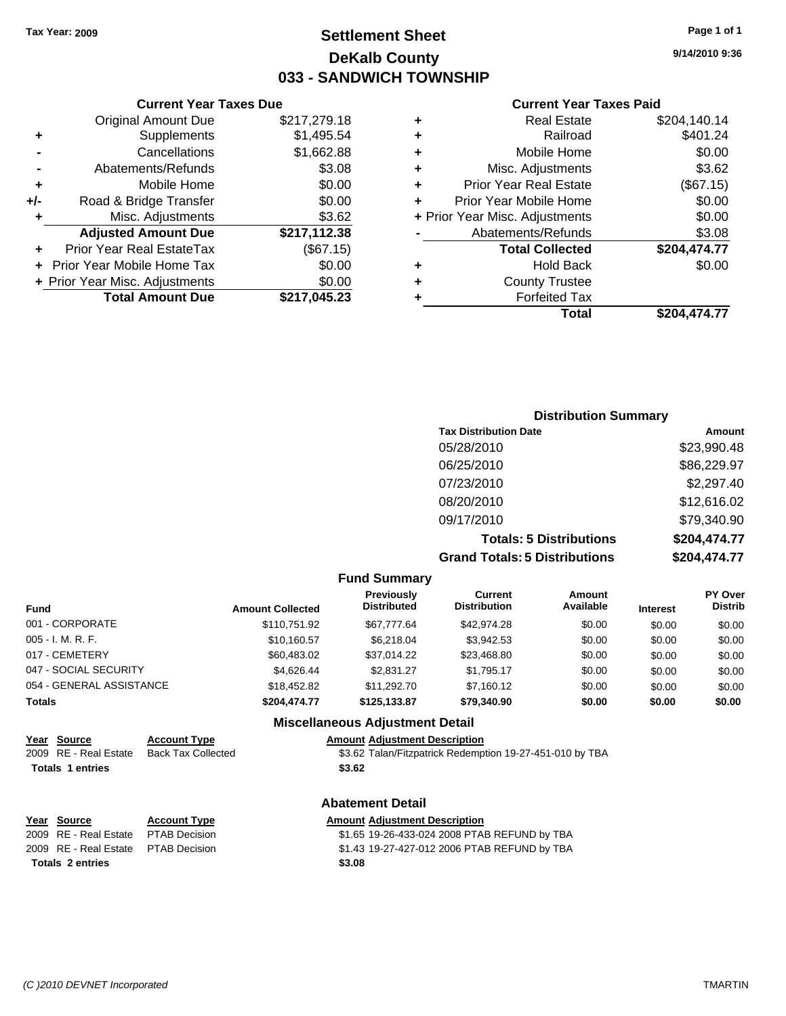### **Settlement Sheet Tax Year: 2009 Page 1 of 1 DeKalb County 033 - SANDWICH TOWNSHIP**

#### **Current Year Taxes Due**

|     | <b>Original Amount Due</b>     | \$217,279.18 |
|-----|--------------------------------|--------------|
|     | Supplements                    | \$1,495.54   |
|     | Cancellations                  | \$1,662.88   |
|     | Abatements/Refunds             | \$3.08       |
| ٠   | Mobile Home                    | \$0.00       |
| +/- | Road & Bridge Transfer         | \$0.00       |
|     | Misc. Adjustments              | \$3.62       |
|     | <b>Adjusted Amount Due</b>     | \$217,112.38 |
|     | Prior Year Real EstateTax      | (\$67.15)    |
|     | Prior Year Mobile Home Tax     | \$0.00       |
|     | + Prior Year Misc. Adjustments | \$0.00       |
|     | <b>Total Amount Due</b>        | \$217,045.23 |

#### **Current Year Taxes Paid**

|   | <b>Real Estate</b>             | \$204,140.14 |
|---|--------------------------------|--------------|
| ٠ | Railroad                       | \$401.24     |
| ٠ | Mobile Home                    | \$0.00       |
| ٠ | Misc. Adjustments              | \$3.62       |
| ٠ | <b>Prior Year Real Estate</b>  | (\$67.15)    |
|   | Prior Year Mobile Home         | \$0.00       |
|   | + Prior Year Misc. Adjustments | \$0.00       |
|   | Abatements/Refunds             | \$3.08       |
|   | <b>Total Collected</b>         | \$204,474.77 |
| ٠ | <b>Hold Back</b>               | \$0.00       |
| ٠ | <b>County Trustee</b>          |              |
| ٠ | <b>Forfeited Tax</b>           |              |
|   | Total                          | \$204,474.77 |
|   |                                |              |

### **Distribution Summary Tax Distribution Date Amount** 05/28/2010 \$23,990.48 06/25/2010 \$86,229.97 07/23/2010 \$2,297.40 08/20/2010 \$12,616.02 09/17/2010 \$79,340.90 **Totals: 5 Distributions \$204,474.77 Grand Totals: 5 Distributions \$204,474.77**

#### **Fund Summary Fund Interest Amount Collected Distributed PY Over Distrib Amount Available Current Distribution Previously** 001 - CORPORATE \$110,751.92 \$67,777.64 \$42,974.28 \$0.00 \$0.00 \$0.00 005 - I. M. R. F. \$10,160.57 \$6,218.04 \$3,942.53 \$0.00 \$0.00 \$0.00 017 - CEMETERY \$60,483.02 \$37,014.22 \$23,468.80 \$0.00 \$0.00 \$0.00 047 - SOCIAL SECURITY \$4,626.44 \$2,831.27 \$1,795.17 \$0.00 \$0.00 \$0.00 054 - GENERAL ASSISTANCE  $$18,452.82$   $$11,292.70$   $$7,160.12$   $$0.00$   $$0.00$   $$0.00$ **Totals \$204,474.77 \$125,133.87 \$79,340.90 \$0.00 \$0.00 \$0.00 Miscellaneous Adjustment Detail**

### **Year Source Account Type Amount Adjustment Description**

2009 RE - Real Estate Back Tax Collected \$3.62 Talan/Fitzpatrick Redemption 19-27-451-010 by TBA

### **Abatement Detail**

2009 RE - Real Estate \$1.65 19-26-433-024 2008 PTAB REFUND by TBA PTAB Decision 2009 RE - Real Estate \$1.43 19-27-427-012 2006 PTAB REFUND by TBA PTAB Decision

Totals 1 entries \$3.62

# **Year Source Account Type Amount Adjustment Description**

**Totals \$3.08 2 entries**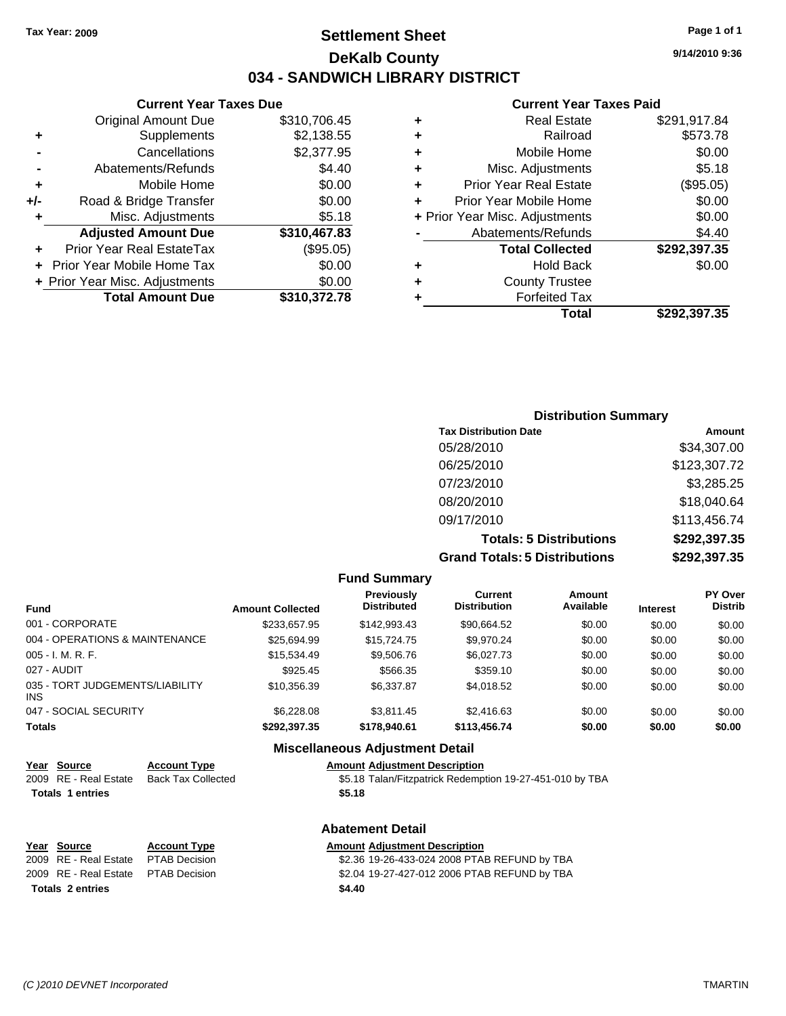### **Settlement Sheet Tax Year: 2009 Page 1 of 1 DeKalb County 034 - SANDWICH LIBRARY DISTRICT**

**9/14/2010 9:36**

#### **Current Year Taxes Paid**

|   | Total                          | \$292.397.35 |
|---|--------------------------------|--------------|
|   | <b>Forfeited Tax</b>           |              |
| ٠ | <b>County Trustee</b>          |              |
| ٠ | <b>Hold Back</b>               | \$0.00       |
|   | <b>Total Collected</b>         | \$292,397.35 |
|   | Abatements/Refunds             | \$4.40       |
|   | + Prior Year Misc. Adjustments | \$0.00       |
| ٠ | Prior Year Mobile Home         | \$0.00       |
| ٠ | Prior Year Real Estate         | (\$95.05)    |
| ٠ | Misc. Adjustments              | \$5.18       |
| ٠ | Mobile Home                    | \$0.00       |
| ٠ | Railroad                       | \$573.78     |
| ٠ | Real Estate                    | \$291,917.84 |

### **-** Cancellations \$2,377.95 **-** Abatements/Refunds **\$4.40 +** Mobile Home \$0.00 **+/-** Road & Bridge Transfer \$0.00 **+** Misc. Adjustments \$5.18 **Adjusted Amount Due \$310,467.83 +** Prior Year Real EstateTax (\$95.05) **+** Prior Year Mobile Home Tax \$0.00 **+ Prior Year Misc. Adjustments**  $$0.00$ **Total Amount Due \$310,372.78**

**Current Year Taxes Due** Original Amount Due \$310,706.45

**+** Supplements \$2,138.55

|     | <b>Distribution Summary</b>          |              |
|-----|--------------------------------------|--------------|
|     | <b>Tax Distribution Date</b>         | Amount       |
|     | 05/28/2010                           | \$34,307.00  |
|     | 06/25/2010                           | \$123,307.72 |
|     | 07/23/2010                           | \$3,285.25   |
|     | 08/20/2010                           | \$18,040.64  |
|     | 09/17/2010                           | \$113,456.74 |
|     | <b>Totals: 5 Distributions</b>       | \$292,397.35 |
|     | <b>Grand Totals: 5 Distributions</b> | \$292,397.35 |
| $E$ |                                      |              |

|                                               |                         | <b>Fund Summary</b>                     |                                       |                     |                 |                           |
|-----------------------------------------------|-------------------------|-----------------------------------------|---------------------------------------|---------------------|-----------------|---------------------------|
| <b>Fund</b>                                   | <b>Amount Collected</b> | <b>Previously</b><br><b>Distributed</b> | <b>Current</b><br><b>Distribution</b> | Amount<br>Available | <b>Interest</b> | PY Over<br><b>Distrib</b> |
| 001 - CORPORATE                               | \$233.657.95            | \$142,993.43                            | \$90,664.52                           | \$0.00              | \$0.00          | \$0.00                    |
| 004 - OPERATIONS & MAINTENANCE                | \$25.694.99             | \$15,724.75                             | \$9.970.24                            | \$0.00              | \$0.00          | \$0.00                    |
| $005 - I. M. R. F.$                           | \$15,534.49             | \$9,506.76                              | \$6,027.73                            | \$0.00              | \$0.00          | \$0.00                    |
| 027 - AUDIT                                   | \$925.45                | \$566.35                                | \$359.10                              | \$0.00              | \$0.00          | \$0.00                    |
| 035 - TORT JUDGEMENTS/LIABILITY<br><b>INS</b> | \$10,356.39             | \$6,337.87                              | \$4.018.52                            | \$0.00              | \$0.00          | \$0.00                    |
| 047 - SOCIAL SECURITY                         | \$6,228,08              | \$3.811.45                              | \$2,416.63                            | \$0.00              | \$0.00          | \$0.00                    |
| <b>Totals</b>                                 | \$292.397.35            | \$178,940.61                            | \$113,456.74                          | \$0.00              | \$0.00          | \$0.00                    |
|                                               |                         | Micrallangous Adiustmant Datail         |                                       |                     |                 |                           |

|  |                         |                           | <b>INISCUTE LEVES AUTOSITIEIII DELAII</b>                |
|--|-------------------------|---------------------------|----------------------------------------------------------|
|  | Year Source             | <b>Account Type</b>       | <b>Amount Adjustment Description</b>                     |
|  | 2009 RE - Real Estate   | <b>Back Tax Collected</b> | \$5.18 Talan/Fitzpatrick Redemption 19-27-451-010 by TBA |
|  | <b>Totals 1 entries</b> |                           | \$5.18                                                   |
|  |                         |                           |                                                          |

| Year Source                         | <b>Account Type</b> |        | <b>Amount Adjustment Description</b> |
|-------------------------------------|---------------------|--------|--------------------------------------|
| 2009 RE - Real Estate PTAB Decision |                     |        | \$2.36 19-26-433-024 2008 PTA        |
| 2009 RE - Real Estate PTAB Decision |                     |        | \$2.04 19-27-427-012 2006 PTA        |
| <b>Totals 2 entries</b>             |                     | \$4.40 |                                      |

| nt Type         |  |
|-----------------|--|
| <b>Decision</b> |  |

## **Abatement Detail**

\$2.36 19-26-433-024 2008 PTAB REFUND by TBA 2009 RE - Real Estate \$2.04 19-27-427-012 2006 PTAB REFUND by TBA PTAB Decision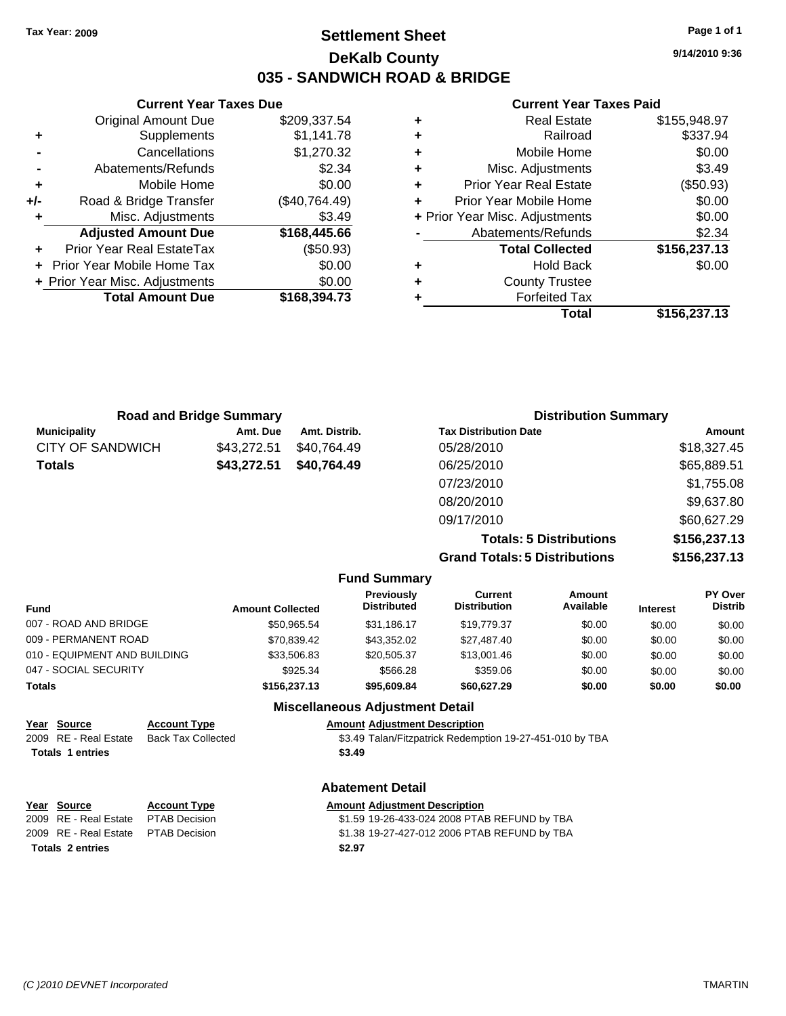**Totals 1 entries** 

### **Settlement Sheet Tax Year: 2009 Page 1 of 1 DeKalb County 035 - SANDWICH ROAD & BRIDGE**

**9/14/2010 9:36**

#### **Current Year Taxes Paid**

|   | Total                          | \$156,237.13 |
|---|--------------------------------|--------------|
| ٠ | <b>Forfeited Tax</b>           |              |
| ٠ | <b>County Trustee</b>          |              |
| ٠ | <b>Hold Back</b>               | \$0.00       |
|   | <b>Total Collected</b>         | \$156,237.13 |
|   | Abatements/Refunds             | \$2.34       |
|   | + Prior Year Misc. Adjustments | \$0.00       |
| ÷ | Prior Year Mobile Home         | \$0.00       |
| ٠ | <b>Prior Year Real Estate</b>  | (\$50.93)    |
| ٠ | Misc. Adjustments              | \$3.49       |
| ٠ | Mobile Home                    | \$0.00       |
| ٠ | Railroad                       | \$337.94     |
| ٠ | <b>Real Estate</b>             | \$155,948.97 |
|   |                                |              |

|     | <b>Current Year Taxes Due</b>     |               |
|-----|-----------------------------------|---------------|
|     | Original Amount Due               | \$209,337.54  |
| ٠   | Supplements                       | \$1,141.78    |
|     | Cancellations                     | \$1,270.32    |
|     | Abatements/Refunds                | \$2.34        |
| ٠   | Mobile Home                       | \$0.00        |
| +/- | Road & Bridge Transfer            | (\$40,764.49) |
| ٠   | Misc. Adjustments                 | \$3.49        |
|     | <b>Adjusted Amount Due</b>        | \$168,445.66  |
|     | Prior Year Real EstateTax         | (\$50.93)     |
|     | <b>Prior Year Mobile Home Tax</b> | \$0.00        |
|     | + Prior Year Misc. Adjustments    | \$0.00        |
|     | <b>Total Amount Due</b>           | \$168,394.73  |
|     |                                   |               |

| <b>Road and Bridge Summary</b> |             |               | <b>Distribution Summary</b>          |              |  |
|--------------------------------|-------------|---------------|--------------------------------------|--------------|--|
| <b>Municipality</b>            | Amt. Due    | Amt. Distrib. | <b>Tax Distribution Date</b>         | Amount       |  |
| <b>CITY OF SANDWICH</b>        | \$43,272.51 | \$40,764.49   | 05/28/2010                           | \$18,327.45  |  |
| <b>Totals</b>                  | \$43,272.51 | \$40,764.49   | 06/25/2010                           | \$65,889.51  |  |
|                                |             |               | 07/23/2010                           | \$1,755.08   |  |
|                                |             |               | 08/20/2010                           | \$9,637.80   |  |
|                                |             |               | 09/17/2010                           | \$60,627.29  |  |
|                                |             |               | <b>Totals: 5 Distributions</b>       | \$156,237.13 |  |
|                                |             |               | <b>Grand Totals: 5 Distributions</b> | \$156,237.13 |  |

|  | <b>Fund Summary</b> |
|--|---------------------|
|--|---------------------|

| <b>Fund</b>                  | <b>Amount Collected</b> | <b>Previously</b><br><b>Distributed</b> | Current<br><b>Distribution</b> | Amount<br>Available | <b>Interest</b> | PY Over<br><b>Distrib</b> |
|------------------------------|-------------------------|-----------------------------------------|--------------------------------|---------------------|-----------------|---------------------------|
| 007 - ROAD AND BRIDGE        | \$50.965.54             | \$31.186.17                             | \$19,779.37                    | \$0.00              | \$0.00          | \$0.00                    |
| 009 - PERMANENT ROAD         | \$70,839.42             | \$43.352.02                             | \$27,487.40                    | \$0.00              | \$0.00          | \$0.00                    |
| 010 - EQUIPMENT AND BUILDING | \$33.506.83             | \$20,505.37                             | \$13,001.46                    | \$0.00              | \$0.00          | \$0.00                    |
| 047 - SOCIAL SECURITY        | \$925.34                | \$566.28                                | \$359.06                       | \$0.00              | \$0.00          | \$0.00                    |
| Totals                       | \$156,237.13            | \$95,609.84                             | \$60,627.29                    | \$0.00              | \$0.00          | \$0.00                    |
|                              |                         |                                         |                                |                     |                 |                           |

| <b>Miscellaneous Adjustment Detail</b> |                       |                           |                                                          |
|----------------------------------------|-----------------------|---------------------------|----------------------------------------------------------|
|                                        | Year Source           | <b>Account Type</b>       | <b>Amount Adjustment Description</b>                     |
|                                        | 2009 RE - Real Estate | <b>Back Tax Collected</b> | \$3.49 Talan/Fitzpatrick Redemption 19-27-451-010 by TBA |

| Back Tax Collected | \$3.49 Talan/Fitzpatrick Redemption 19-27-451-010 by |
|--------------------|------------------------------------------------------|
|                    | \$3.49                                               |
|                    |                                                      |

**Abatement Detail**

| Year Source                         | <b>Account Type</b> | <b>Amount Adjustment Description</b>         |
|-------------------------------------|---------------------|----------------------------------------------|
| 2009 RE - Real Estate               | PTAB Decision       | \$1.59 19-26-433-024 2008 PTAB REFUND by TBA |
| 2009 RE - Real Estate PTAB Decision |                     | \$1.38 19-27-427-012 2006 PTAB REFUND by TBA |
| Totals 2 entries                    |                     | \$2.97                                       |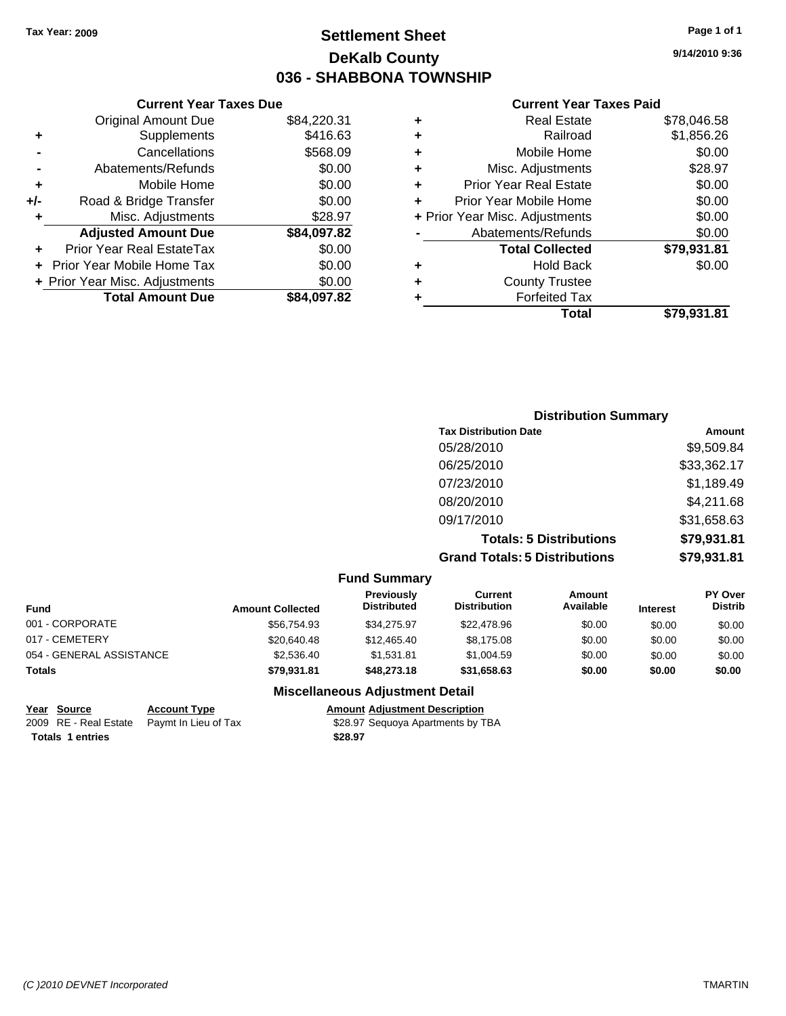### **Settlement Sheet Tax Year: 2009 Page 1 of 1 DeKalb County 036 - SHABBONA TOWNSHIP**

**Current Year Taxes Due**

|       | <b>Original Amount Due</b>     | \$84,220.31 |
|-------|--------------------------------|-------------|
| ٠     | Supplements                    | \$416.63    |
|       | Cancellations                  | \$568.09    |
|       | Abatements/Refunds             | \$0.00      |
| ٠     | Mobile Home                    | \$0.00      |
| $+/-$ | Road & Bridge Transfer         | \$0.00      |
| ٠     | Misc. Adjustments              | \$28.97     |
|       | <b>Adjusted Amount Due</b>     | \$84,097.82 |
|       | Prior Year Real EstateTax      | \$0.00      |
|       | Prior Year Mobile Home Tax     | \$0.00      |
|       | + Prior Year Misc. Adjustments | \$0.00      |
|       | <b>Total Amount Due</b>        | \$84,097.82 |
|       |                                |             |

#### **Current Year Taxes Paid**

| ٠ | <b>Real Estate</b>             | \$78,046.58 |
|---|--------------------------------|-------------|
| ٠ | Railroad                       | \$1,856.26  |
| ٠ | Mobile Home                    | \$0.00      |
| ٠ | Misc. Adjustments              | \$28.97     |
| ÷ | <b>Prior Year Real Estate</b>  | \$0.00      |
| ÷ | Prior Year Mobile Home         | \$0.00      |
|   | + Prior Year Misc. Adjustments | \$0.00      |
|   | Abatements/Refunds             | \$0.00      |
|   | <b>Total Collected</b>         | \$79,931.81 |
| ٠ | <b>Hold Back</b>               | \$0.00      |
| ٠ | <b>County Trustee</b>          |             |
| ٠ | <b>Forfeited Tax</b>           |             |
|   | <b>Total</b>                   | \$79,931.81 |
|   |                                |             |

### **Distribution Summary Tax Distribution Date Amount** 05/28/2010 \$9,509.84 06/25/2010 \$33,362.17 07/23/2010 \$1,189.49 08/20/2010 \$4,211.68 09/17/2010 \$31,658.63 **Totals: 5 Distributions \$79,931.81 Grand Totals: 5 Distributions \$79,931.81**

| <b>Fund Summary</b>      |                         |                                  |                                |                     |                 |                                  |
|--------------------------|-------------------------|----------------------------------|--------------------------------|---------------------|-----------------|----------------------------------|
| <b>Fund</b>              | <b>Amount Collected</b> | Previously<br><b>Distributed</b> | Current<br><b>Distribution</b> | Amount<br>Available | <b>Interest</b> | <b>PY Over</b><br><b>Distrib</b> |
| 001 - CORPORATE          | \$56.754.93             | \$34,275.97                      | \$22,478.96                    | \$0.00              | \$0.00          | \$0.00                           |
| 017 - CEMETERY           | \$20,640.48             | \$12,465.40                      | \$8,175.08                     | \$0.00              | \$0.00          | \$0.00                           |
| 054 - GENERAL ASSISTANCE | \$2,536.40              | \$1.531.81                       | \$1,004.59                     | \$0.00              | \$0.00          | \$0.00                           |
| <b>Totals</b>            | \$79.931.81             | \$48,273,18                      | \$31.658.63                    | \$0.00              | \$0.00          | \$0.00                           |

#### **Miscellaneous Adjustment Detail**

| Year Source             | <b>Account Type</b>                        | Amount  |
|-------------------------|--------------------------------------------|---------|
|                         | 2009 RE - Real Estate Paymt In Lieu of Tax | \$28.97 |
| <b>Totals 1 entries</b> |                                            | \$28.97 |

**Year Source Account Type Amount Adjustment Description** Paymt In Lieu of Tax **528.97 Sequoya Apartments by TBA**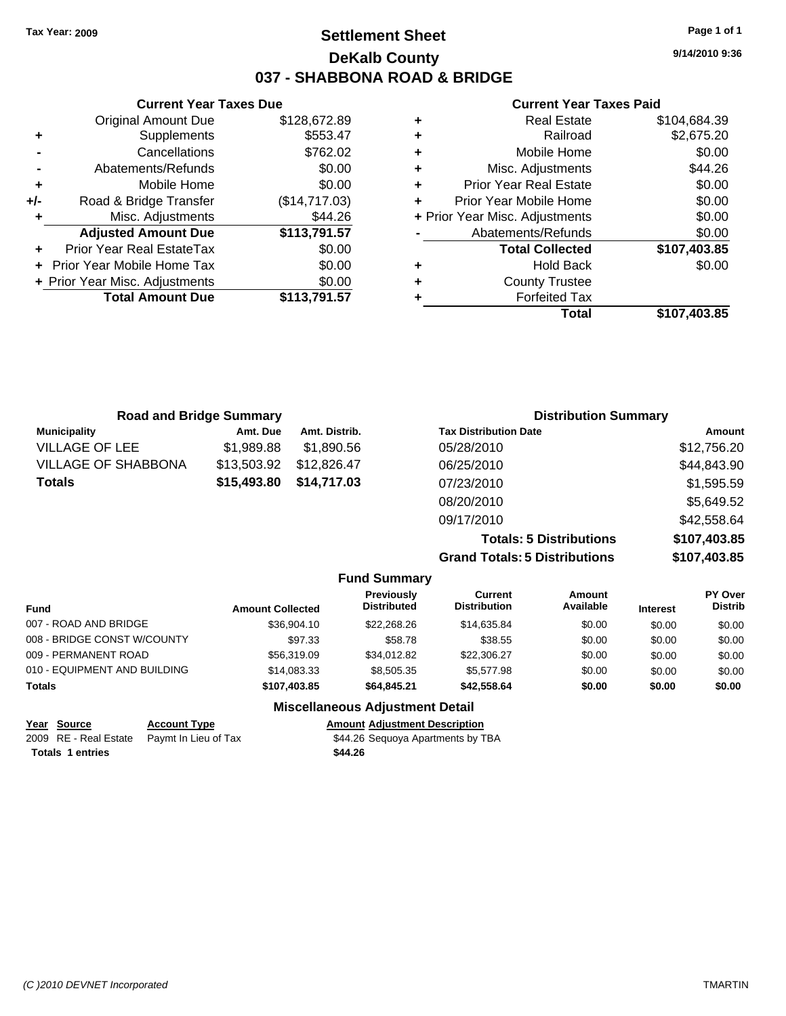### **Settlement Sheet Tax Year: 2009 Page 1 of 1 DeKalb County 037 - SHABBONA ROAD & BRIDGE**

**9/14/2010 9:36**

#### **Current Year Taxes Paid**

|     | <b>Current Year Taxes Due</b>  |               |     |
|-----|--------------------------------|---------------|-----|
|     | <b>Original Amount Due</b>     | \$128,672.89  | ٠   |
|     | Supplements                    | \$553.47      | ٠   |
|     | Cancellations                  | \$762.02      | ٠   |
|     | Abatements/Refunds             | \$0.00        | ٠   |
|     | Mobile Home                    | \$0.00        |     |
| +/- | Road & Bridge Transfer         | (\$14,717.03) |     |
|     | Misc. Adjustments              | \$44.26       | + F |
|     | <b>Adjusted Amount Due</b>     | \$113,791.57  |     |
|     | Prior Year Real EstateTax      | \$0.00        |     |
|     | Prior Year Mobile Home Tax     | \$0.00        |     |
|     | + Prior Year Misc. Adjustments | \$0.00        |     |
|     | <b>Total Amount Due</b>        | \$113,791.57  |     |
|     |                                |               |     |

| ٠ | <b>Real Estate</b>             | \$104,684.39 |
|---|--------------------------------|--------------|
| ٠ | Railroad                       | \$2,675.20   |
| ٠ | Mobile Home                    | \$0.00       |
| ٠ | Misc. Adjustments              | \$44.26      |
| ٠ | <b>Prior Year Real Estate</b>  | \$0.00       |
| ÷ | Prior Year Mobile Home         | \$0.00       |
|   | + Prior Year Misc. Adjustments | \$0.00       |
|   | Abatements/Refunds             | \$0.00       |
|   | <b>Total Collected</b>         | \$107,403.85 |
| ٠ | <b>Hold Back</b>               | \$0.00       |
| ٠ | <b>County Trustee</b>          |              |
|   | <b>Forfeited Tax</b>           |              |
|   | Total                          | \$107,403.85 |
|   |                                |              |

| <b>Road and Bridge Summary</b> |             |               | <b>Distribution Summary</b>  |             |  |
|--------------------------------|-------------|---------------|------------------------------|-------------|--|
| <b>Municipality</b>            | Amt. Due    | Amt. Distrib. | <b>Tax Distribution Date</b> | Amount      |  |
| <b>VILLAGE OF LEE</b>          | \$1.989.88  | \$1.890.56    | 05/28/2010                   | \$12,756.20 |  |
| <b>VILLAGE OF SHABBONA</b>     | \$13,503.92 | \$12,826.47   | 06/25/2010                   | \$44,843.90 |  |
| <b>Totals</b>                  | \$15,493.80 | \$14,717.03   | 07/23/2010                   | \$1,595.59  |  |
|                                |             |               | 08/20/2010                   | \$5,649.52  |  |
|                                |             |               | 09/17/2010                   | \$42,558.64 |  |

**Totals: 5 Distributions \$107,403.85 Grand Totals: 5 Distributions \$107,403.85**

|                                        |                         | <b>Fund Summary</b>                     |                                |                     |                 |                           |  |
|----------------------------------------|-------------------------|-----------------------------------------|--------------------------------|---------------------|-----------------|---------------------------|--|
| <b>Fund</b>                            | <b>Amount Collected</b> | <b>Previously</b><br><b>Distributed</b> | Current<br><b>Distribution</b> | Amount<br>Available | <b>Interest</b> | PY Over<br><b>Distrib</b> |  |
| 007 - ROAD AND BRIDGE                  | \$36,904.10             | \$22,268,26                             | \$14,635.84                    | \$0.00              | \$0.00          | \$0.00                    |  |
| 008 - BRIDGE CONST W/COUNTY            | \$97.33                 | \$58.78                                 | \$38.55                        | \$0.00              | \$0.00          | \$0.00                    |  |
| 009 - PERMANENT ROAD                   | \$56,319.09             | \$34.012.82                             | \$22,306.27                    | \$0.00              | \$0.00          | \$0.00                    |  |
| 010 - EQUIPMENT AND BUILDING           | \$14.083.33             | \$8,505,35                              | \$5.577.98                     | \$0.00              | \$0.00          | \$0.00                    |  |
| <b>Totals</b>                          | \$107,403.85            | \$64,845,21                             | \$42,558,64                    | \$0.00              | \$0.00          | \$0.00                    |  |
| <b>Miscellaneous Adjustment Detail</b> |                         |                                         |                                |                     |                 |                           |  |

| Year Source             | <b>Account Type</b>                        | <b>Amount Adiustment Description</b> |
|-------------------------|--------------------------------------------|--------------------------------------|
|                         | 2009 RE - Real Estate Paymt In Lieu of Tax | \$44.26 Sequoya Apartments by TBA    |
| <b>Totals 1 entries</b> |                                            | \$44.26                              |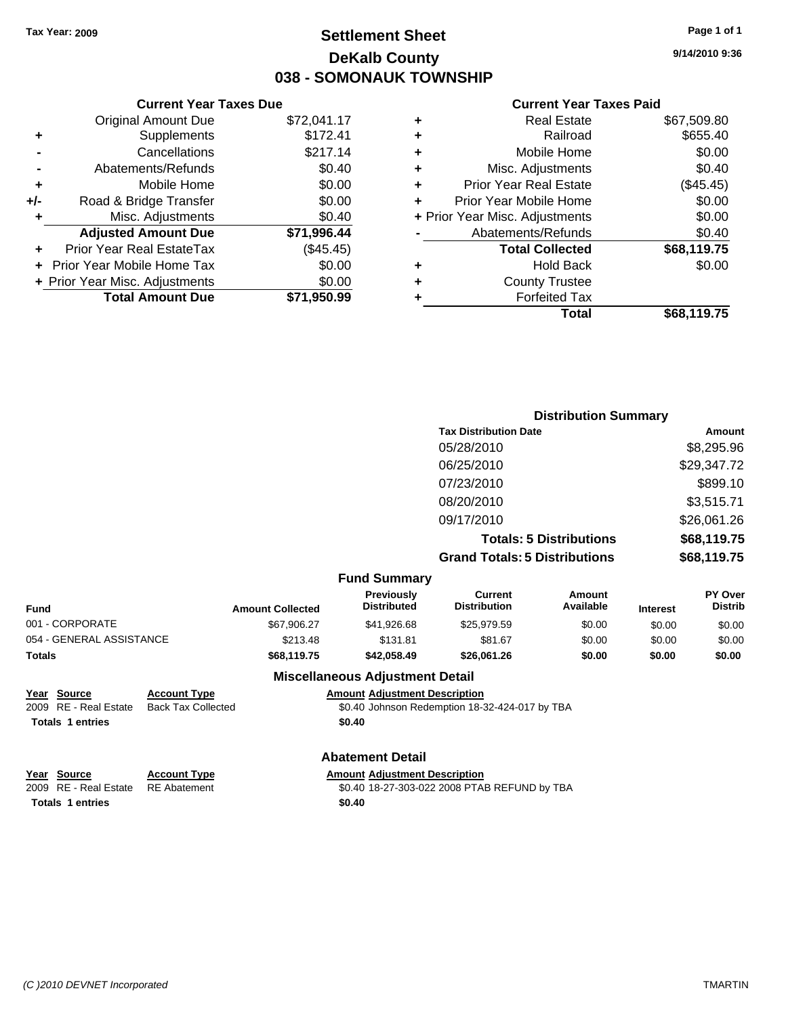### **Settlement Sheet Tax Year: 2009 Page 1 of 1 DeKalb County 038 - SOMONAUK TOWNSHIP**

**9/14/2010 9:36**

#### **Current Year Taxes Paid**

|     | <b>Current Year Taxes Due</b>  |             |
|-----|--------------------------------|-------------|
|     | <b>Original Amount Due</b>     | \$72,041.17 |
| ٠   | Supplements                    | \$172.41    |
|     | Cancellations                  | \$217.14    |
|     | Abatements/Refunds             | \$0.40      |
| ٠   | Mobile Home                    | \$0.00      |
| +/- | Road & Bridge Transfer         | \$0.00      |
| ٠   | Misc. Adjustments              | \$0.40      |
|     | <b>Adjusted Amount Due</b>     | \$71,996.44 |
|     | Prior Year Real EstateTax      | (\$45.45)   |
|     | Prior Year Mobile Home Tax     | \$0.00      |
|     | + Prior Year Misc. Adjustments | \$0.00      |
|     | <b>Total Amount Due</b>        | \$71,950.99 |
|     |                                |             |

| ٠ | <b>Real Estate</b>             | \$67,509.80 |
|---|--------------------------------|-------------|
| ٠ | Railroad                       | \$655.40    |
| ٠ | Mobile Home                    | \$0.00      |
| ٠ | Misc. Adjustments              | \$0.40      |
| ÷ | <b>Prior Year Real Estate</b>  | (\$45.45)   |
| ٠ | Prior Year Mobile Home         | \$0.00      |
|   | + Prior Year Misc. Adjustments | \$0.00      |
|   | Abatements/Refunds             | \$0.40      |
|   | <b>Total Collected</b>         | \$68,119.75 |
| ٠ | Hold Back                      | \$0.00      |
| ٠ | <b>County Trustee</b>          |             |
| ٠ | <b>Forfeited Tax</b>           |             |
|   | Total                          | \$68,119.75 |
|   |                                |             |

|                          |                           |                                         |                                                | <b>Distribution Summary</b>    |                 |                           |
|--------------------------|---------------------------|-----------------------------------------|------------------------------------------------|--------------------------------|-----------------|---------------------------|
|                          |                           |                                         | <b>Tax Distribution Date</b>                   |                                |                 | Amount                    |
|                          |                           |                                         | 05/28/2010                                     |                                |                 | \$8,295.96                |
|                          |                           |                                         | 06/25/2010                                     |                                |                 | \$29,347.72               |
|                          |                           |                                         | 07/23/2010                                     |                                |                 | \$899.10                  |
|                          |                           |                                         | 08/20/2010                                     |                                |                 | \$3,515.71                |
|                          |                           |                                         | 09/17/2010                                     |                                |                 | \$26,061.26               |
|                          |                           |                                         |                                                | <b>Totals: 5 Distributions</b> |                 | \$68,119.75               |
|                          |                           |                                         | <b>Grand Totals: 5 Distributions</b>           |                                |                 | \$68,119.75               |
|                          |                           | <b>Fund Summary</b>                     |                                                |                                |                 |                           |
| Fund                     | <b>Amount Collected</b>   | <b>Previously</b><br><b>Distributed</b> | <b>Current</b><br><b>Distribution</b>          | <b>Amount</b><br>Available     | <b>Interest</b> | PY Over<br><b>Distrib</b> |
| 001 - CORPORATE          | \$67,906.27               | \$41,926.68                             | \$25,979.59                                    | \$0.00                         | \$0.00          | \$0.00                    |
| 054 - GENERAL ASSISTANCE | \$213.48                  | \$131.81                                | \$81.67                                        | \$0.00                         | \$0.00          | \$0.00                    |
| Totals                   | \$68,119.75               | \$42,058.49                             | \$26,061.26                                    | \$0.00                         | \$0.00          | \$0.00                    |
|                          |                           | <b>Miscellaneous Adjustment Detail</b>  |                                                |                                |                 |                           |
| Year Source              | <b>Account Type</b>       | <b>Amount Adjustment Description</b>    |                                                |                                |                 |                           |
| 2009 RE - Real Estate    | <b>Back Tax Collected</b> |                                         | \$0.40 Johnson Redemption 18-32-424-017 by TBA |                                |                 |                           |

**Totals 1 entries** \$0.40

## **Abatement Detail**

| Year Source                        | <b>Account Type</b> | <b>Amount Adiustment Description</b>         |
|------------------------------------|---------------------|----------------------------------------------|
| 2009 RE - Real Estate RE Abatement |                     | \$0.40 18-27-303-022 2008 PTAB REFUND by TBA |
| <b>Totals 1 entries</b>            |                     | \$0.40                                       |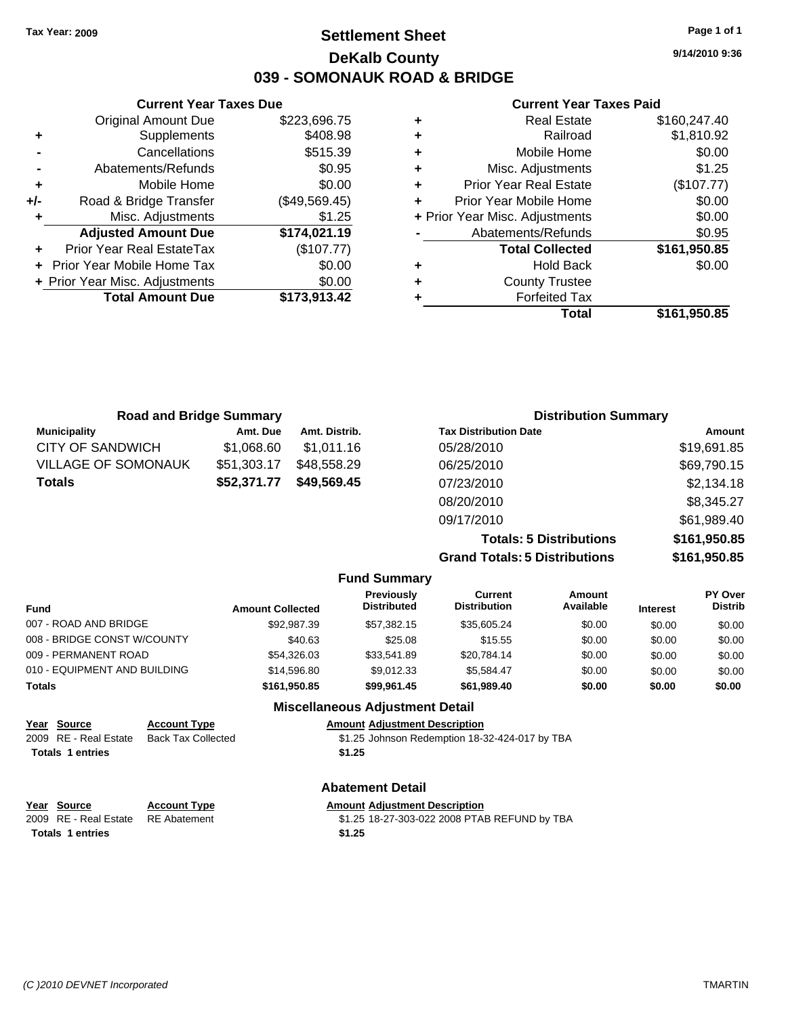### **Settlement Sheet Tax Year: 2009 Page 1 of 1 DeKalb County 039 - SOMONAUK ROAD & BRIDGE**

**9/14/2010 9:36**

#### **Current Year Taxes Paid**

|   | Total                          | \$161.950.85 |
|---|--------------------------------|--------------|
|   | <b>Forfeited Tax</b>           |              |
| ٠ | <b>County Trustee</b>          |              |
| ٠ | <b>Hold Back</b>               | \$0.00       |
|   | <b>Total Collected</b>         | \$161,950.85 |
|   | Abatements/Refunds             | \$0.95       |
|   | + Prior Year Misc. Adjustments | \$0.00       |
| ÷ | Prior Year Mobile Home         | \$0.00       |
| ٠ | <b>Prior Year Real Estate</b>  | (\$107.77)   |
| ٠ | Misc. Adjustments              | \$1.25       |
| ÷ | Mobile Home                    | \$0.00       |
| ٠ | Railroad                       | \$1,810.92   |
| ٠ | <b>Real Estate</b>             | \$160,247.40 |

|     | <b>Current Year Taxes Due</b>     |               |
|-----|-----------------------------------|---------------|
|     | Original Amount Due               | \$223,696.75  |
| ٠   | Supplements                       | \$408.98      |
|     | Cancellations                     | \$515.39      |
|     | Abatements/Refunds                | \$0.95        |
| ٠   | Mobile Home                       | \$0.00        |
| +/- | Road & Bridge Transfer            | (\$49,569.45) |
| ٠   | Misc. Adjustments                 | \$1.25        |
|     | <b>Adjusted Amount Due</b>        | \$174,021.19  |
|     | Prior Year Real EstateTax         | (\$107.77)    |
|     | <b>Prior Year Mobile Home Tax</b> | \$0.00        |
|     | + Prior Year Misc. Adjustments    | \$0.00        |
|     | <b>Total Amount Due</b>           | \$173,913.42  |
|     |                                   |               |

| <b>Road and Bridge Summary</b> |             |               | <b>Distribution Summary</b>          |               |  |
|--------------------------------|-------------|---------------|--------------------------------------|---------------|--|
| <b>Municipality</b>            | Amt. Due    | Amt. Distrib. | <b>Tax Distribution Date</b>         | <b>Amount</b> |  |
| <b>CITY OF SANDWICH</b>        | \$1,068.60  | \$1,011.16    | 05/28/2010                           | \$19,691.85   |  |
| <b>VILLAGE OF SOMONAUK</b>     | \$51,303.17 | \$48,558.29   | 06/25/2010                           | \$69,790.15   |  |
| <b>Totals</b>                  | \$52,371.77 | \$49,569,45   | 07/23/2010                           | \$2,134.18    |  |
|                                |             |               | 08/20/2010                           | \$8,345.27    |  |
|                                |             |               | 09/17/2010                           | \$61,989.40   |  |
|                                |             |               | <b>Totals: 5 Distributions</b>       | \$161,950.85  |  |
|                                |             |               | <b>Grand Totals: 5 Distributions</b> | \$161,950.85  |  |

|                             |                              |                           |                         | <b>Fund Summary</b>                     |                                                |                     |                 |                           |
|-----------------------------|------------------------------|---------------------------|-------------------------|-----------------------------------------|------------------------------------------------|---------------------|-----------------|---------------------------|
| <b>Fund</b>                 |                              |                           | <b>Amount Collected</b> | <b>Previously</b><br><b>Distributed</b> | <b>Current</b><br><b>Distribution</b>          | Amount<br>Available | <b>Interest</b> | PY Over<br><b>Distrib</b> |
|                             | 007 - ROAD AND BRIDGE        |                           | \$92,987.39             | \$57.382.15                             | \$35,605.24                                    | \$0.00              | \$0.00          | \$0.00                    |
| 008 - BRIDGE CONST W/COUNTY |                              |                           | \$40.63                 | \$25.08                                 | \$15.55                                        | \$0.00              | \$0.00          | \$0.00                    |
| 009 - PERMANENT ROAD        |                              |                           | \$54,326,03             | \$33.541.89                             | \$20.784.14                                    | \$0.00              | \$0.00          | \$0.00                    |
|                             | 010 - EQUIPMENT AND BUILDING |                           | \$14,596.80             | \$9.012.33                              | \$5.584.47                                     | \$0.00              | \$0.00          | \$0.00                    |
| <b>Totals</b>               |                              | \$161,950.85              | \$99,961.45             | \$61,989.40                             | \$0.00                                         | \$0.00              | \$0.00          |                           |
|                             |                              |                           |                         | <b>Miscellaneous Adjustment Detail</b>  |                                                |                     |                 |                           |
|                             | Year Source                  | <b>Account Type</b>       |                         | <b>Amount Adjustment Description</b>    |                                                |                     |                 |                           |
|                             | 2009 RE - Real Estate        | <b>Back Tay Collected</b> |                         |                                         | \$1.25 Johnson Redemption 18-32-424-017 by TRA |                     |                 |                           |

#### 2009 RE - Real Estate Back Tax Collected **51.25 Johnson Redemption 18-32-424-017** by TBA Totals 1 entries \$1.25

**Year Source Account Type Amount Adjustment Description**<br>2009 RE - Real Estate RE Abatement **1998 Amount Adjustment Description** Totals 1 entries \$1.25

**Abatement Detail**

\$1.25 18-27-303-022 2008 PTAB REFUND by TBA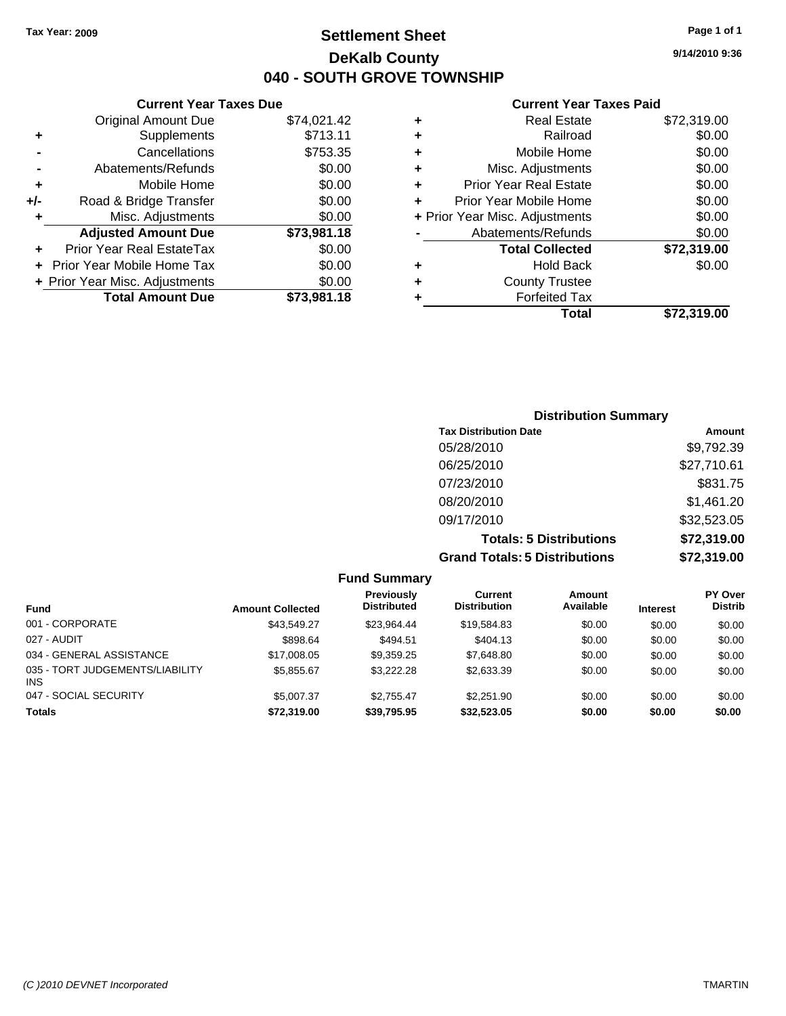**Current Year Taxes Due** Original Amount Due \$74,021.42

**Adjusted Amount Due \$73,981.18**

**Total Amount Due \$73,981.18**

**+** Supplements \$713.11 **-** Cancellations **\$753.35 -** Abatements/Refunds \$0.00 **+** Mobile Home \$0.00 **+/-** Road & Bridge Transfer \$0.00 **+** Misc. Adjustments \$0.00

**+** Prior Year Real EstateTax \$0.00 **+** Prior Year Mobile Home Tax \$0.00 **+ Prior Year Misc. Adjustments**  $$0.00$ 

### **Settlement Sheet Tax Year: 2009 Page 1 of 1 DeKalb County 040 - SOUTH GROVE TOWNSHIP**

**9/14/2010 9:36**

#### **Current Year Taxes Paid**

| ٠ | <b>Real Estate</b>             | \$72,319.00 |
|---|--------------------------------|-------------|
| ٠ | Railroad                       | \$0.00      |
| ٠ | Mobile Home                    | \$0.00      |
| ٠ | Misc. Adjustments              | \$0.00      |
| ٠ | <b>Prior Year Real Estate</b>  | \$0.00      |
| ÷ | Prior Year Mobile Home         | \$0.00      |
|   | + Prior Year Misc. Adjustments | \$0.00      |
|   | Abatements/Refunds             | \$0.00      |
|   | <b>Total Collected</b>         | \$72,319.00 |
| ٠ | <b>Hold Back</b>               | \$0.00      |
| ٠ | <b>County Trustee</b>          |             |
|   | <b>Forfeited Tax</b>           |             |
|   | Total                          | \$72,319.00 |

### **Distribution Summary Tax Distribution Date Amount** 05/28/2010 \$9,792.39 06/25/2010 \$27,710.61 07/23/2010 \$831.75 08/20/2010 \$1,461.20 09/17/2010 \$32,523.05 **Totals: 5 Distributions \$72,319.00 Grand Totals: 5 Distributions \$72,319.00**

**Fund Summary Fund Interest Amount Collected Distributed PY Over Distrib Amount Available Current Distribution Previously** 001 - CORPORATE \$43,549.27 \$23,964.44 \$19,584.83 \$0.00 \$0.00 \$0.00 027 - AUDIT \$898.64 \$494.51 \$404.13 \$0.00 \$0.00 \$0.00 034 - GENERAL ASSISTANCE \$17,008.05 \$9,359.25 \$7,648.80 \$0.00 \$0.00 \$0.00 035 - TORT JUDGEMENTS/LIABILITY INS \$5,855.67 \$3,222.28 \$2,633.39 \$0.00 \$0.00 \$0.00 047 - SOCIAL SECURITY \$5,007.37 \$2,755.47 \$2,251.90 \$0.00 \$0.00 \$0.00 \$0.00 **Totals \$72,319.00 \$39,795.95 \$32,523.05 \$0.00 \$0.00 \$0.00**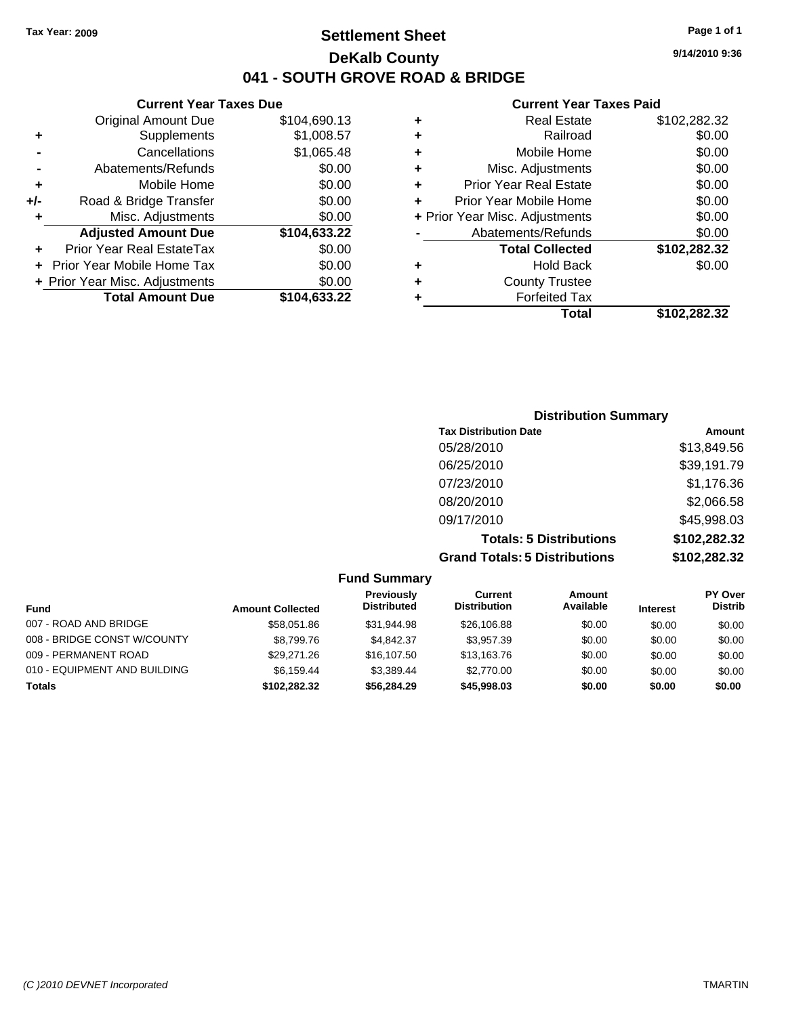### **Settlement Sheet Tax Year: 2009 Page 1 of 1 DeKalb County 041 - SOUTH GROVE ROAD & BRIDGE**

#### **Current Year Taxes Due**

|     | <b>Original Amount Due</b>     | \$104,690.13 |
|-----|--------------------------------|--------------|
| ٠   | Supplements                    | \$1,008.57   |
|     | Cancellations                  | \$1,065.48   |
|     | Abatements/Refunds             | \$0.00       |
| ٠   | Mobile Home                    | \$0.00       |
| +/- | Road & Bridge Transfer         | \$0.00       |
| ٠   | Misc. Adjustments              | \$0.00       |
|     | <b>Adjusted Amount Due</b>     | \$104,633.22 |
| ÷   | Prior Year Real EstateTax      | \$0.00       |
|     | Prior Year Mobile Home Tax     | \$0.00       |
|     | + Prior Year Misc. Adjustments | \$0.00       |
|     | <b>Total Amount Due</b>        | \$104,633.22 |
|     |                                |              |

#### **Current Year Taxes Paid**

|   | <b>Real Estate</b>             | \$102,282.32 |
|---|--------------------------------|--------------|
| ٠ | Railroad                       | \$0.00       |
| ٠ | Mobile Home                    | \$0.00       |
| ٠ | Misc. Adjustments              | \$0.00       |
| ٠ | <b>Prior Year Real Estate</b>  | \$0.00       |
|   | Prior Year Mobile Home         | \$0.00       |
|   | + Prior Year Misc. Adjustments | \$0.00       |
|   | Abatements/Refunds             | \$0.00       |
|   | <b>Total Collected</b>         | \$102,282.32 |
| ٠ | <b>Hold Back</b>               | \$0.00       |
| ٠ | <b>County Trustee</b>          |              |
| ٠ | <b>Forfeited Tax</b>           |              |
|   | Total                          | \$102,282.32 |
|   |                                |              |

### **Distribution Summary Tax Distribution Date Amount** 05/28/2010 \$13,849.56 06/25/2010 \$39,191.79 07/23/2010 \$1,176.36 08/20/2010 \$2,066.58 09/17/2010 \$45,998.03 **Totals: 5 Distributions \$102,282.32 Grand Totals: 5 Distributions \$102,282.32**

|                              |                         | <b>Fund Summary</b>              |                                |                     |                 |                                  |
|------------------------------|-------------------------|----------------------------------|--------------------------------|---------------------|-----------------|----------------------------------|
| <b>Fund</b>                  | <b>Amount Collected</b> | Previously<br><b>Distributed</b> | Current<br><b>Distribution</b> | Amount<br>Available | <b>Interest</b> | <b>PY Over</b><br><b>Distrib</b> |
| 007 - ROAD AND BRIDGE        | \$58.051.86             | \$31.944.98                      | \$26,106.88                    | \$0.00              | \$0.00          | \$0.00                           |
| 008 - BRIDGE CONST W/COUNTY  | \$8.799.76              | \$4.842.37                       | \$3,957.39                     | \$0.00              | \$0.00          | \$0.00                           |
| 009 - PERMANENT ROAD         | \$29.271.26             | \$16,107.50                      | \$13,163.76                    | \$0.00              | \$0.00          | \$0.00                           |
| 010 - EQUIPMENT AND BUILDING | \$6.159.44              | \$3.389.44                       | \$2,770.00                     | \$0.00              | \$0.00          | \$0.00                           |
| <b>Totals</b>                | \$102.282.32            | \$56,284,29                      | \$45,998.03                    | \$0.00              | \$0.00          | \$0.00                           |

**9/14/2010 9:36**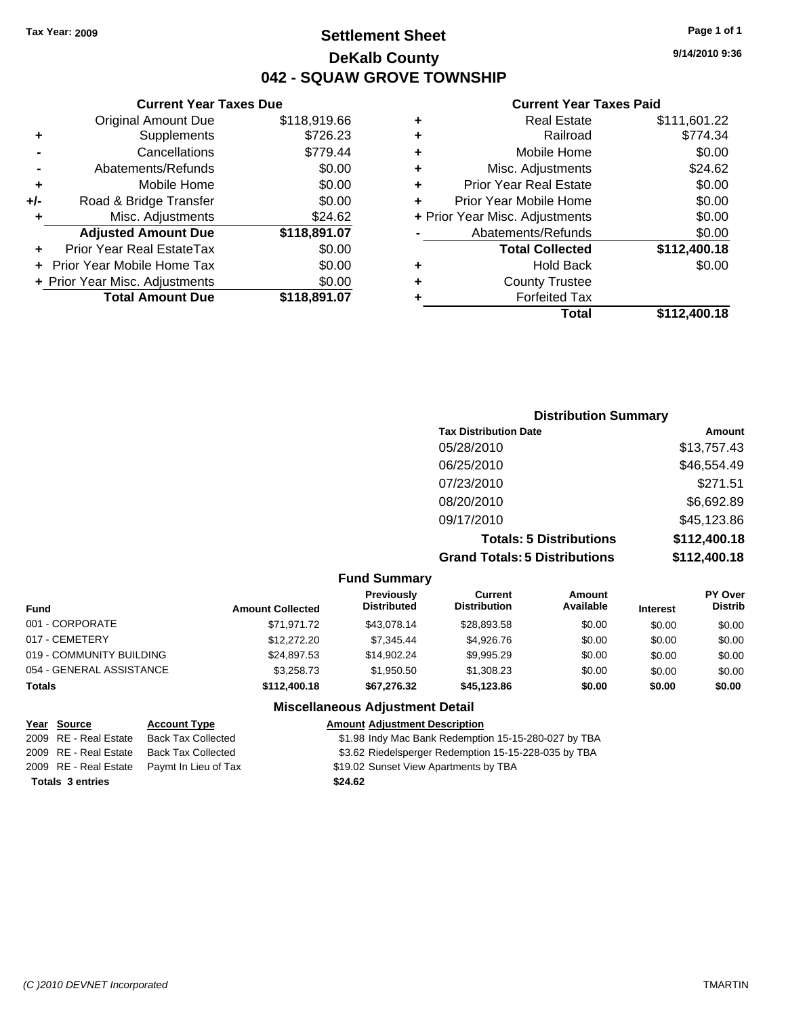### **Settlement Sheet Tax Year: 2009 Page 1 of 1 DeKalb County 042 - SQUAW GROVE TOWNSHIP**

#### **Current Year Taxes Due**

|     | <b>Original Amount Due</b>       | \$118,919.66 |
|-----|----------------------------------|--------------|
| ٠   | Supplements                      | \$726.23     |
|     | Cancellations                    | \$779.44     |
|     | Abatements/Refunds               | \$0.00       |
| ٠   | Mobile Home                      | \$0.00       |
| +/- | Road & Bridge Transfer           | \$0.00       |
| ٠   | Misc. Adjustments                | \$24.62      |
|     | <b>Adjusted Amount Due</b>       | \$118,891.07 |
|     | <b>Prior Year Real EstateTax</b> | \$0.00       |
|     | Prior Year Mobile Home Tax       | \$0.00       |
|     | + Prior Year Misc. Adjustments   | \$0.00       |
|     | <b>Total Amount Due</b>          | \$118,891.07 |

#### **Current Year Taxes Paid**

| ٠ | <b>Real Estate</b>             | \$111,601.22 |
|---|--------------------------------|--------------|
| ٠ | Railroad                       | \$774.34     |
| ٠ | Mobile Home                    | \$0.00       |
| ٠ | Misc. Adjustments              | \$24.62      |
| ٠ | <b>Prior Year Real Estate</b>  | \$0.00       |
| ٠ | Prior Year Mobile Home         | \$0.00       |
|   | + Prior Year Misc. Adjustments | \$0.00       |
|   | Abatements/Refunds             | \$0.00       |
|   | <b>Total Collected</b>         | \$112,400.18 |
| ٠ | <b>Hold Back</b>               | \$0.00       |
| ٠ | <b>County Trustee</b>          |              |
| ٠ | <b>Forfeited Tax</b>           |              |
|   | Total                          | \$112,400.18 |
|   |                                |              |

### **Distribution Summary Tax Distribution Date Amount** 05/28/2010 \$13,757.43 06/25/2010 \$46,554.49 07/23/2010 \$271.51 08/20/2010 \$6,692.89 09/17/2010 \$45,123.86 **Totals: 5 Distributions \$112,400.18 Grand Totals: 5 Distributions \$112,400.18**

#### **Fund Summary**

| <b>Fund</b>              | <b>Amount Collected</b> | Previously<br><b>Distributed</b> | Current<br><b>Distribution</b> | Amount<br>Available | <b>Interest</b> | <b>PY Over</b><br><b>Distrib</b> |  |
|--------------------------|-------------------------|----------------------------------|--------------------------------|---------------------|-----------------|----------------------------------|--|
| 001 - CORPORATE          | \$71.971.72             | \$43.078.14                      | \$28,893.58                    | \$0.00              | \$0.00          | \$0.00                           |  |
| 017 - CEMETERY           | \$12,272.20             | \$7.345.44                       | \$4.926.76                     | \$0.00              | \$0.00          | \$0.00                           |  |
| 019 - COMMUNITY BUILDING | \$24,897.53             | \$14.902.24                      | \$9,995.29                     | \$0.00              | \$0.00          | \$0.00                           |  |
| 054 - GENERAL ASSISTANCE | \$3,258.73              | \$1.950.50                       | \$1,308.23                     | \$0.00              | \$0.00          | \$0.00                           |  |
| <b>Totals</b>            | \$112,400.18            | \$67.276.32                      | \$45,123.86                    | \$0.00              | \$0.00          | \$0.00                           |  |

#### **Miscellaneous Adjustment Detail**

#### **Year Source Account Type Amount Adjustment Description** 2009 RE - Real Estate Back Tax Collected \$1.98 Indy Mac Bank Redemption 15-15-280-027 by TBA 2009 RE - Real Estate Back Tax Collected \$3.62 Riedelsperger Redemption 15-15-228-035 by TBA 2009 RE - Real Estate Paymt In Lieu of Tax Payments by TBA Payments by TBA **Totals \$24.62 3 entries**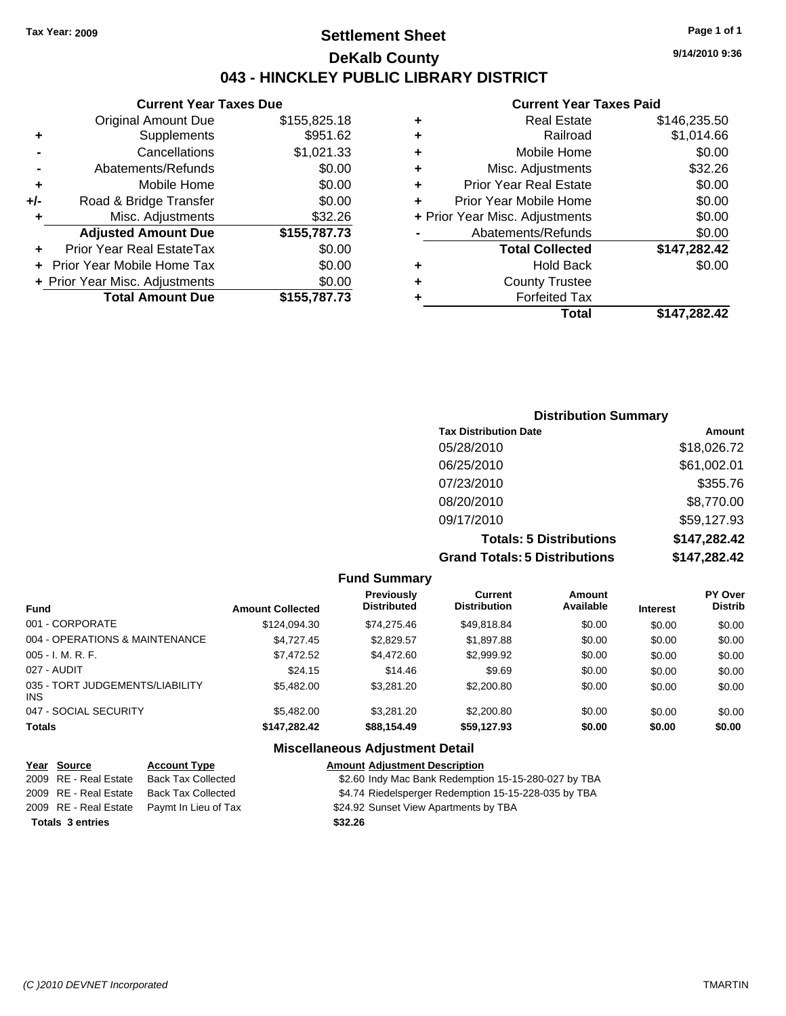### **Settlement Sheet Tax Year: 2009 Page 1 of 1 DeKalb County 043 - HINCKLEY PUBLIC LIBRARY DISTRICT**

#### **Current Year Taxes Due**

|     | <b>Original Amount Due</b>        | \$155,825.18 |
|-----|-----------------------------------|--------------|
| ٠   | Supplements                       | \$951.62     |
|     | Cancellations                     | \$1,021.33   |
|     | Abatements/Refunds                | \$0.00       |
| ÷   | Mobile Home                       | \$0.00       |
| +/- | Road & Bridge Transfer            | \$0.00       |
| ٠   | Misc. Adjustments                 | \$32.26      |
|     | <b>Adjusted Amount Due</b>        | \$155,787.73 |
|     | Prior Year Real EstateTax         | \$0.00       |
|     | <b>Prior Year Mobile Home Tax</b> | \$0.00       |
|     | + Prior Year Misc. Adjustments    | \$0.00       |
|     | <b>Total Amount Due</b>           | \$155,787.73 |
|     |                                   |              |

#### **Current Year Taxes Paid**

| ٠ | <b>Real Estate</b>             | \$146,235.50 |
|---|--------------------------------|--------------|
| ٠ | Railroad                       | \$1,014.66   |
| ٠ | Mobile Home                    | \$0.00       |
| ٠ | Misc. Adjustments              | \$32.26      |
| ٠ | <b>Prior Year Real Estate</b>  | \$0.00       |
| ٠ | Prior Year Mobile Home         | \$0.00       |
|   | + Prior Year Misc. Adjustments | \$0.00       |
|   | Abatements/Refunds             | \$0.00       |
|   | <b>Total Collected</b>         | \$147,282.42 |
| ٠ | <b>Hold Back</b>               | \$0.00       |
| ٠ | <b>County Trustee</b>          |              |
| ٠ | <b>Forfeited Tax</b>           |              |
|   | Total                          | \$147,282.42 |
|   |                                |              |

### **Distribution Summary Tax Distribution Date Amount** 05/28/2010 \$18,026.72 06/25/2010 \$61,002.01 07/23/2010 \$355.76 08/20/2010 \$8,770.00 09/17/2010 \$59,127.93 **Totals: 5 Distributions \$147,282.42 Grand Totals: 5 Distributions \$147,282.42**

#### **Fund Summary Fund Interest Amount Collected Distributed PY Over Distrib Amount Available Current Distribution Previously** 001 - CORPORATE \$124,094.30 \$74,275.46 \$49,818.84 \$0.00 \$0.00 \$0.00 004 - OPERATIONS & MAINTENANCE \$4,727.45 \$2,829.57 \$1,897.88 \$0.00 \$0.00 \$0.00 005 - I. M. R. F. \$7,472.52 \$4,472.60 \$2,999.92 \$0.00 \$0.00 \$0.00 027 - AUDIT \$24.15 \$14.46 \$9.69 \$0.00 \$0.00 \$0.00 035 - TORT JUDGEMENTS/LIABILITY INS \$5,482.00 \$3,281.20 \$2,200.80 \$0.00 \$0.00 \$0.00 047 - SOCIAL SECURITY \$5,482.00 \$3,281.20 \$2,200.80 \$0.00 \$0.00 \$0.00 **Totals \$147,282.42 \$88,154.49 \$59,127.93 \$0.00 \$0.00 \$0.00 Miscellaneous Adjustment Detail**

#### **Year Source Account Type Amount Adjustment Description** 2009 RE - Real Estate Back Tax Collected \$2.60 Indy Mac Bank Redemption 15-15-280-027 by TBA 2009 RE - Real Estate Back Tax Collected \$4.74 Riedelsperger Redemption 15-15-228-035 by TBA 2009 RE - Real Estate Paymt In Lieu of Tax **824.92 Sunset View Apartments by TBA Totals \$32.26 3 entries**

**9/14/2010 9:36**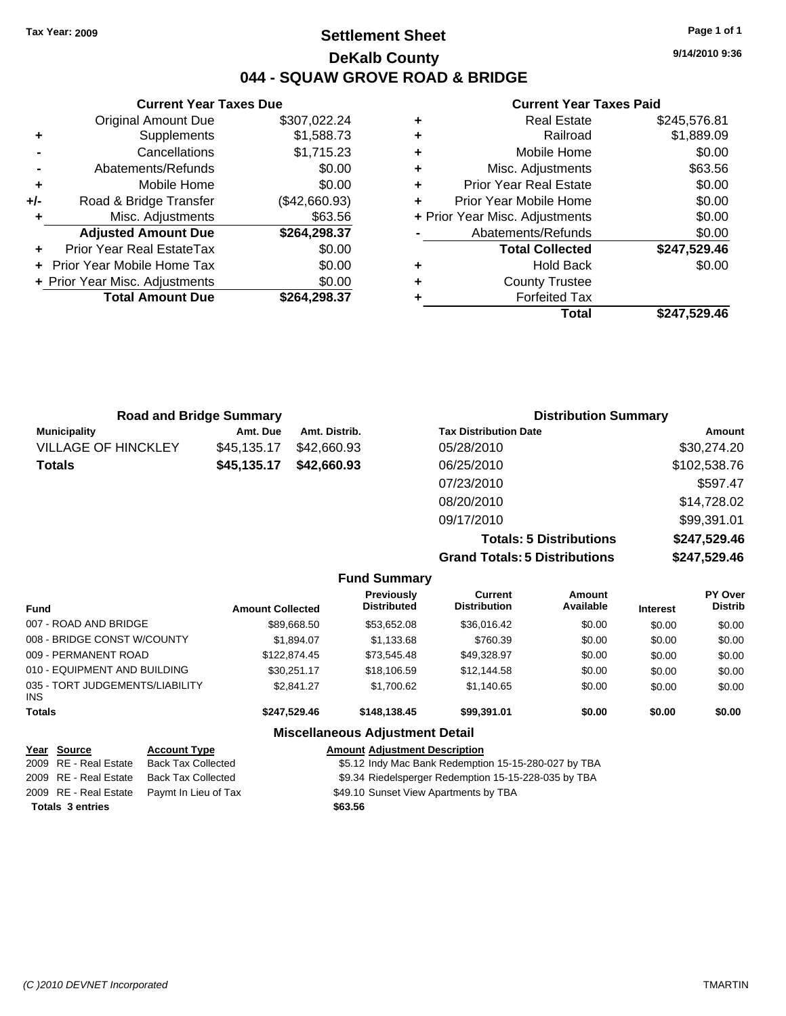**Current Year Taxes Due** Original Amount Due \$307,022.24

**Adjusted Amount Due \$264,298.37**

**+** Supplements \$1,588.73 **-** Cancellations \$1,715.23 **-** Abatements/Refunds \$0.00 **+** Mobile Home \$0.00 **+/-** Road & Bridge Transfer (\$42,660.93) **+** Misc. Adjustments \$63.56

**+** Prior Year Real EstateTax \$0.00 **+** Prior Year Mobile Home Tax \$0.00 **+ Prior Year Misc. Adjustments**  $$0.00$ 

**Totals \$45,135.17 \$42,660.93**

### **Settlement Sheet Tax Year: 2009 Page 1 of 1 DeKalb County 044 - SQUAW GROVE ROAD & BRIDGE**

**9/14/2010 9:36**

#### **Current Year Taxes Paid**

| ٠ | <b>Real Estate</b>             | \$245,576.81 |
|---|--------------------------------|--------------|
| ٠ | Railroad                       | \$1,889.09   |
| ٠ | Mobile Home                    | \$0.00       |
| ٠ | Misc. Adjustments              | \$63.56      |
| ÷ | <b>Prior Year Real Estate</b>  | \$0.00       |
| ٠ | Prior Year Mobile Home         | \$0.00       |
|   | + Prior Year Misc. Adjustments | \$0.00       |
|   | Abatements/Refunds             | \$0.00       |
|   | <b>Total Collected</b>         | \$247,529.46 |
| ٠ | <b>Hold Back</b>               | \$0.00       |
| ٠ | <b>County Trustee</b>          |              |
|   | <b>Forfeited Tax</b>           |              |
|   | Total                          | \$247.529.46 |

| <b>Total Amount Due</b>    |                                | \$264,298.37  | ÷ | <b>Forfeited Tax</b>         |
|----------------------------|--------------------------------|---------------|---|------------------------------|
|                            |                                |               |   | Total                        |
|                            |                                |               |   |                              |
|                            | <b>Road and Bridge Summary</b> |               |   | <b>Distribution Sun</b>      |
| <b>Municipality</b>        | Amt. Due                       | Amt. Distrib. |   | <b>Tax Distribution Date</b> |
| <b>VILLAGE OF HINCKLEY</b> | \$45,135.17                    | \$42,660.93   |   | 05/28/2010                   |

|                                      | <b>Distribution Summary</b> |  |  |
|--------------------------------------|-----------------------------|--|--|
| <b>Tax Distribution Date</b>         | Amount                      |  |  |
| 05/28/2010                           | \$30,274.20                 |  |  |
| 06/25/2010                           | \$102,538.76                |  |  |
| 07/23/2010                           | \$597.47                    |  |  |
| 08/20/2010                           | \$14,728.02                 |  |  |
| 09/17/2010                           | \$99,391.01                 |  |  |
| <b>Totals: 5 Distributions</b>       | \$247,529.46                |  |  |
| <b>Grand Totals: 5 Distributions</b> | \$247,529.46                |  |  |

|  | <b>Fund Summary</b> |
|--|---------------------|
|--|---------------------|

|                                               |                         | - - - - - - - - - - - - -               |                                |                            |                 |                                  |
|-----------------------------------------------|-------------------------|-----------------------------------------|--------------------------------|----------------------------|-----------------|----------------------------------|
| <b>Fund</b>                                   | <b>Amount Collected</b> | <b>Previously</b><br><b>Distributed</b> | Current<br><b>Distribution</b> | <b>Amount</b><br>Available | <b>Interest</b> | <b>PY Over</b><br><b>Distrib</b> |
| 007 - ROAD AND BRIDGE                         | \$89,668.50             | \$53.652.08                             | \$36,016.42                    | \$0.00                     | \$0.00          | \$0.00                           |
| 008 - BRIDGE CONST W/COUNTY                   | \$1,894.07              | \$1,133.68                              | \$760.39                       | \$0.00                     | \$0.00          | \$0.00                           |
| 009 - PERMANENT ROAD                          | \$122,874.45            | \$73.545.48                             | \$49,328.97                    | \$0.00                     | \$0.00          | \$0.00                           |
| 010 - EQUIPMENT AND BUILDING                  | \$30.251.17             | \$18,106.59                             | \$12,144.58                    | \$0.00                     | \$0.00          | \$0.00                           |
| 035 - TORT JUDGEMENTS/LIABILITY<br><b>INS</b> | \$2,841.27              | \$1,700.62                              | \$1,140.65                     | \$0.00                     | \$0.00          | \$0.00                           |
| <b>Totals</b>                                 | \$247,529.46            | \$148.138.45                            | \$99.391.01                    | \$0.00                     | \$0.00          | \$0.00                           |
|                                               |                         |                                         |                                |                            |                 |                                  |

#### **Miscellaneous Adjustment Detail**

| Year Source             | <b>Account Type</b>                        | <b>Amount Adjustment Description</b>                 |
|-------------------------|--------------------------------------------|------------------------------------------------------|
| 2009 RE - Real Estate   | <b>Back Tax Collected</b>                  | \$5.12 Indy Mac Bank Redemption 15-15-280-027 by TBA |
| 2009 RE - Real Estate   | Back Tax Collected                         | \$9.34 Riedelsperger Redemption 15-15-228-035 by TBA |
|                         | 2009 RE - Real Estate Paymt In Lieu of Tax | \$49.10 Sunset View Apartments by TBA                |
| <b>Totals 3 entries</b> |                                            | \$63.56                                              |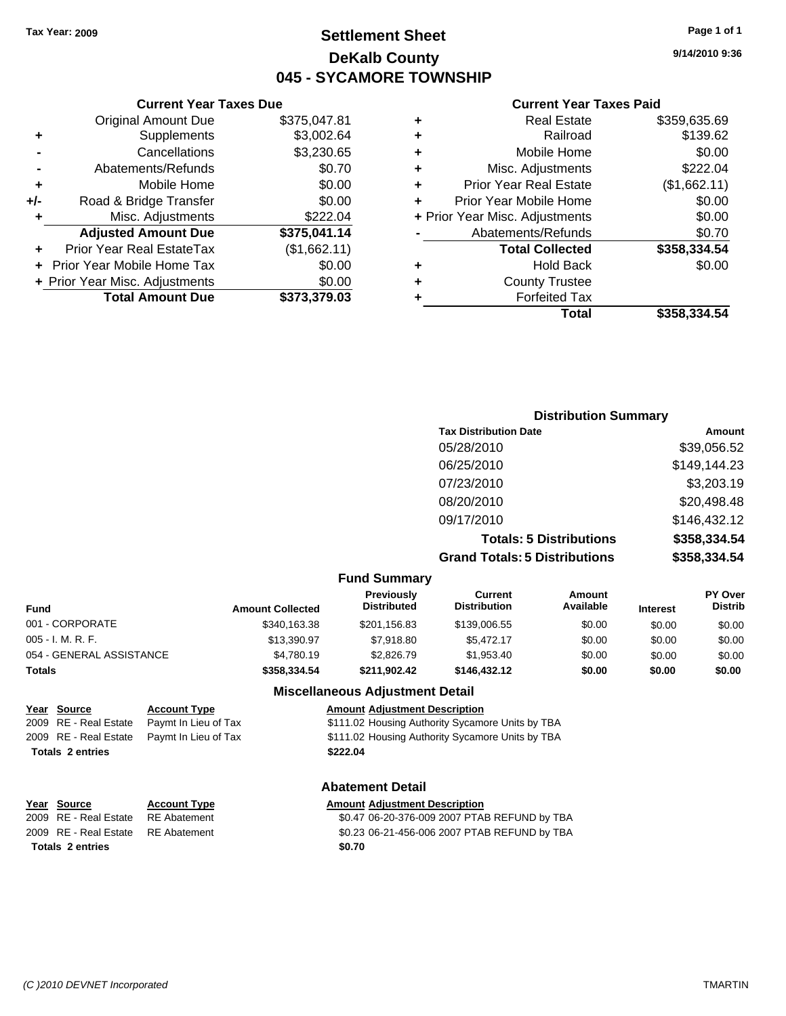### **Settlement Sheet Tax Year: 2009 Page 1 of 1 DeKalb County 045 - SYCAMORE TOWNSHIP**

#### **Current Year Taxes Due**

| <b>Original Amount Due</b>       | \$375,047.81                   |
|----------------------------------|--------------------------------|
| Supplements                      | \$3,002.64                     |
| Cancellations                    | \$3,230.65                     |
| Abatements/Refunds               | \$0.70                         |
| Mobile Home                      | \$0.00                         |
| Road & Bridge Transfer           | \$0.00                         |
| Misc. Adjustments                | \$222.04                       |
| <b>Adjusted Amount Due</b>       | \$375,041.14                   |
| <b>Prior Year Real EstateTax</b> | (\$1,662.11)                   |
| Prior Year Mobile Home Tax       | \$0.00                         |
|                                  | \$0.00                         |
| <b>Total Amount Due</b>          | \$373,379.03                   |
|                                  | + Prior Year Misc. Adjustments |

#### **Current Year Taxes Paid**

| ٠ | <b>Real Estate</b>             | \$359,635.69 |
|---|--------------------------------|--------------|
| ٠ | Railroad                       | \$139.62     |
| ٠ | Mobile Home                    | \$0.00       |
| ٠ | Misc. Adjustments              | \$222.04     |
| ÷ | <b>Prior Year Real Estate</b>  | (\$1,662.11) |
| ٠ | Prior Year Mobile Home         | \$0.00       |
|   | + Prior Year Misc. Adjustments | \$0.00       |
|   | Abatements/Refunds             | \$0.70       |
|   | <b>Total Collected</b>         | \$358,334.54 |
| ٠ | Hold Back                      | \$0.00       |
| ٠ | <b>County Trustee</b>          |              |
| ٠ | <b>Forfeited Tax</b>           |              |
|   | Total                          | \$358,334.54 |
|   |                                |              |

### **Distribution Summary Tax Distribution Date Amount** 05/28/2010 \$39,056.52 06/25/2010 \$149,144.23 07/23/2010 \$3,203.19 08/20/2010 \$20,498.48 09/17/2010 \$146,432.12 **Totals: 5 Distributions \$358,334.54 Grand Totals: 5 Distributions \$358,334.54**

#### **Fund Summary Fund Interest Amount Collected Distributed PY Over Distrib Amount Available Current Distribution Previously** 001 - CORPORATE \$340,163.38 \$201,156.83 \$139,006.55 \$0.00 \$0.00 \$0.00 005 - I. M. R. F. \$13,390.97 \$7,918.80 \$5,472.17 \$0.00 \$0.00 \$0.00 054 - GENERAL ASSISTANCE \$4,780.19 \$2,826.79 \$1,953.40 \$0.00 \$0.00 \$0.00 **Totals \$358,334.54 \$211,902.42 \$146,432.12 \$0.00 \$0.00 \$0.00**

#### **Miscellaneous Adjustment Detail**

| Year Source             | <b>Account Type</b>                        | <b>Amount Adjustment Description</b>             |
|-------------------------|--------------------------------------------|--------------------------------------------------|
|                         | 2009 RE - Real Estate Paymt In Lieu of Tax | \$111.02 Housing Authority Sycamore Units by TBA |
|                         | 2009 RE - Real Estate Paymt In Lieu of Tax | \$111.02 Housing Authority Sycamore Units by TBA |
| <b>Totals 2 entries</b> |                                            | \$222.04                                         |

#### **Abatement Detail**

#### **Year Source Account Type Amount Adjustment Description** 2009 RE - Real Estate RE Abatement \$0.47 06-20-376-009 2007 PTAB REFUND by TBA 2009 RE - Real Estate RE Abatement \$0.23 06-21-456-006 2007 PTAB REFUND by TBA Totals 2 entries \$0.70

# **Totals 2 entries**

**9/14/2010 9:36**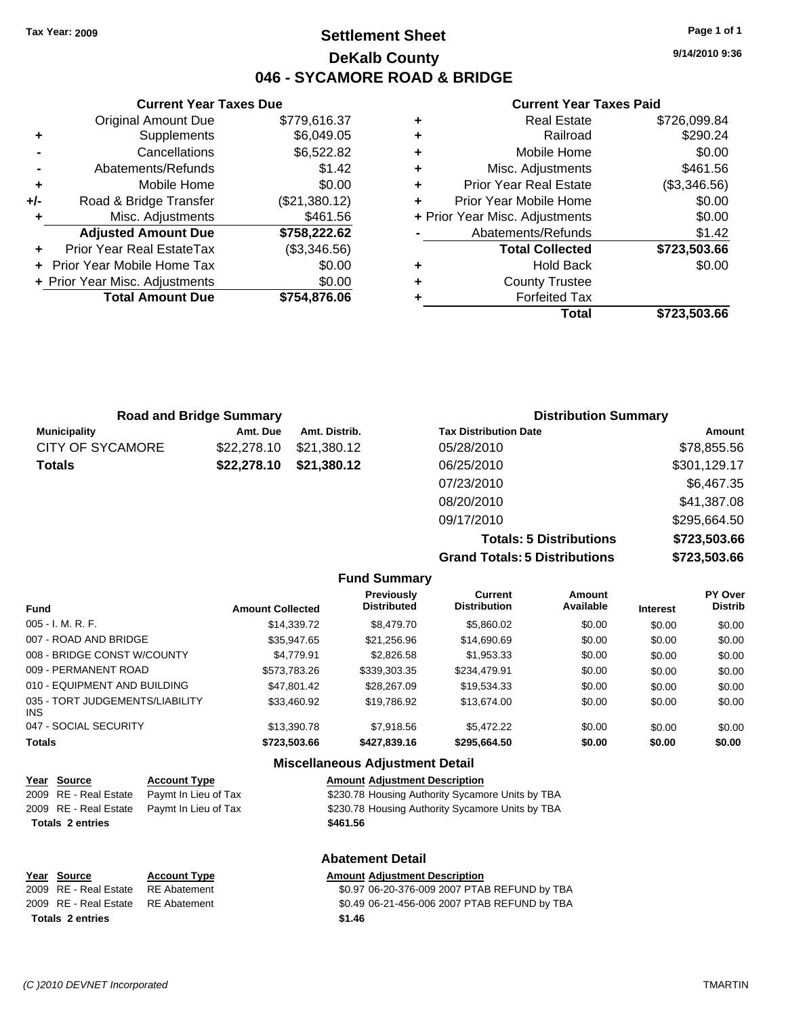### **Settlement Sheet Tax Year: 2009 Page 1 of 1 DeKalb County 046 - SYCAMORE ROAD & BRIDGE**

**9/14/2010 9:36**

#### **Current Year Taxes Paid**

|   | <b>Real Estate</b>             | \$726,099.84 |
|---|--------------------------------|--------------|
|   | Railroad                       | \$290.24     |
| ٠ | Mobile Home                    | \$0.00       |
| ٠ | Misc. Adjustments              | \$461.56     |
| ٠ | <b>Prior Year Real Estate</b>  | (\$3,346.56) |
|   | Prior Year Mobile Home         | \$0.00       |
|   | + Prior Year Misc. Adjustments | \$0.00       |
|   | Abatements/Refunds             | \$1.42       |
|   | <b>Total Collected</b>         | \$723,503.66 |
| ٠ | <b>Hold Back</b>               | \$0.00       |
| ٠ | <b>County Trustee</b>          |              |
|   | <b>Forfeited Tax</b>           |              |
|   | Total                          | \$723.503.66 |

| Mobile Home                | \$0.00                                                         |                                    |
|----------------------------|----------------------------------------------------------------|------------------------------------|
| Road & Bridge Transfer     | (\$21,380.12)                                                  |                                    |
| Misc. Adjustments          | \$461.56                                                       |                                    |
| <b>Adjusted Amount Due</b> | \$758,222.62                                                   | Aba                                |
| Prior Year Real EstateTax  | (\$3,346.56)                                                   |                                    |
|                            | \$0.00                                                         |                                    |
|                            | \$0.00                                                         |                                    |
| <b>Total Amount Due</b>    | \$754,876.06                                                   |                                    |
|                            |                                                                |                                    |
|                            |                                                                |                                    |
|                            | + Prior Year Mobile Home Tax<br>+ Prior Year Misc. Adjustments | Prior<br>Prior Y<br>+ Prior Year I |

**Current Year Taxes Due** Original Amount Due \$779,616.37

**+** Supplements \$6,049.05 **-** Cancellations \$6,522.82 **-** Abatements/Refunds \$1.42

| <b>Road and Bridge Summary</b> |             |               | <b>Distribution Summary</b>  |              |  |
|--------------------------------|-------------|---------------|------------------------------|--------------|--|
| <b>Municipality</b>            | Amt. Due    | Amt. Distrib. | <b>Tax Distribution Date</b> | Amount       |  |
| CITY OF SYCAMORE               | \$22,278.10 | \$21.380.12   | 05/28/2010                   | \$78,855.56  |  |
| <b>Totals</b>                  | \$22,278.10 | \$21,380.12   | 06/25/2010                   | \$301,129.17 |  |
|                                |             |               | 07/23/2010                   | \$6,467.35   |  |
|                                |             |               | 08/20/2010                   | \$41,387.08  |  |
|                                |             |               | 09/17/2010                   | \$295,664.50 |  |

**Totals: 5 Distributions \$723,503.66 Grand Totals: 5 Distributions \$723,503.66**

|                                         |                         | <b>Fund Summary</b>                    |                                       |                     |                 |                           |
|-----------------------------------------|-------------------------|----------------------------------------|---------------------------------------|---------------------|-----------------|---------------------------|
| <b>Fund</b>                             | <b>Amount Collected</b> | Previously<br><b>Distributed</b>       | <b>Current</b><br><b>Distribution</b> | Amount<br>Available | <b>Interest</b> | PY Over<br><b>Distrib</b> |
| 005 - I. M. R. F.                       | \$14.339.72             | \$8,479.70                             | \$5,860.02                            | \$0.00              | \$0.00          | \$0.00                    |
| 007 - ROAD AND BRIDGE                   | \$35.947.65             | \$21,256.96                            | \$14,690.69                           | \$0.00              | \$0.00          | \$0.00                    |
| 008 - BRIDGE CONST W/COUNTY             | \$4.779.91              | \$2,826.58                             | \$1,953.33                            | \$0.00              | \$0.00          | \$0.00                    |
| 009 - PERMANENT ROAD                    | \$573.783.26            | \$339,303,35                           | \$234.479.91                          | \$0.00              | \$0.00          | \$0.00                    |
| 010 - EQUIPMENT AND BUILDING            | \$47.801.42             | \$28,267.09                            | \$19.534.33                           | \$0.00              | \$0.00          | \$0.00                    |
| 035 - TORT JUDGEMENTS/LIABILITY<br>INS. | \$33.460.92             | \$19,786.92                            | \$13,674.00                           | \$0.00              | \$0.00          | \$0.00                    |
| 047 - SOCIAL SECURITY                   | \$13,390.78             | \$7.918.56                             | \$5,472.22                            | \$0.00              | \$0.00          | \$0.00                    |
| <b>Totals</b>                           | \$723,503,66            | \$427,839,16                           | \$295.664.50                          | \$0.00              | \$0.00          | \$0.00                    |
|                                         |                         | <b>Miscellaneous Adjustment Detail</b> |                                       |                     |                 |                           |

\$230.78 Housing Authority Sycamore Units by TBA

| Year Source | <b>Account Type</b>                        | <b>Amount Adjustment Description</b>     |
|-------------|--------------------------------------------|------------------------------------------|
|             | 2009 RE - Real Estate Paymt In Lieu of Tax | \$230.78 Housing Authority Sycamo        |
|             | 2000 BE Beel Fetate Bought In Lieu of Toy  | $0.20$ $70$ lloughed $0.4$ $\mu$ $\mu$ . |

2009 RE - Real Estate Paymt In Lieu of Tax \$230.78 Housing Authority Sycamore Units by TBA **Totals \$461.56 2 entries**

**Abatement Detail**

|                         | Year Source                        | <b>Account Type</b> | <b>Amount Adiustment Description</b>         |
|-------------------------|------------------------------------|---------------------|----------------------------------------------|
|                         | 2009 RE - Real Estate              | RE Abatement        | \$0.97 06-20-376-009 2007 PTAB REFUND by TBA |
|                         | 2009 RE - Real Estate RE Abatement |                     | \$0.49 06-21-456-006 2007 PTAB REFUND by TBA |
| <b>Totals 2 entries</b> |                                    |                     | \$1.46                                       |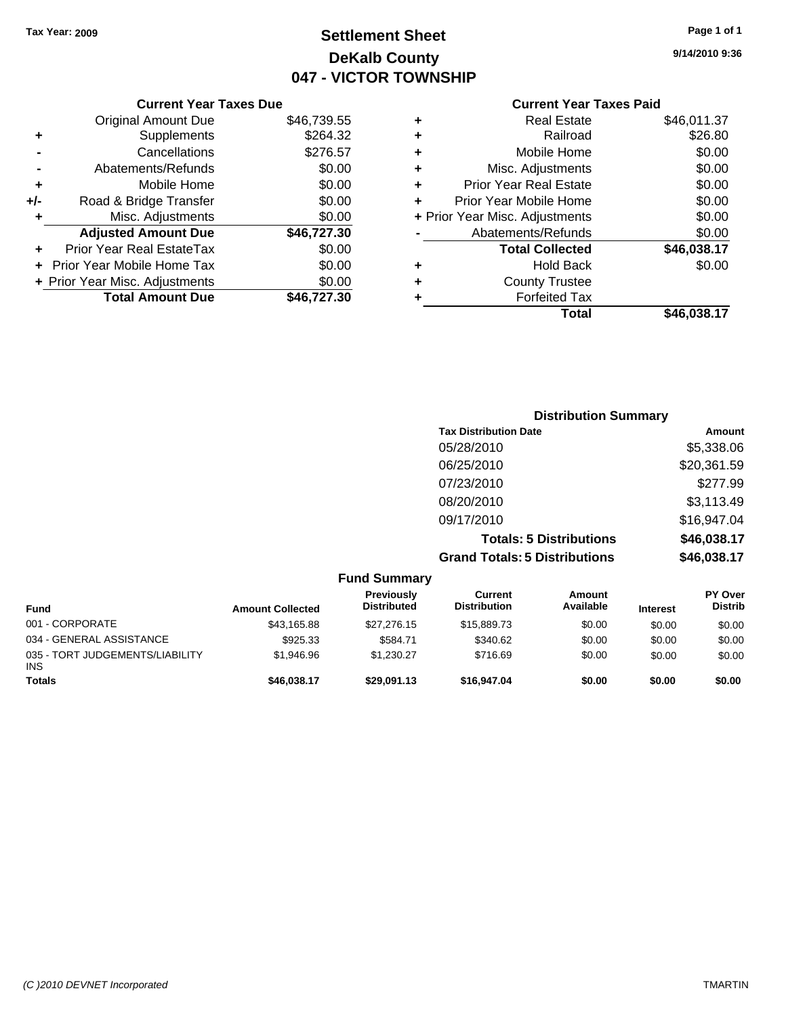## **Settlement Sheet Tax Year: 2009 Page 1 of 1 DeKalb County 047 - VICTOR TOWNSHIP**

#### **9/14/2010 9:36**

### **Current Year Taxes Paid**

### **Distribution Summary Tax Distribution Date Amount** 05/28/2010 \$5,338.06 06/25/2010 \$20,361.59 07/23/2010 \$277.99 08/20/2010 \$3,113.49 09/17/2010 \$16,947.04 **Totals: 5 Distributions \$46,038.17 Grand Totals: 5 Distributions \$46,038.17**

|                                               |                         | <b>Fund Summary</b>                     |                                |                     |                 |                                  |
|-----------------------------------------------|-------------------------|-----------------------------------------|--------------------------------|---------------------|-----------------|----------------------------------|
| <b>Fund</b>                                   | <b>Amount Collected</b> | <b>Previously</b><br><b>Distributed</b> | Current<br><b>Distribution</b> | Amount<br>Available | <b>Interest</b> | <b>PY Over</b><br><b>Distrib</b> |
| 001 - CORPORATE                               | \$43,165.88             | \$27,276.15                             | \$15,889.73                    | \$0.00              | \$0.00          | \$0.00                           |
| 034 - GENERAL ASSISTANCE                      | \$925.33                | \$584.71                                | \$340.62                       | \$0.00              | \$0.00          | \$0.00                           |
| 035 - TORT JUDGEMENTS/LIABILITY<br><b>INS</b> | \$1,946.96              | \$1.230.27                              | \$716.69                       | \$0.00              | \$0.00          | \$0.00                           |
| <b>Totals</b>                                 | \$46,038.17             | \$29,091.13                             | \$16,947.04                    | \$0.00              | \$0.00          | \$0.00                           |

#### **-** Abatements/Refunds \$0.00 **+** Mobile Home \$0.00 **+/-** Road & Bridge Transfer \$0.00

**Current Year Taxes Due** Original Amount Due \$46,739.55

**+** Supplements \$264.32 **-** Cancellations \$276.57

**+** Misc. Adjustments \$0.00

**+** Prior Year Real EstateTax \$0.00 **+** Prior Year Mobile Home Tax \$0.00 **+ Prior Year Misc. Adjustments**  $$0.00$ 

**Adjusted Amount Due \$46,727.30**

**Total Amount Due \$46,727.30**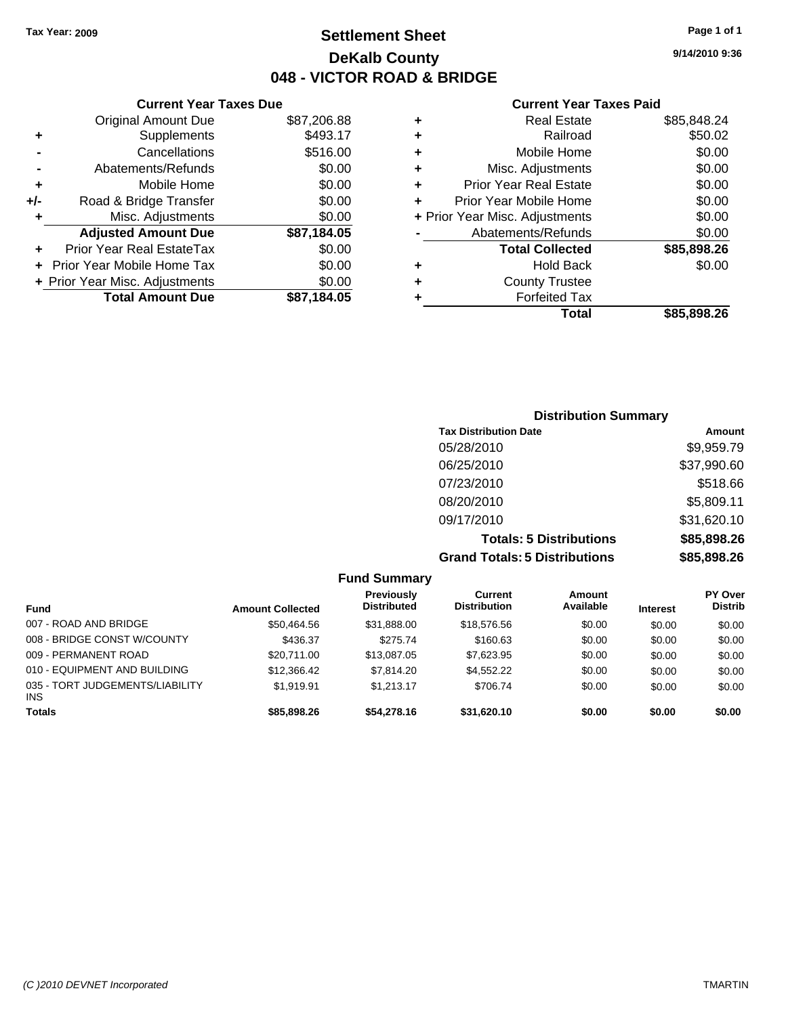**9/14/2010 9:36**

#### **Current Year Taxes Paid**

| ٠ | <b>Real Estate</b>             | \$85,848.24 |
|---|--------------------------------|-------------|
| ٠ | Railroad                       | \$50.02     |
| ٠ | Mobile Home                    | \$0.00      |
| ٠ | Misc. Adjustments              | \$0.00      |
| ٠ | <b>Prior Year Real Estate</b>  | \$0.00      |
|   | Prior Year Mobile Home         | \$0.00      |
|   | + Prior Year Misc. Adjustments | \$0.00      |
|   | Abatements/Refunds             | \$0.00      |
|   | <b>Total Collected</b>         | \$85,898.26 |
| ٠ | <b>Hold Back</b>               | \$0.00      |
|   | <b>County Trustee</b>          |             |
|   | <b>Forfeited Tax</b>           |             |
|   | Total                          | \$85.898.26 |

|     | <b>Current Year Taxes Due</b>    |             |
|-----|----------------------------------|-------------|
|     | <b>Original Amount Due</b>       | \$87,206.88 |
| ٠   | Supplements                      | \$493.17    |
|     | Cancellations                    | \$516.00    |
|     | Abatements/Refunds               | \$0.00      |
| ٠   | Mobile Home                      | \$0.00      |
| +/- | Road & Bridge Transfer           | \$0.00      |
| ٠   | Misc. Adjustments                | \$0.00      |
|     | <b>Adjusted Amount Due</b>       | \$87,184.05 |
|     | <b>Prior Year Real EstateTax</b> | \$0.00      |
|     | Prior Year Mobile Home Tax       | \$0.00      |
|     | + Prior Year Misc. Adjustments   | \$0.00      |
|     | <b>Total Amount Due</b>          | \$87,184.05 |
|     |                                  |             |

| <b>Distribution Summary</b>          |             |  |  |  |  |
|--------------------------------------|-------------|--|--|--|--|
| <b>Tax Distribution Date</b>         | Amount      |  |  |  |  |
| 05/28/2010                           | \$9,959.79  |  |  |  |  |
| 06/25/2010                           | \$37,990.60 |  |  |  |  |
| 07/23/2010                           | \$518.66    |  |  |  |  |
| 08/20/2010                           | \$5,809.11  |  |  |  |  |
| 09/17/2010                           | \$31,620.10 |  |  |  |  |
| <b>Totals: 5 Distributions</b>       | \$85,898.26 |  |  |  |  |
| <b>Grand Totals: 5 Distributions</b> | \$85,898.26 |  |  |  |  |

|                                               |                         | <b>Fund Summary</b>                     |                                |                     |                 |                                  |
|-----------------------------------------------|-------------------------|-----------------------------------------|--------------------------------|---------------------|-----------------|----------------------------------|
| Fund                                          | <b>Amount Collected</b> | <b>Previously</b><br><b>Distributed</b> | Current<br><b>Distribution</b> | Amount<br>Available | <b>Interest</b> | <b>PY Over</b><br><b>Distrib</b> |
| 007 - ROAD AND BRIDGE                         | \$50,464.56             | \$31,888.00                             | \$18,576.56                    | \$0.00              | \$0.00          | \$0.00                           |
| 008 - BRIDGE CONST W/COUNTY                   | \$436.37                | \$275.74                                | \$160.63                       | \$0.00              | \$0.00          | \$0.00                           |
| 009 - PERMANENT ROAD                          | \$20.711.00             | \$13,087.05                             | \$7,623.95                     | \$0.00              | \$0.00          | \$0.00                           |
| 010 - EQUIPMENT AND BUILDING                  | \$12,366.42             | \$7,814.20                              | \$4,552,22                     | \$0.00              | \$0.00          | \$0.00                           |
| 035 - TORT JUDGEMENTS/LIABILITY<br><b>INS</b> | \$1.919.91              | \$1.213.17                              | \$706.74                       | \$0.00              | \$0.00          | \$0.00                           |
| <b>Totals</b>                                 | \$85,898.26             | \$54,278.16                             | \$31,620.10                    | \$0.00              | \$0.00          | \$0.00                           |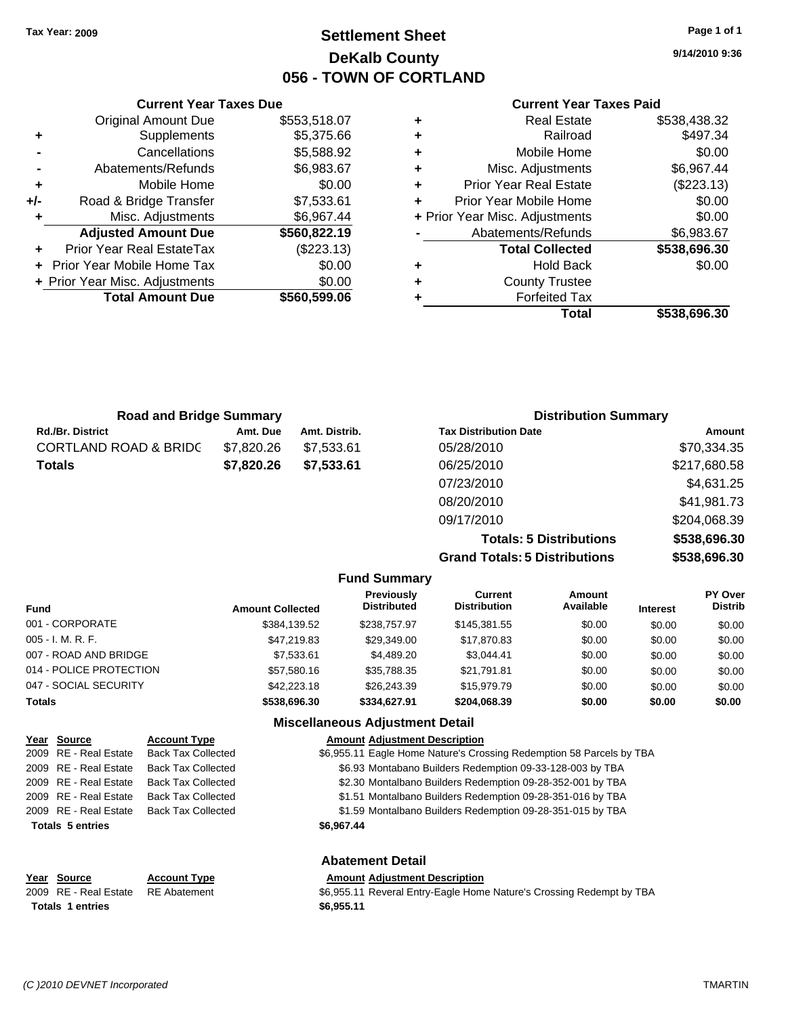**Current Year Taxes Due** Original Amount Due \$553,518.07

**Adjusted Amount Due \$560,822.19**

**Total Amount Due \$560,599.06**

**+** Supplements \$5,375.66 **-** Cancellations \$5,588.92 **-** Abatements/Refunds \$6,983.67 **+** Mobile Home \$0.00 **+/-** Road & Bridge Transfer \$7,533.61 **+** Misc. Adjustments \$6,967.44

**+** Prior Year Real EstateTax (\$223.13) **+** Prior Year Mobile Home Tax \$0.00 **+ Prior Year Misc. Adjustments**  $$0.00$ 

### **Settlement Sheet Tax Year: 2009 Page 1 of 1 DeKalb County 056 - TOWN OF CORTLAND**

**9/14/2010 9:36**

#### **Current Year Taxes Paid**

| ٠ | <b>Real Estate</b>             | \$538,438.32 |
|---|--------------------------------|--------------|
| ٠ | Railroad                       | \$497.34     |
| ٠ | Mobile Home                    | \$0.00       |
| ٠ | Misc. Adjustments              | \$6,967.44   |
| ٠ | <b>Prior Year Real Estate</b>  | (\$223.13)   |
| ÷ | Prior Year Mobile Home         | \$0.00       |
|   | + Prior Year Misc. Adjustments | \$0.00       |
|   | Abatements/Refunds             | \$6,983.67   |
|   | <b>Total Collected</b>         | \$538,696.30 |
| ٠ | <b>Hold Back</b>               | \$0.00       |
| ٠ | <b>County Trustee</b>          |              |
|   | <b>Forfeited Tax</b>           |              |
|   | Total                          | \$538.696.30 |

| <b>Road and Bridge Summary</b>   |            |               | <b>Distribution Summary</b>  |              |  |
|----------------------------------|------------|---------------|------------------------------|--------------|--|
| <b>Rd./Br. District</b>          | Amt. Due   | Amt. Distrib. | <b>Tax Distribution Date</b> | Amount       |  |
| <b>CORTLAND ROAD &amp; BRIDC</b> | \$7,820.26 | \$7.533.61    | 05/28/2010                   | \$70,334.35  |  |
| <b>Totals</b>                    | \$7,820.26 | \$7,533,61    | 06/25/2010                   | \$217,680.58 |  |
|                                  |            |               | 07/23/2010                   | \$4,631.25   |  |
|                                  |            |               | 08/20/2010                   | \$41,981.73  |  |

**Totals: 5 Distributions \$538,696.30 Grand Totals: 5 Distributions \$538,696.30**

09/17/2010 \$204,068.39

|                         |                         | <b>Fund Summary</b>                     |                                       |                            |                 |                                  |
|-------------------------|-------------------------|-----------------------------------------|---------------------------------------|----------------------------|-----------------|----------------------------------|
| <b>Fund</b>             | <b>Amount Collected</b> | <b>Previously</b><br><b>Distributed</b> | <b>Current</b><br><b>Distribution</b> | <b>Amount</b><br>Available | <b>Interest</b> | <b>PY Over</b><br><b>Distrib</b> |
| 001 - CORPORATE         | \$384.139.52            | \$238,757.97                            | \$145,381.55                          | \$0.00                     | \$0.00          | \$0.00                           |
| 005 - I. M. R. F.       | \$47.219.83             | \$29,349.00                             | \$17,870.83                           | \$0.00                     | \$0.00          | \$0.00                           |
| 007 - ROAD AND BRIDGE   | \$7,533.61              | \$4,489.20                              | \$3,044.41                            | \$0.00                     | \$0.00          | \$0.00                           |
| 014 - POLICE PROTECTION | \$57,580.16             | \$35,788.35                             | \$21,791.81                           | \$0.00                     | \$0.00          | \$0.00                           |
| 047 - SOCIAL SECURITY   | \$42,223.18             | \$26,243,39                             | \$15,979.79                           | \$0.00                     | \$0.00          | \$0.00                           |
| Totals                  | \$538,696.30            | \$334,627.91                            | \$204,068.39                          | \$0.00                     | \$0.00          | \$0.00                           |
|                         |                         |                                         |                                       |                            |                 |                                  |

#### **Miscellaneous Adjustment Detail**

| Year Source             | <b>Account Type</b>       | <b>Amount Adiustment Description</b>                                 |
|-------------------------|---------------------------|----------------------------------------------------------------------|
| 2009 RE - Real Estate   | <b>Back Tax Collected</b> | \$6,955.11 Eagle Home Nature's Crossing Redemption 58 Parcels by TBA |
| 2009 RE - Real Estate   | <b>Back Tax Collected</b> | \$6.93 Montabano Builders Redemption 09-33-128-003 by TBA            |
| 2009 RE - Real Estate   | <b>Back Tax Collected</b> | \$2.30 Montalbano Builders Redemption 09-28-352-001 by TBA           |
| 2009 RE - Real Estate   | <b>Back Tax Collected</b> | \$1.51 Montalbano Builders Redemption 09-28-351-016 by TBA           |
| 2009 RE - Real Estate   | <b>Back Tax Collected</b> | \$1.59 Montalbano Builders Redemption 09-28-351-015 by TBA           |
| <b>Totals 5 entries</b> |                           | \$6,967.44                                                           |
|                         |                           | <b>Abatement Detail</b>                                              |
|                         |                           |                                                                      |
| Year Source             | <b>Account Type</b>       | <b>Amount Adjustment Description</b>                                 |
| 2009 RE - Real Estate   | <b>RE</b> Abatement       | \$6,955.11 Reveral Entry-Eagle Home Nature's Crossing Redempt by TBA |

**Totals \$6,955.11 1 entries**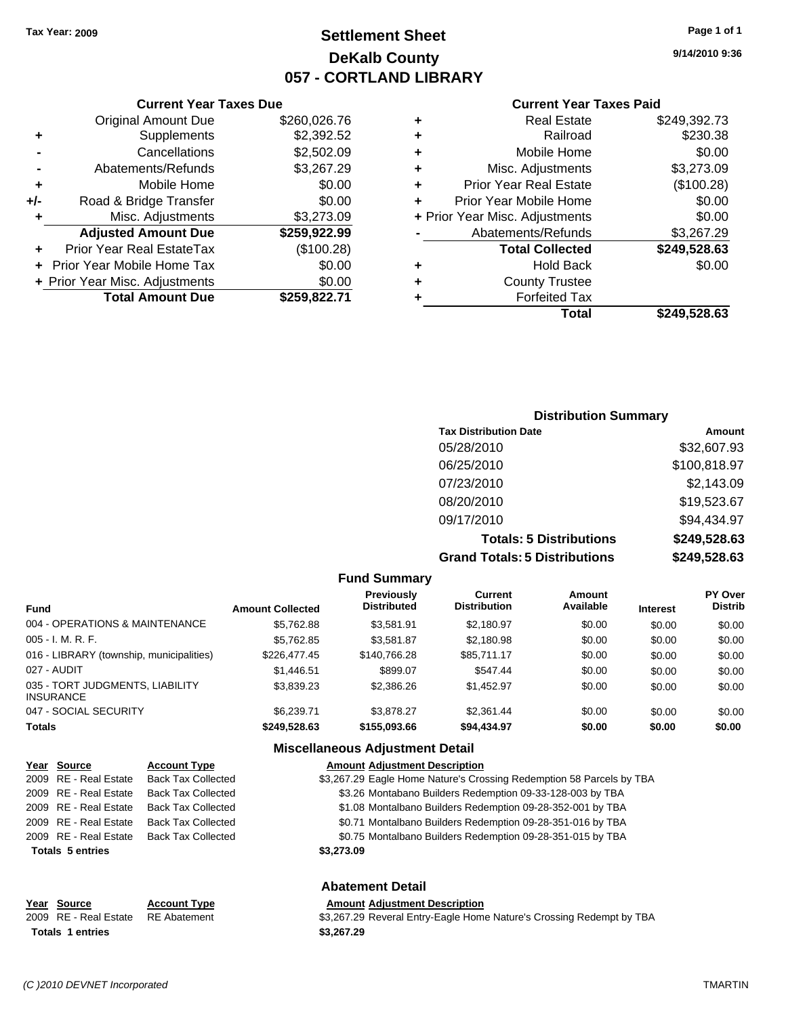**Current Year Taxes Due** Original Amount Due \$260,026.76

**Adjusted Amount Due \$259,922.99**

**Total Amount Due \$259,822.71**

**+** Supplements \$2,392.52 **-** Cancellations \$2,502.09 **-** Abatements/Refunds \$3,267.29 **+** Mobile Home \$0.00 **+/-** Road & Bridge Transfer \$0.00 **+** Misc. Adjustments \$3,273.09

**+** Prior Year Real EstateTax (\$100.28) **+** Prior Year Mobile Home Tax \$0.00 **+ Prior Year Misc. Adjustments**  $$0.00$ 

### **Settlement Sheet Tax Year: 2009 Page 1 of 1 DeKalb County 057 - CORTLAND LIBRARY**

**9/14/2010 9:36**

#### **Current Year Taxes Paid**

|   | Total                          | \$249.528.63 |
|---|--------------------------------|--------------|
|   | <b>Forfeited Tax</b>           |              |
| ٠ | <b>County Trustee</b>          |              |
| ٠ | <b>Hold Back</b>               | \$0.00       |
|   | <b>Total Collected</b>         | \$249,528.63 |
|   | Abatements/Refunds             | \$3,267.29   |
|   | + Prior Year Misc. Adjustments | \$0.00       |
|   | Prior Year Mobile Home         | \$0.00       |
| ٠ | <b>Prior Year Real Estate</b>  | (\$100.28)   |
| ÷ | Misc. Adjustments              | \$3,273.09   |
| ٠ | Mobile Home                    | \$0.00       |
| ٠ | Railroad                       | \$230.38     |
| ٠ | Real Estate                    | \$249,392.73 |

### **Distribution Summary Tax Distribution Date Amount** 05/28/2010 \$32,607.93 06/25/2010 \$100,818.97 07/23/2010 \$2,143.09 08/20/2010 \$19,523.67 09/17/2010 \$94,434.97 **Totals: 5 Distributions \$249,528.63 Grand Totals: 5 Distributions \$249,528.63**

|                                                     |                         | <b>Fund Summary</b>                     |                                       |                     |                 |                                  |
|-----------------------------------------------------|-------------------------|-----------------------------------------|---------------------------------------|---------------------|-----------------|----------------------------------|
| <b>Fund</b>                                         | <b>Amount Collected</b> | <b>Previously</b><br><b>Distributed</b> | <b>Current</b><br><b>Distribution</b> | Amount<br>Available | <b>Interest</b> | <b>PY Over</b><br><b>Distrib</b> |
| 004 - OPERATIONS & MAINTENANCE                      | \$5.762.88              | \$3.581.91                              | \$2,180.97                            | \$0.00              | \$0.00          | \$0.00                           |
| $005 - I. M. R. F.$                                 | \$5,762.85              | \$3,581.87                              | \$2,180.98                            | \$0.00              | \$0.00          | \$0.00                           |
| 016 - LIBRARY (township, municipalities)            | \$226,477.45            | \$140,766.28                            | \$85.711.17                           | \$0.00              | \$0.00          | \$0.00                           |
| 027 - AUDIT                                         | \$1,446.51              | \$899.07                                | \$547.44                              | \$0.00              | \$0.00          | \$0.00                           |
| 035 - TORT JUDGMENTS, LIABILITY<br><b>INSURANCE</b> | \$3,839.23              | \$2,386.26                              | \$1,452.97                            | \$0.00              | \$0.00          | \$0.00                           |
| 047 - SOCIAL SECURITY                               | \$6.239.71              | \$3.878.27                              | \$2,361.44                            | \$0.00              | \$0.00          | \$0.00                           |
| <b>Totals</b>                                       | \$249,528.63            | \$155,093.66                            | \$94,434.97                           | \$0.00              | \$0.00          | \$0.00                           |

#### **Miscellaneous Adjustment Detail**

| Year Source             | <b>Account Type</b>       | <b>Amount Adjustment Description</b>                                 |
|-------------------------|---------------------------|----------------------------------------------------------------------|
| 2009 RE - Real Estate   | <b>Back Tax Collected</b> | \$3,267.29 Eagle Home Nature's Crossing Redemption 58 Parcels by TBA |
| 2009 RE - Real Estate   | Back Tax Collected        | \$3.26 Montabano Builders Redemption 09-33-128-003 by TBA            |
| 2009 RE - Real Estate   | <b>Back Tax Collected</b> | \$1.08 Montalbano Builders Redemption 09-28-352-001 by TBA           |
| 2009 RE - Real Estate   | <b>Back Tax Collected</b> | \$0.71 Montalbano Builders Redemption 09-28-351-016 by TBA           |
| 2009 RE - Real Estate   | <b>Back Tax Collected</b> | \$0.75 Montalbano Builders Redemption 09-28-351-015 by TBA           |
| <b>Totals 5 entries</b> |                           | \$3,273,09                                                           |
|                         |                           | <b>Abatement Detail</b>                                              |
| Year Source             | <b>Account Type</b>       | <b>Amount Adjustment Description</b>                                 |

#### 2009 RE - Real Estate RE Abatement \$3,267.29 Reveral Entry-Eagle Home Nature's Crossing Redempt by TBA **Totals 1 entries 1 and 1 and 1 and 1 and 1 and 1 and 1 and 1 and 1 and 1 and 1 and 1 and 1 and 1 and 1 and 1 and 1 and 1 and 1 and 1 and 1 and 1 and 1 and 1 and 1 and 1 and 1 and 1 and 1 and 1 and 1 and 1 and 1 and 1 an**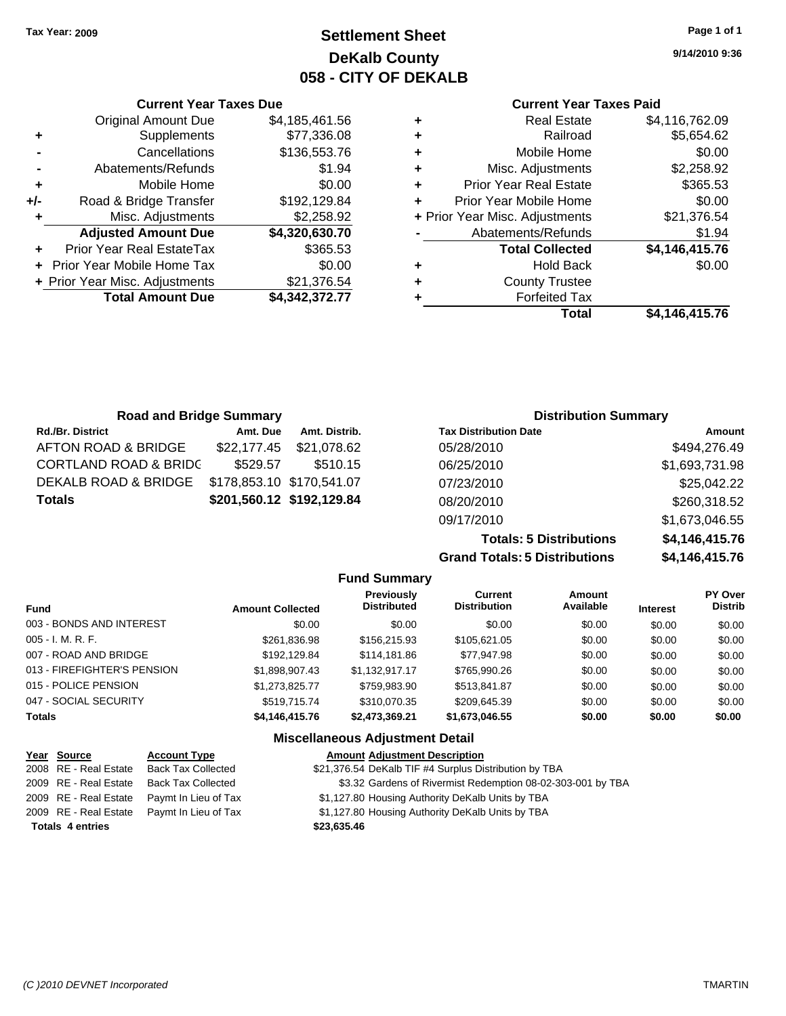### **Settlement Sheet Tax Year: 2009 Page 1 of 1 DeKalb County 058 - CITY OF DEKALB**

**9/14/2010 9:36**

#### **Current Year Taxes Paid**

| ٠ | <b>Real Estate</b>             | \$4,116,762.09 |
|---|--------------------------------|----------------|
| ٠ | Railroad                       | \$5,654.62     |
| ٠ | Mobile Home                    | \$0.00         |
| ٠ | Misc. Adjustments              | \$2,258.92     |
| ÷ | <b>Prior Year Real Estate</b>  | \$365.53       |
| ÷ | Prior Year Mobile Home         | \$0.00         |
|   | + Prior Year Misc. Adjustments | \$21,376.54    |
|   | Abatements/Refunds             | \$1.94         |
|   | <b>Total Collected</b>         | \$4,146,415.76 |
| ٠ | <b>Hold Back</b>               | \$0.00         |
| ÷ | <b>County Trustee</b>          |                |
|   | <b>Forfeited Tax</b>           |                |
|   | Total                          | \$4,146,415.76 |

|     | <b>Current Year Taxes Due</b>    |                |  |  |  |  |  |
|-----|----------------------------------|----------------|--|--|--|--|--|
|     | <b>Original Amount Due</b>       | \$4,185,461.56 |  |  |  |  |  |
| ٠   | Supplements                      | \$77,336.08    |  |  |  |  |  |
|     | Cancellations                    | \$136,553.76   |  |  |  |  |  |
|     | Abatements/Refunds               | \$1.94         |  |  |  |  |  |
| ٠   | Mobile Home                      | \$0.00         |  |  |  |  |  |
| +/- | Road & Bridge Transfer           | \$192,129.84   |  |  |  |  |  |
|     | Misc. Adjustments                | \$2,258.92     |  |  |  |  |  |
|     | <b>Adjusted Amount Due</b>       | \$4,320,630.70 |  |  |  |  |  |
|     | <b>Prior Year Real EstateTax</b> | \$365.53       |  |  |  |  |  |
|     | Prior Year Mobile Home Tax       | \$0.00         |  |  |  |  |  |
|     | + Prior Year Misc. Adjustments   | \$21,376.54    |  |  |  |  |  |
|     | <b>Total Amount Due</b>          | \$4,342,372.77 |  |  |  |  |  |

| <b>Road and Bridge Summary</b>   |                           |                           | <b>Distribution Summary</b>  |                |  |
|----------------------------------|---------------------------|---------------------------|------------------------------|----------------|--|
| Rd./Br. District                 | Amt. Due                  | Amt. Distrib.             | <b>Tax Distribution Date</b> | Amount         |  |
| AFTON ROAD & BRIDGE              | \$22,177.45               | \$21,078.62               | 05/28/2010                   | \$494,276.49   |  |
| <b>CORTLAND ROAD &amp; BRIDC</b> | \$529.57                  | \$510.15                  | 06/25/2010                   | \$1,693,731.98 |  |
| DEKALB ROAD & BRIDGE             | \$178,853.10 \$170,541.07 |                           | 07/23/2010                   | \$25,042.22    |  |
| Totals                           |                           | \$201,560.12 \$192,129.84 | 08/20/2010                   | \$260,318.52   |  |
|                                  |                           |                           | 09/17/2010                   | \$1,673,046.55 |  |

**Totals: 5 Distributions \$4,146,415.76 Grand Total** 

|         | ıls: 5 Distributions | \$4,146,415.76  |                                  |  |  |
|---------|----------------------|-----------------|----------------------------------|--|--|
| ١t<br>n | Amount<br>Available  | <b>Interest</b> | <b>PY Over</b><br><b>Distrib</b> |  |  |
| 0       | \$0.00               | \$0.00          | \$0.00                           |  |  |

| <b>Fund</b>                 | <b>Amount Collected</b> | <b>Previously</b><br><b>Distributed</b> | Current<br><b>Distribution</b> | Amount<br>Available | <b>Interest</b> | PY Over<br><b>Distrib</b> |
|-----------------------------|-------------------------|-----------------------------------------|--------------------------------|---------------------|-----------------|---------------------------|
| 003 - BONDS AND INTEREST    | \$0.00                  | \$0.00                                  | \$0.00                         | \$0.00              | \$0.00          | \$0.00                    |
| 005 - I. M. R. F.           | \$261,836.98            | \$156,215.93                            | \$105.621.05                   | \$0.00              | \$0.00          | \$0.00                    |
| 007 - ROAD AND BRIDGE       | \$192.129.84            | \$114,181.86                            | \$77,947.98                    | \$0.00              | \$0.00          | \$0.00                    |
| 013 - FIREFIGHTER'S PENSION | \$1.898.907.43          | \$1.132.917.17                          | \$765,990.26                   | \$0.00              | \$0.00          | \$0.00                    |
| 015 - POLICE PENSION        | \$1,273,825.77          | \$759,983,90                            | \$513,841.87                   | \$0.00              | \$0.00          | \$0.00                    |
| 047 - SOCIAL SECURITY       | \$519.715.74            | \$310,070.35                            | \$209.645.39                   | \$0.00              | \$0.00          | \$0.00                    |
| Totals                      | \$4,146,415.76          | \$2,473,369.21                          | \$1,673,046.55                 | \$0.00              | \$0.00          | \$0.00                    |
|                             |                         |                                         |                                |                     |                 |                           |

**Fund Summary**

#### **Miscellaneous Adjustment Detail**

| Year Source             | <b>Account Type</b>                        | <b>Amount Adjustment Description</b>                        |
|-------------------------|--------------------------------------------|-------------------------------------------------------------|
| 2008 RE - Real Estate   | Back Tax Collected                         | \$21,376.54 DeKalb TIF #4 Surplus Distribution by TBA       |
| 2009 RE - Real Estate   | <b>Back Tax Collected</b>                  | \$3.32 Gardens of Rivermist Redemption 08-02-303-001 by TBA |
|                         | 2009 RE - Real Estate Paymt In Lieu of Tax | \$1,127.80 Housing Authority DeKalb Units by TBA            |
|                         | 2009 RE - Real Estate Paymt In Lieu of Tax | \$1,127.80 Housing Authority DeKalb Units by TBA            |
| <b>Totals 4 entries</b> |                                            | \$23,635.46                                                 |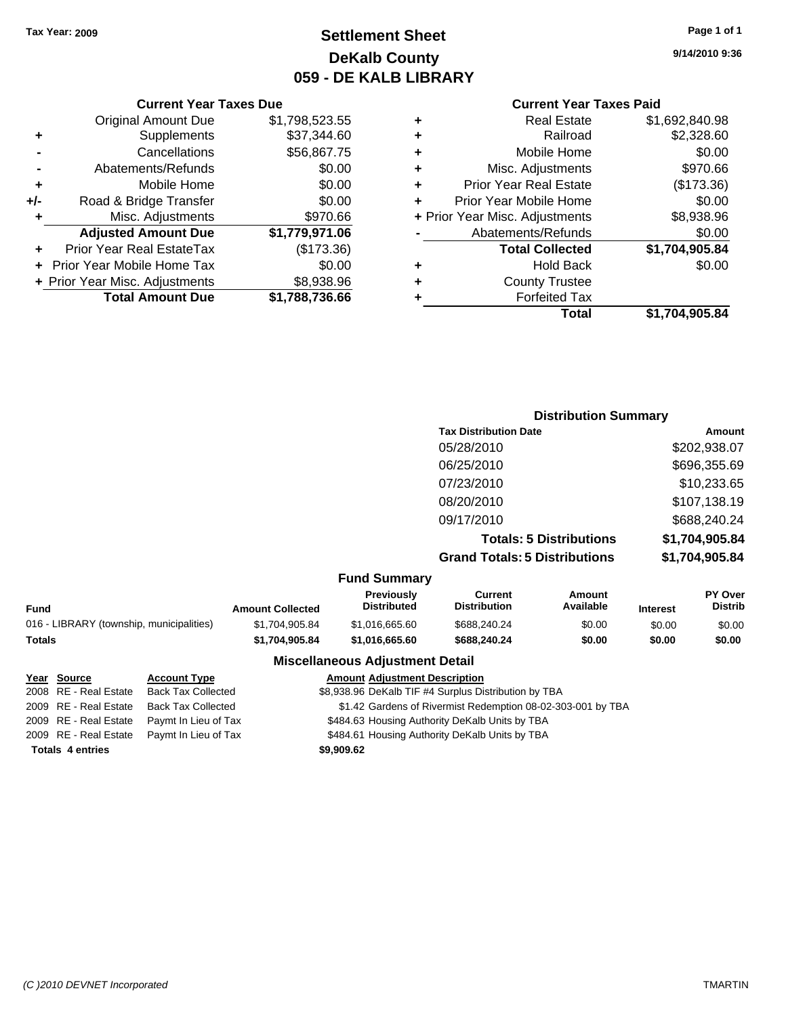### **Settlement Sheet Tax Year: 2009 Page 1 of 1 DeKalb County 059 - DE KALB LIBRARY**

**9/14/2010 9:36**

#### **Current Year Taxes Paid**

| ٠ | <b>Real Estate</b>             | \$1,692,840.98 |
|---|--------------------------------|----------------|
| ٠ | Railroad                       | \$2,328.60     |
| ٠ | Mobile Home                    | \$0.00         |
| ٠ | Misc. Adjustments              | \$970.66       |
| ٠ | <b>Prior Year Real Estate</b>  | (\$173.36)     |
| ÷ | Prior Year Mobile Home         | \$0.00         |
|   | + Prior Year Misc. Adjustments | \$8,938.96     |
|   | Abatements/Refunds             | \$0.00         |
|   | <b>Total Collected</b>         | \$1,704,905.84 |
| ٠ | <b>Hold Back</b>               | \$0.00         |
| ٠ | <b>County Trustee</b>          |                |
| ٠ | <b>Forfeited Tax</b>           |                |
|   | Total                          | \$1,704,905.84 |

#### **Current Year Taxes Due** Original Amount Due \$1,798,523.55 **+** Supplements \$37,344.60 **-** Cancellations \$56,867.75 **-** Abatements/Refunds \$0.00 **+** Mobile Home \$0.00 **+/-** Road & Bridge Transfer \$0.00 **+** Misc. Adjustments \$970.66 **Adjusted Amount Due \$1,779,971.06 +** Prior Year Real EstateTax (\$173.36) **+** Prior Year Mobile Home Tax \$0.00 **+** Prior Year Misc. Adjustments \$8,938.96 **Total Amount Due \$1,788,736.66**

### **Distribution Summary Tax Distribution Date Amount** 05/28/2010 \$202,938.07 06/25/2010 \$696,355.69 07/23/2010 \$10,233.65 08/20/2010 \$107,138.19 09/17/2010 \$688,240.24 **Totals: 5 Distributions \$1,704,905.84 Grand Totals: 5 Distributions \$1,704,905.84**

#### **Fund Summary**

| Fund                                     | <b>Amount Collected</b> | <b>Previously</b><br><b>Distributed</b> | Current<br><b>Distribution</b> | Amount<br>Available | <b>Interest</b> | <b>PY Over</b><br><b>Distrib</b> |  |
|------------------------------------------|-------------------------|-----------------------------------------|--------------------------------|---------------------|-----------------|----------------------------------|--|
| 016 - LIBRARY (township, municipalities) | \$1.704.905.84          | \$1.016.665.60                          | \$688.240.24                   | \$0.00              | \$0.00          | \$0.00                           |  |
| Totals                                   | \$1.704.905.84          | \$1.016.665.60                          | \$688,240,24                   | \$0.00              | \$0.00          | \$0.00                           |  |
|                                          |                         |                                         |                                |                     |                 |                                  |  |

#### **Miscellaneous Adjustment Detail**

#### **Year Source Account Type Amount Adjustment Description**

| <b>Totals 4 entries</b> |                                            | \$9,909.62                                                  |
|-------------------------|--------------------------------------------|-------------------------------------------------------------|
|                         | 2009 RE - Real Estate Paymt In Lieu of Tax | \$484.61 Housing Authority DeKalb Units by TBA              |
|                         | 2009 RE - Real Estate Paymt In Lieu of Tax | \$484.63 Housing Authority DeKalb Units by TBA              |
| 2009 RE - Real Estate   | <b>Back Tax Collected</b>                  | \$1.42 Gardens of Rivermist Redemption 08-02-303-001 by TBA |
| 2008 RE - Real Estate   | Back Tax Collected                         | \$8,938.96 DeKalb TIF #4 Surplus Distribution by TBA        |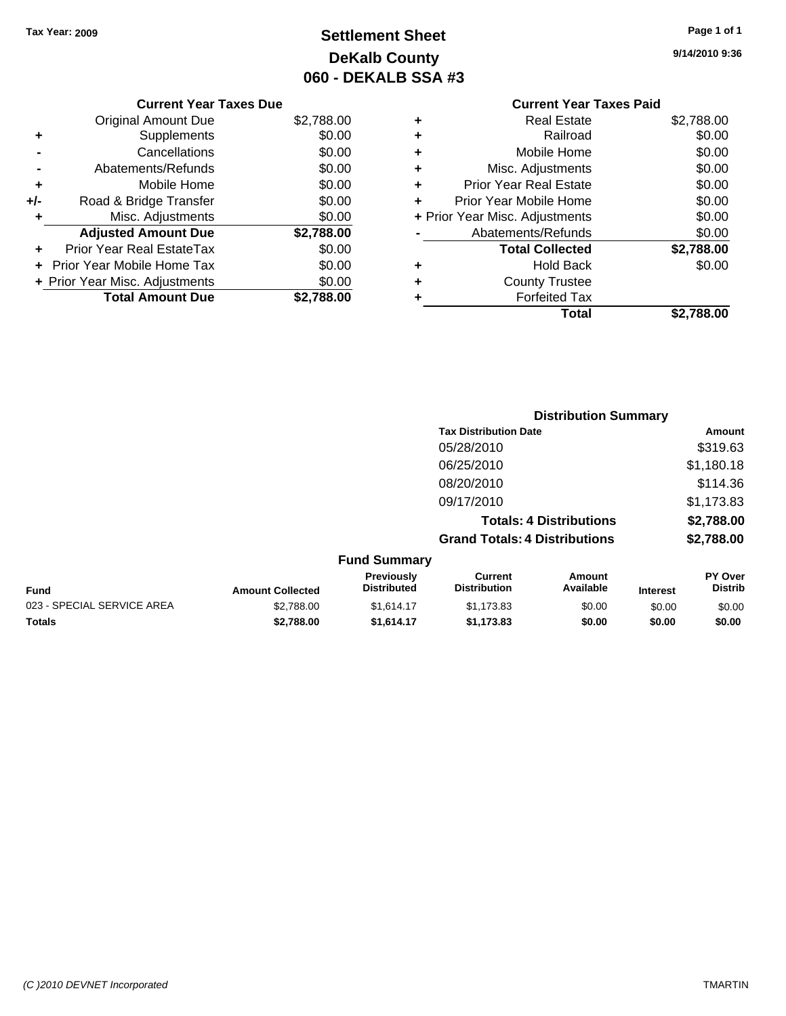## **Settlement Sheet Tax Year: 2009 Page 1 of 1 DeKalb County 060 - DEKALB SSA #3**

**9/14/2010 9:36**

#### **Current Year Taxes Paid +** Real Estate \$2,788.00 **+** Railroad \$0.00 **+** Mobile Home \$0.00 **+** Misc. Adjustments \$0.00 **+** Prior Year Real Estate \$0.00 **+** Prior Year Mobile Home \$0.00 **+** Prior Year Misc. Adjustments  $$0.00$ **-** Abatements/Refunds \$0.00 **Total Collected \$2,788.00 +** Hold Back \$0.00 **+** County Trustee **+** Forfeited Tax **Total \$2,788.00**

|                            |                         | <b>Distribution Summary</b>      |                                       |                                |                 |                           |
|----------------------------|-------------------------|----------------------------------|---------------------------------------|--------------------------------|-----------------|---------------------------|
|                            |                         |                                  | <b>Tax Distribution Date</b>          |                                |                 | <b>Amount</b>             |
|                            |                         |                                  | 05/28/2010                            |                                |                 | \$319.63                  |
|                            |                         |                                  | 06/25/2010                            |                                |                 | \$1,180.18                |
|                            |                         |                                  | 08/20/2010                            |                                |                 | \$114.36                  |
|                            |                         |                                  | 09/17/2010                            |                                |                 | \$1,173.83                |
|                            |                         |                                  |                                       | <b>Totals: 4 Distributions</b> |                 | \$2,788.00                |
|                            |                         |                                  | <b>Grand Totals: 4 Distributions</b>  |                                |                 | \$2,788.00                |
|                            |                         | <b>Fund Summary</b>              |                                       |                                |                 |                           |
| Fund                       | <b>Amount Collected</b> | Previously<br><b>Distributed</b> | <b>Current</b><br><b>Distribution</b> | Amount<br>Available            | <b>Interest</b> | PY Over<br><b>Distrib</b> |
| 023 - SPECIAL SERVICE AREA | \$2,788.00              | \$1,614.17                       | \$1,173.83                            | \$0.00                         | \$0.00          | \$0.00                    |
| Totals                     | \$2,788.00              | \$1,614.17                       | \$1,173.83                            | \$0.00                         | \$0.00          | \$0.00                    |

#### **Current Year Taxes Due** Original Amount Due \$2,788.00 **+** Supplements \$0.00 **-** Cancellations \$0.00 **-** Abatements/Refunds \$0.00 **+** Mobile Home \$0.00 **+/-** Road & Bridge Transfer \$0.00 **+** Misc. Adjustments \$0.00 **Adjusted Amount Due \$2,788.00 +** Prior Year Real EstateTax \$0.00

**+** Prior Year Mobile Home Tax \$0.00 **+ Prior Year Misc. Adjustments**  $$0.00$ 

**Total Amount Due \$2,788.00**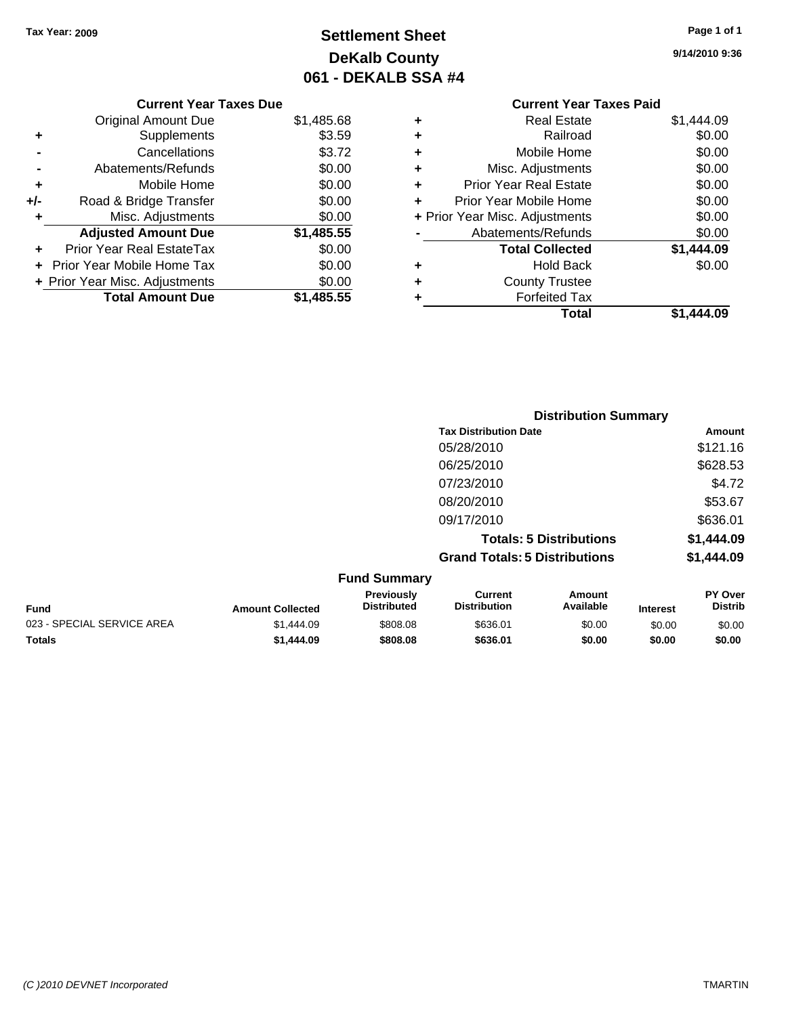**Current Year Taxes Due** Original Amount Due \$1,485.68

**Adjusted Amount Due \$1,485.55**

**Total Amount Due \$1,485.55**

**+** Supplements \$3.59 **-** Cancellations \$3.72 **-** Abatements/Refunds \$0.00 **+** Mobile Home \$0.00 **+/-** Road & Bridge Transfer \$0.00 **+** Misc. Adjustments \$0.00

**+** Prior Year Real EstateTax \$0.00 **+** Prior Year Mobile Home Tax \$0.00 **+ Prior Year Misc. Adjustments**  $$0.00$ 

## **Settlement Sheet Tax Year: 2009 Page 1 of 1 DeKalb County 061 - DEKALB SSA #4**

**9/14/2010 9:36**

#### **Current Year Taxes Paid +** Real Estate \$1,444.09 **+** Railroad \$0.00 **+** Mobile Home \$0.00 **+** Misc. Adjustments \$0.00 **+** Prior Year Real Estate \$0.00 **+** Prior Year Mobile Home \$0.00 **+** Prior Year Misc. Adjustments  $$0.00$ **-** Abatements/Refunds \$0.00 **Total Collected \$1,444.09 +** Hold Back \$0.00 **+** County Trustee **+** Forfeited Tax **Total \$1,444.09**

|                            |                         | <b>Distribution Summary</b>      |                                       |                                |                 |                                  |
|----------------------------|-------------------------|----------------------------------|---------------------------------------|--------------------------------|-----------------|----------------------------------|
|                            |                         |                                  | <b>Tax Distribution Date</b>          |                                |                 | Amount                           |
|                            |                         |                                  | 05/28/2010                            |                                |                 | \$121.16                         |
|                            |                         |                                  | 06/25/2010                            |                                |                 | \$628.53                         |
|                            |                         |                                  | 07/23/2010                            |                                |                 | \$4.72                           |
|                            |                         |                                  | 08/20/2010                            |                                |                 | \$53.67                          |
|                            |                         |                                  | 09/17/2010                            |                                |                 | \$636.01                         |
|                            |                         |                                  |                                       | <b>Totals: 5 Distributions</b> |                 | \$1,444.09                       |
|                            |                         |                                  | <b>Grand Totals: 5 Distributions</b>  |                                |                 | \$1,444.09                       |
|                            |                         | <b>Fund Summary</b>              |                                       |                                |                 |                                  |
| <b>Fund</b>                | <b>Amount Collected</b> | Previously<br><b>Distributed</b> | <b>Current</b><br><b>Distribution</b> | <b>Amount</b><br>Available     | <b>Interest</b> | <b>PY Over</b><br><b>Distrib</b> |
| 023 - SPECIAL SERVICE AREA | \$1,444.09              | \$808.08                         | \$636.01                              | \$0.00                         | \$0.00          | \$0.00                           |
| Totals                     | \$1,444.09              | \$808.08                         | \$636.01                              | \$0.00                         | \$0.00          | \$0.00                           |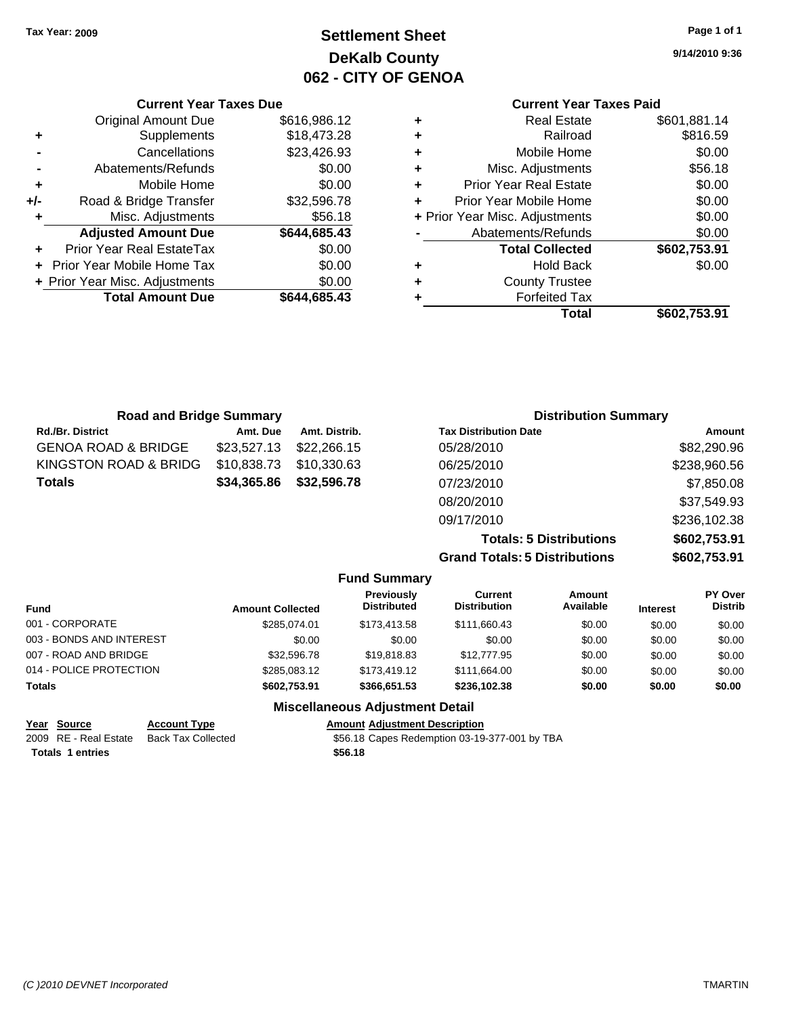**Current Year Taxes Due** Original Amount Due \$616,986.12

**Adjusted Amount Due \$644,685.43**

**Total Amount Due \$644,685.43**

**+** Supplements \$18,473.28 **-** Cancellations \$23,426.93 **-** Abatements/Refunds \$0.00 **+** Mobile Home \$0.00 **+/-** Road & Bridge Transfer \$32,596.78 **+** Misc. Adjustments \$56.18

**+** Prior Year Real EstateTax \$0.00 **+** Prior Year Mobile Home Tax \$0.00 **+ Prior Year Misc. Adjustments**  $$0.00$ 

## **Settlement Sheet Tax Year: 2009 Page 1 of 1 DeKalb County 062 - CITY OF GENOA**

**9/14/2010 9:36**

### **Current Year Taxes Paid**

|   | Total                          | \$602,753.91 |
|---|--------------------------------|--------------|
|   | <b>Forfeited Tax</b>           |              |
| ٠ | <b>County Trustee</b>          |              |
| ٠ | <b>Hold Back</b>               | \$0.00       |
|   | <b>Total Collected</b>         | \$602,753.91 |
|   | Abatements/Refunds             | \$0.00       |
|   | + Prior Year Misc. Adjustments | \$0.00       |
| ÷ | Prior Year Mobile Home         | \$0.00       |
| ٠ | <b>Prior Year Real Estate</b>  | \$0.00       |
| ٠ | Misc. Adjustments              | \$56.18      |
| ٠ | Mobile Home                    | \$0.00       |
| ٠ | Railroad                       | \$816.59     |
|   | <b>Real Estate</b>             | \$601,881.14 |

| <b>Road and Bridge Summary</b> |             |               | <b>Distribution Summary</b>  |              |
|--------------------------------|-------------|---------------|------------------------------|--------------|
| <b>Rd./Br. District</b>        | Amt. Due    | Amt. Distrib. | <b>Tax Distribution Date</b> | Amount       |
| <b>GENOA ROAD &amp; BRIDGE</b> | \$23,527.13 | \$22,266.15   | 05/28/2010                   | \$82,290.96  |
| KINGSTON ROAD & BRIDG          | \$10,838.73 | \$10,330.63   | 06/25/2010                   | \$238,960.56 |
| <b>Totals</b>                  | \$34,365.86 | \$32,596.78   | 07/23/2010                   | \$7,850.08   |
|                                |             |               | 08/20/2010                   | \$37,549.93  |
|                                |             |               | 09/17/2010                   | \$236,102.38 |

**Totals: 5 Distributions \$602,753.91**

| <b>Grand Totals: 5 Distributions</b> | \$602,753.91 |
|--------------------------------------|--------------|
|                                      |              |

|                          |                         | <b>Fund Summary</b>                     |                                |                     |                 |                           |
|--------------------------|-------------------------|-----------------------------------------|--------------------------------|---------------------|-----------------|---------------------------|
| <b>Fund</b>              | <b>Amount Collected</b> | <b>Previously</b><br><b>Distributed</b> | Current<br><b>Distribution</b> | Amount<br>Available | <b>Interest</b> | PY Over<br><b>Distrib</b> |
| 001 - CORPORATE          | \$285.074.01            | \$173,413.58                            | \$111,660.43                   | \$0.00              | \$0.00          | \$0.00                    |
| 003 - BONDS AND INTEREST | \$0.00                  | \$0.00                                  | \$0.00                         | \$0.00              | \$0.00          | \$0.00                    |
| 007 - ROAD AND BRIDGE    | \$32,596.78             | \$19,818.83                             | \$12,777.95                    | \$0.00              | \$0.00          | \$0.00                    |
| 014 - POLICE PROTECTION  | \$285,083.12            | \$173,419.12                            | \$111,664.00                   | \$0.00              | \$0.00          | \$0.00                    |
| <b>Totals</b>            | \$602.753.91            | \$366,651.53                            | \$236,102.38                   | \$0.00              | \$0.00          | \$0.00                    |
|                          |                         | <b>Miscellaneous Adjustment Detail</b>  |                                |                     |                 |                           |

| Year Source             | <b>Account Type</b>       | <b>Amount Adiustment Description</b>          |
|-------------------------|---------------------------|-----------------------------------------------|
| 2009 RE - Real Estate   | <b>Back Tax Collected</b> | \$56.18 Capes Redemption 03-19-377-001 by TBA |
| <b>Totals 1 entries</b> |                           | \$56.18                                       |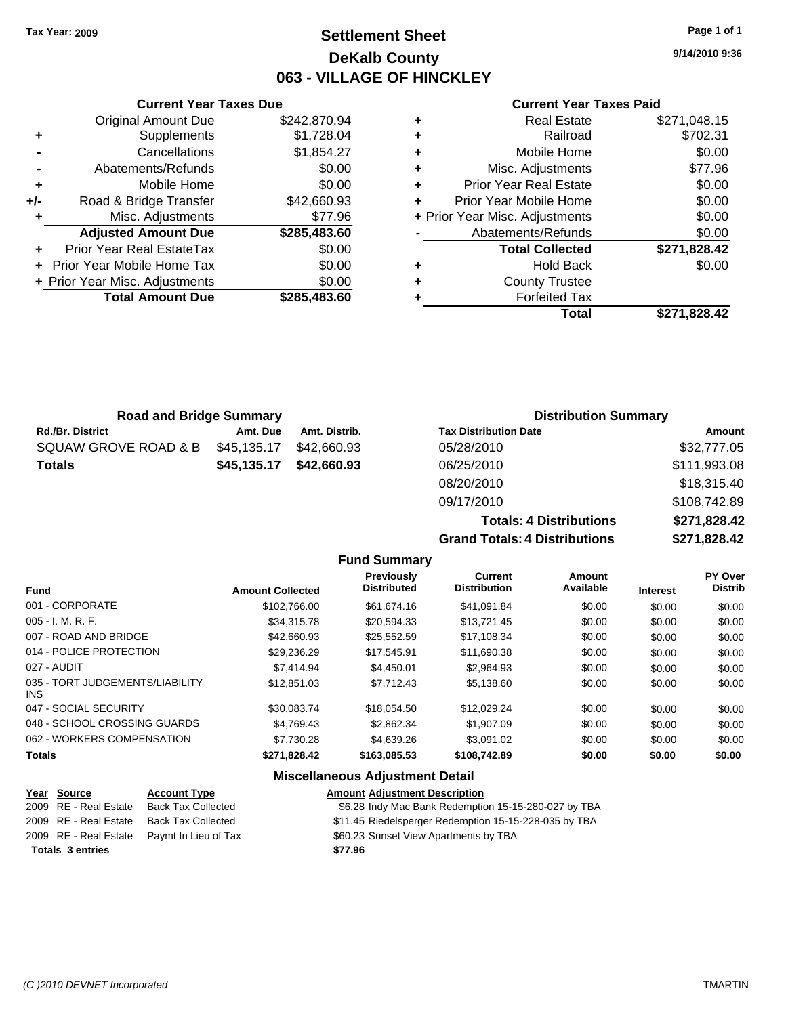### **Settlement Sheet Tax Year: 2009 Page 1 of 1 DeKalb County 063 - VILLAGE OF HINCKLEY**

**9/14/2010 9:36**

#### **Current Year Taxes Paid**

**Totals: 4 Distributions \$271,828.42**

**Grand Totals: 4 Distributions \$271,828.42**

|   | Total                          | \$271,828.42 |
|---|--------------------------------|--------------|
| ٠ | <b>Forfeited Tax</b>           |              |
| ٠ | <b>County Trustee</b>          |              |
| ٠ | <b>Hold Back</b>               | \$0.00       |
|   | <b>Total Collected</b>         | \$271,828.42 |
|   | Abatements/Refunds             | \$0.00       |
|   | + Prior Year Misc. Adjustments | \$0.00       |
| ٠ | Prior Year Mobile Home         | \$0.00       |
| ٠ | <b>Prior Year Real Estate</b>  | \$0.00       |
| ٠ | Misc. Adjustments              | \$77.96      |
| ٠ | Mobile Home                    | \$0.00       |
| ٠ | Railroad                       | \$702.31     |
| ٠ | <b>Real Estate</b>             | \$271,048.15 |
|   |                                |              |

|                | <b>Original Amount Due</b>     | \$242,870.94 |
|----------------|--------------------------------|--------------|
| ٠              | <b>Supplements</b>             | \$1,728.04   |
| $\blacksquare$ | Cancellations                  | \$1,854.27   |
|                | Abatements/Refunds             | \$0.00       |
| ÷              | Mobile Home                    | \$0.00       |
| +/-            | Road & Bridge Transfer         | \$42,660.93  |
| ٠              | Misc. Adjustments              | \$77.96      |
|                | <b>Adjusted Amount Due</b>     | \$285,483.60 |
|                | Prior Year Real EstateTax      | \$0.00       |
|                | Prior Year Mobile Home Tax     | \$0.00       |
|                | + Prior Year Misc. Adjustments | \$0.00       |
|                | <b>Total Amount Due</b>        | \$285,483.60 |

**Current Year Taxes Due**

| <b>Road and Bridge Summary</b> |             |               | <b>Distribution Summary</b>  |              |  |
|--------------------------------|-------------|---------------|------------------------------|--------------|--|
| <b>Rd./Br. District</b>        | Amt. Due    | Amt. Distrib. | <b>Tax Distribution Date</b> | Amount       |  |
| SQUAW GROVE ROAD & B           | \$45,135.17 | \$42,660.93   | 05/28/2010                   | \$32,777.05  |  |
| Totals                         | \$45,135.17 | \$42,660.93   | 06/25/2010                   | \$111,993.08 |  |
|                                |             |               | 08/20/2010                   | \$18,315.40  |  |
|                                |             |               | 09/17/2010                   | \$108,742.89 |  |

#### **Fund Summary**

| <b>Fund</b>                             | <b>Amount Collected</b> | <b>Previously</b><br><b>Distributed</b> | <b>Current</b><br><b>Distribution</b> | Amount<br>Available | <b>Interest</b> | PY Over<br><b>Distrib</b> |
|-----------------------------------------|-------------------------|-----------------------------------------|---------------------------------------|---------------------|-----------------|---------------------------|
| 001 - CORPORATE                         | \$102,766.00            | \$61.674.16                             | \$41.091.84                           | \$0.00              | \$0.00          | \$0.00                    |
| 005 - I. M. R. F.                       | \$34,315.78             | \$20,594.33                             | \$13,721.45                           | \$0.00              | \$0.00          | \$0.00                    |
| 007 - ROAD AND BRIDGE                   | \$42,660.93             | \$25,552.59                             | \$17,108.34                           | \$0.00              | \$0.00          | \$0.00                    |
| 014 - POLICE PROTECTION                 | \$29.236.29             | \$17.545.91                             | \$11,690.38                           | \$0.00              | \$0.00          | \$0.00                    |
| 027 - AUDIT                             | \$7,414.94              | \$4,450.01                              | \$2.964.93                            | \$0.00              | \$0.00          | \$0.00                    |
| 035 - TORT JUDGEMENTS/LIABILITY<br>INS. | \$12.851.03             | \$7.712.43                              | \$5.138.60                            | \$0.00              | \$0.00          | \$0.00                    |
| 047 - SOCIAL SECURITY                   | \$30.083.74             | \$18.054.50                             | \$12.029.24                           | \$0.00              | \$0.00          | \$0.00                    |
| 048 - SCHOOL CROSSING GUARDS            | \$4.769.43              | \$2,862,34                              | \$1,907.09                            | \$0.00              | \$0.00          | \$0.00                    |
| 062 - WORKERS COMPENSATION              | \$7.730.28              | \$4,639.26                              | \$3.091.02                            | \$0.00              | \$0.00          | \$0.00                    |
| Totals                                  | \$271,828.42            | \$163,085.53                            | \$108,742.89                          | \$0.00              | \$0.00          | \$0.00                    |
|                                         |                         |                                         |                                       |                     |                 |                           |

#### **Miscellaneous Adjustment Detail**

| <u>Year Source</u>      | <b>Account Type</b>                        | <b>Amount Adjustment Description</b>                  |
|-------------------------|--------------------------------------------|-------------------------------------------------------|
| 2009 RE - Real Estate   | <b>Back Tax Collected</b>                  | \$6.28 Indy Mac Bank Redemption 15-15-280-027 by TBA  |
| 2009 RE - Real Estate   | Back Tax Collected                         | \$11.45 Riedelsperger Redemption 15-15-228-035 by TBA |
|                         | 2009 RE - Real Estate Paymt In Lieu of Tax | \$60.23 Sunset View Apartments by TBA                 |
| <b>Totals 3 entries</b> |                                            | \$77.96                                               |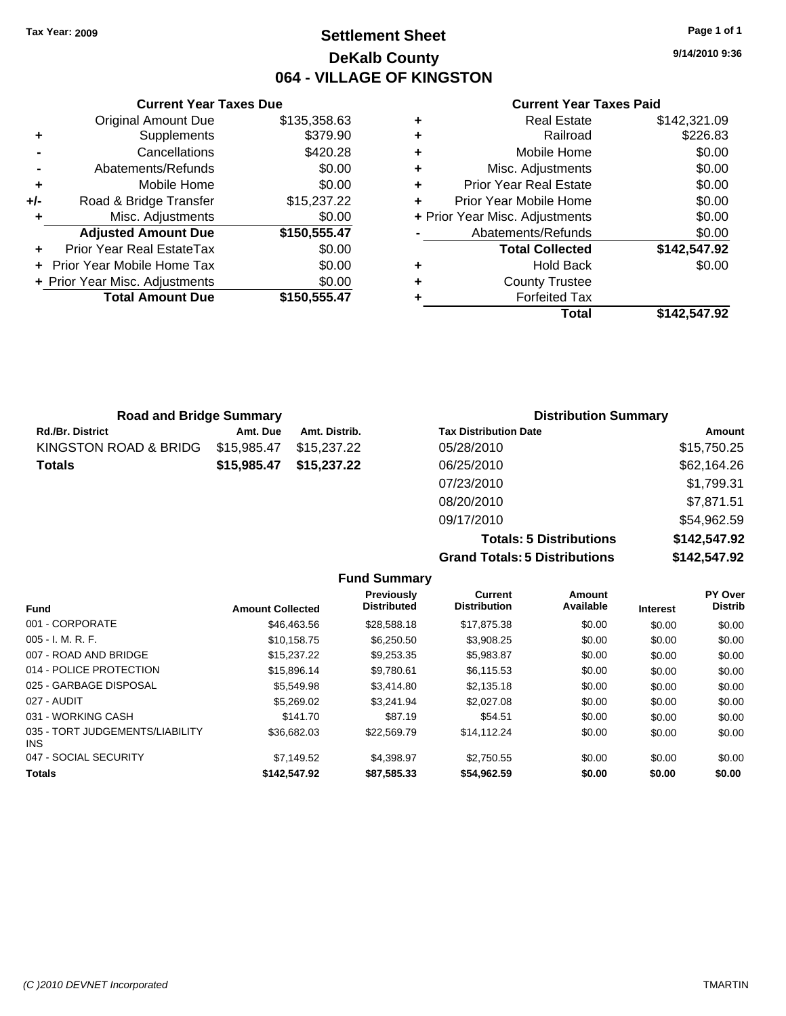### **Settlement Sheet Tax Year: 2009 Page 1 of 1 DeKalb County 064 - VILLAGE OF KINGSTON**

**9/14/2010 9:36**

#### **Current Year Taxes Paid**

|     | <b>Current Year Taxes Due</b>     |              |
|-----|-----------------------------------|--------------|
|     | <b>Original Amount Due</b>        | \$135,358.63 |
| ٠   | Supplements                       | \$379.90     |
|     | Cancellations                     | \$420.28     |
|     | Abatements/Refunds                | \$0.00       |
| ٠   | Mobile Home                       | \$0.00       |
| +/- | Road & Bridge Transfer            | \$15,237.22  |
| ٠   | Misc. Adjustments                 | \$0.00       |
|     | <b>Adjusted Amount Due</b>        | \$150,555.47 |
|     | Prior Year Real EstateTax         | \$0.00       |
|     | <b>Prior Year Mobile Home Tax</b> | \$0.00       |
|     | + Prior Year Misc. Adjustments    | \$0.00       |
|     | <b>Total Amount Due</b>           | \$150,555.47 |
|     |                                   |              |

|   | <b>Real Estate</b>             | \$142,321.09 |
|---|--------------------------------|--------------|
| ٠ | Railroad                       | \$226.83     |
| ٠ | Mobile Home                    | \$0.00       |
| ٠ | Misc. Adjustments              | \$0.00       |
| ٠ | <b>Prior Year Real Estate</b>  | \$0.00       |
| ٠ | Prior Year Mobile Home         | \$0.00       |
|   | + Prior Year Misc. Adjustments | \$0.00       |
|   | Abatements/Refunds             | \$0.00       |
|   | <b>Total Collected</b>         | \$142,547.92 |
| ٠ | <b>Hold Back</b>               | \$0.00       |
| ٠ | <b>County Trustee</b>          |              |
|   | <b>Forfeited Tax</b>           |              |
|   | Total                          | \$142,547.92 |

| <b>Road and Bridge Summary</b> |             |               | <b>Distribution Summary</b>  |             |  |
|--------------------------------|-------------|---------------|------------------------------|-------------|--|
| <b>Rd./Br. District</b>        | Amt. Due    | Amt. Distrib. | <b>Tax Distribution Date</b> | Amount      |  |
| KINGSTON ROAD & BRIDG          | \$15,985.47 | \$15.237.22   | 05/28/2010                   | \$15,750.25 |  |
| <b>Totals</b>                  | \$15,985.47 | \$15,237.22   | 06/25/2010                   | \$62,164.26 |  |
|                                |             |               | 07/23/2010                   | \$1,799.31  |  |
|                                |             |               | 08/20/2010                   | \$7,871.51  |  |

**Totals: 5 Distributions \$142,547.92 Grand Totals: 5 Distributions \$142,547.92**

09/17/2010 \$54,962.59

|                                         |                         | <b>Fund Summary</b>              |                                       |                     |                 |                           |
|-----------------------------------------|-------------------------|----------------------------------|---------------------------------------|---------------------|-----------------|---------------------------|
| <b>Fund</b>                             | <b>Amount Collected</b> | Previously<br><b>Distributed</b> | <b>Current</b><br><b>Distribution</b> | Amount<br>Available | <b>Interest</b> | PY Over<br><b>Distrib</b> |
| 001 - CORPORATE                         | \$46,463.56             | \$28,588.18                      | \$17,875.38                           | \$0.00              | \$0.00          | \$0.00                    |
| 005 - I. M. R. F.                       | \$10.158.75             | \$6,250.50                       | \$3,908.25                            | \$0.00              | \$0.00          | \$0.00                    |
| 007 - ROAD AND BRIDGE                   | \$15,237,22             | \$9,253.35                       | \$5,983.87                            | \$0.00              | \$0.00          | \$0.00                    |
| 014 - POLICE PROTECTION                 | \$15,896.14             | \$9,780.61                       | \$6,115.53                            | \$0.00              | \$0.00          | \$0.00                    |
| 025 - GARBAGE DISPOSAL                  | \$5,549.98              | \$3,414.80                       | \$2,135.18                            | \$0.00              | \$0.00          | \$0.00                    |
| 027 - AUDIT                             | \$5,269.02              | \$3.241.94                       | \$2,027.08                            | \$0.00              | \$0.00          | \$0.00                    |
| 031 - WORKING CASH                      | \$141.70                | \$87.19                          | \$54.51                               | \$0.00              | \$0.00          | \$0.00                    |
| 035 - TORT JUDGEMENTS/LIABILITY<br>INS. | \$36,682.03             | \$22,569.79                      | \$14,112.24                           | \$0.00              | \$0.00          | \$0.00                    |
| 047 - SOCIAL SECURITY                   | \$7,149.52              | \$4,398.97                       | \$2,750.55                            | \$0.00              | \$0.00          | \$0.00                    |
| Totals                                  | \$142,547.92            | \$87.585.33                      | \$54.962.59                           | \$0.00              | \$0.00          | \$0.00                    |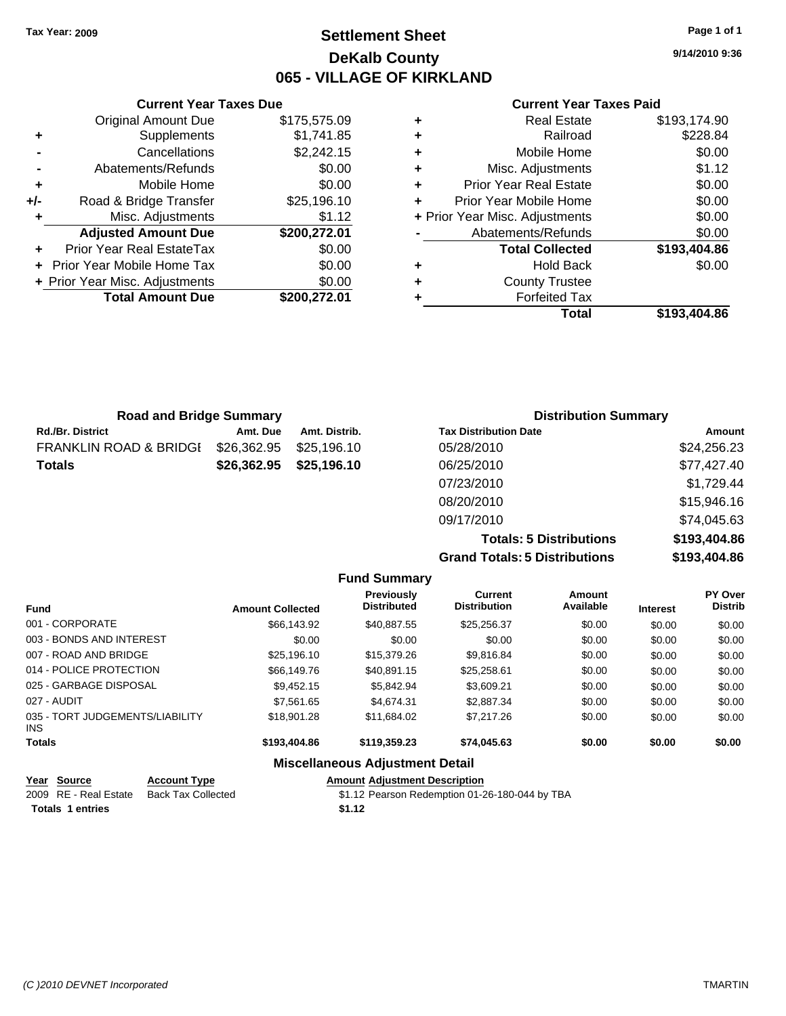### **Settlement Sheet Tax Year: 2009 Page 1 of 1 DeKalb County 065 - VILLAGE OF KIRKLAND**

**9/14/2010 9:36**

#### **Current Year Taxes Paid**

| ٠ | <b>Real Estate</b>             | \$193,174.90 |
|---|--------------------------------|--------------|
| ٠ | Railroad                       | \$228.84     |
| ٠ | Mobile Home                    | \$0.00       |
| ٠ | Misc. Adjustments              | \$1.12       |
| ٠ | <b>Prior Year Real Estate</b>  | \$0.00       |
| ÷ | Prior Year Mobile Home         | \$0.00       |
|   | + Prior Year Misc. Adjustments | \$0.00       |
|   | Abatements/Refunds             | \$0.00       |
|   | <b>Total Collected</b>         | \$193,404.86 |
| ٠ | <b>Hold Back</b>               | \$0.00       |
| ٠ | <b>County Trustee</b>          |              |
|   | <b>Forfeited Tax</b>           |              |
|   | Total                          | \$193,404.86 |

|     | <b>Current Year Taxes Due</b>    |              |  |  |  |  |
|-----|----------------------------------|--------------|--|--|--|--|
|     | <b>Original Amount Due</b>       | \$175,575.09 |  |  |  |  |
| ٠   | Supplements                      | \$1,741.85   |  |  |  |  |
|     | Cancellations                    | \$2,242.15   |  |  |  |  |
|     | Abatements/Refunds               | \$0.00       |  |  |  |  |
| ÷   | Mobile Home                      | \$0.00       |  |  |  |  |
| +/- | Road & Bridge Transfer           | \$25,196.10  |  |  |  |  |
|     | Misc. Adjustments                | \$1.12       |  |  |  |  |
|     | <b>Adjusted Amount Due</b>       | \$200,272.01 |  |  |  |  |
|     | <b>Prior Year Real EstateTax</b> | \$0.00       |  |  |  |  |
|     | Prior Year Mobile Home Tax       | \$0.00       |  |  |  |  |
|     | + Prior Year Misc. Adjustments   | \$0.00       |  |  |  |  |
|     | <b>Total Amount Due</b>          | \$200,272,01 |  |  |  |  |

| <b>Road and Bridge Summary</b> |             |               | <b>Distribution Summary</b>  |             |  |
|--------------------------------|-------------|---------------|------------------------------|-------------|--|
| <b>Rd./Br. District</b>        | Amt. Due    | Amt. Distrib. | <b>Tax Distribution Date</b> | Amount      |  |
| FRANKLIN ROAD & BRIDGI         | \$26,362.95 | \$25,196.10   | 05/28/2010                   | \$24,256.23 |  |
| Totals                         | \$26,362.95 | \$25,196.10   | 06/25/2010                   | \$77,427.40 |  |
|                                |             |               | 07/23/2010                   | \$1,729.44  |  |
|                                |             |               | 08/20/2010                   | \$15,946.16 |  |
|                                |             |               | 09/17/2010                   | \$74,045.63 |  |
|                                |             |               |                              |             |  |

**Totals: 5 Distributions \$193,404.86 Grand Totals: 5 Distributions \$193,404.86**

|                                         |                           |                         | <b>Fund Summary</b>                            |                                |                     |                 |                           |
|-----------------------------------------|---------------------------|-------------------------|------------------------------------------------|--------------------------------|---------------------|-----------------|---------------------------|
| <b>Fund</b>                             |                           | <b>Amount Collected</b> | <b>Previously</b><br><b>Distributed</b>        | Current<br><b>Distribution</b> | Amount<br>Available | <b>Interest</b> | PY Over<br><b>Distrib</b> |
| 001 - CORPORATE                         |                           | \$66,143.92             | \$40.887.55                                    | \$25,256.37                    | \$0.00              | \$0.00          | \$0.00                    |
| 003 - BONDS AND INTEREST                |                           | \$0.00                  | \$0.00                                         | \$0.00                         | \$0.00              | \$0.00          | \$0.00                    |
| 007 - ROAD AND BRIDGE                   |                           | \$25,196.10             | \$15,379.26                                    | \$9,816.84                     | \$0.00              | \$0.00          | \$0.00                    |
| 014 - POLICE PROTECTION                 |                           | \$66,149.76             | \$40.891.15                                    | \$25,258.61                    | \$0.00              | \$0.00          | \$0.00                    |
| 025 - GARBAGE DISPOSAL                  |                           | \$9,452.15              | \$5,842.94                                     | \$3,609.21                     | \$0.00              | \$0.00          | \$0.00                    |
| 027 - AUDIT                             |                           | \$7.561.65              | \$4,674.31                                     | \$2,887.34                     | \$0.00              | \$0.00          | \$0.00                    |
| 035 - TORT JUDGEMENTS/LIABILITY<br>INS. |                           | \$18,901.28             | \$11,684.02                                    | \$7,217.26                     | \$0.00              | \$0.00          | \$0.00                    |
| <b>Totals</b>                           |                           | \$193,404.86            | \$119,359.23                                   | \$74,045.63                    | \$0.00              | \$0.00          | \$0.00                    |
|                                         |                           |                         | <b>Miscellaneous Adjustment Detail</b>         |                                |                     |                 |                           |
| Source<br>Year                          | <b>Account Type</b>       |                         | <b>Amount Adjustment Description</b>           |                                |                     |                 |                           |
| 2009 RE - Real Estate                   | <b>Back Tax Collected</b> |                         | \$1.12 Pearson Redemption 01-26-180-044 by TBA |                                |                     |                 |                           |

Totals 1 entries **\$1.12** 

*(C )2010 DEVNET Incorporated* TMARTIN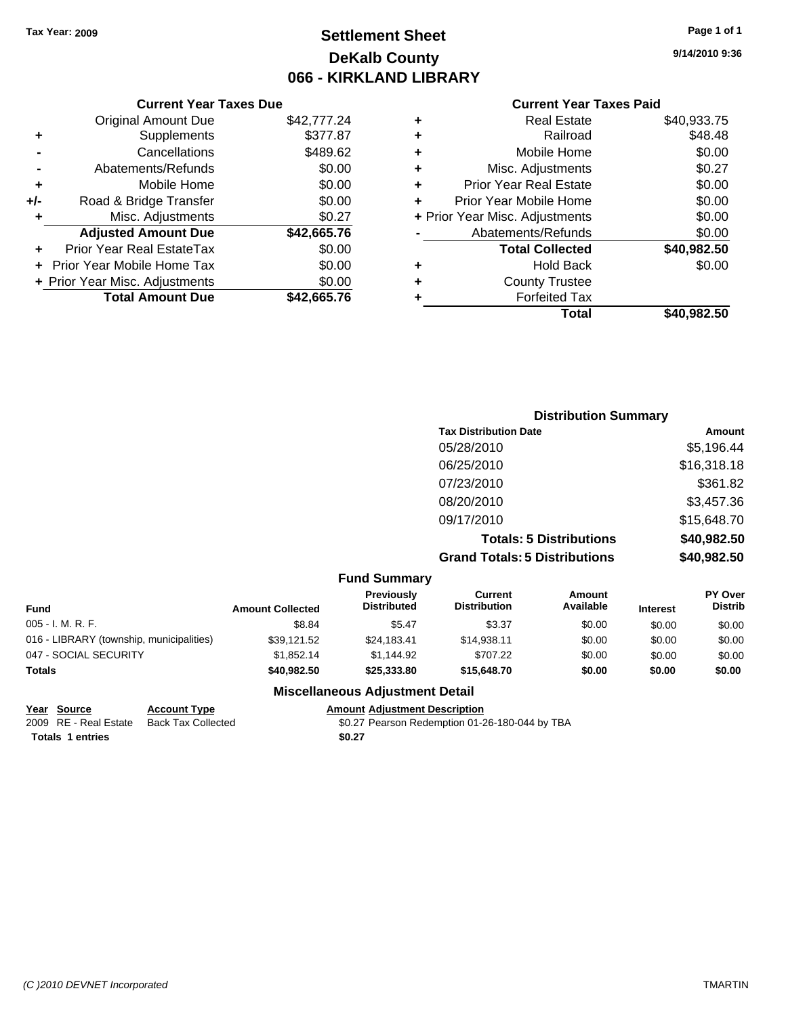## **Settlement Sheet Tax Year: 2009 Page 1 of 1 DeKalb County 066 - KIRKLAND LIBRARY**

#### **Current Year Taxes Due**

|     | <b>Original Amount Due</b>       | \$42,777.24 |
|-----|----------------------------------|-------------|
| ٠   | Supplements                      | \$377.87    |
|     | Cancellations                    | \$489.62    |
|     | Abatements/Refunds               | \$0.00      |
| ٠   | Mobile Home                      | \$0.00      |
| +/- | Road & Bridge Transfer           | \$0.00      |
| ٠   | Misc. Adjustments                | \$0.27      |
|     | <b>Adjusted Amount Due</b>       | \$42,665.76 |
|     | <b>Prior Year Real EstateTax</b> | \$0.00      |
|     | Prior Year Mobile Home Tax       | \$0.00      |
|     | + Prior Year Misc. Adjustments   | \$0.00      |
|     | <b>Total Amount Due</b>          | \$42.665.76 |

#### **Current Year Taxes Paid**

| ٠ | <b>Real Estate</b>             | \$40,933.75 |
|---|--------------------------------|-------------|
| ٠ | Railroad                       | \$48.48     |
| ٠ | Mobile Home                    | \$0.00      |
| ٠ | Misc. Adjustments              | \$0.27      |
| ÷ | <b>Prior Year Real Estate</b>  | \$0.00      |
| ٠ | Prior Year Mobile Home         | \$0.00      |
|   | + Prior Year Misc. Adjustments | \$0.00      |
|   | Abatements/Refunds             | \$0.00      |
|   | <b>Total Collected</b>         | \$40,982.50 |
| ٠ | <b>Hold Back</b>               | \$0.00      |
| ٠ | <b>County Trustee</b>          |             |
| ٠ | <b>Forfeited Tax</b>           |             |
|   | Total                          | \$40,982,50 |
|   |                                |             |

### **Distribution Summary Tax Distribution Date Amount** 05/28/2010 \$5,196.44 06/25/2010 \$16,318.18 07/23/2010 \$361.82 08/20/2010 \$3,457.36 09/17/2010 \$15,648.70 **Totals: 5 Distributions \$40,982.50 Grand Totals: 5 Distributions \$40,982.50**

#### **Fund Summary Fund Interest Amount Collected Distributed PY Over Distrib Amount Available Current Distribution Previously** 005 - I. M. R. F. Channel Communication of the state to the second second to the second second second second s 016 - LIBRARY (township, municipalities)  $$39,121.52$   $$24,183.41$   $$14,938.11$   $$0.00$   $$0.00$  \$0.00 \$0.00 047 - SOCIAL SECURITY 61,852.14 \$1,852.14 \$1,144.92 \$707.22 \$0.00 \$0.00 \$0.00 **Totals \$40,982.50 \$25,333.80 \$15,648.70 \$0.00 \$0.00 \$0.00**

#### **Miscellaneous Adjustment Detail**

| Year Source             | <b>Account Type</b> | Amount |
|-------------------------|---------------------|--------|
| 2009 RE - Real Estate   | Back Tax Collected  | \$0.27 |
| <b>Totals 1 entries</b> |                     | \$0.27 |

**Properties Amount Adjustment Description** Tax Collected **2009 SOLET - Real Estate SOLET Pearson Redemption 01-26-180-044 by TBA**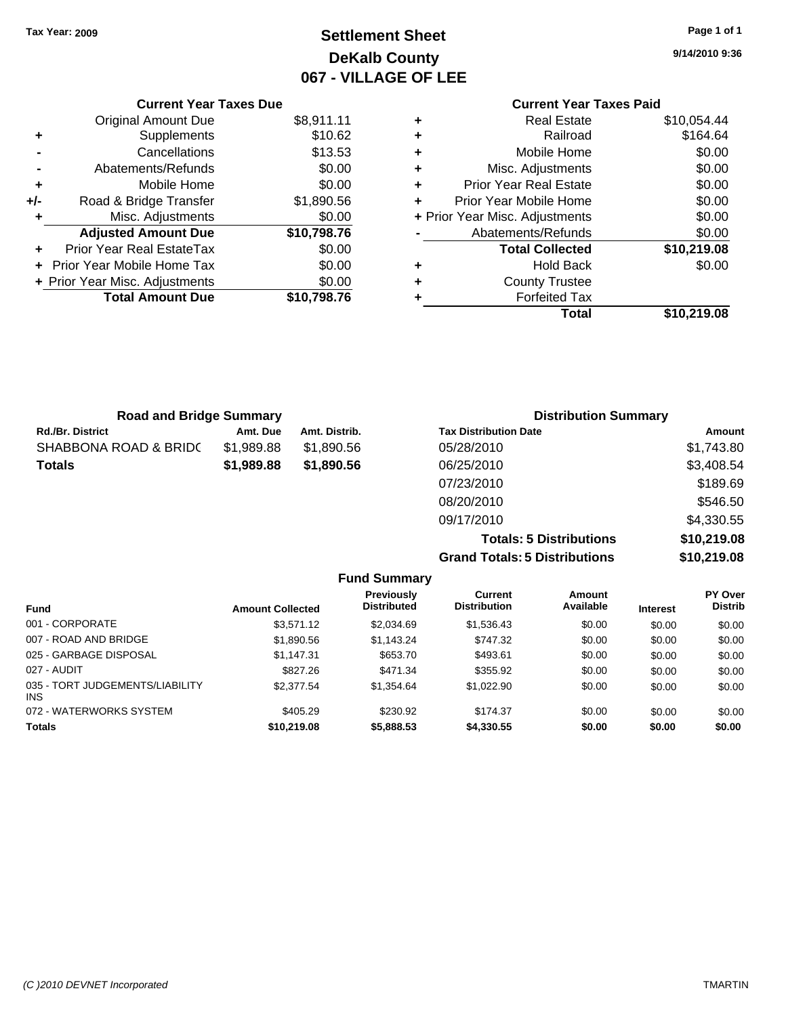## **Settlement Sheet Tax Year: 2009 Page 1 of 1 DeKalb County 067 - VILLAGE OF LEE**

**9/14/2010 9:36**

#### **Current Year Taxes Paid +** Real Estate \$10,054.44 **+** Railroad \$164.64 **+** Mobile Home \$0.00 **+** Misc. Adjustments \$0.00 **+** Prior Year Real Estate \$0.00 **+** Prior Year Mobile Home \$0.00 **+** Prior Year Misc. Adjustments  $$0.00$ Abatements/Refunds \$0.00 **Total Collected \$10,219.08 +** Hold Back \$0.00 **+** County Trustee **+** Forfeited Tax **Total \$10,219.08**

| Total |
|-------|

| <b>Road and Bridge Summary</b> |            |               | <b>Distribution Summary</b>  |            |
|--------------------------------|------------|---------------|------------------------------|------------|
| <b>Rd./Br. District</b>        | Amt. Due   | Amt. Distrib. | <b>Tax Distribution Date</b> | Amount     |
| SHABBONA ROAD & BRIDC          | \$1,989.88 | \$1.890.56    | 05/28/2010                   | \$1,743.80 |
| <b>Totals</b>                  | \$1,989.88 | \$1,890.56    | 06/25/2010                   | \$3,408.54 |
|                                |            |               | 07/23/2010                   | \$189.69   |
|                                |            |               | 08/20/2010                   | \$546.50   |
|                                |            |               | 09/17/2010                   | \$4,330.55 |

**Totals: 5 Distributions \$10,219.08 Grand Totals: 5 Distributions \$10,219.08**

|                                               | <b>Fund Summary</b>     |                                         |                                       |                     |                 |                                  |
|-----------------------------------------------|-------------------------|-----------------------------------------|---------------------------------------|---------------------|-----------------|----------------------------------|
| <b>Fund</b>                                   | <b>Amount Collected</b> | <b>Previously</b><br><b>Distributed</b> | <b>Current</b><br><b>Distribution</b> | Amount<br>Available | <b>Interest</b> | <b>PY Over</b><br><b>Distrib</b> |
| 001 - CORPORATE                               | \$3,571.12              | \$2,034.69                              | \$1,536.43                            | \$0.00              | \$0.00          | \$0.00                           |
| 007 - ROAD AND BRIDGE                         | \$1,890.56              | \$1,143.24                              | \$747.32                              | \$0.00              | \$0.00          | \$0.00                           |
| 025 - GARBAGE DISPOSAL                        | \$1,147.31              | \$653.70                                | \$493.61                              | \$0.00              | \$0.00          | \$0.00                           |
| 027 - AUDIT                                   | \$827.26                | \$471.34                                | \$355.92                              | \$0.00              | \$0.00          | \$0.00                           |
| 035 - TORT JUDGEMENTS/LIABILITY<br><b>INS</b> | \$2,377.54              | \$1,354.64                              | \$1,022.90                            | \$0.00              | \$0.00          | \$0.00                           |
| 072 - WATERWORKS SYSTEM                       | \$405.29                | \$230.92                                | \$174.37                              | \$0.00              | \$0.00          | \$0.00                           |
| <b>Totals</b>                                 | \$10,219.08             | \$5,888.53                              | \$4,330.55                            | \$0.00              | \$0.00          | \$0.00                           |

#### **Current Year Taxes Due**

| ٠     | Supplements                    | \$10.62     |
|-------|--------------------------------|-------------|
|       | Cancellations                  | \$13.53     |
|       | Abatements/Refunds             | \$0.00      |
| ٠     | Mobile Home                    | \$0.00      |
| $+/-$ | Road & Bridge Transfer         | \$1,890.56  |
| ٠     | Misc. Adjustments              | \$0.00      |
|       |                                |             |
|       | <b>Adjusted Amount Due</b>     | \$10,798.76 |
|       | Prior Year Real EstateTax      | \$0.00      |
|       | Prior Year Mobile Home Tax     | \$0.00      |
|       | + Prior Year Misc. Adjustments | \$0.00      |
|       | <b>Total Amount Due</b>        | \$10,798.76 |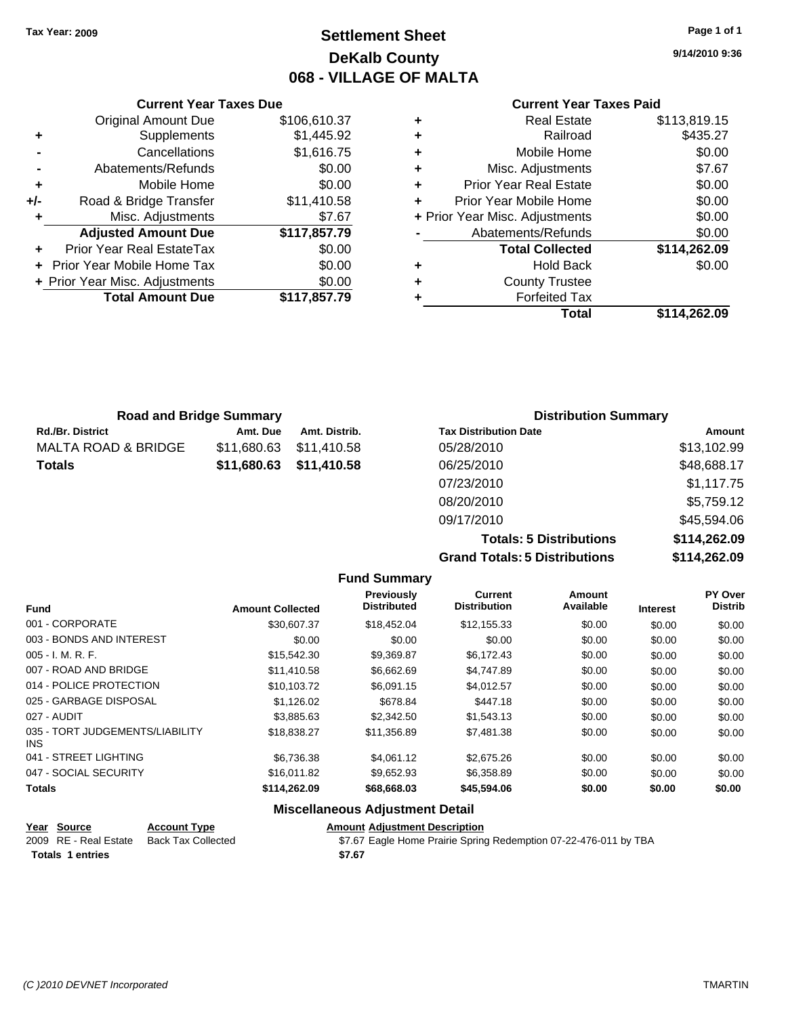### **Settlement Sheet Tax Year: 2009 Page 1 of 1 DeKalb County 068 - VILLAGE OF MALTA**

**9/14/2010 9:36**

#### **Current Year Taxes Paid**

|   | Total                          | \$114.262.09 |
|---|--------------------------------|--------------|
|   | <b>Forfeited Tax</b>           |              |
| ٠ | <b>County Trustee</b>          |              |
| ٠ | <b>Hold Back</b>               | \$0.00       |
|   | <b>Total Collected</b>         | \$114,262.09 |
|   | Abatements/Refunds             | \$0.00       |
|   | + Prior Year Misc. Adjustments | \$0.00       |
| ÷ | Prior Year Mobile Home         | \$0.00       |
| ٠ | <b>Prior Year Real Estate</b>  | \$0.00       |
| ÷ | Misc. Adjustments              | \$7.67       |
| ٠ | Mobile Home                    | \$0.00       |
| ÷ | Railroad                       | \$435.27     |
| ٠ | <b>Real Estate</b>             | \$113,819.15 |

|     | <b>Current Year Taxes Due</b>    |              |
|-----|----------------------------------|--------------|
|     | <b>Original Amount Due</b>       | \$106,610.37 |
| ٠   | Supplements                      | \$1,445.92   |
|     | Cancellations                    | \$1,616.75   |
|     | Abatements/Refunds               | \$0.00       |
| ٠   | Mobile Home                      | \$0.00       |
| +/- | Road & Bridge Transfer           | \$11,410.58  |
| ٠   | Misc. Adjustments                | \$7.67       |
|     | <b>Adjusted Amount Due</b>       | \$117,857.79 |
|     | <b>Prior Year Real EstateTax</b> | \$0.00       |
|     | Prior Year Mobile Home Tax       | \$0.00       |
|     | + Prior Year Misc. Adjustments   | \$0.00       |
|     | <b>Total Amount Due</b>          | \$117,857.79 |
|     |                                  |              |

| <b>Road and Bridge Summary</b> |             |               | <b>Distribution Summary</b>  |             |
|--------------------------------|-------------|---------------|------------------------------|-------------|
| Rd./Br. District               | Amt. Due    | Amt. Distrib. | <b>Tax Distribution Date</b> | Amount      |
| MALTA ROAD & BRIDGE            | \$11,680.63 | \$11.410.58   | 05/28/2010                   | \$13,102.99 |
| Totals                         | \$11,680.63 | \$11,410.58   | 06/25/2010                   | \$48,688.17 |
|                                |             |               | 07/23/2010                   | \$1,117.75  |
|                                |             |               | 08/20/2010                   | \$5,759.12  |
|                                |             |               | 09/17/2010                   | \$45,594.06 |

**Totals: 5 Distributions \$114,262.09 Grand Totals: 5 Distributions \$114,262.09**

|                                         |                         | <b>Fund Summary</b>                     |                                       |                     |                 |                           |
|-----------------------------------------|-------------------------|-----------------------------------------|---------------------------------------|---------------------|-----------------|---------------------------|
| <b>Fund</b>                             | <b>Amount Collected</b> | <b>Previously</b><br><b>Distributed</b> | <b>Current</b><br><b>Distribution</b> | Amount<br>Available | <b>Interest</b> | PY Over<br><b>Distrib</b> |
| 001 - CORPORATE                         | \$30,607.37             | \$18,452.04                             | \$12,155.33                           | \$0.00              | \$0.00          | \$0.00                    |
| 003 - BONDS AND INTEREST                | \$0.00                  | \$0.00                                  | \$0.00                                | \$0.00              | \$0.00          | \$0.00                    |
| $005 - I. M. R. F.$                     | \$15,542.30             | \$9,369.87                              | \$6,172.43                            | \$0.00              | \$0.00          | \$0.00                    |
| 007 - ROAD AND BRIDGE                   | \$11,410.58             | \$6,662.69                              | \$4,747.89                            | \$0.00              | \$0.00          | \$0.00                    |
| 014 - POLICE PROTECTION                 | \$10,103.72             | \$6,091.15                              | \$4,012.57                            | \$0.00              | \$0.00          | \$0.00                    |
| 025 - GARBAGE DISPOSAL                  | \$1,126.02              | \$678.84                                | \$447.18                              | \$0.00              | \$0.00          | \$0.00                    |
| 027 - AUDIT                             | \$3.885.63              | \$2,342.50                              | \$1,543.13                            | \$0.00              | \$0.00          | \$0.00                    |
| 035 - TORT JUDGEMENTS/LIABILITY<br>INS. | \$18,838.27             | \$11,356.89                             | \$7,481.38                            | \$0.00              | \$0.00          | \$0.00                    |
| 041 - STREET LIGHTING                   | \$6,736.38              | \$4,061.12                              | \$2,675.26                            | \$0.00              | \$0.00          | \$0.00                    |
| 047 - SOCIAL SECURITY                   | \$16,011.82             | \$9,652.93                              | \$6,358.89                            | \$0.00              | \$0.00          | \$0.00                    |
| <b>Totals</b>                           | \$114,262.09            | \$68,668.03                             | \$45,594.06                           | \$0.00              | \$0.00          | \$0.00                    |

#### **Miscellaneous Adjustment Detail**

**Year Source Account Type Amount Adjustment Description** Totals 1 entries **\$7.67** 

\$7.67 Eagle Home Prairie Spring Redemption 07-22-476-011 by TBA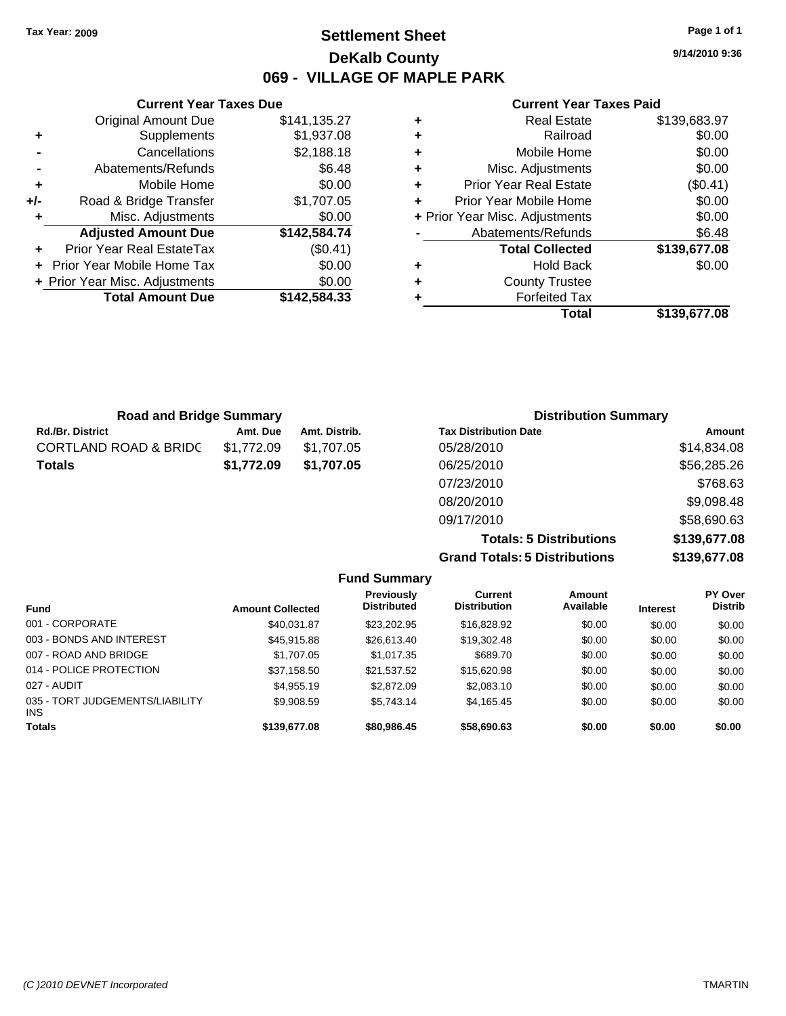### **Settlement Sheet Tax Year: 2009 Page 1 of 1 DeKalb County 069 - VILLAGE OF MAPLE PARK**

**9/14/2010 9:36**

#### **Current Year Taxes Paid**

| \$139,683.97 | <b>Real Estate</b>             | \$141,135.27 | <b>Original Amount Due</b> |
|--------------|--------------------------------|--------------|----------------------------|
| \$0.00       | Railroad                       | \$1,937.08   | Supplements                |
| \$0.00       | Mobile Home                    | \$2,188.18   | Cancellations              |
| \$0.00       | Misc. Adjustments              | \$6.48       | Abatements/Refunds         |
| (\$0.41)     | <b>Prior Year Real Estate</b>  | \$0.00       | Mobile Home                |
| \$0.00       | Prior Year Mobile Home         | \$1,707.05   | Road & Bridge Transfer     |
| \$0.00       | + Prior Year Misc. Adjustments | \$0.00       | Misc. Adjustments          |
| \$6.48       | Abatements/Refunds             | \$142,584.74 | <b>Adjusted Amount Due</b> |
| \$139,677.08 | <b>Total Collected</b>         | (\$0.41)     | ior Year Real EstateTax    |
| \$0.00       | <b>Hold Back</b>               | \$0.00       | r Year Mobile Home Tax     |
|              | <b>County Trustee</b>          | \$0.00       | Year Misc. Adjustments     |
|              | <b>Forfeited Tax</b>           | \$142,584.33 | <b>Total Amount Due</b>    |
| \$139,677.08 | Total                          |              |                            |

| <b>Road and Bridge Summary</b>   |            |               | <b>Distribution Summary</b>  |             |
|----------------------------------|------------|---------------|------------------------------|-------------|
| <b>Rd./Br. District</b>          | Amt. Due   | Amt. Distrib. | <b>Tax Distribution Date</b> | Amount      |
| <b>CORTLAND ROAD &amp; BRIDC</b> | \$1.772.09 | \$1.707.05    | 05/28/2010                   | \$14,834.08 |
| <b>Totals</b>                    | \$1,772.09 | \$1,707.05    | 06/25/2010                   | \$56,285.26 |
|                                  |            |               | 07/23/2010                   | \$768.63    |
|                                  |            |               | 08/20/2010                   | \$9,098.48  |

**Grand Totals: 5 Distributions \$139,677.08**

09/17/2010 \$58,690.63

**Totals: 5 Distributions \$139,677.08**

|                                         |                         | <b>Fund Summary</b>                     |                                       |                     |                 |                           |
|-----------------------------------------|-------------------------|-----------------------------------------|---------------------------------------|---------------------|-----------------|---------------------------|
| <b>Fund</b>                             | <b>Amount Collected</b> | <b>Previously</b><br><b>Distributed</b> | <b>Current</b><br><b>Distribution</b> | Amount<br>Available | <b>Interest</b> | PY Over<br><b>Distrib</b> |
| 001 - CORPORATE                         | \$40.031.87             | \$23,202.95                             | \$16,828.92                           | \$0.00              | \$0.00          | \$0.00                    |
| 003 - BONDS AND INTEREST                | \$45,915.88             | \$26,613.40                             | \$19,302.48                           | \$0.00              | \$0.00          | \$0.00                    |
| 007 - ROAD AND BRIDGE                   | \$1,707.05              | \$1,017.35                              | \$689.70                              | \$0.00              | \$0.00          | \$0.00                    |
| 014 - POLICE PROTECTION                 | \$37,158.50             | \$21,537.52                             | \$15,620.98                           | \$0.00              | \$0.00          | \$0.00                    |
| 027 - AUDIT                             | \$4.955.19              | \$2,872.09                              | \$2,083.10                            | \$0.00              | \$0.00          | \$0.00                    |
| 035 - TORT JUDGEMENTS/LIABILITY<br>INS. | \$9.908.59              | \$5.743.14                              | \$4,165.45                            | \$0.00              | \$0.00          | \$0.00                    |
| Totals                                  | \$139,677.08            | \$80,986.45                             | \$58,690.63                           | \$0.00              | \$0.00          | \$0.00                    |

# **Current Year Taxes Due**

**+** Supplements **-** Cancellations **-** Abatements/Refunds **+** Mobile Home **+/-** Road & Bridge Transfer **+** Misc. Adjustments

**+** Prior Year Real EstateTax **+** Prior Year Mobile Home Tax

**+** Prior Year Misc. Adjustments \$0.00 **Total Amount Due**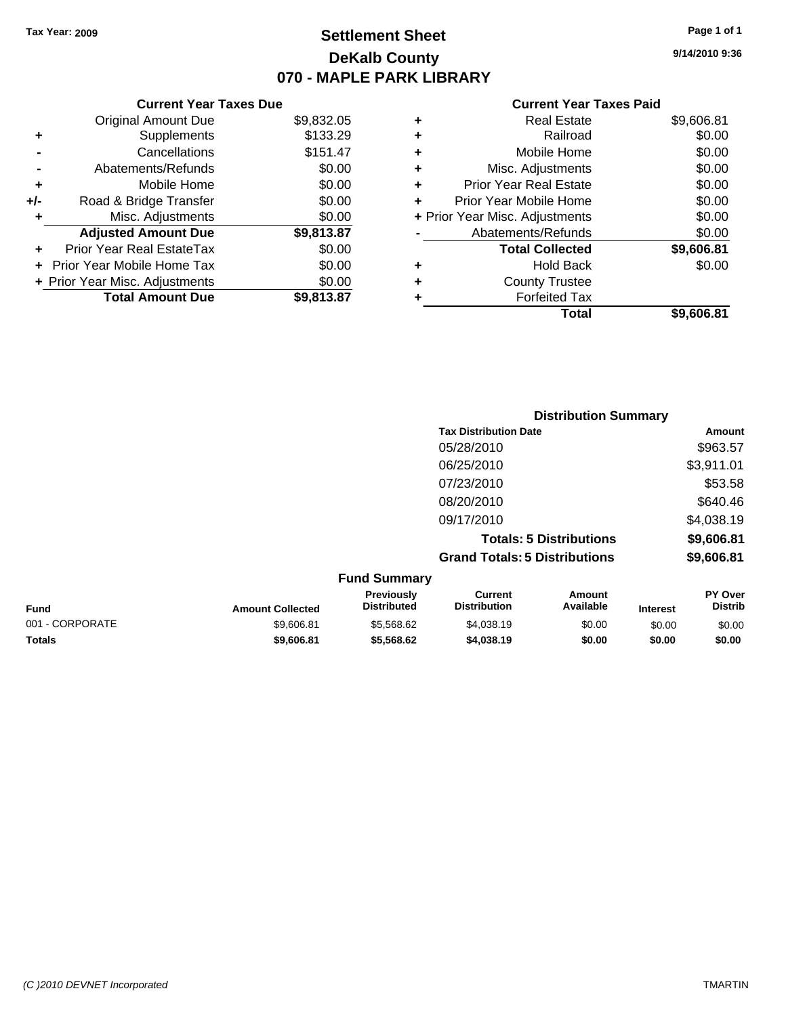**Current Year Taxes Due** Original Amount Due \$9,832.05

**Adjusted Amount Due \$9,813.87**

**Total Amount Due \$9,813.87**

**+** Supplements \$133.29 **-** Cancellations \$151.47 **-** Abatements/Refunds \$0.00 **+** Mobile Home \$0.00 **+/-** Road & Bridge Transfer \$0.00 **+** Misc. Adjustments \$0.00

**+** Prior Year Real EstateTax \$0.00 **+** Prior Year Mobile Home Tax \$0.00 **+ Prior Year Misc. Adjustments**  $$0.00$ 

### **Settlement Sheet Tax Year: 2009 Page 1 of 1 DeKalb County 070 - MAPLE PARK LIBRARY**

**9/14/2010 9:36**

#### **Current Year Taxes Paid**

|   | Total                          | \$9.606.81 |
|---|--------------------------------|------------|
|   | <b>Forfeited Tax</b>           |            |
| ٠ | <b>County Trustee</b>          |            |
| ٠ | <b>Hold Back</b>               | \$0.00     |
|   | <b>Total Collected</b>         | \$9,606.81 |
|   | Abatements/Refunds             | \$0.00     |
|   | + Prior Year Misc. Adjustments | \$0.00     |
|   | Prior Year Mobile Home         | \$0.00     |
| ٠ | <b>Prior Year Real Estate</b>  | \$0.00     |
| ٠ | Misc. Adjustments              | \$0.00     |
| ٠ | Mobile Home                    | \$0.00     |
| ٠ | Railroad                       | \$0.00     |
| ٠ | <b>Real Estate</b>             | \$9,606.81 |

|                 |                         |                                  | <b>Distribution Summary</b>           |                                |                 |                           |
|-----------------|-------------------------|----------------------------------|---------------------------------------|--------------------------------|-----------------|---------------------------|
|                 |                         |                                  | <b>Tax Distribution Date</b>          |                                |                 | Amount                    |
|                 |                         |                                  | 05/28/2010                            |                                |                 | \$963.57                  |
|                 |                         |                                  | 06/25/2010                            |                                |                 | \$3,911.01                |
|                 |                         |                                  | 07/23/2010                            |                                |                 | \$53.58                   |
|                 |                         |                                  | 08/20/2010                            |                                |                 | \$640.46                  |
|                 |                         |                                  | 09/17/2010                            |                                |                 | \$4,038.19                |
|                 |                         |                                  |                                       | <b>Totals: 5 Distributions</b> |                 | \$9,606.81                |
|                 |                         |                                  | <b>Grand Totals: 5 Distributions</b>  |                                |                 | \$9,606.81                |
|                 |                         | <b>Fund Summary</b>              |                                       |                                |                 |                           |
| <b>Fund</b>     | <b>Amount Collected</b> | Previously<br><b>Distributed</b> | <b>Current</b><br><b>Distribution</b> | Amount<br>Available            | <b>Interest</b> | PY Over<br><b>Distrib</b> |
| 001 - CORPORATE | \$9,606.81              | \$5,568.62                       | \$4,038.19                            | \$0.00                         | \$0.00          | \$0.00                    |

**Totals \$9,606.81 \$5,568.62 \$4,038.19 \$0.00 \$0.00 \$0.00**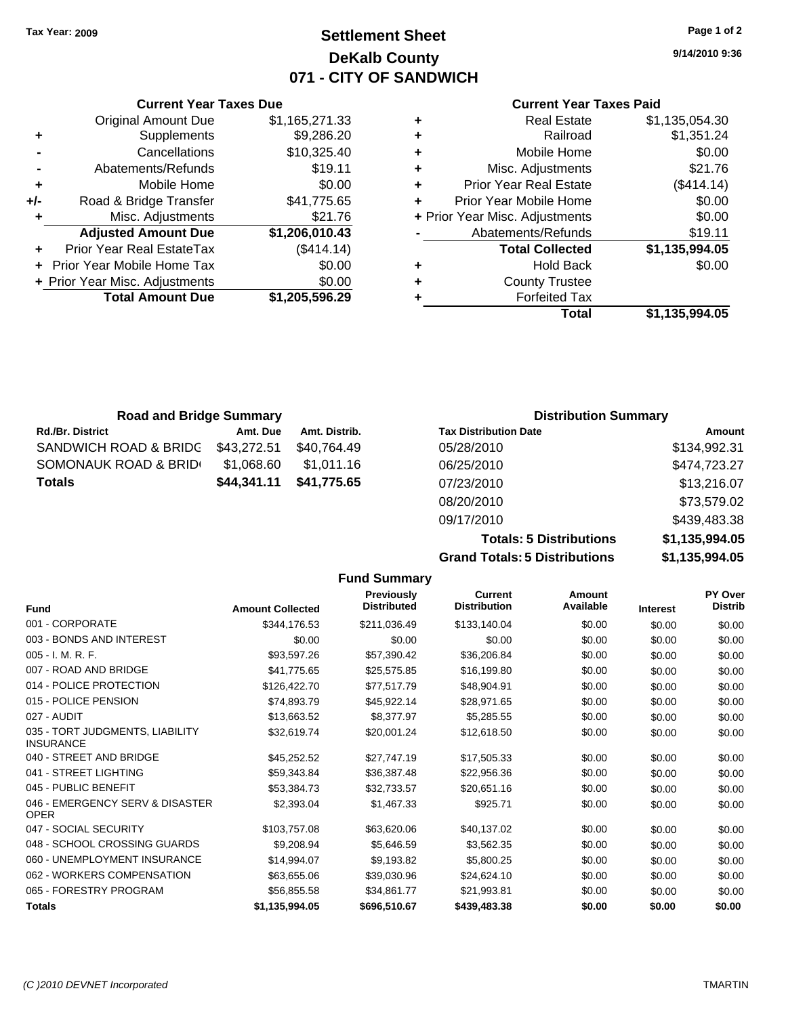### **Settlement Sheet Tax Year: 2009 Page 1 of 2 DeKalb County 071 - CITY OF SANDWICH**

**9/14/2010 9:36**

#### **Current Year Taxes Paid**

|   | Total                          | \$1.135.994.05 |
|---|--------------------------------|----------------|
|   | <b>Forfeited Tax</b>           |                |
| ٠ | <b>County Trustee</b>          |                |
| ٠ | <b>Hold Back</b>               | \$0.00         |
|   | <b>Total Collected</b>         | \$1,135,994.05 |
|   | Abatements/Refunds             | \$19.11        |
|   | + Prior Year Misc. Adjustments | \$0.00         |
| ÷ | Prior Year Mobile Home         | \$0.00         |
| ٠ | <b>Prior Year Real Estate</b>  | (\$414.14)     |
| ٠ | Misc. Adjustments              | \$21.76        |
| ٠ | Mobile Home                    | \$0.00         |
| ٠ | Railroad                       | \$1,351.24     |
| ٠ | <b>Real Estate</b>             | \$1,135,054.30 |

|     | <b>Current Year Taxes Due</b>  |                |  |  |  |  |
|-----|--------------------------------|----------------|--|--|--|--|
|     | <b>Original Amount Due</b>     | \$1,165,271.33 |  |  |  |  |
| ٠   | Supplements                    | \$9,286.20     |  |  |  |  |
|     | Cancellations                  | \$10,325.40    |  |  |  |  |
|     | Abatements/Refunds             | \$19.11        |  |  |  |  |
| ٠   | Mobile Home                    | \$0.00         |  |  |  |  |
| +/- | Road & Bridge Transfer         | \$41,775.65    |  |  |  |  |
|     | Misc. Adjustments              | \$21.76        |  |  |  |  |
|     | <b>Adjusted Amount Due</b>     | \$1,206,010.43 |  |  |  |  |
|     | Prior Year Real EstateTax      | (\$414.14)     |  |  |  |  |
|     | Prior Year Mobile Home Tax     | \$0.00         |  |  |  |  |
|     | + Prior Year Misc. Adjustments | \$0.00         |  |  |  |  |
|     | <b>Total Amount Due</b>        | \$1,205,596.29 |  |  |  |  |

| <b>Road and Bridge Summary</b> |             |               | <b>Distribution Summary</b>  |              |
|--------------------------------|-------------|---------------|------------------------------|--------------|
| <b>Rd./Br. District</b>        | Amt. Due    | Amt. Distrib. | <b>Tax Distribution Date</b> | Amount       |
| SANDWICH ROAD & BRIDG          | \$43,272.51 | \$40.764.49   | 05/28/2010                   | \$134,992.31 |
| SOMONAUK ROAD & BRID           | \$1.068.60  | \$1,011.16    | 06/25/2010                   | \$474,723.27 |
| <b>Totals</b>                  | \$44,341.11 | \$41,775.65   | 07/23/2010                   | \$13,216.07  |
|                                |             |               | 08/20/2010                   | \$73,579.02  |

**Totals: 5 Distributions \$1,135,994.05 Grand Totals: 5 Distributions** 

09/17/2010 \$439,483.38

| \$1,135,994.05 |  |
|----------------|--|
|                |  |

|                                                     |                         | <b>Fund Summary</b>                     |                                       |                     |                 |                           |
|-----------------------------------------------------|-------------------------|-----------------------------------------|---------------------------------------|---------------------|-----------------|---------------------------|
| <b>Fund</b>                                         | <b>Amount Collected</b> | <b>Previously</b><br><b>Distributed</b> | <b>Current</b><br><b>Distribution</b> | Amount<br>Available | <b>Interest</b> | PY Over<br><b>Distrib</b> |
| 001 - CORPORATE                                     | \$344,176.53            | \$211,036.49                            | \$133,140.04                          | \$0.00              | \$0.00          | \$0.00                    |
| 003 - BONDS AND INTEREST                            | \$0.00                  | \$0.00                                  | \$0.00                                | \$0.00              | \$0.00          | \$0.00                    |
| $005 - I. M. R. F.$                                 | \$93,597.26             | \$57,390.42                             | \$36,206.84                           | \$0.00              | \$0.00          | \$0.00                    |
| 007 - ROAD AND BRIDGE                               | \$41,775.65             | \$25,575.85                             | \$16,199.80                           | \$0.00              | \$0.00          | \$0.00                    |
| 014 - POLICE PROTECTION                             | \$126,422.70            | \$77,517.79                             | \$48,904.91                           | \$0.00              | \$0.00          | \$0.00                    |
| 015 - POLICE PENSION                                | \$74,893.79             | \$45,922.14                             | \$28,971.65                           | \$0.00              | \$0.00          | \$0.00                    |
| 027 - AUDIT                                         | \$13,663.52             | \$8,377.97                              | \$5,285.55                            | \$0.00              | \$0.00          | \$0.00                    |
| 035 - TORT JUDGMENTS, LIABILITY<br><b>INSURANCE</b> | \$32,619.74             | \$20,001.24                             | \$12,618.50                           | \$0.00              | \$0.00          | \$0.00                    |
| 040 - STREET AND BRIDGE                             | \$45,252.52             | \$27,747.19                             | \$17,505.33                           | \$0.00              | \$0.00          | \$0.00                    |
| 041 - STREET LIGHTING                               | \$59,343.84             | \$36,387.48                             | \$22,956.36                           | \$0.00              | \$0.00          | \$0.00                    |
| 045 - PUBLIC BENEFIT                                | \$53,384.73             | \$32,733.57                             | \$20.651.16                           | \$0.00              | \$0.00          | \$0.00                    |
| 046 - EMERGENCY SERV & DISASTER<br><b>OPER</b>      | \$2,393.04              | \$1,467.33                              | \$925.71                              | \$0.00              | \$0.00          | \$0.00                    |
| 047 - SOCIAL SECURITY                               | \$103,757.08            | \$63,620.06                             | \$40,137.02                           | \$0.00              | \$0.00          | \$0.00                    |
| 048 - SCHOOL CROSSING GUARDS                        | \$9,208.94              | \$5,646.59                              | \$3,562.35                            | \$0.00              | \$0.00          | \$0.00                    |
| 060 - UNEMPLOYMENT INSURANCE                        | \$14,994.07             | \$9.193.82                              | \$5,800.25                            | \$0.00              | \$0.00          | \$0.00                    |
| 062 - WORKERS COMPENSATION                          | \$63,655.06             | \$39,030.96                             | \$24,624.10                           | \$0.00              | \$0.00          | \$0.00                    |
| 065 - FORESTRY PROGRAM                              | \$56,855.58             | \$34,861.77                             | \$21,993.81                           | \$0.00              | \$0.00          | \$0.00                    |
| <b>Totals</b>                                       | \$1,135,994.05          | \$696,510.67                            | \$439,483.38                          | \$0.00              | \$0.00          | \$0.00                    |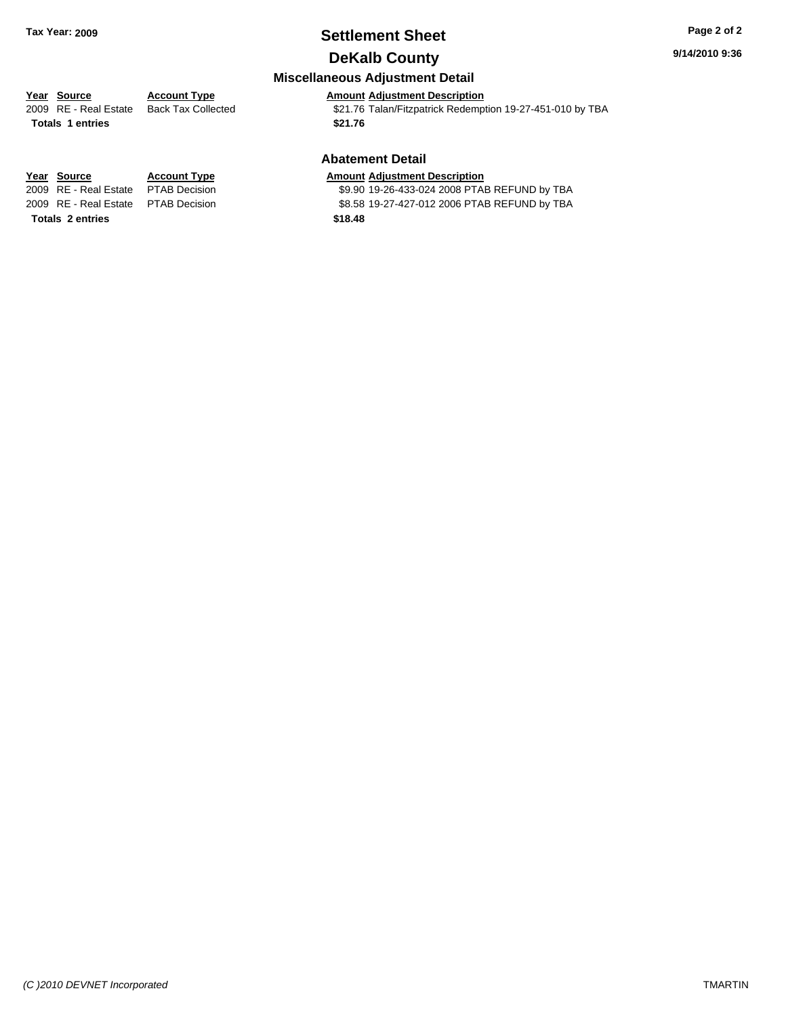### **Settlement Sheet Tax Year: 2009 Page 2 of 2 DeKalb County**

#### **9/14/2010 9:36**

### **Miscellaneous Adjustment Detail**

### **Year Source Account Type Amount Adjustment Description**

**Totals \$21.76 1 entries**

2009 RE - Real Estate Back Tax Collected \$21.76 Talan/Fitzpatrick Redemption 19-27-451-010 by TBA

#### **Abatement Detail**

#### **Year Source Account Type Amount Adjustment Description**

2009 RE - Real Estate \$9.90 19-26-433-024 2008 PTAB REFUND by TBA PTAB Decision 2009 RE - Real Estate \$8.58 19-27-427-012 2006 PTAB REFUND by TBA PTAB Decision

**Totals \$18.48 2 entries**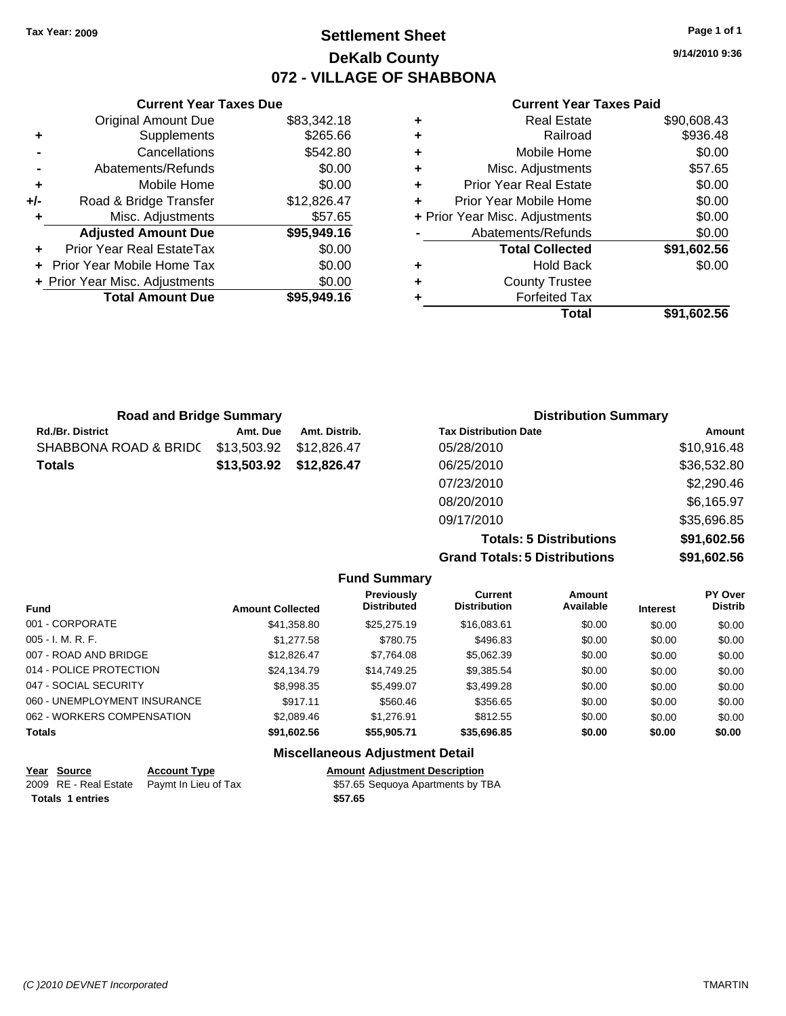### **Settlement Sheet Tax Year: 2009 Page 1 of 1 DeKalb County 072 - VILLAGE OF SHABBONA**

**9/14/2010 9:36**

#### **Current Year Taxes Paid**

|     | <b>Current Year Taxes Due</b>  |             |  |  |  |  |
|-----|--------------------------------|-------------|--|--|--|--|
|     | <b>Original Amount Due</b>     | \$83,342.18 |  |  |  |  |
| ٠   | Supplements                    | \$265.66    |  |  |  |  |
|     | Cancellations                  | \$542.80    |  |  |  |  |
|     | Abatements/Refunds             | \$0.00      |  |  |  |  |
| ٠   | Mobile Home                    | \$0.00      |  |  |  |  |
| +/- | Road & Bridge Transfer         | \$12,826.47 |  |  |  |  |
| ٠   | Misc. Adjustments              | \$57.65     |  |  |  |  |
|     | <b>Adjusted Amount Due</b>     | \$95,949.16 |  |  |  |  |
| ٠   | Prior Year Real EstateTax      | \$0.00      |  |  |  |  |
|     | Prior Year Mobile Home Tax     | \$0.00      |  |  |  |  |
|     | + Prior Year Misc. Adjustments | \$0.00      |  |  |  |  |
|     | <b>Total Amount Due</b>        | \$95,949.16 |  |  |  |  |
|     |                                |             |  |  |  |  |

|                                | Total                  | \$91,602.56 |
|--------------------------------|------------------------|-------------|
| ٠                              | <b>Forfeited Tax</b>   |             |
| ٠                              | <b>County Trustee</b>  |             |
| ٠                              | <b>Hold Back</b>       | \$0.00      |
|                                | <b>Total Collected</b> | \$91,602.56 |
|                                | Abatements/Refunds     | \$0.00      |
| + Prior Year Misc. Adjustments |                        | \$0.00      |
| ÷                              | Prior Year Mobile Home | \$0.00      |
| ÷                              | Prior Year Real Estate | \$0.00      |
| ٠                              | Misc. Adjustments      | \$57.65     |
| ٠                              | Mobile Home            | \$0.00      |
| ٠                              | Railroad               | \$936.48    |
| ٠                              | <b>Real Estate</b>     | \$90,608.43 |

| <b>Road and Bridge Summary</b> |             |               | <b>Distribution Summary</b>  |             |
|--------------------------------|-------------|---------------|------------------------------|-------------|
| <b>Rd./Br. District</b>        | Amt. Due    | Amt. Distrib. | <b>Tax Distribution Date</b> | Amount      |
| SHABBONA ROAD & BRIDO          | \$13,503.92 | \$12,826.47   | 05/28/2010                   | \$10,916.48 |
| <b>Totals</b>                  | \$13,503.92 | \$12,826.47   | 06/25/2010                   | \$36,532.80 |
|                                |             |               | 07/23/2010                   | \$2,290.46  |
|                                |             |               | 08/20/2010                   | \$6,165.97  |
|                                |             |               | 09/17/2010                   | \$35,696.85 |

**Totals: 5 Distributions \$91,602.56 Grand Totals: 5 Distributions \$91,602.56**

|                              |                         | <b>Fund Summary</b>                     |                                       |                     |                 |                                  |
|------------------------------|-------------------------|-----------------------------------------|---------------------------------------|---------------------|-----------------|----------------------------------|
| <b>Fund</b>                  | <b>Amount Collected</b> | <b>Previously</b><br><b>Distributed</b> | <b>Current</b><br><b>Distribution</b> | Amount<br>Available | <b>Interest</b> | <b>PY Over</b><br><b>Distrib</b> |
| 001 - CORPORATE              | \$41,358.80             | \$25,275.19                             | \$16,083.61                           | \$0.00              | \$0.00          | \$0.00                           |
| $005 - I. M. R. F.$          | \$1,277.58              | \$780.75                                | \$496.83                              | \$0.00              | \$0.00          | \$0.00                           |
| 007 - ROAD AND BRIDGE        | \$12,826.47             | \$7,764.08                              | \$5,062.39                            | \$0.00              | \$0.00          | \$0.00                           |
| 014 - POLICE PROTECTION      | \$24.134.79             | \$14,749.25                             | \$9,385.54                            | \$0.00              | \$0.00          | \$0.00                           |
| 047 - SOCIAL SECURITY        | \$8,998.35              | \$5,499.07                              | \$3,499.28                            | \$0.00              | \$0.00          | \$0.00                           |
| 060 - UNEMPLOYMENT INSURANCE | \$917.11                | \$560.46                                | \$356.65                              | \$0.00              | \$0.00          | \$0.00                           |
| 062 - WORKERS COMPENSATION   | \$2,089.46              | \$1,276.91                              | \$812.55                              | \$0.00              | \$0.00          | \$0.00                           |
| <b>Totals</b>                | \$91,602.56             | \$55,905.71                             | \$35,696.85                           | \$0.00              | \$0.00          | \$0.00                           |
|                              |                         | <b>Miscellaneous Adjustment Detail</b>  |                                       |                     |                 |                                  |

| Year Source                                | <b>Account Type</b> | <b>Amount Adiustment Description</b> |
|--------------------------------------------|---------------------|--------------------------------------|
| 2009 RE - Real Estate Paymt In Lieu of Tax |                     | \$57.65 Sequoya Apartments by TBA    |
| Totals 1 entries                           |                     | \$57.65                              |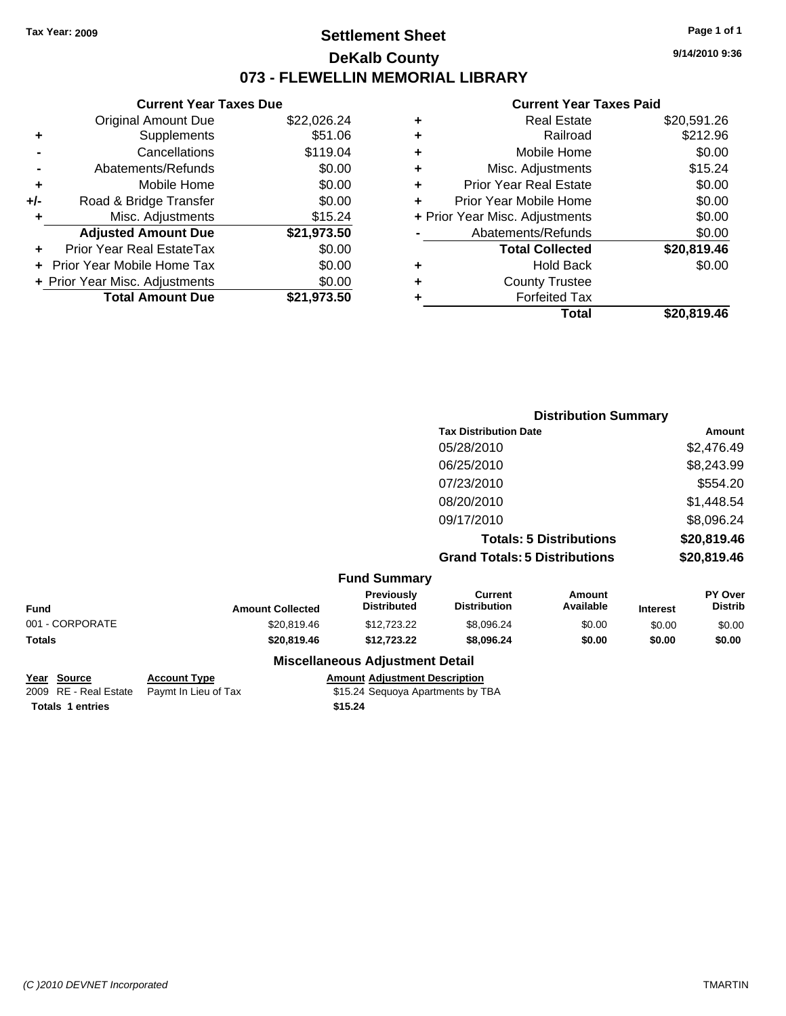### **Settlement Sheet Tax Year: 2009 Page 1 of 1 DeKalb County 073 - FLEWELLIN MEMORIAL LIBRARY**

**9/14/2010 9:36**

#### **Current Year Taxes Paid**

|   | Total                          | \$20.819.46 |
|---|--------------------------------|-------------|
|   | <b>Forfeited Tax</b>           |             |
| ٠ | <b>County Trustee</b>          |             |
| ٠ | <b>Hold Back</b>               | \$0.00      |
|   | <b>Total Collected</b>         | \$20,819.46 |
|   | Abatements/Refunds             | \$0.00      |
|   | + Prior Year Misc. Adjustments | \$0.00      |
| ٠ | Prior Year Mobile Home         | \$0.00      |
| ٠ | Prior Year Real Estate         | \$0.00      |
| ÷ | Misc. Adjustments              | \$15.24     |
| ٠ | Mobile Home                    | \$0.00      |
| ٠ | Railroad                       | \$212.96    |
| ٠ | <b>Real Estate</b>             | \$20,591.26 |
|   |                                |             |

|                 |                         |                                         |                                       | <b>Distribution Summary</b>    |                 |                           |
|-----------------|-------------------------|-----------------------------------------|---------------------------------------|--------------------------------|-----------------|---------------------------|
|                 |                         |                                         | <b>Tax Distribution Date</b>          |                                | Amount          |                           |
|                 |                         |                                         | 05/28/2010                            |                                |                 | \$2,476.49                |
|                 |                         |                                         | 06/25/2010                            |                                |                 | \$8,243.99                |
|                 |                         |                                         | 07/23/2010                            |                                |                 | \$554.20                  |
|                 |                         |                                         | 08/20/2010                            |                                |                 | \$1,448.54                |
|                 |                         |                                         | 09/17/2010                            |                                |                 | \$8,096.24                |
|                 |                         |                                         |                                       | <b>Totals: 5 Distributions</b> |                 | \$20,819.46               |
|                 |                         |                                         | <b>Grand Totals: 5 Distributions</b>  |                                |                 | \$20,819.46               |
|                 |                         |                                         |                                       |                                |                 |                           |
|                 |                         | <b>Fund Summary</b>                     |                                       |                                |                 |                           |
| Fund            | <b>Amount Collected</b> | <b>Previously</b><br><b>Distributed</b> | <b>Current</b><br><b>Distribution</b> | Amount<br>Available            | <b>Interest</b> | PY Over<br><b>Distrib</b> |
| 001 - CORPORATE | \$20,819.46             | \$12,723.22                             | \$8,096.24                            | \$0.00                         | \$0.00          | \$0.00                    |
| <b>Totals</b>   | \$20,819.46             | \$12,723.22                             | \$8,096.24                            | \$0.00                         | \$0.00          | \$0.00                    |
|                 |                         | <b>Miscellaneous Adjustment Detail</b>  |                                       |                                |                 |                           |

**Totals \$15.24 1 entries**

**Current Year Taxes Due** Original Amount Due \$22,026.24

**Adjusted Amount Due \$21,973.50**

**Total Amount Due \$21,973.50**

**+** Supplements \$51.06 **-** Cancellations \$119.04 **-** Abatements/Refunds \$0.00 **+** Mobile Home \$0.00 **+/-** Road & Bridge Transfer \$0.00 **+** Misc. Adjustments \$15.24

**+** Prior Year Real EstateTax \$0.00 **+** Prior Year Mobile Home Tax \$0.00 **+ Prior Year Misc. Adjustments**  $$0.00$ 

**Year Source Account Type Amount Adjustment Description** 2009 RE - Real Estate Paymt In Lieu of Tax \$15.24 Sequoya Apartments by TBA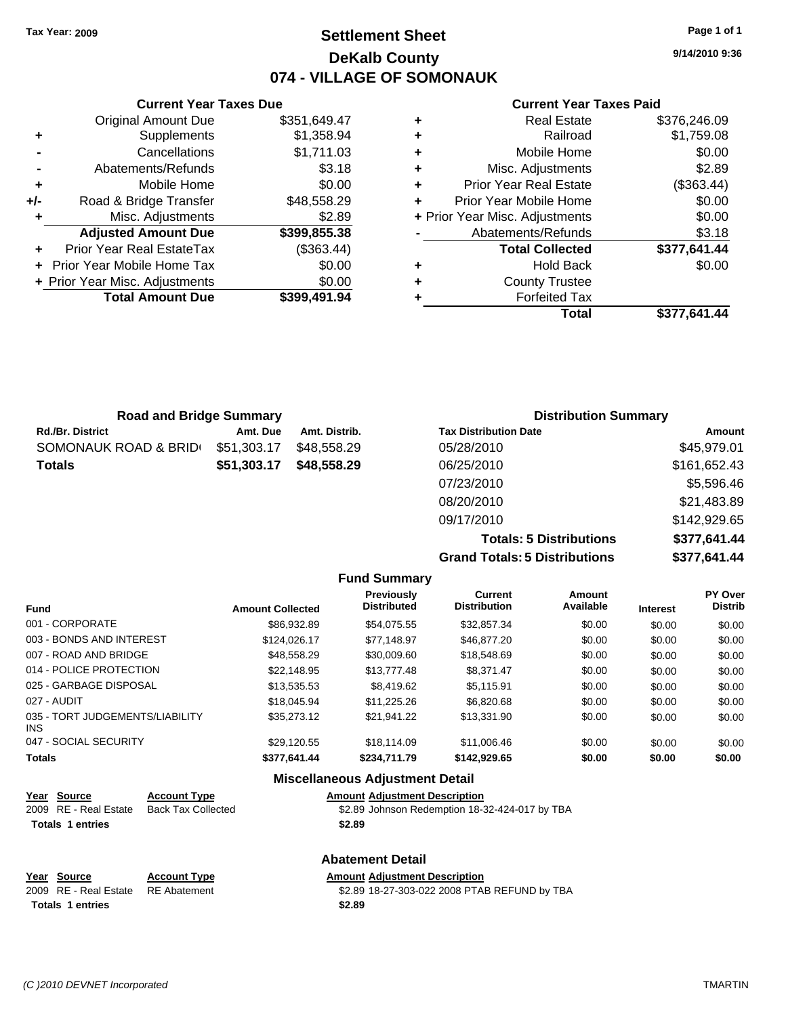### **Settlement Sheet Tax Year: 2009 Page 1 of 1 DeKalb County 074 - VILLAGE OF SOMONAUK**

**9/14/2010 9:36**

#### **Current Year Taxes Paid**

|   | <b>Real Estate</b>             | \$376,246.09 |
|---|--------------------------------|--------------|
| ٠ | Railroad                       | \$1,759.08   |
| ٠ | Mobile Home                    | \$0.00       |
| ٠ | Misc. Adjustments              | \$2.89       |
| ٠ | <b>Prior Year Real Estate</b>  | (\$363.44)   |
|   | Prior Year Mobile Home         | \$0.00       |
|   | + Prior Year Misc. Adjustments | \$0.00       |
|   | Abatements/Refunds             | \$3.18       |
|   | <b>Total Collected</b>         | \$377,641.44 |
| ٠ | <b>Hold Back</b>               | \$0.00       |
| ٠ | <b>County Trustee</b>          |              |
|   | <b>Forfeited Tax</b>           |              |
|   | Total                          | \$377.641.44 |

|     | <b>Current Year Taxes Due</b>  |              |
|-----|--------------------------------|--------------|
|     | <b>Original Amount Due</b>     | \$351,649.47 |
| ٠   | Supplements                    | \$1,358.94   |
|     | Cancellations                  | \$1,711.03   |
|     | Abatements/Refunds             | \$3.18       |
| ٠   | Mobile Home                    | \$0.00       |
| +/- | Road & Bridge Transfer         | \$48,558.29  |
| ٠   | Misc. Adjustments              | \$2.89       |
|     | <b>Adjusted Amount Due</b>     | \$399,855.38 |
| ÷   | Prior Year Real EstateTax      | (\$363.44)   |
|     | Prior Year Mobile Home Tax     | \$0.00       |
|     | + Prior Year Misc. Adjustments | \$0.00       |
|     | <b>Total Amount Due</b>        | \$399,491.94 |
|     |                                |              |

| <b>Road and Bridge Summary</b> |             |               | <b>Distribution Summary</b>  |              |  |
|--------------------------------|-------------|---------------|------------------------------|--------------|--|
| Rd./Br. District               | Amt. Due    | Amt. Distrib. | <b>Tax Distribution Date</b> | Amount       |  |
| SOMONAUK ROAD & BRID⊖          | \$51,303.17 | \$48,558.29   | 05/28/2010                   | \$45,979.01  |  |
| Totals                         | \$51,303.17 | \$48,558.29   | 06/25/2010                   | \$161,652.43 |  |
|                                |             |               | 07/23/2010                   | \$5,596.46   |  |
|                                |             |               | 08/20/2010                   | \$21,483.89  |  |
|                                |             |               | 09/17/2010                   | \$142,929.65 |  |

**Totals: 5 Distributions \$377,641.44 Grand Totals: 5 Distributions \$377,641.44**

|                                         |                     |                         | <b>Fund Summary</b>                    |                                |                     |                 |                           |
|-----------------------------------------|---------------------|-------------------------|----------------------------------------|--------------------------------|---------------------|-----------------|---------------------------|
| <b>Fund</b>                             |                     | <b>Amount Collected</b> | Previously<br><b>Distributed</b>       | Current<br><b>Distribution</b> | Amount<br>Available | <b>Interest</b> | PY Over<br><b>Distrib</b> |
| 001 - CORPORATE                         |                     | \$86.932.89             | \$54.075.55                            | \$32.857.34                    | \$0.00              | \$0.00          | \$0.00                    |
| 003 - BONDS AND INTEREST                |                     | \$124,026.17            | \$77.148.97                            | \$46,877,20                    | \$0.00              | \$0.00          | \$0.00                    |
| 007 - ROAD AND BRIDGE                   |                     | \$48,558.29             | \$30,009.60                            | \$18,548.69                    | \$0.00              | \$0.00          | \$0.00                    |
| 014 - POLICE PROTECTION                 |                     | \$22.148.95             | \$13,777.48                            | \$8,371.47                     | \$0.00              | \$0.00          | \$0.00                    |
| 025 - GARBAGE DISPOSAL                  |                     | \$13,535.53             | \$8,419.62                             | \$5,115.91                     | \$0.00              | \$0.00          | \$0.00                    |
| 027 - AUDIT                             |                     | \$18,045.94             | \$11.225.26                            | \$6,820.68                     | \$0.00              | \$0.00          | \$0.00                    |
| 035 - TORT JUDGEMENTS/LIABILITY<br>INS. |                     | \$35,273.12             | \$21,941.22                            | \$13,331.90                    | \$0.00              | \$0.00          | \$0.00                    |
| 047 - SOCIAL SECURITY                   |                     | \$29,120.55             | \$18.114.09                            | \$11,006.46                    | \$0.00              | \$0.00          | \$0.00                    |
| <b>Totals</b>                           |                     | \$377,641.44            | \$234.711.79                           | \$142.929.65                   | \$0.00              | \$0.00          | \$0.00                    |
|                                         |                     |                         | <b>Miscellaneous Adjustment Detail</b> |                                |                     |                 |                           |
| Source<br>Year                          | <b>Account Type</b> |                         | <b>Amount Adiustment Description</b>   |                                |                     |                 |                           |

| Year Source             | <b>Account Type</b> | <b>Amount Adiustment Description</b>           |
|-------------------------|---------------------|------------------------------------------------|
| 2009 RE - Real Estate   | Back Tax Collected  | \$2.89 Johnson Redemption 18-32-424-017 by TBA |
| <b>Totals 1 entries</b> |                     | \$2.89                                         |

|                                    |                     | <b>Abatement Detail</b>                      |  |
|------------------------------------|---------------------|----------------------------------------------|--|
| Year Source                        | <b>Account Type</b> | <b>Amount Adiustment Description</b>         |  |
| 2009 RE - Real Estate RE Abatement |                     | \$2.89 18-27-303-022 2008 PTAB REFUND by TBA |  |
| <b>Totals 1 entries</b>            |                     | \$2.89                                       |  |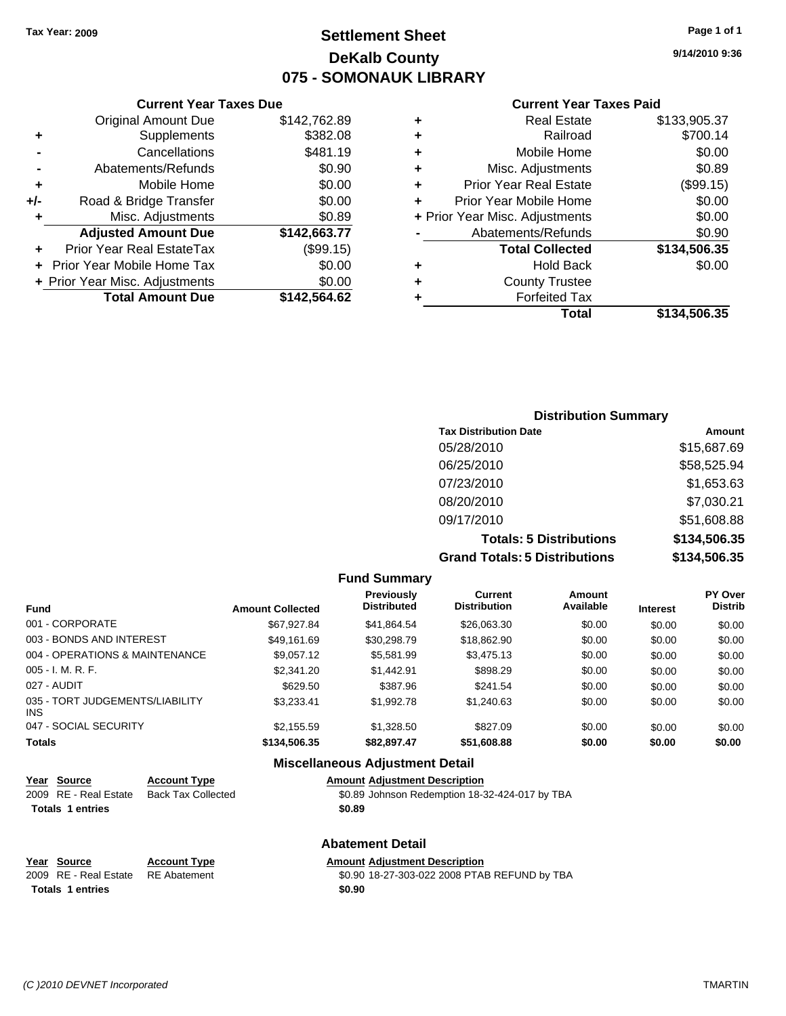### **Settlement Sheet Tax Year: 2009 Page 1 of 1 DeKalb County 075 - SOMONAUK LIBRARY**

#### **Current Year Taxes Due**

|     | <b>Original Amount Due</b>       | \$142,762.89 |
|-----|----------------------------------|--------------|
| ٠   | Supplements                      | \$382.08     |
|     | Cancellations                    | \$481.19     |
|     | Abatements/Refunds               | \$0.90       |
| ٠   | Mobile Home                      | \$0.00       |
| +/- | Road & Bridge Transfer           | \$0.00       |
| ٠   | Misc. Adjustments                | \$0.89       |
|     | <b>Adjusted Amount Due</b>       | \$142,663.77 |
|     | <b>Prior Year Real EstateTax</b> | (\$99.15)    |
|     |                                  |              |
|     | Prior Year Mobile Home Tax       | \$0.00       |
|     | + Prior Year Misc. Adjustments   | \$0.00       |
|     | <b>Total Amount Due</b>          | \$142,564.62 |

#### **Current Year Taxes Paid**

| ٠ | <b>Real Estate</b>             | \$133,905.37 |
|---|--------------------------------|--------------|
| ٠ | Railroad                       | \$700.14     |
| ٠ | Mobile Home                    | \$0.00       |
| ٠ | Misc. Adjustments              | \$0.89       |
| ٠ | <b>Prior Year Real Estate</b>  | (\$99.15)    |
| ٠ | Prior Year Mobile Home         | \$0.00       |
|   | + Prior Year Misc. Adjustments | \$0.00       |
|   | Abatements/Refunds             | \$0.90       |
|   | <b>Total Collected</b>         | \$134,506.35 |
| ٠ | <b>Hold Back</b>               | \$0.00       |
| ٠ | <b>County Trustee</b>          |              |
| ٠ | <b>Forfeited Tax</b>           |              |
|   | Total                          | \$134,506.35 |
|   |                                |              |

### **Distribution Summary Tax Distribution Date Amount** 05/28/2010 \$15,687.69 06/25/2010 \$58,525.94 07/23/2010 \$1,653.63 08/20/2010 \$7,030.21 09/17/2010 \$51,608.88 **Totals: 5 Distributions \$134,506.35 Grand Totals: 5 Distributions \$134,506.35**

**Fund Summary**

|                         | ו טווט טעווווווא ו                      |                                |                     |                 |                           |
|-------------------------|-----------------------------------------|--------------------------------|---------------------|-----------------|---------------------------|
| <b>Amount Collected</b> | <b>Previously</b><br><b>Distributed</b> | Current<br><b>Distribution</b> | Amount<br>Available | <b>Interest</b> | PY Over<br><b>Distrib</b> |
| \$67,927.84             | \$41.864.54                             | \$26,063.30                    | \$0.00              | \$0.00          | \$0.00                    |
| \$49.161.69             | \$30.298.79                             | \$18,862.90                    | \$0.00              | \$0.00          | \$0.00                    |
| \$9,057.12              | \$5.581.99                              | \$3,475.13                     | \$0.00              | \$0.00          | \$0.00                    |
| \$2,341.20              | \$1,442.91                              | \$898.29                       | \$0.00              | \$0.00          | \$0.00                    |
| \$629.50                | \$387.96                                | \$241.54                       | \$0.00              | \$0.00          | \$0.00                    |
| \$3.233.41              | \$1,992.78                              | \$1.240.63                     | \$0.00              | \$0.00          | \$0.00                    |
| \$2.155.59              | \$1,328.50                              | \$827.09                       | \$0.00              | \$0.00          | \$0.00                    |
| \$134,506.35            | \$82,897.47                             | \$51,608.88                    | \$0.00              | \$0.00          | \$0.00                    |
|                         |                                         |                                |                     |                 |                           |

#### **Miscellaneous Adjustment Detail**

## **Year Source Account Type Amount Adjustment Description**

 $\overline{$0.89}$  Johnson Redemption 18-32-424-017 by TBA **Totals \$0.89 1 entries**

### **Abatement Detail**

# **Totals 1 entries** \$0.90

**Year Source Account Type Amount Adjustment Description** \$0.90 18-27-303-022 2008 PTAB REFUND by TBA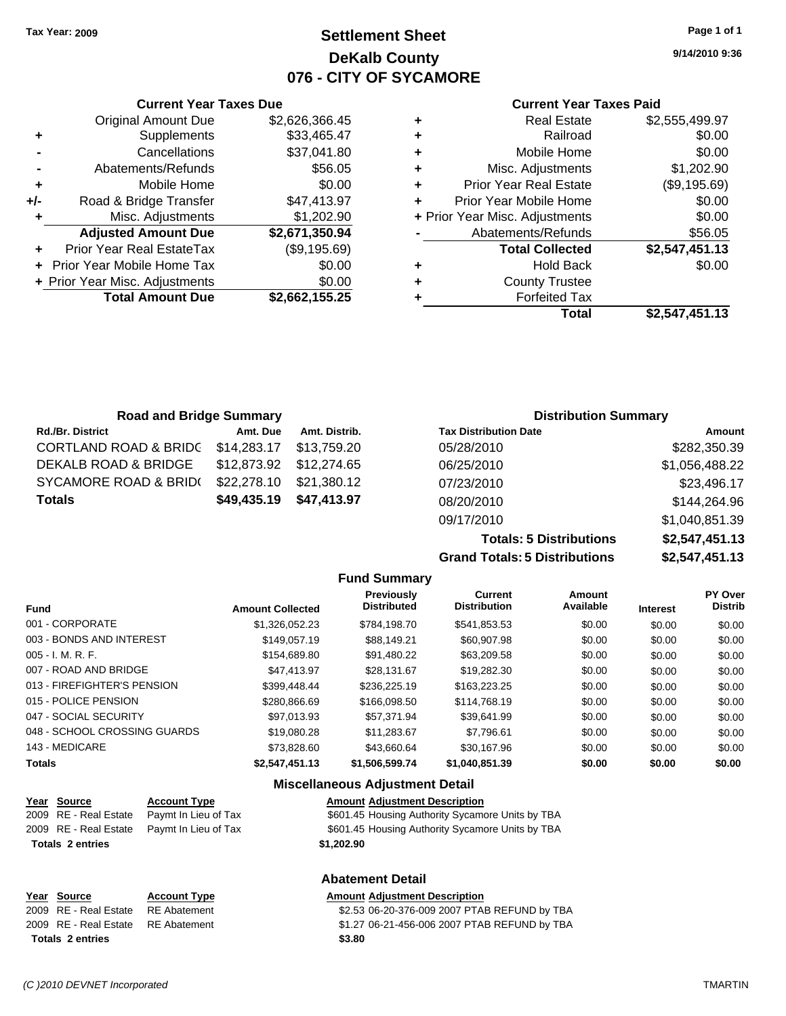**Current Year Taxes Due** Original Amount Due \$2,626,366.45

**Adjusted Amount Due \$2,671,350.94**

**Total Amount Due \$2,662,155.25**

**+** Supplements \$33,465.47 **-** Cancellations \$37,041.80 **-** Abatements/Refunds \$56.05 **+** Mobile Home \$0.00 **+/-** Road & Bridge Transfer \$47,413.97 **+** Misc. Adjustments \$1,202.90

**+** Prior Year Real EstateTax (\$9,195.69) **+** Prior Year Mobile Home Tax \$0.00 **+ Prior Year Misc. Adjustments**  $$0.00$ 

### **Settlement Sheet Tax Year: 2009 Page 1 of 1 DeKalb County 076 - CITY OF SYCAMORE**

**9/14/2010 9:36**

#### **Current Year Taxes Paid**

| Total                          | \$2,547,451.13 |
|--------------------------------|----------------|
| <b>Forfeited Tax</b>           |                |
| <b>County Trustee</b>          |                |
| <b>Hold Back</b>               | \$0.00         |
| <b>Total Collected</b>         | \$2,547,451.13 |
| Abatements/Refunds             | \$56.05        |
| + Prior Year Misc. Adjustments | \$0.00         |
| Prior Year Mobile Home         | \$0.00         |
| <b>Prior Year Real Estate</b>  | (\$9,195.69)   |
| Misc. Adjustments              | \$1,202.90     |
| Mobile Home                    | \$0.00         |
| Railroad                       | \$0.00         |
| <b>Real Estate</b>             | \$2,555,499.97 |
|                                |                |

| <b>Road and Bridge Summary</b>    |                         |               | <b>Distribution Summary</b>  |                |
|-----------------------------------|-------------------------|---------------|------------------------------|----------------|
| <b>Rd./Br. District</b>           | Amt. Due                | Amt. Distrib. | <b>Tax Distribution Date</b> | Amount         |
| CORTLAND ROAD & BRIDC \$14,283.17 |                         | \$13.759.20   | 05/28/2010                   | \$282,350.39   |
| DEKALB ROAD & BRIDGE              |                         |               | 06/25/2010                   | \$1,056,488.22 |
| SYCAMORE ROAD & BRID(             | \$22,278.10             | \$21,380.12   | 07/23/2010                   | \$23,496.17    |
| <b>Totals</b>                     | \$49,435.19 \$47,413.97 |               | 08/20/2010                   | \$144,264.96   |

**Grand Totals: 5 Distributions** 

09/17/2010 \$1,040,851.39

**Totals: 5 Distributions \$2,547,451.13**

| \$2,547,451.13 |  |
|----------------|--|
|                |  |

|                              |                         | <b>Fund Summary</b>                     |                                       |                     |                 |                           |
|------------------------------|-------------------------|-----------------------------------------|---------------------------------------|---------------------|-----------------|---------------------------|
| <b>Fund</b>                  | <b>Amount Collected</b> | <b>Previously</b><br><b>Distributed</b> | <b>Current</b><br><b>Distribution</b> | Amount<br>Available | <b>Interest</b> | PY Over<br><b>Distrib</b> |
| 001 - CORPORATE              | \$1.326.052.23          | \$784.198.70                            | \$541,853.53                          | \$0.00              | \$0.00          | \$0.00                    |
| 003 - BONDS AND INTEREST     | \$149,057.19            | \$88,149.21                             | \$60,907.98                           | \$0.00              | \$0.00          | \$0.00                    |
| 005 - I. M. R. F.            | \$154,689.80            | \$91.480.22                             | \$63,209.58                           | \$0.00              | \$0.00          | \$0.00                    |
| 007 - ROAD AND BRIDGE        | \$47,413.97             | \$28.131.67                             | \$19,282.30                           | \$0.00              | \$0.00          | \$0.00                    |
| 013 - FIREFIGHTER'S PENSION  | \$399,448.44            | \$236,225.19                            | \$163,223,25                          | \$0.00              | \$0.00          | \$0.00                    |
| 015 - POLICE PENSION         | \$280,866.69            | \$166,098.50                            | \$114,768.19                          | \$0.00              | \$0.00          | \$0.00                    |
| 047 - SOCIAL SECURITY        | \$97.013.93             | \$57.371.94                             | \$39.641.99                           | \$0.00              | \$0.00          | \$0.00                    |
| 048 - SCHOOL CROSSING GUARDS | \$19,080.28             | \$11.283.67                             | \$7.796.61                            | \$0.00              | \$0.00          | \$0.00                    |
| 143 - MEDICARE               | \$73,828,60             | \$43.660.64                             | \$30.167.96                           | \$0.00              | \$0.00          | \$0.00                    |
| Totals                       | \$2.547.451.13          | \$1,506,599,74                          | \$1.040.851.39                        | \$0.00              | \$0.00          | \$0.00                    |

|                         |                       |                      | <b>Miscellaneous Adjustment Detail</b>           |
|-------------------------|-----------------------|----------------------|--------------------------------------------------|
|                         | Year Source           | <b>Account Type</b>  | <b>Amount Adjustment Description</b>             |
|                         | 2009 RE - Real Estate | Paymt In Lieu of Tax | \$601.45 Housing Authority Sycamore Units by TBA |
|                         | 2009 RE - Real Estate | Paymt In Lieu of Tax | \$601.45 Housing Authority Sycamore Units by TBA |
| <b>Totals 2 entries</b> |                       |                      | \$1,202.90                                       |
|                         |                       |                      | <b>Abatement Detail</b>                          |
|                         | Year Source           | <b>Account Type</b>  | <b>Amount Adjustment Description</b>             |
|                         | 2009 RE - Real Estate | <b>RE</b> Abatement  | \$2.53 06-20-376-009 2007 PTAB REFUND by TBA     |

2009 RE - Real Estate RE Abatement \$1.27 06-21-456-006 2007 PTAB REFUND by TBA **Totals \$3.80 2 entries**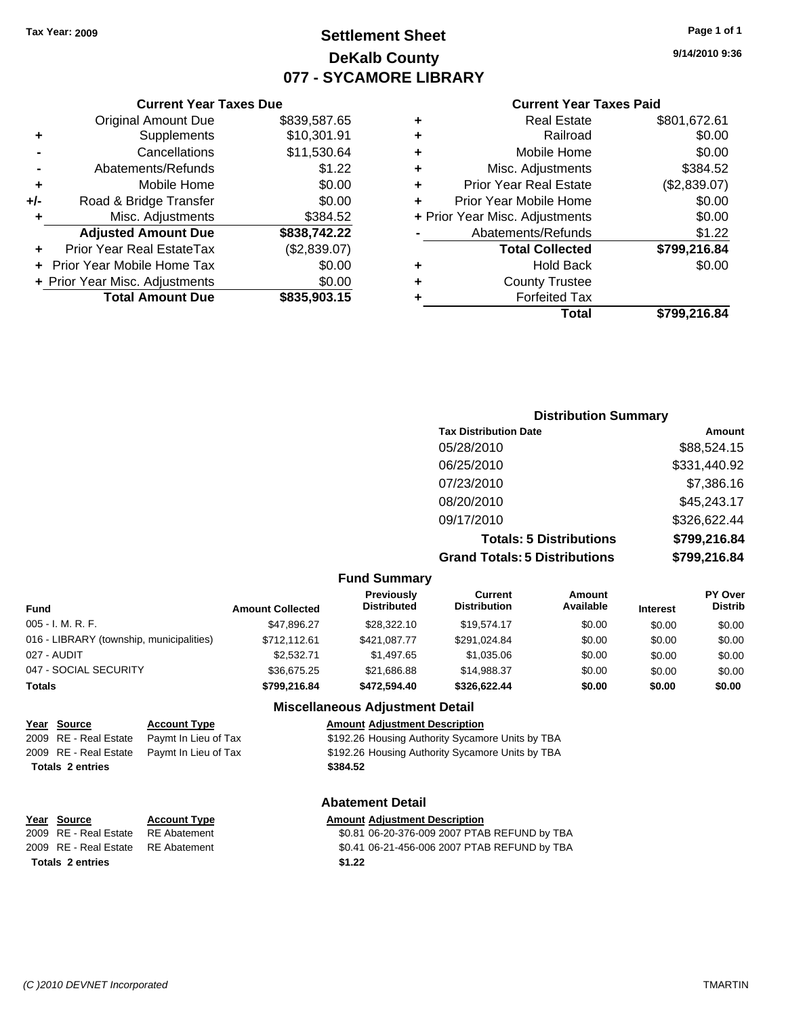**Current Year Taxes Due**

## **Settlement Sheet Tax Year: 2009 Page 1 of 1 DeKalb County 077 - SYCAMORE LIBRARY**

**9/14/2010 9:36**

#### **Current Year Taxes Paid**

|     |                                |              |   | Total                          | \$799,216.84 |  |  |
|-----|--------------------------------|--------------|---|--------------------------------|--------------|--|--|
|     | <b>Total Amount Due</b>        | \$835,903.15 |   | <b>Forfeited Tax</b>           |              |  |  |
|     | + Prior Year Misc. Adjustments | \$0.00       |   | <b>County Trustee</b>          |              |  |  |
|     | + Prior Year Mobile Home Tax   | \$0.00       | ٠ | <b>Hold Back</b>               | \$0.00       |  |  |
| ٠   | Prior Year Real EstateTax      | (\$2,839.07) |   | <b>Total Collected</b>         | \$799,216.84 |  |  |
|     | <b>Adjusted Amount Due</b>     | \$838,742.22 |   | Abatements/Refunds             | \$1.22       |  |  |
|     | Misc. Adjustments              | \$384.52     |   | + Prior Year Misc. Adjustments | \$0.00       |  |  |
| +/- | Road & Bridge Transfer         | \$0.00       |   | Prior Year Mobile Home         | \$0.00       |  |  |
| ٠   | Mobile Home                    | \$0.00       | ÷ | <b>Prior Year Real Estate</b>  | (\$2,839.07) |  |  |
|     | Abatements/Refunds             | \$1.22       |   | Misc. Adjustments              | \$384.52     |  |  |
|     | Cancellations                  | \$11,530.64  |   | Mobile Home                    | \$0.00       |  |  |
| ٠   | Supplements                    | \$10,301.91  |   | Railroad                       | \$0.00       |  |  |
|     | <b>Original Amount Due</b>     | \$839,587.65 |   | <b>Real Estate</b>             | \$801,672.61 |  |  |
|     |                                |              |   |                                |              |  |  |

## **Distribution Summary Tax Distribution Date Amount** 05/28/2010 \$88,524.15 06/25/2010 \$331,440.92 07/23/2010 \$7,386.16 08/20/2010 \$45,243.17 09/17/2010 \$326,622.44 **Totals: 5 Distributions \$799,216.84**

**Grand Totals: 5 Distributions \$799,216.84**

| stributions | <b>2199.410.</b> |
|-------------|------------------|
|             |                  |
| Amount      | PY O             |

| Fund Summary |  |
|--------------|--|
|--------------|--|

| <b>Fund</b>                              | <b>Amount Collected</b> | Previously<br><b>Distributed</b> | Current<br><b>Distribution</b> | Amount<br>Available | <b>Interest</b> | <b>PY Over</b><br><b>Distrib</b> |
|------------------------------------------|-------------------------|----------------------------------|--------------------------------|---------------------|-----------------|----------------------------------|
| $005 - I. M. R. F.$                      | \$47.896.27             | \$28,322.10                      | \$19.574.17                    | \$0.00              | \$0.00          | \$0.00                           |
| 016 - LIBRARY (township, municipalities) | \$712.112.61            | \$421,087.77                     | \$291.024.84                   | \$0.00              | \$0.00          | \$0.00                           |
| 027 - AUDIT                              | \$2,532.71              | \$1,497.65                       | \$1.035.06                     | \$0.00              | \$0.00          | \$0.00                           |
| 047 - SOCIAL SECURITY                    | \$36.675.25             | \$21,686.88                      | \$14.988.37                    | \$0.00              | \$0.00          | \$0.00                           |
| <b>Totals</b>                            | \$799,216,84            | \$472,594.40                     | \$326.622.44                   | \$0.00              | \$0.00          | \$0.00                           |

### **Miscellaneous Adjustment Detail**

|                         | Year Source           | <b>Account Type</b>                        | <b>Amount Adjustment Description</b>             |
|-------------------------|-----------------------|--------------------------------------------|--------------------------------------------------|
|                         | 2009 RE - Real Estate | Paymt In Lieu of Tax                       | \$192.26 Housing Authority Sycamore Units by TBA |
|                         |                       | 2009 RE - Real Estate Paymt In Lieu of Tax | \$192.26 Housing Authority Sycamore Units by TBA |
| <b>Totals 2 entries</b> |                       |                                            | \$384.52                                         |
|                         |                       |                                            |                                                  |

#### **Abatement Detail**

#### **Year Source Account Type Amount Adjustment Description**

2009 RE - Real Estate RE Abatement \$0.81 06-20-376-009 2007 PTAB REFUND by TBA 2009 RE - Real Estate RE Abatement \$0.41 06-21-456-006 2007 PTAB REFUND by TBA **Totals \$1.22 2 entries**

| otals 2 entries |  |  |
|-----------------|--|--|
|                 |  |  |
|                 |  |  |

*(C )2010 DEVNET Incorporated* TMARTIN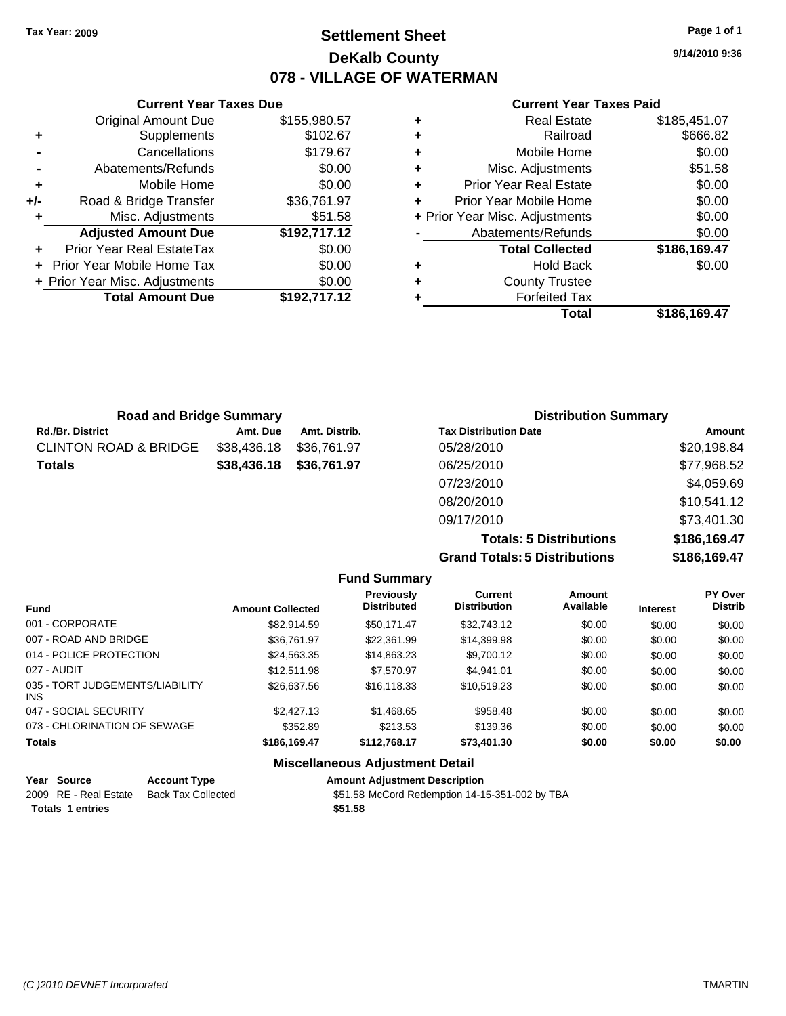## **Settlement Sheet Tax Year: 2009 Page 1 of 1 DeKalb County 078 - VILLAGE OF WATERMAN**

**9/14/2010 9:36**

#### **Current Year Taxes Paid**

|   | Total                          | \$186.169.47 |
|---|--------------------------------|--------------|
|   | <b>Forfeited Tax</b>           |              |
| ٠ | <b>County Trustee</b>          |              |
| ٠ | <b>Hold Back</b>               | \$0.00       |
|   | <b>Total Collected</b>         | \$186,169.47 |
|   | Abatements/Refunds             | \$0.00       |
|   | + Prior Year Misc. Adjustments | \$0.00       |
| ÷ | Prior Year Mobile Home         | \$0.00       |
| ٠ | <b>Prior Year Real Estate</b>  | \$0.00       |
| ٠ | Misc. Adjustments              | \$51.58      |
| ٠ | Mobile Home                    | \$0.00       |
| ٠ | Railroad                       | \$666.82     |
| ٠ | <b>Real Estate</b>             | \$185,451.07 |

|       | <b>Current Year Taxes Due</b>  |              |  |  |  |  |
|-------|--------------------------------|--------------|--|--|--|--|
|       | <b>Original Amount Due</b>     | \$155,980.57 |  |  |  |  |
| ٠     | Supplements                    | \$102.67     |  |  |  |  |
|       | Cancellations                  | \$179.67     |  |  |  |  |
|       | Abatements/Refunds             | \$0.00       |  |  |  |  |
| ٠     | Mobile Home                    | \$0.00       |  |  |  |  |
| $+/-$ | Road & Bridge Transfer         | \$36,761.97  |  |  |  |  |
|       | Misc. Adjustments              | \$51.58      |  |  |  |  |
|       | <b>Adjusted Amount Due</b>     | \$192,717.12 |  |  |  |  |
| ٠     | Prior Year Real EstateTax      | \$0.00       |  |  |  |  |
|       | Prior Year Mobile Home Tax     | \$0.00       |  |  |  |  |
|       | + Prior Year Misc. Adjustments | \$0.00       |  |  |  |  |
|       | <b>Total Amount Due</b>        | \$192,717.12 |  |  |  |  |
|       |                                |              |  |  |  |  |

| <b>Road and Bridge Summary</b> |             |               | <b>Distribution Summary</b>  |             |  |
|--------------------------------|-------------|---------------|------------------------------|-------------|--|
| Rd./Br. District               | Amt. Due    | Amt. Distrib. | <b>Tax Distribution Date</b> | Amount      |  |
| CLINTON ROAD & BRIDGE          | \$38,436.18 | \$36.761.97   | 05/28/2010                   | \$20,198.84 |  |
| Totals                         | \$38,436.18 | \$36,761.97   | 06/25/2010                   | \$77,968.52 |  |
|                                |             |               | 07/23/2010                   | \$4,059.69  |  |
|                                |             |               | 08/20/2010                   | \$10,541.12 |  |
|                                |             |               | 09/17/2010                   | \$73,401.30 |  |

**Totals: 5 Distributions \$186,169.47 Grand Totals: 5 Distributions \$186,169.47**

|                                         |                         | <b>Fund Summary</b>                     |                                |                     |                 |                                  |
|-----------------------------------------|-------------------------|-----------------------------------------|--------------------------------|---------------------|-----------------|----------------------------------|
| <b>Fund</b>                             | <b>Amount Collected</b> | <b>Previously</b><br><b>Distributed</b> | Current<br><b>Distribution</b> | Amount<br>Available | <b>Interest</b> | <b>PY Over</b><br><b>Distrib</b> |
| 001 - CORPORATE                         | \$82.914.59             | \$50.171.47                             | \$32,743.12                    | \$0.00              | \$0.00          | \$0.00                           |
| 007 - ROAD AND BRIDGE                   | \$36,761.97             | \$22,361.99                             | \$14,399.98                    | \$0.00              | \$0.00          | \$0.00                           |
| 014 - POLICE PROTECTION                 | \$24.563.35             | \$14,863,23                             | \$9,700.12                     | \$0.00              | \$0.00          | \$0.00                           |
| 027 - AUDIT                             | \$12.511.98             | \$7.570.97                              | \$4.941.01                     | \$0.00              | \$0.00          | \$0.00                           |
| 035 - TORT JUDGEMENTS/LIABILITY<br>INS. | \$26,637.56             | \$16,118,33                             | \$10.519.23                    | \$0.00              | \$0.00          | \$0.00                           |
| 047 - SOCIAL SECURITY                   | \$2,427.13              | \$1,468.65                              | \$958.48                       | \$0.00              | \$0.00          | \$0.00                           |
| 073 - CHLORINATION OF SEWAGE            | \$352.89                | \$213.53                                | \$139.36                       | \$0.00              | \$0.00          | \$0.00                           |
| <b>Totals</b>                           | \$186,169.47            | \$112.768.17                            | \$73,401.30                    | \$0.00              | \$0.00          | \$0.00                           |
|                                         |                         | Miccollanceus Adjustment Detail         |                                |                     |                 |                                  |

#### **Miscellaneous Adjustment Detail**

| Year Source           | <b>Account Type</b> | <b>Amount Adiustment Description</b>           |
|-----------------------|---------------------|------------------------------------------------|
| 2009 RE - Real Estate | Back Tax Collected  | \$51.58 McCord Redemption 14-15-351-002 by TBA |
| Totals 1 entries      |                     | \$51.58                                        |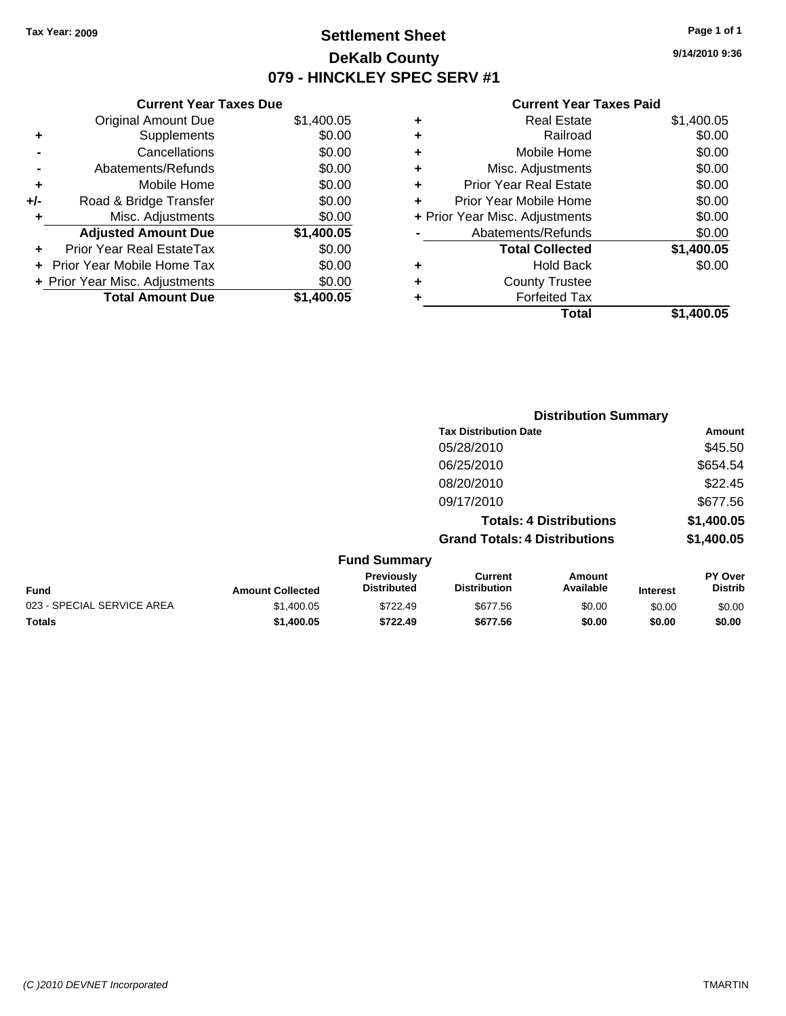**Current Year Taxes Due** Original Amount Due \$1,400.05

**Adjusted Amount Due \$1,400.05**

**Total Amount Due \$1,400.05**

**+** Supplements \$0.00 **-** Cancellations \$0.00 **-** Abatements/Refunds \$0.00 **+** Mobile Home \$0.00 **+/-** Road & Bridge Transfer \$0.00 **+** Misc. Adjustments \$0.00

**+** Prior Year Real EstateTax \$0.00 **+** Prior Year Mobile Home Tax \$0.00 **+ Prior Year Misc. Adjustments**  $$0.00$ 

## **Settlement Sheet Tax Year: 2009 Page 1 of 1 DeKalb County 079 - HINCKLEY SPEC SERV #1**

**9/14/2010 9:36**

#### **Current Year Taxes Paid**

| ٠ | <b>Real Estate</b>             | \$1,400.05 |
|---|--------------------------------|------------|
| ٠ | Railroad                       | \$0.00     |
| ٠ | Mobile Home                    | \$0.00     |
| ÷ | Misc. Adjustments              | \$0.00     |
| ٠ | <b>Prior Year Real Estate</b>  | \$0.00     |
| ÷ | Prior Year Mobile Home         | \$0.00     |
|   | + Prior Year Misc. Adjustments | \$0.00     |
|   | Abatements/Refunds             | \$0.00     |
|   | <b>Total Collected</b>         | \$1,400.05 |
| ٠ | <b>Hold Back</b>               | \$0.00     |
| ٠ | <b>County Trustee</b>          |            |
|   | <b>Forfeited Tax</b>           |            |
|   | Total                          | \$1,400.05 |

|                            |                         |                                  | <b>Distribution Summary</b>           |                                |                 |                                  |
|----------------------------|-------------------------|----------------------------------|---------------------------------------|--------------------------------|-----------------|----------------------------------|
|                            |                         |                                  | <b>Tax Distribution Date</b>          |                                |                 | Amount                           |
|                            |                         |                                  | 05/28/2010                            |                                |                 | \$45.50                          |
|                            |                         |                                  | 06/25/2010                            |                                |                 | \$654.54                         |
|                            |                         |                                  | 08/20/2010                            |                                |                 | \$22.45                          |
|                            |                         |                                  | 09/17/2010                            |                                |                 | \$677.56                         |
|                            |                         |                                  |                                       | <b>Totals: 4 Distributions</b> |                 | \$1,400.05                       |
|                            |                         |                                  | <b>Grand Totals: 4 Distributions</b>  |                                |                 | \$1,400.05                       |
|                            |                         | <b>Fund Summary</b>              |                                       |                                |                 |                                  |
| <b>Fund</b>                | <b>Amount Collected</b> | Previously<br><b>Distributed</b> | <b>Current</b><br><b>Distribution</b> | Amount<br>Available            | <b>Interest</b> | <b>PY Over</b><br><b>Distrib</b> |
| 023 - SPECIAL SERVICE AREA | \$1,400.05              | \$722.49                         | \$677.56                              | \$0.00                         | \$0.00          | \$0.00                           |
| Totals                     | \$1,400.05              | \$722.49                         | \$677.56                              | \$0.00                         | \$0.00          | \$0.00                           |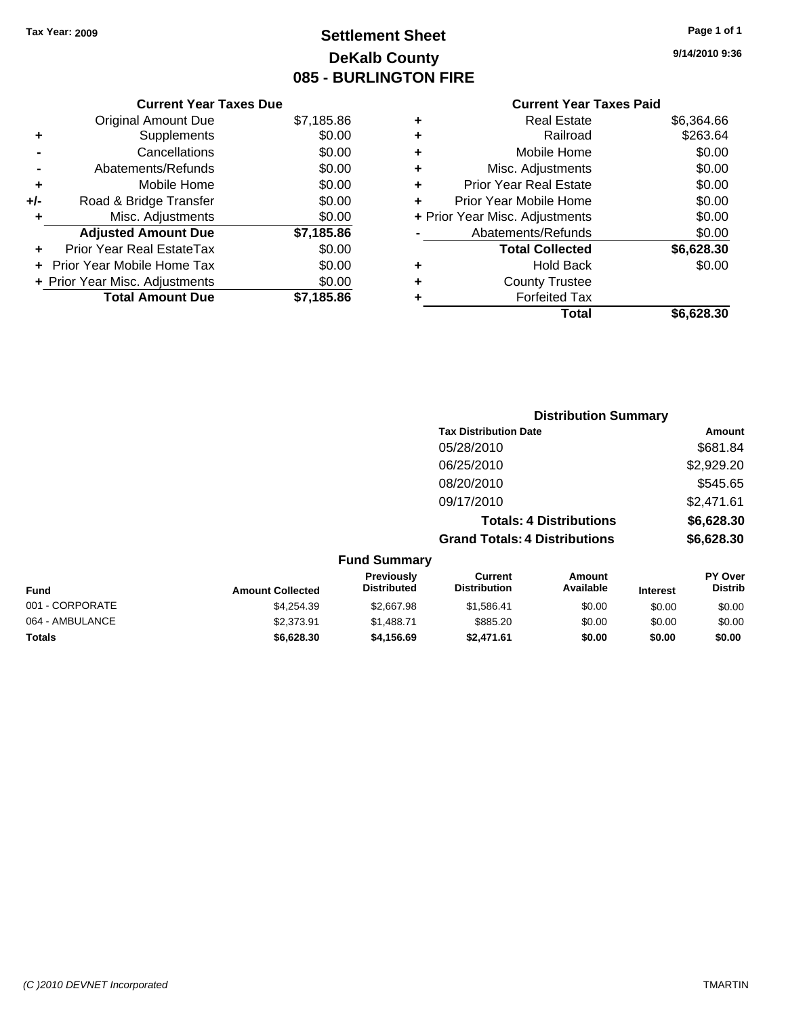## **Settlement Sheet Tax Year: 2009 Page 1 of 1 DeKalb County 085 - BURLINGTON FIRE**

**9/14/2010 9:36**

#### **Current Year Taxes Paid**

|     | <b>Current Year Taxes Due</b>            |            |  |  |  |
|-----|------------------------------------------|------------|--|--|--|
|     | \$7,185.86<br><b>Original Amount Due</b> |            |  |  |  |
| ٠   | Supplements                              | \$0.00     |  |  |  |
|     | Cancellations                            | \$0.00     |  |  |  |
|     | Abatements/Refunds                       | \$0.00     |  |  |  |
| ٠   | \$0.00<br>Mobile Home                    |            |  |  |  |
| +/- | \$0.00<br>Road & Bridge Transfer         |            |  |  |  |
| ٠   | \$0.00<br>Misc. Adjustments              |            |  |  |  |
|     | <b>Adjusted Amount Due</b>               | \$7,185.86 |  |  |  |
| ÷   | Prior Year Real EstateTax                | \$0.00     |  |  |  |
|     | Prior Year Mobile Home Tax               | \$0.00     |  |  |  |
|     | + Prior Year Misc. Adjustments           | \$0.00     |  |  |  |
|     | <b>Total Amount Due</b>                  | \$7.185.86 |  |  |  |
|     |                                          |            |  |  |  |

| \$263.64<br>\$0.00<br>\$0.00 |
|------------------------------|
|                              |
|                              |
|                              |
| \$0.00                       |
| \$0.00                       |
| \$0.00                       |
| \$0.00                       |
| \$6,628.30                   |
| \$0.00                       |
|                              |
|                              |
| \$6,628.30                   |
|                              |

|                     | <b>Distribution Summary</b>          |            |
|---------------------|--------------------------------------|------------|
|                     | <b>Tax Distribution Date</b>         | Amount     |
|                     | 05/28/2010                           | \$681.84   |
|                     | 06/25/2010                           | \$2,929.20 |
|                     | 08/20/2010                           | \$545.65   |
|                     | 09/17/2010                           | \$2,471.61 |
|                     | <b>Totals: 4 Distributions</b>       | \$6,628.30 |
|                     | <b>Grand Totals: 4 Distributions</b> | \$6,628.30 |
| <b>Fund Summary</b> |                                      |            |

| <b>Amount Collected</b> | <b>Previously</b><br><b>Distributed</b> | Current<br><b>Distribution</b> | Amount<br>Available | <b>Interest</b> | <b>PY Over</b><br><b>Distrib</b> |  |
|-------------------------|-----------------------------------------|--------------------------------|---------------------|-----------------|----------------------------------|--|
| \$4.254.39              | \$2,667.98                              | \$1.586.41                     | \$0.00              | \$0.00          | \$0.00                           |  |
| \$2,373.91              | \$1,488.71                              | \$885.20                       | \$0.00              | \$0.00          | \$0.00                           |  |
| \$6,628.30              | \$4.156.69                              | \$2,471.61                     | \$0.00              | \$0.00          | \$0.00                           |  |
|                         |                                         |                                |                     |                 |                                  |  |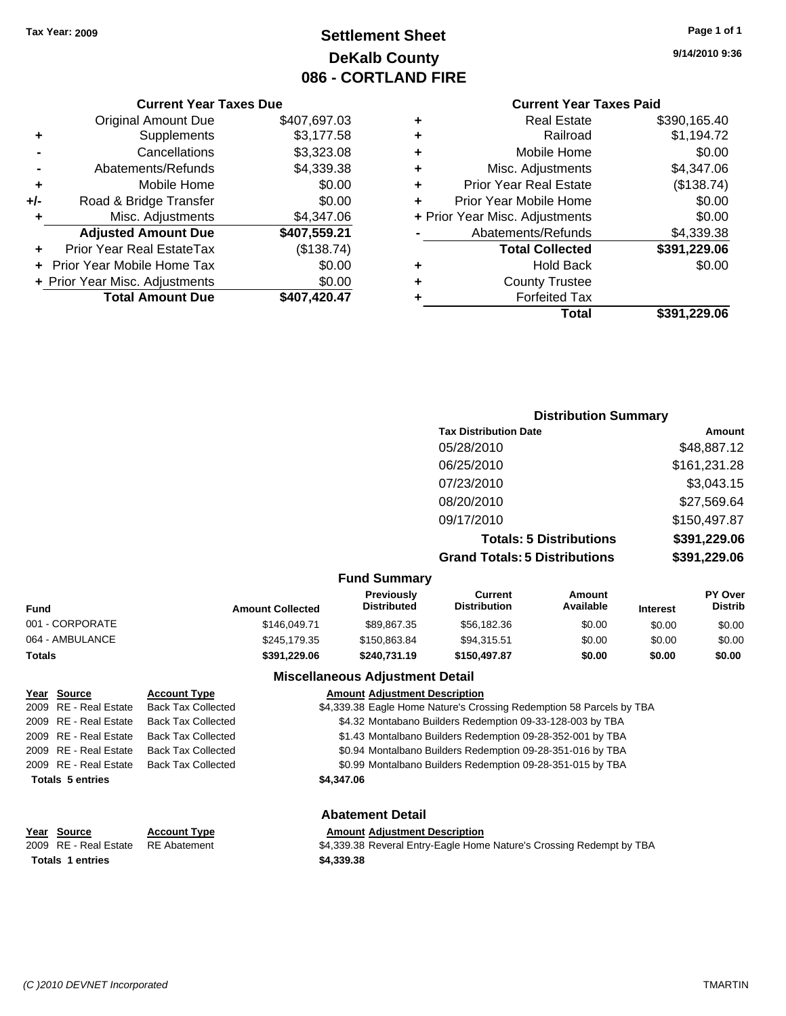## **Settlement Sheet Tax Year: 2009 Page 1 of 1 DeKalb County 086 - CORTLAND FIRE**

## **9/14/2010 9:36**

#### **Current Year Taxes Paid**

| ٠ | <b>Real Estate</b>             | \$390,165.40 |
|---|--------------------------------|--------------|
| ٠ | Railroad                       | \$1,194.72   |
| ٠ | Mobile Home                    | \$0.00       |
| ٠ | Misc. Adjustments              | \$4,347.06   |
| ٠ | <b>Prior Year Real Estate</b>  | (\$138.74)   |
|   | Prior Year Mobile Home         | \$0.00       |
|   | + Prior Year Misc. Adjustments | \$0.00       |
|   | Abatements/Refunds             | \$4,339.38   |
|   | <b>Total Collected</b>         | \$391,229.06 |
|   | Hold Back                      | \$0.00       |
| ٠ | <b>County Trustee</b>          |              |
|   | <b>Forfeited Tax</b>           |              |
|   | Total                          | \$391,229.06 |

|     | <b>Current Year Taxes Due</b>   |              |  |  |
|-----|---------------------------------|--------------|--|--|
|     | <b>Original Amount Due</b>      | \$407,697.03 |  |  |
| ٠   | Supplements                     | \$3,177.58   |  |  |
|     | Cancellations                   | \$3,323.08   |  |  |
|     | Abatements/Refunds              | \$4,339.38   |  |  |
| ٠   | Mobile Home                     | \$0.00       |  |  |
| +/- | Road & Bridge Transfer          | \$0.00       |  |  |
| ٠   | Misc. Adjustments<br>\$4,347.06 |              |  |  |
|     | <b>Adjusted Amount Due</b>      | \$407,559.21 |  |  |
|     | Prior Year Real EstateTax       | (\$138.74)   |  |  |
|     | Prior Year Mobile Home Tax      | \$0.00       |  |  |
|     | + Prior Year Misc. Adjustments  | \$0.00       |  |  |
|     | <b>Total Amount Due</b>         | \$407,420.47 |  |  |

| <b>Distribution Summary</b> |  |
|-----------------------------|--|
|-----------------------------|--|

| <b>Tax Distribution Date</b>         | Amount       |
|--------------------------------------|--------------|
| 05/28/2010                           | \$48,887.12  |
| 06/25/2010                           | \$161,231.28 |
| 07/23/2010                           | \$3,043.15   |
| 08/20/2010                           | \$27,569.64  |
| 09/17/2010                           | \$150,497.87 |
| <b>Totals: 5 Distributions</b>       | \$391,229.06 |
| <b>Grand Totals: 5 Distributions</b> | \$391,229.06 |
|                                      |              |

#### **Fund Summary**

| <b>Fund</b>     | <b>Amount Collected</b> | <b>Previously</b><br><b>Distributed</b> | Current<br><b>Distribution</b> | Amount<br>Available | <b>Interest</b> | <b>PY Over</b><br><b>Distrib</b> |
|-----------------|-------------------------|-----------------------------------------|--------------------------------|---------------------|-----------------|----------------------------------|
| 001 - CORPORATE | \$146,049.71            | \$89,867.35                             | \$56,182.36                    | \$0.00              | \$0.00          | \$0.00                           |
| 064 - AMBULANCE | \$245,179.35            | \$150,863.84                            | \$94,315.51                    | \$0.00              | \$0.00          | \$0.00                           |
| <b>Totals</b>   | \$391,229.06            | \$240,731.19                            | \$150,497.87                   | \$0.00              | \$0.00          | \$0.00                           |

#### **Miscellaneous Adjustment Detail**

| Year Source             | <b>Account Type</b>       | <b>Amount Adjustment Description</b>                                 |
|-------------------------|---------------------------|----------------------------------------------------------------------|
| 2009 RE - Real Estate   | <b>Back Tax Collected</b> | \$4,339.38 Eagle Home Nature's Crossing Redemption 58 Parcels by TBA |
| 2009 RE - Real Estate   | <b>Back Tax Collected</b> | \$4.32 Montabano Builders Redemption 09-33-128-003 by TBA            |
| 2009 RE - Real Estate   | <b>Back Tax Collected</b> | \$1.43 Montalbano Builders Redemption 09-28-352-001 by TBA           |
| 2009 RE - Real Estate   | <b>Back Tax Collected</b> | \$0.94 Montalbano Builders Redemption 09-28-351-016 by TBA           |
| 2009 RE - Real Estate   | <b>Back Tax Collected</b> | \$0.99 Montalbano Builders Redemption 09-28-351-015 by TBA           |
| <b>Totals 5 entries</b> |                           | \$4,347.06                                                           |
|                         |                           | <b>Abatement Detail</b>                                              |

**Totals \$4,339.38 1 entries**

**Year Source Account Type Amount Adjustment Description** 2009 RE - Real Estate RE Abatement **\$4,339.38 Reveral Entry-Eagle Home Nature's Crossing Redempt by TBA**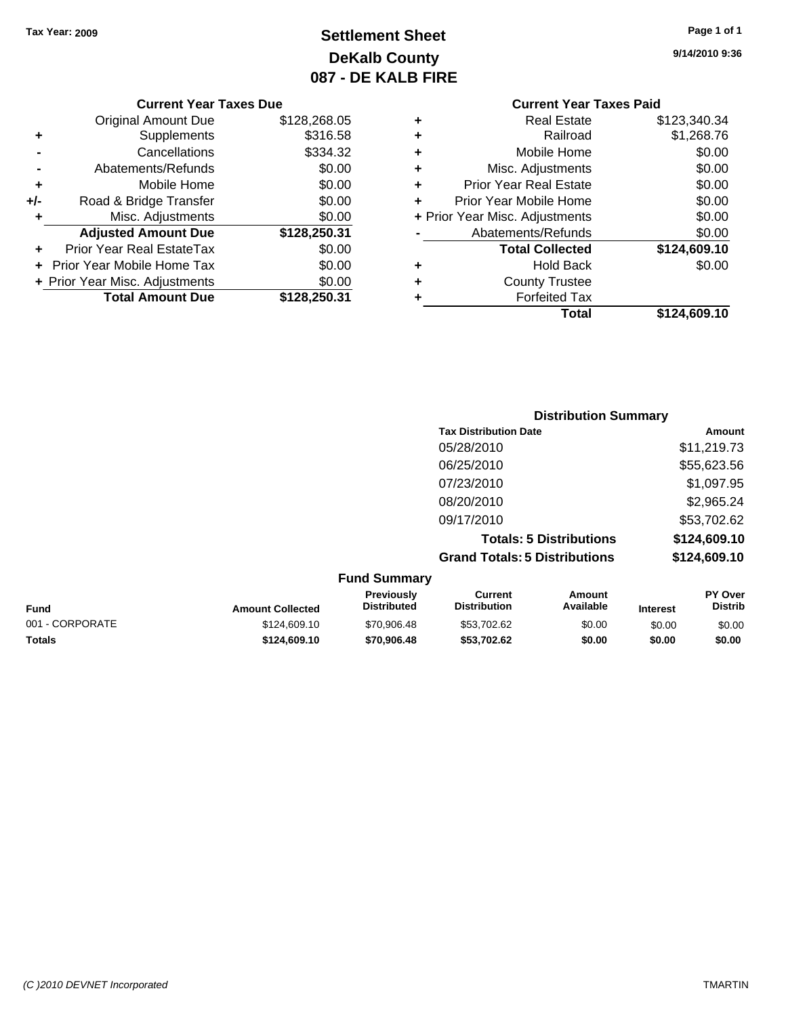## **Settlement Sheet Tax Year: 2009 Page 1 of 1 DeKalb County 087 - DE KALB FIRE**

**9/14/2010 9:36**

|     | <b>Original Amount Due</b>     | \$128,268.05 |
|-----|--------------------------------|--------------|
| ٠   | Supplements                    | \$316.58     |
|     | Cancellations                  | \$334.32     |
|     | Abatements/Refunds             | \$0.00       |
| ٠   | Mobile Home                    | \$0.00       |
| +/- | Road & Bridge Transfer         | \$0.00       |
| ÷   | Misc. Adjustments              | \$0.00       |
|     | <b>Adjusted Amount Due</b>     | \$128,250.31 |
|     | Prior Year Real EstateTax      | \$0.00       |
|     | Prior Year Mobile Home Tax     | \$0.00       |
|     | + Prior Year Misc. Adjustments | \$0.00       |
|     | <b>Total Amount Due</b>        | \$128,250.31 |

## **Current Year Taxes Paid**

| ٠ | Real Estate                    | \$123,340.34 |
|---|--------------------------------|--------------|
| ÷ | Railroad                       | \$1,268.76   |
| ٠ | Mobile Home                    | \$0.00       |
| ٠ | Misc. Adjustments              | \$0.00       |
| ٠ | <b>Prior Year Real Estate</b>  | \$0.00       |
| ٠ | Prior Year Mobile Home         | \$0.00       |
|   | + Prior Year Misc. Adjustments | \$0.00       |
|   | Abatements/Refunds             | \$0.00       |
|   | <b>Total Collected</b>         | \$124,609.10 |
| ٠ | <b>Hold Back</b>               | \$0.00       |
| ٠ | <b>County Trustee</b>          |              |
| ٠ | <b>Forfeited Tax</b>           |              |
|   | Total                          | \$124,609.10 |
|   |                                |              |

|                     | <b>Distribution Summary</b>          |              |
|---------------------|--------------------------------------|--------------|
|                     | <b>Tax Distribution Date</b>         | Amount       |
|                     | 05/28/2010                           | \$11,219.73  |
|                     | 06/25/2010                           | \$55,623.56  |
|                     | 07/23/2010                           | \$1,097.95   |
|                     | 08/20/2010                           | \$2,965.24   |
|                     | 09/17/2010                           | \$53,702.62  |
|                     | <b>Totals: 5 Distributions</b>       | \$124,609.10 |
|                     | <b>Grand Totals: 5 Distributions</b> | \$124,609.10 |
| <b>Fund Summary</b> |                                      |              |

| <b>FUND SUMMIN</b>      |                                         |                                |                     |                 |                                  |  |
|-------------------------|-----------------------------------------|--------------------------------|---------------------|-----------------|----------------------------------|--|
| <b>Amount Collected</b> | <b>Previously</b><br><b>Distributed</b> | Current<br><b>Distribution</b> | Amount<br>Available | <b>Interest</b> | <b>PY Over</b><br><b>Distrib</b> |  |
| \$124,609.10            | \$70,906.48                             | \$53,702.62                    | \$0.00              | \$0.00          | \$0.00                           |  |
| \$124,609.10            | \$70,906,48                             | \$53.702.62                    | \$0.00              | \$0.00          | \$0.00                           |  |
|                         |                                         |                                |                     |                 |                                  |  |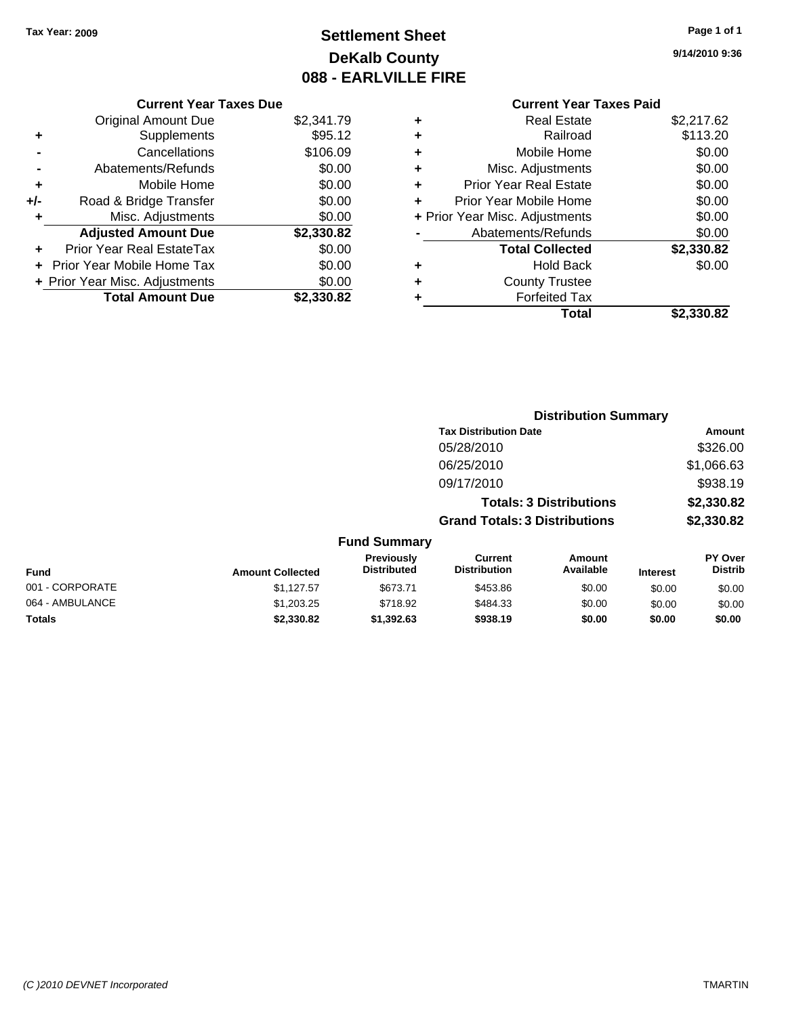## **Settlement Sheet Tax Year: 2009 Page 1 of 1 DeKalb County 088 - EARLVILLE FIRE**

**9/14/2010 9:36**

| <b>Current Year Taxes Due</b> |  |  |
|-------------------------------|--|--|
|                               |  |  |

|     | <b>Original Amount Due</b>     | \$2,341.79 |
|-----|--------------------------------|------------|
| ٠   | Supplements                    | \$95.12    |
|     | Cancellations                  | \$106.09   |
|     | Abatements/Refunds             | \$0.00     |
| ٠   | Mobile Home                    | \$0.00     |
| +/- | Road & Bridge Transfer         | \$0.00     |
|     | Misc. Adjustments              | \$0.00     |
|     | <b>Adjusted Amount Due</b>     | \$2,330.82 |
|     | Prior Year Real EstateTax      | \$0.00     |
|     | Prior Year Mobile Home Tax     | \$0.00     |
|     | + Prior Year Misc. Adjustments | \$0.00     |
|     | <b>Total Amount Due</b>        | \$2.330.82 |

#### **Current Year Taxes Paid +** Real Estate \$2,217.62 **+** Railroad \$113.20 **+** Mobile Home \$0.00 **+** Misc. Adjustments \$0.00 **+** Prior Year Real Estate \$0.00 **+** Prior Year Mobile Home \$0.00

|           | Total                          | \$2,330.82 |
|-----------|--------------------------------|------------|
| $\div$    | <b>Forfeited Tax</b>           |            |
| $\ddot{}$ | <b>County Trustee</b>          |            |
| ÷         | <b>Hold Back</b>               | \$0.00     |
|           | <b>Total Collected</b>         | \$2,330.82 |
|           | Abatements/Refunds             | \$0.00     |
|           | + Prior Year Misc. Adjustments | \$0.00     |

|                 |                         |                                         |                                       | <b>Distribution Summary</b>    |                 |                           |
|-----------------|-------------------------|-----------------------------------------|---------------------------------------|--------------------------------|-----------------|---------------------------|
|                 |                         |                                         | <b>Tax Distribution Date</b>          |                                |                 | Amount                    |
|                 |                         |                                         | 05/28/2010                            |                                |                 | \$326.00                  |
|                 |                         |                                         | 06/25/2010                            |                                |                 | \$1,066.63                |
|                 |                         |                                         | 09/17/2010                            |                                |                 | \$938.19                  |
|                 |                         |                                         |                                       | <b>Totals: 3 Distributions</b> |                 | \$2,330.82                |
|                 |                         |                                         | <b>Grand Totals: 3 Distributions</b>  |                                |                 | \$2,330.82                |
|                 |                         | <b>Fund Summary</b>                     |                                       |                                |                 |                           |
| <b>Fund</b>     | <b>Amount Collected</b> | <b>Previously</b><br><b>Distributed</b> | <b>Current</b><br><b>Distribution</b> | Amount<br>Available            | <b>Interest</b> | PY Over<br><b>Distrib</b> |
| 001 - CORPORATE | \$1,127.57              | \$673.71                                | \$453.86                              | \$0.00                         | \$0.00          | \$0.00                    |
| 064 - AMBULANCE | \$1,203.25              | \$718.92                                | \$484.33                              | \$0.00                         | \$0.00          | \$0.00                    |

**Totals \$2,330.82 \$1,392.63 \$938.19 \$0.00 \$0.00 \$0.00**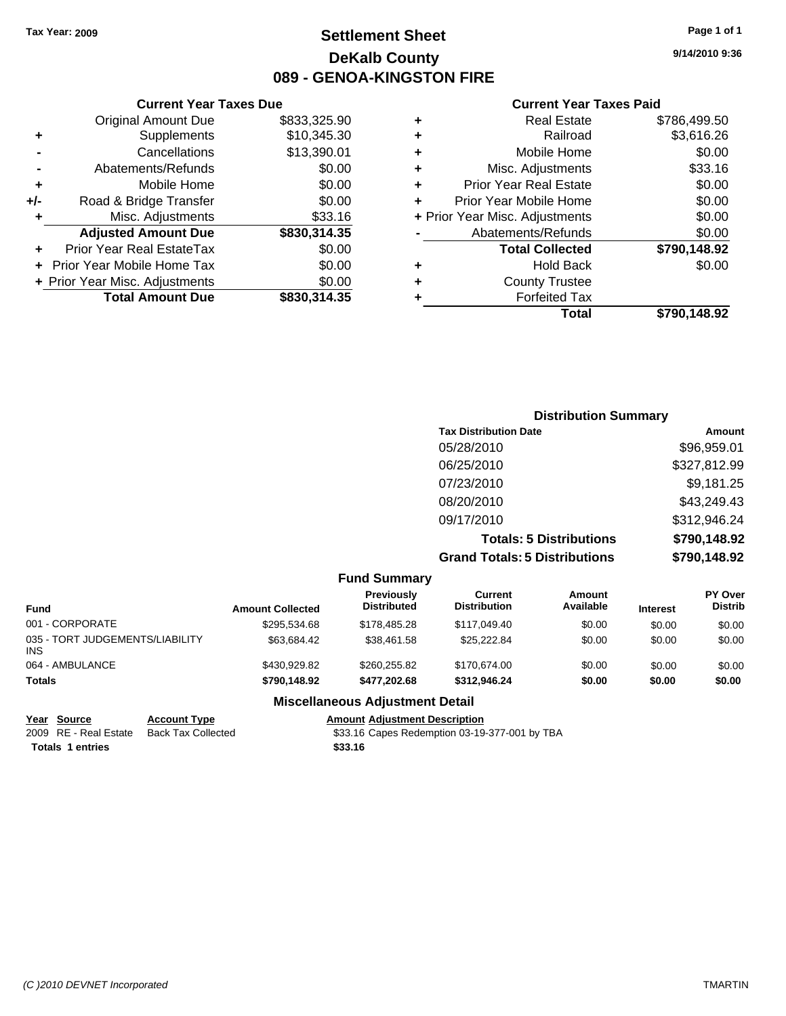## **Settlement Sheet Tax Year: 2009 Page 1 of 1 DeKalb County 089 - GENOA-KINGSTON FIRE**

**9/14/2010 9:36**

#### **Current Year Taxes Paid**

|   | Total                          | \$790.148.92 |
|---|--------------------------------|--------------|
| ٠ | <b>Forfeited Tax</b>           |              |
| ٠ | <b>County Trustee</b>          |              |
| ٠ | <b>Hold Back</b>               | \$0.00       |
|   | <b>Total Collected</b>         | \$790,148.92 |
|   | Abatements/Refunds             | \$0.00       |
|   | + Prior Year Misc. Adjustments | \$0.00       |
| ÷ | Prior Year Mobile Home         | \$0.00       |
| ٠ | <b>Prior Year Real Estate</b>  | \$0.00       |
| ٠ | Misc. Adjustments              | \$33.16      |
| ٠ | Mobile Home                    | \$0.00       |
| ٠ | Railroad                       | \$3,616.26   |
| ٠ | <b>Real Estate</b>             | \$786,499.50 |

|     | <b>Current Year Taxes Due</b>  |              |  |  |  |
|-----|--------------------------------|--------------|--|--|--|
|     | <b>Original Amount Due</b>     | \$833,325.90 |  |  |  |
| ٠   | Supplements                    | \$10,345.30  |  |  |  |
|     | Cancellations                  | \$13,390.01  |  |  |  |
|     | Abatements/Refunds             | \$0.00       |  |  |  |
| ٠   | Mobile Home                    | \$0.00       |  |  |  |
| +/- | Road & Bridge Transfer         | \$0.00       |  |  |  |
| ٠   | Misc. Adjustments              | \$33.16      |  |  |  |
|     | <b>Adjusted Amount Due</b>     | \$830,314.35 |  |  |  |
|     | Prior Year Real EstateTax      | \$0.00       |  |  |  |
|     | Prior Year Mobile Home Tax     | \$0.00       |  |  |  |
|     | + Prior Year Misc. Adjustments | \$0.00       |  |  |  |
|     | <b>Total Amount Due</b>        | \$830,314.35 |  |  |  |

| <b>Distribution Summary</b>          |              |
|--------------------------------------|--------------|
| <b>Tax Distribution Date</b>         | Amount       |
| 05/28/2010                           | \$96,959.01  |
| 06/25/2010                           | \$327,812.99 |
| 07/23/2010                           | \$9,181.25   |
| 08/20/2010                           | \$43,249.43  |
| 09/17/2010                           | \$312,946.24 |
| <b>Totals: 5 Distributions</b>       | \$790,148.92 |
| <b>Grand Totals: 5 Distributions</b> | \$790,148.92 |

|                                               |                     |                         | <b>Fund Summary</b>                    |                                |                     |                 |                                  |
|-----------------------------------------------|---------------------|-------------------------|----------------------------------------|--------------------------------|---------------------|-----------------|----------------------------------|
| Fund                                          |                     | <b>Amount Collected</b> | Previously<br><b>Distributed</b>       | Current<br><b>Distribution</b> | Amount<br>Available | <b>Interest</b> | <b>PY Over</b><br><b>Distrib</b> |
| 001 - CORPORATE                               |                     | \$295.534.68            | \$178,485.28                           | \$117,049,40                   | \$0.00              | \$0.00          | \$0.00                           |
| 035 - TORT JUDGEMENTS/LIABILITY<br><b>INS</b> |                     | \$63.684.42             | \$38.461.58                            | \$25.222.84                    | \$0.00              | \$0.00          | \$0.00                           |
| 064 - AMBULANCE                               |                     | \$430,929.82            | \$260,255.82                           | \$170,674,00                   | \$0.00              | \$0.00          | \$0.00                           |
| <b>Totals</b>                                 |                     | \$790,148.92            | \$477.202.68                           | \$312,946.24                   | \$0.00              | \$0.00          | \$0.00                           |
|                                               |                     |                         | <b>Miscellaneous Adjustment Detail</b> |                                |                     |                 |                                  |
| Year Source                                   | <b>Account Type</b> |                         | <b>Amount Adjustment Description</b>   |                                |                     |                 |                                  |

**Totals 1 entries** \$33.16

2009 RE - Real Estate Back Tax Collected **633.16 Capes Redemption 03-19-377-001 by TBA**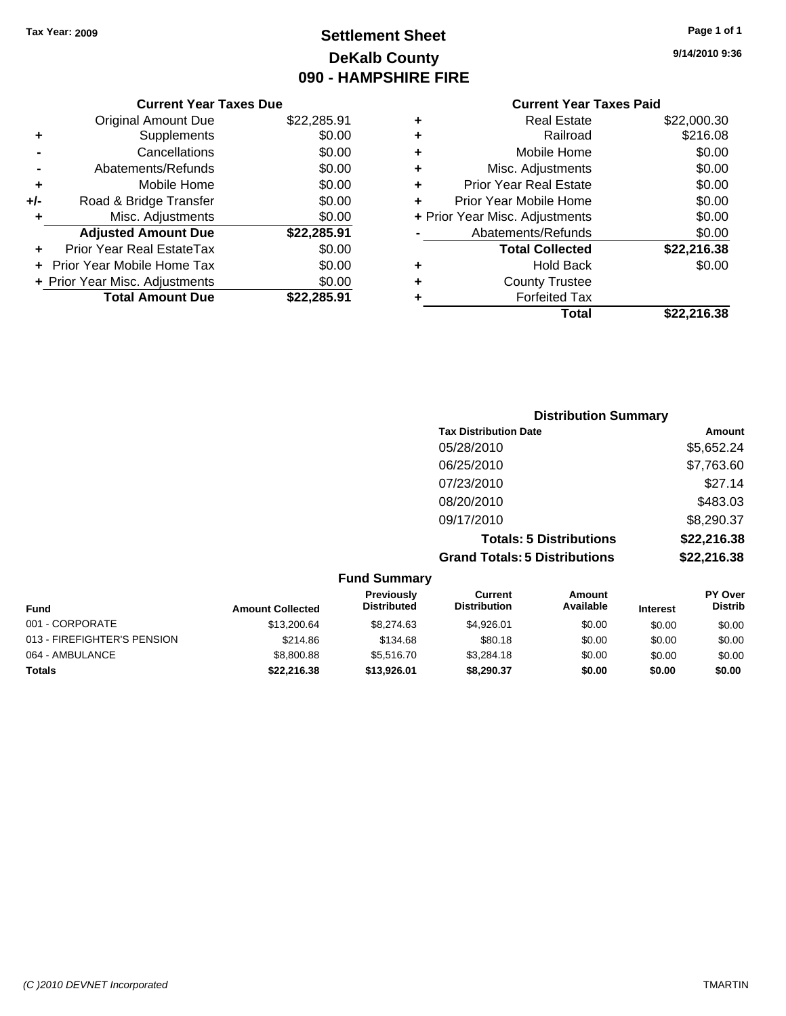## **Settlement Sheet Tax Year: 2009 Page 1 of 1 DeKalb County 090 - HAMPSHIRE FIRE**

**9/14/2010 9:36**

## **Current Year Taxes Paid**

|     | <b>Current Year Taxes Due</b>  |             |  |  |
|-----|--------------------------------|-------------|--|--|
|     | Original Amount Due            | \$22,285.91 |  |  |
| ٠   | Supplements                    | \$0.00      |  |  |
|     | Cancellations                  | \$0.00      |  |  |
|     | Abatements/Refunds             | \$0.00      |  |  |
| ٠   | Mobile Home                    | \$0.00      |  |  |
| +/- | Road & Bridge Transfer         | \$0.00      |  |  |
| ٠   | Misc. Adjustments              | \$0.00      |  |  |
|     | <b>Adjusted Amount Due</b>     | \$22,285.91 |  |  |
| ٠   | Prior Year Real EstateTax      | \$0.00      |  |  |
|     | Prior Year Mobile Home Tax     | \$0.00      |  |  |
|     | + Prior Year Misc. Adjustments | \$0.00      |  |  |
|     | <b>Total Amount Due</b>        | \$22,285.91 |  |  |
|     |                                |             |  |  |

| <b>Hold Back</b><br><b>County Trustee</b><br><b>Forfeited Tax</b> | \$0.00      |
|-------------------------------------------------------------------|-------------|
|                                                                   |             |
|                                                                   |             |
|                                                                   |             |
| <b>Total Collected</b>                                            | \$22,216.38 |
| Abatements/Refunds                                                | \$0.00      |
| + Prior Year Misc. Adjustments                                    | \$0.00      |
| Prior Year Mobile Home                                            | \$0.00      |
| <b>Prior Year Real Estate</b>                                     | \$0.00      |
| Misc. Adjustments                                                 | \$0.00      |
| Mobile Home                                                       | \$0.00      |
| Railroad                                                          | \$216.08    |
| <b>Real Estate</b>                                                | \$22,000.30 |
|                                                                   |             |

| <b>Distribution Summary</b>          |             |
|--------------------------------------|-------------|
| <b>Tax Distribution Date</b>         | Amount      |
| 05/28/2010                           | \$5,652.24  |
| 06/25/2010                           | \$7,763.60  |
| 07/23/2010                           | \$27.14     |
| 08/20/2010                           | \$483.03    |
| 09/17/2010                           | \$8,290.37  |
| <b>Totals: 5 Distributions</b>       | \$22,216.38 |
| <b>Grand Totals: 5 Distributions</b> | \$22,216.38 |

|                             |                         | <b>Fund Summary</b>                     |                                |                     |                 |                                  |
|-----------------------------|-------------------------|-----------------------------------------|--------------------------------|---------------------|-----------------|----------------------------------|
| Fund                        | <b>Amount Collected</b> | <b>Previously</b><br><b>Distributed</b> | Current<br><b>Distribution</b> | Amount<br>Available | <b>Interest</b> | <b>PY Over</b><br><b>Distrib</b> |
| 001 - CORPORATE             | \$13,200.64             | \$8,274.63                              | \$4.926.01                     | \$0.00              | \$0.00          | \$0.00                           |
| 013 - FIREFIGHTER'S PENSION | \$214.86                | \$134.68                                | \$80.18                        | \$0.00              | \$0.00          | \$0.00                           |
| 064 - AMBULANCE             | \$8,800.88              | \$5,516.70                              | \$3.284.18                     | \$0.00              | \$0.00          | \$0.00                           |
| Totals                      | \$22,216.38             | \$13,926.01                             | \$8,290.37                     | \$0.00              | \$0.00          | \$0.00                           |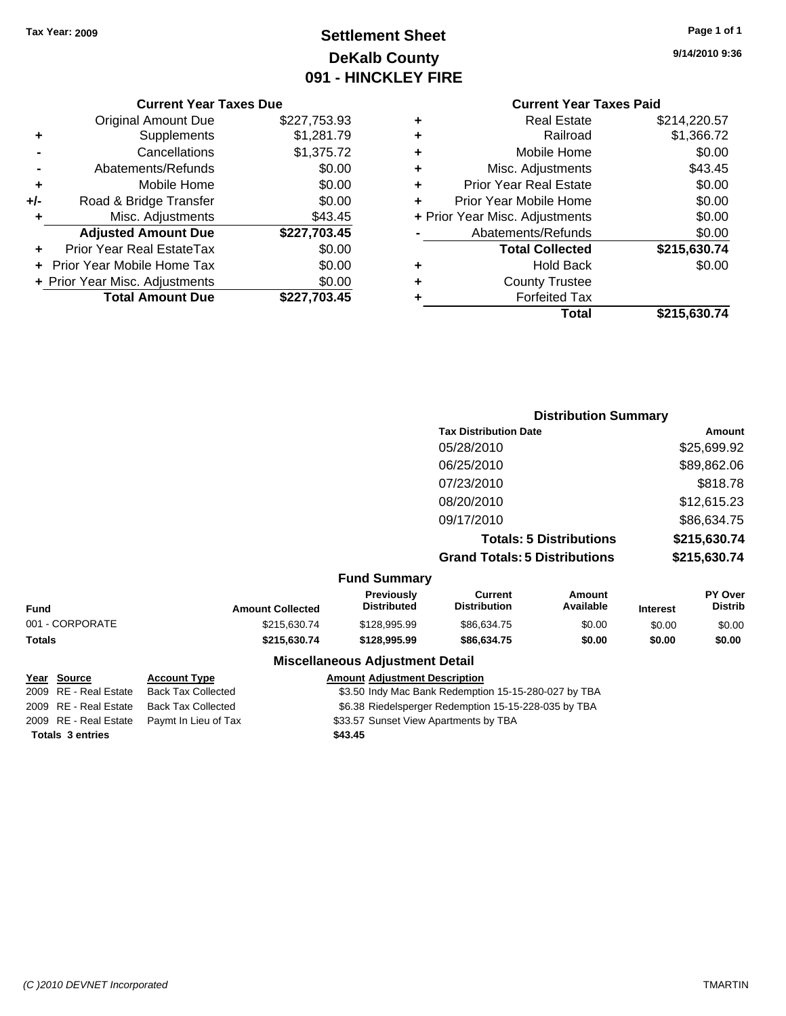## **Settlement Sheet Tax Year: 2009 Page 1 of 1 DeKalb County 091 - HINCKLEY FIRE**

**9/14/2010 9:36**

|       | <b>Original Amount Due</b>        | \$227,753.93 |
|-------|-----------------------------------|--------------|
| ٠     | Supplements                       | \$1,281.79   |
|       | Cancellations                     | \$1,375.72   |
|       | Abatements/Refunds                | \$0.00       |
| ٠     | Mobile Home                       | \$0.00       |
| $+/-$ | Road & Bridge Transfer            | \$0.00       |
| ٠     | Misc. Adjustments                 | \$43.45      |
|       | <b>Adjusted Amount Due</b>        | \$227,703.45 |
|       | Prior Year Real EstateTax         | \$0.00       |
|       | <b>Prior Year Mobile Home Tax</b> | \$0.00       |
|       | + Prior Year Misc. Adjustments    | \$0.00       |
|       | <b>Total Amount Due</b>           | \$227,703.45 |

#### **Current Year Taxes Paid +** Real Estate \$214,220.57

|   | Total                          | \$215,630.74 |
|---|--------------------------------|--------------|
| ٠ | <b>Forfeited Tax</b>           |              |
| ٠ | <b>County Trustee</b>          |              |
| ٠ | <b>Hold Back</b>               | \$0.00       |
|   | <b>Total Collected</b>         | \$215,630.74 |
|   | Abatements/Refunds             | \$0.00       |
|   | + Prior Year Misc. Adjustments | \$0.00       |
| ٠ | Prior Year Mobile Home         | \$0.00       |
| ٠ | <b>Prior Year Real Estate</b>  | \$0.00       |
| ٠ | Misc. Adjustments              | \$43.45      |
| ÷ | Mobile Home                    | \$0.00       |
| ٠ | Railroad                       | \$1,366.72   |
| ٠ | Real Estate                    | \$214,220.57 |

|        | <b>Distribution Summary</b>          |              |
|--------|--------------------------------------|--------------|
|        | <b>Tax Distribution Date</b>         | Amount       |
|        | 05/28/2010                           | \$25,699.92  |
|        | 06/25/2010                           | \$89,862.06  |
|        | 07/23/2010                           | \$818.78     |
|        | 08/20/2010                           | \$12,615.23  |
|        | 09/17/2010                           | \$86,634.75  |
|        | <b>Totals: 5 Distributions</b>       | \$215,630.74 |
|        | <b>Grand Totals: 5 Distributions</b> | \$215,630.74 |
| — IA — |                                      |              |

|  |  | <b>Fund Summary</b> |
|--|--|---------------------|
|--|--|---------------------|

| Fund            | <b>Amount Collected</b> | <b>Previously</b><br>Distributed | Current<br>Distribution | Amount<br>Available | <b>Interest</b> | <b>PY Over</b><br><b>Distrib</b> |
|-----------------|-------------------------|----------------------------------|-------------------------|---------------------|-----------------|----------------------------------|
| 001 - CORPORATE | \$215,630.74            | \$128,995.99                     | \$86,634.75             | \$0.00              | \$0.00          | \$0.00                           |
| Totals          | \$215.630.74            | \$128,995.99                     | \$86,634.75             | \$0.00              | \$0.00          | \$0.00                           |
|                 |                         |                                  |                         |                     |                 |                                  |

#### **Miscellaneous Adjustment Detail**

| <u>Year Source</u>      | <b>Account Type</b>                        | <b>Amount Adjustment Description</b>                 |
|-------------------------|--------------------------------------------|------------------------------------------------------|
| 2009 RE - Real Estate   | <b>Back Tax Collected</b>                  | \$3.50 Indy Mac Bank Redemption 15-15-280-027 by TBA |
| 2009 RE - Real Estate   | Back Tax Collected                         | \$6.38 Riedelsperger Redemption 15-15-228-035 by TBA |
|                         | 2009 RE - Real Estate Paymt In Lieu of Tax | \$33.57 Sunset View Apartments by TBA                |
| <b>Totals 3 entries</b> |                                            | \$43.45                                              |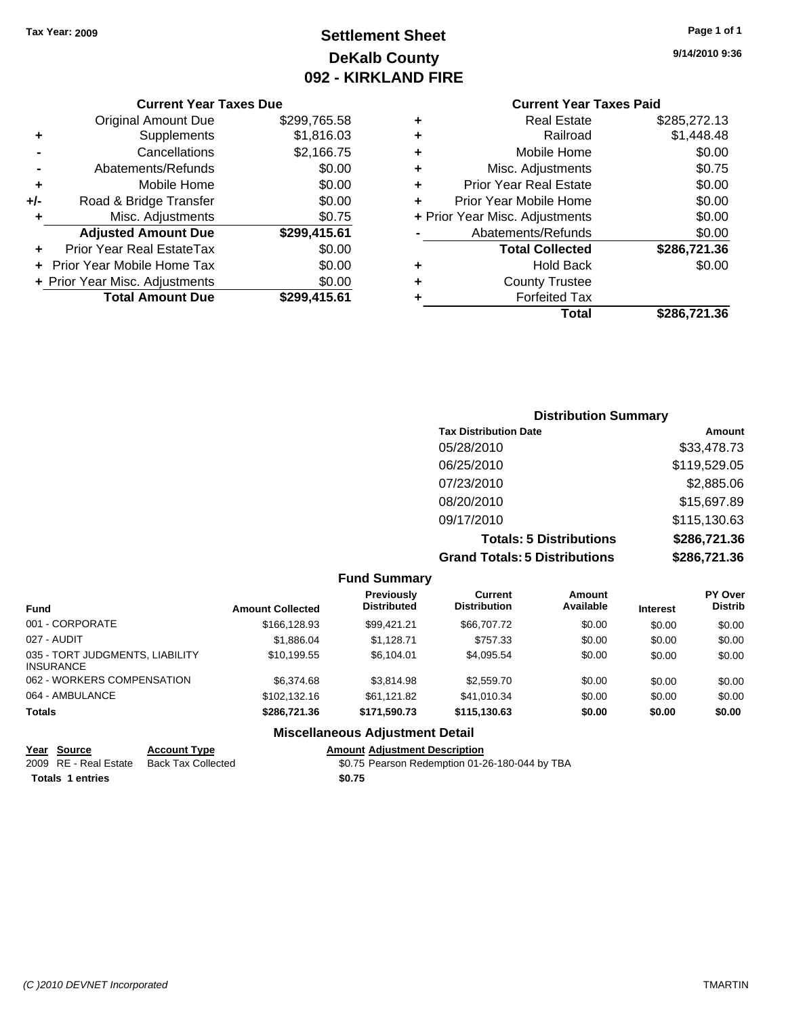## **Settlement Sheet Tax Year: 2009 Page 1 of 1 DeKalb County 092 - KIRKLAND FIRE**

**Current Year Taxes Paid**

| 65.58  | ٠ | <b>Real Estate</b>             | \$285,272.13 |
|--------|---|--------------------------------|--------------|
| 16.03  | ٠ | Railroad                       | \$1,448.48   |
| 66.75  | ٠ | Mobile Home                    | \$0.00       |
| \$0.00 | ٠ | Misc. Adjustments              | \$0.75       |
| \$0.00 | ٠ | <b>Prior Year Real Estate</b>  | \$0.00       |
| \$0.00 |   | Prior Year Mobile Home         | \$0.00       |
| \$0.75 |   | + Prior Year Misc. Adjustments | \$0.00       |
| 15.61  |   | Abatements/Refunds             | \$0.00       |
| \$0.00 |   | <b>Total Collected</b>         | \$286,721.36 |
| \$0.00 | ٠ | <b>Hold Back</b>               | \$0.00       |
| \$0.00 | ٠ | <b>County Trustee</b>          |              |
| 15.61  |   | <b>Forfeited Tax</b>           |              |
|        |   | Total                          | \$286,721.36 |

|     | <b>Current Year Taxes Due</b>    |              |  |  |
|-----|----------------------------------|--------------|--|--|
|     | <b>Original Amount Due</b>       | \$299,765.58 |  |  |
| ٠   | Supplements                      | \$1,816.03   |  |  |
|     | Cancellations                    | \$2,166.75   |  |  |
|     | Abatements/Refunds               | \$0.00       |  |  |
| ٠   | Mobile Home                      | \$0.00       |  |  |
| +/- | Road & Bridge Transfer           | \$0.00       |  |  |
| ٠   | Misc. Adjustments                | \$0.75       |  |  |
|     | <b>Adjusted Amount Due</b>       | \$299,415.61 |  |  |
|     | <b>Prior Year Real EstateTax</b> | \$0.00       |  |  |
|     | Prior Year Mobile Home Tax       | \$0.00       |  |  |
|     | + Prior Year Misc. Adjustments   | \$0.00       |  |  |
|     | <b>Total Amount Due</b>          | \$299,415.61 |  |  |

| <b>Distribution Summary</b>          |              |  |  |  |
|--------------------------------------|--------------|--|--|--|
| <b>Tax Distribution Date</b>         | Amount       |  |  |  |
| 05/28/2010                           | \$33,478.73  |  |  |  |
| 06/25/2010                           | \$119,529.05 |  |  |  |
| 07/23/2010                           | \$2,885.06   |  |  |  |
| 08/20/2010                           | \$15,697.89  |  |  |  |
| 09/17/2010                           | \$115,130.63 |  |  |  |
| <b>Totals: 5 Distributions</b>       | \$286,721.36 |  |  |  |
| <b>Grand Totals: 5 Distributions</b> | \$286,721.36 |  |  |  |

|                                                     |                         | <b>Fund Summary</b>                     |                                       |                            |                 |                                  |
|-----------------------------------------------------|-------------------------|-----------------------------------------|---------------------------------------|----------------------------|-----------------|----------------------------------|
| <b>Fund</b>                                         | <b>Amount Collected</b> | <b>Previously</b><br><b>Distributed</b> | <b>Current</b><br><b>Distribution</b> | <b>Amount</b><br>Available | <b>Interest</b> | <b>PY Over</b><br><b>Distrib</b> |
| 001 - CORPORATE                                     | \$166,128,93            | \$99.421.21                             | \$66,707.72                           | \$0.00                     | \$0.00          | \$0.00                           |
| 027 - AUDIT                                         | \$1,886.04              | \$1,128.71                              | \$757.33                              | \$0.00                     | \$0.00          | \$0.00                           |
| 035 - TORT JUDGMENTS, LIABILITY<br><b>INSURANCE</b> | \$10,199.55             | \$6.104.01                              | \$4,095.54                            | \$0.00                     | \$0.00          | \$0.00                           |
| 062 - WORKERS COMPENSATION                          | \$6,374.68              | \$3,814.98                              | \$2,559.70                            | \$0.00                     | \$0.00          | \$0.00                           |
| 064 - AMBULANCE                                     | \$102,132.16            | \$61.121.82                             | \$41,010.34                           | \$0.00                     | \$0.00          | \$0.00                           |
| <b>Totals</b>                                       | \$286,721,36            | \$171.590.73                            | \$115,130.63                          | \$0.00                     | \$0.00          | \$0.00                           |
|                                                     |                         | <b>Miscellaneous Adjustment Detail</b>  |                                       |                            |                 |                                  |

|                         | Year Source           | <b>Account Type</b> | <b>Amount Adiustment Description</b>           |  |
|-------------------------|-----------------------|---------------------|------------------------------------------------|--|
|                         | 2009 RE - Real Estate | Back Tax Collected  | \$0.75 Pearson Redemption 01-26-180-044 by TBA |  |
| <b>Totals 1 entries</b> |                       |                     | \$0.75                                         |  |

**9/14/2010 9:36**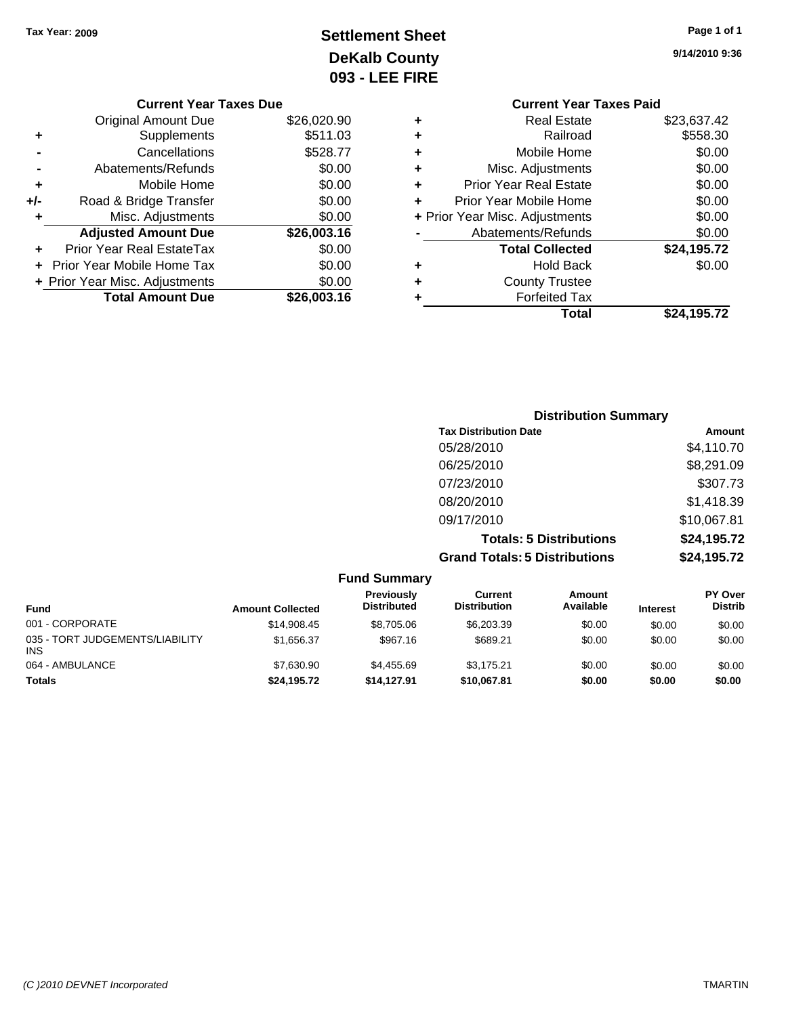## **Settlement Sheet Tax Year: 2009 Page 1 of 1 DeKalb County 093 - LEE FIRE**

**9/14/2010 9:36**

| \$23,637.42<br><b>Real Estate</b><br>٠<br>\$558.30<br>Railroad<br>٠<br>\$0.00<br>Mobile Home<br>٠<br>\$0.00<br>Misc. Adjustments<br>٠<br>\$0.00<br><b>Prior Year Real Estate</b><br>٠<br>\$0.00<br>Prior Year Mobile Home<br>÷<br>\$0.00<br>+ Prior Year Misc. Adjustments<br>\$0.00<br>Abatements/Refunds<br>\$24,195.72<br><b>Total Collected</b><br>\$0.00<br>Hold Back<br>٠<br><b>County Trustee</b><br><b>Forfeited Tax</b><br>٠<br>Total<br>\$24,195.72 | <b>Current Year Taxes Paid</b> |  |
|---------------------------------------------------------------------------------------------------------------------------------------------------------------------------------------------------------------------------------------------------------------------------------------------------------------------------------------------------------------------------------------------------------------------------------------------------------------|--------------------------------|--|
|                                                                                                                                                                                                                                                                                                                                                                                                                                                               |                                |  |
|                                                                                                                                                                                                                                                                                                                                                                                                                                                               |                                |  |
|                                                                                                                                                                                                                                                                                                                                                                                                                                                               |                                |  |
|                                                                                                                                                                                                                                                                                                                                                                                                                                                               |                                |  |
|                                                                                                                                                                                                                                                                                                                                                                                                                                                               |                                |  |
|                                                                                                                                                                                                                                                                                                                                                                                                                                                               |                                |  |
|                                                                                                                                                                                                                                                                                                                                                                                                                                                               |                                |  |
|                                                                                                                                                                                                                                                                                                                                                                                                                                                               |                                |  |
|                                                                                                                                                                                                                                                                                                                                                                                                                                                               |                                |  |
|                                                                                                                                                                                                                                                                                                                                                                                                                                                               |                                |  |
|                                                                                                                                                                                                                                                                                                                                                                                                                                                               |                                |  |
|                                                                                                                                                                                                                                                                                                                                                                                                                                                               |                                |  |
|                                                                                                                                                                                                                                                                                                                                                                                                                                                               |                                |  |

|     | <b>Current Year Taxes Due</b>  |             |
|-----|--------------------------------|-------------|
|     | <b>Original Amount Due</b>     | \$26,020.90 |
| ٠   | Supplements                    | \$511.03    |
|     | Cancellations                  | \$528.77    |
|     | Abatements/Refunds             | \$0.00      |
| ٠   | Mobile Home                    | \$0.00      |
| +/- | Road & Bridge Transfer         | \$0.00      |
| ٠   | Misc. Adjustments              | \$0.00      |
|     | <b>Adjusted Amount Due</b>     | \$26,003.16 |
|     | Prior Year Real EstateTax      | \$0.00      |
|     | Prior Year Mobile Home Tax     | \$0.00      |
|     | + Prior Year Misc. Adjustments | \$0.00      |
|     | <b>Total Amount Due</b>        | \$26,003.16 |
|     |                                |             |

| <b>Distribution Summary</b>          |             |
|--------------------------------------|-------------|
| <b>Tax Distribution Date</b>         | Amount      |
| 05/28/2010                           | \$4,110.70  |
| 06/25/2010                           | \$8,291.09  |
| 07/23/2010                           | \$307.73    |
| 08/20/2010                           | \$1,418.39  |
| 09/17/2010                           | \$10,067.81 |
| <b>Totals: 5 Distributions</b>       | \$24,195.72 |
| <b>Grand Totals: 5 Distributions</b> | \$24,195.72 |

|                                               |                         | <b>Fund Summary</b>                     |                                |                            |                 |                           |
|-----------------------------------------------|-------------------------|-----------------------------------------|--------------------------------|----------------------------|-----------------|---------------------------|
| <b>Fund</b>                                   | <b>Amount Collected</b> | <b>Previously</b><br><b>Distributed</b> | Current<br><b>Distribution</b> | <b>Amount</b><br>Available | <b>Interest</b> | PY Over<br><b>Distrib</b> |
| 001 - CORPORATE                               | \$14,908.45             | \$8,705.06                              | \$6,203.39                     | \$0.00                     | \$0.00          | \$0.00                    |
| 035 - TORT JUDGEMENTS/LIABILITY<br><b>INS</b> | \$1,656.37              | \$967.16                                | \$689.21                       | \$0.00                     | \$0.00          | \$0.00                    |
| 064 - AMBULANCE                               | \$7.630.90              | \$4,455.69                              | \$3.175.21                     | \$0.00                     | \$0.00          | \$0.00                    |
| <b>Totals</b>                                 | \$24,195.72             | \$14.127.91                             | \$10,067.81                    | \$0.00                     | \$0.00          | \$0.00                    |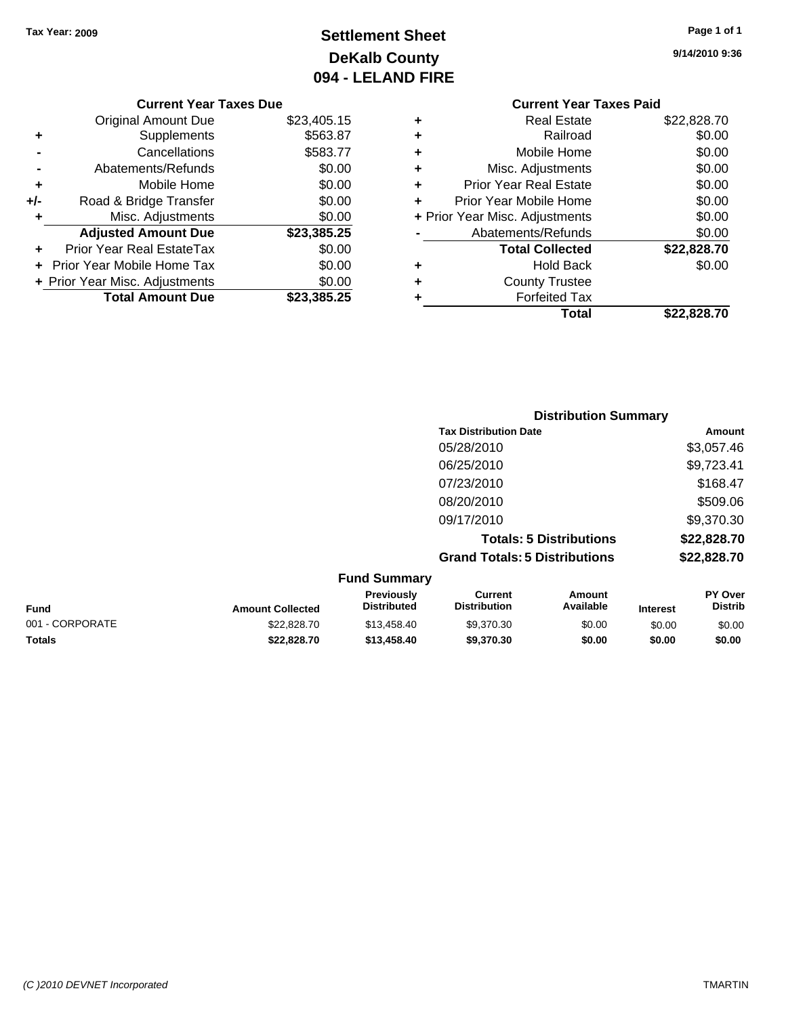## **Settlement Sheet Tax Year: 2009 Page 1 of 1 DeKalb County 094 - LELAND FIRE**

**9/14/2010 9:36**

\$22,828.70

|     | <b>Original Amount Due</b>     | \$23,405.15 |
|-----|--------------------------------|-------------|
| ٠   | Supplements                    | \$563.87    |
|     | Cancellations                  | \$583.77    |
|     | Abatements/Refunds             | \$0.00      |
| ٠   | Mobile Home                    | \$0.00      |
| +/- | Road & Bridge Transfer         | \$0.00      |
| ٠   | Misc. Adjustments              | \$0.00      |
|     | <b>Adjusted Amount Due</b>     | \$23,385.25 |
|     | Prior Year Real EstateTax      | \$0.00      |
|     | + Prior Year Mobile Home Tax   | \$0.00      |
|     | + Prior Year Misc. Adjustments | \$0.00      |
|     | <b>Total Amount Due</b>        | \$23,385.25 |

### **Current Year Taxes Paid +** Real Estate \$22,828.70 **+** Railroad \$0.00 **+** Mobile Home \$0.00 **+** Misc. Adjustments \$0.00 **+** Prior Year Real Estate \$0.00 **+** Prior Year Mobile Home \$0.00 **+ Prior Year Misc. Adjustments**  $$0.00$ **-** Abatements/Refunds \$0.00 **Total Collected \$22,828.70 +** Hold Back \$0.00 **+** County Trustee **+** Forfeited Tax

|                     | <b>Distribution Summary</b>          |             |
|---------------------|--------------------------------------|-------------|
|                     | <b>Tax Distribution Date</b>         | Amount      |
|                     | 05/28/2010                           | \$3,057.46  |
|                     | 06/25/2010                           | \$9,723.41  |
|                     | 07/23/2010                           | \$168.47    |
|                     | 08/20/2010                           | \$509.06    |
|                     | 09/17/2010                           | \$9,370.30  |
|                     | <b>Totals: 5 Distributions</b>       | \$22,828.70 |
|                     | <b>Grand Totals: 5 Distributions</b> | \$22,828.70 |
| <b>Eund Cummory</b> |                                      |             |

| <b>Fund Summary</b> |                         |                                         |                                |                     |                 |                                  |
|---------------------|-------------------------|-----------------------------------------|--------------------------------|---------------------|-----------------|----------------------------------|
| <b>Fund</b>         | <b>Amount Collected</b> | <b>Previously</b><br><b>Distributed</b> | Current<br><b>Distribution</b> | Amount<br>Available | <b>Interest</b> | <b>PY Over</b><br><b>Distrib</b> |
| 001 - CORPORATE     | \$22,828,70             | \$13,458,40                             | \$9,370,30                     | \$0.00              | \$0.00          | \$0.00                           |
| <b>Totals</b>       | \$22,828,70             | \$13,458,40                             | \$9,370,30                     | \$0.00              | \$0.00          | \$0.00                           |
|                     |                         |                                         |                                |                     |                 |                                  |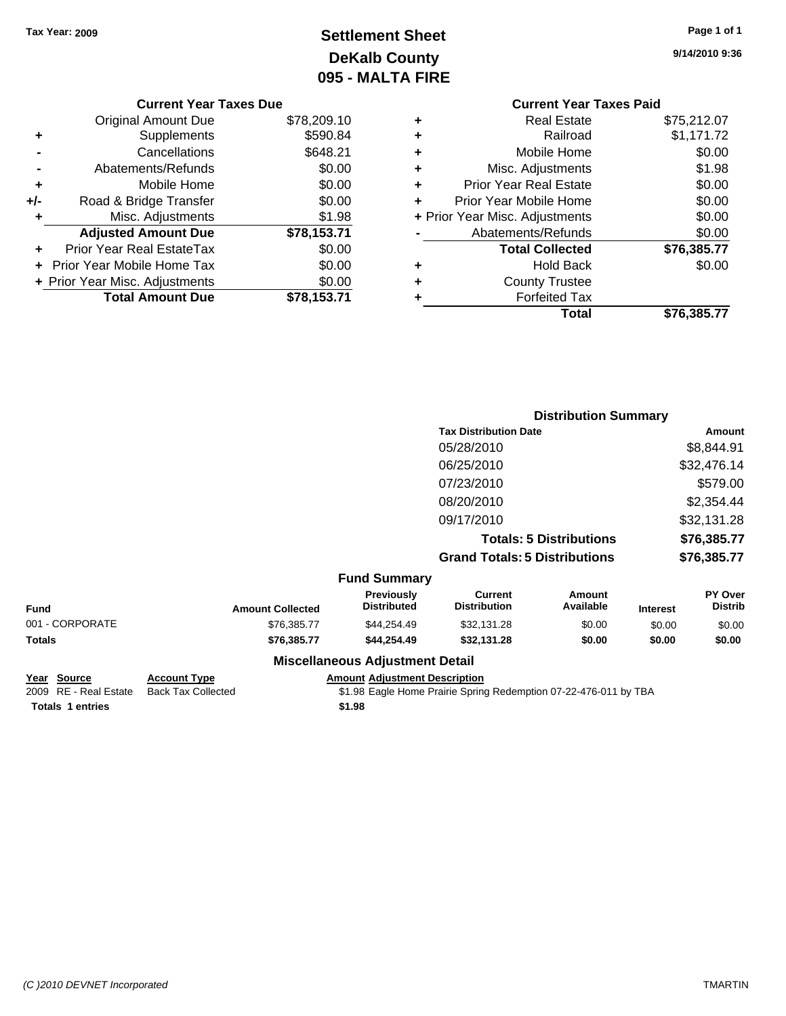## **Settlement Sheet Tax Year: 2009 Page 1 of 1 DeKalb County 095 - MALTA FIRE**

**9/14/2010 9:36**

|   | <b>Current Year Taxes Paid</b> |             |
|---|--------------------------------|-------------|
| ٠ | Real Estate                    | \$75,212.07 |
| ٠ | Railroad                       | \$1,171.72  |
| ÷ | Mobile Home                    | \$0.00      |
| ÷ | Misc. Adjustments              | \$1.98      |
| ٠ | <b>Prior Year Real Estate</b>  | \$0.00      |
| ÷ | Prior Year Mobile Home         | \$0.00      |
|   | + Prior Year Misc. Adjustments | \$0.00      |
|   | Abatements/Refunds             | \$0.00      |
|   | <b>Total Collected</b>         | \$76,385.77 |
| ٠ | <b>Hold Back</b>               | \$0.00      |
|   | <b>County Trustee</b>          |             |
|   | <b>Forfeited Tax</b>           |             |
|   | Total                          | \$76,385.77 |
|   |                                |             |

|     | <b>Current Year Taxes Due</b>     |             |
|-----|-----------------------------------|-------------|
|     | Original Amount Due               | \$78,209.10 |
| ٠   | Supplements                       | \$590.84    |
|     | Cancellations                     | \$648.21    |
|     | Abatements/Refunds                | \$0.00      |
| ٠   | Mobile Home                       | \$0.00      |
| +/- | Road & Bridge Transfer            | \$0.00      |
| ٠   | Misc. Adjustments                 | \$1.98      |
|     | <b>Adjusted Amount Due</b>        | \$78,153.71 |
| ٠   | Prior Year Real EstateTax         | \$0.00      |
|     | <b>Prior Year Mobile Home Tax</b> | \$0.00      |
|     | + Prior Year Misc. Adjustments    | \$0.00      |
|     | <b>Total Amount Due</b>           | \$78,153.71 |
|     |                                   |             |

|                     | <b>Distribution Summary</b>          |             |
|---------------------|--------------------------------------|-------------|
|                     | <b>Tax Distribution Date</b>         | Amount      |
|                     | 05/28/2010                           | \$8,844.91  |
|                     | 06/25/2010                           | \$32,476.14 |
|                     | 07/23/2010                           | \$579.00    |
|                     | 08/20/2010                           | \$2,354.44  |
|                     | 09/17/2010                           | \$32,131.28 |
|                     | <b>Totals: 5 Distributions</b>       | \$76,385.77 |
|                     | <b>Grand Totals: 5 Distributions</b> | \$76,385.77 |
| <b>Fund Summary</b> |                                      |             |

| Fund            | <b>Amount Collected</b> | <b>Previously</b><br><b>Distributed</b> | Current<br><b>Distribution</b> | Amount<br>Available | <b>Interest</b> | <b>PY Over</b><br><b>Distrib</b> |
|-----------------|-------------------------|-----------------------------------------|--------------------------------|---------------------|-----------------|----------------------------------|
| 001 - CORPORATE | \$76,385.77             | \$44.254.49                             | \$32.131.28                    | \$0.00              | \$0.00          | \$0.00                           |
| Totals          | \$76,385,77             | \$44.254.49                             | \$32.131.28                    | \$0.00              | \$0.00          | \$0.00                           |
|                 |                         | Missellenssue Adjustment Detail         |                                |                     |                 |                                  |

**Totals \$1.98 1 entries**

#### **Miscellaneous Adjustment Detail**

**Year Source Account Type Amount Amount Adjustment Description**<br>2009 RE - Real Estate Back Tax Collected **\$1.98** Eagle Home Prairie Spring

\$1.98 Eagle Home Prairie Spring Redemption 07-22-476-011 by TBA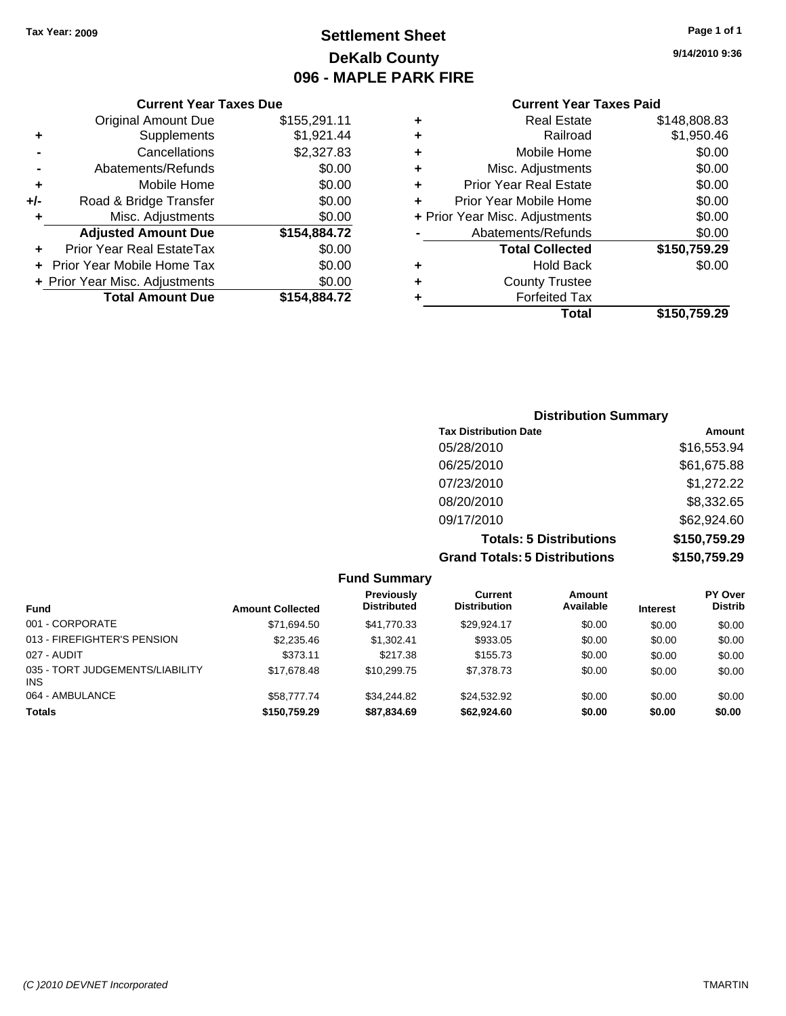## **Settlement Sheet Tax Year: 2009 Page 1 of 1 DeKalb County 096 - MAPLE PARK FIRE**

**9/14/2010 9:36**

#### **Current Year Taxes Paid**

| ٠ | <b>Real Estate</b>             | \$148,808.83 |
|---|--------------------------------|--------------|
| ٠ | Railroad                       | \$1,950.46   |
| ٠ | Mobile Home                    | \$0.00       |
| ٠ | Misc. Adjustments              | \$0.00       |
| ٠ | <b>Prior Year Real Estate</b>  | \$0.00       |
| ÷ | Prior Year Mobile Home         | \$0.00       |
|   | + Prior Year Misc. Adjustments | \$0.00       |
|   | Abatements/Refunds             | \$0.00       |
|   | <b>Total Collected</b>         | \$150,759.29 |
| ٠ | <b>Hold Back</b>               | \$0.00       |
| ٠ | <b>County Trustee</b>          |              |
|   | <b>Forfeited Tax</b>           |              |
|   | <b>Total</b>                   | \$150.759.29 |

|                | <b>Current Year Taxes Due</b>  |              |
|----------------|--------------------------------|--------------|
|                | <b>Original Amount Due</b>     | \$155,291.11 |
| ٠              | Supplements                    | \$1,921.44   |
| $\blacksquare$ | Cancellations                  | \$2,327.83   |
|                | Abatements/Refunds             | \$0.00       |
| ٠              | Mobile Home                    | \$0.00       |
| +/-            | Road & Bridge Transfer         | \$0.00       |
| ÷              | Misc. Adjustments              | \$0.00       |
|                | <b>Adjusted Amount Due</b>     | \$154,884.72 |
|                | Prior Year Real EstateTax      | \$0.00       |
|                | Prior Year Mobile Home Tax     | \$0.00       |
|                | + Prior Year Misc. Adjustments | \$0.00       |

**Total Amount Due \$154,884.72**

| <b>Distribution Summary</b> |           |
|-----------------------------|-----------|
| Tay Dietribution Data       | $A$ mount |

| <b>Grand Totals: 5 Distributions</b> | \$150,759.29 |
|--------------------------------------|--------------|
| <b>Totals: 5 Distributions</b>       | \$150,759.29 |
| 09/17/2010                           | \$62,924.60  |
| 08/20/2010                           | \$8,332.65   |
| 07/23/2010                           | \$1,272.22   |
| 06/25/2010                           | \$61,675.88  |
| 05/28/2010                           | \$16,553.94  |
| Tax Distribution Date                | Amount       |

|                                         |                         | <b>Fund Summary</b>              |                                |                     |                 |                                  |
|-----------------------------------------|-------------------------|----------------------------------|--------------------------------|---------------------|-----------------|----------------------------------|
| <b>Fund</b>                             | <b>Amount Collected</b> | Previously<br><b>Distributed</b> | Current<br><b>Distribution</b> | Amount<br>Available | <b>Interest</b> | <b>PY Over</b><br><b>Distrib</b> |
| 001 - CORPORATE                         | \$71,694.50             | \$41,770.33                      | \$29.924.17                    | \$0.00              | \$0.00          | \$0.00                           |
| 013 - FIREFIGHTER'S PENSION             | \$2,235.46              | \$1.302.41                       | \$933.05                       | \$0.00              | \$0.00          | \$0.00                           |
| 027 - AUDIT                             | \$373.11                | \$217.38                         | \$155.73                       | \$0.00              | \$0.00          | \$0.00                           |
| 035 - TORT JUDGEMENTS/LIABILITY<br>INS. | \$17,678,48             | \$10,299.75                      | \$7,378.73                     | \$0.00              | \$0.00          | \$0.00                           |
| 064 - AMBULANCE                         | \$58,777,74             | \$34,244.82                      | \$24.532.92                    | \$0.00              | \$0.00          | \$0.00                           |
| <b>Totals</b>                           | \$150,759.29            | \$87,834.69                      | \$62,924.60                    | \$0.00              | \$0.00          | \$0.00                           |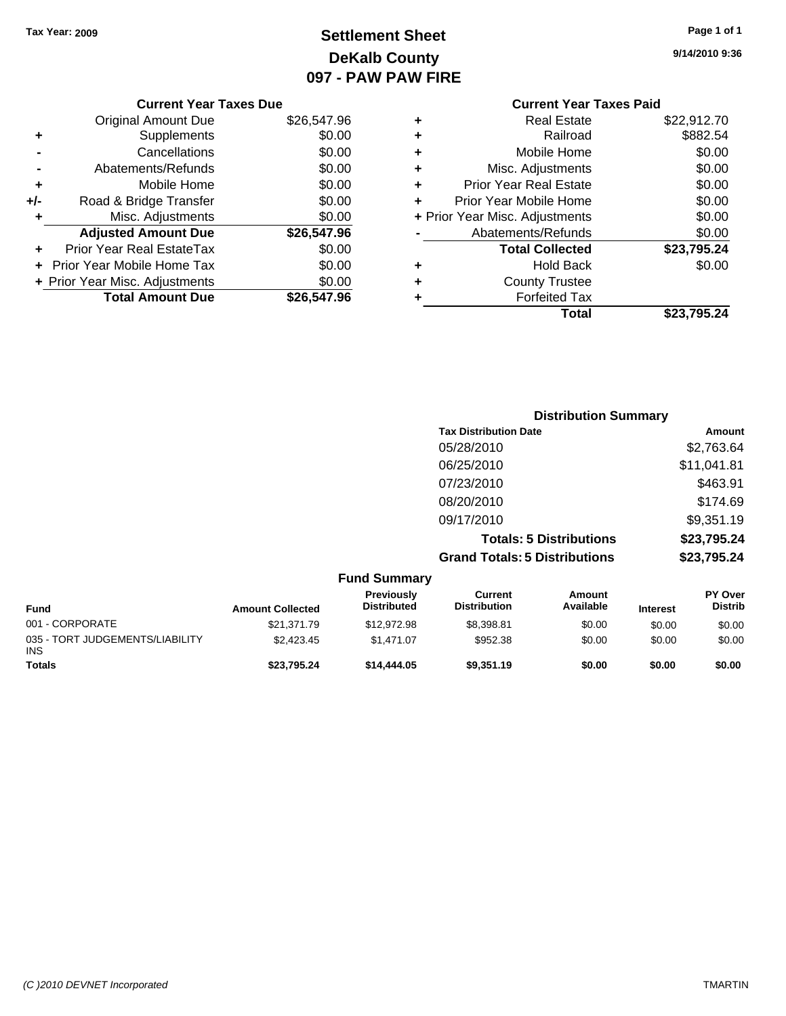## **Settlement Sheet Tax Year: 2009 Page 1 of 1 DeKalb County 097 - PAW PAW FIRE**

| Page 1 of 1 |  |  |  |
|-------------|--|--|--|
|-------------|--|--|--|

**9/14/2010 9:36**

|  | <b>Current Year Taxes Due</b> |  |  |  |  |
|--|-------------------------------|--|--|--|--|
|--|-------------------------------|--|--|--|--|

|       | <b>Original Amount Due</b>     | \$26,547.96 |
|-------|--------------------------------|-------------|
| ٠     | Supplements                    | \$0.00      |
|       | Cancellations                  | \$0.00      |
|       | Abatements/Refunds             | \$0.00      |
| ٠     | Mobile Home                    | \$0.00      |
| $+/-$ | Road & Bridge Transfer         | \$0.00      |
| ٠     | Misc. Adjustments              | \$0.00      |
|       | <b>Adjusted Amount Due</b>     | \$26,547.96 |
|       | Prior Year Real EstateTax      | \$0.00      |
|       | Prior Year Mobile Home Tax     | \$0.00      |
|       | + Prior Year Misc. Adjustments | \$0.00      |
|       | <b>Total Amount Due</b>        | \$26,547.96 |

#### **Current Year Taxes Paid +** Real Estate \$22,912.70 **+** Railroad \$882.54 **+** Mobile Home \$0.00 **+** Misc. Adjustments \$0.00 **+** Prior Year Real Estate \$0.00 **+** Prior Year Mobile Home \$0.00 **+ Prior Year Misc. Adjustments**  $$0.00$ **-** Abatements/Refunds \$0.00 **Total Collected \$23,795.24 +** Hold Back \$0.00 **+** County Trustee **+** Forfeited Tax **Total \$23,795.24**

| <b>Distribution Summary</b>          |             |
|--------------------------------------|-------------|
| <b>Tax Distribution Date</b>         | Amount      |
| 05/28/2010                           | \$2,763.64  |
| 06/25/2010                           | \$11,041.81 |
| 07/23/2010                           | \$463.91    |
| 08/20/2010                           | \$174.69    |
| 09/17/2010                           | \$9,351.19  |
| <b>Totals: 5 Distributions</b>       | \$23,795.24 |
| <b>Grand Totals: 5 Distributions</b> | \$23,795.24 |

|                                               |                         | <b>Fund Summary</b>              |                                |                     |                 |                                  |
|-----------------------------------------------|-------------------------|----------------------------------|--------------------------------|---------------------|-----------------|----------------------------------|
| <b>Fund</b>                                   | <b>Amount Collected</b> | Previously<br><b>Distributed</b> | Current<br><b>Distribution</b> | Amount<br>Available | <b>Interest</b> | <b>PY Over</b><br><b>Distrib</b> |
| 001 - CORPORATE                               | \$21,371.79             | \$12,972.98                      | \$8,398.81                     | \$0.00              | \$0.00          | \$0.00                           |
| 035 - TORT JUDGEMENTS/LIABILITY<br><b>INS</b> | \$2.423.45              | \$1.471.07                       | \$952.38                       | \$0.00              | \$0.00          | \$0.00                           |
| <b>Totals</b>                                 | \$23,795.24             | \$14,444,05                      | \$9.351.19                     | \$0.00              | \$0.00          | \$0.00                           |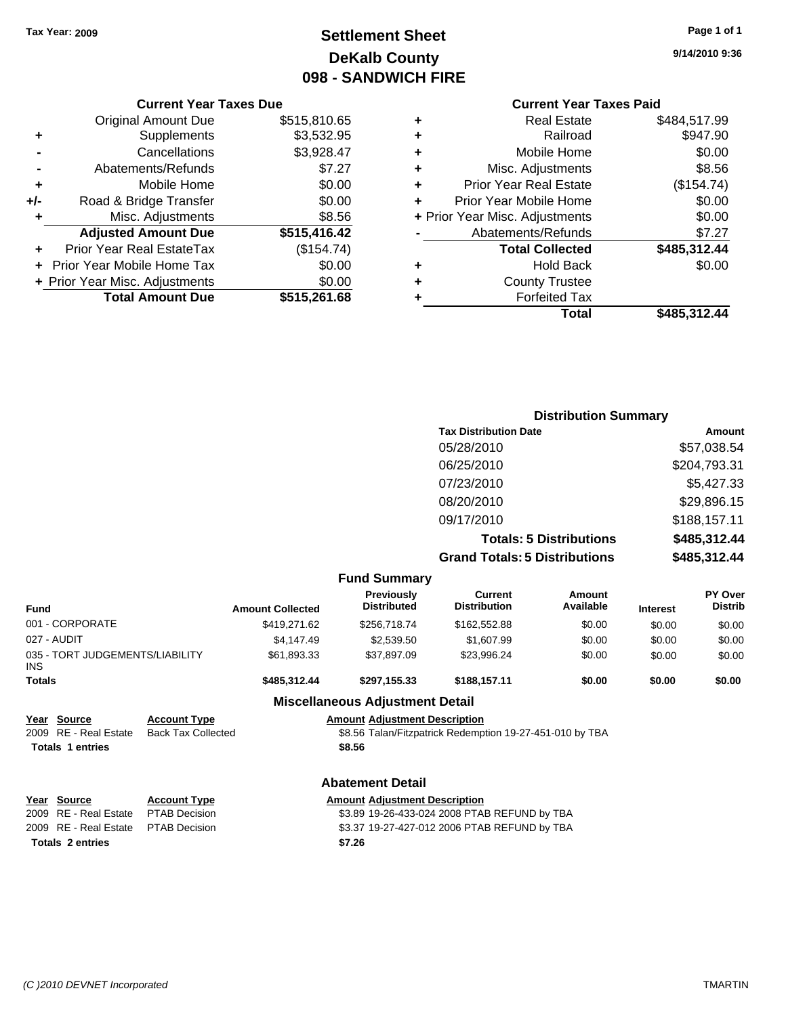## **Settlement Sheet Tax Year: 2009 Page 1 of 1 DeKalb County 098 - SANDWICH FIRE**

**9/14/2010 9:36**

### **Current Year Taxes Paid**

|   | <b>Real Estate</b>             | \$484,517.99 |
|---|--------------------------------|--------------|
| ٠ | Railroad                       | \$947.90     |
| ٠ | Mobile Home                    | \$0.00       |
| ٠ | Misc. Adjustments              | \$8.56       |
| ٠ | <b>Prior Year Real Estate</b>  | (\$154.74)   |
| ÷ | Prior Year Mobile Home         | \$0.00       |
|   | + Prior Year Misc. Adjustments | \$0.00       |
|   | Abatements/Refunds             | \$7.27       |
|   | <b>Total Collected</b>         | \$485,312.44 |
| ٠ | <b>Hold Back</b>               | \$0.00       |
| ٠ | <b>County Trustee</b>          |              |
|   | <b>Forfeited Tax</b>           |              |
|   | Total                          | \$485,312.44 |

#### **Current Year Taxes Due** Original Amount Due \$515,810.65 **+** Supplements \$3,532.95 **-** Cancellations \$3,928.47 **-** Abatements/Refunds \$7.27 **+** Mobile Home \$0.00 **+/-** Road & Bridge Transfer \$0.00 **+** Misc. Adjustments \$8.56 **Adjusted Amount Due \$515,416.42 +** Prior Year Real EstateTax (\$154.74) **+** Prior Year Mobile Home Tax \$0.00 **+ Prior Year Misc. Adjustments**  $$0.00$ **Total Amount Due \$515,261.68**

## **Distribution Summary Tax Distribution Date Amount** 05/28/2010 \$57,038.54 06/25/2010 \$204,793.31 07/23/2010 \$5,427.33 08/20/2010 \$29,896.15 09/17/2010 \$188,157.11 **Totals: 5 Distributions \$485,312.44 Grand Totals: 5 Distributions \$485,312.44**

|                                         |                           |                         | <b>Fund Summary</b>                    |                                                          |                     |                 |                                  |
|-----------------------------------------|---------------------------|-------------------------|----------------------------------------|----------------------------------------------------------|---------------------|-----------------|----------------------------------|
| <b>Fund</b>                             |                           | <b>Amount Collected</b> | Previously<br><b>Distributed</b>       | <b>Current</b><br><b>Distribution</b>                    | Amount<br>Available | <b>Interest</b> | <b>PY Over</b><br><b>Distrib</b> |
| 001 - CORPORATE                         |                           | \$419,271.62            | \$256,718.74                           | \$162,552.88                                             | \$0.00              | \$0.00          | \$0.00                           |
| 027 - AUDIT                             |                           | \$4,147.49              | \$2,539.50                             | \$1,607.99                                               | \$0.00              | \$0.00          | \$0.00                           |
| 035 - TORT JUDGEMENTS/LIABILITY<br>INS. |                           | \$61,893.33             | \$37,897.09                            | \$23,996.24                                              | \$0.00              | \$0.00          | \$0.00                           |
| <b>Totals</b>                           |                           | \$485,312.44            | \$297,155.33                           | \$188,157.11                                             | \$0.00              | \$0.00          | \$0.00                           |
|                                         |                           |                         | <b>Miscellaneous Adjustment Detail</b> |                                                          |                     |                 |                                  |
| Year Source                             | <b>Account Type</b>       |                         | <b>Amount Adjustment Description</b>   |                                                          |                     |                 |                                  |
| 2009 RE - Real Estate                   | <b>Back Tax Collected</b> |                         |                                        | \$8.56 Talan/Fitzpatrick Redemption 19-27-451-010 by TBA |                     |                 |                                  |
| <b>Totals 1 entries</b>                 |                           |                         | \$8.56                                 |                                                          |                     |                 |                                  |
|                                         |                           |                         | <b>Abatement Detail</b>                |                                                          |                     |                 |                                  |
| Year Source                             | <b>Account Type</b>       |                         | <b>Amount Adjustment Description</b>   |                                                          |                     |                 |                                  |
| 2009 RE - Real Estate                   | <b>PTAB Decision</b>      |                         |                                        | \$3.89 19-26-433-024 2008 PTAB REFUND by TBA             |                     |                 |                                  |
| 2009 RE - Real Estate                   | <b>PTAB Decision</b>      |                         |                                        | \$3.37 19-27-427-012 2006 PTAB REFUND by TBA             |                     |                 |                                  |
| <b>Totals 2 entries</b>                 |                           |                         | \$7.26                                 |                                                          |                     |                 |                                  |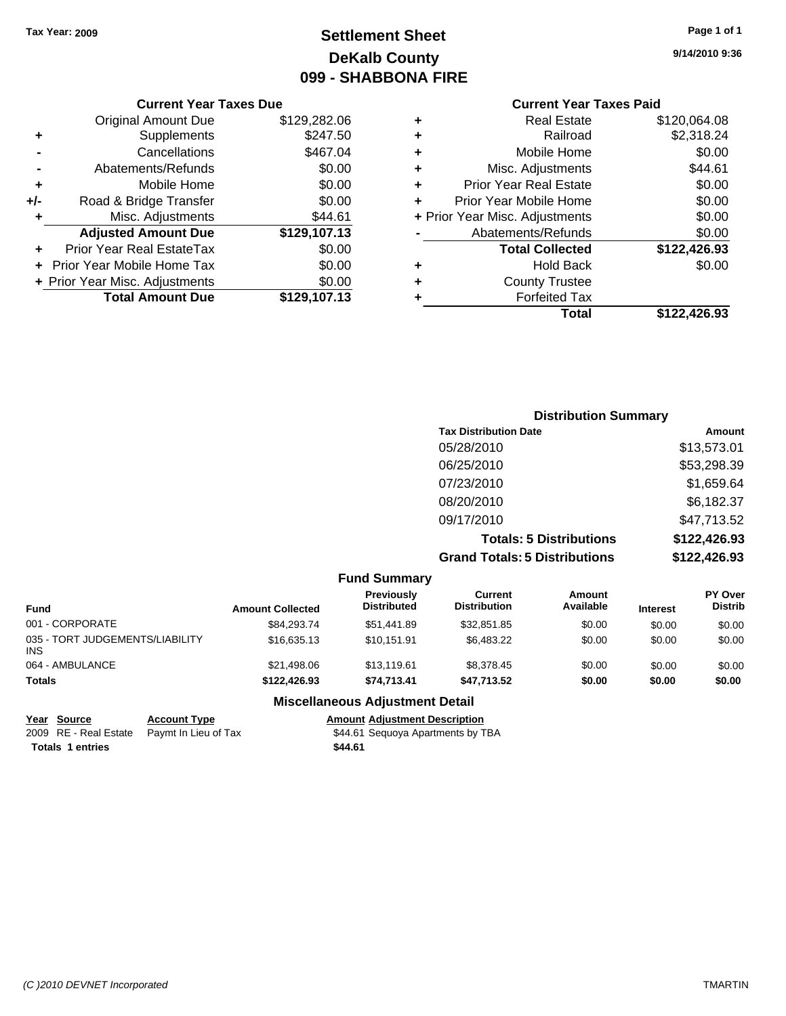## **Settlement Sheet Tax Year: 2009 Page 1 of 1 DeKalb County 099 - SHABBONA FIRE**

#### **Current Year Taxes Due**

|     | <b>Original Amount Due</b>     | \$129,282.06 |
|-----|--------------------------------|--------------|
| ٠   | Supplements                    | \$247.50     |
|     | Cancellations                  | \$467.04     |
|     | Abatements/Refunds             | \$0.00       |
| ٠   | Mobile Home                    | \$0.00       |
| +/- | Road & Bridge Transfer         | \$0.00       |
| ٠   | Misc. Adjustments              | \$44.61      |
|     | <b>Adjusted Amount Due</b>     | \$129,107.13 |
|     | Prior Year Real EstateTax      | \$0.00       |
|     | Prior Year Mobile Home Tax     | \$0.00       |
|     | + Prior Year Misc. Adjustments | \$0.00       |
|     | <b>Total Amount Due</b>        | \$129,107.13 |

## **Current Year Taxes Paid**

| ٠ | <b>Real Estate</b>             | \$120,064.08 |
|---|--------------------------------|--------------|
| ٠ | Railroad                       | \$2,318.24   |
| ٠ | Mobile Home                    | \$0.00       |
| ÷ | Misc. Adjustments              | \$44.61      |
| ٠ | <b>Prior Year Real Estate</b>  | \$0.00       |
| ÷ | Prior Year Mobile Home         | \$0.00       |
|   | + Prior Year Misc. Adjustments | \$0.00       |
|   | Abatements/Refunds             | \$0.00       |
|   | <b>Total Collected</b>         | \$122,426.93 |
| ٠ | <b>Hold Back</b>               | \$0.00       |
| ٠ | <b>County Trustee</b>          |              |
| ٠ | <b>Forfeited Tax</b>           |              |
|   | Total                          | \$122,426.93 |
|   |                                |              |

## **Distribution Summary Tax Distribution Date Amount** 05/28/2010 \$13,573.01 06/25/2010 \$53,298.39 07/23/2010 \$1,659.64 08/20/2010 \$6,182.37 09/17/2010 \$47,713.52

**Totals: 5 Distributions \$122,426.93 Grand Totals: 5 Distributions \$122,426.93**

|                                               |                         | <b>Fund Summary</b>                    |                                |                            |                 |                                  |
|-----------------------------------------------|-------------------------|----------------------------------------|--------------------------------|----------------------------|-----------------|----------------------------------|
| <b>Fund</b>                                   | <b>Amount Collected</b> | Previously<br><b>Distributed</b>       | Current<br><b>Distribution</b> | <b>Amount</b><br>Available | <b>Interest</b> | <b>PY Over</b><br><b>Distrib</b> |
| 001 - CORPORATE                               | \$84.293.74             | \$51,441.89                            | \$32.851.85                    | \$0.00                     | \$0.00          | \$0.00                           |
| 035 - TORT JUDGEMENTS/LIABILITY<br><b>INS</b> | \$16,635.13             | \$10.151.91                            | \$6,483.22                     | \$0.00                     | \$0.00          | \$0.00                           |
| 064 - AMBULANCE                               | \$21,498,06             | \$13.119.61                            | \$8,378.45                     | \$0.00                     | \$0.00          | \$0.00                           |
| <b>Totals</b>                                 | \$122,426.93            | \$74.713.41                            | \$47.713.52                    | \$0.00                     | \$0.00          | \$0.00                           |
|                                               |                         | <b>Miscellaneous Adjustment Detail</b> |                                |                            |                 |                                  |

## **Year Source Account Type Amount Adjustment Description**

2009 RE - Real Estate Paymt In Lieu of Tax **Fact 1968 SEQUOYA** Apartments by TBA **Totals \$44.61 1 entries**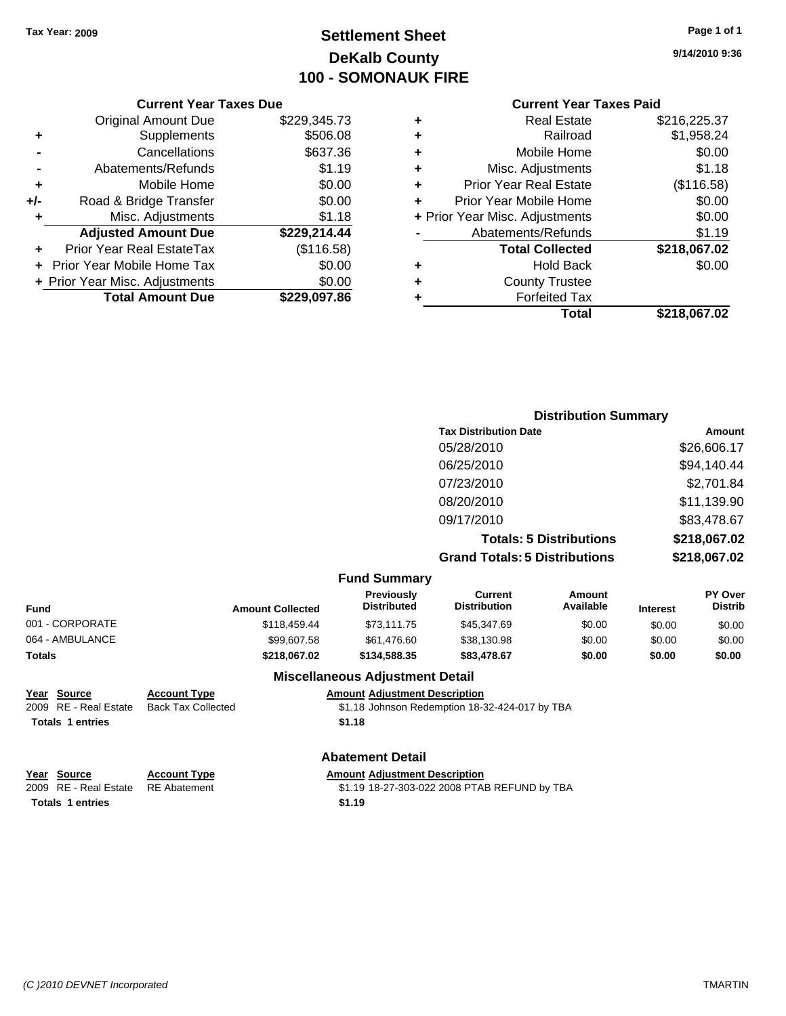## **Settlement Sheet Tax Year: 2009 Page 1 of 1 DeKalb County 100 - SOMONAUK FIRE**

### **Current Year Taxes Paid**

| ٠ | <b>Real Estate</b>             | \$216,225.37 |
|---|--------------------------------|--------------|
| ٠ | Railroad                       | \$1,958.24   |
| ٠ | Mobile Home                    | \$0.00       |
| ٠ | Misc. Adjustments              | \$1.18       |
| ٠ | <b>Prior Year Real Estate</b>  | (\$116.58)   |
| ٠ | Prior Year Mobile Home         | \$0.00       |
|   | + Prior Year Misc. Adjustments | \$0.00       |
|   | Abatements/Refunds             | \$1.19       |
|   | <b>Total Collected</b>         | \$218,067.02 |
| ٠ | <b>Hold Back</b>               | \$0.00       |
| ٠ | <b>County Trustee</b>          |              |
| ٠ | <b>Forfeited Tax</b>           |              |
|   | Total                          | \$218,067.02 |
|   |                                |              |

**Distribution Summary**

|     | <b>Current Year Taxes Due</b>  |              |
|-----|--------------------------------|--------------|
|     | <b>Original Amount Due</b>     | \$229,345.73 |
| ٠   | Supplements                    | \$506.08     |
|     | Cancellations                  | \$637.36     |
|     | Abatements/Refunds             | \$1.19       |
| ٠   | Mobile Home                    | \$0.00       |
| +/- | Road & Bridge Transfer         | \$0.00       |
| ٠   | Misc. Adjustments              | \$1.18       |
|     | <b>Adjusted Amount Due</b>     | \$229,214.44 |
|     | Prior Year Real EstateTax      | (\$116.58)   |
|     | Prior Year Mobile Home Tax     | \$0.00       |
|     | + Prior Year Misc. Adjustments | \$0.00       |
|     | <b>Total Amount Due</b>        | \$229.097.86 |

|                                                                 |                                                  |                                                | <b>Tax Distribution Date</b>                   |                                |                 | <b>Amount</b>             |
|-----------------------------------------------------------------|--------------------------------------------------|------------------------------------------------|------------------------------------------------|--------------------------------|-----------------|---------------------------|
|                                                                 |                                                  |                                                | 05/28/2010                                     |                                |                 | \$26,606.17               |
|                                                                 |                                                  |                                                | 06/25/2010                                     |                                |                 | \$94,140.44               |
|                                                                 |                                                  |                                                | 07/23/2010                                     |                                |                 | \$2,701.84                |
|                                                                 |                                                  |                                                | 08/20/2010                                     |                                |                 | \$11,139.90               |
|                                                                 |                                                  |                                                | 09/17/2010                                     |                                |                 | \$83,478.67               |
|                                                                 |                                                  |                                                |                                                | <b>Totals: 5 Distributions</b> |                 | \$218,067.02              |
|                                                                 |                                                  |                                                | <b>Grand Totals: 5 Distributions</b>           |                                |                 | \$218,067.02              |
|                                                                 |                                                  | <b>Fund Summary</b>                            |                                                |                                |                 |                           |
| Fund                                                            | <b>Amount Collected</b>                          | <b>Previously</b><br><b>Distributed</b>        | <b>Current</b><br><b>Distribution</b>          | Amount<br>Available            | <b>Interest</b> | PY Over<br><b>Distrib</b> |
| 001 - CORPORATE                                                 | \$118,459.44                                     | \$73,111.75                                    | \$45,347.69                                    | \$0.00                         | \$0.00          | \$0.00                    |
| 064 - AMBULANCE                                                 | \$99,607.58                                      | \$61,476.60                                    | \$38,130.98                                    | \$0.00                         | \$0.00          | \$0.00                    |
| Totals                                                          | \$218,067.02                                     | \$134,588.35                                   | \$83,478.67                                    | \$0.00                         | \$0.00          | \$0.00                    |
|                                                                 |                                                  | <b>Miscellaneous Adjustment Detail</b>         |                                                |                                |                 |                           |
| Year Source<br>2009 RE - Real Estate<br><b>Totals 1 entries</b> | <b>Account Type</b><br><b>Back Tax Collected</b> | <b>Amount Adjustment Description</b><br>\$1.18 | \$1.18 Johnson Redemption 18-32-424-017 by TBA |                                |                 |                           |

#### **Abatement Detail**

| Year Source             | <b>Account Type</b> | <b>Amount Adjustment Description</b>         |
|-------------------------|---------------------|----------------------------------------------|
| 2009 RE - Real Estate   | RE Abatement        | \$1.19 18-27-303-022 2008 PTAB REFUND by TBA |
| <b>Totals 1 entries</b> |                     | \$1.19                                       |

**9/14/2010 9:36**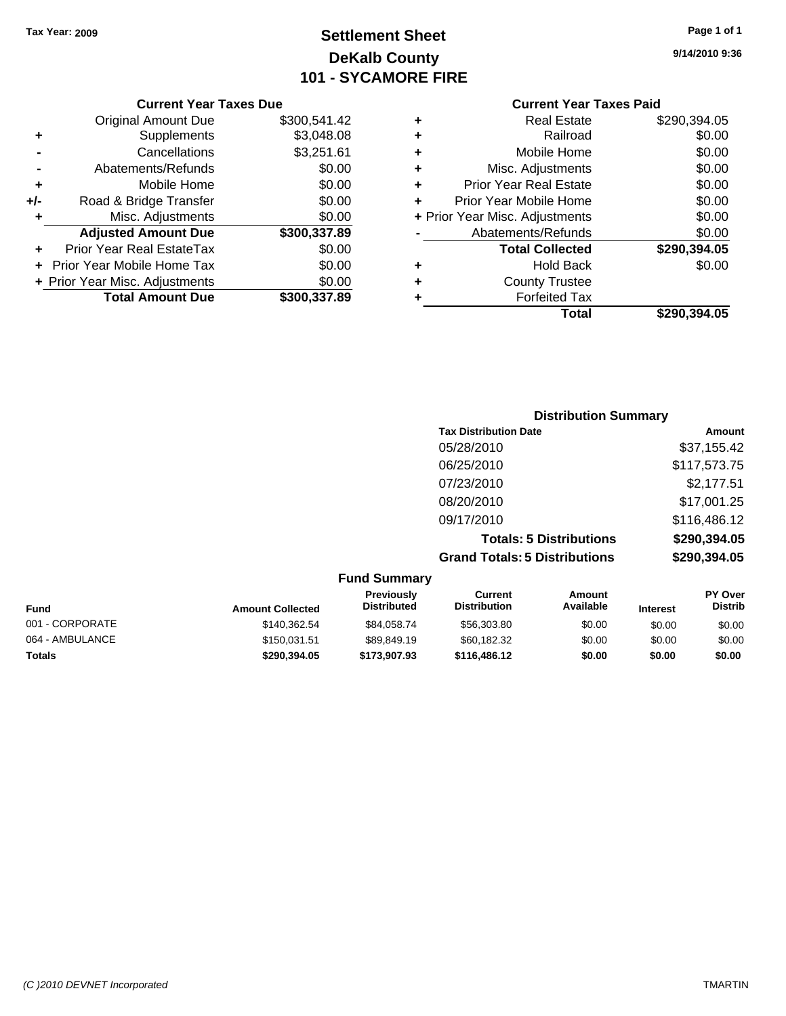## **Settlement Sheet Tax Year: 2009 Page 1 of 1 DeKalb County 101 - SYCAMORE FIRE**

#### **Current Year Taxes Due**

| ٠   | <b>Original Amount Due</b><br>Supplements | \$300,541.42<br>\$3,048.08 |
|-----|-------------------------------------------|----------------------------|
|     | Cancellations                             | \$3,251.61                 |
|     | Abatements/Refunds                        | \$0.00                     |
| ٠   | Mobile Home                               | \$0.00                     |
| +/- | Road & Bridge Transfer                    | \$0.00                     |
| ٠   | Misc. Adjustments                         | \$0.00                     |
|     |                                           |                            |
|     | <b>Adjusted Amount Due</b>                | \$300,337.89               |
|     | Prior Year Real EstateTax                 | \$0.00                     |
|     | <b>Prior Year Mobile Home Tax</b>         | \$0.00                     |
|     | + Prior Year Misc. Adjustments            | \$0.00                     |

## **Current Year Taxes Paid**

| ٠ | <b>Real Estate</b>             | \$290,394.05 |
|---|--------------------------------|--------------|
| ٠ | Railroad                       | \$0.00       |
| ÷ | Mobile Home                    | \$0.00       |
| ٠ | Misc. Adjustments              | \$0.00       |
| ٠ | <b>Prior Year Real Estate</b>  | \$0.00       |
| ÷ | Prior Year Mobile Home         | \$0.00       |
|   | + Prior Year Misc. Adjustments | \$0.00       |
|   | Abatements/Refunds             | \$0.00       |
|   | <b>Total Collected</b>         | \$290,394.05 |
| ٠ | <b>Hold Back</b>               | \$0.00       |
| ٠ | <b>County Trustee</b>          |              |
| ٠ | <b>Forfeited Tax</b>           |              |
|   | Total                          | \$290.394.05 |

| <b>Distribution Summary</b>          |              |  |
|--------------------------------------|--------------|--|
| <b>Tax Distribution Date</b>         | Amount       |  |
| 05/28/2010                           | \$37,155.42  |  |
| 06/25/2010                           | \$117,573.75 |  |
| 07/23/2010                           | \$2,177.51   |  |
| 08/20/2010                           | \$17,001.25  |  |
| 09/17/2010                           | \$116,486.12 |  |
| <b>Totals: 5 Distributions</b>       | \$290,394.05 |  |
| <b>Grand Totals: 5 Distributions</b> | \$290,394.05 |  |

#### **Fund Summary Fund Interest Amount Collected Distributed PY Over Distrib Amount Available Current Distribution Previously** 001 - CORPORATE \$140,362.54 \$84,058.74 \$56,303.80 \$0.00 \$0.00 \$0.00 064 - AMBULANCE \$150,031.51 \$89,849.19 \$60,182.32 \$0.00 \$0.00 \$0.00 **Totals \$290,394.05 \$173,907.93 \$116,486.12 \$0.00 \$0.00 \$0.00**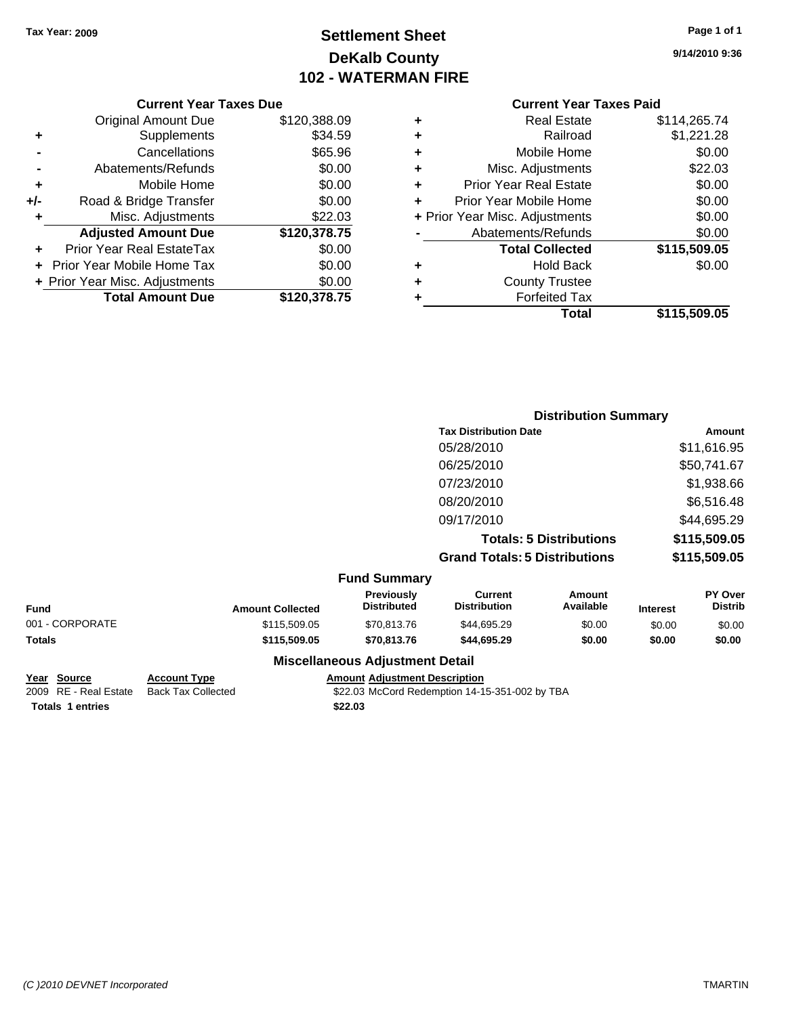## **Settlement Sheet Tax Year: 2009 Page 1 of 1 DeKalb County 102 - WATERMAN FIRE**

**9/14/2010 9:36**

| <b>Current Year Taxes Due</b> |  |  |  |
|-------------------------------|--|--|--|
|-------------------------------|--|--|--|

|       | <b>Original Amount Due</b>     | \$120,388.09 |
|-------|--------------------------------|--------------|
| ٠     | Supplements                    | \$34.59      |
|       | Cancellations                  | \$65.96      |
|       | Abatements/Refunds             | \$0.00       |
| ٠     | Mobile Home                    | \$0.00       |
| $+/-$ | Road & Bridge Transfer         | \$0.00       |
| ٠     | Misc. Adjustments              | \$22.03      |
|       | <b>Adjusted Amount Due</b>     | \$120,378.75 |
|       | Prior Year Real EstateTax      | \$0.00       |
|       | Prior Year Mobile Home Tax     | \$0.00       |
|       | + Prior Year Misc. Adjustments | \$0.00       |
|       | <b>Total Amount Due</b>        | \$120,378.75 |

#### **Current Year Taxes Paid**

| <b>Real Estate</b>             | \$114,265.74 |
|--------------------------------|--------------|
| Railroad                       | \$1,221.28   |
| Mobile Home                    | \$0.00       |
| Misc. Adjustments              | \$22.03      |
| <b>Prior Year Real Estate</b>  | \$0.00       |
| Prior Year Mobile Home         | \$0.00       |
| + Prior Year Misc. Adjustments | \$0.00       |
| Abatements/Refunds             | \$0.00       |
| <b>Total Collected</b>         | \$115,509.05 |
| <b>Hold Back</b>               | \$0.00       |
| <b>County Trustee</b>          |              |
| <b>Forfeited Tax</b>           |              |
| Total                          | \$115,509.05 |
|                                |              |

|                 |                         |                                  |                                      | <b>Distribution Summary</b>    |                 |                                  |
|-----------------|-------------------------|----------------------------------|--------------------------------------|--------------------------------|-----------------|----------------------------------|
|                 |                         |                                  | <b>Tax Distribution Date</b>         |                                |                 | <b>Amount</b>                    |
|                 |                         |                                  | 05/28/2010                           |                                |                 | \$11,616.95                      |
|                 |                         |                                  | 06/25/2010                           |                                |                 | \$50,741.67                      |
|                 |                         |                                  | 07/23/2010                           |                                |                 | \$1,938.66                       |
|                 |                         |                                  | 08/20/2010                           |                                |                 | \$6,516.48                       |
|                 |                         |                                  | 09/17/2010                           |                                |                 | \$44,695.29                      |
|                 |                         |                                  |                                      | <b>Totals: 5 Distributions</b> |                 | \$115,509.05                     |
|                 |                         |                                  | <b>Grand Totals: 5 Distributions</b> |                                |                 | \$115,509.05                     |
|                 |                         | <b>Fund Summary</b>              |                                      |                                |                 |                                  |
| Fund            | <b>Amount Collected</b> | Previously<br><b>Distributed</b> | Current<br><b>Distribution</b>       | Amount<br>Available            | <b>Interest</b> | <b>PY Over</b><br><b>Distrib</b> |
| 001 - CORPORATE | \$115,509.05            | \$70,813.76                      | \$44,695.29                          | \$0.00                         | \$0.00          | \$0.00                           |
| Totals          | \$115,509.05            | \$70,813.76                      | \$44,695.29                          | \$0.00                         | \$0.00          | \$0.00                           |

**<u>Year Source</u> <b>Account Type Amount Amount Adjustment Description**<br>2009 RE - Real Estate Back Tax Collected \$22.03 McCord Redemption 14-1 **Totals \$22.03 1 entries**

**Miscellaneous Adjustment Detail**

 $$22.03$  McCord Redemption 14-15-351-002 by TBA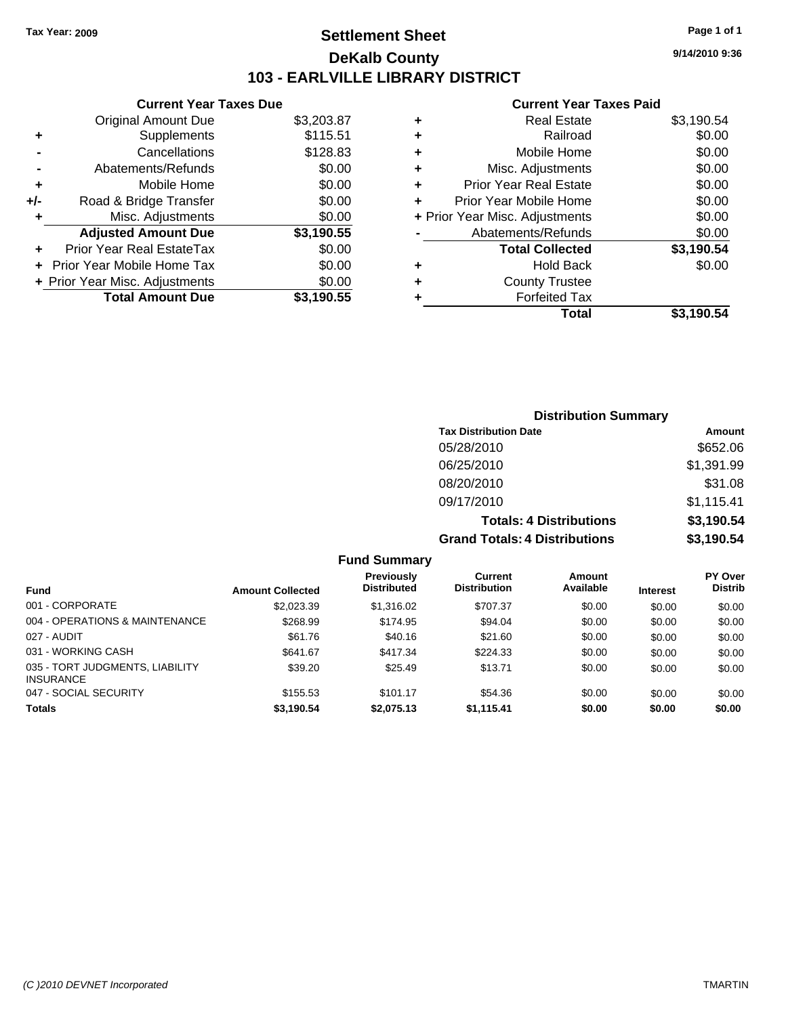## **Settlement Sheet Tax Year: 2009 Page 1 of 1 DeKalb County 103 - EARLVILLE LIBRARY DISTRICT**

**Current Year Taxes Due**

| <b>Original Amount Due</b> | \$3,203.87                     |
|----------------------------|--------------------------------|
| Supplements                | \$115.51                       |
| Cancellations              | \$128.83                       |
| Abatements/Refunds         | \$0.00                         |
| Mobile Home                | \$0.00                         |
| Road & Bridge Transfer     | \$0.00                         |
| Misc. Adjustments          | \$0.00                         |
| <b>Adjusted Amount Due</b> | \$3,190.55                     |
| Prior Year Real EstateTax  | \$0.00                         |
| Prior Year Mobile Home Tax | \$0.00                         |
|                            | \$0.00                         |
| <b>Total Amount Due</b>    | \$3.190.55                     |
|                            | + Prior Year Misc. Adjustments |

#### **Current Year Taxes Paid**

| ٠ | Real Estate                    | \$3,190.54 |
|---|--------------------------------|------------|
| ٠ | Railroad                       | \$0.00     |
| ٠ | Mobile Home                    | \$0.00     |
| ٠ | Misc. Adjustments              | \$0.00     |
| ÷ | <b>Prior Year Real Estate</b>  | \$0.00     |
| ٠ | Prior Year Mobile Home         | \$0.00     |
|   | + Prior Year Misc. Adjustments | \$0.00     |
|   | Abatements/Refunds             | \$0.00     |
|   | <b>Total Collected</b>         | \$3,190.54 |
| ٠ | <b>Hold Back</b>               | \$0.00     |
| ٠ | <b>County Trustee</b>          |            |
| ٠ | <b>Forfeited Tax</b>           |            |
|   | Total                          | \$3,190.54 |
|   |                                |            |

| <b>Distribution Summary</b>          |            |  |  |  |
|--------------------------------------|------------|--|--|--|
| <b>Tax Distribution Date</b>         | Amount     |  |  |  |
| 05/28/2010                           | \$652.06   |  |  |  |
| 06/25/2010                           | \$1,391.99 |  |  |  |
| 08/20/2010                           | \$31.08    |  |  |  |
| 09/17/2010                           | \$1,115.41 |  |  |  |
| <b>Totals: 4 Distributions</b>       | \$3,190.54 |  |  |  |
| <b>Grand Totals: 4 Distributions</b> | \$3,190.54 |  |  |  |

**Fund Summary**

|                                                     |                         | Previously         | Current             | Amount    |                 | <b>PY Over</b> |
|-----------------------------------------------------|-------------------------|--------------------|---------------------|-----------|-----------------|----------------|
| <b>Fund</b>                                         | <b>Amount Collected</b> | <b>Distributed</b> | <b>Distribution</b> | Available | <b>Interest</b> | <b>Distrib</b> |
| 001 - CORPORATE                                     | \$2,023.39              | \$1,316.02         | \$707.37            | \$0.00    | \$0.00          | \$0.00         |
| 004 - OPERATIONS & MAINTENANCE                      | \$268.99                | \$174.95           | \$94.04             | \$0.00    | \$0.00          | \$0.00         |
| 027 - AUDIT                                         | \$61.76                 | \$40.16            | \$21.60             | \$0.00    | \$0.00          | \$0.00         |
| 031 - WORKING CASH                                  | \$641.67                | \$417.34           | \$224.33            | \$0.00    | \$0.00          | \$0.00         |
| 035 - TORT JUDGMENTS, LIABILITY<br><b>INSURANCE</b> | \$39.20                 | \$25.49            | \$13.71             | \$0.00    | \$0.00          | \$0.00         |
| 047 - SOCIAL SECURITY                               | \$155.53                | \$101.17           | \$54.36             | \$0.00    | \$0.00          | \$0.00         |
| <b>Totals</b>                                       | \$3,190.54              | \$2,075.13         | \$1,115.41          | \$0.00    | \$0.00          | \$0.00         |

**9/14/2010 9:36**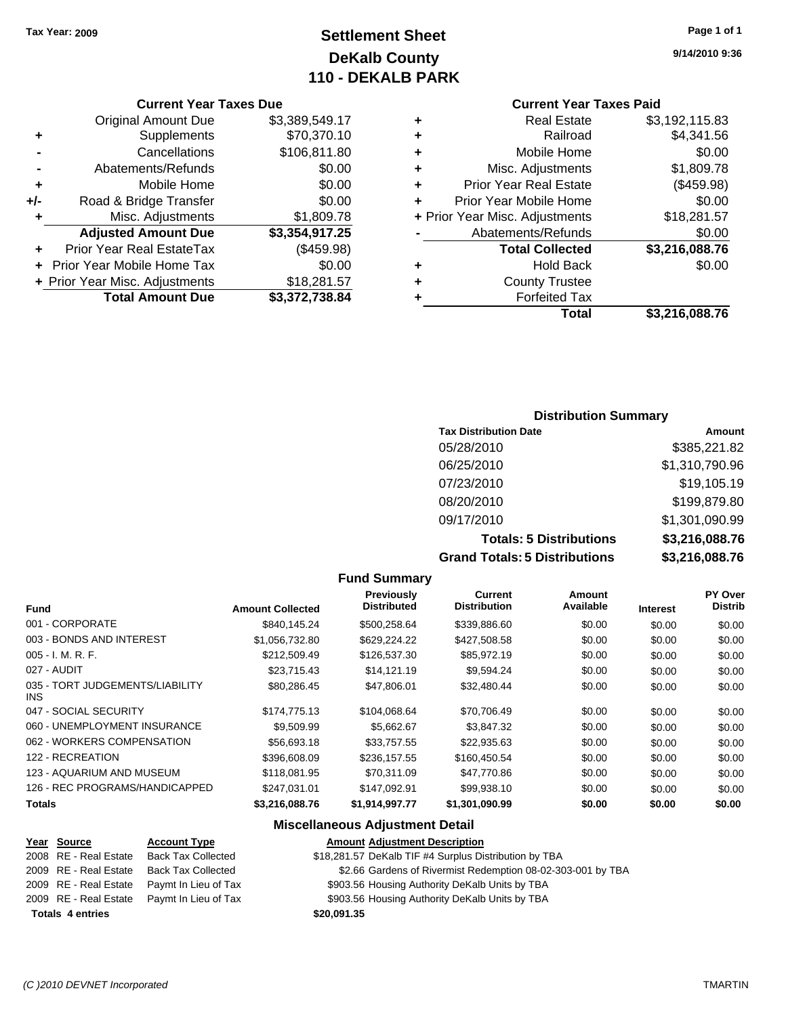## **Settlement Sheet Tax Year: 2009 Page 1 of 1 DeKalb County 110 - DEKALB PARK**

#### **Current Year Taxes Due**

|       | <b>Original Amount Due</b>        | \$3,389,549.17 |
|-------|-----------------------------------|----------------|
| ٠     | Supplements                       | \$70,370.10    |
|       | Cancellations                     | \$106,811.80   |
|       | Abatements/Refunds                | \$0.00         |
| ÷     | Mobile Home                       | \$0.00         |
| $+/-$ | Road & Bridge Transfer            | \$0.00         |
| ٠     | Misc. Adjustments                 | \$1,809.78     |
|       | <b>Adjusted Amount Due</b>        | \$3,354,917.25 |
|       | Prior Year Real EstateTax         | (\$459.98)     |
|       | <b>Prior Year Mobile Home Tax</b> | \$0.00         |
|       | + Prior Year Misc. Adjustments    | \$18,281.57    |
|       | <b>Total Amount Due</b>           | \$3,372,738.84 |

### **Current Year Taxes Paid**

| ٠ | <b>Real Estate</b>             | \$3,192,115.83 |
|---|--------------------------------|----------------|
| ٠ | Railroad                       | \$4,341.56     |
| ٠ | Mobile Home                    | \$0.00         |
| ٠ | Misc. Adjustments              | \$1,809.78     |
| ٠ | <b>Prior Year Real Estate</b>  | (\$459.98)     |
|   | Prior Year Mobile Home         | \$0.00         |
|   | + Prior Year Misc. Adjustments | \$18,281.57    |
|   | Abatements/Refunds             | \$0.00         |
|   | <b>Total Collected</b>         | \$3,216,088.76 |
| ٠ | <b>Hold Back</b>               | \$0.00         |
| ٠ | <b>County Trustee</b>          |                |
| ٠ | <b>Forfeited Tax</b>           |                |
|   | Total                          | \$3,216,088.76 |

#### **Distribution Summary**

| <b>Tax Distribution Date</b>         | Amount         |
|--------------------------------------|----------------|
| 05/28/2010                           | \$385,221.82   |
| 06/25/2010                           | \$1,310,790.96 |
| 07/23/2010                           | \$19,105.19    |
| 08/20/2010                           | \$199,879.80   |
| 09/17/2010                           | \$1,301,090.99 |
| <b>Totals: 5 Distributions</b>       | \$3,216,088.76 |
| <b>Grand Totals: 5 Distributions</b> | \$3,216,088.76 |

#### **Fund Summary**

|                                         |                         | <b>Previously</b><br><b>Distributed</b> | Current<br><b>Distribution</b> | Amount<br>Available |                 | <b>PY Over</b><br><b>Distrib</b> |
|-----------------------------------------|-------------------------|-----------------------------------------|--------------------------------|---------------------|-----------------|----------------------------------|
| <b>Fund</b>                             | <b>Amount Collected</b> |                                         |                                |                     | <b>Interest</b> |                                  |
| 001 - CORPORATE                         | \$840.145.24            | \$500.258.64                            | \$339,886.60                   | \$0.00              | \$0.00          | \$0.00                           |
| 003 - BONDS AND INTEREST                | \$1.056.732.80          | \$629,224.22                            | \$427,508.58                   | \$0.00              | \$0.00          | \$0.00                           |
| $005 - I. M. R. F.$                     | \$212,509.49            | \$126,537.30                            | \$85,972.19                    | \$0.00              | \$0.00          | \$0.00                           |
| 027 - AUDIT                             | \$23.715.43             | \$14.121.19                             | \$9.594.24                     | \$0.00              | \$0.00          | \$0.00                           |
| 035 - TORT JUDGEMENTS/LIABILITY<br>INS. | \$80,286.45             | \$47,806.01                             | \$32,480.44                    | \$0.00              | \$0.00          | \$0.00                           |
| 047 - SOCIAL SECURITY                   | \$174,775.13            | \$104.068.64                            | \$70,706.49                    | \$0.00              | \$0.00          | \$0.00                           |
| 060 - UNEMPLOYMENT INSURANCE            | \$9.509.99              | \$5.662.67                              | \$3,847.32                     | \$0.00              | \$0.00          | \$0.00                           |
| 062 - WORKERS COMPENSATION              | \$56,693.18             | \$33.757.55                             | \$22,935.63                    | \$0.00              | \$0.00          | \$0.00                           |
| 122 - RECREATION                        | \$396,608.09            | \$236,157.55                            | \$160,450.54                   | \$0.00              | \$0.00          | \$0.00                           |
| 123 - AQUARIUM AND MUSEUM               | \$118.081.95            | \$70.311.09                             | \$47,770.86                    | \$0.00              | \$0.00          | \$0.00                           |
| 126 - REC PROGRAMS/HANDICAPPED          | \$247.031.01            | \$147.092.91                            | \$99,938.10                    | \$0.00              | \$0.00          | \$0.00                           |
| Totals                                  | \$3,216,088.76          | \$1,914,997.77                          | \$1,301,090.99                 | \$0.00              | \$0.00          | \$0.00                           |

#### **Miscellaneous Adjustment Detail**

#### **Year Source Account Type Amount Adjustment Description** \$18,281.57 DeKalb TIF #4 Surplus Distribution by TBA 2009 RE - Real Estate Back Tax Collected \$2.66 Gardens of Rivermist Redemption 08-02-303-001 by TBA 2009 RE - Real Estate Paymt In Lieu of Tax \$903.56 Housing Authority DeKalb Units by TBA 2009 RE - Real Estate Paymt In Lieu of Tax \$903.56 Housing Authority DeKalb Units by TBA

**Totals \$20,091.35 4 entries**

**9/14/2010 9:36**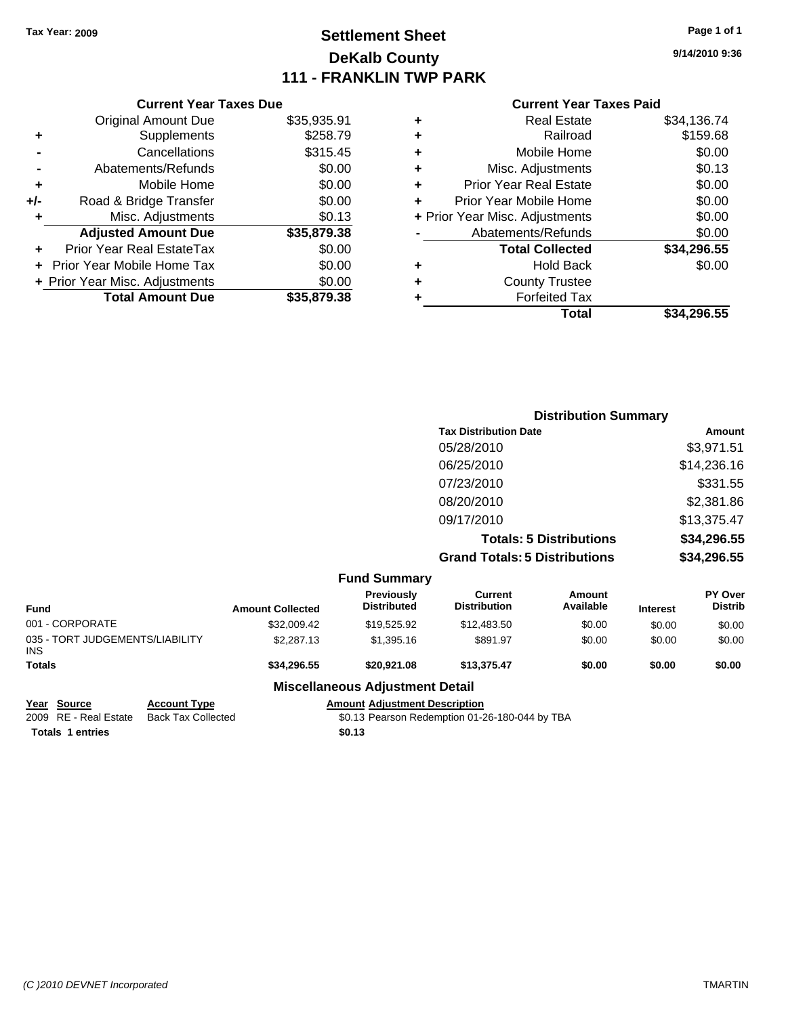## **Settlement Sheet Tax Year: 2009 Page 1 of 1 DeKalb County 111 - FRANKLIN TWP PARK**

**9/14/2010 9:36**

#### **Current Year Taxes Paid**

| <b>Current Year Taxes Due</b>     |                         |
|-----------------------------------|-------------------------|
| <b>Original Amount Due</b>        | \$35,935.91             |
| Supplements                       | \$258.79                |
| Cancellations                     | \$315.45                |
| Abatements/Refunds                | \$0.00                  |
| Mobile Home                       | \$0.00                  |
| Road & Bridge Transfer            | \$0.00                  |
| Misc. Adjustments                 | \$0.13                  |
| <b>Adjusted Amount Due</b>        | \$35,879.38             |
| Prior Year Real EstateTax         | \$0.00                  |
| <b>Prior Year Mobile Home Tax</b> | \$0.00                  |
| + Prior Year Misc. Adjustments    | \$0.00                  |
|                                   | \$35,879,38             |
|                                   | <b>Total Amount Due</b> |

| ٠ | Real Estate                    | \$34,136.74 |
|---|--------------------------------|-------------|
| ٠ | Railroad                       | \$159.68    |
| ٠ | Mobile Home                    | \$0.00      |
| ٠ | Misc. Adjustments              | \$0.13      |
| ÷ | <b>Prior Year Real Estate</b>  | \$0.00      |
| ÷ | Prior Year Mobile Home         | \$0.00      |
|   | + Prior Year Misc. Adjustments | \$0.00      |
|   | Abatements/Refunds             | \$0.00      |
|   | <b>Total Collected</b>         | \$34,296.55 |
| ٠ | Hold Back                      | \$0.00      |
| ٠ | <b>County Trustee</b>          |             |
| ٠ | <b>Forfeited Tax</b>           |             |
|   | Total                          | \$34,296.55 |
|   |                                |             |

|                                               |                         |                                         |                                       | <b>Distribution Summary</b>    |                 |                           |
|-----------------------------------------------|-------------------------|-----------------------------------------|---------------------------------------|--------------------------------|-----------------|---------------------------|
|                                               |                         |                                         | <b>Tax Distribution Date</b>          |                                |                 | Amount                    |
|                                               |                         |                                         | 05/28/2010                            |                                |                 | \$3,971.51                |
|                                               |                         |                                         | 06/25/2010                            |                                |                 | \$14,236.16               |
|                                               |                         |                                         | 07/23/2010                            |                                |                 | \$331.55                  |
|                                               |                         |                                         | 08/20/2010                            |                                |                 | \$2,381.86                |
|                                               |                         |                                         | 09/17/2010                            |                                |                 | \$13,375.47               |
|                                               |                         |                                         |                                       | <b>Totals: 5 Distributions</b> |                 | \$34,296.55               |
|                                               |                         |                                         | <b>Grand Totals: 5 Distributions</b>  |                                |                 | \$34,296.55               |
|                                               |                         | <b>Fund Summary</b>                     |                                       |                                |                 |                           |
| <b>Fund</b>                                   | <b>Amount Collected</b> | <b>Previously</b><br><b>Distributed</b> | <b>Current</b><br><b>Distribution</b> | <b>Amount</b><br>Available     | <b>Interest</b> | PY Over<br><b>Distrib</b> |
| 001 - CORPORATE                               | \$32,009.42             | \$19,525.92                             | \$12,483.50                           | \$0.00                         | \$0.00          | \$0.00                    |
| 035 - TORT JUDGEMENTS/LIABILITY<br><b>INS</b> | \$2,287.13              | \$1,395.16                              | \$891.97                              | \$0.00                         | \$0.00          | \$0.00                    |
| <b>Totals</b>                                 | \$34,296.55             | \$20,921.08                             | \$13,375.47                           | \$0.00                         | \$0.00          | \$0.00                    |

**Miscellaneous Adjustment Detail**

| Year Source           |
|-----------------------|
| 2009 RE - Real Estate |

Totals 1 entries \$0.13

**<u>Account Type</u>**<br>
Back Tax Collected<br>
So.13 Pearson Redemption 01-2  $\overline{$0.13$}$  Pearson Redemption 01-26-180-044 by TBA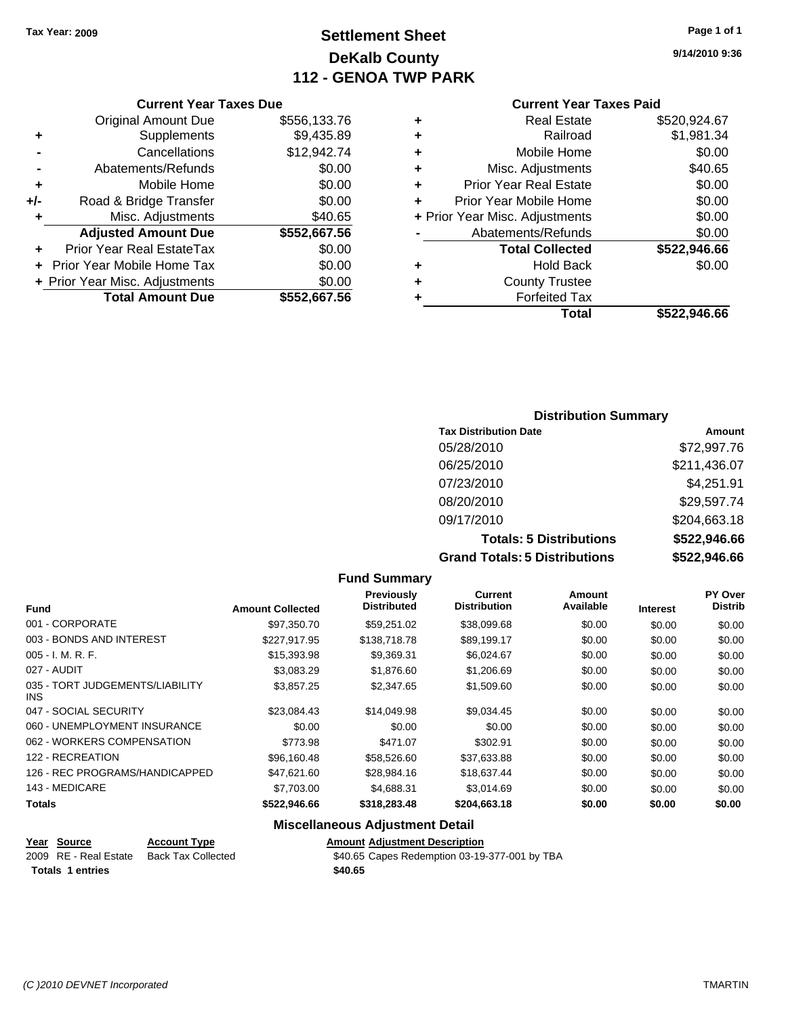## **Settlement Sheet Tax Year: 2009 Page 1 of 1 DeKalb County 112 - GENOA TWP PARK**

**9/14/2010 9:36**

|  | <b>Current Year Taxes Due</b> |  |
|--|-------------------------------|--|
|  |                               |  |

|       | <b>Total Amount Due</b>           | \$552,667.56 |
|-------|-----------------------------------|--------------|
|       | + Prior Year Misc. Adjustments    | \$0.00       |
|       | <b>Prior Year Mobile Home Tax</b> | \$0.00       |
|       | <b>Prior Year Real EstateTax</b>  | \$0.00       |
|       | <b>Adjusted Amount Due</b>        | \$552,667.56 |
| ٠     | Misc. Adjustments                 | \$40.65      |
| $+/-$ | Road & Bridge Transfer            | \$0.00       |
| ÷     | Mobile Home                       | \$0.00       |
|       | Abatements/Refunds                | \$0.00       |
|       | Cancellations                     | \$12,942.74  |
| ٠     | Supplements                       | \$9,435.89   |
|       | <b>Original Amount Due</b>        | \$556,133.76 |
|       |                                   |              |

#### **Current Year Taxes Paid**

| ٠ | <b>Real Estate</b>             | \$520,924.67 |
|---|--------------------------------|--------------|
| ٠ | Railroad                       | \$1,981.34   |
| ٠ | Mobile Home                    | \$0.00       |
| ٠ | Misc. Adjustments              | \$40.65      |
| ٠ | <b>Prior Year Real Estate</b>  | \$0.00       |
| ÷ | Prior Year Mobile Home         | \$0.00       |
|   | + Prior Year Misc. Adjustments | \$0.00       |
|   | Abatements/Refunds             | \$0.00       |
|   | <b>Total Collected</b>         | \$522,946.66 |
| ٠ | <b>Hold Back</b>               | \$0.00       |
| ٠ | <b>County Trustee</b>          |              |
| ٠ | <b>Forfeited Tax</b>           |              |
|   | Total                          | \$522.946.66 |
|   |                                |              |

## **Distribution Summary**

| <b>Tax Distribution Date</b>         | Amount       |
|--------------------------------------|--------------|
| 05/28/2010                           | \$72,997.76  |
| 06/25/2010                           | \$211,436.07 |
| 07/23/2010                           | \$4,251.91   |
| 08/20/2010                           | \$29,597.74  |
| 09/17/2010                           | \$204,663.18 |
| <b>Totals: 5 Distributions</b>       | \$522,946.66 |
| <b>Grand Totals: 5 Distributions</b> | \$522,946.66 |

#### **Fund Summary Fund Interest Amount Collected Distributed PY Over Distrib Amount Available Current Distribution Previously** 001 - CORPORATE \$97,350.70 \$59,251.02 \$38,099.68 \$0.00 \$0.00 \$0.00 003 - BONDS AND INTEREST 6227,917.95 \$138,718.78 \$89,199.17 \$0.00 \$0.00 \$0.00 005 - I. M. R. F. \$15,393.98 \$9,369.31 \$6,024.67 \$0.00 \$0.00 \$0.00 027 - AUDIT \$3,083.29 \$1,876.60 \$1,206.69 \$0.00 \$0.00 \$0.00 035 - TORT JUDGEMENTS/LIABILITY INS \$3,857.25 \$2,347.65 \$1,509.60 \$0.00 \$0.00 \$0.00 047 - SOCIAL SECURITY \$23,084.43 \$14,049.98 \$9,034.45 \$0.00 \$0.00 \$0.00 060 - UNEMPLOYMENT INSURANCE  $$0.00$   $$0.00$   $$0.00$   $$0.00$   $$0.00$   $$0.00$   $$0.00$ 062 - WORKERS COMPENSATION \$773.98 \$471.07 \$302.91 \$0.00 \$0.00 \$0.00 \$0.00 122 - RECREATION \$96,160.48 \$58,526.60 \$37,633.88 \$0.00 \$0.00 \$0.00 126 - REC PROGRAMS/HANDICAPPED \$47,621.60 \$28,984.16 \$18,637.44 \$0.00 \$0.00 \$0.00 143 - MEDICARE \$7,703.00 \$4,688.31 \$3,014.69 \$0.00 \$0.00 \$0.00 **Totals \$522,946.66 \$318,283.48 \$204,663.18 \$0.00 \$0.00 \$0.00**

## **Year Source Account Type Amount Adjustment Description Totals \$40.65 1 entries**

**Miscellaneous Adjustment Detail**

\$40.65 Capes Redemption 03-19-377-001 by TBA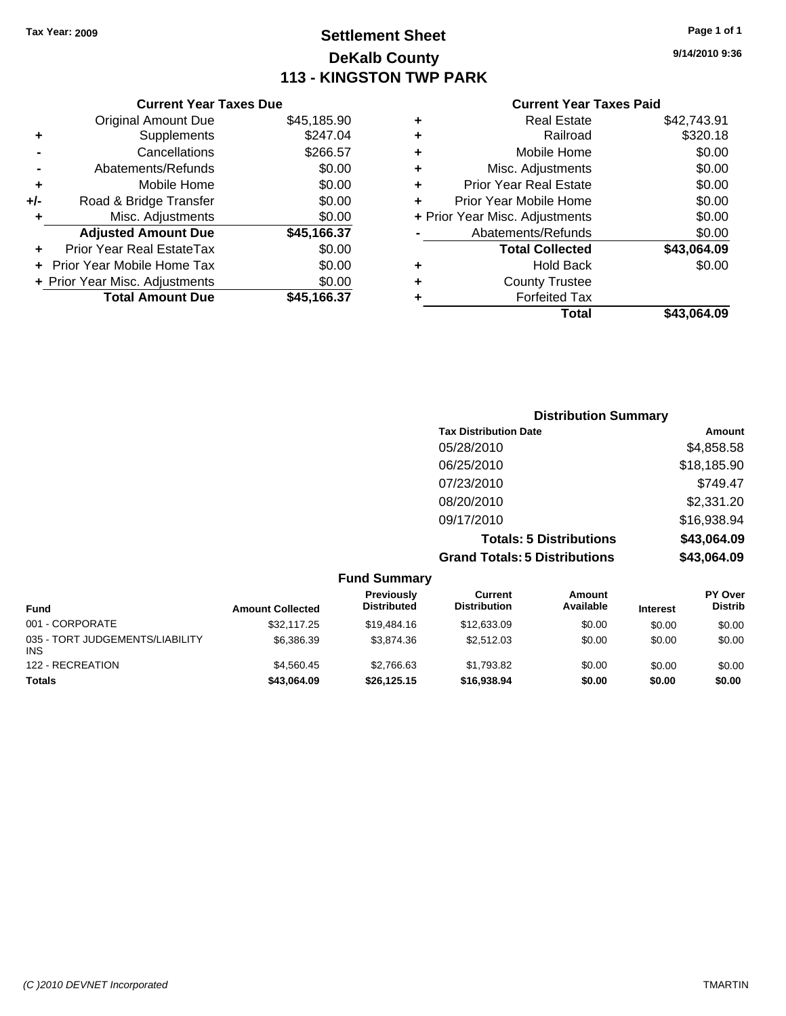## **Settlement Sheet Tax Year: 2009 Page 1 of 1 DeKalb County 113 - KINGSTON TWP PARK**

**9/14/2010 9:36**

| <b>Current Year Taxes Paid</b> |  |  |
|--------------------------------|--|--|
|                                |  |  |

|     | <b>Current Year Taxes Due</b>     |             |   |                |
|-----|-----------------------------------|-------------|---|----------------|
|     | <b>Original Amount Due</b>        | \$45,185.90 | ٠ |                |
|     | <b>Supplements</b>                | \$247.04    | ٠ |                |
|     | Cancellations                     | \$266.57    | ٠ |                |
|     | Abatements/Refunds                | \$0.00      | ٠ | N              |
|     | Mobile Home                       | \$0.00      |   | Prior          |
| +/- | Road & Bridge Transfer            | \$0.00      |   | Prior Y        |
|     | Misc. Adjustments                 | \$0.00      |   | + Prior Year M |
|     | <b>Adjusted Amount Due</b>        | \$45,166.37 |   | Aba            |
|     | Prior Year Real EstateTax         | \$0.00      |   |                |
|     | <b>Prior Year Mobile Home Tax</b> | \$0.00      | ٠ |                |
|     | + Prior Year Misc. Adjustments    | \$0.00      |   |                |
|     | <b>Total Amount Due</b>           | \$45,166.37 |   |                |
|     |                                   |             |   |                |

|   | <b>Real Estate</b>             | \$42,743.91 |
|---|--------------------------------|-------------|
| ٠ | Railroad                       | \$320.18    |
| ٠ | Mobile Home                    | \$0.00      |
| ٠ | Misc. Adjustments              | \$0.00      |
| ٠ | <b>Prior Year Real Estate</b>  | \$0.00      |
|   | Prior Year Mobile Home         | \$0.00      |
|   | + Prior Year Misc. Adjustments | \$0.00      |
|   | Abatements/Refunds             | \$0.00      |
|   | <b>Total Collected</b>         | \$43,064.09 |
| ٠ | <b>Hold Back</b>               | \$0.00      |
| ٠ | <b>County Trustee</b>          |             |
| ٠ | <b>Forfeited Tax</b>           |             |
|   | Total                          | \$43,064.09 |
|   |                                |             |

| <b>Distribution Summary</b>          |             |
|--------------------------------------|-------------|
| <b>Tax Distribution Date</b>         | Amount      |
| 05/28/2010                           | \$4,858.58  |
| 06/25/2010                           | \$18,185.90 |
| 07/23/2010                           | \$749.47    |
| 08/20/2010                           | \$2,331.20  |
| 09/17/2010                           | \$16,938.94 |
| <b>Totals: 5 Distributions</b>       | \$43,064.09 |
| <b>Grand Totals: 5 Distributions</b> | \$43,064.09 |

|                                               |                         | <b>Fund Summary</b>                     |                                |                     |                 |                                  |
|-----------------------------------------------|-------------------------|-----------------------------------------|--------------------------------|---------------------|-----------------|----------------------------------|
| <b>Fund</b>                                   | <b>Amount Collected</b> | <b>Previously</b><br><b>Distributed</b> | Current<br><b>Distribution</b> | Amount<br>Available | <b>Interest</b> | <b>PY Over</b><br><b>Distrib</b> |
| 001 - CORPORATE                               | \$32.117.25             | \$19,484.16                             | \$12,633,09                    | \$0.00              | \$0.00          | \$0.00                           |
| 035 - TORT JUDGEMENTS/LIABILITY<br><b>INS</b> | \$6,386.39              | \$3,874.36                              | \$2,512.03                     | \$0.00              | \$0.00          | \$0.00                           |
| 122 - RECREATION                              | \$4.560.45              | \$2.766.63                              | \$1,793.82                     | \$0.00              | \$0.00          | \$0.00                           |
| <b>Totals</b>                                 | \$43,064.09             | \$26.125.15                             | \$16,938,94                    | \$0.00              | \$0.00          | \$0.00                           |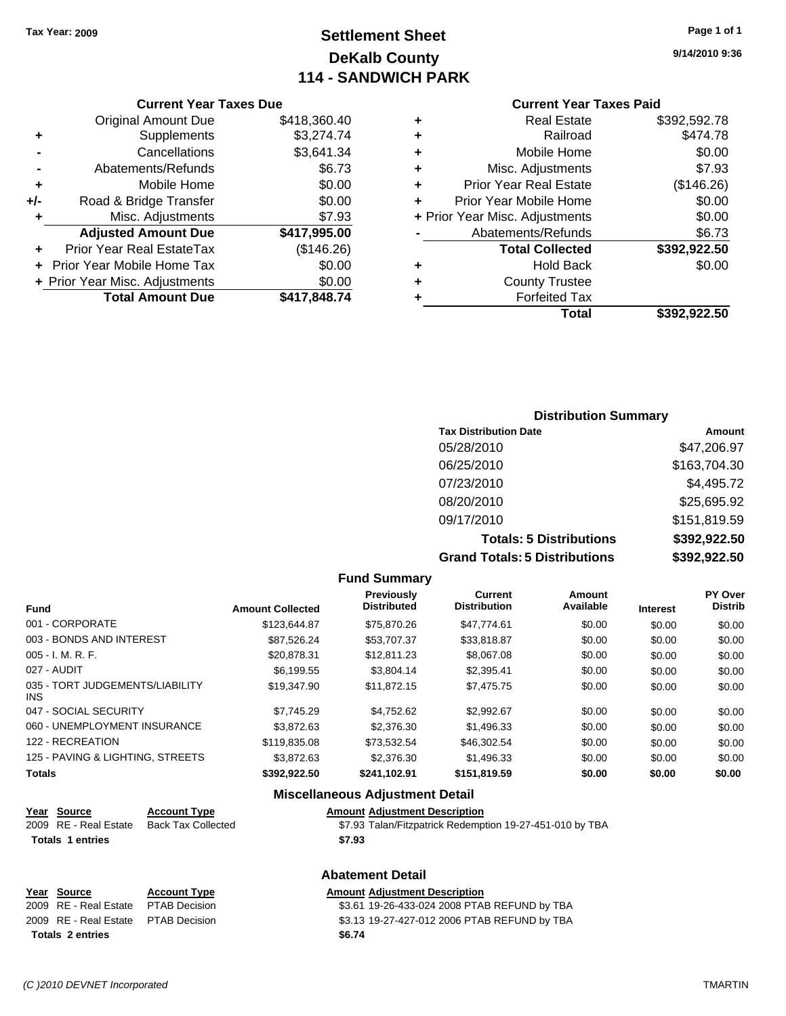## **Settlement Sheet Tax Year: 2009 Page 1 of 1 DeKalb County 114 - SANDWICH PARK**

**9/14/2010 9:36**

#### **Current Year Taxes Paid**

|     | <b>Current Year Taxes Due</b>  |              |
|-----|--------------------------------|--------------|
|     | <b>Original Amount Due</b>     | \$418,360.40 |
| ٠   | Supplements                    | \$3,274.74   |
|     | Cancellations                  | \$3,641.34   |
|     | Abatements/Refunds             | \$6.73       |
| ٠   | Mobile Home                    | \$0.00       |
| +/- | Road & Bridge Transfer         | \$0.00       |
| ٠   | Misc. Adjustments              | \$7.93       |
|     | <b>Adjusted Amount Due</b>     | \$417,995.00 |
| ٠   | Prior Year Real EstateTax      | (\$146.26)   |
|     | Prior Year Mobile Home Tax     | \$0.00       |
|     | + Prior Year Misc. Adjustments | \$0.00       |
|     | <b>Total Amount Due</b>        | \$417,848.74 |
|     |                                |              |

|   | Total                          | \$392,922.50 |
|---|--------------------------------|--------------|
| ٠ | <b>Forfeited Tax</b>           |              |
| ٠ | <b>County Trustee</b>          |              |
| ٠ | <b>Hold Back</b>               | \$0.00       |
|   | <b>Total Collected</b>         | \$392,922.50 |
|   | Abatements/Refunds             | \$6.73       |
|   | + Prior Year Misc. Adjustments | \$0.00       |
| ٠ | Prior Year Mobile Home         | \$0.00       |
| ÷ | <b>Prior Year Real Estate</b>  | (\$146.26)   |
| ٠ | Misc. Adjustments              | \$7.93       |
| ٠ | Mobile Home                    | \$0.00       |
| ٠ | Railroad                       | \$474.78     |
| ٠ | <b>Real Estate</b>             | \$392,592.78 |

### **Distribution Summary Tax Distribution Date Amount** 05/28/2010 \$47,206.97 06/25/2010 \$163,704.30 07/23/2010 \$4,495.72 08/20/2010 \$25,695.92 09/17/2010 \$151,819.59 **Totals: 5 Distributions \$392,922.50 Grand Totals: 5 Distributions \$392,922.50**

| <b>Fund</b>                             | <b>Amount Collected</b> | Previously<br><b>Distributed</b>       | Current<br><b>Distribution</b> | Amount<br>Available | <b>Interest</b> | PY Over<br><b>Distrib</b> |
|-----------------------------------------|-------------------------|----------------------------------------|--------------------------------|---------------------|-----------------|---------------------------|
| 001 - CORPORATE                         | \$123,644.87            | \$75,870.26                            | \$47,774.61                    | \$0.00              | \$0.00          | \$0.00                    |
| 003 - BONDS AND INTEREST                | \$87,526.24             | \$53,707.37                            | \$33,818.87                    | \$0.00              | \$0.00          | \$0.00                    |
| $005 - I. M. R. F.$                     | \$20,878.31             | \$12,811.23                            | \$8,067.08                     | \$0.00              | \$0.00          | \$0.00                    |
| 027 - AUDIT                             | \$6.199.55              | \$3,804.14                             | \$2,395.41                     | \$0.00              | \$0.00          | \$0.00                    |
| 035 - TORT JUDGEMENTS/LIABILITY<br>INS. | \$19,347.90             | \$11.872.15                            | \$7,475.75                     | \$0.00              | \$0.00          | \$0.00                    |
| 047 - SOCIAL SECURITY                   | \$7.745.29              | \$4.752.62                             | \$2,992.67                     | \$0.00              | \$0.00          | \$0.00                    |
| 060 - UNEMPLOYMENT INSURANCE            | \$3,872.63              | \$2,376,30                             | \$1,496.33                     | \$0.00              | \$0.00          | \$0.00                    |
| 122 - RECREATION                        | \$119,835.08            | \$73,532.54                            | \$46,302.54                    | \$0.00              | \$0.00          | \$0.00                    |
| 125 - PAVING & LIGHTING, STREETS        | \$3,872.63              | \$2,376,30                             | \$1,496.33                     | \$0.00              | \$0.00          | \$0.00                    |
| <b>Totals</b>                           | \$392,922.50            | \$241.102.91                           | \$151,819.59                   | \$0.00              | \$0.00          | \$0.00                    |
|                                         |                         | <b>Miscellaneous Adiustment Detail</b> |                                |                     |                 |                           |

**Fund Summary**

#### **Miscellaneous Adjustment Detail**

**Abatement Detail**

#### **Year Source Account Type Amount Adjustment Description**

| 2009 RE - Real Estate Back Tax Collected | \$7.93 Talan/Fitzpatrick Redemption 19-27-451-010 by TBA |
|------------------------------------------|----------------------------------------------------------|
| <b>Totals 1 entries</b>                  | \$7.93                                                   |

## **Year Source Account Type Amount Adjustment Description Totals \$6.74 2 entries**

\$3.61 19-26-433-024 2008 PTAB REFUND by TBA 2009 RE - Real Estate \$3.13 19-27-427-012 2006 PTAB REFUND by TBA PTAB Decision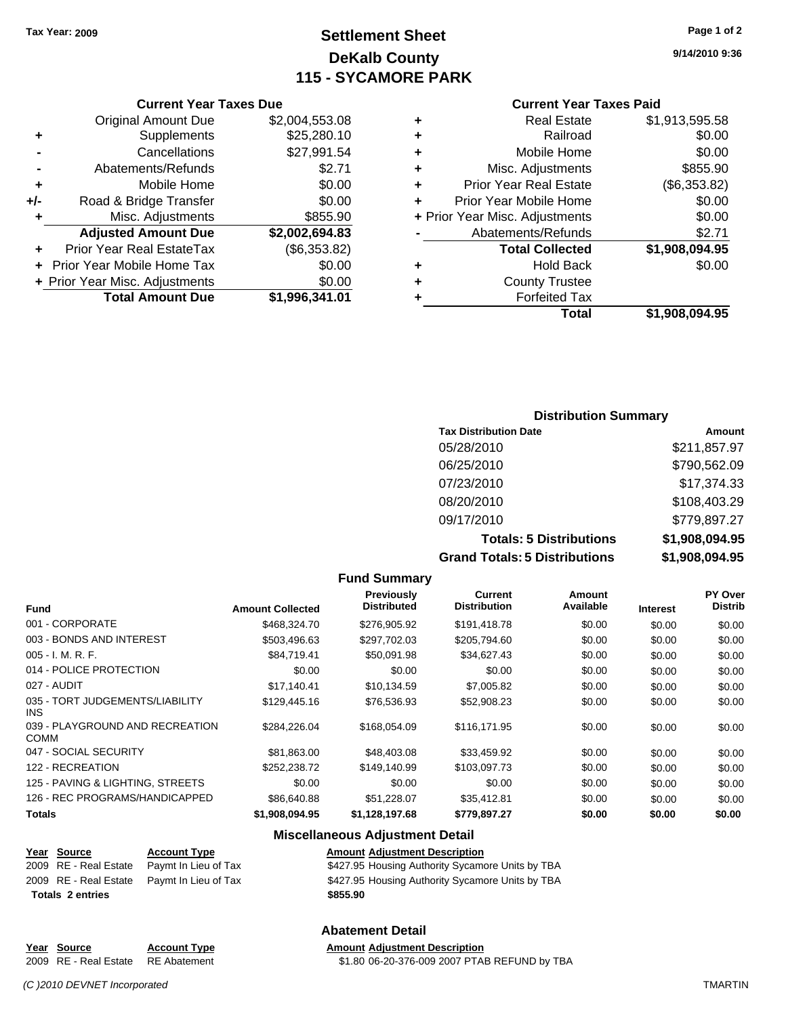## **Settlement Sheet Tax Year: 2009 Page 1 of 2 DeKalb County 115 - SYCAMORE PARK**

**9/14/2010 9:36**

#### **Current Year Taxes Paid**

|                                | <b>Real Estate</b>            | \$1,913,595.58 |
|--------------------------------|-------------------------------|----------------|
| ٠                              | Railroad                      | \$0.00         |
| ٠                              | Mobile Home                   | \$0.00         |
| ٠                              | Misc. Adjustments             | \$855.90       |
| ٠                              | <b>Prior Year Real Estate</b> | (\$6,353.82)   |
|                                | Prior Year Mobile Home        | \$0.00         |
| + Prior Year Misc. Adjustments |                               | \$0.00         |
| Abatements/Refunds             |                               | \$2.71         |
|                                | <b>Total Collected</b>        | \$1,908,094.95 |
| ٠                              | <b>Hold Back</b>              | \$0.00         |
|                                | <b>County Trustee</b>         |                |
|                                | <b>Forfeited Tax</b>          |                |
|                                | Total                         | \$1,908,094.95 |

## **Current Year Taxes Due**

|     | <b>Original Amount Due</b>     | \$2,004,553.08 |
|-----|--------------------------------|----------------|
| ٠   | Supplements                    | \$25,280.10    |
|     | Cancellations                  | \$27,991.54    |
|     | Abatements/Refunds             | \$2.71         |
| ÷   | Mobile Home                    | \$0.00         |
| +/- | Road & Bridge Transfer         | \$0.00         |
| ٠   | Misc. Adjustments              | \$855.90       |
|     | <b>Adjusted Amount Due</b>     | \$2,002,694.83 |
|     | Prior Year Real EstateTax      | (\$6,353.82)   |
|     | Prior Year Mobile Home Tax     | \$0.00         |
|     | + Prior Year Misc. Adjustments | \$0.00         |
|     | <b>Total Amount Due</b>        | \$1,996,341.01 |

#### **Distribution Summary**

| <b>Tax Distribution Date</b>         | Amount         |
|--------------------------------------|----------------|
| 05/28/2010                           | \$211,857.97   |
| 06/25/2010                           | \$790,562.09   |
| 07/23/2010                           | \$17,374.33    |
| 08/20/2010                           | \$108,403.29   |
| 09/17/2010                           | \$779,897.27   |
| <b>Totals: 5 Distributions</b>       | \$1,908,094.95 |
| <b>Grand Totals: 5 Distributions</b> | \$1,908,094.95 |

#### **Fund Summary Fund Interest Amount Collected Distributed PY Over Distrib Amount Available Current Distribution Previously** 001 - CORPORATE \$468,324.70 \$276,905.92 \$191,418.78 \$0.00 \$0.00 \$0.00 003 - BONDS AND INTEREST  $$503,496.63$   $$297,702.03$   $$205,794.60$   $$0.00$   $$0.00$   $$0.00$ 005 - I. M. R. F. \$84,719.41 \$50,091.98 \$34,627.43 \$0.00 \$0.00 \$0.00 014 - POLICE PROTECTION  $$0.00$   $$0.00$   $$0.00$   $$0.00$   $$0.00$   $$0.00$   $$0.00$   $$0.00$ 027 - AUDIT \$17,140.41 \$10,134.59 \$7,005.82 \$0.00 \$0.00 \$0.00 035 - TORT JUDGEMENTS/LIABILITY INS \$129,445.16 \$76,536.93 \$52,908.23 \$0.00 \$0.00 \$0.00 039 - PLAYGROUND AND RECREATION COMM  $$284,226.04$   $$168,054.09$   $$116,171.95$  \$0.00 \$0.00 \$0.00 047 - SOCIAL SECURITY \$81,863.00 \$48,403.08 \$33,459.92 \$0.00 \$0.00 \$0.00 \$0.00 \$0.00 \$0.00 \$0.00 \$0.00 \$0.00 \$0.00 122 - RECREATION \$252,238.72 \$149,140.99 \$103,097.73 \$0.00 \$0.00 \$0.00 125 - PAVING & LIGHTING, STREETS  $$0.00$  \$0.00 \$0.00 \$0.00 \$0.00 \$0.00 \$0.00 \$0.00 126 - REC PROGRAMS/HANDICAPPED \$86,640.88 \$51,228.07 \$35,412.81 \$0.00 \$0.00 \$0.00

#### **Miscellaneous Adjustment Detail**

## **Year Source Account Type Amount Adjustment Description**

**Totals \$1,908,094.95 \$1,128,197.68 \$779,897.27 \$0.00 \$0.00 \$0.00**

| <b>Totals 2 entries</b> |  |                                            | \$855.90                                         |
|-------------------------|--|--------------------------------------------|--------------------------------------------------|
|                         |  | 2009 RE - Real Estate Paymt In Lieu of Tax | \$427.95 Housing Authority Sycamore Units by TBA |
|                         |  | 2009 RE - Real Estate Paymt In Lieu of Tax | \$427.95 Housing Authority Sycamore Units by TBA |

#### **Year Source Account Type Amount Adjustment Description** 2009 RE - Real Estate RE Abatement \$1.80 06-20-376-009 2007 PTAB REFUND by TBA

## **Abatement Detail**

*(C )2010 DEVNET Incorporated* TMARTIN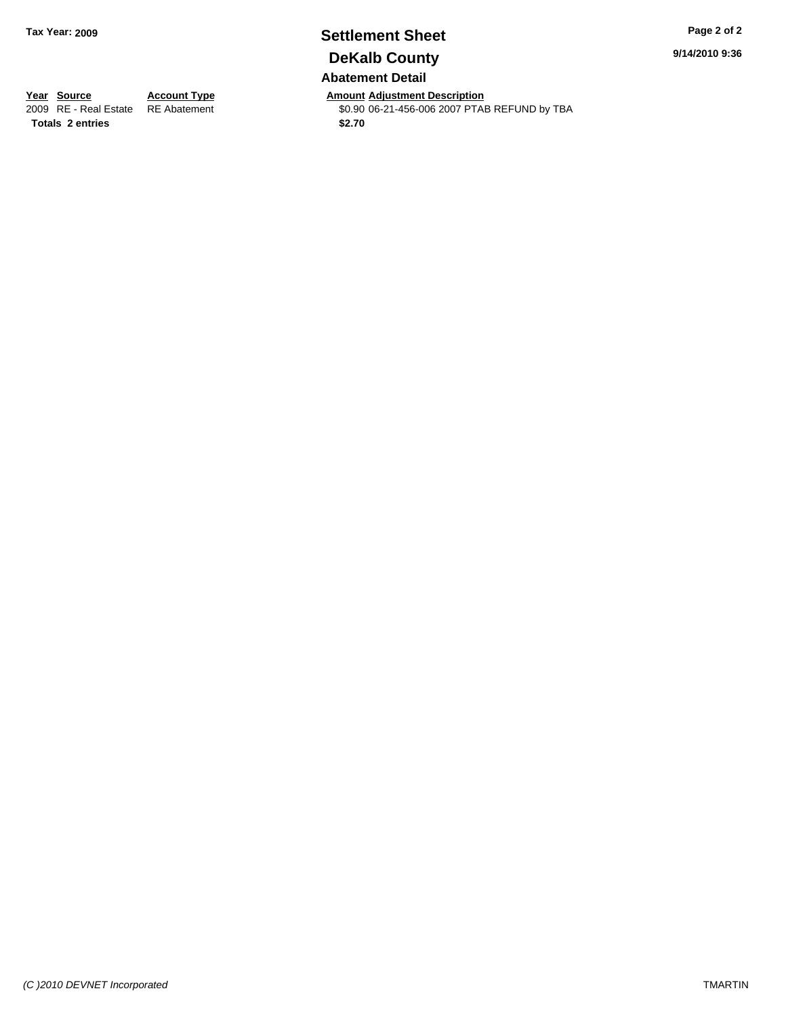## **Settlement Sheet Tax Year: 2009 Page 2 of 2 DeKalb County Abatement Detail**

**Year Source Account Type Amount Adjustment Description** \$0.90 06-21-456-006 2007 PTAB REFUND by TBA **9/14/2010 9:36**

**Totals \$2.70 2 entries**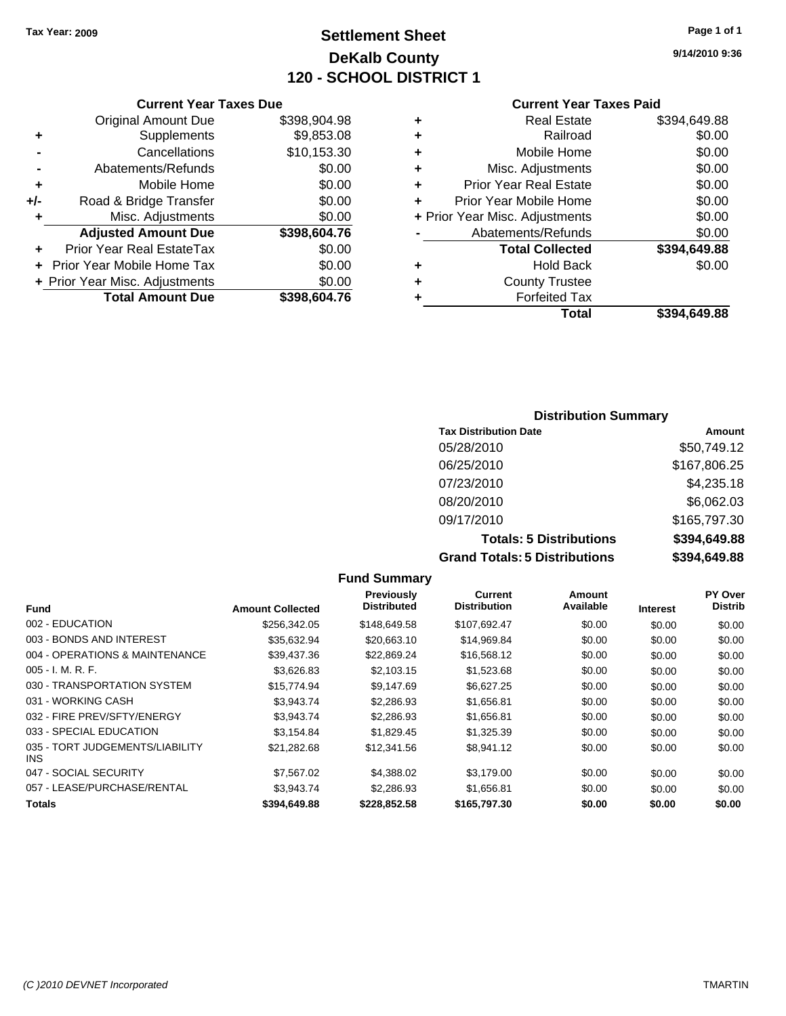## **Settlement Sheet Tax Year: 2009 Page 1 of 1 DeKalb County 120 - SCHOOL DISTRICT 1**

#### **9/14/2010 9:36**

#### **Current Year Taxes Paid**

| ٠ | <b>Real Estate</b>             | \$394,649.88 |
|---|--------------------------------|--------------|
| ٠ | Railroad                       | \$0.00       |
| ٠ | Mobile Home                    | \$0.00       |
| ٠ | Misc. Adjustments              | \$0.00       |
| ٠ | <b>Prior Year Real Estate</b>  | \$0.00       |
| ÷ | Prior Year Mobile Home         | \$0.00       |
|   | + Prior Year Misc. Adjustments | \$0.00       |
|   | Abatements/Refunds             | \$0.00       |
|   | <b>Total Collected</b>         | \$394,649.88 |
| ٠ | <b>Hold Back</b>               | \$0.00       |
| ٠ | <b>County Trustee</b>          |              |
|   | <b>Forfeited Tax</b>           |              |
|   | Total                          | \$394.649.88 |

#### **Distribution Summary Tax Distribution Date Amount** 05/28/2010 \$50,749.12 06/25/2010 \$167,806.25 07/23/2010 \$4,235.18 08/20/2010 \$6,062.03 09/17/2010 \$165,797.30

**Totals: 5 Distributions \$394,649.88 Grand Totals: 5 Distributions \$394,649.88**

|                                               |                         | <b>Fund Summary</b>                     |                                |                            |                 |                           |
|-----------------------------------------------|-------------------------|-----------------------------------------|--------------------------------|----------------------------|-----------------|---------------------------|
| <b>Fund</b>                                   | <b>Amount Collected</b> | <b>Previously</b><br><b>Distributed</b> | Current<br><b>Distribution</b> | <b>Amount</b><br>Available | <b>Interest</b> | PY Over<br><b>Distrib</b> |
| 002 - EDUCATION                               | \$256,342.05            | \$148,649.58                            | \$107,692.47                   | \$0.00                     | \$0.00          | \$0.00                    |
| 003 - BONDS AND INTEREST                      | \$35,632.94             | \$20,663.10                             | \$14,969.84                    | \$0.00                     | \$0.00          | \$0.00                    |
| 004 - OPERATIONS & MAINTENANCE                | \$39,437.36             | \$22,869.24                             | \$16,568.12                    | \$0.00                     | \$0.00          | \$0.00                    |
| 005 - I. M. R. F.                             | \$3,626.83              | \$2,103.15                              | \$1,523.68                     | \$0.00                     | \$0.00          | \$0.00                    |
| 030 - TRANSPORTATION SYSTEM                   | \$15,774.94             | \$9,147.69                              | \$6,627.25                     | \$0.00                     | \$0.00          | \$0.00                    |
| 031 - WORKING CASH                            | \$3.943.74              | \$2.286.93                              | \$1,656.81                     | \$0.00                     | \$0.00          | \$0.00                    |
| 032 - FIRE PREV/SFTY/ENERGY                   | \$3.943.74              | \$2,286.93                              | \$1,656.81                     | \$0.00                     | \$0.00          | \$0.00                    |
| 033 - SPECIAL EDUCATION                       | \$3,154.84              | \$1,829.45                              | \$1,325.39                     | \$0.00                     | \$0.00          | \$0.00                    |
| 035 - TORT JUDGEMENTS/LIABILITY<br><b>INS</b> | \$21.282.68             | \$12,341.56                             | \$8.941.12                     | \$0.00                     | \$0.00          | \$0.00                    |
| 047 - SOCIAL SECURITY                         | \$7,567.02              | \$4,388.02                              | \$3,179.00                     | \$0.00                     | \$0.00          | \$0.00                    |
| 057 - LEASE/PURCHASE/RENTAL                   | \$3.943.74              | \$2.286.93                              | \$1,656.81                     | \$0.00                     | \$0.00          | \$0.00                    |
| Totals                                        | \$394,649.88            | \$228,852.58                            | \$165,797.30                   | \$0.00                     | \$0.00          | \$0.00                    |

#### **Current Year Taxes Due**

|     | <b>Original Amount Due</b>     | \$398,904.98 |
|-----|--------------------------------|--------------|
| ٠   | Supplements                    | \$9,853.08   |
|     | Cancellations                  | \$10,153.30  |
|     | Abatements/Refunds             | \$0.00       |
| ٠   | Mobile Home                    | \$0.00       |
| +/- | Road & Bridge Transfer         | \$0.00       |
|     | Misc. Adjustments              | \$0.00       |
|     |                                |              |
|     | <b>Adjusted Amount Due</b>     | \$398,604.76 |
|     | Prior Year Real EstateTax      | \$0.00       |
|     | Prior Year Mobile Home Tax     | \$0.00       |
|     | + Prior Year Misc. Adjustments | \$0.00       |
|     | <b>Total Amount Due</b>        | \$398,604.76 |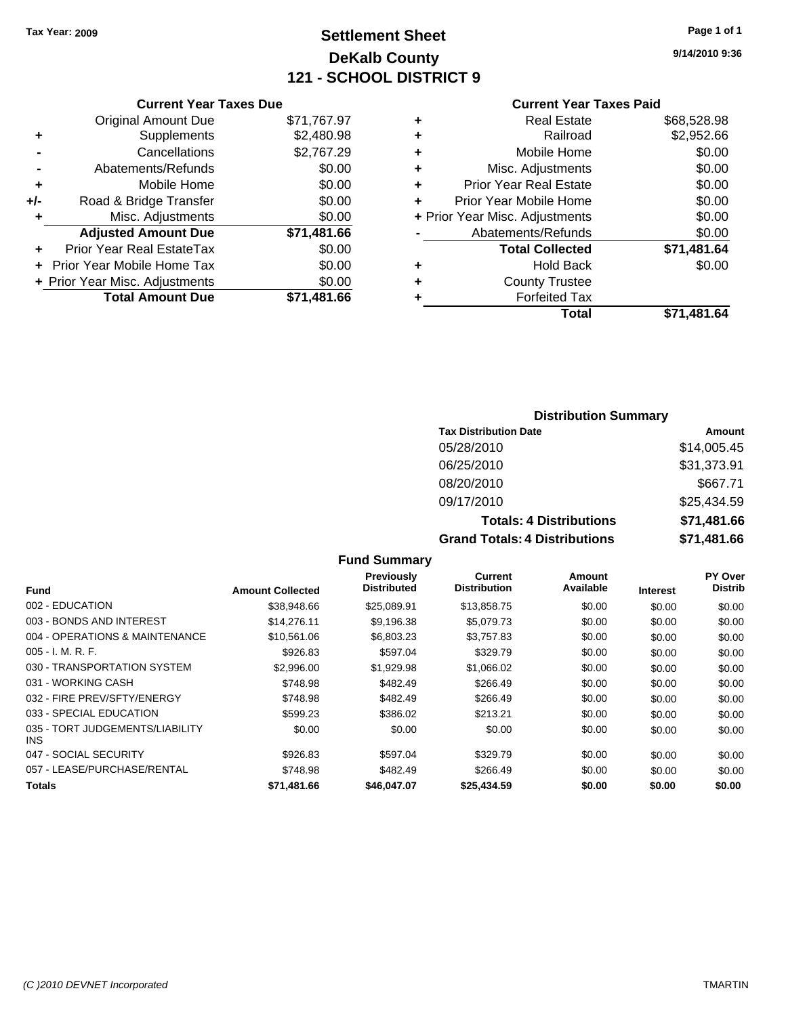## **Settlement Sheet Tax Year: 2009 Page 1 of 1 DeKalb County 121 - SCHOOL DISTRICT 9**

**9/14/2010 9:36**

#### **Current Year Taxes Paid**

| <b>Real Estate</b>             | \$68,528.98 |
|--------------------------------|-------------|
| Railroad                       | \$2,952.66  |
| Mobile Home                    | \$0.00      |
| Misc. Adjustments              | \$0.00      |
| <b>Prior Year Real Estate</b>  | \$0.00      |
| Prior Year Mobile Home         | \$0.00      |
| + Prior Year Misc. Adjustments | \$0.00      |
| Abatements/Refunds             | \$0.00      |
| <b>Total Collected</b>         | \$71,481.64 |
| <b>Hold Back</b>               | \$0.00      |
| <b>County Trustee</b>          |             |
| <b>Forfeited Tax</b>           |             |
| Total                          | \$71.481.64 |
|                                |             |

#### **Current Year Taxes Due** Original Amount Due \$71,767.97 **+** Supplements \$2,480.98 **-** Cancellations \$2,767.29 **-** Abatements/Refunds \$0.00 **+** Mobile Home \$0.00<br>**+/-** Road & Bridge Transfer \$0.00 **Frankling Road & Bridge Transfer \$0.00 +** Misc. Adjustments \$0.00

| <b>Adjusted Amount Due</b>       | \$71,481.66 |
|----------------------------------|-------------|
| <b>Prior Year Real EstateTax</b> | \$0.00      |
| + Prior Year Mobile Home Tax     | \$0.00      |
| + Prior Year Misc. Adjustments   | \$0.00      |
| <b>Total Amount Due</b>          | \$71,481.66 |

#### **Distribution Summary**

| <b>Tax Distribution Date</b>         | Amount      |
|--------------------------------------|-------------|
| 05/28/2010                           | \$14,005.45 |
| 06/25/2010                           | \$31,373.91 |
| 08/20/2010                           | \$667.71    |
| 09/17/2010                           | \$25,434.59 |
| <b>Totals: 4 Distributions</b>       | \$71,481.66 |
| <b>Grand Totals: 4 Distributions</b> | \$71,481.66 |

#### **Fund Summary**

| Fund                                    | <b>Amount Collected</b> | Previously<br><b>Distributed</b> | Current<br><b>Distribution</b> | Amount<br>Available | <b>Interest</b> | <b>PY Over</b><br><b>Distrib</b> |
|-----------------------------------------|-------------------------|----------------------------------|--------------------------------|---------------------|-----------------|----------------------------------|
| 002 - EDUCATION                         | \$38,948.66             | \$25,089.91                      | \$13,858.75                    | \$0.00              | \$0.00          | \$0.00                           |
| 003 - BONDS AND INTEREST                | \$14,276.11             | \$9.196.38                       | \$5,079.73                     | \$0.00              | \$0.00          | \$0.00                           |
| 004 - OPERATIONS & MAINTENANCE          | \$10,561.06             | \$6,803.23                       | \$3,757.83                     | \$0.00              | \$0.00          | \$0.00                           |
| $005 - I. M. R. F.$                     | \$926.83                | \$597.04                         | \$329.79                       | \$0.00              | \$0.00          | \$0.00                           |
| 030 - TRANSPORTATION SYSTEM             | \$2,996.00              | \$1,929.98                       | \$1,066.02                     | \$0.00              | \$0.00          | \$0.00                           |
| 031 - WORKING CASH                      | \$748.98                | \$482.49                         | \$266.49                       | \$0.00              | \$0.00          | \$0.00                           |
| 032 - FIRE PREV/SFTY/ENERGY             | \$748.98                | \$482.49                         | \$266.49                       | \$0.00              | \$0.00          | \$0.00                           |
| 033 - SPECIAL EDUCATION                 | \$599.23                | \$386.02                         | \$213.21                       | \$0.00              | \$0.00          | \$0.00                           |
| 035 - TORT JUDGEMENTS/LIABILITY<br>INS. | \$0.00                  | \$0.00                           | \$0.00                         | \$0.00              | \$0.00          | \$0.00                           |
| 047 - SOCIAL SECURITY                   | \$926.83                | \$597.04                         | \$329.79                       | \$0.00              | \$0.00          | \$0.00                           |
| 057 - LEASE/PURCHASE/RENTAL             | \$748.98                | \$482.49                         | \$266.49                       | \$0.00              | \$0.00          | \$0.00                           |
| Totals                                  | \$71,481.66             | \$46,047.07                      | \$25,434.59                    | \$0.00              | \$0.00          | \$0.00                           |
|                                         |                         |                                  |                                |                     |                 |                                  |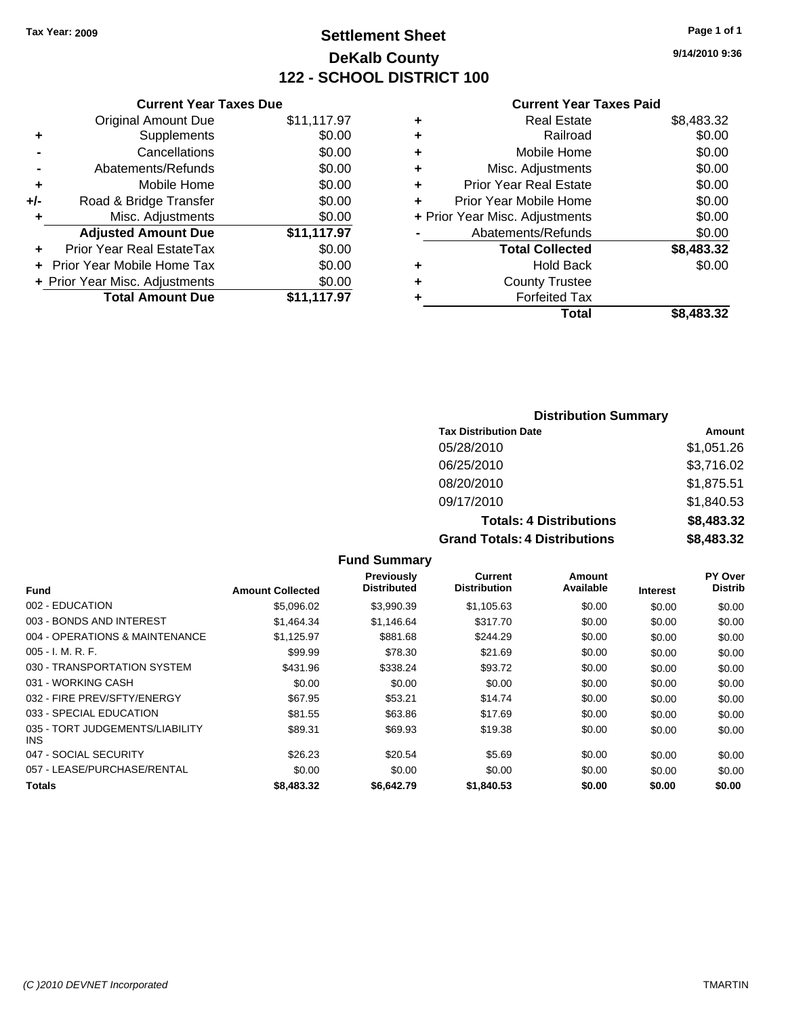## **Settlement Sheet Tax Year: 2009 Page 1 of 1 DeKalb County 122 - SCHOOL DISTRICT 100**

**9/14/2010 9:36**

#### **Current Year Taxes Paid**

|     | OUITCHL TCUL TUACS DUC         |             |
|-----|--------------------------------|-------------|
|     | <b>Original Amount Due</b>     | \$11,117.97 |
| ٠   | Supplements                    | \$0.00      |
|     | Cancellations                  | \$0.00      |
|     | Abatements/Refunds             | \$0.00      |
| ٠   | Mobile Home                    | \$0.00      |
| +/- | Road & Bridge Transfer         | \$0.00      |
| ٠   | Misc. Adjustments              | \$0.00      |
|     | <b>Adjusted Amount Due</b>     | \$11,117.97 |
|     | Prior Year Real EstateTax      | \$0.00      |
|     | Prior Year Mobile Home Tax     | \$0.00      |
|     | + Prior Year Misc. Adjustments | \$0.00      |
|     | <b>Total Amount Due</b>        | \$11,117.97 |
|     |                                |             |

**Current Year Taxes Due**

|   | <b>Real Estate</b>             | \$8,483.32 |
|---|--------------------------------|------------|
| ٠ | Railroad                       | \$0.00     |
| ٠ | Mobile Home                    | \$0.00     |
| ٠ | Misc. Adjustments              | \$0.00     |
| ÷ | <b>Prior Year Real Estate</b>  | \$0.00     |
|   | Prior Year Mobile Home         | \$0.00     |
|   | + Prior Year Misc. Adjustments | \$0.00     |
|   | Abatements/Refunds             | \$0.00     |
|   | <b>Total Collected</b>         | \$8,483.32 |
| ٠ | <b>Hold Back</b>               | \$0.00     |
|   | <b>County Trustee</b>          |            |
| ٠ | <b>Forfeited Tax</b>           |            |
|   | Total                          | \$8,483,32 |
|   |                                |            |

#### **Distribution Summary**

| <b>Tax Distribution Date</b>         | Amount     |
|--------------------------------------|------------|
| 05/28/2010                           | \$1,051.26 |
| 06/25/2010                           | \$3,716.02 |
| 08/20/2010                           | \$1,875.51 |
| 09/17/2010                           | \$1,840.53 |
| <b>Totals: 4 Distributions</b>       | \$8,483.32 |
| <b>Grand Totals: 4 Distributions</b> | \$8,483.32 |

#### **Fund Summary Fund Interest Amount Collected Distributed PY Over Distrib Amount Available Current Distribution Previously** 002 - EDUCATION \$5,096.02 \$3,990.39 \$1,105.63 \$0.00 \$0.00 \$0.00 003 - BONDS AND INTEREST \$1,464.34 \$1,146.64 \$317.70 \$0.00 \$0.00 \$0.00 \$0.00 004 - OPERATIONS & MAINTENANCE \$1,125.97 \$881.68 \$244.29 \$0.00 \$0.00 \$0.00 005 - I. M. R. F. \$99.99 \$78.30 \$21.69 \$0.00 \$0.00 \$0.00 030 - TRANSPORTATION SYSTEM \$431.96 \$338.24 \$93.72 \$0.00 \$0.00 \$0.00 \$0.00 031 - WORKING CASH \$0.00 \$0.00 \$0.00 \$0.00 \$0.00 \$0.00 032 - FIRE PREV/SFTY/ENERGY \$67.95 \$53.21 \$0.00 \$0.00 \$0.00 \$0.00 033 - SPECIAL EDUCATION \$81.55 \$63.86 \$63.86 \$17.69 \$0.00 \$0.00 \$0.00 \$0.00 035 - TORT JUDGEMENTS/LIABILITY INS \$89.31 \$69.93 \$19.38 \$0.00 \$0.00 \$0.00 \$0.00 047 - SOCIAL SECURITY \$26.23 \$20.54 \$5.69 \$0.00 \$0.00 \$0.00 057 - LEASE/PURCHASE/RENTAL  $$0.00$   $$0.00$   $$0.00$   $$0.00$   $$0.00$   $$0.00$   $$0.00$   $$0.00$ **Totals \$8,483.32 \$6,642.79 \$1,840.53 \$0.00 \$0.00 \$0.00**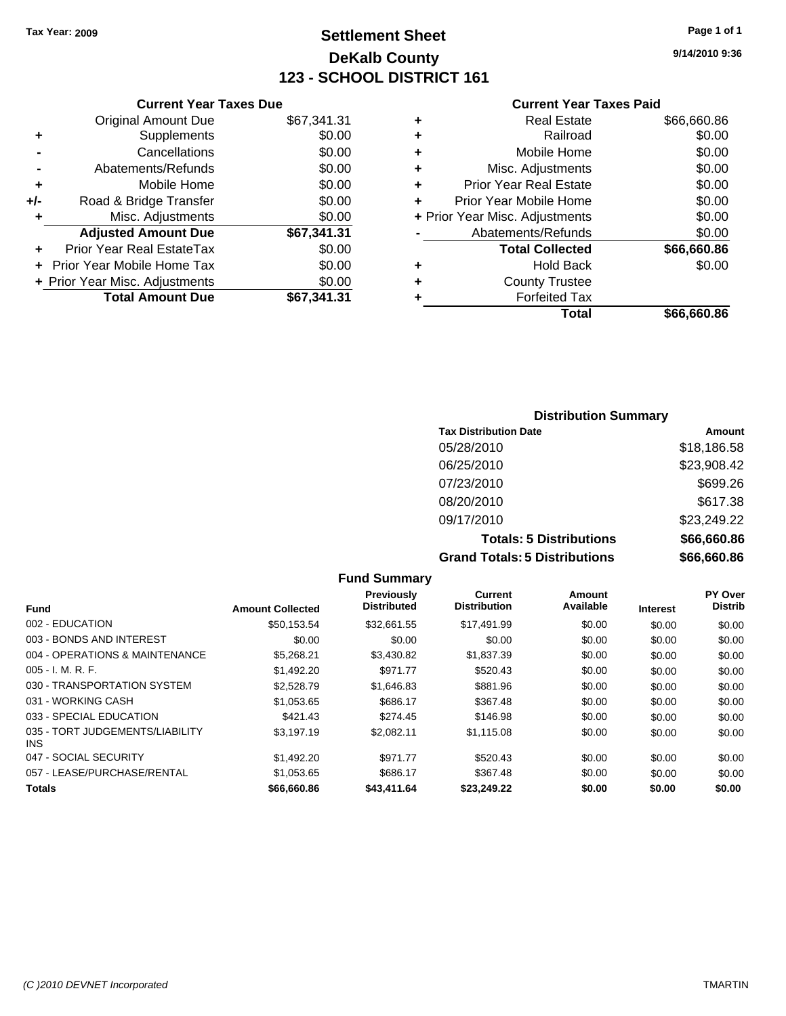**Original Amount Due** 

**Adjusted Amount Due** 

**Total Amount Due** 

**+** Supplements **-** Cancellations **-** Abatements/Refunds **+** Mobile Home **+/-** Road & Bridge Transfer **+** Misc. Adjustments

**+** Prior Year Real EstateTax \$0.00 **+** Prior Year Mobile Home Tax **+ Prior Year Misc. Adjustments** 

## **Settlement Sheet Tax Year: 2009 Page 1 of 1 DeKalb County 123 - SCHOOL DISTRICT 161**

**9/14/2010 9:36**

#### **Current Year Taxes Paid**

| <b>Current Year Taxes Due</b> |             |   | <b>Current Year Taxes Paid</b> |             |
|-------------------------------|-------------|---|--------------------------------|-------------|
| ıl Amount Due                 | \$67,341.31 | ٠ | <b>Real Estate</b>             | \$66,660.86 |
| Supplements                   | \$0.00      | ٠ | Railroad                       | \$0.00      |
| Cancellations                 | \$0.00      | ٠ | Mobile Home                    | \$0.00      |
| าents/Refunds                 | \$0.00      | ÷ | Misc. Adjustments              | \$0.00      |
| Mobile Home                   | \$0.00      | ÷ | <b>Prior Year Real Estate</b>  | \$0.00      |
| ridge Transfer                | \$0.00      | ÷ | Prior Year Mobile Home         | \$0.00      |
| :. Adjustments                | \$0.00      |   | + Prior Year Misc. Adjustments | \$0.00      |
| <b>Amount Due</b>             | \$67,341.31 |   | Abatements/Refunds             | \$0.00      |
| eal EstateTax                 | \$0.00      |   | <b>Total Collected</b>         | \$66,660.86 |
| pile Home Tax                 | \$0.00      | ÷ | <b>Hold Back</b>               | \$0.00      |
| . Adjustments                 | \$0.00      | ٠ | <b>County Trustee</b>          |             |
| <b>Amount Due</b>             | \$67,341.31 |   | <b>Forfeited Tax</b>           |             |
|                               |             |   | Total                          | 86.666      |

# **Total \$66,660.86**

### **Distribution Summary Tax Distribution Date Amount** 05/28/2010 \$18,186.58 06/25/2010 \$23,908.42 07/23/2010 \$699.26 08/20/2010 \$617.38 09/17/2010 \$23,249.22 **Totals: 5 Distributions \$66,660.86 Grand Totals: 5 Distributions \$66,660.86**

**Fund Summary Fund Interest Amount Collected Distributed PY Over Distrib Amount Available Current Distribution Previously** 002 - EDUCATION \$50,153.54 \$32,661.55 \$17,491.99 \$0.00 \$0.00 \$0.00 003 - BONDS AND INTEREST  $$0.00$   $$0.00$   $$0.00$   $$0.00$   $$0.00$   $$0.00$   $$0.00$   $$0.00$ 004 - OPERATIONS & MAINTENANCE \$5,268.21 \$3,430.82 \$1,837.39 \$0.00 \$0.00 \$0.00 005 - I. M. R. F. Charles Communication (St. 1992.20 \$971.77 \$520.43 \$0.00 \$0.00 \$0.00 \$0.00 030 - TRANSPORTATION SYSTEM \$2,528.79 \$1,646.83 \$881.96 \$0.00 \$0.00 \$0.00 \$0.00 031 - WORKING CASH \$1,053.65 \$686.17 \$367.48 \$0.00 \$0.00 \$0.00 \$0.00 033 - SPECIAL EDUCATION 6421.43 \$274.45 \$146.98 \$0.00 \$0.00 \$0.00 \$0.00 035 - TORT JUDGEMENTS/LIABILITY INS \$3,197.19 \$2,082.11 \$1,115.08 \$0.00 \$0.00 \$0.00 047 - SOCIAL SECURITY \$1,492.20 \$971.77 \$520.43 \$0.00 \$0.00 \$0.00 057 - LEASE/PURCHASE/RENTAL \$1,053.65 \$686.17 \$367.48 \$0.00 \$0.00 \$0.00 \$0.00 **Totals \$66,660.86 \$43,411.64 \$23,249.22 \$0.00 \$0.00 \$0.00**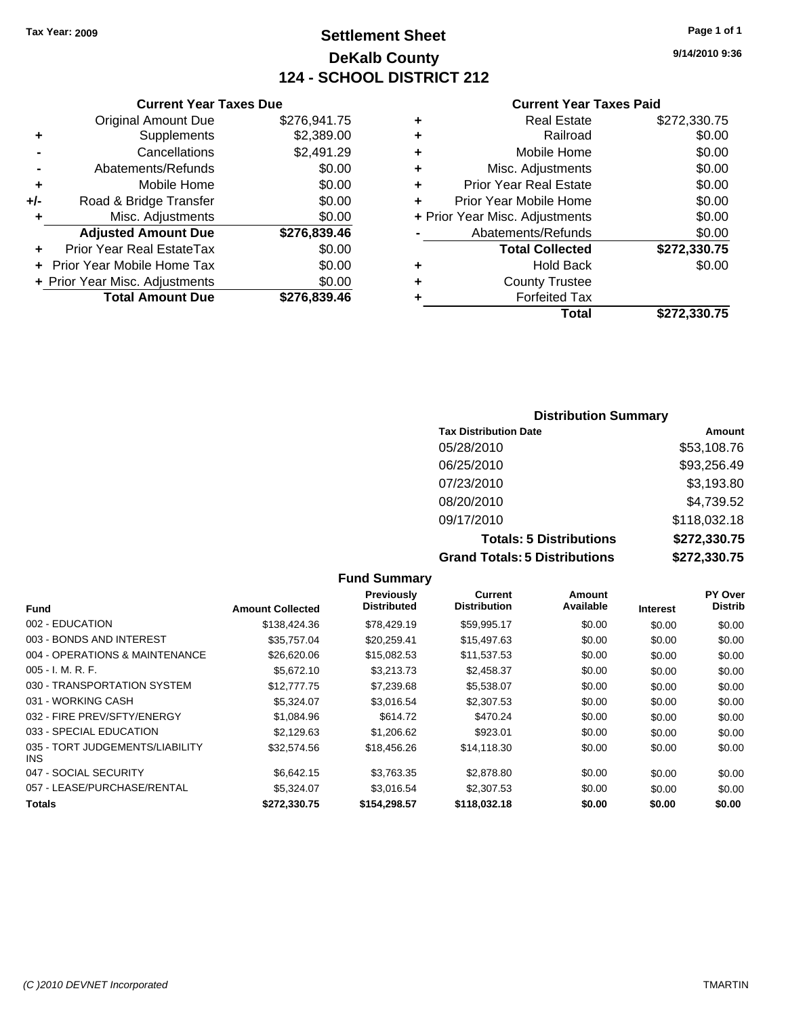## **Settlement Sheet Tax Year: 2009 Page 1 of 1 DeKalb County 124 - SCHOOL DISTRICT 212**

**9/14/2010 9:36**

#### **Current Year Taxes Paid**

|     | OUITCHL TCUL TUACS DUC            |              |
|-----|-----------------------------------|--------------|
|     | <b>Original Amount Due</b>        | \$276,941.75 |
| ٠   | Supplements                       | \$2,389.00   |
|     | Cancellations                     | \$2,491.29   |
|     | Abatements/Refunds                | \$0.00       |
| ٠   | Mobile Home                       | \$0.00       |
| +/- | Road & Bridge Transfer            | \$0.00       |
| ٠   | Misc. Adjustments                 | \$0.00       |
|     | <b>Adjusted Amount Due</b>        | \$276,839.46 |
| ٠   | Prior Year Real EstateTax         | \$0.00       |
|     | <b>Prior Year Mobile Home Tax</b> | \$0.00       |
|     | + Prior Year Misc. Adjustments    | \$0.00       |
|     | <b>Total Amount Due</b>           | \$276,839.46 |
|     |                                   |              |

**Current Year Taxes Due**

|   | <b>Real Estate</b>             | \$272,330.75 |
|---|--------------------------------|--------------|
| ٠ | Railroad                       | \$0.00       |
| ٠ | Mobile Home                    | \$0.00       |
| ٠ | Misc. Adjustments              | \$0.00       |
| ٠ | <b>Prior Year Real Estate</b>  | \$0.00       |
| ٠ | Prior Year Mobile Home         | \$0.00       |
|   | + Prior Year Misc. Adjustments | \$0.00       |
|   | Abatements/Refunds             | \$0.00       |
|   | <b>Total Collected</b>         | \$272,330.75 |
| ٠ | <b>Hold Back</b>               | \$0.00       |
| ٠ | <b>County Trustee</b>          |              |
| ٠ | <b>Forfeited Tax</b>           |              |
|   | Total                          | \$272,330.75 |
|   |                                |              |

### **Distribution Summary Tax Distribution Date Amount** 05/28/2010 \$53,108.76 06/25/2010 \$93,256.49 07/23/2010 \$3,193.80 08/20/2010 \$4,739.52 09/17/2010 \$118,032.18 **Totals: 5 Distributions \$272,330.75 Grand Totals: 5 Distributions \$272,330.75**

|                                         |                         | <b>Fund Summary</b>                     |                                |                     |                 |                           |
|-----------------------------------------|-------------------------|-----------------------------------------|--------------------------------|---------------------|-----------------|---------------------------|
| <b>Fund</b>                             | <b>Amount Collected</b> | <b>Previously</b><br><b>Distributed</b> | Current<br><b>Distribution</b> | Amount<br>Available | <b>Interest</b> | PY Over<br><b>Distrib</b> |
| 002 - EDUCATION                         | \$138,424.36            | \$78,429.19                             | \$59,995.17                    | \$0.00              | \$0.00          | \$0.00                    |
| 003 - BONDS AND INTEREST                | \$35,757.04             | \$20,259.41                             | \$15,497.63                    | \$0.00              | \$0.00          | \$0.00                    |
| 004 - OPERATIONS & MAINTENANCE          | \$26,620.06             | \$15,082.53                             | \$11,537.53                    | \$0.00              | \$0.00          | \$0.00                    |
| $005 - I. M. R. F.$                     | \$5.672.10              | \$3,213.73                              | \$2,458.37                     | \$0.00              | \$0.00          | \$0.00                    |
| 030 - TRANSPORTATION SYSTEM             | \$12,777.75             | \$7,239.68                              | \$5,538.07                     | \$0.00              | \$0.00          | \$0.00                    |
| 031 - WORKING CASH                      | \$5,324.07              | \$3,016.54                              | \$2,307.53                     | \$0.00              | \$0.00          | \$0.00                    |
| 032 - FIRE PREV/SFTY/ENERGY             | \$1,084.96              | \$614.72                                | \$470.24                       | \$0.00              | \$0.00          | \$0.00                    |
| 033 - SPECIAL EDUCATION                 | \$2.129.63              | \$1,206.62                              | \$923.01                       | \$0.00              | \$0.00          | \$0.00                    |
| 035 - TORT JUDGEMENTS/LIABILITY<br>INS. | \$32,574.56             | \$18,456.26                             | \$14,118.30                    | \$0.00              | \$0.00          | \$0.00                    |
| 047 - SOCIAL SECURITY                   | \$6,642.15              | \$3,763.35                              | \$2,878.80                     | \$0.00              | \$0.00          | \$0.00                    |
| 057 - LEASE/PURCHASE/RENTAL             | \$5,324.07              | \$3,016.54                              | \$2,307.53                     | \$0.00              | \$0.00          | \$0.00                    |
| <b>Totals</b>                           | \$272,330.75            | \$154,298.57                            | \$118,032.18                   | \$0.00              | \$0.00          | \$0.00                    |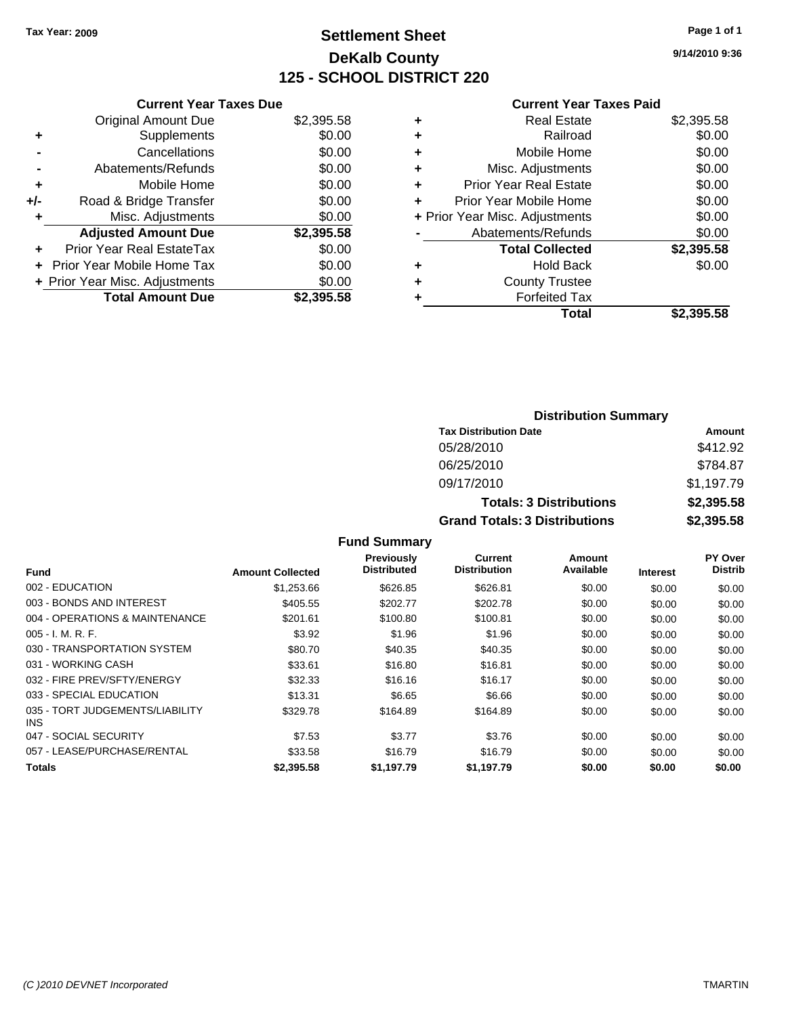## **Settlement Sheet Tax Year: 2009 Page 1 of 1 DeKalb County 125 - SCHOOL DISTRICT 220**

**9/14/2010 9:36**

#### **Current Year Taxes Paid**

|     | <b>Current Year Taxes Due</b>     |            |
|-----|-----------------------------------|------------|
|     | <b>Original Amount Due</b>        | \$2,395.58 |
| ٠   | Supplements                       | \$0.00     |
|     | Cancellations                     | \$0.00     |
|     | Abatements/Refunds                | \$0.00     |
| ٠   | Mobile Home                       | \$0.00     |
| +/- | Road & Bridge Transfer            | \$0.00     |
| ٠   | Misc. Adjustments                 | \$0.00     |
|     | <b>Adjusted Amount Due</b>        | \$2,395.58 |
| ÷   | Prior Year Real EstateTax         | \$0.00     |
|     | <b>Prior Year Mobile Home Tax</b> | \$0.00     |
|     | + Prior Year Misc. Adjustments    | \$0.00     |
|     | <b>Total Amount Due</b>           | \$2.395.58 |
|     |                                   |            |

| ٠ | <b>Real Estate</b>             | \$2,395.58 |
|---|--------------------------------|------------|
| ٠ | Railroad                       | \$0.00     |
| ٠ | Mobile Home                    | \$0.00     |
| ٠ | Misc. Adjustments              | \$0.00     |
| ÷ | <b>Prior Year Real Estate</b>  | \$0.00     |
| ٠ | Prior Year Mobile Home         | \$0.00     |
|   | + Prior Year Misc. Adjustments | \$0.00     |
|   | Abatements/Refunds             | \$0.00     |
|   | <b>Total Collected</b>         | \$2,395.58 |
| ٠ | <b>Hold Back</b>               | \$0.00     |
| ٠ | <b>County Trustee</b>          |            |
| ٠ | <b>Forfeited Tax</b>           |            |
|   | Total                          | \$2,395.58 |
|   |                                |            |

| <b>Distribution Summary</b>          |            |
|--------------------------------------|------------|
| <b>Tax Distribution Date</b>         | Amount     |
| 05/28/2010                           | \$412.92   |
| 06/25/2010                           | \$784.87   |
| 09/17/2010                           | \$1,197.79 |
| <b>Totals: 3 Distributions</b>       | \$2,395.58 |
| <b>Grand Totals: 3 Distributions</b> | \$2,395.58 |

|  | <b>Fund Summary</b> |  |
|--|---------------------|--|
|--|---------------------|--|

| <b>Fund</b>                                   | <b>Amount Collected</b> | <b>Previously</b><br><b>Distributed</b> | Current<br><b>Distribution</b> | Amount<br>Available | <b>Interest</b> | PY Over<br><b>Distrib</b> |
|-----------------------------------------------|-------------------------|-----------------------------------------|--------------------------------|---------------------|-----------------|---------------------------|
|                                               |                         |                                         |                                |                     |                 |                           |
| 002 - EDUCATION                               | \$1,253.66              | \$626.85                                | \$626.81                       | \$0.00              | \$0.00          | \$0.00                    |
| 003 - BONDS AND INTEREST                      | \$405.55                | \$202.77                                | \$202.78                       | \$0.00              | \$0.00          | \$0.00                    |
| 004 - OPERATIONS & MAINTENANCE                | \$201.61                | \$100.80                                | \$100.81                       | \$0.00              | \$0.00          | \$0.00                    |
| $005 - I. M. R. F.$                           | \$3.92                  | \$1.96                                  | \$1.96                         | \$0.00              | \$0.00          | \$0.00                    |
| 030 - TRANSPORTATION SYSTEM                   | \$80.70                 | \$40.35                                 | \$40.35                        | \$0.00              | \$0.00          | \$0.00                    |
| 031 - WORKING CASH                            | \$33.61                 | \$16.80                                 | \$16.81                        | \$0.00              | \$0.00          | \$0.00                    |
| 032 - FIRE PREV/SFTY/ENERGY                   | \$32.33                 | \$16.16                                 | \$16.17                        | \$0.00              | \$0.00          | \$0.00                    |
| 033 - SPECIAL EDUCATION                       | \$13.31                 | \$6.65                                  | \$6.66                         | \$0.00              | \$0.00          | \$0.00                    |
| 035 - TORT JUDGEMENTS/LIABILITY<br><b>INS</b> | \$329.78                | \$164.89                                | \$164.89                       | \$0.00              | \$0.00          | \$0.00                    |
| 047 - SOCIAL SECURITY                         | \$7.53                  | \$3.77                                  | \$3.76                         | \$0.00              | \$0.00          | \$0.00                    |
| 057 - LEASE/PURCHASE/RENTAL                   | \$33.58                 | \$16.79                                 | \$16.79                        | \$0.00              | \$0.00          | \$0.00                    |
| Totals                                        | \$2,395.58              | \$1.197.79                              | \$1.197.79                     | \$0.00              | \$0.00          | \$0.00                    |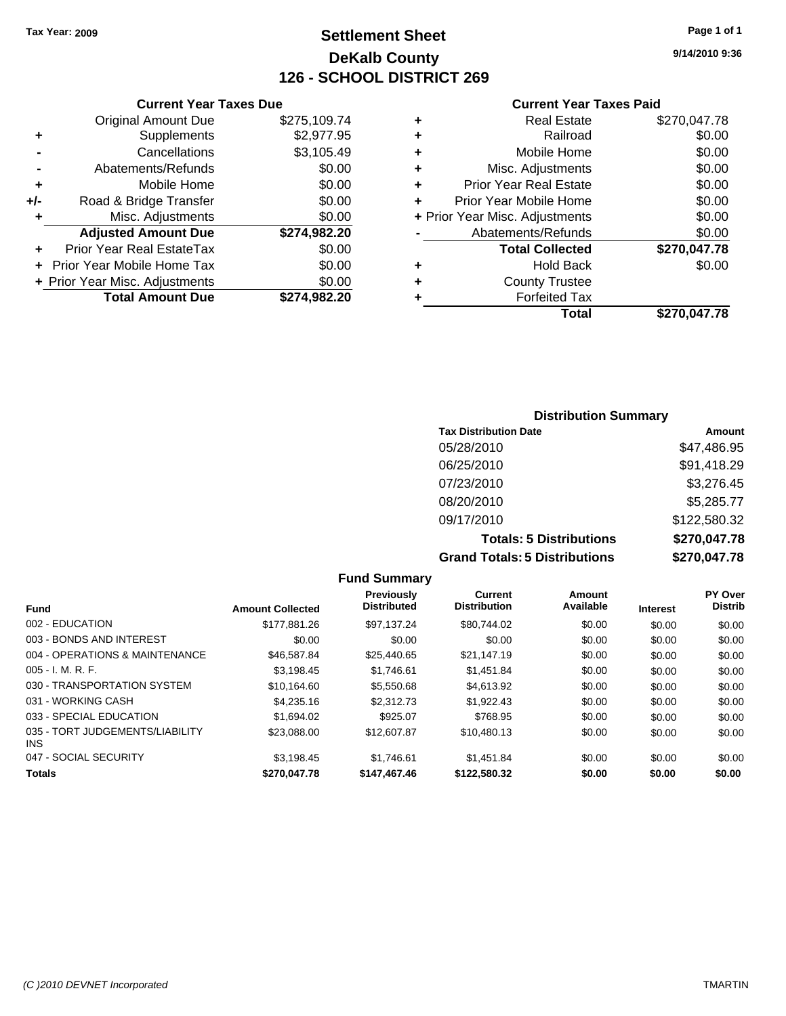## **Settlement Sheet Tax Year: 2009 Page 1 of 1 DeKalb County 126 - SCHOOL DISTRICT 269**

**9/14/2010 9:36**

#### **Current Year Taxes Paid**

|   | Total                          | \$270.047.78 |
|---|--------------------------------|--------------|
|   | <b>Forfeited Tax</b>           |              |
| ٠ | <b>County Trustee</b>          |              |
| ٠ | <b>Hold Back</b>               | \$0.00       |
|   | <b>Total Collected</b>         | \$270,047.78 |
|   | Abatements/Refunds             | \$0.00       |
|   | + Prior Year Misc. Adjustments | \$0.00       |
| ÷ | Prior Year Mobile Home         | \$0.00       |
| ٠ | <b>Prior Year Real Estate</b>  | \$0.00       |
| ÷ | Misc. Adjustments              | \$0.00       |
| ÷ | Mobile Home                    | \$0.00       |
| ٠ | Railroad                       | \$0.00       |
| ٠ | <b>Real Estate</b>             | \$270,047.78 |

### **Distribution Summary Tax Distribution Date Amount** 05/28/2010 \$47,486.95 06/25/2010 \$91,418.29 07/23/2010 \$3,276.45 08/20/2010 \$5,285.77 09/17/2010 \$122,580.32 **Totals: 5 Distributions \$270,047.78 Grand Totals: 5 Distributions \$270,047.78**

**Fund Summary Fund Interest Amount Collected Distributed PY Over Distrib Amount Available Current Distribution Previously** 002 - EDUCATION \$177,881.26 \$97,137.24 \$80,744.02 \$0.00 \$0.00 \$0.00 003 - BONDS AND INTEREST  $$0.00$   $$0.00$   $$0.00$   $$0.00$   $$0.00$   $$0.00$   $$0.00$   $$0.00$ 004 - OPERATIONS & MAINTENANCE \$46,587.84 \$25,440.65 \$21,147.19 \$0.00 \$0.00 \$0.00 005 - I. M. R. F. \$3,198.45 \$1,746.61 \$1,451.84 \$0.00 \$0.00 \$0.00 030 - TRANSPORTATION SYSTEM \$10,164.60 \$5,550.68 \$4,613.92 \$0.00 \$0.00 \$0.00 \$0.00 031 - WORKING CASH \$4,235.16 \$2,312.73 \$1,922.43 \$0.00 \$0.00 \$0.00 \$0.00 \$0.00 \$0.00 \$0.00 \$0.00 \$0.00 \$0.00 \$0.00 033 - SPECIAL EDUCATION \$1,694.02 \$1,694.02 \$925.07 \$768.95 \$0.00 \$0.00 \$0.00 \$0.00 035 - TORT JUDGEMENTS/LIABILITY INS \$23,088.00 \$12,607.87 \$10,480.13 \$0.00 \$0.00 \$0.00 047 - SOCIAL SECURITY \$3,198.45 \$1,746.61 \$1,451.84 \$0.00 \$0.00 \$0.00 **Totals \$270,047.78 \$147,467.46 \$122,580.32 \$0.00 \$0.00 \$0.00**

|     | <b>Current Year Taxes Due</b>  |              |  |  |  |
|-----|--------------------------------|--------------|--|--|--|
|     | <b>Original Amount Due</b>     | \$275,109.74 |  |  |  |
| ٠   | Supplements                    | \$2,977.95   |  |  |  |
|     | Cancellations                  | \$3,105.49   |  |  |  |
|     | Abatements/Refunds             | \$0.00       |  |  |  |
| ٠   | Mobile Home                    | \$0.00       |  |  |  |
| +/- | Road & Bridge Transfer         | \$0.00       |  |  |  |
| ٠   | Misc. Adjustments              | \$0.00       |  |  |  |
|     | <b>Adjusted Amount Due</b>     | \$274,982.20 |  |  |  |
|     | Prior Year Real EstateTax      | \$0.00       |  |  |  |
|     | Prior Year Mobile Home Tax     | \$0.00       |  |  |  |
|     | + Prior Year Misc. Adjustments | \$0.00       |  |  |  |
|     | <b>Total Amount Due</b>        | \$274.982.20 |  |  |  |
|     |                                |              |  |  |  |

*(C )2010 DEVNET Incorporated* TMARTIN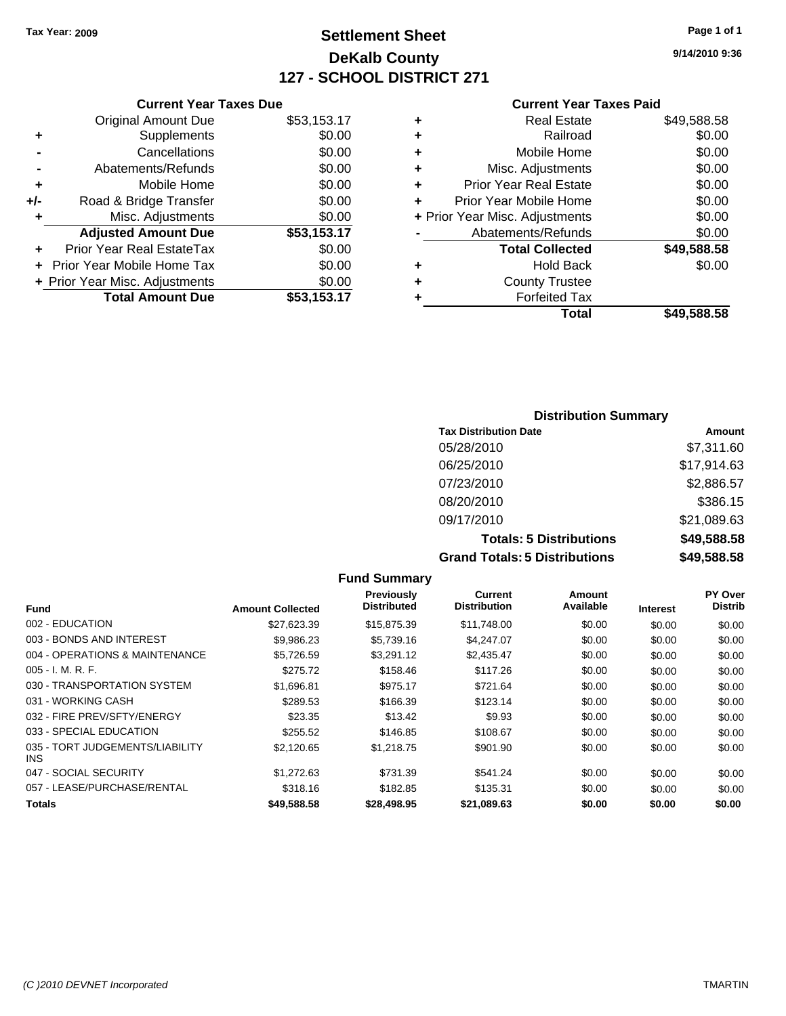### **Settlement Sheet Tax Year: 2009 Page 1 of 1 DeKalb County 127 - SCHOOL DISTRICT 271**

**9/14/2010 9:36**

#### **Current Year Taxes Paid**

|   | Total                          | \$49,588.58 |
|---|--------------------------------|-------------|
| ٠ | <b>Forfeited Tax</b>           |             |
| ٠ | <b>County Trustee</b>          |             |
| ÷ | <b>Hold Back</b>               | \$0.00      |
|   | <b>Total Collected</b>         | \$49,588.58 |
|   | Abatements/Refunds             | \$0.00      |
|   | + Prior Year Misc. Adjustments | \$0.00      |
| ÷ | Prior Year Mobile Home         | \$0.00      |
| ÷ | <b>Prior Year Real Estate</b>  | \$0.00      |
| ÷ | Misc. Adjustments              | \$0.00      |
| ÷ | Mobile Home                    | \$0.00      |
| ٠ | Railroad                       | \$0.00      |
| ٠ | Real Estate                    | \$49,588.58 |
|   |                                |             |

|     | Cancellations                  | \$0.00      |
|-----|--------------------------------|-------------|
|     | Abatements/Refunds             | \$0.00      |
| ٠   | Mobile Home                    | \$0.00      |
| +/- | Road & Bridge Transfer         | \$0.00      |
| ÷   | Misc. Adjustments              | \$0.00      |
|     | <b>Adjusted Amount Due</b>     | \$53,153.17 |
|     | Prior Year Real EstateTax      | \$0.00      |
|     | + Prior Year Mobile Home Tax   | \$0.00      |
|     | + Prior Year Misc. Adjustments | \$0.00      |
|     | <b>Total Amount Due</b>        | \$53,153.17 |
|     |                                |             |

**Current Year Taxes Due** Original Amount Due \$53,153.17

**+** Supplements \$0.00

### **Distribution Summary**

| <b>Tax Distribution Date</b>         | Amount      |
|--------------------------------------|-------------|
| 05/28/2010                           | \$7,311.60  |
| 06/25/2010                           | \$17,914.63 |
| 07/23/2010                           | \$2,886.57  |
| 08/20/2010                           | \$386.15    |
| 09/17/2010                           | \$21,089.63 |
| <b>Totals: 5 Distributions</b>       | \$49,588.58 |
| <b>Grand Totals: 5 Distributions</b> | \$49,588.58 |

|                                         |                         | <b>Fund Summary</b>              |                                |                     |                 |                           |
|-----------------------------------------|-------------------------|----------------------------------|--------------------------------|---------------------|-----------------|---------------------------|
| <b>Fund</b>                             | <b>Amount Collected</b> | Previously<br><b>Distributed</b> | Current<br><b>Distribution</b> | Amount<br>Available | <b>Interest</b> | PY Over<br><b>Distrib</b> |
| 002 - EDUCATION                         | \$27,623.39             | \$15,875.39                      | \$11,748.00                    | \$0.00              | \$0.00          | \$0.00                    |
| 003 - BONDS AND INTEREST                | \$9,986.23              | \$5,739.16                       | \$4,247.07                     | \$0.00              | \$0.00          | \$0.00                    |
| 004 - OPERATIONS & MAINTENANCE          | \$5,726.59              | \$3,291.12                       | \$2,435.47                     | \$0.00              | \$0.00          | \$0.00                    |
| $005 - I. M. R. F.$                     | \$275.72                | \$158.46                         | \$117.26                       | \$0.00              | \$0.00          | \$0.00                    |
| 030 - TRANSPORTATION SYSTEM             | \$1,696.81              | \$975.17                         | \$721.64                       | \$0.00              | \$0.00          | \$0.00                    |
| 031 - WORKING CASH                      | \$289.53                | \$166.39                         | \$123.14                       | \$0.00              | \$0.00          | \$0.00                    |
| 032 - FIRE PREV/SFTY/ENERGY             | \$23.35                 | \$13.42                          | \$9.93                         | \$0.00              | \$0.00          | \$0.00                    |
| 033 - SPECIAL EDUCATION                 | \$255.52                | \$146.85                         | \$108.67                       | \$0.00              | \$0.00          | \$0.00                    |
| 035 - TORT JUDGEMENTS/LIABILITY<br>INS. | \$2,120.65              | \$1,218.75                       | \$901.90                       | \$0.00              | \$0.00          | \$0.00                    |
| 047 - SOCIAL SECURITY                   | \$1,272.63              | \$731.39                         | \$541.24                       | \$0.00              | \$0.00          | \$0.00                    |
| 057 - LEASE/PURCHASE/RENTAL             | \$318.16                | \$182.85                         | \$135.31                       | \$0.00              | \$0.00          | \$0.00                    |
| <b>Totals</b>                           | \$49,588.58             | \$28,498.95                      | \$21,089.63                    | \$0.00              | \$0.00          | \$0.00                    |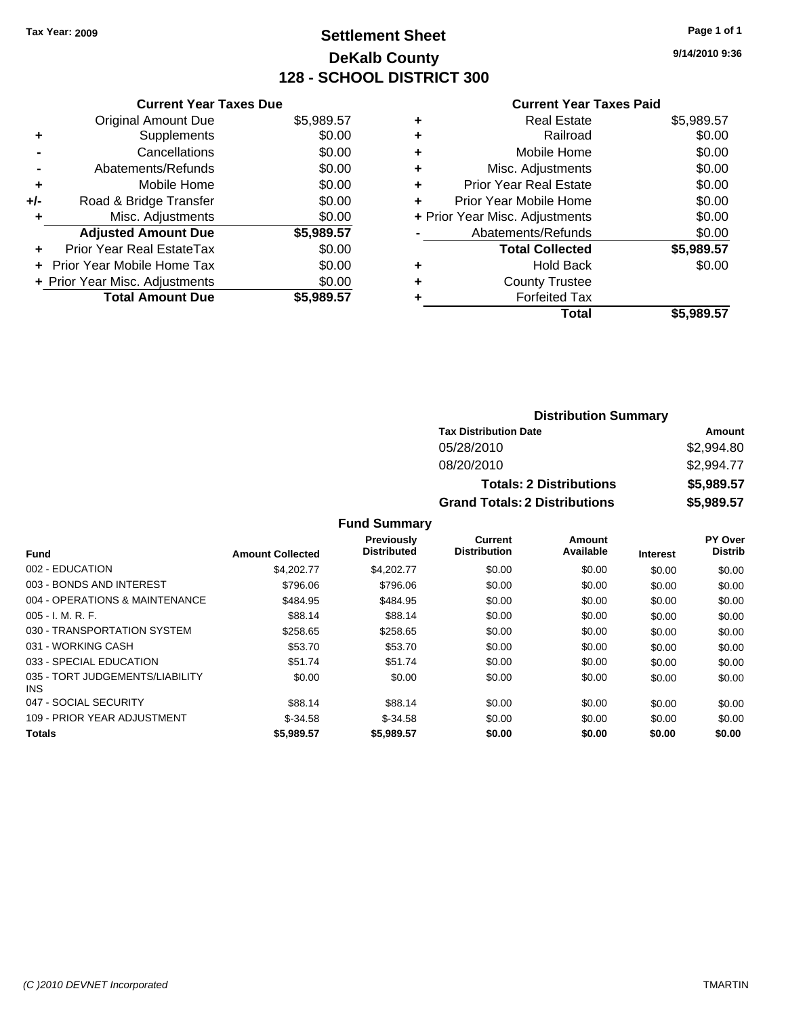### **Settlement Sheet Tax Year: 2009 Page 1 of 1 DeKalb County 128 - SCHOOL DISTRICT 300**

**9/14/2010 9:36**

#### **Current Year Taxes Paid**

|     | <b>Current Year Taxes Due</b>  |            |
|-----|--------------------------------|------------|
|     | <b>Original Amount Due</b>     | \$5,989.57 |
| ÷   | Supplements                    | \$0.00     |
|     | Cancellations                  | \$0.00     |
|     | Abatements/Refunds             | \$0.00     |
| ٠   | Mobile Home                    | \$0.00     |
| +/- | Road & Bridge Transfer         | \$0.00     |
|     | Misc. Adjustments              | \$0.00     |
|     | <b>Adjusted Amount Due</b>     | \$5,989.57 |
| ÷   | Prior Year Real EstateTax      | \$0.00     |
|     | Prior Year Mobile Home Tax     | \$0.00     |
|     | + Prior Year Misc. Adjustments | \$0.00     |
|     | <b>Total Amount Due</b>        | \$5,989,57 |

| \$5,989.57 |
|------------|
| \$0.00     |
| \$0.00     |
| \$0.00     |
| \$0.00     |
| \$0.00     |
| \$0.00     |
| \$0.00     |
| \$5,989.57 |
| \$0.00     |
|            |
|            |
| \$5.989.57 |
|            |

### **Distribution Summary Tax Distribution Date Amount** 05/28/2010 \$2,994.80 08/20/2010 \$2,994.77 **Totals: 2 Distributions \$5,989.57 Grand Totals: 2 Distributions \$5,989.57**

**Fund Summary**

|                                         |                         | <b>Previously</b>  | Current             | Amount    |                 | <b>PY Over</b> |
|-----------------------------------------|-------------------------|--------------------|---------------------|-----------|-----------------|----------------|
| <b>Fund</b>                             | <b>Amount Collected</b> | <b>Distributed</b> | <b>Distribution</b> | Available | <b>Interest</b> | <b>Distrib</b> |
| 002 - EDUCATION                         | \$4,202.77              | \$4,202.77         | \$0.00              | \$0.00    | \$0.00          | \$0.00         |
| 003 - BONDS AND INTEREST                | \$796.06                | \$796.06           | \$0.00              | \$0.00    | \$0.00          | \$0.00         |
| 004 - OPERATIONS & MAINTENANCE          | \$484.95                | \$484.95           | \$0.00              | \$0.00    | \$0.00          | \$0.00         |
| 005 - I. M. R. F.                       | \$88.14                 | \$88.14            | \$0.00              | \$0.00    | \$0.00          | \$0.00         |
| 030 - TRANSPORTATION SYSTEM             | \$258.65                | \$258.65           | \$0.00              | \$0.00    | \$0.00          | \$0.00         |
| 031 - WORKING CASH                      | \$53.70                 | \$53.70            | \$0.00              | \$0.00    | \$0.00          | \$0.00         |
| 033 - SPECIAL EDUCATION                 | \$51.74                 | \$51.74            | \$0.00              | \$0.00    | \$0.00          | \$0.00         |
| 035 - TORT JUDGEMENTS/LIABILITY<br>INS. | \$0.00                  | \$0.00             | \$0.00              | \$0.00    | \$0.00          | \$0.00         |
| 047 - SOCIAL SECURITY                   | \$88.14                 | \$88.14            | \$0.00              | \$0.00    | \$0.00          | \$0.00         |
| 109 - PRIOR YEAR ADJUSTMENT             | $$-34.58$               | $$-34.58$          | \$0.00              | \$0.00    | \$0.00          | \$0.00         |
| <b>Totals</b>                           | \$5,989.57              | \$5,989.57         | \$0.00              | \$0.00    | \$0.00          | \$0.00         |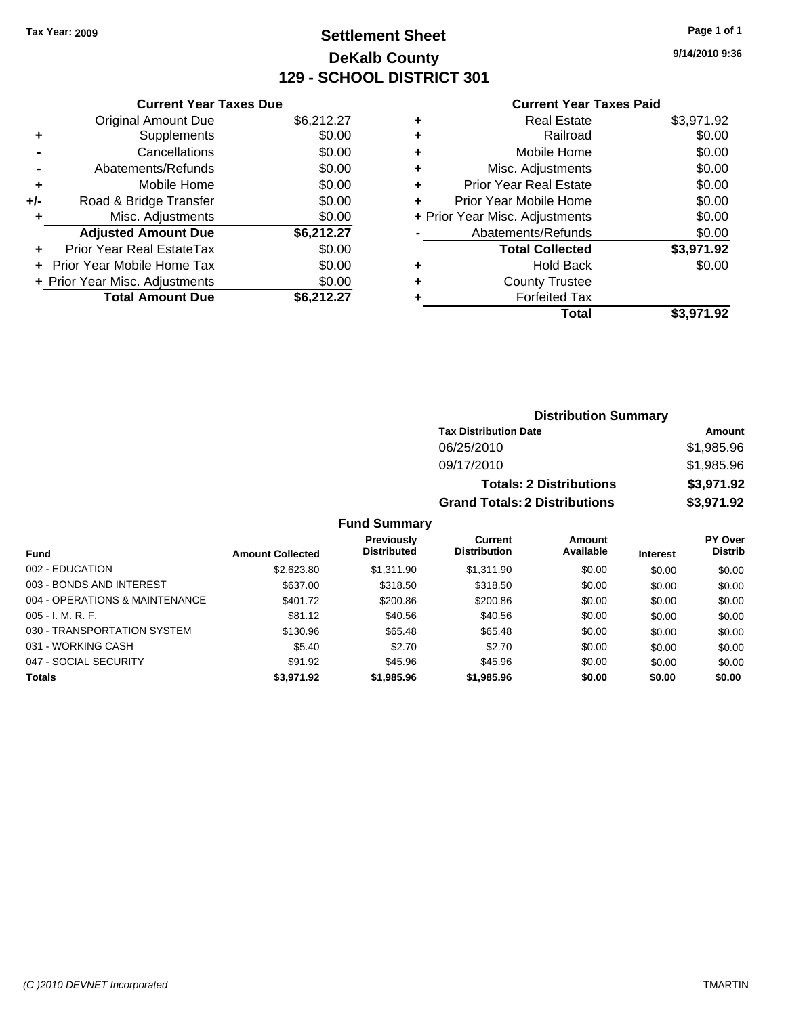### **Settlement Sheet Tax Year: 2009 Page 1 of 1 DeKalb County 129 - SCHOOL DISTRICT 301**

**9/14/2010 9:36**

#### **Current Year Taxes Paid**

| <b>Current Year Taxes Due</b>     |                                |
|-----------------------------------|--------------------------------|
| <b>Original Amount Due</b>        | \$6,212.27                     |
| Supplements                       | \$0.00                         |
| Cancellations                     | \$0.00                         |
| Abatements/Refunds                | \$0.00                         |
| Mobile Home                       | \$0.00                         |
| Road & Bridge Transfer            | \$0.00                         |
| Misc. Adjustments                 | \$0.00                         |
| <b>Adjusted Amount Due</b>        | \$6,212.27                     |
| Prior Year Real EstateTax         | \$0.00                         |
| <b>Prior Year Mobile Home Tax</b> | \$0.00                         |
|                                   | \$0.00                         |
| <b>Total Amount Due</b>           | \$6,212,27                     |
|                                   | + Prior Year Misc. Adjustments |

| <b>Real Estate</b>             | \$3,971.92 |
|--------------------------------|------------|
| Railroad                       | \$0.00     |
| Mobile Home                    | \$0.00     |
| Misc. Adjustments              | \$0.00     |
| <b>Prior Year Real Estate</b>  | \$0.00     |
| Prior Year Mobile Home         | \$0.00     |
| + Prior Year Misc. Adjustments | \$0.00     |
| Abatements/Refunds             | \$0.00     |
| <b>Total Collected</b>         | \$3,971.92 |
| Hold Back                      | \$0.00     |
| <b>County Trustee</b>          |            |
| <b>Forfeited Tax</b>           |            |
| Total                          | \$3,971.92 |
|                                |            |

| <b>Distribution Summary</b>          |            |  |  |  |  |
|--------------------------------------|------------|--|--|--|--|
| <b>Tax Distribution Date</b>         | Amount     |  |  |  |  |
| 06/25/2010                           | \$1,985.96 |  |  |  |  |
| 09/17/2010                           | \$1,985.96 |  |  |  |  |
| <b>Totals: 2 Distributions</b>       | \$3,971.92 |  |  |  |  |
| <b>Grand Totals: 2 Distributions</b> | \$3,971.92 |  |  |  |  |

**Fund Summary**

|                                |                         | <b>Previously</b>  | Current             | Amount    |                 | <b>PY Over</b> |
|--------------------------------|-------------------------|--------------------|---------------------|-----------|-----------------|----------------|
| Fund                           | <b>Amount Collected</b> | <b>Distributed</b> | <b>Distribution</b> | Available | <b>Interest</b> | <b>Distrib</b> |
| 002 - EDUCATION                | \$2,623.80              | \$1,311.90         | \$1,311.90          | \$0.00    | \$0.00          | \$0.00         |
| 003 - BONDS AND INTEREST       | \$637.00                | \$318.50           | \$318.50            | \$0.00    | \$0.00          | \$0.00         |
| 004 - OPERATIONS & MAINTENANCE | \$401.72                | \$200.86           | \$200.86            | \$0.00    | \$0.00          | \$0.00         |
| $005 - I. M. R. F.$            | \$81.12                 | \$40.56            | \$40.56             | \$0.00    | \$0.00          | \$0.00         |
| 030 - TRANSPORTATION SYSTEM    | \$130.96                | \$65.48            | \$65.48             | \$0.00    | \$0.00          | \$0.00         |
| 031 - WORKING CASH             | \$5.40                  | \$2.70             | \$2.70              | \$0.00    | \$0.00          | \$0.00         |
| 047 - SOCIAL SECURITY          | \$91.92                 | \$45.96            | \$45.96             | \$0.00    | \$0.00          | \$0.00         |
| <b>Totals</b>                  | \$3,971.92              | \$1,985.96         | \$1,985.96          | \$0.00    | \$0.00          | \$0.00         |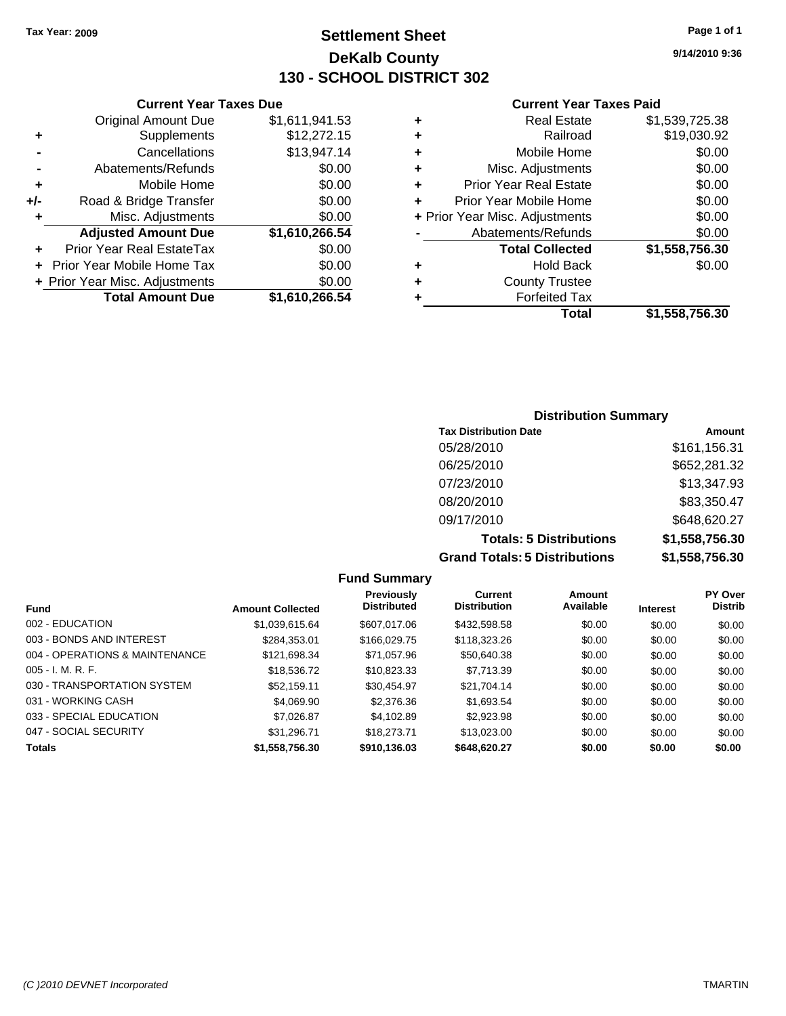**Current Year Taxes Due** Original Amount Due \$1,611,941.53

**Adjusted Amount Due \$1,610,266.54**

**Total Amount Due \$1,610,266.54**

**+** Supplements \$12,272.15 **-** Cancellations \$13,947.14 **-** Abatements/Refunds **\$0.00 +** Mobile Home \$0.00 **+/-** Road & Bridge Transfer \$0.00 **+** Misc. Adjustments \$0.00

**+** Prior Year Real EstateTax \$0.00 **+** Prior Year Mobile Home Tax \$0.00 **+ Prior Year Misc. Adjustments**  $$0.00$ 

### **Settlement Sheet Tax Year: 2009 Page 1 of 1 DeKalb County 130 - SCHOOL DISTRICT 302**

**9/14/2010 9:36**

#### **Current Year Taxes Paid**

|   | Total                          | \$1,558,756.30 |
|---|--------------------------------|----------------|
|   | <b>Forfeited Tax</b>           |                |
| ٠ | <b>County Trustee</b>          |                |
| ٠ | <b>Hold Back</b>               | \$0.00         |
|   | <b>Total Collected</b>         | \$1,558,756.30 |
|   | Abatements/Refunds             | \$0.00         |
|   | + Prior Year Misc. Adjustments | \$0.00         |
| ÷ | Prior Year Mobile Home         | \$0.00         |
| ٠ | <b>Prior Year Real Estate</b>  | \$0.00         |
| ٠ | Misc. Adjustments              | \$0.00         |
| ÷ | Mobile Home                    | \$0.00         |
| ٠ | Railroad                       | \$19,030.92    |
| ÷ | <b>Real Estate</b>             | \$1,539,725.38 |

### **Distribution Summary Tax Distribution Date Amount**  $05/28/2010$   $0.5/28/2010$

| <b>Grand Totals: 5 Distributions</b> | \$1,558,756.30 |
|--------------------------------------|----------------|
| <b>Totals: 5 Distributions</b>       | \$1,558,756.30 |
| 09/17/2010                           | \$648,620.27   |
| 08/20/2010                           | \$83,350.47    |
| 07/23/2010                           | \$13,347.93    |
| 06/25/2010                           | \$652,281.32   |
| U5/28/2010                           | 3101, 150.31   |

#### **Fund Summary Fund Interest Amount Collected Distributed PY Over Distrib Amount Available Current Distribution Previously** 002 - EDUCATION \$1,039,615.64 \$607,017.06 \$432,598.58 \$0.00 \$0.00 \$0.00 003 - BONDS AND INTEREST 6284,353.01 \$166,029.75 \$118,323.26 \$0.00 \$0.00 \$0.00 004 - OPERATIONS & MAINTENANCE \$121,698.34 \$71,057.96 \$50,640.38 \$0.00 \$0.00 \$0.00 005 - I. M. R. F. \$18,536.72 \$10,823.33 \$7,713.39 \$0.00 \$0.00 \$0.00 030 - TRANSPORTATION SYSTEM \$52,159.11 \$30,454.97 \$21,704.14 \$0.00 \$0.00 \$0.00 031 - WORKING CASH \$4,069.90 \$2,376.36 \$1,693.54 \$0.00 \$0.00 \$0.00 \$0.00 \$0.00 \$0.00 \$0.00 \$0.00 033 - SPECIAL EDUCATION \$ \$7,026.87 \$4,102.89 \$2,923.98 \$0.00 \$0.00 \$0.00 \$0.00 047 - SOCIAL SECURITY \$31,296.71 \$18,273.71 \$13,023.00 \$0.00 \$0.00 \$0.00 **Totals \$1,558,756.30 \$910,136.03 \$648,620.27 \$0.00 \$0.00 \$0.00**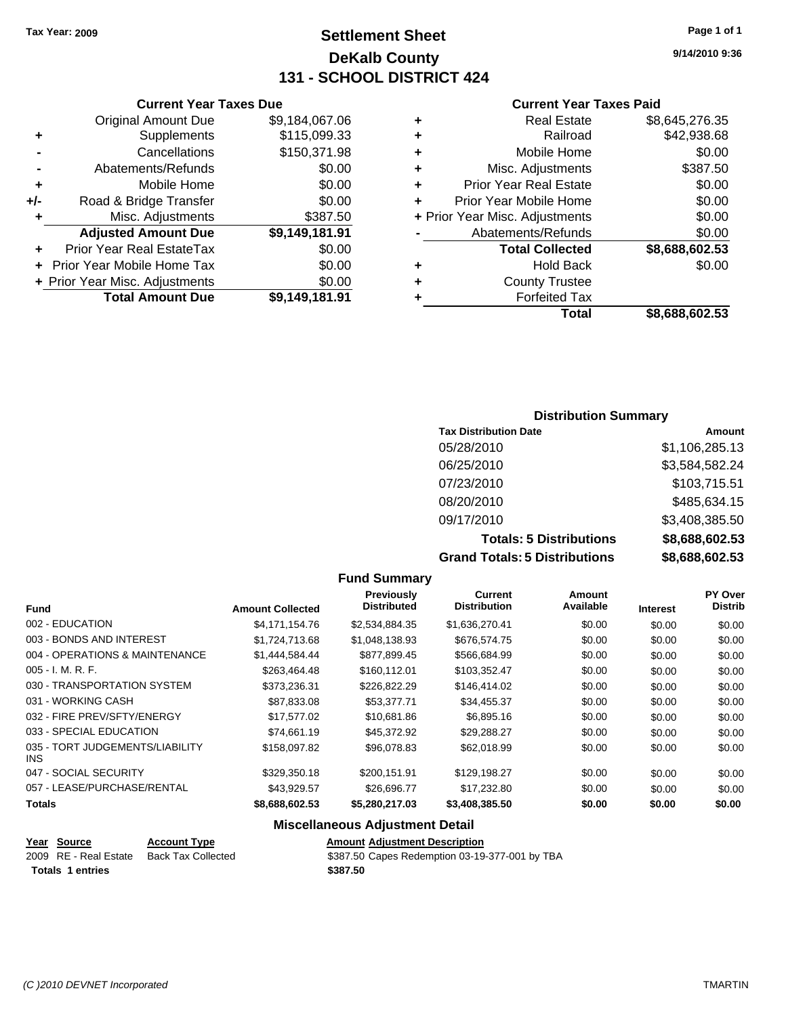### **Settlement Sheet Tax Year: 2009 Page 1 of 1 DeKalb County 131 - SCHOOL DISTRICT 424**

#### **Current Year Taxes Due**

|     | <b>Original Amount Due</b>        | \$9,184,067.06 |
|-----|-----------------------------------|----------------|
| ٠   | Supplements                       | \$115,099.33   |
|     | Cancellations                     | \$150,371.98   |
|     | Abatements/Refunds                | \$0.00         |
| ٠   | Mobile Home                       | \$0.00         |
| +/- | Road & Bridge Transfer            | \$0.00         |
| ٠   | Misc. Adjustments                 | \$387.50       |
|     | <b>Adjusted Amount Due</b>        | \$9,149,181.91 |
|     | Prior Year Real EstateTax         | \$0.00         |
|     | <b>Prior Year Mobile Home Tax</b> | \$0.00         |
|     | + Prior Year Misc. Adjustments    | \$0.00         |
|     | <b>Total Amount Due</b>           | \$9,149,181.91 |

#### **Current Year Taxes Paid**

|   | <b>Real Estate</b>             | \$8,645,276.35 |
|---|--------------------------------|----------------|
| ٠ | Railroad                       | \$42,938.68    |
| ٠ | Mobile Home                    | \$0.00         |
| ٠ | Misc. Adjustments              | \$387.50       |
| ٠ | <b>Prior Year Real Estate</b>  | \$0.00         |
|   | Prior Year Mobile Home         | \$0.00         |
|   | + Prior Year Misc. Adjustments | \$0.00         |
|   | Abatements/Refunds             | \$0.00         |
|   | <b>Total Collected</b>         | \$8,688,602.53 |
| ٠ | Hold Back                      | \$0.00         |
| ٠ | <b>County Trustee</b>          |                |
|   | <b>Forfeited Tax</b>           |                |
|   | Total                          | \$8,688,602.53 |
|   |                                |                |

#### **Distribution Summary**

| <b>Tax Distribution Date</b>         | Amount         |
|--------------------------------------|----------------|
| 05/28/2010                           | \$1,106,285.13 |
| 06/25/2010                           | \$3,584,582.24 |
| 07/23/2010                           | \$103,715.51   |
| 08/20/2010                           | \$485,634.15   |
| 09/17/2010                           | \$3,408,385.50 |
| <b>Totals: 5 Distributions</b>       | \$8,688,602.53 |
| <b>Grand Totals: 5 Distributions</b> | \$8,688,602.53 |

#### **Fund Summary Fund Interest Amount Collected Distributed PY Over Distrib Amount Available Current Distribution Previously** 002 - EDUCATION \$4,171,154.76 \$2,534,884.35 \$1,636,270.41 \$0.00 \$0.00 \$0.00 003 - BONDS AND INTEREST \$1,724,713.68 \$1,048,138.93 \$676,574.75 \$0.00 \$0.00 \$0.00 004 - OPERATIONS & MAINTENANCE \$1,444,584.44 \$877,899.45 \$566,684.99 \$0.00 \$0.00 \$0.00 005 - I. M. R. F. \$263,464.48 \$160,112.01 \$103,352.47 \$0.00 \$0.00 \$0.00 030 - TRANSPORTATION SYSTEM \$373,236.31 \$226,822.29 \$146,414.02 \$0.00 \$0.00 \$0.00 031 - WORKING CASH \$87,833.08 \$53,377.71 \$34,455.37 \$0.00 \$0.00 \$0.00 \$0.00 \$0.00 \$0.00 \$0.00 \$0.00 \$0 032 - FIRE PREV/SFTY/ENERGY **\$17,577.02** \$10,681.86 \$6,895.16 \$0.00 \$0.00 \$0.00 033 - SPECIAL EDUCATION 60.00 \$74,661.19 \$45,372.92 \$29,288.27 \$0.00 \$0.00 \$0.00 035 - TORT JUDGEMENTS/LIABILITY INS  $$158,097.82$   $$96,078.83$   $$62,018.99$   $$0.00$   $$0.00$   $$0.00$ 047 - SOCIAL SECURITY 60.00 \$329,350.18 \$200,151.91 \$129,198.27 \$0.00 \$0.00 \$0.00 057 - LEASE/PURCHASE/RENTAL  $$43,929.57$   $$26,696.77$   $$17,232.80$   $$0.00$   $$0.00$   $$0.00$ **Totals \$8,688,602.53 \$5,280,217.03 \$3,408,385.50 \$0.00 \$0.00 \$0.00 Miscellaneous Adjustment Detail**

**Totals \$387.50 1 entries**

**Year Source Account Type Amount Adjustment Description** Back Tax Collected **2009** S387.50 Capes Redemption 03-19-377-001 by TBA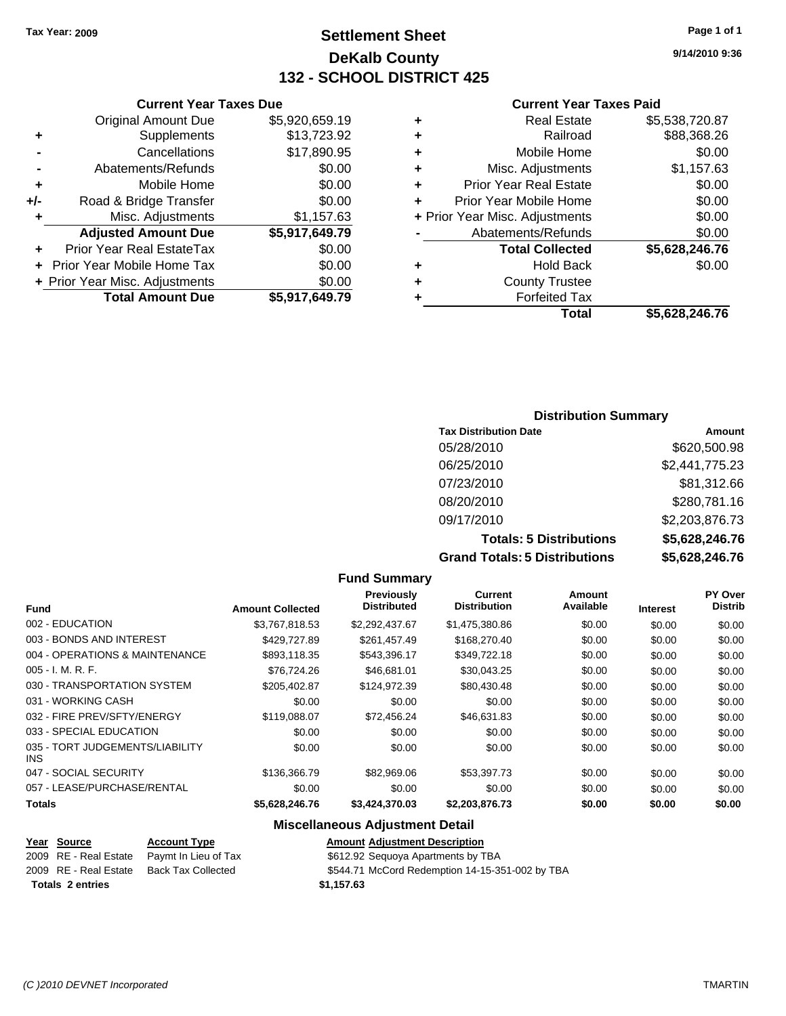### **Settlement Sheet Tax Year: 2009 Page 1 of 1 DeKalb County 132 - SCHOOL DISTRICT 425**

**9/14/2010 9:36**

#### **Current Year Taxes Paid**

| ٠ | <b>Real Estate</b>             | \$5,538,720.87 |
|---|--------------------------------|----------------|
| ٠ | Railroad                       | \$88,368.26    |
| ٠ | Mobile Home                    | \$0.00         |
| ٠ | Misc. Adjustments              | \$1,157.63     |
| ٠ | <b>Prior Year Real Estate</b>  | \$0.00         |
|   | Prior Year Mobile Home         | \$0.00         |
|   | + Prior Year Misc. Adjustments | \$0.00         |
|   | Abatements/Refunds             | \$0.00         |
|   | <b>Total Collected</b>         | \$5,628,246.76 |
| ٠ | <b>Hold Back</b>               | \$0.00         |
| ٠ | <b>County Trustee</b>          |                |
|   | <b>Forfeited Tax</b>           |                |
|   | Total                          | \$5,628,246.76 |

|     | <b>Current Year Taxes Due</b>    |                |
|-----|----------------------------------|----------------|
|     | <b>Original Amount Due</b>       | \$5,920,659.19 |
| ٠   | Supplements                      | \$13,723.92    |
|     | Cancellations                    | \$17,890.95    |
|     | Abatements/Refunds               | \$0.00         |
| ٠   | Mobile Home                      | \$0.00         |
| +/- | Road & Bridge Transfer           | \$0.00         |
| ٠   | Misc. Adjustments                | \$1,157.63     |
|     | <b>Adjusted Amount Due</b>       | \$5,917,649.79 |
|     | <b>Prior Year Real EstateTax</b> | \$0.00         |
|     | Prior Year Mobile Home Tax       | \$0.00         |
|     | + Prior Year Misc. Adjustments   | \$0.00         |
|     | <b>Total Amount Due</b>          | \$5,917,649.79 |

### **Distribution Summary**

| <b>Tax Distribution Date</b>         | Amount         |
|--------------------------------------|----------------|
| 05/28/2010                           | \$620,500.98   |
| 06/25/2010                           | \$2,441,775.23 |
| 07/23/2010                           | \$81,312.66    |
| 08/20/2010                           | \$280,781.16   |
| 09/17/2010                           | \$2,203,876.73 |
| <b>Totals: 5 Distributions</b>       | \$5,628,246.76 |
| <b>Grand Totals: 5 Distributions</b> | \$5,628,246.76 |

|                                         |                         | <b>Fund Summary</b>                     |                                |                            |                 |                                  |
|-----------------------------------------|-------------------------|-----------------------------------------|--------------------------------|----------------------------|-----------------|----------------------------------|
| <b>Fund</b>                             | <b>Amount Collected</b> | <b>Previously</b><br><b>Distributed</b> | Current<br><b>Distribution</b> | <b>Amount</b><br>Available | <b>Interest</b> | <b>PY Over</b><br><b>Distrib</b> |
| 002 - EDUCATION                         | \$3,767,818.53          | \$2,292,437.67                          | \$1,475,380.86                 | \$0.00                     | \$0.00          | \$0.00                           |
| 003 - BONDS AND INTEREST                | \$429,727.89            | \$261,457.49                            | \$168,270.40                   | \$0.00                     | \$0.00          | \$0.00                           |
| 004 - OPERATIONS & MAINTENANCE          | \$893,118.35            | \$543,396.17                            | \$349,722.18                   | \$0.00                     | \$0.00          | \$0.00                           |
| $005 - I. M. R. F.$                     | \$76.724.26             | \$46.681.01                             | \$30,043.25                    | \$0.00                     | \$0.00          | \$0.00                           |
| 030 - TRANSPORTATION SYSTEM             | \$205.402.87            | \$124.972.39                            | \$80,430.48                    | \$0.00                     | \$0.00          | \$0.00                           |
| 031 - WORKING CASH                      | \$0.00                  | \$0.00                                  | \$0.00                         | \$0.00                     | \$0.00          | \$0.00                           |
| 032 - FIRE PREV/SFTY/ENERGY             | \$119,088.07            | \$72,456.24                             | \$46,631.83                    | \$0.00                     | \$0.00          | \$0.00                           |
| 033 - SPECIAL EDUCATION                 | \$0.00                  | \$0.00                                  | \$0.00                         | \$0.00                     | \$0.00          | \$0.00                           |
| 035 - TORT JUDGEMENTS/LIABILITY<br>INS. | \$0.00                  | \$0.00                                  | \$0.00                         | \$0.00                     | \$0.00          | \$0.00                           |
| 047 - SOCIAL SECURITY                   | \$136,366.79            | \$82,969.06                             | \$53,397.73                    | \$0.00                     | \$0.00          | \$0.00                           |
| 057 - LEASE/PURCHASE/RENTAL             | \$0.00                  | \$0.00                                  | \$0.00                         | \$0.00                     | \$0.00          | \$0.00                           |
| <b>Totals</b>                           | \$5,628,246.76          | \$3,424,370.03                          | \$2,203,876.73                 | \$0.00                     | \$0.00          | \$0.00                           |
|                                         |                         | Miccellenseus Adjustment Deteil         |                                |                            |                 |                                  |

#### **Miscellaneous Adjustment Detail**

| Year Source             | <b>Account Type</b>  | <b>Amount Adjustment Description</b>            |
|-------------------------|----------------------|-------------------------------------------------|
| 2009 RE - Real Estate   | Pavmt In Lieu of Tax | \$612.92 Sequoya Apartments by TBA              |
| 2009 RE - Real Estate   | Back Tax Collected   | \$544.71 McCord Redemption 14-15-351-002 by TBA |
| <b>Totals 2 entries</b> |                      | \$1.157.63                                      |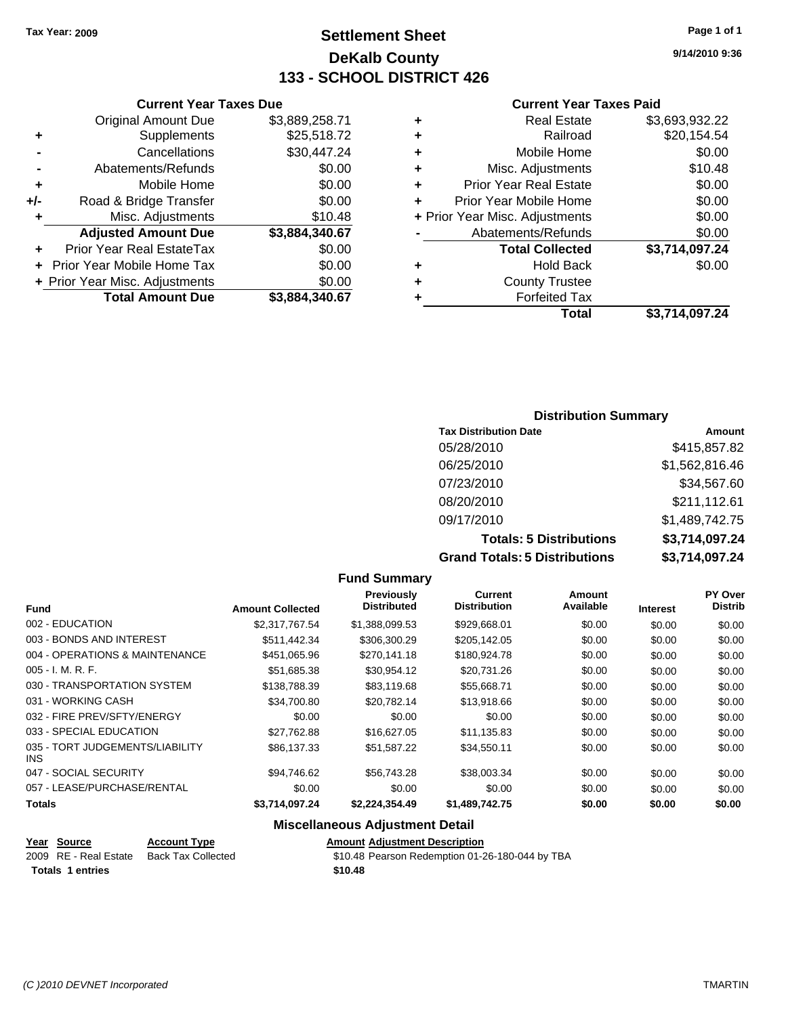### **Settlement Sheet Tax Year: 2009 Page 1 of 1 DeKalb County 133 - SCHOOL DISTRICT 426**

**9/14/2010 9:36**

#### **Current Year Taxes Paid**

|   | <b>Real Estate</b>             | \$3,693,932.22 |
|---|--------------------------------|----------------|
|   | Railroad                       | \$20,154.54    |
| ٠ | Mobile Home                    | \$0.00         |
| ٠ | Misc. Adjustments              | \$10.48        |
| ٠ | <b>Prior Year Real Estate</b>  | \$0.00         |
|   | Prior Year Mobile Home         | \$0.00         |
|   | + Prior Year Misc. Adjustments | \$0.00         |
|   | Abatements/Refunds             | \$0.00         |
|   | <b>Total Collected</b>         | \$3,714,097.24 |
| ٠ | <b>Hold Back</b>               | \$0.00         |
| ٠ | <b>County Trustee</b>          |                |
|   | <b>Forfeited Tax</b>           |                |
|   | Total                          | \$3,714,097.24 |

#### **Current Year Taxes Due** Original Amount Due \$3,889,258.71 **+** Supplements \$25,518.72 **-** Cancellations \$30,447.24 **-** Abatements/Refunds **\$0.00 +** Mobile Home \$0.00 **+/-** Road & Bridge Transfer \$0.00 **+** Misc. Adjustments \$10.48 **Adjusted Amount Due \$3,884,340.67 +** Prior Year Real EstateTax \$0.00 **+** Prior Year Mobile Home Tax \$0.00

**+ Prior Year Misc. Adjustments**  $$0.00$ 

**Total Amount Due \$3,884,340.67**

#### **Distribution Summary**

| <b>Tax Distribution Date</b>         | Amount         |
|--------------------------------------|----------------|
| 05/28/2010                           | \$415,857.82   |
| 06/25/2010                           | \$1,562,816.46 |
| 07/23/2010                           | \$34,567.60    |
| 08/20/2010                           | \$211,112.61   |
| 09/17/2010                           | \$1,489,742.75 |
| <b>Totals: 5 Distributions</b>       | \$3,714,097.24 |
| <b>Grand Totals: 5 Distributions</b> | \$3,714,097.24 |

#### **Fund Summary Fund Interest Amount Collected Distributed PY Over Distrib Amount Available Current Distribution Previously** 002 - EDUCATION \$2,317,767.54 \$1,388,099.53 \$929,668.01 \$0.00 \$0.00 \$0.00 003 - BONDS AND INTEREST  $$511,442.34$   $$306,300.29$   $$205,142.05$   $$0.00$   $$0.00$   $$0.00$ 004 - OPERATIONS & MAINTENANCE \$451,065.96 \$270,141.18 \$180,924.78 \$0.00 \$0.00 \$0.00 005 - I. M. R. F. \$51,685.38 \$30,954.12 \$20,731.26 \$0.00 \$0.00 \$0.00 030 - TRANSPORTATION SYSTEM \$138,788.39 \$83,119.68 \$55,668.71 \$0.00 \$0.00 \$0.00 031 - WORKING CASH \$34,700.80 \$20,782.14 \$13,918.66 \$0.00 \$0.00 \$0.00 \$0.00 \$0.00 \$0.00 \$0.00 \$0.00 \$0.00 \$0.00 \$0.0 032 - FIRE PREV/SFTY/ENERGY \$0.00 \$0.00 \$0.00 \$0.00 \$0.00 \$0.00 033 - SPECIAL EDUCATION 627.762.88 \$16.627.05 \$11.135.83 \$0.00 \$0.00 \$0.00 \$0.00 035 - TORT JUDGEMENTS/LIABILITY INS \$86,137.33 \$51,587.22 \$34,550.11 \$0.00 \$0.00 \$0.00 047 - SOCIAL SECURITY \$94,746.62 \$56,743.28 \$38,003.34 \$0.00 \$0.00 \$0.00 057 - LEASE/PURCHASE/RENTAL  $$0.00$   $$0.00$   $$0.00$   $$0.00$   $$0.00$   $$0.00$   $$0.00$   $$0.00$ **Totals \$3,714,097.24 \$2,224,354.49 \$1,489,742.75 \$0.00 \$0.00 \$0.00 Miscellaneous Adjustment Detail**

**Year Source Account Type Amount Adjustment Description** Back Tax Collected **2009 S10.48 Pearson Redemption 01-26-180-044 by TBA Totals \$10.48 1 entries**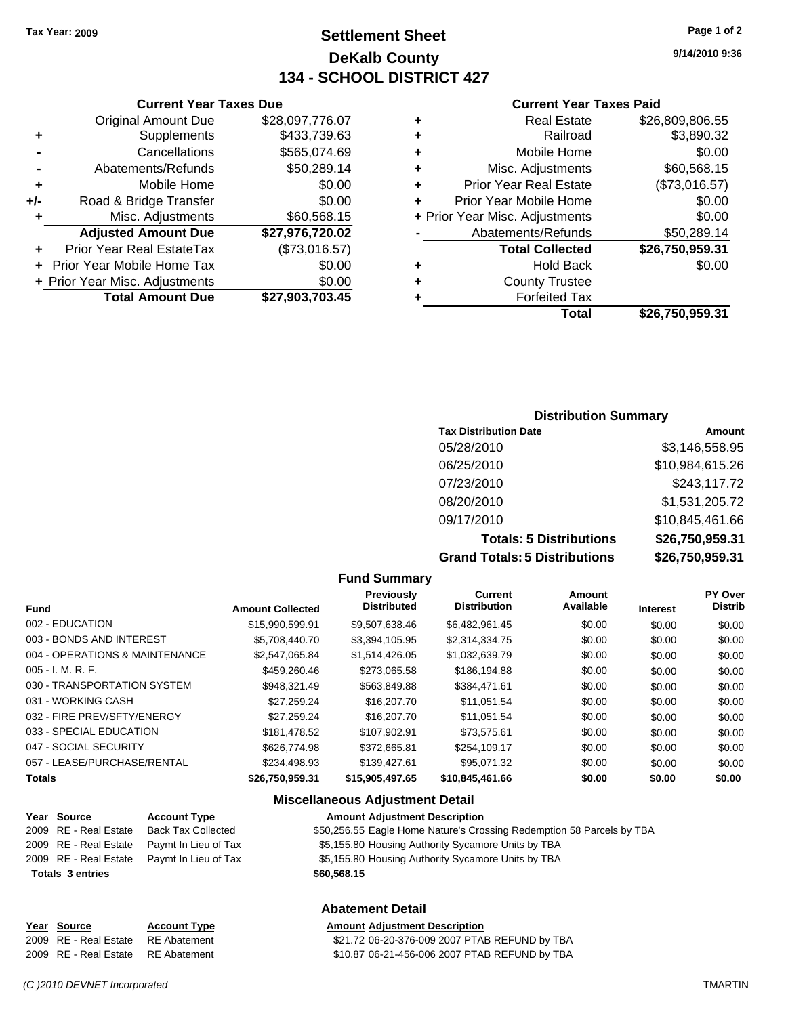### **Settlement Sheet Tax Year: 2009 Page 1 of 2 DeKalb County 134 - SCHOOL DISTRICT 427**

**9/14/2010 9:36**

#### **Current Year Taxes Paid**

|   | Total                          | \$26,750,959.31 |
|---|--------------------------------|-----------------|
|   | <b>Forfeited Tax</b>           |                 |
| ٠ | <b>County Trustee</b>          |                 |
| ٠ | <b>Hold Back</b>               | \$0.00          |
|   | <b>Total Collected</b>         | \$26,750,959.31 |
|   | Abatements/Refunds             | \$50,289.14     |
|   | + Prior Year Misc. Adjustments | \$0.00          |
| ٠ | Prior Year Mobile Home         | \$0.00          |
| ٠ | <b>Prior Year Real Estate</b>  | (\$73,016.57)   |
| ٠ | Misc. Adjustments              | \$60,568.15     |
| ٠ | Mobile Home                    | \$0.00          |
| ٠ | Railroad                       | \$3,890.32      |
| ٠ | <b>Real Estate</b>             | \$26,809,806.55 |
|   |                                |                 |

|     | <b>Current Year Taxes Due</b>     |                 |  |  |
|-----|-----------------------------------|-----------------|--|--|
|     | <b>Original Amount Due</b>        | \$28,097,776.07 |  |  |
| ٠   | Supplements                       | \$433,739.63    |  |  |
|     | Cancellations                     | \$565,074.69    |  |  |
|     | Abatements/Refunds                | \$50,289.14     |  |  |
| ٠   | Mobile Home                       | \$0.00          |  |  |
| +/- | Road & Bridge Transfer            | \$0.00          |  |  |
| ٠   | Misc. Adjustments                 | \$60,568.15     |  |  |
|     | <b>Adjusted Amount Due</b>        | \$27,976,720.02 |  |  |
|     | Prior Year Real EstateTax         | (\$73,016.57)   |  |  |
|     | <b>Prior Year Mobile Home Tax</b> | \$0.00          |  |  |
|     | + Prior Year Misc. Adjustments    | \$0.00          |  |  |
|     | <b>Total Amount Due</b>           | \$27.903.703.45 |  |  |

#### **Distribution Summary**

| <b>Tax Distribution Date</b>         | Amount          |
|--------------------------------------|-----------------|
| 05/28/2010                           | \$3,146,558.95  |
| 06/25/2010                           | \$10,984,615.26 |
| 07/23/2010                           | \$243,117.72    |
| 08/20/2010                           | \$1,531,205.72  |
| 09/17/2010                           | \$10,845,461.66 |
| <b>Totals: 5 Distributions</b>       | \$26,750,959.31 |
| <b>Grand Totals: 5 Distributions</b> | \$26,750,959.31 |

#### **Fund Summary**

|                                |                         | .                                       |                                       |                     |                 |                           |
|--------------------------------|-------------------------|-----------------------------------------|---------------------------------------|---------------------|-----------------|---------------------------|
| <b>Fund</b>                    | <b>Amount Collected</b> | <b>Previously</b><br><b>Distributed</b> | <b>Current</b><br><b>Distribution</b> | Amount<br>Available | <b>Interest</b> | PY Over<br><b>Distrib</b> |
| 002 - EDUCATION                | \$15.990.599.91         | \$9.507.638.46                          | \$6.482,961.45                        | \$0.00              | \$0.00          | \$0.00                    |
| 003 - BONDS AND INTEREST       | \$5.708.440.70          | \$3,394,105.95                          | \$2,314,334.75                        | \$0.00              | \$0.00          | \$0.00                    |
| 004 - OPERATIONS & MAINTENANCE | \$2.547.065.84          | \$1,514,426.05                          | \$1,032,639.79                        | \$0.00              | \$0.00          | \$0.00                    |
| $005 - I. M. R. F.$            | \$459,260.46            | \$273,065.58                            | \$186,194.88                          | \$0.00              | \$0.00          | \$0.00                    |
| 030 - TRANSPORTATION SYSTEM    | \$948.321.49            | \$563.849.88                            | \$384,471.61                          | \$0.00              | \$0.00          | \$0.00                    |
| 031 - WORKING CASH             | \$27.259.24             | \$16,207.70                             | \$11,051.54                           | \$0.00              | \$0.00          | \$0.00                    |
| 032 - FIRE PREV/SFTY/ENERGY    | \$27.259.24             | \$16,207.70                             | \$11.051.54                           | \$0.00              | \$0.00          | \$0.00                    |
| 033 - SPECIAL EDUCATION        | \$181.478.52            | \$107.902.91                            | \$73.575.61                           | \$0.00              | \$0.00          | \$0.00                    |
| 047 - SOCIAL SECURITY          | \$626,774.98            | \$372,665.81                            | \$254,109.17                          | \$0.00              | \$0.00          | \$0.00                    |
| 057 - LEASE/PURCHASE/RENTAL    | \$234.498.93            | \$139,427.61                            | \$95.071.32                           | \$0.00              | \$0.00          | \$0.00                    |
| <b>Totals</b>                  | \$26,750,959.31         | \$15,905,497.65                         | \$10,845,461.66                       | \$0.00              | \$0.00          | \$0.00                    |

#### **Miscellaneous Adjustment Detail**

**Abatement Detail**

| <u>Year Source</u>      | <b>Account Type</b>       | <b>Amount Adjustment Description</b>                                  |
|-------------------------|---------------------------|-----------------------------------------------------------------------|
| 2009 RE - Real Estate   | <b>Back Tax Collected</b> | \$50,256.55 Eagle Home Nature's Crossing Redemption 58 Parcels by TBA |
| 2009 RE - Real Estate   | Paymt In Lieu of Tax      | \$5,155.80 Housing Authority Sycamore Units by TBA                    |
| 2009 RE - Real Estate   | Paymt In Lieu of Tax      | \$5,155.80 Housing Authority Sycamore Units by TBA                    |
| <b>Totals 3 entries</b> |                           | \$60,568.15                                                           |
|                         |                           |                                                                       |

| Year Source                        | <b>Account Type</b> | <b>Amount Adiustment Description</b>          |
|------------------------------------|---------------------|-----------------------------------------------|
| 2009 RE - Real Estate RE Abatement |                     | \$21.72 06-20-376-009 2007 PTAB REFUND by TBA |
| 2009 RE - Real Estate RE Abatement |                     | \$10.87 06-21-456-006 2007 PTAB REFUND by TBA |

*(C )2010 DEVNET Incorporated* TMARTIN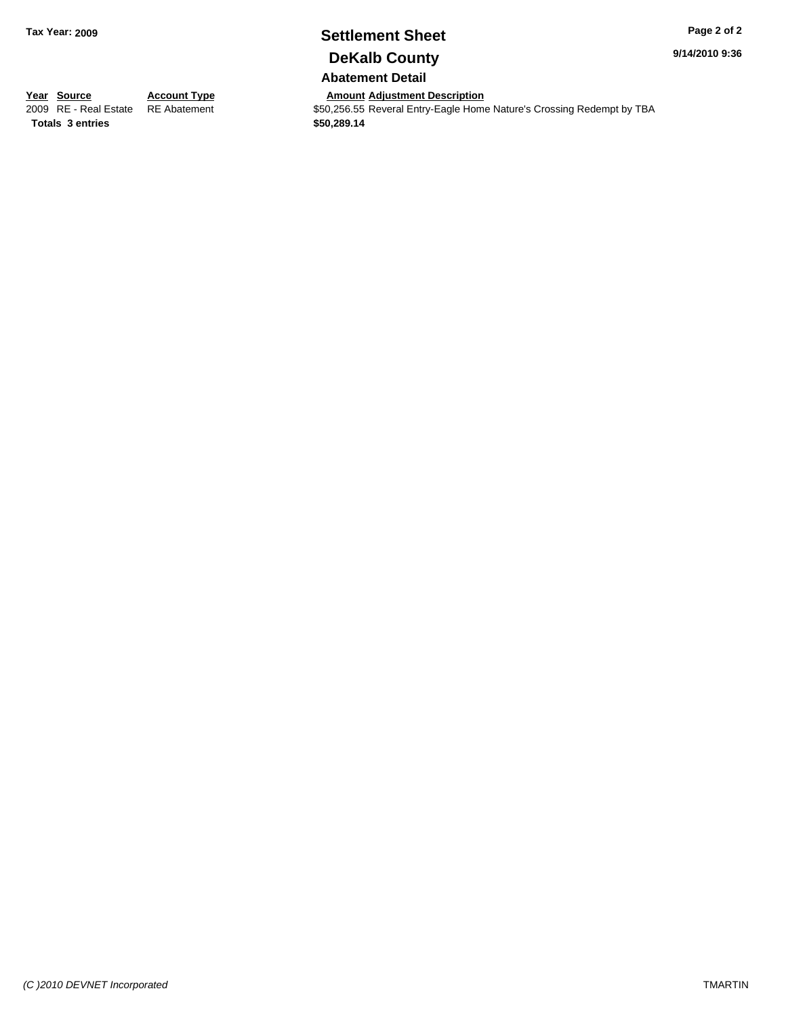## **Settlement Sheet Tax Year: 2009 Page 2 of 2 DeKalb County**

**9/14/2010 9:36**

**Abatement Detail**

**Year Source Account Type Amount Adjustment Description**<br> **Amount Adjustment Description**<br> **Amount Adjustment** S50,256.55 Reveral Entry-Eagle Home **Totals \$50,289.14 3 entries**

\$50,256.55 Reveral Entry-Eagle Home Nature's Crossing Redempt by TBA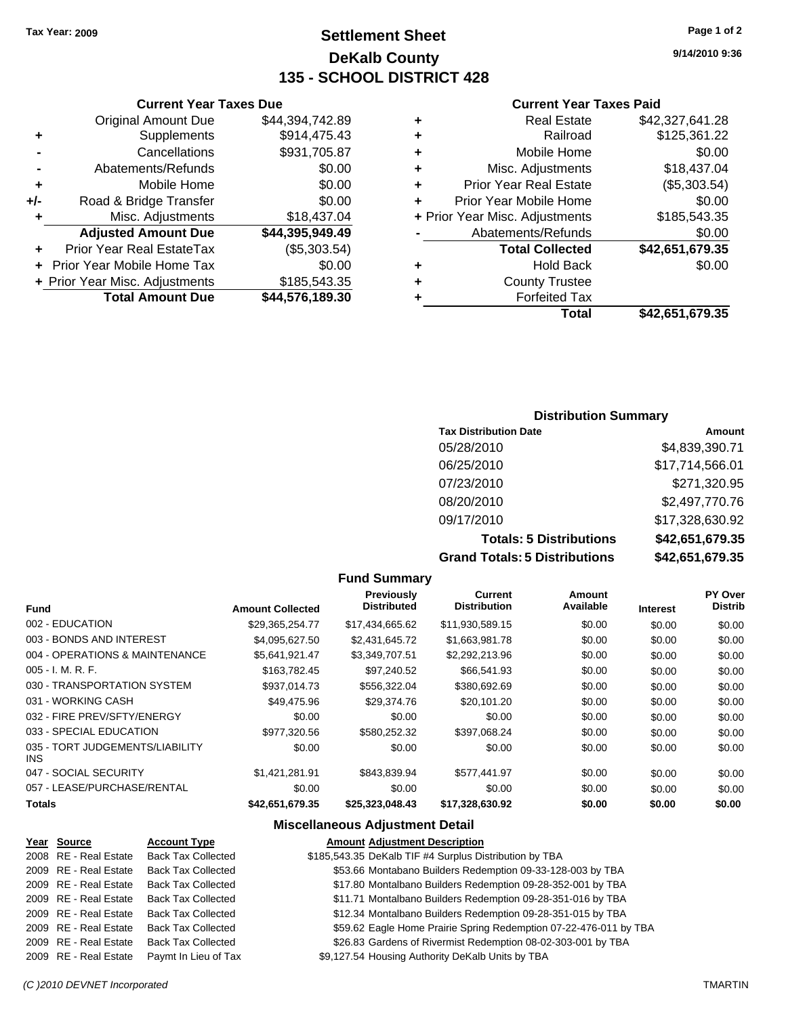### **Settlement Sheet Tax Year: 2009 Page 1 of 2 DeKalb County 135 - SCHOOL DISTRICT 428**

**9/14/2010 9:36**

#### **Current Year Taxes Paid**

|   | Total                          | \$42,651,679.35 |
|---|--------------------------------|-----------------|
| ٠ | <b>Forfeited Tax</b>           |                 |
| ÷ | <b>County Trustee</b>          |                 |
| ٠ | <b>Hold Back</b>               | \$0.00          |
|   | <b>Total Collected</b>         | \$42,651,679.35 |
|   | Abatements/Refunds             | \$0.00          |
|   | + Prior Year Misc. Adjustments | \$185,543.35    |
| ÷ | Prior Year Mobile Home         | \$0.00          |
| ٠ | <b>Prior Year Real Estate</b>  | (\$5,303.54)    |
| ٠ | Misc. Adjustments              | \$18,437.04     |
| ٠ | Mobile Home                    | \$0.00          |
| ٠ | Railroad                       | \$125,361.22    |
| ٠ | <b>Real Estate</b>             | \$42,327,641.28 |

| <b>Current Year Taxes Due</b>  |                 |  |  |
|--------------------------------|-----------------|--|--|
| <b>Original Amount Due</b>     | \$44,394,742.89 |  |  |
| Supplements                    | \$914,475.43    |  |  |
| Cancellations                  | \$931,705.87    |  |  |
| Abatements/Refunds             | \$0.00          |  |  |
| Mobile Home                    | \$0.00          |  |  |
| Road & Bridge Transfer         | \$0.00          |  |  |
| Misc. Adjustments              | \$18,437.04     |  |  |
| <b>Adjusted Amount Due</b>     | \$44,395,949.49 |  |  |
| Prior Year Real EstateTax      | (\$5,303.54)    |  |  |
| Prior Year Mobile Home Tax     | \$0.00          |  |  |
| + Prior Year Misc. Adjustments | \$185,543.35    |  |  |
| <b>Total Amount Due</b>        | \$44,576,189.30 |  |  |
|                                |                 |  |  |

#### **Distribution Summary**

| <b>Tax Distribution Date</b>         | Amount          |
|--------------------------------------|-----------------|
| 05/28/2010                           | \$4,839,390.71  |
| 06/25/2010                           | \$17,714,566.01 |
| 07/23/2010                           | \$271,320.95    |
| 08/20/2010                           | \$2,497,770.76  |
| 09/17/2010                           | \$17,328,630.92 |
| <b>Totals: 5 Distributions</b>       | \$42,651,679.35 |
| <b>Grand Totals: 5 Distributions</b> | \$42,651,679.35 |

#### **Fund Summary**

|                                         |                         | .                                |                                       |                     |                 |                           |
|-----------------------------------------|-------------------------|----------------------------------|---------------------------------------|---------------------|-----------------|---------------------------|
| <b>Fund</b>                             | <b>Amount Collected</b> | Previously<br><b>Distributed</b> | <b>Current</b><br><b>Distribution</b> | Amount<br>Available | <b>Interest</b> | PY Over<br><b>Distrib</b> |
| 002 - EDUCATION                         | \$29,365,254.77         | \$17,434,665.62                  | \$11,930,589.15                       | \$0.00              | \$0.00          | \$0.00                    |
| 003 - BONDS AND INTEREST                | \$4.095.627.50          | \$2,431,645.72                   | \$1,663,981.78                        | \$0.00              | \$0.00          | \$0.00                    |
| 004 - OPERATIONS & MAINTENANCE          | \$5,641,921.47          | \$3,349,707.51                   | \$2,292,213.96                        | \$0.00              | \$0.00          | \$0.00                    |
| $005 - I. M. R. F.$                     | \$163,782.45            | \$97,240.52                      | \$66,541.93                           | \$0.00              | \$0.00          | \$0.00                    |
| 030 - TRANSPORTATION SYSTEM             | \$937,014.73            | \$556,322.04                     | \$380,692.69                          | \$0.00              | \$0.00          | \$0.00                    |
| 031 - WORKING CASH                      | \$49,475.96             | \$29,374.76                      | \$20,101.20                           | \$0.00              | \$0.00          | \$0.00                    |
| 032 - FIRE PREV/SFTY/ENERGY             | \$0.00                  | \$0.00                           | \$0.00                                | \$0.00              | \$0.00          | \$0.00                    |
| 033 - SPECIAL EDUCATION                 | \$977,320.56            | \$580,252.32                     | \$397,068.24                          | \$0.00              | \$0.00          | \$0.00                    |
| 035 - TORT JUDGEMENTS/LIABILITY<br>INS. | \$0.00                  | \$0.00                           | \$0.00                                | \$0.00              | \$0.00          | \$0.00                    |
| 047 - SOCIAL SECURITY                   | \$1.421.281.91          | \$843.839.94                     | \$577.441.97                          | \$0.00              | \$0.00          | \$0.00                    |
| 057 - LEASE/PURCHASE/RENTAL             | \$0.00                  | \$0.00                           | \$0.00                                | \$0.00              | \$0.00          | \$0.00                    |
| <b>Totals</b>                           | \$42,651,679.35         | \$25,323,048.43                  | \$17,328,630.92                       | \$0.00              | \$0.00          | \$0.00                    |

#### **Miscellaneous Adjustment Detail**

#### **Year Source Account Type Amount Adjustment Description**

| 2008 RE - Real Estate | <b>Back Tax Collected</b> | \$185,543.35 DeKalb TIF #4 Surplus Distribution by TBA            |
|-----------------------|---------------------------|-------------------------------------------------------------------|
| 2009 RE - Real Estate | <b>Back Tax Collected</b> | \$53.66 Montabano Builders Redemption 09-33-128-003 by TBA        |
| 2009 RE - Real Estate | <b>Back Tax Collected</b> | \$17.80 Montalbano Builders Redemption 09-28-352-001 by TBA       |
| 2009 RE - Real Estate | <b>Back Tax Collected</b> | \$11.71 Montalbano Builders Redemption 09-28-351-016 by TBA       |
| 2009 RE - Real Estate | <b>Back Tax Collected</b> | \$12.34 Montalbano Builders Redemption 09-28-351-015 by TBA       |
| 2009 RE - Real Estate | <b>Back Tax Collected</b> | \$59.62 Eagle Home Prairie Spring Redemption 07-22-476-011 by TBA |
| 2009 RE - Real Estate | <b>Back Tax Collected</b> | \$26.83 Gardens of Rivermist Redemption 08-02-303-001 by TBA      |
| 2009 RE - Real Estate | Paymt In Lieu of Tax      | \$9,127.54 Housing Authority DeKalb Units by TBA                  |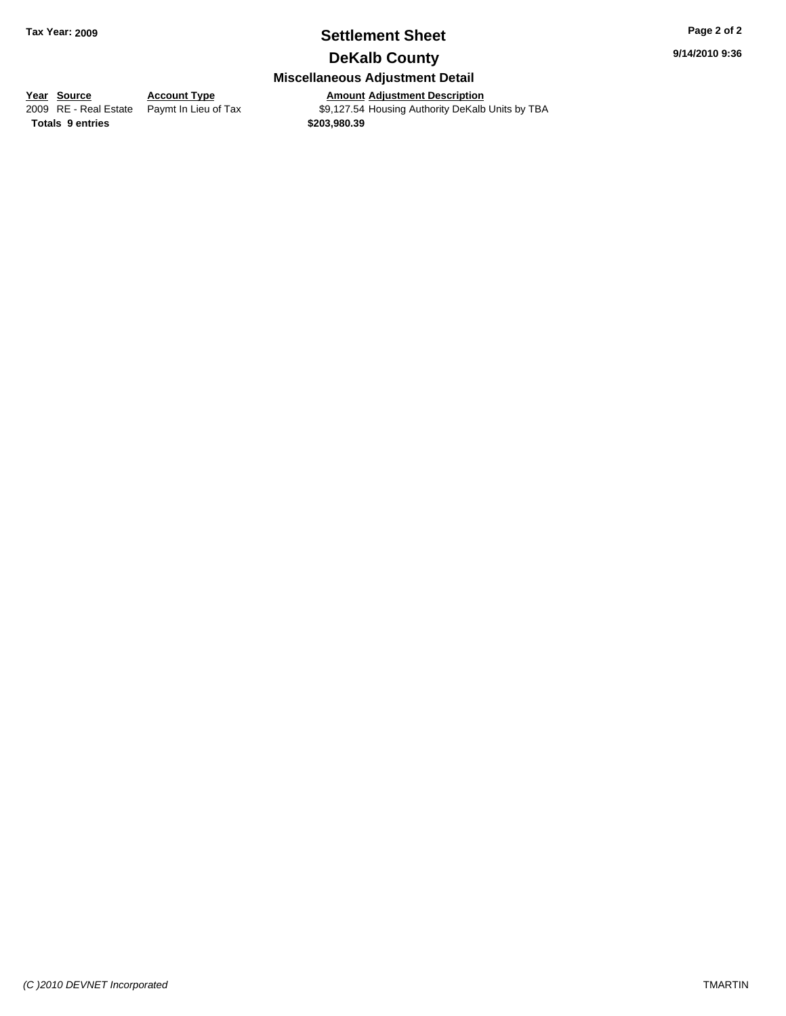### **Settlement Sheet Tax Year: 2009 Page 2 of 2 DeKalb County**

**9/14/2010 9:36**

### **Miscellaneous Adjustment Detail**

**Year Source Account Type**<br> **Adden Adden Paymt In Lieu of Tax** 

**2009 Amount Adjustment Description**<br>\$9,127.54 Housing Authority DeKalb Units by TBA **Totals \$203,980.39 9 entries**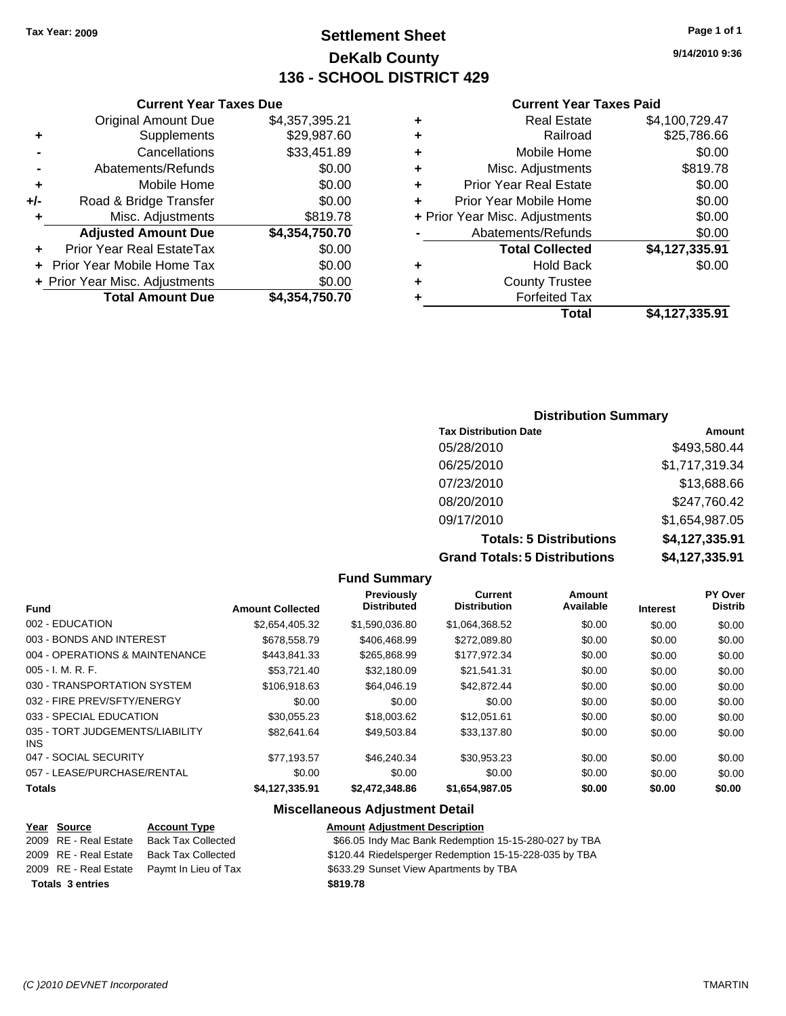**Current Year Taxes Due** Original Amount Due \$4,357,395.21

**Adjusted Amount Due \$4,354,750.70**

**Total Amount Due \$4,354,750.70**

**+** Supplements \$29,987.60 **-** Cancellations \$33,451.89 **-** Abatements/Refunds **\$0.00 +** Mobile Home \$0.00 **+/-** Road & Bridge Transfer \$0.00 **+** Misc. Adjustments \$819.78

**+** Prior Year Real EstateTax \$0.00 **+** Prior Year Mobile Home Tax \$0.00 **+ Prior Year Misc. Adjustments**  $$0.00$ 

### **Settlement Sheet Tax Year: 2009 Page 1 of 1 DeKalb County 136 - SCHOOL DISTRICT 429**

**9/14/2010 9:36**

#### **Current Year Taxes Paid**

| Total                          | \$4,127,335.91 |
|--------------------------------|----------------|
| <b>Forfeited Tax</b>           |                |
| <b>County Trustee</b>          |                |
| <b>Hold Back</b>               | \$0.00         |
| <b>Total Collected</b>         | \$4,127,335.91 |
| Abatements/Refunds             | \$0.00         |
| + Prior Year Misc. Adjustments | \$0.00         |
| Prior Year Mobile Home         | \$0.00         |
| <b>Prior Year Real Estate</b>  | \$0.00         |
| Misc. Adjustments              | \$819.78       |
| Mobile Home                    | \$0.00         |
| Railroad                       | \$25,786.66    |
| <b>Real Estate</b>             | \$4,100,729.47 |
|                                |                |

#### **Distribution Summary**

| <b>Tax Distribution Date</b>         | Amount         |
|--------------------------------------|----------------|
| 05/28/2010                           | \$493,580.44   |
| 06/25/2010                           | \$1,717,319.34 |
| 07/23/2010                           | \$13,688.66    |
| 08/20/2010                           | \$247,760.42   |
| 09/17/2010                           | \$1,654,987.05 |
| <b>Totals: 5 Distributions</b>       | \$4,127,335.91 |
| <b>Grand Totals: 5 Distributions</b> | \$4,127,335.91 |

#### **Fund Summary Fund Interest Amount Collected Distributed PY Over Distrib Amount Available Current Distribution Previously** 002 - EDUCATION \$2,654,405.32 \$1,590,036.80 \$1,064,368.52 \$0.00 \$0.00 \$0.00 003 - BONDS AND INTEREST 6678,558.79 \$406,468.99 \$272,089.80 \$0.00 \$0.00 \$0.00 004 - OPERATIONS & MAINTENANCE \$443,841.33 \$265,868.99 \$177,972.34 \$0.00 \$0.00 \$0.00 005 - I. M. R. F. \$53,721.40 \$32,180.09 \$21,541.31 \$0.00 \$0.00 \$0.00 030 - TRANSPORTATION SYSTEM \$106,918.63 \$64,046.19 \$42,872.44 \$0.00 \$0.00 \$0.00 032 - FIRE PREV/SFTY/ENERGY \$0.00 \$0.00 \$0.00 \$0.00 \$0.00 \$0.00 033 - SPECIAL EDUCATION \$30,055.23 \$18,003.62 \$12,051.61 \$0.00 \$0.00 \$0.00 035 - TORT JUDGEMENTS/LIABILITY INS \$82,641.64 \$49,503.84 \$33,137.80 \$0.00 \$0.00 \$0.00 047 - SOCIAL SECURITY \$77,193.57 \$46,240.34 \$30,953.23 \$0.00 \$0.00 \$0.00 057 - LEASE/PURCHASE/RENTAL  $$0.00$   $$0.00$   $$0.00$   $$0.00$   $$0.00$   $$0.00$   $$0.00$ **Totals \$4,127,335.91 \$2,472,348.86 \$1,654,987.05 \$0.00 \$0.00 \$0.00**

#### **Miscellaneous Adjustment Detail**

|                         | Year Source           | <b>Account Type</b>                        | <b>Amount Adjustment Description</b>                   |
|-------------------------|-----------------------|--------------------------------------------|--------------------------------------------------------|
|                         | 2009 RE - Real Estate | Back Tax Collected                         | \$66.05 Indy Mac Bank Redemption 15-15-280-027 by TBA  |
|                         | 2009 RE - Real Estate | Back Tax Collected                         | \$120.44 Riedelsperger Redemption 15-15-228-035 by TBA |
|                         |                       | 2009 RE - Real Estate Paymt In Lieu of Tax | \$633.29 Sunset View Apartments by TBA                 |
| <b>Totals 3 entries</b> |                       |                                            | \$819.78                                               |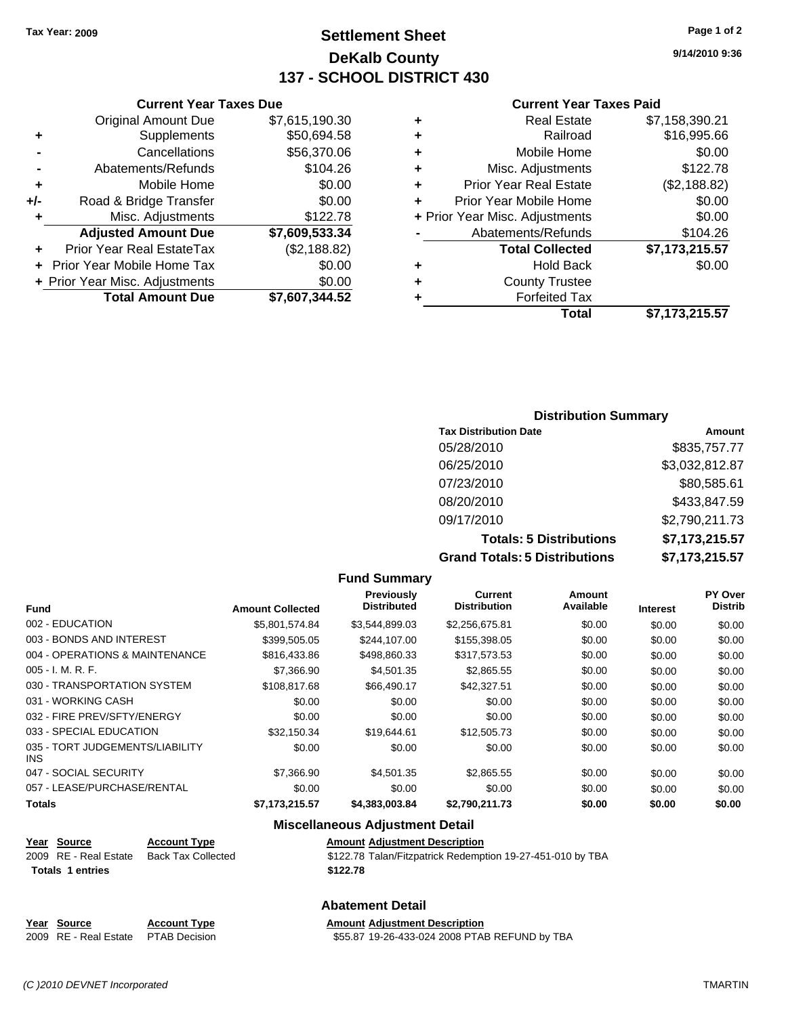**Current Year Taxes Due** Original Amount Due \$7,615,190.30

**Adjusted Amount Due \$7,609,533.34**

**Total Amount Due \$7,607,344.52**

**+** Supplements \$50,694.58 **-** Cancellations \$56,370.06 **-** Abatements/Refunds \$104.26 **+** Mobile Home \$0.00 **+/-** Road & Bridge Transfer \$0.00 **+** Misc. Adjustments \$122.78

**+** Prior Year Real EstateTax (\$2,188.82) **+** Prior Year Mobile Home Tax \$0.00 **+ Prior Year Misc. Adjustments**  $$0.00$ 

### **Settlement Sheet Tax Year: 2009 Page 1 of 2 DeKalb County 137 - SCHOOL DISTRICT 430**

**9/14/2010 9:36**

#### **Current Year Taxes Paid**

|   | Total                          | \$7.173.215.57 |
|---|--------------------------------|----------------|
| ٠ | <b>Forfeited Tax</b>           |                |
| ٠ | <b>County Trustee</b>          |                |
| ٠ | <b>Hold Back</b>               | \$0.00         |
|   | <b>Total Collected</b>         | \$7,173,215.57 |
|   | Abatements/Refunds             | \$104.26       |
|   | + Prior Year Misc. Adjustments | \$0.00         |
| ٠ | Prior Year Mobile Home         | \$0.00         |
| ÷ | <b>Prior Year Real Estate</b>  | (\$2,188.82)   |
| ٠ | Misc. Adjustments              | \$122.78       |
| ٠ | Mobile Home                    | \$0.00         |
| ٠ | Railroad                       | \$16,995.66    |
| ٠ | <b>Real Estate</b>             | \$7,158,390.21 |
|   |                                |                |

### **Distribution Summary**

| <b>Tax Distribution Date</b>         | Amount         |
|--------------------------------------|----------------|
| 05/28/2010                           | \$835,757.77   |
| 06/25/2010                           | \$3,032,812.87 |
| 07/23/2010                           | \$80,585.61    |
| 08/20/2010                           | \$433,847.59   |
| 09/17/2010                           | \$2,790,211.73 |
| <b>Totals: 5 Distributions</b>       | \$7,173,215.57 |
| <b>Grand Totals: 5 Distributions</b> | \$7,173,215.57 |

#### **Fund Summary Fund Interest Amount Collected Distributed PY Over Distrib Amount Available Current Distribution Previously** 002 - EDUCATION \$5,801,574.84 \$3,544,899.03 \$2,256,675.81 \$0.00 \$0.00 \$0.00 003 - BONDS AND INTEREST 6399,505.05 \$244,107.00 \$155,398.05 \$0.00 \$0.00 \$0.00 004 - OPERATIONS & MAINTENANCE \$816,433.86 \$498,860.33 \$317,573.53 \$0.00 \$0.00 \$0.00 005 - I. M. R. F. \$7,366.90 \$4,501.35 \$2,865.55 \$0.00 \$0.00 \$0.00 030 - TRANSPORTATION SYSTEM \$108,817.68 \$66,490.17 \$42,327.51 \$0.00 \$0.00 \$0.00 031 - WORKING CASH \$0.00 \$0.00 \$0.00 \$0.00 \$0.00 \$0.00 032 - FIRE PREV/SFTY/ENERGY \$0.00 \$0.00 \$0.00 \$0.00 \$0.00 \$0.00 033 - SPECIAL EDUCATION \$32,150.34 \$19,644.61 \$12,505.73 \$0.00 \$0.00 \$0.00 \$0.00 035 - TORT JUDGEMENTS/LIABILITY INS \$0.00 \$0.00 \$0.00 \$0.00 \$0.00 \$0.00 047 - SOCIAL SECURITY \$7,366.90 \$4,501.35 \$2,865.55 \$0.00 \$0.00 \$0.00 057 - LEASE/PURCHASE/RENTAL  $$0.00$   $$0.00$   $$0.00$   $$0.00$   $$0.00$   $$0.00$   $$0.00$   $$0.00$ **Totals \$7,173,215.57 \$4,383,003.84 \$2,790,211.73 \$0.00 \$0.00 \$0.00 Miscellaneous Adjustment Detail Year Source Account Type Amount Adjustment Description** Back Tax Collected **2009** S122.78 Talan/Fitzpatrick Redemption 19-27-451-010 by TBA **Totals \$122.78 1 entries**

#### **Abatement Detail**

| Year Source                         | <b>Account Type</b> | <b>Amount Adiustment Description</b>          |
|-------------------------------------|---------------------|-----------------------------------------------|
| 2009 RE - Real Estate PTAB Decision |                     | \$55.87 19-26-433-024 2008 PTAB REFUND by TBA |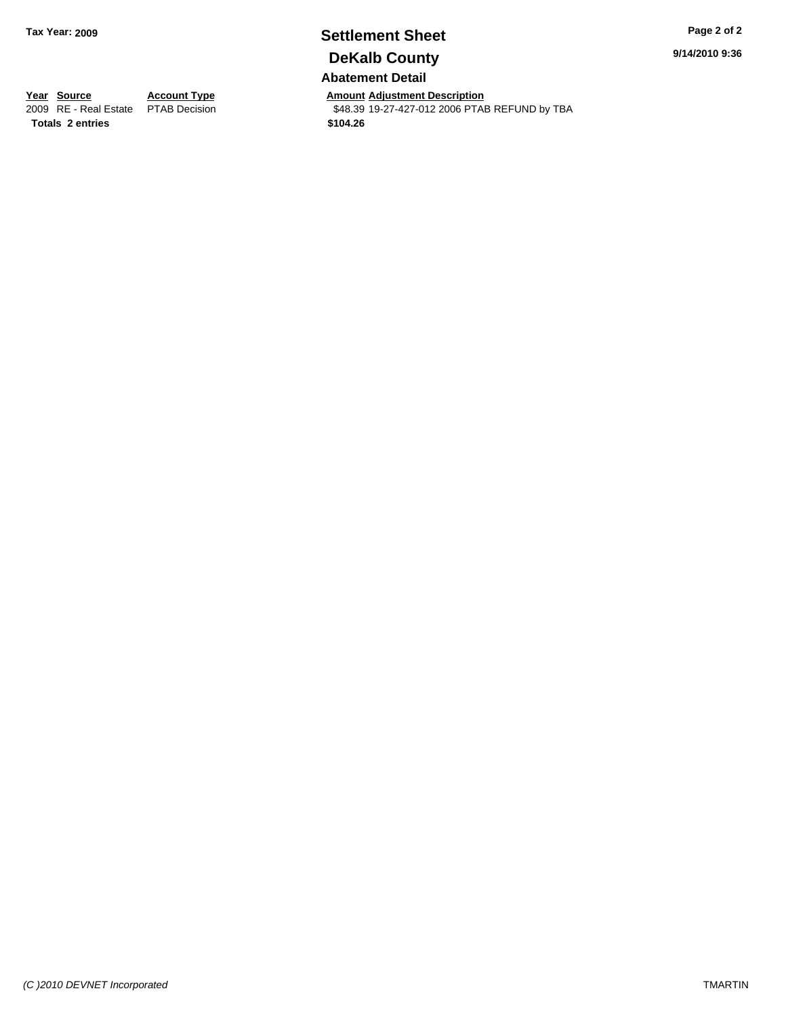## **Settlement Sheet Tax Year: 2009 Page 2 of 2 DeKalb County**

**9/14/2010 9:36**

**Abatement Detail**

**Year Source Account Type Amount Adjustment Description**<br> **2009** RE - Real Estate PTAB Decision **AMOUNT 1848.39** 19-27-427-012 2006 PTAI \$48.39 19-27-427-012 2006 PTAB REFUND by TBA

**Totals \$104.26 2 entries**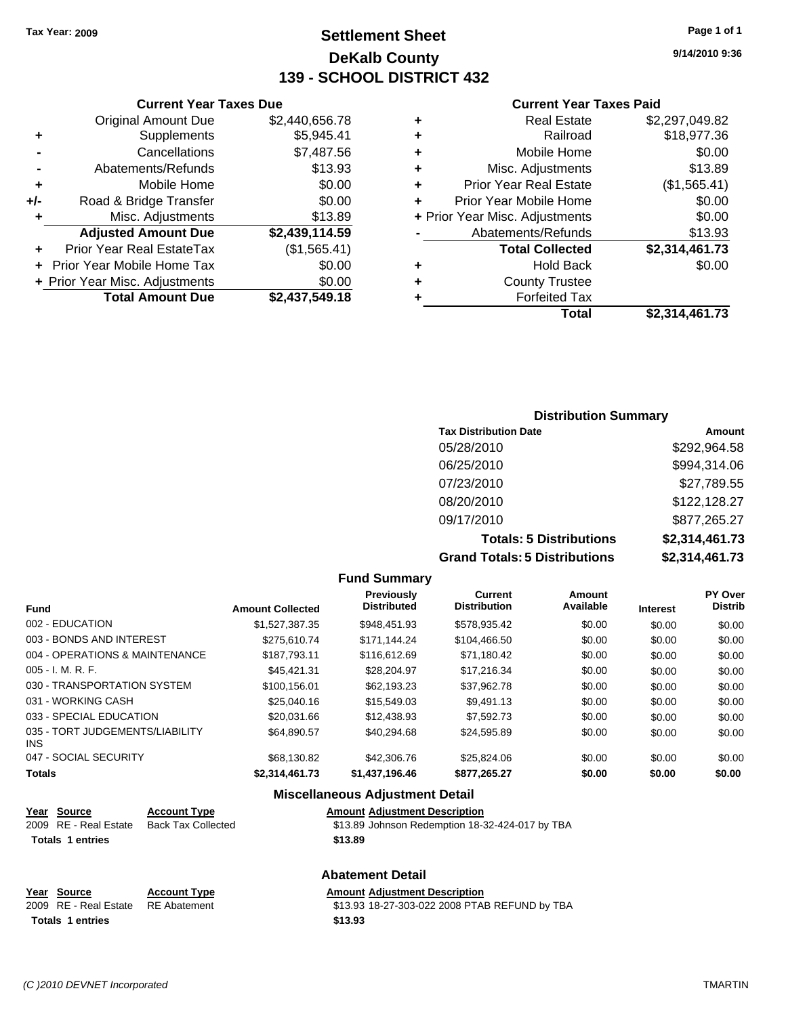### **Settlement Sheet Tax Year: 2009 Page 1 of 1 DeKalb County 139 - SCHOOL DISTRICT 432**

#### **Current Year Taxes Due**

|     | <b>Original Amount Due</b>     | \$2,440,656.78 |
|-----|--------------------------------|----------------|
| ٠   | Supplements                    | \$5,945.41     |
|     | Cancellations                  | \$7,487.56     |
|     | Abatements/Refunds             | \$13.93        |
| ٠   | Mobile Home                    | \$0.00         |
| +/- | Road & Bridge Transfer         | \$0.00         |
| ٠   | Misc. Adjustments              | \$13.89        |
|     | <b>Adjusted Amount Due</b>     | \$2,439,114.59 |
|     | Prior Year Real EstateTax      | (\$1,565.41)   |
|     | Prior Year Mobile Home Tax     | \$0.00         |
|     | + Prior Year Misc. Adjustments | \$0.00         |
|     | <b>Total Amount Due</b>        | \$2,437,549.18 |

#### **Current Year Taxes Paid**

| ٠ | <b>Real Estate</b>             | \$2,297,049.82 |
|---|--------------------------------|----------------|
| ٠ | Railroad                       | \$18,977.36    |
| ٠ | Mobile Home                    | \$0.00         |
| ٠ | Misc. Adjustments              | \$13.89        |
| ÷ | <b>Prior Year Real Estate</b>  | (\$1,565.41)   |
| ÷ | Prior Year Mobile Home         | \$0.00         |
|   | + Prior Year Misc. Adjustments | \$0.00         |
|   | Abatements/Refunds             | \$13.93        |
|   | <b>Total Collected</b>         | \$2,314,461.73 |
| ٠ | Hold Back                      | \$0.00         |
| ٠ | <b>County Trustee</b>          |                |
| ٠ | <b>Forfeited Tax</b>           |                |
|   | Total                          | \$2,314,461.73 |
|   |                                |                |

### **Distribution Summary Tax Distribution Date Amount** 05/28/2010 \$292,964.58 06/25/2010 \$994,314.06 07/23/2010 \$27,789.55 08/20/2010 \$122,128.27 09/17/2010 \$877,265.27 **Totals: 5 Distributions \$2,314,461.73**

**Grand Totals: 5 Distributions \$2,314,461.73**

|                                         |                         | <b>Fund Summary</b>                     |                                |                            |                 |                           |
|-----------------------------------------|-------------------------|-----------------------------------------|--------------------------------|----------------------------|-----------------|---------------------------|
| Fund                                    | <b>Amount Collected</b> | <b>Previously</b><br><b>Distributed</b> | Current<br><b>Distribution</b> | <b>Amount</b><br>Available | <b>Interest</b> | PY Over<br><b>Distrib</b> |
| 002 - EDUCATION                         | \$1,527,387.35          | \$948,451.93                            | \$578,935.42                   | \$0.00                     | \$0.00          | \$0.00                    |
| 003 - BONDS AND INTEREST                | \$275.610.74            | \$171.144.24                            | \$104,466.50                   | \$0.00                     | \$0.00          | \$0.00                    |
| 004 - OPERATIONS & MAINTENANCE          | \$187,793.11            | \$116,612.69                            | \$71,180.42                    | \$0.00                     | \$0.00          | \$0.00                    |
| 005 - I. M. R. F.                       | \$45.421.31             | \$28,204.97                             | \$17,216.34                    | \$0.00                     | \$0.00          | \$0.00                    |
| 030 - TRANSPORTATION SYSTEM             | \$100.156.01            | \$62,193,23                             | \$37,962.78                    | \$0.00                     | \$0.00          | \$0.00                    |
| 031 - WORKING CASH                      | \$25,040.16             | \$15,549.03                             | \$9,491.13                     | \$0.00                     | \$0.00          | \$0.00                    |
| 033 - SPECIAL EDUCATION                 | \$20,031.66             | \$12,438.93                             | \$7.592.73                     | \$0.00                     | \$0.00          | \$0.00                    |
| 035 - TORT JUDGEMENTS/LIABILITY<br>INS. | \$64,890.57             | \$40,294.68                             | \$24,595.89                    | \$0.00                     | \$0.00          | \$0.00                    |
| 047 - SOCIAL SECURITY                   | \$68,130.82             | \$42,306.76                             | \$25,824.06                    | \$0.00                     | \$0.00          | \$0.00                    |
| Totals                                  | \$2,314,461.73          | \$1,437,196.46                          | \$877,265.27                   | \$0.00                     | \$0.00          | \$0.00                    |
|                                         |                         | Micrallangous Adiustmant Datail         |                                |                            |                 |                           |

#### **Miscellaneous Adjustment Detail**

| Year Source             | <b>Account Type</b> | <b>Amount Adjustment Description</b>            |
|-------------------------|---------------------|-------------------------------------------------|
| 2009 RE - Real Estate   | Back Tax Collected  | \$13.89 Johnson Redemption 18-32-424-017 by TBA |
| <b>Totals 1 entries</b> |                     | \$13.89                                         |
|                         |                     |                                                 |

| Year Source                        | <b>Account Type</b> | <b>Amount Adiustment Description</b>          |
|------------------------------------|---------------------|-----------------------------------------------|
| 2009 RE - Real Estate RE Abatement |                     | \$13.93 18-27-303-022 2008 PTAB REFUND by TBA |
| Totals 1 entries                   |                     | \$13.93                                       |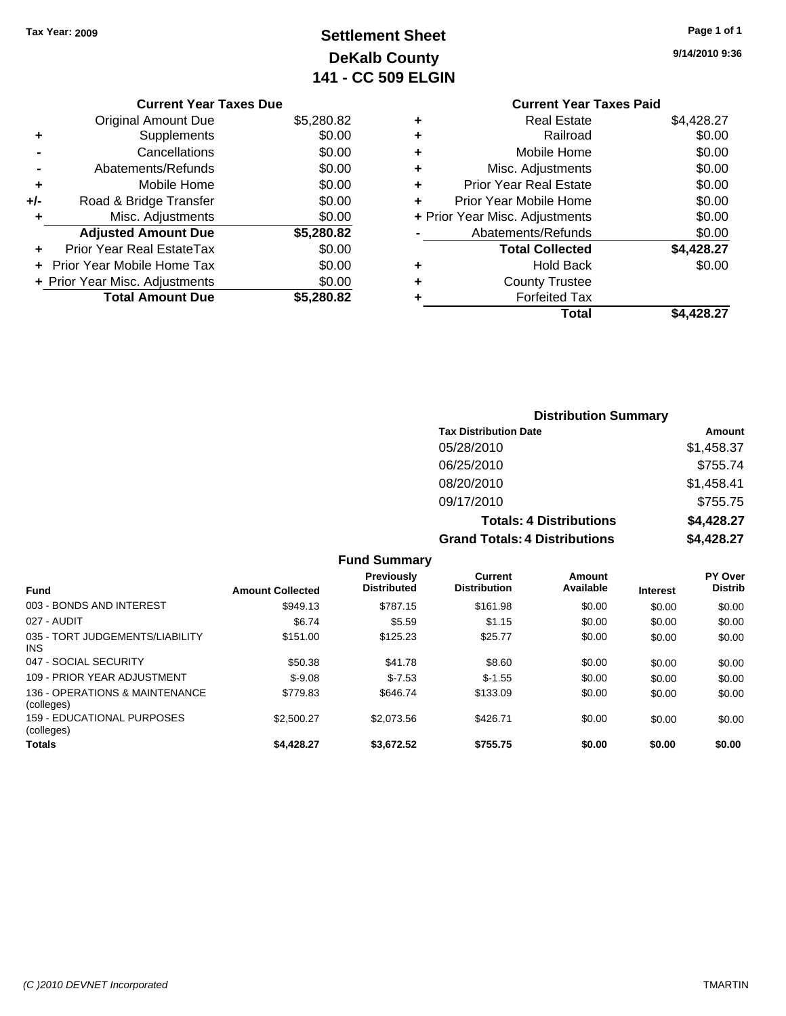## **Settlement Sheet Tax Year: 2009 Page 1 of 1 DeKalb County 141 - CC 509 ELGIN**

**9/14/2010 9:36**

|       | <b>Original Amount Due</b>        | \$5,280.82 |
|-------|-----------------------------------|------------|
| ٠     | Supplements                       | \$0.00     |
|       | Cancellations                     | \$0.00     |
|       | Abatements/Refunds                | \$0.00     |
| ٠     | Mobile Home                       | \$0.00     |
| $+/-$ | Road & Bridge Transfer            | \$0.00     |
| ٠     | Misc. Adjustments                 | \$0.00     |
|       | <b>Adjusted Amount Due</b>        | \$5,280.82 |
|       | <b>Prior Year Real EstateTax</b>  | \$0.00     |
|       | <b>Prior Year Mobile Home Tax</b> | \$0.00     |
|       | + Prior Year Misc. Adjustments    | \$0.00     |
|       | <b>Total Amount Due</b>           | \$5,280.82 |

#### **Current Year Taxes Paid +** Real Estate \$4,428.27 **+** Railroad \$0.00 **+** Mobile Home \$0.00 **+** Misc. Adjustments \$0.00 **+** Prior Year Real Estate \$0.00 **+** Prior Year Mobile Home \$0.00 **+** Prior Year Misc. Adjustments  $$0.00$ Abatements/Refunds \$0.00 **Total Collected \$4,428.27 +** Hold Back \$0.00 **+** County Trustee **+** Forfeited Tax

**Total \$4,428.27**

| <b>Distribution Summary</b>          |            |
|--------------------------------------|------------|
| <b>Tax Distribution Date</b>         | Amount     |
| 05/28/2010                           | \$1,458.37 |
| 06/25/2010                           | \$755.74   |
| 08/20/2010                           | \$1,458.41 |
| 09/17/2010                           | \$755.75   |
| <b>Totals: 4 Distributions</b>       | \$4,428.27 |
| <b>Grand Totals: 4 Distributions</b> | \$4,428.27 |

**Fund Summary Fund Interest Amount Collected Distributed PY Over Distrib Amount Available Current Distribution Previously** 003 - BONDS AND INTEREST 60.00 \$949.13 \$787.15 \$161.98 \$0.00 \$0.00 \$0.00 \$0.00 027 - AUDIT \$6.74 \$5.59 \$1.15 \$0.00 \$0.00 \$0.00 035 - TORT JUDGEMENTS/LIABILITY INS \$151.00 \$125.23 \$25.77 \$0.00 \$0.00 \$0.00 047 - SOCIAL SECURITY \$50.38 \$8.60 \$0.00 \$0.00 \$0.00 \$0.00 109 - PRIOR YEAR ADJUSTMENT \$-9.08 \$-9.08 \$1.55 \$0.00 \$0.00 \$0.00 \$0.00 \$0.00 136 - OPERATIONS & MAINTENANCE (colleges) \$779.83 \$646.74 \$133.09 \$0.00 \$0.00 \$0.00 159 - EDUCATIONAL PURPOSES (colleges) \$2,500.27 \$2,073.56 \$426.71 \$0.00 \$0.00 \$0.00 **Totals \$4,428.27 \$3,672.52 \$755.75 \$0.00 \$0.00 \$0.00**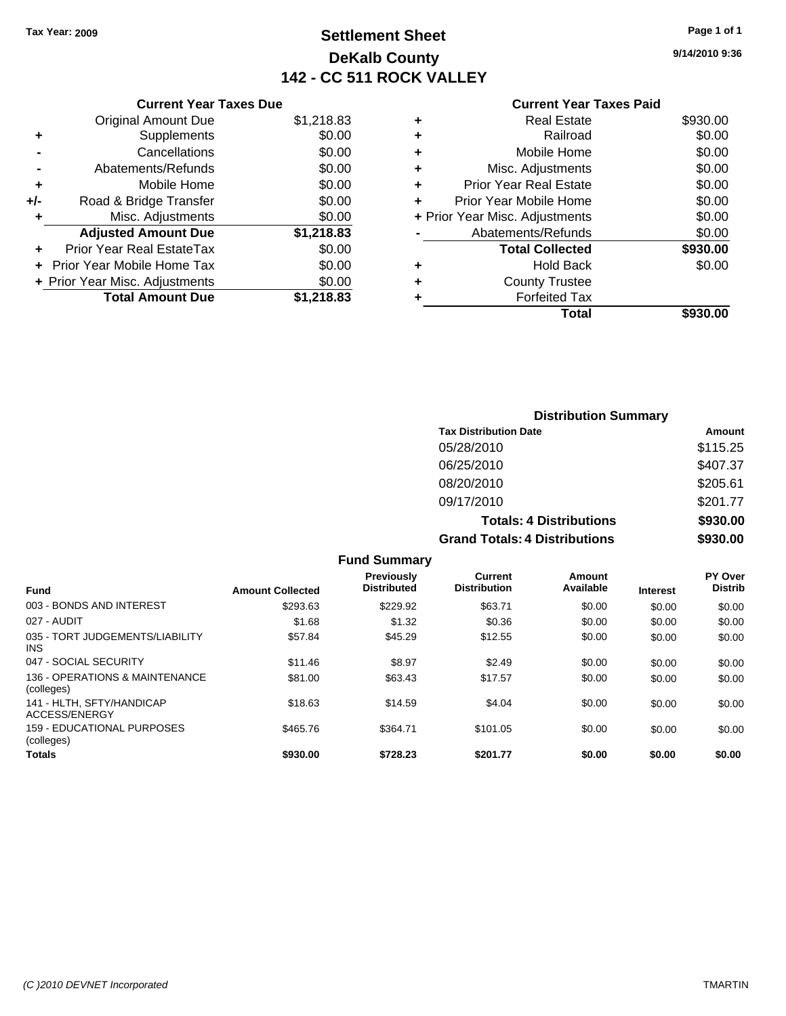### **Settlement Sheet Tax Year: 2009 Page 1 of 1 DeKalb County 142 - CC 511 ROCK VALLEY**

**9/14/2010 9:36**

#### **Current Year Taxes Paid**

| \$1,218.83 |
|------------|
| \$0.00     |
| \$0.00     |
| \$0.00     |
| \$0.00     |
| \$0.00     |
| \$0.00     |
| \$1,218.83 |
| \$0.00     |
| \$0.00     |
| \$0.00     |
| \$1,218.83 |
|            |

| ٠ | <b>Real Estate</b>             | \$930.00 |
|---|--------------------------------|----------|
| ٠ | Railroad                       | \$0.00   |
| ٠ | Mobile Home                    | \$0.00   |
| ٠ | Misc. Adjustments              | \$0.00   |
| ÷ | <b>Prior Year Real Estate</b>  | \$0.00   |
|   | Prior Year Mobile Home         | \$0.00   |
|   | + Prior Year Misc. Adjustments | \$0.00   |
|   | Abatements/Refunds             | \$0.00   |
|   | <b>Total Collected</b>         | \$930.00 |
| ٠ | <b>Hold Back</b>               | \$0.00   |
| ٠ | <b>County Trustee</b>          |          |
| ٠ | <b>Forfeited Tax</b>           |          |
|   | Total                          | \$930.00 |
|   |                                |          |

### **Distribution Summary Tax Distribution Date Amount** 05/28/2010 \$115.25 06/25/2010 \$407.37 08/20/2010 \$205.61 09/17/2010 \$201.77 **Totals: 4 Distributions \$930.00 Grand Totals: 4 Distributions \$930.00**

|                                               |                         | <b>Fund Summary</b>                     |                                       |                     |                 |                           |
|-----------------------------------------------|-------------------------|-----------------------------------------|---------------------------------------|---------------------|-----------------|---------------------------|
| <b>Fund</b>                                   | <b>Amount Collected</b> | <b>Previously</b><br><b>Distributed</b> | <b>Current</b><br><b>Distribution</b> | Amount<br>Available | <b>Interest</b> | PY Over<br><b>Distrib</b> |
| 003 - BONDS AND INTEREST                      | \$293.63                | \$229.92                                | \$63.71                               | \$0.00              | \$0.00          | \$0.00                    |
| 027 - AUDIT                                   | \$1.68                  | \$1.32                                  | \$0.36                                | \$0.00              | \$0.00          | \$0.00                    |
| 035 - TORT JUDGEMENTS/LIABILITY<br><b>INS</b> | \$57.84                 | \$45.29                                 | \$12.55                               | \$0.00              | \$0.00          | \$0.00                    |
| 047 - SOCIAL SECURITY                         | \$11.46                 | \$8.97                                  | \$2.49                                | \$0.00              | \$0.00          | \$0.00                    |
| 136 - OPERATIONS & MAINTENANCE<br>(colleges)  | \$81.00                 | \$63.43                                 | \$17.57                               | \$0.00              | \$0.00          | \$0.00                    |
| 141 - HLTH, SFTY/HANDICAP<br>ACCESS/ENERGY    | \$18.63                 | \$14.59                                 | \$4.04                                | \$0.00              | \$0.00          | \$0.00                    |
| 159 - EDUCATIONAL PURPOSES<br>(colleges)      | \$465.76                | \$364.71                                | \$101.05                              | \$0.00              | \$0.00          | \$0.00                    |
| <b>Totals</b>                                 | \$930.00                | \$728.23                                | \$201.77                              | \$0.00              | \$0.00          | \$0.00                    |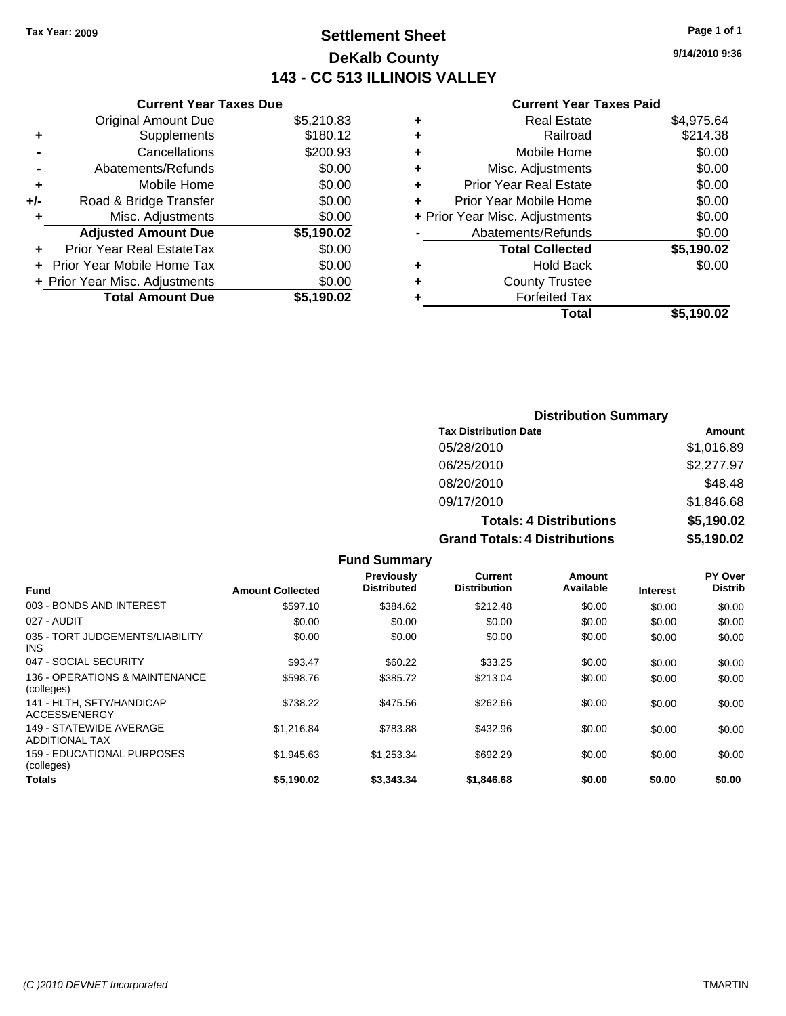### **Settlement Sheet Tax Year: 2009 Page 1 of 1 DeKalb County 143 - CC 513 ILLINOIS VALLEY**

#### **Current Year Taxes Due**

|     | <b>Original Amount Due</b>           | \$5,210.83 |  |  |  |
|-----|--------------------------------------|------------|--|--|--|
| ٠   | Supplements                          | \$180.12   |  |  |  |
|     | Cancellations                        | \$200.93   |  |  |  |
|     | Abatements/Refunds                   | \$0.00     |  |  |  |
| ÷   | Mobile Home                          | \$0.00     |  |  |  |
| +/- | Road & Bridge Transfer               | \$0.00     |  |  |  |
| ÷   | Misc. Adjustments                    | \$0.00     |  |  |  |
|     | <b>Adjusted Amount Due</b>           | \$5,190.02 |  |  |  |
|     | <b>Prior Year Real EstateTax</b>     | \$0.00     |  |  |  |
|     | \$0.00<br>Prior Year Mobile Home Tax |            |  |  |  |
|     | + Prior Year Misc. Adjustments       | \$0.00     |  |  |  |
|     | <b>Total Amount Due</b>              | \$5,190.02 |  |  |  |

#### **Current Year Taxes Paid**

|   | <b>Real Estate</b>             | \$4,975.64 |
|---|--------------------------------|------------|
| ٠ | Railroad                       | \$214.38   |
| ٠ | Mobile Home                    | \$0.00     |
| ٠ | Misc. Adjustments              | \$0.00     |
| ٠ | <b>Prior Year Real Estate</b>  | \$0.00     |
|   | Prior Year Mobile Home         | \$0.00     |
|   | + Prior Year Misc. Adjustments | \$0.00     |
|   | Abatements/Refunds             | \$0.00     |
|   | <b>Total Collected</b>         | \$5,190.02 |
| ٠ | <b>Hold Back</b>               | \$0.00     |
| ٠ | <b>County Trustee</b>          |            |
| ٠ | <b>Forfeited Tax</b>           |            |
|   | Total                          | \$5,190.02 |
|   |                                |            |

### **Distribution Summary Tax Distribution Date Amount** 05/28/2010 \$1,016.89 06/25/2010 \$2,277.97 08/20/2010 \$48.48 09/17/2010 \$1,846.68 **Totals: 4 Distributions \$5,190.02 Grand Totals: 4 Distributions \$5,190.02**

|                                                  |                         | <b>Fund Summary</b>                     |                                |                     |                 |                                  |
|--------------------------------------------------|-------------------------|-----------------------------------------|--------------------------------|---------------------|-----------------|----------------------------------|
| <b>Fund</b>                                      | <b>Amount Collected</b> | <b>Previously</b><br><b>Distributed</b> | Current<br><b>Distribution</b> | Amount<br>Available | <b>Interest</b> | <b>PY Over</b><br><b>Distrib</b> |
| 003 - BONDS AND INTEREST                         | \$597.10                | \$384.62                                | \$212.48                       | \$0.00              | \$0.00          | \$0.00                           |
| 027 - AUDIT                                      | \$0.00                  | \$0.00                                  | \$0.00                         | \$0.00              | \$0.00          | \$0.00                           |
| 035 - TORT JUDGEMENTS/LIABILITY<br><b>INS</b>    | \$0.00                  | \$0.00                                  | \$0.00                         | \$0.00              | \$0.00          | \$0.00                           |
| 047 - SOCIAL SECURITY                            | \$93.47                 | \$60.22                                 | \$33.25                        | \$0.00              | \$0.00          | \$0.00                           |
| 136 - OPERATIONS & MAINTENANCE<br>(colleges)     | \$598.76                | \$385.72                                | \$213.04                       | \$0.00              | \$0.00          | \$0.00                           |
| 141 - HLTH, SFTY/HANDICAP<br>ACCESS/ENERGY       | \$738.22                | \$475.56                                | \$262.66                       | \$0.00              | \$0.00          | \$0.00                           |
| 149 - STATEWIDE AVERAGE<br><b>ADDITIONAL TAX</b> | \$1,216.84              | \$783.88                                | \$432.96                       | \$0.00              | \$0.00          | \$0.00                           |
| 159 - EDUCATIONAL PURPOSES<br>(colleges)         | \$1,945.63              | \$1,253.34                              | \$692.29                       | \$0.00              | \$0.00          | \$0.00                           |
| Totals                                           | \$5,190.02              | \$3,343.34                              | \$1,846.68                     | \$0.00              | \$0.00          | \$0.00                           |

**9/14/2010 9:36**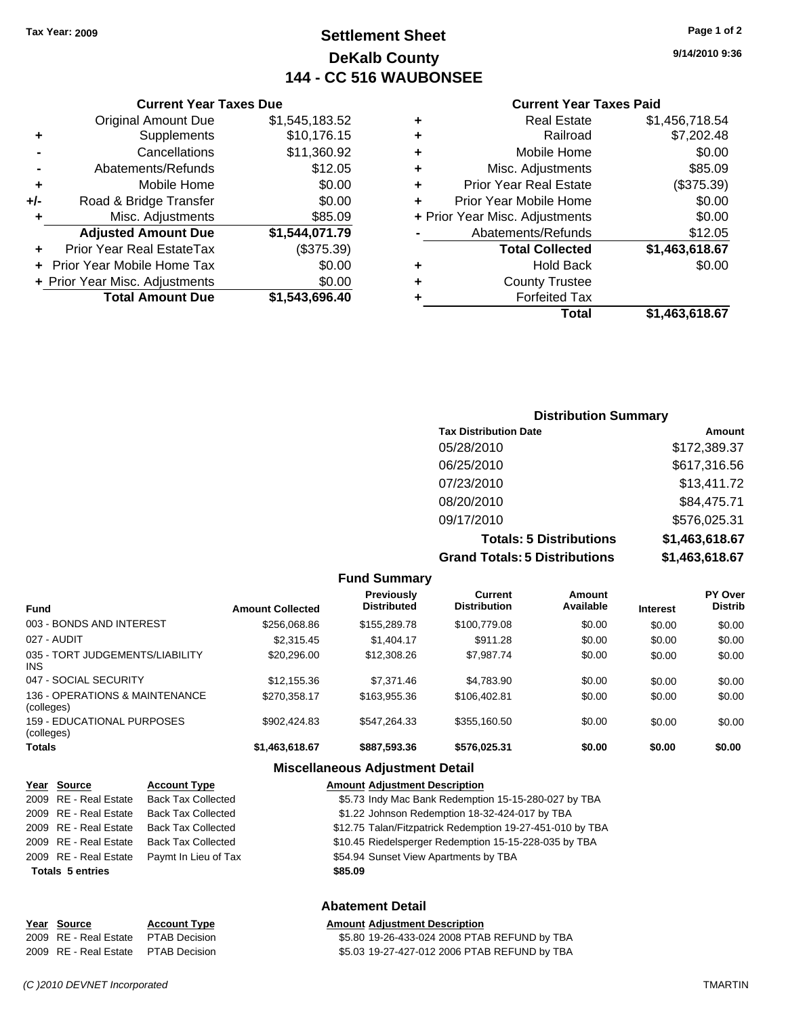### **Settlement Sheet Tax Year: 2009 Page 1 of 2 DeKalb County 144 - CC 516 WAUBONSEE**

**9/14/2010 9:36**

#### **Current Year Taxes Paid**

| <b>Real Estate</b>             | \$1,456,718.54 |
|--------------------------------|----------------|
| Railroad                       | \$7,202.48     |
| Mobile Home                    | \$0.00         |
| Misc. Adjustments              | \$85.09        |
| <b>Prior Year Real Estate</b>  | (\$375.39)     |
| Prior Year Mobile Home         | \$0.00         |
| + Prior Year Misc. Adjustments | \$0.00         |
| Abatements/Refunds             | \$12.05        |
| <b>Total Collected</b>         | \$1,463,618.67 |
| <b>Hold Back</b>               | \$0.00         |
| <b>County Trustee</b>          |                |
| <b>Forfeited Tax</b>           |                |
| Total                          | \$1.463.618.67 |
|                                |                |

|     | <b>Current Year Taxes Due</b>                |                |  |  |  |  |
|-----|----------------------------------------------|----------------|--|--|--|--|
|     | <b>Original Amount Due</b><br>\$1,545,183.52 |                |  |  |  |  |
| ٠   | Supplements                                  | \$10,176.15    |  |  |  |  |
|     | Cancellations                                | \$11,360.92    |  |  |  |  |
|     | Abatements/Refunds                           | \$12.05        |  |  |  |  |
| ٠   | Mobile Home                                  | \$0.00         |  |  |  |  |
| +/- | Road & Bridge Transfer                       | \$0.00         |  |  |  |  |
| ٠   | Misc. Adjustments                            | \$85.09        |  |  |  |  |
|     | <b>Adjusted Amount Due</b>                   | \$1,544,071.79 |  |  |  |  |
|     | Prior Year Real EstateTax                    | (\$375.39)     |  |  |  |  |
|     | Prior Year Mobile Home Tax                   | \$0.00         |  |  |  |  |
|     | + Prior Year Misc. Adjustments               | \$0.00         |  |  |  |  |
|     | <b>Total Amount Due</b>                      | \$1.543.696.40 |  |  |  |  |

#### **Distribution Summary**

| <b>Tax Distribution Date</b>         | Amount         |
|--------------------------------------|----------------|
| 05/28/2010                           | \$172,389.37   |
| 06/25/2010                           | \$617,316.56   |
| 07/23/2010                           | \$13,411.72    |
| 08/20/2010                           | \$84,475.71    |
| 09/17/2010                           | \$576,025.31   |
| <b>Totals: 5 Distributions</b>       | \$1,463,618.67 |
| <b>Grand Totals: 5 Distributions</b> | \$1,463,618.67 |

|                                              |                         | <b>Fund Summary</b>              |                                |                     |                 |                           |
|----------------------------------------------|-------------------------|----------------------------------|--------------------------------|---------------------|-----------------|---------------------------|
| Fund                                         | <b>Amount Collected</b> | Previously<br><b>Distributed</b> | Current<br><b>Distribution</b> | Amount<br>Available | <b>Interest</b> | PY Over<br><b>Distrib</b> |
| 003 - BONDS AND INTEREST                     | \$256,068.86            | \$155,289.78                     | \$100,779.08                   | \$0.00              | \$0.00          | \$0.00                    |
| 027 - AUDIT                                  | \$2,315.45              | \$1,404.17                       | \$911.28                       | \$0.00              | \$0.00          | \$0.00                    |
| 035 - TORT JUDGEMENTS/LIABILITY<br>INS.      | \$20,296.00             | \$12,308.26                      | \$7,987.74                     | \$0.00              | \$0.00          | \$0.00                    |
| 047 - SOCIAL SECURITY                        | \$12,155.36             | \$7,371.46                       | \$4.783.90                     | \$0.00              | \$0.00          | \$0.00                    |
| 136 - OPERATIONS & MAINTENANCE<br>(colleges) | \$270.358.17            | \$163,955,36                     | \$106,402.81                   | \$0.00              | \$0.00          | \$0.00                    |
| 159 - EDUCATIONAL PURPOSES<br>(colleges)     | \$902.424.83            | \$547.264.33                     | \$355,160.50                   | \$0.00              | \$0.00          | \$0.00                    |
| Totals                                       | \$1,463,618.67          | \$887,593,36                     | \$576,025.31                   | \$0.00              | \$0.00          | \$0.00                    |
|                                              |                         | Micrallangous Adiustmant Datail  |                                |                     |                 |                           |

#### **Miscellaneous Adjustment Detail**

| Year Source             | <b>Account Type</b>       | <b>Amount Adjustment Description</b>                      |
|-------------------------|---------------------------|-----------------------------------------------------------|
| 2009 RE - Real Estate   | <b>Back Tax Collected</b> | \$5.73 Indy Mac Bank Redemption 15-15-280-027 by TBA      |
| 2009 RE - Real Estate   | <b>Back Tax Collected</b> | \$1.22 Johnson Redemption 18-32-424-017 by TBA            |
| 2009 RE - Real Estate   | <b>Back Tax Collected</b> | \$12.75 Talan/Fitzpatrick Redemption 19-27-451-010 by TBA |
| 2009 RE - Real Estate   | <b>Back Tax Collected</b> | \$10.45 Riedelsperger Redemption 15-15-228-035 by TBA     |
| 2009 RE - Real Estate   | Paymt In Lieu of Tax      | \$54.94 Sunset View Apartments by TBA                     |
| <b>Totals 5 entries</b> |                           | \$85.09                                                   |
|                         |                           |                                                           |

#### **Abatement Detail**

| Year Source                         | <b>Account Type</b> | <b>Amount Adiustment Description</b>         |
|-------------------------------------|---------------------|----------------------------------------------|
| 2009 RE - Real Estate PTAB Decision |                     | \$5.80 19-26-433-024 2008 PTAB REFUND by TBA |
| 2009 RE - Real Estate PTAB Decision |                     | \$5.03 19-27-427-012 2006 PTAB REFUND by TBA |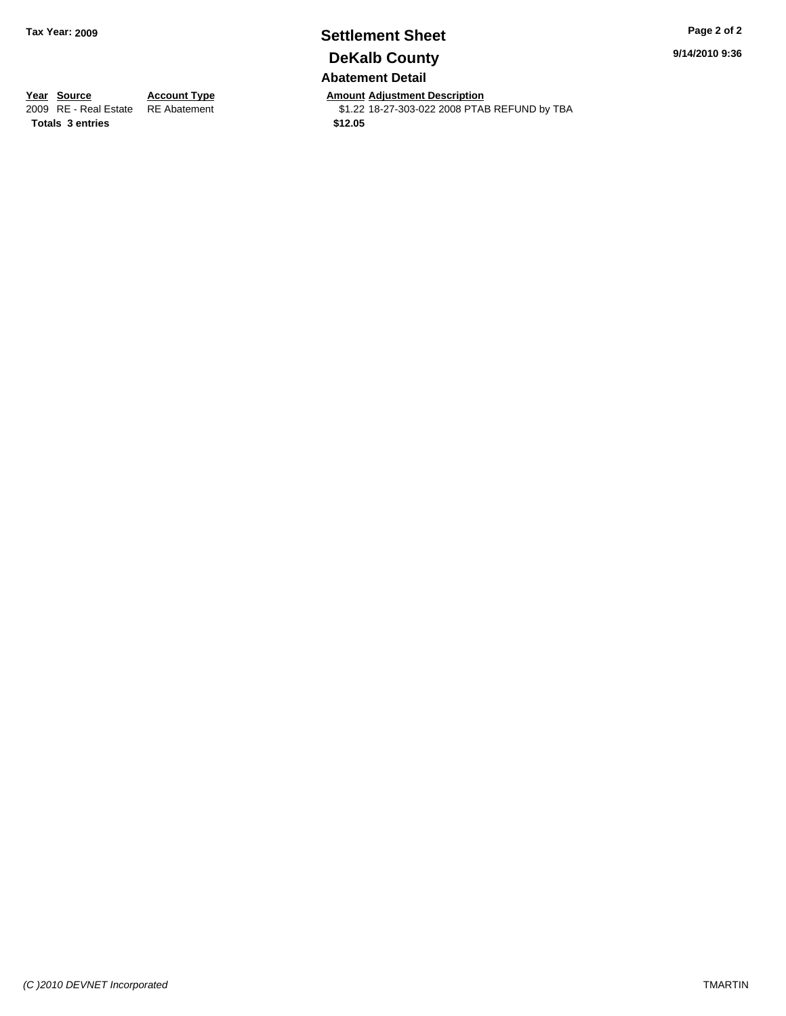## **Settlement Sheet Tax Year: 2009 Page 2 of 2 DeKalb County**

**9/14/2010 9:36**

### **Abatement Detail**

**Year Source Account Type Amount Adjustment Description**<br> **2009** RE - Real Estate RE Abatement **Adjustment Adjustment Adjustment Adjustment Adjustment Adjustment** 

\$1.22 18-27-303-022 2008 PTAB REFUND by TBA

**Totals \$12.05 3 entries**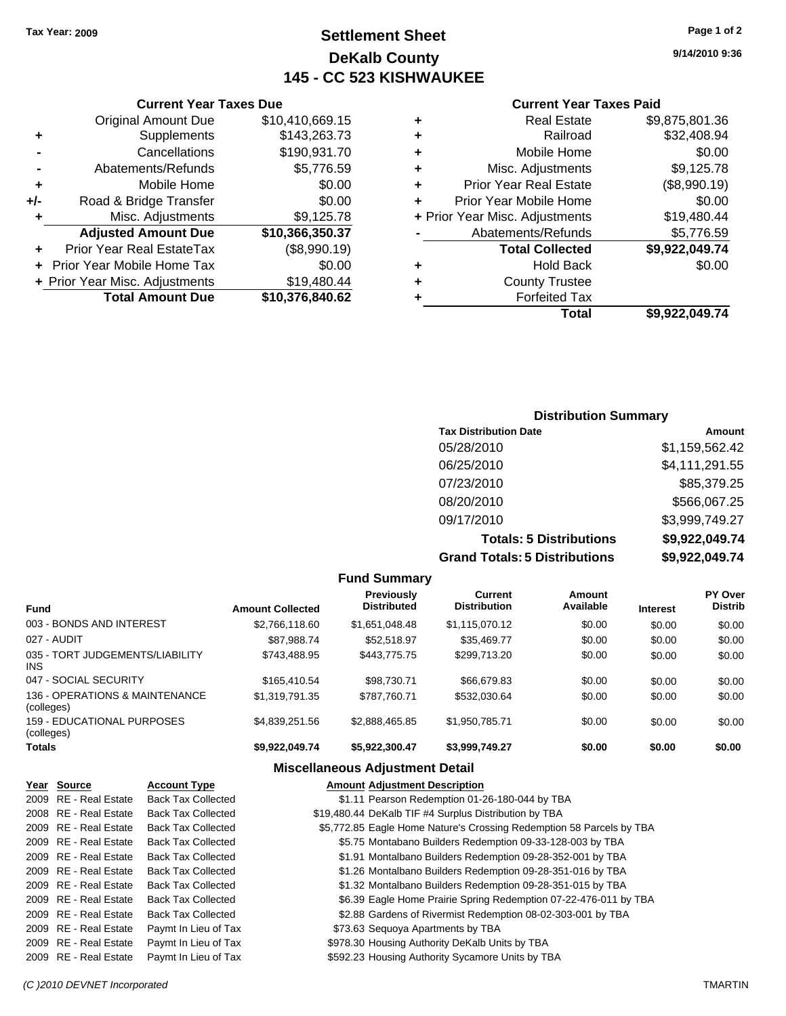### **Settlement Sheet Tax Year: 2009 Page 1 of 2 DeKalb County 145 - CC 523 KISHWAUKEE**

#### **Current Year Taxes Due**

|       | <b>Original Amount Due</b>     | \$10,410,669.15 |
|-------|--------------------------------|-----------------|
| ٠     | Supplements                    | \$143,263.73    |
|       | Cancellations                  | \$190,931.70    |
|       | Abatements/Refunds             | \$5,776.59      |
| ÷     | Mobile Home                    | \$0.00          |
| $+/-$ | Road & Bridge Transfer         | \$0.00          |
| ٠     | Misc. Adjustments              | \$9,125.78      |
|       | <b>Adjusted Amount Due</b>     | \$10,366,350.37 |
|       | Prior Year Real EstateTax      | (\$8,990.19)    |
|       | Prior Year Mobile Home Tax     | \$0.00          |
|       | + Prior Year Misc. Adjustments | \$19,480.44     |
|       | <b>Total Amount Due</b>        | \$10,376,840.62 |

#### **Current Year Taxes Paid**

|   | <b>Real Estate</b>             | \$9,875,801.36 |
|---|--------------------------------|----------------|
| ٠ | Railroad                       | \$32,408.94    |
| ٠ | Mobile Home                    | \$0.00         |
| ٠ | Misc. Adjustments              | \$9,125.78     |
| ٠ | <b>Prior Year Real Estate</b>  | (\$8,990.19)   |
|   | Prior Year Mobile Home         | \$0.00         |
|   | + Prior Year Misc. Adjustments | \$19,480.44    |
|   | Abatements/Refunds             | \$5,776.59     |
|   | <b>Total Collected</b>         | \$9,922,049.74 |
| ٠ | <b>Hold Back</b>               | \$0.00         |
| ٠ | <b>County Trustee</b>          |                |
| ٠ | <b>Forfeited Tax</b>           |                |
|   | Total                          | \$9,922,049.74 |
|   |                                |                |

### **Distribution Summary**

| <b>Tax Distribution Date</b>         | Amount         |
|--------------------------------------|----------------|
| 05/28/2010                           | \$1,159,562.42 |
| 06/25/2010                           | \$4,111,291.55 |
| 07/23/2010                           | \$85,379.25    |
| 08/20/2010                           | \$566,067.25   |
| 09/17/2010                           | \$3,999,749.27 |
| <b>Totals: 5 Distributions</b>       | \$9,922,049.74 |
| <b>Grand Totals: 5 Distributions</b> | \$9,922,049.74 |

|                                                 |                         | <b>Fund Summary</b>                     |                                       |                     |                 |                           |
|-------------------------------------------------|-------------------------|-----------------------------------------|---------------------------------------|---------------------|-----------------|---------------------------|
| <b>Fund</b>                                     | <b>Amount Collected</b> | <b>Previously</b><br><b>Distributed</b> | <b>Current</b><br><b>Distribution</b> | Amount<br>Available | <b>Interest</b> | PY Over<br><b>Distrib</b> |
| 003 - BONDS AND INTEREST                        | \$2,766,118.60          | \$1,651,048.48                          | \$1,115,070.12                        | \$0.00              | \$0.00          | \$0.00                    |
| 027 - AUDIT                                     | \$87.988.74             | \$52.518.97                             | \$35,469.77                           | \$0.00              | \$0.00          | \$0.00                    |
| 035 - TORT JUDGEMENTS/LIABILITY<br>INS          | \$743.488.95            | \$443.775.75                            | \$299.713.20                          | \$0.00              | \$0.00          | \$0.00                    |
| 047 - SOCIAL SECURITY                           | \$165,410.54            | \$98.730.71                             | \$66,679.83                           | \$0.00              | \$0.00          | \$0.00                    |
| 136 - OPERATIONS & MAINTENANCE<br>(colleges)    | \$1,319,791.35          | \$787.760.71                            | \$532,030.64                          | \$0.00              | \$0.00          | \$0.00                    |
| <b>159 - EDUCATIONAL PURPOSES</b><br>(colleges) | \$4.839.251.56          | \$2.888.465.85                          | \$1.950.785.71                        | \$0.00              | \$0.00          | \$0.00                    |
| Totals                                          | \$9,922,049.74          | \$5,922,300.47                          | \$3,999,749.27                        | \$0.00              | \$0.00          | \$0.00                    |
|                                                 | ---                     |                                         |                                       |                     |                 |                           |

#### **Miscellaneous Adjustment Detail**

| Year Source           | <b>Account Type</b>       | <b>Amount Adjustment Description</b>                                 |
|-----------------------|---------------------------|----------------------------------------------------------------------|
| 2009 RE - Real Estate | <b>Back Tax Collected</b> | \$1.11 Pearson Redemption 01-26-180-044 by TBA                       |
| 2008 RE - Real Estate | <b>Back Tax Collected</b> | \$19,480.44 DeKalb TIF #4 Surplus Distribution by TBA                |
| 2009 RE - Real Estate | <b>Back Tax Collected</b> | \$5,772.85 Eagle Home Nature's Crossing Redemption 58 Parcels by TBA |
| 2009 RE - Real Estate | <b>Back Tax Collected</b> | \$5.75 Montabano Builders Redemption 09-33-128-003 by TBA            |
| 2009 RE - Real Estate | <b>Back Tax Collected</b> | \$1.91 Montalbano Builders Redemption 09-28-352-001 by TBA           |
| 2009 RE - Real Estate | <b>Back Tax Collected</b> | \$1.26 Montalbano Builders Redemption 09-28-351-016 by TBA           |
| 2009 RE - Real Estate | <b>Back Tax Collected</b> | \$1.32 Montalbano Builders Redemption 09-28-351-015 by TBA           |
| 2009 RE - Real Estate | <b>Back Tax Collected</b> | \$6.39 Eagle Home Prairie Spring Redemption 07-22-476-011 by TBA     |
| 2009 RE - Real Estate | <b>Back Tax Collected</b> | \$2.88 Gardens of Rivermist Redemption 08-02-303-001 by TBA          |
| 2009 RE - Real Estate | Paymt In Lieu of Tax      | \$73.63 Sequoya Apartments by TBA                                    |
| 2009 RE - Real Estate | Paymt In Lieu of Tax      | \$978.30 Housing Authority DeKalb Units by TBA                       |
| 2009 RE - Real Estate | Paymt In Lieu of Tax      | \$592.23 Housing Authority Sycamore Units by TBA                     |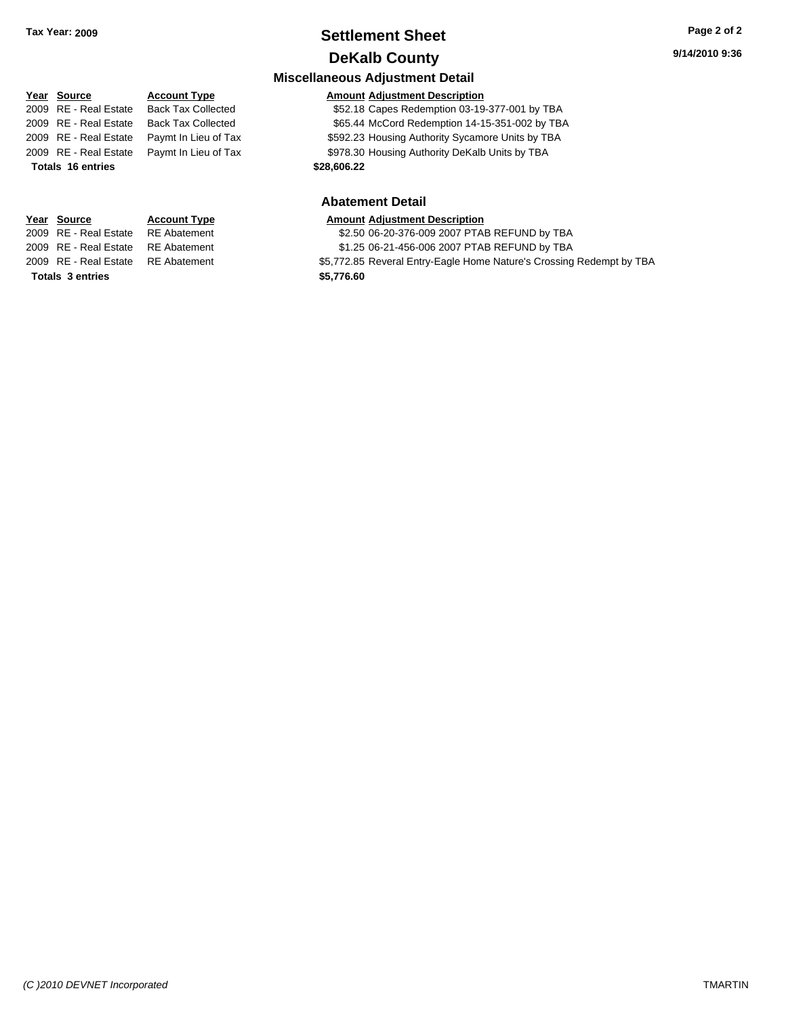### **Settlement Sheet Tax Year: 2009 Page 2 of 2 DeKalb County**

### **Miscellaneous Adjustment Detail Year Source Account Type Amount Adjustment Description** 2009 RE - Real Estate Back Tax Collected \$52.18 Capes Redemption 03-19-377-001 by TBA 2009 RE - Real Estate Back Tax Collected \$65.44 McCord Redemption 14-15-351-002 by TBA 2009 RE - Real Estate Paymt In Lieu of Tax \$592.23 Housing Authority Sycamore Units by TBA 2009 RE - Real Estate Paymt In Lieu of Tax \$978.30 Housing Authority DeKalb Units by TBA **Totals \$28,606.22 16 entries Abatement Detail**

**Totals \$5,776.60 3 entries**

**Year Source Account Type Amount Adjustment Description** 2009 RE - Real Estate RE Abatement \$2.50 06-20-376-009 2007 PTAB REFUND by TBA 2009 RE - Real Estate RE Abatement \$1.25 06-21-456-006 2007 PTAB REFUND by TBA 2009 RE - Real Estate RE Abatement \$5,772.85 Reveral Entry-Eagle Home Nature's Crossing Redempt by TBA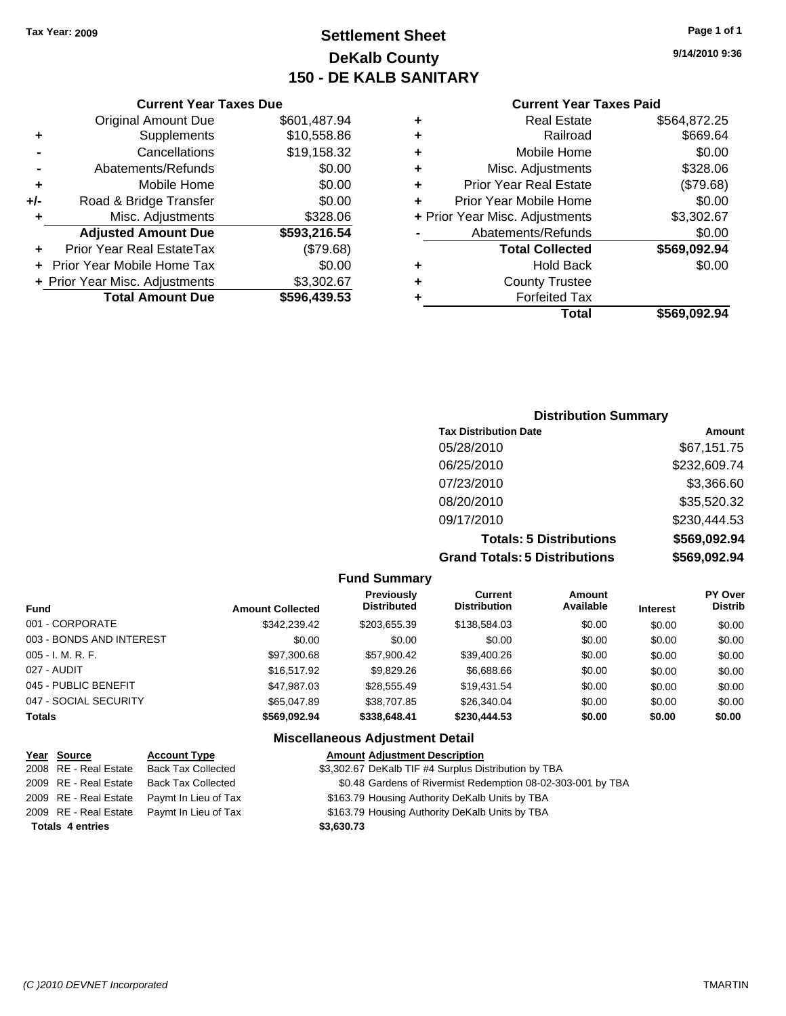### **Settlement Sheet Tax Year: 2009 Page 1 of 1 DeKalb County 150 - DE KALB SANITARY**

**9/14/2010 9:36**

#### **Current Year Taxes Paid**

| ٠ | <b>Real Estate</b>             | \$564,872.25 |
|---|--------------------------------|--------------|
| ٠ | Railroad                       | \$669.64     |
| ٠ | Mobile Home                    | \$0.00       |
| ٠ | Misc. Adjustments              | \$328.06     |
| ٠ | <b>Prior Year Real Estate</b>  | (\$79.68)    |
|   | Prior Year Mobile Home         | \$0.00       |
|   | + Prior Year Misc. Adjustments | \$3,302.67   |
|   | Abatements/Refunds             | \$0.00       |
|   | <b>Total Collected</b>         | \$569,092.94 |
| ٠ | <b>Hold Back</b>               | \$0.00       |
| ٠ | <b>County Trustee</b>          |              |
|   | <b>Forfeited Tax</b>           |              |
|   | Total                          | \$569.092.94 |

|     | <b>Current Year Taxes Due</b>    |              |
|-----|----------------------------------|--------------|
|     | <b>Original Amount Due</b>       | \$601,487.94 |
| ٠   | Supplements                      | \$10,558.86  |
|     | Cancellations                    | \$19,158.32  |
|     | Abatements/Refunds               | \$0.00       |
| ÷   | Mobile Home                      | \$0.00       |
| +/- | Road & Bridge Transfer           | \$0.00       |
| ٠   | Misc. Adjustments                | \$328.06     |
|     | <b>Adjusted Amount Due</b>       | \$593,216.54 |
|     | <b>Prior Year Real EstateTax</b> | (\$79.68)    |
|     | + Prior Year Mobile Home Tax     | \$0.00       |
|     | + Prior Year Misc. Adjustments   | \$3,302.67   |
|     | <b>Total Amount Due</b>          | \$596,439.53 |

#### **Distribution Summary**

| <b>Tax Distribution Date</b>         | Amount       |
|--------------------------------------|--------------|
| 05/28/2010                           | \$67,151.75  |
| 06/25/2010                           | \$232,609.74 |
| 07/23/2010                           | \$3,366.60   |
| 08/20/2010                           | \$35,520.32  |
| 09/17/2010                           | \$230,444.53 |
| <b>Totals: 5 Distributions</b>       | \$569,092.94 |
| <b>Grand Totals: 5 Distributions</b> | \$569,092.94 |

#### **Fund Summary Fund Interest Amount Collected Distributed PY Over Distrib Amount Available Current Distribution Previously** 001 - CORPORATE \$342,239.42 \$203,655.39 \$138,584.03 \$0.00 \$0.00 \$0.00 003 - BONDS AND INTEREST  $$0.00$   $$0.00$   $$0.00$   $$0.00$   $$0.00$   $$0.00$   $$0.00$   $$0.00$ 005 - I. M. R. F. \$97,300.68 \$57,900.42 \$39,400.26 \$0.00 \$0.00 \$0.00 027 - AUDIT \$16,517.92 \$9,829.26 \$6,688.66 \$0.00 \$0.00 \$0.00 045 - PUBLIC BENEFIT \$47,987.03 \$28,555.49 \$19,431.54 \$0.00 \$0.00 \$0.00 047 - SOCIAL SECURITY 665,047.89 \$38,707.85 \$26,340.04 \$0.00 \$0.00 \$0.00 \$0.00 **Totals \$569,092.94 \$338,648.41 \$230,444.53 \$0.00 \$0.00 \$0.00 Miscellaneous Adjustment Detail**

| Year Source             | <b>Account Type</b>                        | <b>Amount Adjustment Description</b>                        |
|-------------------------|--------------------------------------------|-------------------------------------------------------------|
| 2008 RE - Real Estate   | <b>Back Tax Collected</b>                  | \$3,302.67 DeKalb TIF #4 Surplus Distribution by TBA        |
|                         | 2009 RE - Real Estate Back Tax Collected   | \$0.48 Gardens of Rivermist Redemption 08-02-303-001 by TBA |
|                         | 2009 RE - Real Estate Paymt In Lieu of Tax | \$163.79 Housing Authority DeKalb Units by TBA              |
|                         | 2009 RE - Real Estate Paymt In Lieu of Tax | \$163.79 Housing Authority DeKalb Units by TBA              |
| <b>Totals 4 entries</b> |                                            | \$3,630.73                                                  |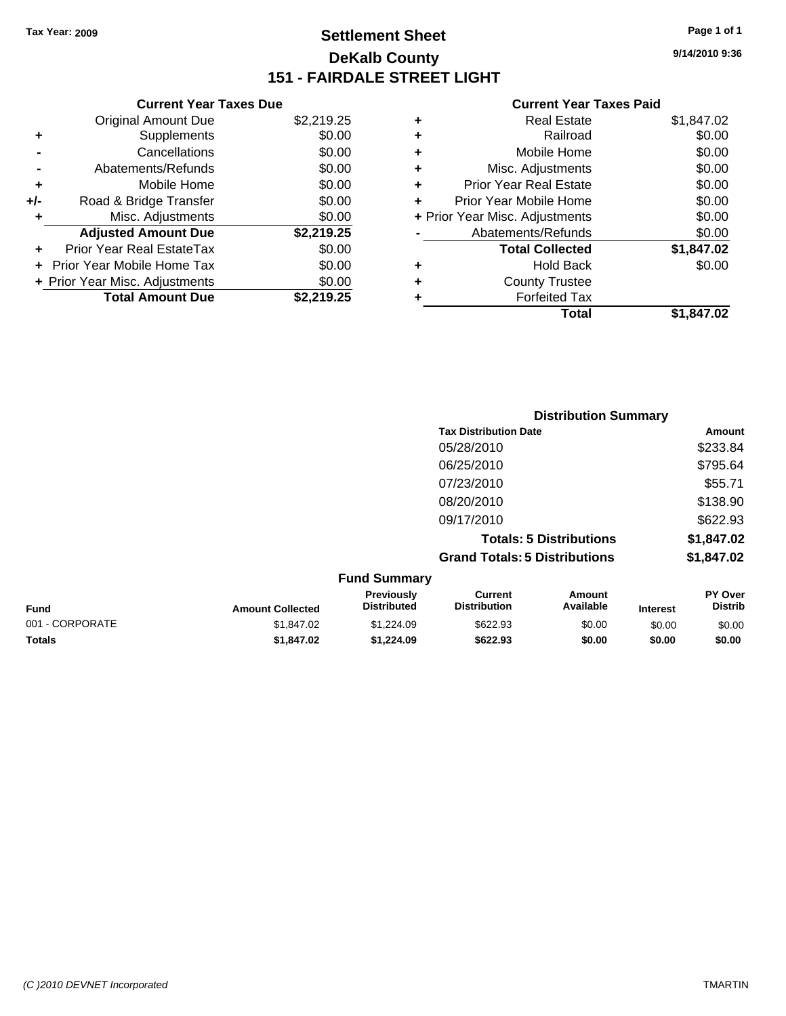### **Settlement Sheet Tax Year: 2009 Page 1 of 1 DeKalb County 151 - FAIRDALE STREET LIGHT**

**9/14/2010 9:36**

#### **Current Year Taxes Paid**

| <b>Current Year Taxes Due</b>  |            |
|--------------------------------|------------|
| <b>Original Amount Due</b>     | \$2,219.25 |
| Supplements                    | \$0.00     |
| Cancellations                  | \$0.00     |
| Abatements/Refunds             | \$0.00     |
| Mobile Home                    | \$0.00     |
| Road & Bridge Transfer         | \$0.00     |
| Misc. Adjustments              | \$0.00     |
| <b>Adjusted Amount Due</b>     | \$2,219.25 |
| Prior Year Real EstateTax      | \$0.00     |
| Prior Year Mobile Home Tax     | \$0.00     |
|                                |            |
| + Prior Year Misc. Adjustments | \$0.00     |
|                                |            |

| ٠ | <b>Real Estate</b>             | \$1,847.02 |
|---|--------------------------------|------------|
| ٠ | Railroad                       | \$0.00     |
| ٠ | Mobile Home                    | \$0.00     |
| ٠ | Misc. Adjustments              | \$0.00     |
| ٠ | <b>Prior Year Real Estate</b>  | \$0.00     |
| ÷ | Prior Year Mobile Home         | \$0.00     |
|   | + Prior Year Misc. Adjustments | \$0.00     |
|   | Abatements/Refunds             | \$0.00     |
|   | <b>Total Collected</b>         | \$1,847.02 |
| ٠ | Hold Back                      | \$0.00     |
| ÷ | <b>County Trustee</b>          |            |
| ٠ | <b>Forfeited Tax</b>           |            |
|   | Total                          | \$1,847.02 |
|   |                                |            |

|                 |                         |                                  |                                       | <b>Distribution Summary</b>    |                 |                                  |
|-----------------|-------------------------|----------------------------------|---------------------------------------|--------------------------------|-----------------|----------------------------------|
|                 |                         |                                  | <b>Tax Distribution Date</b>          |                                |                 | Amount                           |
|                 |                         |                                  | 05/28/2010                            |                                |                 | \$233.84                         |
|                 |                         |                                  | 06/25/2010                            |                                |                 | \$795.64                         |
|                 |                         |                                  | 07/23/2010                            |                                |                 | \$55.71                          |
|                 |                         |                                  | 08/20/2010                            |                                |                 | \$138.90                         |
|                 |                         |                                  | 09/17/2010                            |                                |                 | \$622.93                         |
|                 |                         |                                  |                                       | <b>Totals: 5 Distributions</b> |                 | \$1,847.02                       |
|                 |                         |                                  | <b>Grand Totals: 5 Distributions</b>  |                                |                 | \$1,847.02                       |
|                 |                         | <b>Fund Summary</b>              |                                       |                                |                 |                                  |
| <b>Fund</b>     | <b>Amount Collected</b> | Previously<br><b>Distributed</b> | <b>Current</b><br><b>Distribution</b> | <b>Amount</b><br>Available     | <b>Interest</b> | <b>PY Over</b><br><b>Distrib</b> |
| 001 - CORPORATE | \$1,847.02              | \$1,224.09                       | \$622.93                              | \$0.00                         | \$0.00          | \$0.00                           |

**Totals \$1,847.02 \$1,224.09 \$622.93 \$0.00 \$0.00 \$0.00**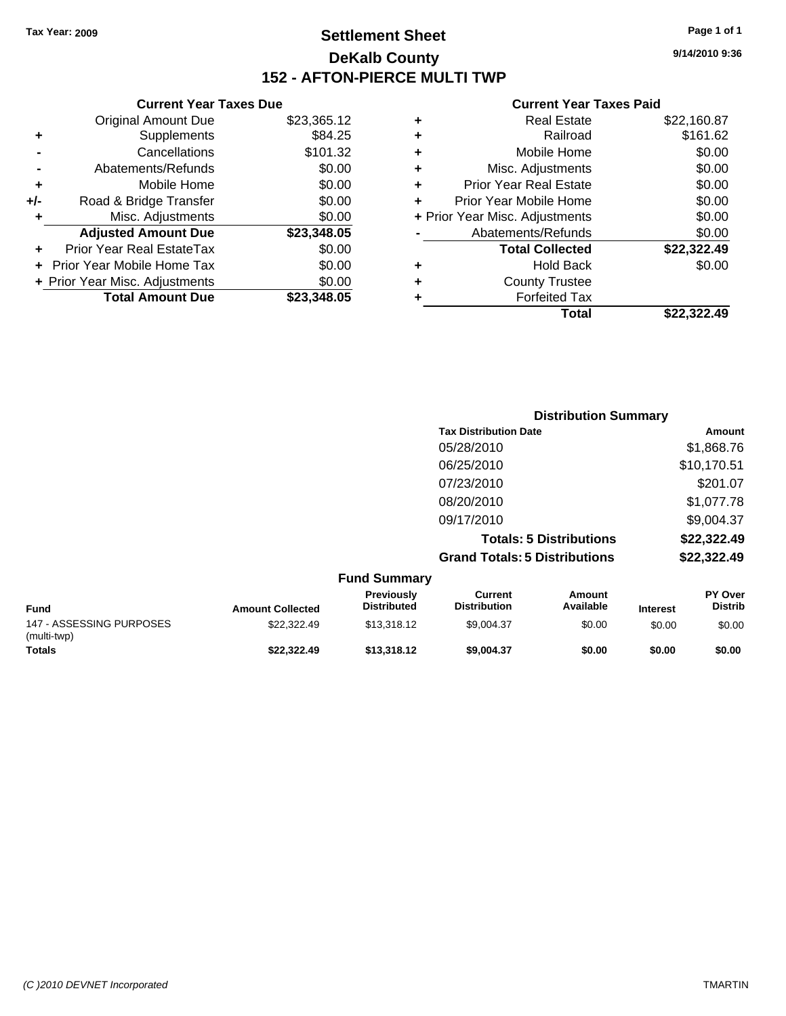**Current Year Taxes Due** Original Amount Due \$23,365.12

**Adjusted Amount Due \$23,348.05**

**Total Amount Due \$23,348.05**

**+** Supplements \$84.25 **-** Cancellations \$101.32 **-** Abatements/Refunds \$0.00 **+** Mobile Home \$0.00 **+/-** Road & Bridge Transfer \$0.00 **+** Misc. Adjustments \$0.00

**+** Prior Year Real EstateTax \$0.00 **+** Prior Year Mobile Home Tax \$0.00 **+ Prior Year Misc. Adjustments**  $$0.00$ 

### **Settlement Sheet Tax Year: 2009 Page 1 of 1 DeKalb County 152 - AFTON-PIERCE MULTI TWP**

**9/14/2010 9:36**

#### **Current Year Taxes Paid**

| ٠ | <b>Real Estate</b>             | \$22,160.87 |
|---|--------------------------------|-------------|
| ٠ | Railroad                       | \$161.62    |
| ٠ | Mobile Home                    | \$0.00      |
| ٠ | Misc. Adjustments              | \$0.00      |
| ٠ | <b>Prior Year Real Estate</b>  | \$0.00      |
| ٠ | Prior Year Mobile Home         | \$0.00      |
|   | + Prior Year Misc. Adjustments | \$0.00      |
|   | Abatements/Refunds             | \$0.00      |
|   | <b>Total Collected</b>         | \$22,322.49 |
| ٠ | <b>Hold Back</b>               | \$0.00      |
| ٠ | <b>County Trustee</b>          |             |
|   | <b>Forfeited Tax</b>           |             |
|   | Total                          | \$22.322.49 |

|                          |                         |                                         |                                       | <b>Distribution Summary</b>    |                 |                           |
|--------------------------|-------------------------|-----------------------------------------|---------------------------------------|--------------------------------|-----------------|---------------------------|
|                          |                         |                                         | <b>Tax Distribution Date</b>          |                                |                 | Amount                    |
|                          |                         |                                         | 05/28/2010                            |                                |                 | \$1,868.76                |
|                          |                         |                                         | 06/25/2010                            |                                |                 | \$10,170.51               |
|                          |                         |                                         | 07/23/2010                            |                                |                 | \$201.07                  |
|                          |                         |                                         | 08/20/2010                            |                                |                 | \$1,077.78                |
|                          |                         |                                         | 09/17/2010                            |                                |                 | \$9,004.37                |
|                          |                         |                                         |                                       | <b>Totals: 5 Distributions</b> |                 | \$22,322.49               |
|                          |                         |                                         | <b>Grand Totals: 5 Distributions</b>  |                                |                 | \$22,322.49               |
|                          |                         | <b>Fund Summary</b>                     |                                       |                                |                 |                           |
| <b>Fund</b>              | <b>Amount Collected</b> | <b>Previously</b><br><b>Distributed</b> | <b>Current</b><br><b>Distribution</b> | Amount<br>Available            | <b>Interest</b> | PY Over<br><b>Distrib</b> |
| 147 - ASSESSING PURPOSES | \$22,322.49             | \$13,318.12                             | \$9,004.37                            | \$0.00                         | \$0.00          | \$0.00                    |

**Totals \$22,322.49 \$13,318.12 \$9,004.37 \$0.00 \$0.00 \$0.00**

(multi-twp)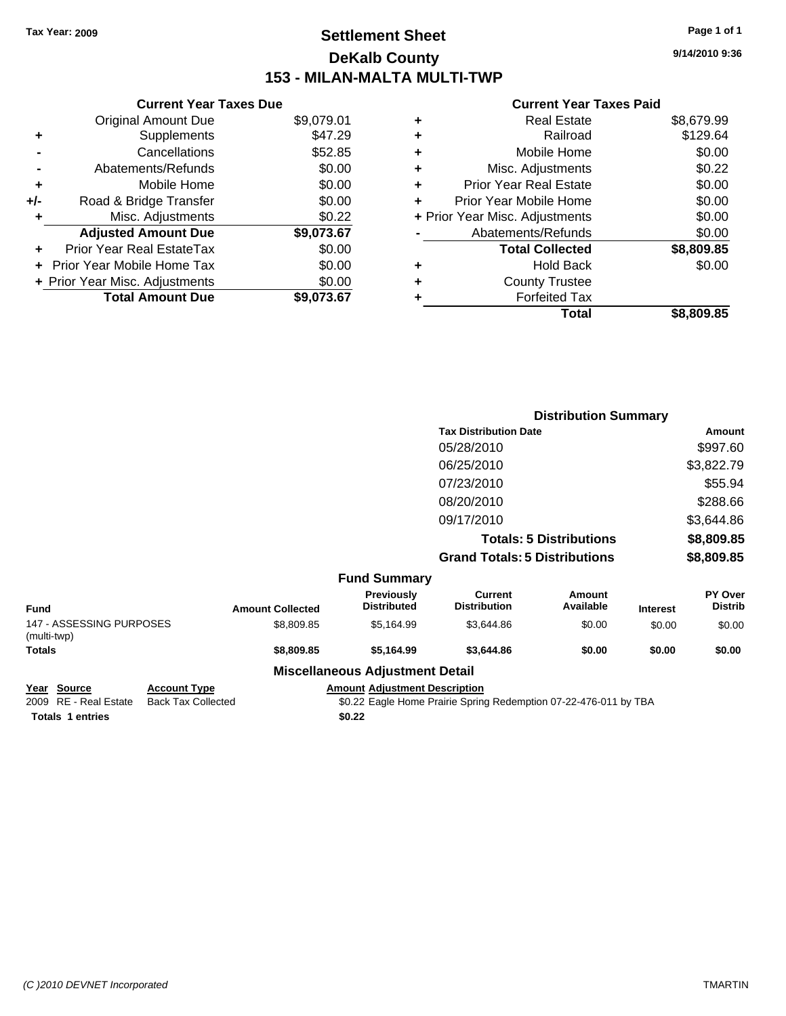**Current Year Taxes Due** Original Amount Due \$9,079.01

**Adjusted Amount Due \$9,073.67**

**Total Amount Due \$9,073.67**

**+** Supplements \$47.29 **-** Cancellations \$52.85 **-** Abatements/Refunds \$0.00 **+** Mobile Home \$0.00 **+/-** Road & Bridge Transfer \$0.00 **+** Misc. Adjustments \$0.22

**+** Prior Year Real EstateTax \$0.00 **+** Prior Year Mobile Home Tax \$0.00 **+ Prior Year Misc. Adjustments**  $$0.00$ 

### **Settlement Sheet Tax Year: 2009 Page 1 of 1 DeKalb County 153 - MILAN-MALTA MULTI-TWP**

**9/14/2010 9:36**

#### **Current Year Taxes Paid**

|   | Total                          | \$8.809.85 |
|---|--------------------------------|------------|
| ٠ | <b>Forfeited Tax</b>           |            |
| ٠ | <b>County Trustee</b>          |            |
| ٠ | <b>Hold Back</b>               | \$0.00     |
|   | <b>Total Collected</b>         | \$8,809.85 |
|   | Abatements/Refunds             | \$0.00     |
|   | + Prior Year Misc. Adjustments | \$0.00     |
| ٠ | Prior Year Mobile Home         | \$0.00     |
| ٠ | <b>Prior Year Real Estate</b>  | \$0.00     |
| ٠ | Misc. Adjustments              | \$0.22     |
| ٠ | Mobile Home                    | \$0.00     |
| ٠ | Railroad                       | \$129.64   |
| ٠ | <b>Real Estate</b>             | \$8,679.99 |

|                                         |                         |                                        | <b>Distribution Summary</b>           |                                |                 |                                  |
|-----------------------------------------|-------------------------|----------------------------------------|---------------------------------------|--------------------------------|-----------------|----------------------------------|
|                                         |                         |                                        | <b>Tax Distribution Date</b>          |                                |                 | Amount                           |
|                                         |                         |                                        | 05/28/2010                            |                                |                 | \$997.60                         |
|                                         |                         |                                        | 06/25/2010                            |                                |                 | \$3,822.79                       |
|                                         |                         |                                        | 07/23/2010                            |                                |                 | \$55.94                          |
|                                         |                         |                                        | 08/20/2010                            |                                |                 | \$288.66                         |
|                                         |                         |                                        | 09/17/2010                            |                                |                 | \$3,644.86                       |
|                                         |                         |                                        |                                       | <b>Totals: 5 Distributions</b> |                 | \$8,809.85                       |
|                                         |                         |                                        | <b>Grand Totals: 5 Distributions</b>  |                                |                 | \$8,809.85                       |
|                                         |                         | <b>Fund Summary</b>                    |                                       |                                |                 |                                  |
| <b>Fund</b>                             | <b>Amount Collected</b> | Previously<br><b>Distributed</b>       | <b>Current</b><br><b>Distribution</b> | Amount<br>Available            | <b>Interest</b> | <b>PY Over</b><br><b>Distrib</b> |
| 147 - ASSESSING PURPOSES<br>(multi-twp) | \$8,809.85              | \$5,164.99                             | \$3,644.86                            | \$0.00                         | \$0.00          | \$0.00                           |
| <b>Totals</b>                           | \$8,809.85              | \$5,164.99                             | \$3,644.86                            | \$0.00                         | \$0.00          | \$0.00                           |
|                                         |                         | <b>Miscellaneous Adjustment Detail</b> |                                       |                                |                 |                                  |

**Year Source Account Type Amount Adjustment Description**

Totals 1 entries \$0.22

2009 RE - Real Estate Back Tax Collected \$0.22 Eagle Home Prairie Spring Redemption 07-22-476-011 by TBA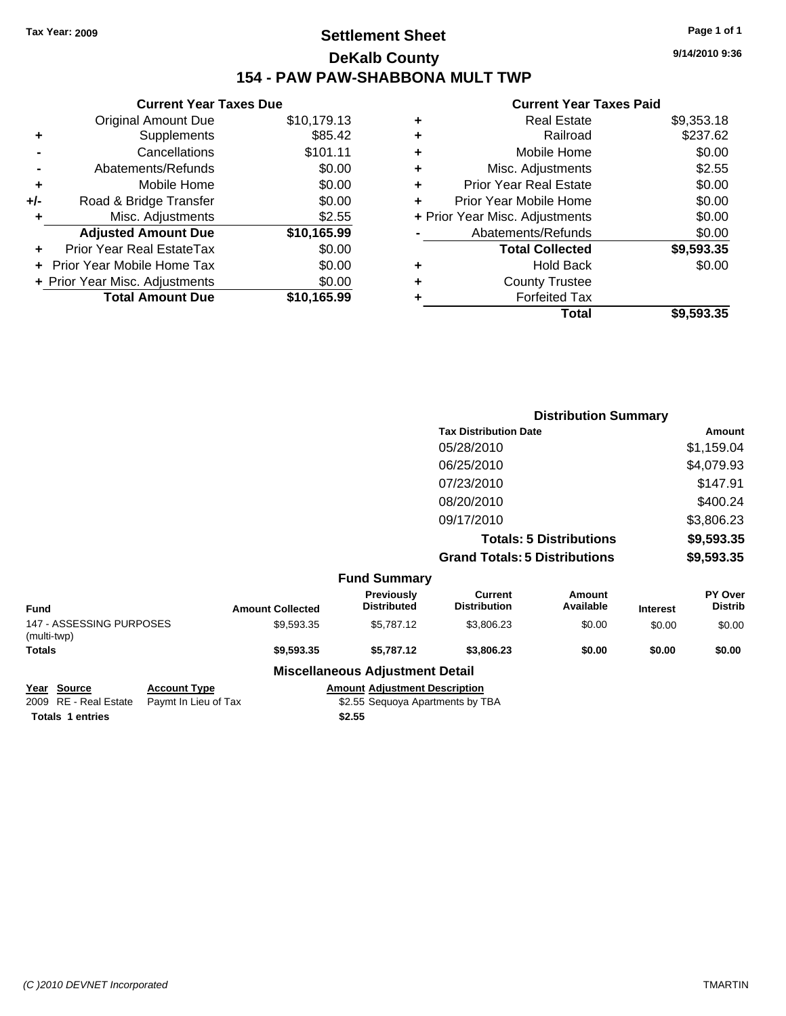### **Settlement Sheet Tax Year: 2009 Page 1 of 1 DeKalb County 154 - PAW PAW-SHABBONA MULT TWP**

#### **Current Year Taxes Due** Original Amount Due \$10,179.13 **+** Supplements \$85.42 **-** Cancellations \$101.11 **-** Abatements/Refunds \$0.00 **+** Mobile Home \$0.00 **+/-** Road & Bridge Transfer \$0.00 **+** Misc. Adjustments \$2.55 **Adjusted Amount Due \$10,165.99 +** Prior Year Real EstateTax \$0.00 **+** Prior Year Mobile Home Tax \$0.00 **+ Prior Year Misc. Adjustments**  $$0.00$ **Total Amount Due \$10,165.99**

#### **Current Year Taxes Paid**

|   | <b>Real Estate</b>             | \$9,353.18 |
|---|--------------------------------|------------|
| ٠ | Railroad                       | \$237.62   |
| ٠ | Mobile Home                    | \$0.00     |
| ٠ | Misc. Adjustments              | \$2.55     |
| ٠ | Prior Year Real Estate         | \$0.00     |
|   | Prior Year Mobile Home         | \$0.00     |
|   | + Prior Year Misc. Adjustments | \$0.00     |
|   | Abatements/Refunds             | \$0.00     |
|   | <b>Total Collected</b>         | \$9,593.35 |
| ٠ | <b>Hold Back</b>               | \$0.00     |
| ٠ | <b>County Trustee</b>          |            |
| ٠ | <b>Forfeited Tax</b>           |            |
|   | Total                          | \$9,593.35 |
|   |                                |            |

|                                         |                         |                                  |                                       | <b>Distribution Summary</b>    |                 |                           |
|-----------------------------------------|-------------------------|----------------------------------|---------------------------------------|--------------------------------|-----------------|---------------------------|
|                                         |                         |                                  | <b>Tax Distribution Date</b>          |                                |                 | Amount                    |
|                                         |                         |                                  | 05/28/2010                            |                                |                 | \$1,159.04                |
|                                         |                         |                                  | 06/25/2010                            |                                |                 | \$4,079.93                |
|                                         |                         |                                  | 07/23/2010                            |                                |                 | \$147.91                  |
|                                         |                         |                                  | 08/20/2010                            |                                |                 | \$400.24                  |
|                                         |                         |                                  | 09/17/2010                            |                                |                 | \$3,806.23                |
|                                         |                         |                                  |                                       | <b>Totals: 5 Distributions</b> |                 | \$9,593.35                |
|                                         |                         |                                  | <b>Grand Totals: 5 Distributions</b>  |                                |                 | \$9,593.35                |
|                                         |                         | <b>Fund Summary</b>              |                                       |                                |                 |                           |
| <b>Fund</b>                             | <b>Amount Collected</b> | Previously<br><b>Distributed</b> | <b>Current</b><br><b>Distribution</b> | Amount<br>Available            | <b>Interest</b> | PY Over<br><b>Distrib</b> |
| 147 - ASSESSING PURPOSES<br>(multi-twp) | \$9,593.35              | \$5,787.12                       | \$3,806.23                            | \$0.00                         | \$0.00          | \$0.00                    |
| <b>Totals</b>                           | \$9,593.35              | \$5,787.12                       | \$3,806.23                            | \$0.00                         | \$0.00          | \$0.00                    |

#### **Miscellaneous Adjustment Detail**

**Year Source Account Type Amount Adjustment Description**

**Totals \$2.55 1 entries**

2009 RE - Real Estate Paymt In Lieu of Tax **Fayme State State State State State** State State State State State S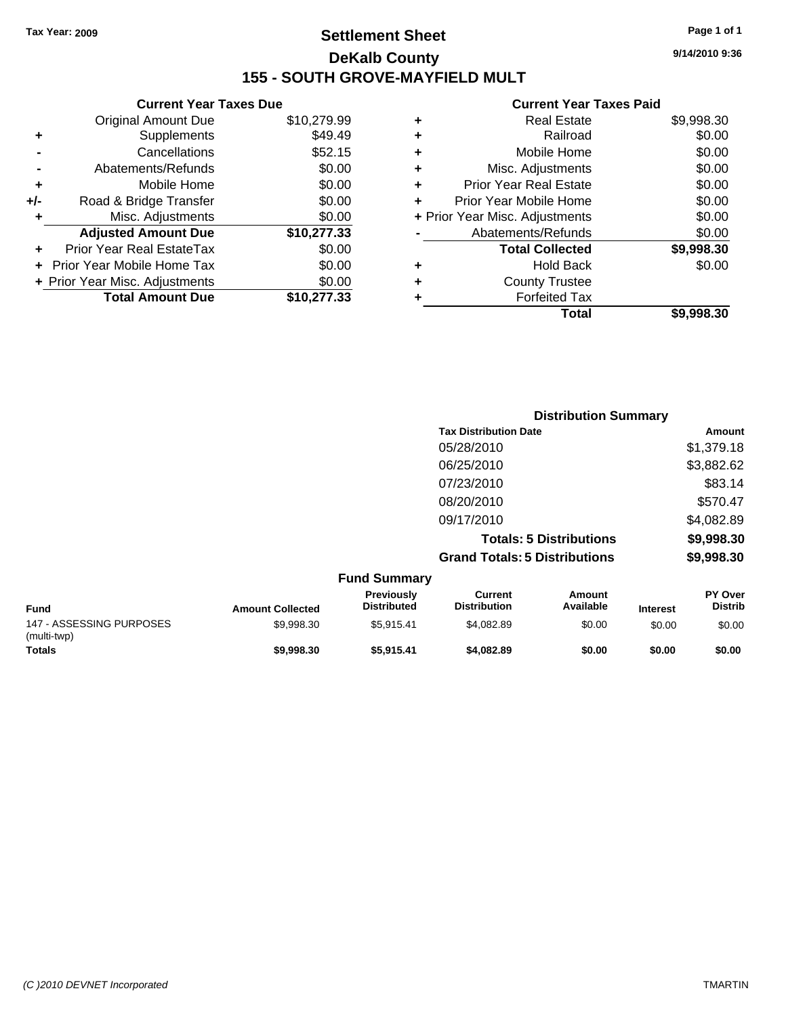### **Settlement Sheet Tax Year: 2009 Page 1 of 1 DeKalb County 155 - SOUTH GROVE-MAYFIELD MULT**

**9/14/2010 9:36**

#### **Current Year Taxes Paid**

| ٠ | Real Estate                    | \$9,998.30 |
|---|--------------------------------|------------|
| ٠ | Railroad                       | \$0.00     |
| ٠ | Mobile Home                    | \$0.00     |
| ٠ | Misc. Adjustments              | \$0.00     |
| ٠ | <b>Prior Year Real Estate</b>  | \$0.00     |
| ٠ | Prior Year Mobile Home         | \$0.00     |
|   | + Prior Year Misc. Adjustments | \$0.00     |
|   | Abatements/Refunds             | \$0.00     |
|   | <b>Total Collected</b>         | \$9,998.30 |
| ٠ | <b>Hold Back</b>               | \$0.00     |
| ٠ | <b>County Trustee</b>          |            |
|   | <b>Forfeited Tax</b>           |            |
|   | Total                          | \$9.998.30 |

|     | <b>Current Year Taxes Due</b>    |             |
|-----|----------------------------------|-------------|
|     | <b>Original Amount Due</b>       | \$10,279.99 |
| ٠   | Supplements                      | \$49.49     |
|     | Cancellations                    | \$52.15     |
|     | Abatements/Refunds               | \$0.00      |
| ٠   | Mobile Home                      | \$0.00      |
| +/- | Road & Bridge Transfer           | \$0.00      |
| ٠   | Misc. Adjustments                | \$0.00      |
|     | <b>Adjusted Amount Due</b>       | \$10,277.33 |
|     | <b>Prior Year Real EstateTax</b> | \$0.00      |
|     | Prior Year Mobile Home Tax       | \$0.00      |
|     | + Prior Year Misc. Adjustments   | \$0.00      |
|     | <b>Total Amount Due</b>          | \$10,277.33 |
|     |                                  |             |

|                     | <b>Distribution Summary</b>          |            |
|---------------------|--------------------------------------|------------|
|                     | <b>Tax Distribution Date</b>         | Amount     |
|                     | 05/28/2010                           | \$1,379.18 |
|                     | 06/25/2010                           | \$3,882.62 |
|                     | 07/23/2010                           | \$83.14    |
|                     | 08/20/2010                           | \$570.47   |
|                     | 09/17/2010                           | \$4,082.89 |
|                     | <b>Totals: 5 Distributions</b>       | \$9,998.30 |
|                     | <b>Grand Totals: 5 Distributions</b> | \$9,998.30 |
| <b>Fund Summary</b> |                                      |            |

| <b>Fund</b>                             | <b>Amount Collected</b> | <b>Previously</b><br><b>Distributed</b> | Current<br><b>Distribution</b> | Amount<br>Available | <b>Interest</b> | <b>PY Over</b><br><b>Distrib</b> |  |
|-----------------------------------------|-------------------------|-----------------------------------------|--------------------------------|---------------------|-----------------|----------------------------------|--|
| 147 - ASSESSING PURPOSES<br>(multi-twp) | \$9.998.30              | \$5.915.41                              | \$4.082.89                     | \$0.00              | \$0.00          | \$0.00                           |  |
| <b>Totals</b>                           | \$9,998,30              | \$5.915.41                              | \$4,082.89                     | \$0.00              | \$0.00          | \$0.00                           |  |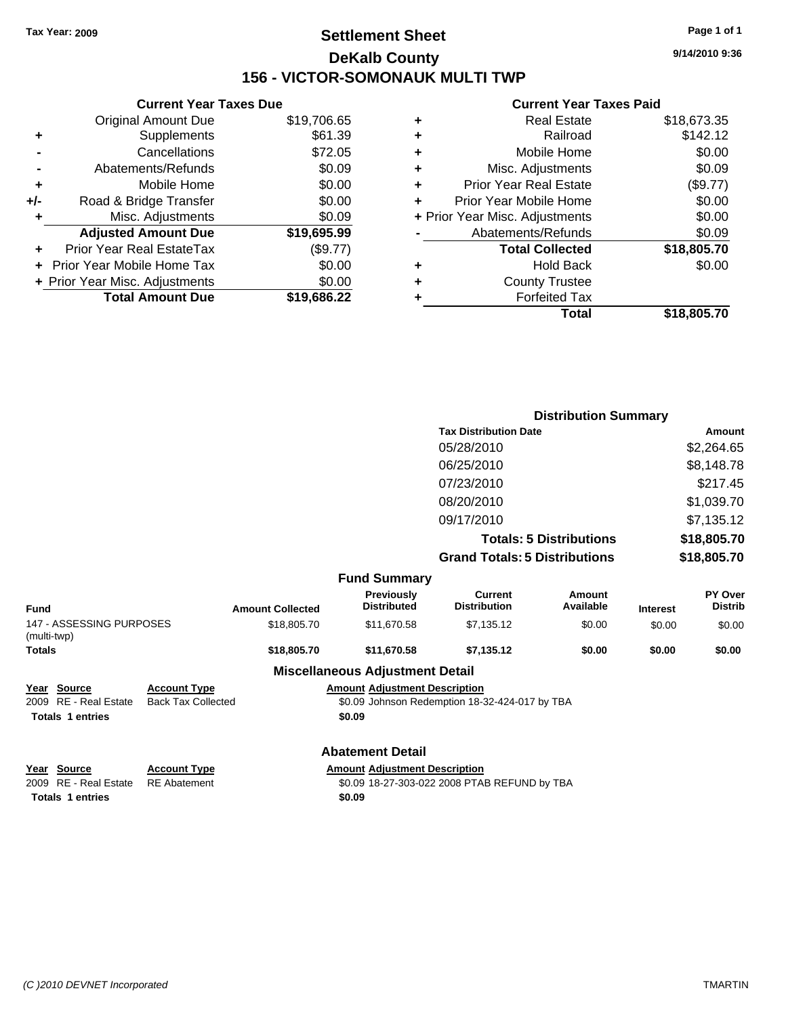### **Settlement Sheet Tax Year: 2009 Page 1 of 1 DeKalb County 156 - VICTOR-SOMONAUK MULTI TWP**

**9/14/2010 9:36**

#### **Current Year Taxes Paid**

| Total                              | \$18,805.70 |
|------------------------------------|-------------|
| <b>Forfeited Tax</b><br>٠          |             |
| <b>County Trustee</b><br>٠         |             |
| <b>Hold Back</b><br>٠              | \$0.00      |
| <b>Total Collected</b>             | \$18,805.70 |
| Abatements/Refunds                 | \$0.09      |
| + Prior Year Misc. Adjustments     | \$0.00      |
| Prior Year Mobile Home<br>٠        | \$0.00      |
| <b>Prior Year Real Estate</b><br>٠ | (\$9.77)    |
| Misc. Adjustments<br>٠             | \$0.09      |
| Mobile Home<br>٠                   | \$0.00      |
| Railroad<br>٠                      | \$142.12    |
| <b>Real Estate</b><br>٠            | \$18,673.35 |
|                                    |             |

|               |                          |                           |                         |                                        |                                                | <b>Distribution Summary</b>    |                 |                           |
|---------------|--------------------------|---------------------------|-------------------------|----------------------------------------|------------------------------------------------|--------------------------------|-----------------|---------------------------|
|               |                          |                           |                         |                                        | <b>Tax Distribution Date</b>                   |                                |                 | Amount                    |
|               |                          |                           | 05/28/2010              |                                        |                                                | \$2,264.65                     |                 |                           |
|               |                          |                           |                         |                                        | 06/25/2010                                     |                                |                 | \$8,148.78                |
|               |                          |                           |                         |                                        | 07/23/2010                                     |                                |                 | \$217.45                  |
|               |                          |                           |                         |                                        | 08/20/2010                                     |                                |                 | \$1,039.70                |
|               |                          |                           |                         |                                        | 09/17/2010                                     |                                |                 | \$7,135.12                |
|               |                          |                           |                         |                                        |                                                | <b>Totals: 5 Distributions</b> |                 | \$18,805.70               |
|               |                          |                           |                         |                                        | <b>Grand Totals: 5 Distributions</b>           |                                |                 | \$18,805.70               |
|               |                          |                           |                         | <b>Fund Summary</b>                    |                                                |                                |                 |                           |
| <b>Fund</b>   |                          |                           | <b>Amount Collected</b> | Previously<br><b>Distributed</b>       | <b>Current</b><br><b>Distribution</b>          | Amount<br>Available            | <b>Interest</b> | PY Over<br><b>Distrib</b> |
| (multi-twp)   | 147 - ASSESSING PURPOSES |                           | \$18,805.70             | \$11,670.58                            | \$7,135.12                                     | \$0.00                         | \$0.00          | \$0.00                    |
| <b>Totals</b> |                          |                           | \$18,805.70             | \$11,670.58                            | \$7,135.12                                     | \$0.00                         | \$0.00          | \$0.00                    |
|               |                          |                           |                         | <b>Miscellaneous Adjustment Detail</b> |                                                |                                |                 |                           |
|               | Year Source              | <b>Account Type</b>       |                         | <b>Amount Adjustment Description</b>   |                                                |                                |                 |                           |
| 2009          | RE - Real Estate         | <b>Back Tax Collected</b> |                         |                                        | \$0.09 Johnson Redemption 18-32-424-017 by TBA |                                |                 |                           |
|               | <b>Totals 1 entries</b>  |                           |                         | \$0.09                                 |                                                |                                |                 |                           |
|               |                          |                           |                         | <b>Abatement Detail</b>                |                                                |                                |                 |                           |
| Year          | <b>Source</b>            | <b>Account Type</b>       |                         | <b>Amount Adjustment Description</b>   |                                                |                                |                 |                           |
|               | 2009 RE - Real Estate    | <b>RE</b> Abatement       |                         |                                        | \$0.09 18-27-303-022 2008 PTAB REFUND by TBA   |                                |                 |                           |

**Totals 1 entries** \$0.09

**Current Year Taxes Due** Original Amount Due \$19,706.65

**Adjusted Amount Due \$19,695.99**

**Total Amount Due \$19,686.22**

**+** Supplements \$61.39 **-** Cancellations \$72.05 **-** Abatements/Refunds \$0.09 **+** Mobile Home \$0.00 **+/-** Road & Bridge Transfer \$0.00 **+** Misc. Adjustments \$0.09

**+** Prior Year Real EstateTax (\$9.77) **+** Prior Year Mobile Home Tax \$0.00 **+ Prior Year Misc. Adjustments**  $$0.00$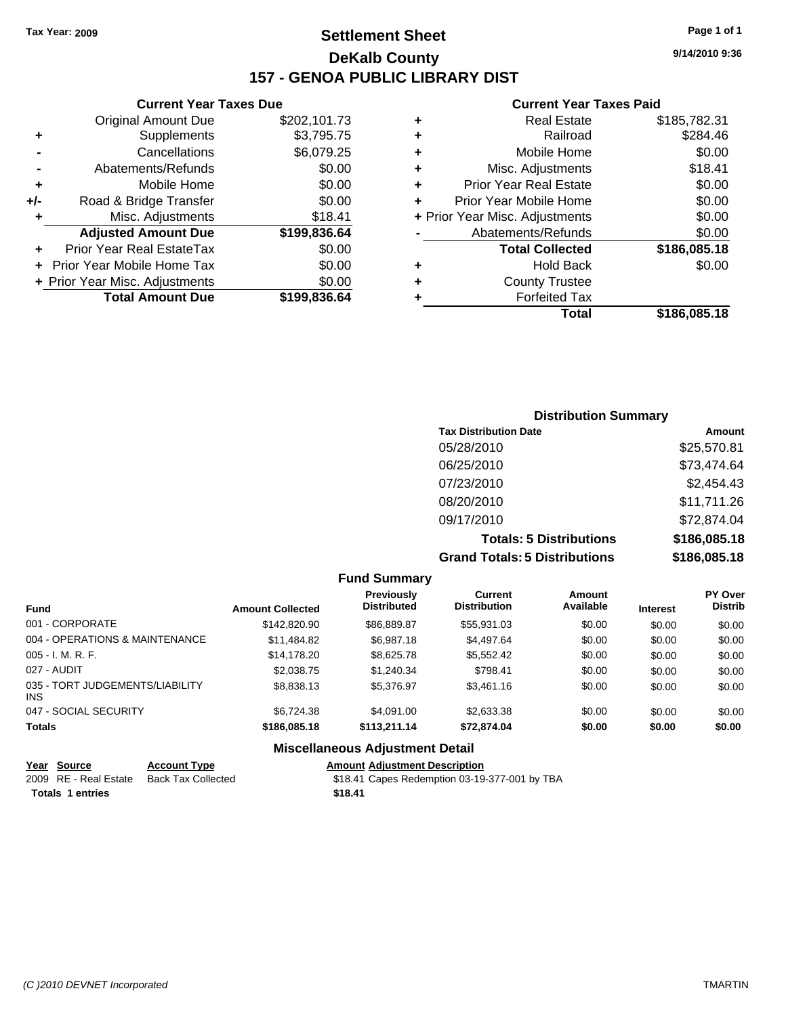### **Settlement Sheet Tax Year: 2009 Page 1 of 1 DeKalb County 157 - GENOA PUBLIC LIBRARY DIST**

#### **Current Year Taxes Due**

|     | <b>Original Amount Due</b>     | \$202,101.73 |
|-----|--------------------------------|--------------|
|     | Supplements                    | \$3,795.75   |
|     | Cancellations                  | \$6,079.25   |
|     | Abatements/Refunds             | \$0.00       |
| ٠   | Mobile Home                    | \$0.00       |
| +/- | Road & Bridge Transfer         | \$0.00       |
| ٠   | Misc. Adjustments              | \$18.41      |
|     | <b>Adjusted Amount Due</b>     | \$199,836.64 |
|     | Prior Year Real EstateTax      | \$0.00       |
|     | Prior Year Mobile Home Tax     | \$0.00       |
|     | + Prior Year Misc. Adjustments | \$0.00       |
|     | <b>Total Amount Due</b>        | \$199,836.64 |

#### **Current Year Taxes Paid**

| ٠ | <b>Real Estate</b>             | \$185,782.31 |
|---|--------------------------------|--------------|
| ٠ | Railroad                       | \$284.46     |
| ٠ | Mobile Home                    | \$0.00       |
| ٠ | Misc. Adjustments              | \$18.41      |
| ÷ | <b>Prior Year Real Estate</b>  | \$0.00       |
| ٠ | Prior Year Mobile Home         | \$0.00       |
|   | + Prior Year Misc. Adjustments | \$0.00       |
|   | Abatements/Refunds             | \$0.00       |
|   | <b>Total Collected</b>         | \$186,085.18 |
| ٠ | Hold Back                      | \$0.00       |
| ٠ | <b>County Trustee</b>          |              |
| ٠ | <b>Forfeited Tax</b>           |              |
|   | Total                          | \$186,085.18 |
|   |                                |              |

| <b>Distribution Summary</b>          |              |
|--------------------------------------|--------------|
| <b>Tax Distribution Date</b>         | Amount       |
| 05/28/2010                           | \$25,570.81  |
| 06/25/2010                           | \$73,474.64  |
| 07/23/2010                           | \$2,454.43   |
| 08/20/2010                           | \$11,711.26  |
| 09/17/2010                           | \$72,874.04  |
| <b>Totals: 5 Distributions</b>       | \$186,085.18 |
| <b>Grand Totals: 5 Distributions</b> | \$186,085.18 |

|                                 |                         | <b>Fund Summary</b>              |                                       |                     |                 |                           |
|---------------------------------|-------------------------|----------------------------------|---------------------------------------|---------------------|-----------------|---------------------------|
|                                 | <b>Amount Collected</b> | Previously<br><b>Distributed</b> | <b>Current</b><br><b>Distribution</b> | Amount<br>Available | <b>Interest</b> | PY Over<br><b>Distrib</b> |
| 001 - CORPORATE                 | \$142,820,90            | \$86,889.87                      | \$55,931,03                           | \$0.00              | \$0.00          | \$0.00                    |
| 004 - OPERATIONS & MAINTENANCE  | \$11,484.82             | \$6.987.18                       | \$4,497.64                            | \$0.00              | \$0.00          | \$0.00                    |
| 005 - I. M. R. F.               | \$14,178,20             | \$8,625.78                       | \$5,552.42                            | \$0.00              | \$0.00          | \$0.00                    |
| 027 - AUDIT                     | \$2,038.75              | \$1,240,34                       | \$798.41                              | \$0.00              | \$0.00          | \$0.00                    |
| 035 - TORT JUDGEMENTS/LIABILITY | \$8,838.13              | \$5,376.97                       | \$3,461.16                            | \$0.00              | \$0.00          | \$0.00                    |
| 047 - SOCIAL SECURITY           | \$6.724.38              | \$4.091.00                       | \$2,633.38                            | \$0.00              | \$0.00          | \$0.00                    |
| Totals                          | \$186,085.18            | \$113,211.14                     | \$72,874.04                           | \$0.00              | \$0.00          | \$0.00                    |
|                                 |                         |                                  |                                       |                     |                 |                           |

### **Miscellaneous Adjustment Detail**

| Year Source           | <b>Account Type</b> | <b>Amount Adiustment Description</b>          |
|-----------------------|---------------------|-----------------------------------------------|
| 2009 RE - Real Estate | Back Tax Collected  | \$18.41 Capes Redemption 03-19-377-001 by TBA |
| Totals 1 entries      |                     | \$18.41                                       |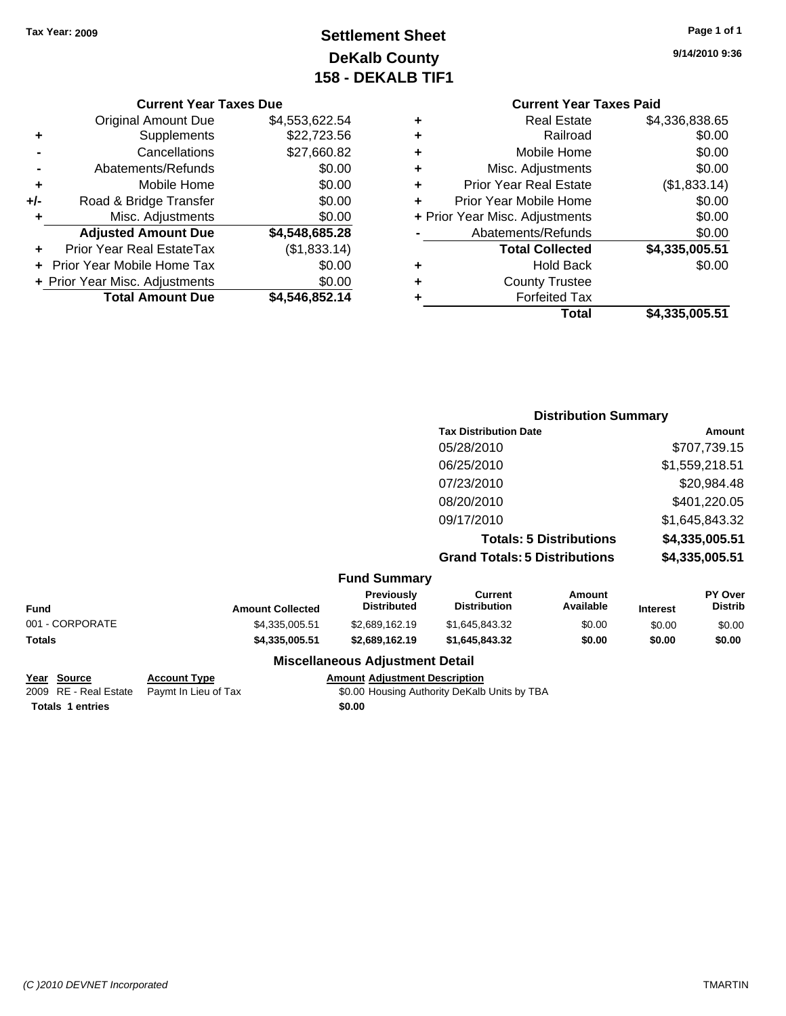## **Settlement Sheet Tax Year: 2009 Page 1 of 1 DeKalb County 158 - DEKALB TIF1**

**9/14/2010 9:36**

#### **Current Year Taxes Due**

|       | <b>Original Amount Due</b>     | \$4,553,622.54 |
|-------|--------------------------------|----------------|
| ٠     | Supplements                    | \$22,723.56    |
|       | Cancellations                  | \$27,660.82    |
|       | Abatements/Refunds             | \$0.00         |
| ÷     | Mobile Home                    | \$0.00         |
| $+/-$ | Road & Bridge Transfer         | \$0.00         |
| ٠     | Misc. Adjustments              | \$0.00         |
|       | <b>Adjusted Amount Due</b>     | \$4,548,685.28 |
|       | Prior Year Real EstateTax      | (\$1,833.14)   |
|       | Prior Year Mobile Home Tax     | \$0.00         |
|       | + Prior Year Misc. Adjustments | \$0.00         |
|       | <b>Total Amount Due</b>        | \$4,546,852.14 |

|   | <b>Current Year Taxes Paid</b> |                |  |  |  |
|---|--------------------------------|----------------|--|--|--|
| ٠ | <b>Real Estate</b>             | \$4,336,838.65 |  |  |  |
|   | Railroad                       | \$0.00         |  |  |  |
| ٠ | Mobile Home                    | \$0.00         |  |  |  |
| ٠ | Misc. Adjustments              | \$0.00         |  |  |  |
| ٠ | <b>Prior Year Real Estate</b>  | (\$1,833.14)   |  |  |  |
| ٠ | Prior Year Mobile Home         | \$0.00         |  |  |  |
|   | + Prior Year Misc. Adjustments | \$0.00         |  |  |  |
|   | Abatements/Refunds             | \$0.00         |  |  |  |
|   | <b>Total Collected</b>         | \$4,335,005.51 |  |  |  |
|   | Hold Back                      | \$0.00         |  |  |  |
|   | <b>County Trustee</b>          |                |  |  |  |
|   | <b>Forfeited Tax</b>           |                |  |  |  |
|   | Total                          | \$4,335,005.51 |  |  |  |
|   |                                |                |  |  |  |

|                     | <b>Distribution Summary</b>          |                |  |  |
|---------------------|--------------------------------------|----------------|--|--|
|                     | <b>Tax Distribution Date</b>         | Amount         |  |  |
|                     | 05/28/2010                           | \$707,739.15   |  |  |
|                     | 06/25/2010                           | \$1,559,218.51 |  |  |
|                     | 07/23/2010                           | \$20,984.48    |  |  |
|                     | 08/20/2010                           | \$401,220.05   |  |  |
|                     | 09/17/2010                           | \$1,645,843.32 |  |  |
|                     | <b>Totals: 5 Distributions</b>       | \$4,335,005.51 |  |  |
|                     | <b>Grand Totals: 5 Distributions</b> | \$4,335,005.51 |  |  |
| <b>Fund Summary</b> |                                      |                |  |  |

| Fund            | <b>Amount Collected</b> | <b>Previously</b><br><b>Distributed</b> | Current<br><b>Distribution</b> | Amount<br>Available | <b>Interest</b> | PY Over<br><b>Distrib</b> |
|-----------------|-------------------------|-----------------------------------------|--------------------------------|---------------------|-----------------|---------------------------|
| 001 - CORPORATE | \$4,335,005.51          | \$2,689,162,19                          | \$1,645,843,32                 | \$0.00              | \$0.00          | \$0.00                    |
| Totals          | \$4.335.005.51          | \$2,689,162,19                          | \$1,645,843,32                 | \$0.00              | \$0.00          | \$0.00                    |
|                 |                         | <b>Miscellaneous Adjustment Detail</b>  |                                |                     |                 |                           |

# **Totals 1 entries** \$0.00

**Year Source Account Type Amount Adjustment Description**

2009 RE - Real Estate Paymt In Lieu of Tax S0.00 Housing Authority DeKalb Units by TBA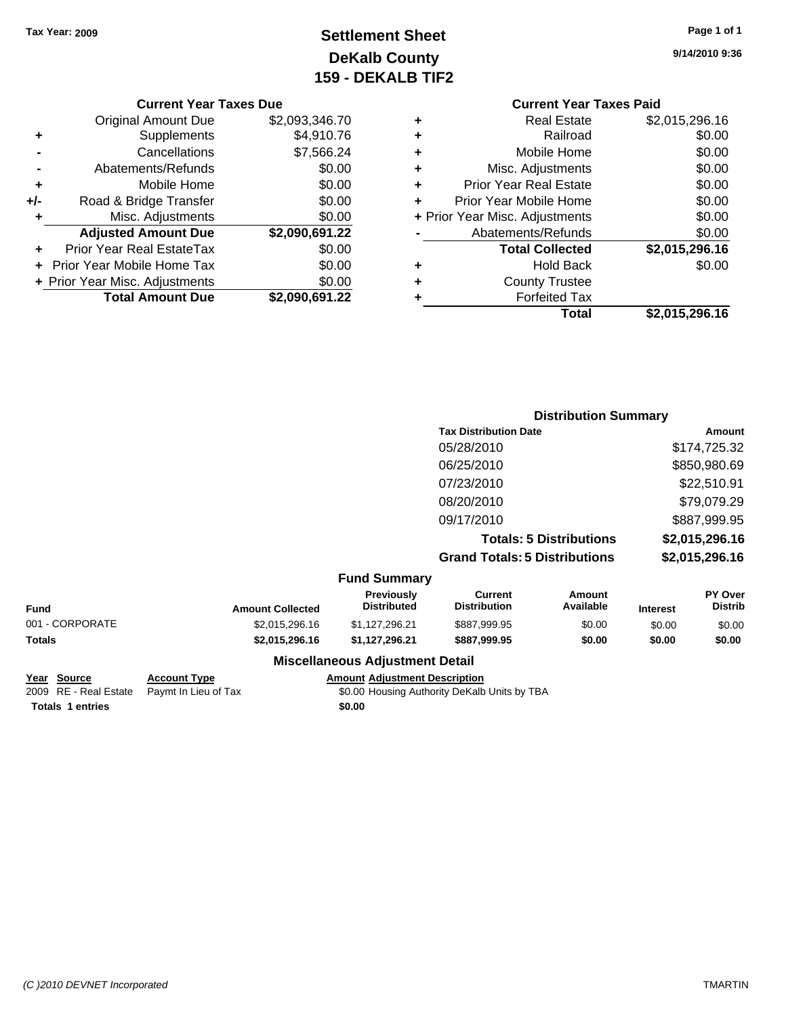## **Settlement Sheet Tax Year: 2009 Page 1 of 1 DeKalb County 159 - DEKALB TIF2**

**9/14/2010 9:36**

#### **Current Year Taxes Due**

|       | <b>Original Amount Due</b>     | \$2,093,346.70 |
|-------|--------------------------------|----------------|
| ٠     | Supplements                    | \$4,910.76     |
|       | Cancellations                  | \$7,566.24     |
|       | Abatements/Refunds             | \$0.00         |
| ÷     | Mobile Home                    | \$0.00         |
| $+/-$ | Road & Bridge Transfer         | \$0.00         |
| ٠     | Misc. Adjustments              | \$0.00         |
|       | <b>Adjusted Amount Due</b>     | \$2,090,691.22 |
|       | Prior Year Real EstateTax      | \$0.00         |
|       | Prior Year Mobile Home Tax     | \$0.00         |
|       | + Prior Year Misc. Adjustments | \$0.00         |
|       | <b>Total Amount Due</b>        | \$2,090,691.22 |

### **Current Year Taxes Paid +** Real Estate \$2,015,296.16 **+** Railroad \$0.00 **+** Mobile Home \$0.00 **+** Misc. Adjustments \$0.00 **+** Prior Year Real Estate \$0.00 **+** Prior Year Mobile Home \$0.00 **+** Prior Year Misc. Adjustments  $$0.00$ Abatements/Refunds \$0.00 **Total Collected \$2,015,296.16 +** Hold Back \$0.00 **+** County Trustee **+** Forfeited Tax **Total \$2,015,296.16**

#### **Distribution Summary Tax Distribution Date Amount** 05/28/2010 \$174,725.32 06/25/2010 \$850,980.69 07/23/2010 \$22,510.91 08/20/2010 \$79,079.29 09/17/2010 \$887,999.95 **Totals: 5 Distributions \$2,015,296.16 Grand Totals: 5 Distributions \$2,015,296.16 Fund Summary Fund Interest Amount Collected Distributed PY Over Distrib Amount Available Current Distribution Previously** 001 - CORPORATE \$2,015,296.16 \$1,127,296.21 \$887,999.95 \$0.00 \$0.00 \$0.00 **Totals \$2,015,296.16 \$1,127,296.21 \$887,999.95 \$0.00 \$0.00 \$0.00**

**Miscellaneous Adjustment Detail**

#### **Year Source Account Type Amount Adjustment Description**

2009 RE - Real Estate Paymt In Lieu of Tax \$0.00 Housing Authority DeKalb Units by TBA

**Totals 1 entries** \$0.00

*(C )2010 DEVNET Incorporated* TMARTIN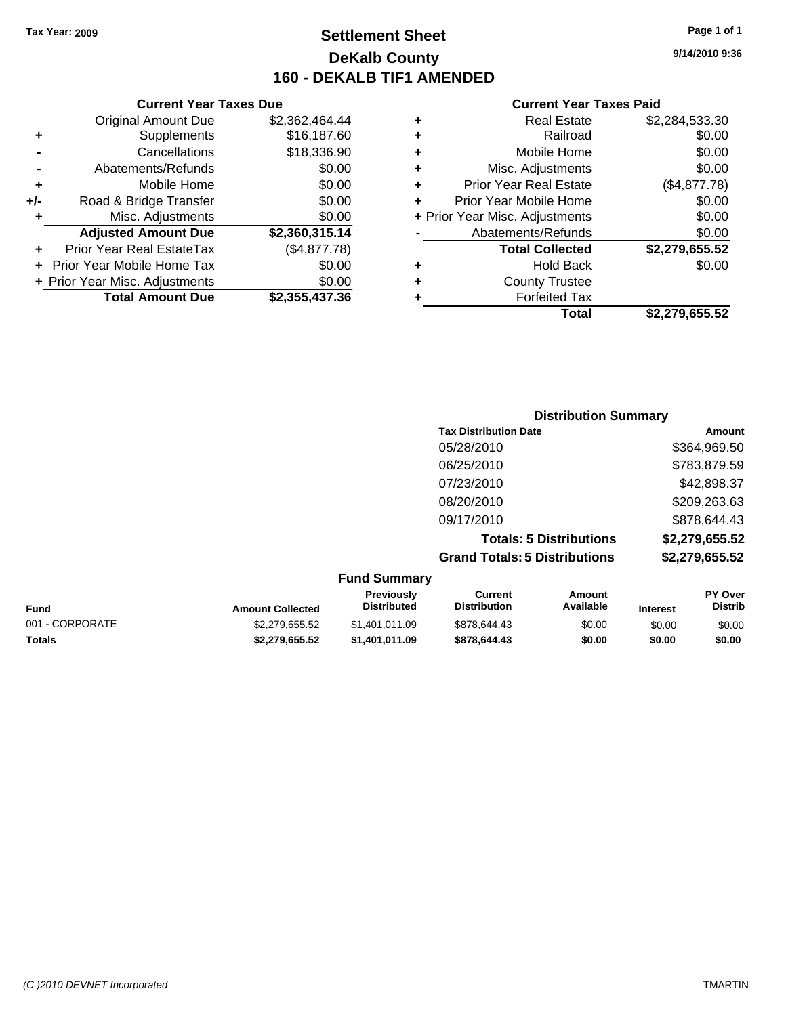### **Settlement Sheet Tax Year: 2009 Page 1 of 1 DeKalb County 160 - DEKALB TIF1 AMENDED**

**9/14/2010 9:36**

#### **Current Year Taxes Paid**

| Total                         | \$2.279.655.52                 |
|-------------------------------|--------------------------------|
| <b>Forfeited Tax</b>          |                                |
| <b>County Trustee</b>         |                                |
| <b>Hold Back</b>              | \$0.00                         |
| <b>Total Collected</b>        | \$2,279,655.52                 |
| Abatements/Refunds            | \$0.00                         |
|                               | \$0.00                         |
| Prior Year Mobile Home        | \$0.00                         |
| <b>Prior Year Real Estate</b> | (\$4,877.78)                   |
| Misc. Adjustments             | \$0.00                         |
| Mobile Home                   | \$0.00                         |
| Railroad                      | \$0.00                         |
| <b>Real Estate</b>            | \$2,284,533.30                 |
|                               | + Prior Year Misc. Adjustments |

#### **+** Supplements \$16,187.60 **-** Cancellations \$18,336.90 **-** Abatements/Refunds \$0.00 **+** Mobile Home \$0.00 **+/-** Road & Bridge Transfer \$0.00 **+** Misc. Adjustments \$0.00 **Adjusted Amount Due \$2,360,315.14 +** Prior Year Real EstateTax (\$4,877.78) **+** Prior Year Mobile Home Tax \$0.00 **+ Prior Year Misc. Adjustments**  $$0.00$ **Total Amount Due \$2,355,437.36**

**Current Year Taxes Due** Original Amount Due \$2,362,464.44

|                     | <b>Distribution Summary</b>          |                |
|---------------------|--------------------------------------|----------------|
|                     | <b>Tax Distribution Date</b>         | Amount         |
|                     | 05/28/2010                           | \$364,969.50   |
|                     | 06/25/2010                           | \$783,879.59   |
|                     | 07/23/2010                           | \$42,898.37    |
|                     | 08/20/2010                           | \$209,263.63   |
|                     | 09/17/2010                           | \$878,644.43   |
|                     | <b>Totals: 5 Distributions</b>       | \$2,279,655.52 |
|                     | <b>Grand Totals: 5 Distributions</b> | \$2,279,655.52 |
| <b>Fund Summary</b> |                                      |                |

|                 |                                        | .                                                                         |                                  |
|-----------------|----------------------------------------|---------------------------------------------------------------------------|----------------------------------|
| <b>Fund</b>     | Amount<br>Available<br><b>Interest</b> | <b>Previously</b><br>Current<br><b>Distribution</b><br><b>Distributed</b> | <b>PY Over</b><br><b>Distrib</b> |
| 001 - CORPORATE | \$0.00<br>\$0.00                       | \$878,644.43<br>\$1.401.011.09                                            | \$0.00                           |
| <b>Totals</b>   | \$0.00<br>\$0.00                       | \$1.401.011.09<br>\$878,644,43                                            | \$0.00                           |
|                 |                                        |                                                                           |                                  |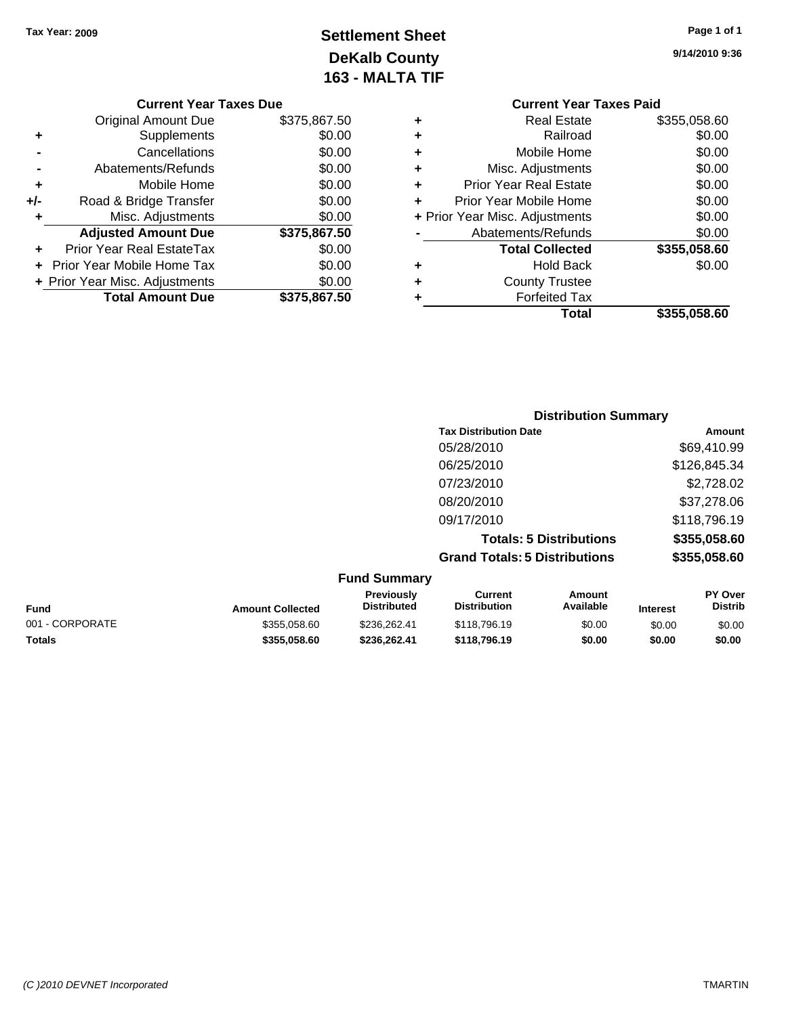**Current Year Taxes Due** Original Amount Due \$375,867.50

**Adjusted Amount Due \$375,867.50**

**Total Amount Due \$375,867.50**

**+** Supplements \$0.00 **-** Cancellations \$0.00 **-** Abatements/Refunds \$0.00 **+** Mobile Home \$0.00 **+/-** Road & Bridge Transfer \$0.00 **+** Misc. Adjustments \$0.00

**+** Prior Year Real EstateTax \$0.00 **+** Prior Year Mobile Home Tax \$0.00 **+ Prior Year Misc. Adjustments**  $$0.00$ 

## **Settlement Sheet Tax Year: 2009 Page 1 of 1 DeKalb County 163 - MALTA TIF**

| Page 1 of 1 |  |  |
|-------------|--|--|
|             |  |  |

**9/14/2010 9:36**

| <b>Current Year Taxes Paid</b> |                                |              |  |  |
|--------------------------------|--------------------------------|--------------|--|--|
| ٠                              | Real Estate                    | \$355,058.60 |  |  |
| ٠                              | Railroad                       | \$0.00       |  |  |
| ÷                              | Mobile Home                    | \$0.00       |  |  |
| ٠                              | Misc. Adjustments              | \$0.00       |  |  |
| ٠                              | <b>Prior Year Real Estate</b>  | \$0.00       |  |  |
| ÷                              | Prior Year Mobile Home         | \$0.00       |  |  |
|                                | + Prior Year Misc. Adjustments | \$0.00       |  |  |
|                                | Abatements/Refunds             | \$0.00       |  |  |
|                                | <b>Total Collected</b>         | \$355,058.60 |  |  |
| ٠                              | Hold Back                      | \$0.00       |  |  |
| ٠                              | <b>County Trustee</b>          |              |  |  |
|                                | <b>Forfeited Tax</b>           |              |  |  |
|                                | Total                          | \$355.058.60 |  |  |
|                                |                                |              |  |  |

|                     | <b>Distribution Summary</b>          |              |
|---------------------|--------------------------------------|--------------|
|                     | <b>Tax Distribution Date</b>         | Amount       |
|                     | 05/28/2010                           | \$69,410.99  |
|                     | 06/25/2010                           | \$126,845.34 |
|                     | 07/23/2010                           | \$2,728.02   |
|                     | 08/20/2010                           | \$37,278.06  |
|                     | 09/17/2010                           | \$118,796.19 |
|                     | <b>Totals: 5 Distributions</b>       | \$355,058.60 |
|                     | <b>Grand Totals: 5 Distributions</b> | \$355,058.60 |
| <b>Fund Summary</b> |                                      |              |

| <b>Fund</b>     | <b>Amount Collected</b> | <b>Previously</b><br><b>Distributed</b> | Current<br><b>Distribution</b> | Amount<br>Available | <b>Interest</b> | <b>PY Over</b><br><b>Distrib</b> |
|-----------------|-------------------------|-----------------------------------------|--------------------------------|---------------------|-----------------|----------------------------------|
| 001 - CORPORATE | \$355,058.60            | \$236.262.41                            | \$118,796.19                   | \$0.00              | \$0.00          | \$0.00                           |
| Totals          | \$355.058.60            | \$236,262.41                            | \$118,796.19                   | \$0.00              | \$0.00          | \$0.00                           |

#### *(C )2010 DEVNET Incorporated* TMARTIN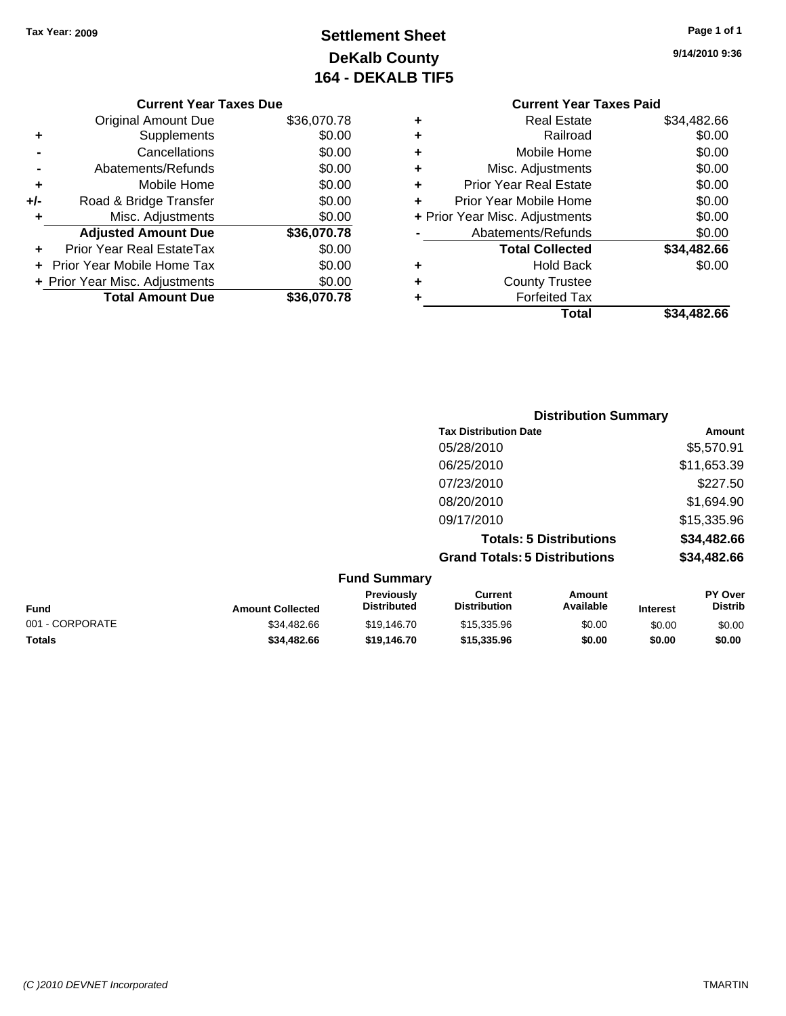## **Settlement Sheet Tax Year: 2009 Page 1 of 1 DeKalb County 164 - DEKALB TIF5**

**9/14/2010 9:36**

| <b>Current Year Taxes Paid</b> |                                |             |  |  |
|--------------------------------|--------------------------------|-------------|--|--|
| ٠                              | <b>Real Estate</b>             | \$34,482.66 |  |  |
| ٠                              | Railroad                       | \$0.00      |  |  |
| ٠                              | Mobile Home                    | \$0.00      |  |  |
| ٠                              | Misc. Adjustments              | \$0.00      |  |  |
| ٠                              | <b>Prior Year Real Estate</b>  | \$0.00      |  |  |
|                                | Prior Year Mobile Home         | \$0.00      |  |  |
|                                | + Prior Year Misc. Adjustments | \$0.00      |  |  |
|                                | Abatements/Refunds             | \$0.00      |  |  |
|                                | <b>Total Collected</b>         | \$34,482.66 |  |  |
| ٠                              | <b>Hold Back</b>               | \$0.00      |  |  |
| ٠                              | <b>County Trustee</b>          |             |  |  |
|                                | <b>Forfeited Tax</b>           |             |  |  |
|                                | Total                          | \$34.482.66 |  |  |
|                                |                                |             |  |  |

**Distribution Summary**

|     | Abatements/Refunds             | \$0.00      |   | Misc.              |
|-----|--------------------------------|-------------|---|--------------------|
| ٠   | Mobile Home                    | \$0.00      | ÷ | <b>Prior Year</b>  |
| +/- | Road & Bridge Transfer         | \$0.00      |   | Prior Year M       |
| ٠   | Misc. Adjustments              | \$0.00      |   | + Prior Year Misc. |
|     | <b>Adjusted Amount Due</b>     | \$36,070.78 |   | Abateme            |
| ٠   | Prior Year Real EstateTax      | \$0.00      |   | Tota               |
|     | Prior Year Mobile Home Tax     | \$0.00      | ٠ |                    |
|     | + Prior Year Misc. Adjustments | \$0.00      | ٠ | Cοι                |
|     | <b>Total Amount Due</b>        | \$36,070.78 |   | F                  |
|     |                                |             |   |                    |
|     |                                |             |   |                    |

**Current Year Taxes Due** Original Amount Due \$36,070.78

**+** Supplements \$0.00 **-** Cancellations **50.00**<br>Abatements/Refunds \$0.00

|                                      | <b>Amount</b>                |
|--------------------------------------|------------------------------|
| 05/28/2010                           | \$5,570.91                   |
| 06/25/2010                           | \$11,653.39                  |
| 07/23/2010                           | \$227.50                     |
| 08/20/2010                           | \$1,694.90                   |
| 09/17/2010                           | \$15,335.96                  |
| <b>Totals: 5 Distributions</b>       | \$34,482.66                  |
| <b>Grand Totals: 5 Distributions</b> | \$34,482.66                  |
|                                      |                              |
|                                      | <b>Tax Distribution Date</b> |

| <b>Fund</b>     | <b>Amount Collected</b> | <b>Previously</b><br><b>Distributed</b> | Current<br><b>Distribution</b> | Amount<br>Available | <b>Interest</b> | <b>PY Over</b><br><b>Distrib</b> |
|-----------------|-------------------------|-----------------------------------------|--------------------------------|---------------------|-----------------|----------------------------------|
| 001 - CORPORATE | \$34,482.66             | \$19.146.70                             | \$15,335.96                    | \$0.00              | \$0.00          | \$0.00                           |
| <b>Totals</b>   | \$34,482.66             | \$19,146.70                             | \$15,335.96                    | \$0.00              | \$0.00          | \$0.00                           |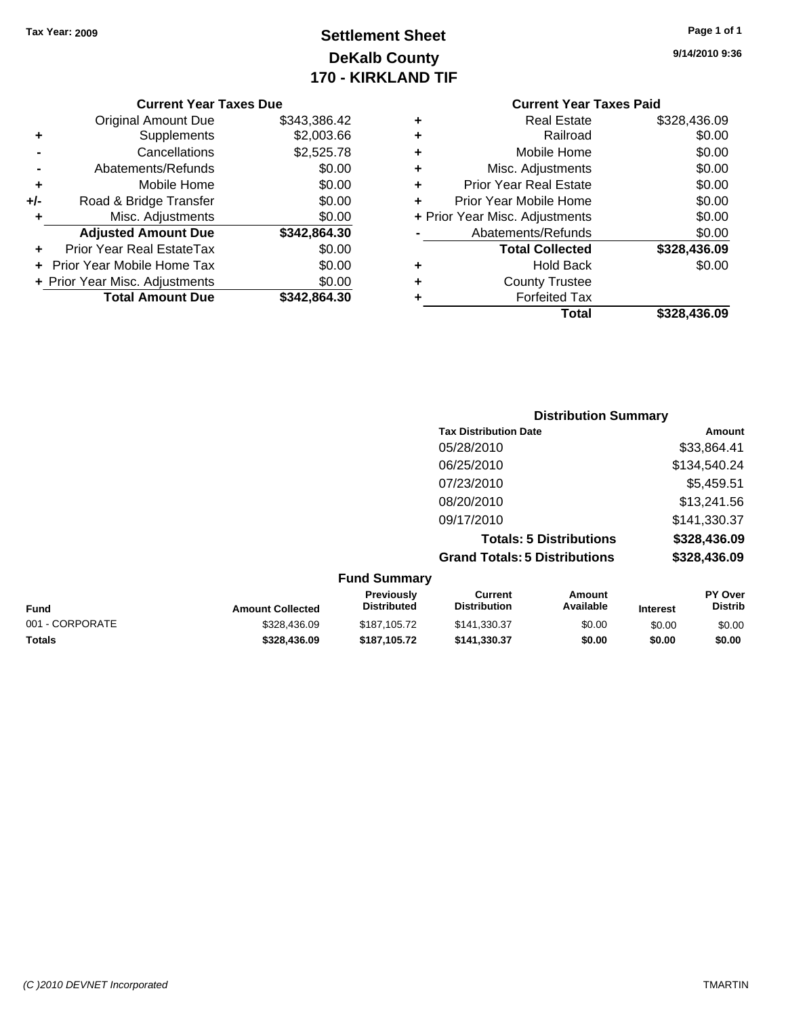## **Settlement Sheet Tax Year: 2009 Page 1 of 1 DeKalb County 170 - KIRKLAND TIF**

**9/14/2010 9:36**

#### **Current Year Taxes Due**

|       | <b>Original Amount Due</b>       | \$343,386.42 |
|-------|----------------------------------|--------------|
| ٠     | Supplements                      | \$2,003.66   |
|       | Cancellations                    | \$2,525.78   |
|       | Abatements/Refunds               | \$0.00       |
| ÷     | Mobile Home                      | \$0.00       |
| $+/-$ | Road & Bridge Transfer           | \$0.00       |
| ٠     | Misc. Adjustments                | \$0.00       |
|       | <b>Adjusted Amount Due</b>       | \$342,864.30 |
|       | <b>Prior Year Real EstateTax</b> | \$0.00       |
|       | Prior Year Mobile Home Tax       | \$0.00       |
|       | + Prior Year Misc. Adjustments   | \$0.00       |
|       | <b>Total Amount Due</b>          | \$342,864.30 |

#### **Current Year Taxes Paid +** Real Estate \$328,436.09

|   | Total                          | \$328,436.09 |
|---|--------------------------------|--------------|
| ٠ | <b>Forfeited Tax</b>           |              |
| ٠ | <b>County Trustee</b>          |              |
| ٠ | <b>Hold Back</b>               | \$0.00       |
|   | <b>Total Collected</b>         | \$328,436.09 |
|   | Abatements/Refunds             | \$0.00       |
|   | + Prior Year Misc. Adjustments | \$0.00       |
| ٠ | Prior Year Mobile Home         | \$0.00       |
| ٠ | <b>Prior Year Real Estate</b>  | \$0.00       |
| ٠ | Misc. Adjustments              | \$0.00       |
| ٠ | Mobile Home                    | \$0.00       |
| ٠ | Railroad                       | \$0.00       |
| T |                                | Ψ∪∠∪,⊤∪∪.∪∪  |

### **Distribution Summary Tax Distribution Date Amount** 05/28/2010 \$33,864.41 06/25/2010 \$134,540.24 07/23/2010 \$5,459.51 08/20/2010 \$13,241.56 09/17/2010 \$141,330.37 **Totals: 5 Distributions \$328,436.09 Grand Totals: 5 Distributions \$328,436.09 Fund Summary**

| <b>Fund Summary</b>     |                                         |                                |                     |                 |                                  |
|-------------------------|-----------------------------------------|--------------------------------|---------------------|-----------------|----------------------------------|
| <b>Amount Collected</b> | <b>Previously</b><br><b>Distributed</b> | Current<br><b>Distribution</b> | Amount<br>Available | <b>Interest</b> | <b>PY Over</b><br><b>Distrib</b> |
| \$328,436.09            | \$187,105,72                            | \$141.330.37                   | \$0.00              | \$0.00          | \$0.00                           |
| \$328,436.09            | \$187.105.72                            | \$141.330.37                   | \$0.00              | \$0.00          | \$0.00                           |
|                         |                                         |                                |                     |                 |                                  |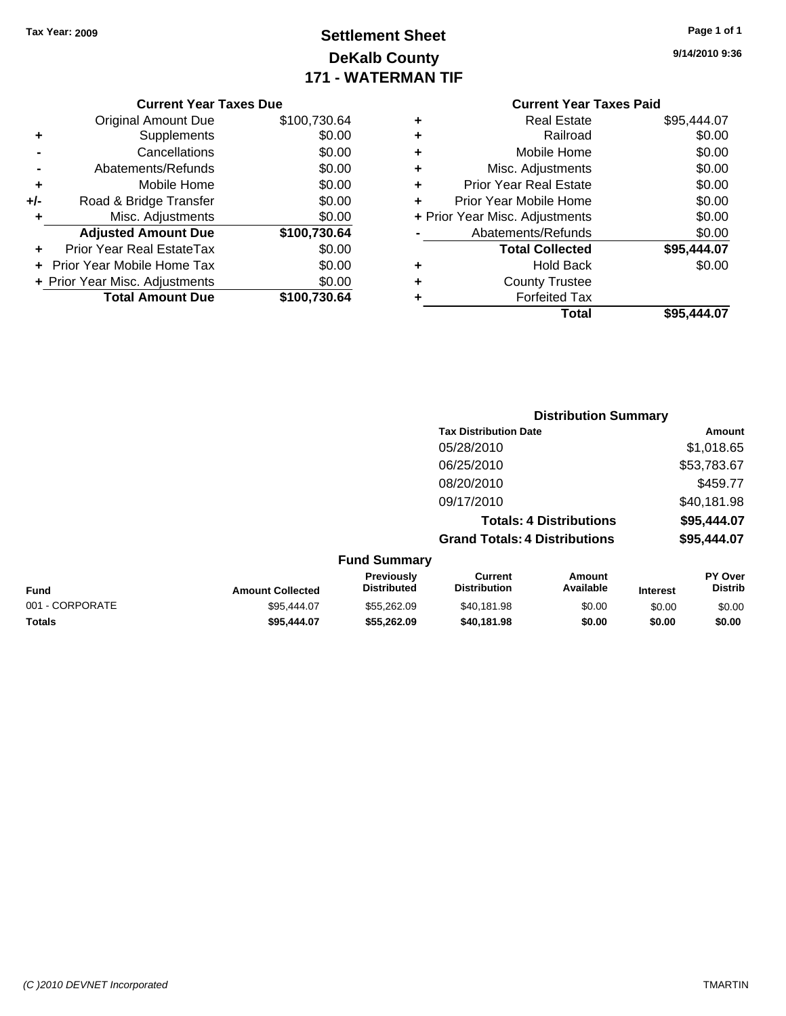## **Settlement Sheet Tax Year: 2009 Page 1 of 1 DeKalb County 171 - WATERMAN TIF**

**9/14/2010 9:36**

#### **Current Year Taxes Due**

|     | <b>Original Amount Due</b>     | \$100,730.64 |
|-----|--------------------------------|--------------|
| ٠   | Supplements                    | \$0.00       |
|     | Cancellations                  | \$0.00       |
|     | Abatements/Refunds             | \$0.00       |
| ٠   | Mobile Home                    | \$0.00       |
| +/- | Road & Bridge Transfer         | \$0.00       |
| ٠   | Misc. Adjustments              | \$0.00       |
|     | <b>Adjusted Amount Due</b>     | \$100,730.64 |
|     | Prior Year Real EstateTax      | \$0.00       |
|     | Prior Year Mobile Home Tax     | \$0.00       |
|     | + Prior Year Misc. Adjustments | \$0.00       |
|     | <b>Total Amount Due</b>        | \$100,730.64 |

### **Current Year Taxes Paid**

| ٠ | <b>Real Estate</b>             | \$95,444.07 |
|---|--------------------------------|-------------|
| ٠ | Railroad                       | \$0.00      |
| ٠ | Mobile Home                    | \$0.00      |
| ٠ | Misc. Adjustments              | \$0.00      |
| ٠ | <b>Prior Year Real Estate</b>  | \$0.00      |
| ÷ | Prior Year Mobile Home         | \$0.00      |
|   | + Prior Year Misc. Adjustments | \$0.00      |
|   | Abatements/Refunds             | \$0.00      |
|   | <b>Total Collected</b>         | \$95,444.07 |
| ٠ | <b>Hold Back</b>               | \$0.00      |
| ٠ | <b>County Trustee</b>          |             |
| ٠ | <b>Forfeited Tax</b>           |             |
|   | Total                          | \$95,444.07 |
|   |                                |             |

### **Distribution Summary Tax Distribution Date Amount** 05/28/2010 \$1,018.65 06/25/2010 \$53,783.67 08/20/2010 \$459.77 09/17/2010 \$40,181.98 **Totals: 4 Distributions \$95,444.07 Grand Totals: 4 Distributions \$95,444.07 Fund Summary**

| <b>Fund</b>     | <b>Amount Collected</b> | <b>Previously</b><br><b>Distributed</b> | Current<br><b>Distribution</b> | Amount<br>Available | <b>Interest</b> | <b>PY Over</b><br><b>Distrib</b> |
|-----------------|-------------------------|-----------------------------------------|--------------------------------|---------------------|-----------------|----------------------------------|
| 001 - CORPORATE | \$95,444.07             | \$55,262,09                             | \$40.181.98                    | \$0.00              | \$0.00          | \$0.00                           |
| <b>Totals</b>   | \$95,444.07             | \$55,262.09                             | \$40.181.98                    | \$0.00              | \$0.00          | \$0.00                           |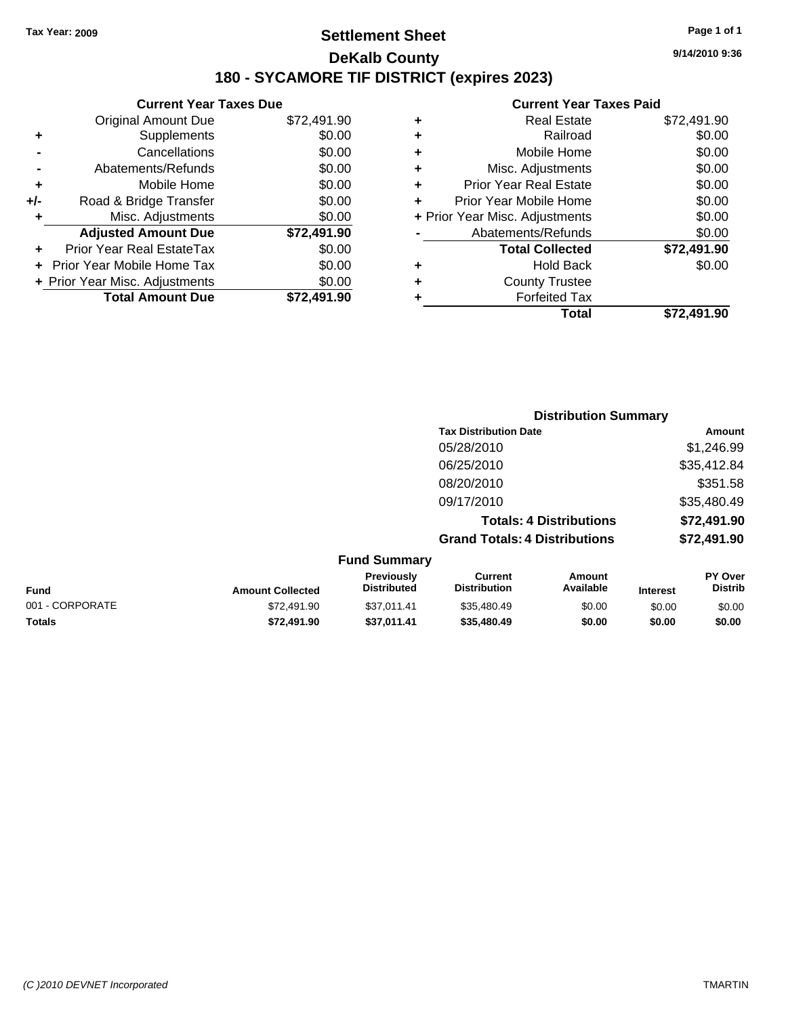### **Settlement Sheet Tax Year: 2009 Page 1 of 1 DeKalb County 180 - SYCAMORE TIF DISTRICT (expires 2023)**

**9/14/2010 9:36**

|       | <b>Current Year Taxes Due</b>  |             |  |  |  |  |
|-------|--------------------------------|-------------|--|--|--|--|
|       | <b>Original Amount Due</b>     | \$72,491.90 |  |  |  |  |
|       | Supplements                    | \$0.00      |  |  |  |  |
|       | Cancellations                  | \$0.00      |  |  |  |  |
|       | Abatements/Refunds             | \$0.00      |  |  |  |  |
| ٠     | Mobile Home                    | \$0.00      |  |  |  |  |
| $+/-$ | Road & Bridge Transfer         | \$0.00      |  |  |  |  |
| ٠     | Misc. Adjustments              | \$0.00      |  |  |  |  |
|       | <b>Adjusted Amount Due</b>     | \$72,491.90 |  |  |  |  |
|       | Prior Year Real EstateTax      | \$0.00      |  |  |  |  |
|       | Prior Year Mobile Home Tax     | \$0.00      |  |  |  |  |
|       | + Prior Year Misc. Adjustments | \$0.00      |  |  |  |  |
|       | <b>Total Amount Due</b>        | \$72.491.90 |  |  |  |  |
|       |                                |             |  |  |  |  |

|   | Guileill Teal Taxes Falu       |             |
|---|--------------------------------|-------------|
| ٠ | <b>Real Estate</b>             | \$72,491.90 |
| ٠ | Railroad                       | \$0.00      |
| ٠ | Mobile Home                    | \$0.00      |
| ٠ | Misc. Adjustments              | \$0.00      |
| ÷ | <b>Prior Year Real Estate</b>  | \$0.00      |
| ÷ | Prior Year Mobile Home         | \$0.00      |
|   | + Prior Year Misc. Adjustments | \$0.00      |
|   | Abatements/Refunds             | \$0.00      |
|   | <b>Total Collected</b>         | \$72,491.90 |
| ٠ | Hold Back                      | \$0.00      |
| ٠ | <b>County Trustee</b>          |             |
| ٠ | <b>Forfeited Tax</b>           |             |
|   | Total                          | \$72,491.90 |
|   |                                |             |

|                 |                         |                                         | <b>Distribution Summary</b>           |                                |                 |                                  |
|-----------------|-------------------------|-----------------------------------------|---------------------------------------|--------------------------------|-----------------|----------------------------------|
|                 |                         |                                         | <b>Tax Distribution Date</b>          |                                |                 | Amount                           |
|                 |                         |                                         | 05/28/2010                            |                                |                 | \$1,246.99                       |
|                 |                         |                                         | 06/25/2010                            |                                |                 | \$35,412.84                      |
|                 |                         |                                         | 08/20/2010                            |                                |                 | \$351.58                         |
|                 |                         |                                         | 09/17/2010                            |                                |                 | \$35,480.49                      |
|                 |                         |                                         |                                       | <b>Totals: 4 Distributions</b> |                 | \$72,491.90                      |
|                 |                         |                                         | <b>Grand Totals: 4 Distributions</b>  |                                |                 | \$72,491.90                      |
|                 |                         | <b>Fund Summary</b>                     |                                       |                                |                 |                                  |
| Fund            | <b>Amount Collected</b> | <b>Previously</b><br><b>Distributed</b> | <b>Current</b><br><b>Distribution</b> | Amount<br>Available            | <b>Interest</b> | <b>PY Over</b><br><b>Distrib</b> |
| 001 - CORPORATE | \$72,491.90             | \$37,011.41                             | \$35,480.49                           | \$0.00                         | \$0.00          | \$0.00                           |
| Totals          | \$72,491.90             | \$37,011.41                             | \$35,480.49                           | \$0.00                         | \$0.00          | \$0.00                           |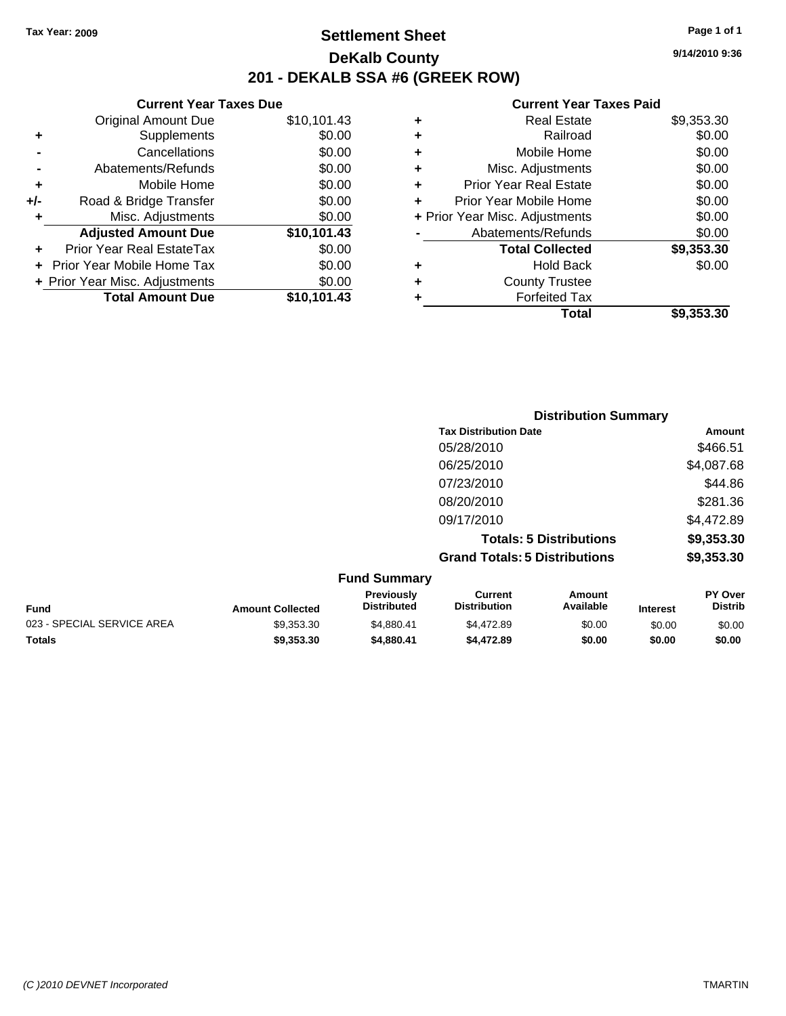**Current Year Taxes Due** Original Amount Due \$10,101.43

**Adjusted Amount Due \$10,101.43**

**Total Amount Due \$10,101.43**

**+** Supplements \$0.00 **-** Cancellations \$0.00 **-** Abatements/Refunds \$0.00 **+** Mobile Home \$0.00 **+/-** Road & Bridge Transfer \$0.00 **+** Misc. Adjustments \$0.00

**+** Prior Year Real EstateTax \$0.00 **+** Prior Year Mobile Home Tax \$0.00 **+ Prior Year Misc. Adjustments**  $$0.00$ 

### **Settlement Sheet Tax Year: 2009 Page 1 of 1 DeKalb County 201 - DEKALB SSA #6 (GREEK ROW)**

**9/14/2010 9:36**

#### **Current Year Taxes Paid**

| ٠ | <b>Real Estate</b>             | \$9,353.30 |
|---|--------------------------------|------------|
| ٠ | Railroad                       | \$0.00     |
| ٠ | Mobile Home                    | \$0.00     |
| ٠ | Misc. Adjustments              | \$0.00     |
| ٠ | <b>Prior Year Real Estate</b>  | \$0.00     |
| ÷ | Prior Year Mobile Home         | \$0.00     |
|   | + Prior Year Misc. Adjustments | \$0.00     |
|   | Abatements/Refunds             | \$0.00     |
|   | <b>Total Collected</b>         | \$9,353.30 |
| ٠ | Hold Back                      | \$0.00     |
| ٠ | <b>County Trustee</b>          |            |
|   | <b>Forfeited Tax</b>           |            |
|   | Total                          | \$9,353.30 |

|                            |                         |                                  | <b>Distribution Summary</b>           |                                |                 |                           |
|----------------------------|-------------------------|----------------------------------|---------------------------------------|--------------------------------|-----------------|---------------------------|
|                            |                         |                                  | <b>Tax Distribution Date</b>          |                                |                 | Amount                    |
|                            |                         |                                  | 05/28/2010                            |                                |                 | \$466.51                  |
|                            |                         |                                  | 06/25/2010                            |                                |                 | \$4,087.68                |
|                            |                         |                                  | 07/23/2010                            |                                |                 | \$44.86                   |
|                            |                         |                                  | 08/20/2010                            |                                |                 | \$281.36                  |
|                            |                         |                                  | 09/17/2010                            |                                |                 | \$4,472.89                |
|                            |                         |                                  |                                       | <b>Totals: 5 Distributions</b> |                 | \$9,353.30                |
|                            |                         |                                  | <b>Grand Totals: 5 Distributions</b>  |                                |                 | \$9,353.30                |
|                            |                         | <b>Fund Summary</b>              |                                       |                                |                 |                           |
| <b>Fund</b>                | <b>Amount Collected</b> | Previously<br><b>Distributed</b> | <b>Current</b><br><b>Distribution</b> | Amount<br>Available            | <b>Interest</b> | PY Over<br><b>Distrib</b> |
| 023 - SPECIAL SERVICE AREA | \$9,353.30              | \$4,880.41                       | \$4,472.89                            | \$0.00                         | \$0.00          | \$0.00                    |

**Totals \$9,353.30 \$4,880.41 \$4,472.89 \$0.00 \$0.00 \$0.00**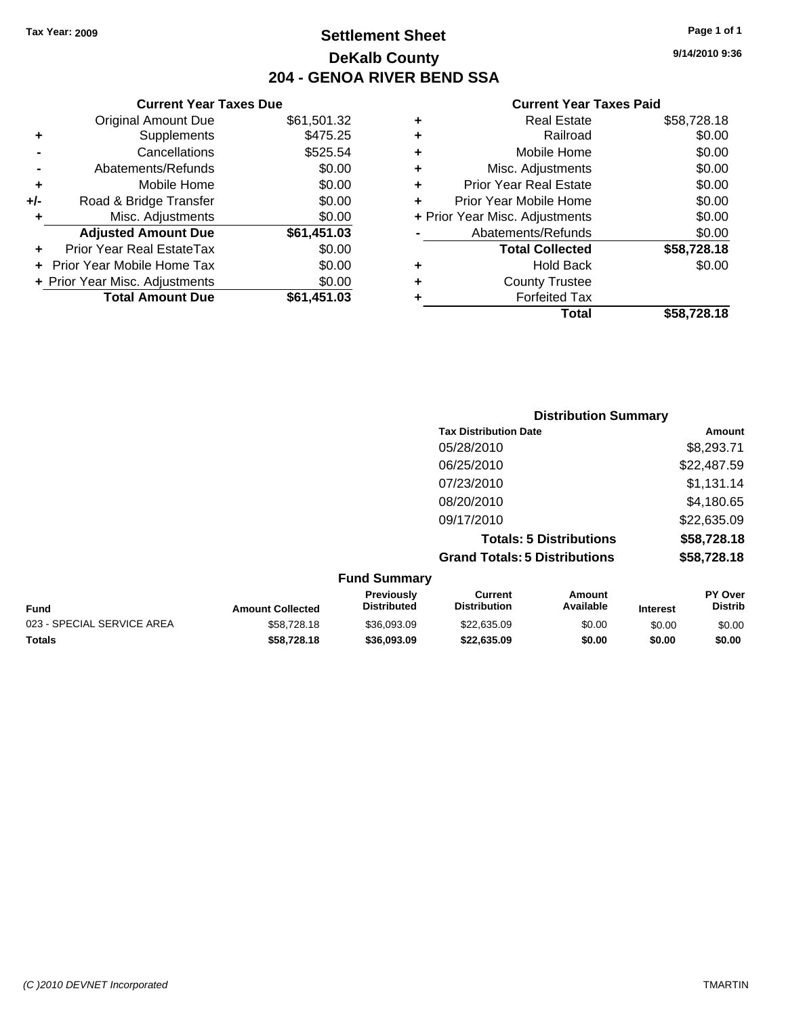### **Settlement Sheet Tax Year: 2009 Page 1 of 1 DeKalb County 204 - GENOA RIVER BEND SSA**

### **Current Year Taxes Due**

|     | <b>Original Amount Due</b>     | \$61,501.32 |
|-----|--------------------------------|-------------|
| ٠   | Supplements                    | \$475.25    |
|     | Cancellations                  | \$525.54    |
|     | Abatements/Refunds             | \$0.00      |
| ٠   | Mobile Home                    | \$0.00      |
| +/- | Road & Bridge Transfer         | \$0.00      |
| ٠   | Misc. Adjustments              | \$0.00      |
|     | <b>Adjusted Amount Due</b>     | \$61,451.03 |
|     | Prior Year Real EstateTax      | \$0.00      |
|     | Prior Year Mobile Home Tax     | \$0.00      |
|     | + Prior Year Misc. Adjustments | \$0.00      |
|     | <b>Total Amount Due</b>        | \$61,451.03 |

#### **Current Year Taxes Paid**

|   | <b>Real Estate</b>             | \$58,728.18 |
|---|--------------------------------|-------------|
| ٠ | Railroad                       | \$0.00      |
| ٠ | Mobile Home                    | \$0.00      |
| ٠ | Misc. Adjustments              | \$0.00      |
| ٠ | Prior Year Real Estate         | \$0.00      |
|   | Prior Year Mobile Home         | \$0.00      |
|   | + Prior Year Misc. Adjustments | \$0.00      |
|   | Abatements/Refunds             | \$0.00      |
|   | <b>Total Collected</b>         | \$58,728.18 |
| ٠ | <b>Hold Back</b>               | \$0.00      |
| ٠ | <b>County Trustee</b>          |             |
| ٠ | <b>Forfeited Tax</b>           |             |
|   | Total                          | \$58,728.18 |
|   |                                |             |

|                     | <b>Distribution Summary</b>          |             |
|---------------------|--------------------------------------|-------------|
|                     | <b>Tax Distribution Date</b>         | Amount      |
|                     | 05/28/2010                           | \$8,293.71  |
|                     | 06/25/2010                           | \$22,487.59 |
|                     | 07/23/2010                           | \$1,131.14  |
|                     | 08/20/2010                           | \$4,180.65  |
|                     | 09/17/2010                           | \$22,635.09 |
|                     | <b>Totals: 5 Distributions</b>       | \$58,728.18 |
|                     | <b>Grand Totals: 5 Distributions</b> | \$58,728.18 |
| <b>Fund Summary</b> |                                      |             |

|                            |                         | .                                       |                                |                     |                 |                                  |
|----------------------------|-------------------------|-----------------------------------------|--------------------------------|---------------------|-----------------|----------------------------------|
| Fund                       | <b>Amount Collected</b> | <b>Previously</b><br><b>Distributed</b> | Current<br><b>Distribution</b> | Amount<br>Available | <b>Interest</b> | <b>PY Over</b><br><b>Distrib</b> |
| 023 - SPECIAL SERVICE AREA | \$58,728.18             | \$36,093,09                             | \$22,635,09                    | \$0.00              | \$0.00          | \$0.00                           |
| <b>Totals</b>              | \$58.728.18             | \$36.093.09                             | \$22,635.09                    | \$0.00              | \$0.00          | \$0.00                           |

**9/14/2010 9:36**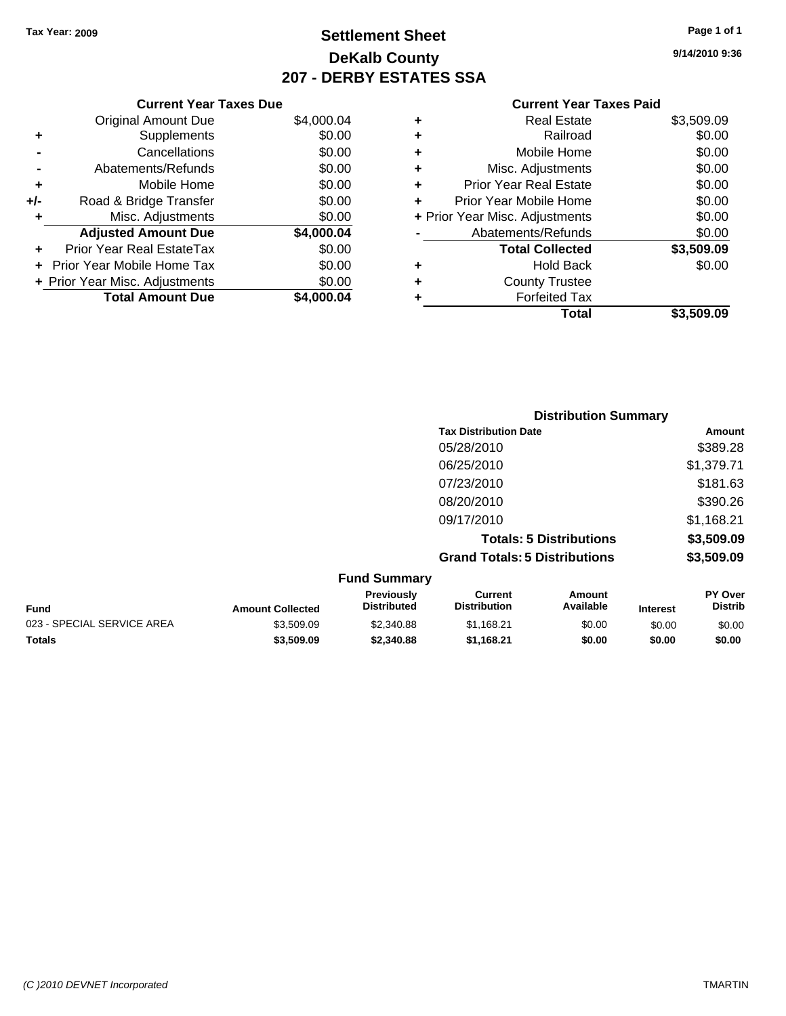**Current Year Taxes Due** Original Amount Due \$4,000.04

**Adjusted Amount Due \$4,000.04**

**Total Amount Due \$4,000.04**

**+** Supplements \$0.00 **-** Cancellations \$0.00 **-** Abatements/Refunds \$0.00 **+** Mobile Home \$0.00 **+/-** Road & Bridge Transfer \$0.00 **+** Misc. Adjustments \$0.00

**+** Prior Year Real EstateTax \$0.00 **+** Prior Year Mobile Home Tax \$0.00 **+ Prior Year Misc. Adjustments**  $$0.00$ 

### **Settlement Sheet Tax Year: 2009 Page 1 of 1 DeKalb County 207 - DERBY ESTATES SSA**

**9/14/2010 9:36**

#### **Current Year Taxes Paid**

| ٠ | Real Estate                    | \$3,509.09 |
|---|--------------------------------|------------|
| ٠ | Railroad                       | \$0.00     |
| ٠ | Mobile Home                    | \$0.00     |
| ٠ | Misc. Adjustments              | \$0.00     |
| ٠ | <b>Prior Year Real Estate</b>  | \$0.00     |
| ÷ | Prior Year Mobile Home         | \$0.00     |
|   | + Prior Year Misc. Adjustments | \$0.00     |
|   | Abatements/Refunds             | \$0.00     |
|   | <b>Total Collected</b>         | \$3,509.09 |
| ٠ | <b>Hold Back</b>               | \$0.00     |
| ٠ | <b>County Trustee</b>          |            |
|   | <b>Forfeited Tax</b>           |            |
|   | Total                          | \$3.509.09 |

|                            |                         |                                  | <b>Distribution Summary</b>           |                                |                 |                           |
|----------------------------|-------------------------|----------------------------------|---------------------------------------|--------------------------------|-----------------|---------------------------|
|                            |                         |                                  | <b>Tax Distribution Date</b>          |                                |                 | Amount                    |
|                            |                         |                                  | 05/28/2010                            |                                |                 | \$389.28                  |
|                            |                         |                                  | 06/25/2010                            |                                |                 | \$1,379.71                |
|                            |                         |                                  | 07/23/2010                            |                                |                 | \$181.63                  |
|                            |                         |                                  | 08/20/2010                            |                                |                 | \$390.26                  |
|                            |                         |                                  | 09/17/2010                            |                                |                 | \$1,168.21                |
|                            |                         |                                  |                                       | <b>Totals: 5 Distributions</b> |                 | \$3,509.09                |
|                            |                         |                                  | <b>Grand Totals: 5 Distributions</b>  |                                |                 | \$3,509.09                |
|                            |                         | <b>Fund Summary</b>              |                                       |                                |                 |                           |
| <b>Fund</b>                | <b>Amount Collected</b> | Previously<br><b>Distributed</b> | <b>Current</b><br><b>Distribution</b> | Amount<br>Available            | <b>Interest</b> | PY Over<br><b>Distrib</b> |
| 023 - SPECIAL SERVICE AREA | \$3,509.09              | \$2,340.88                       | \$1,168.21                            | \$0.00                         | \$0.00          | \$0.00                    |

**Totals \$3,509.09 \$2,340.88 \$1,168.21 \$0.00 \$0.00 \$0.00**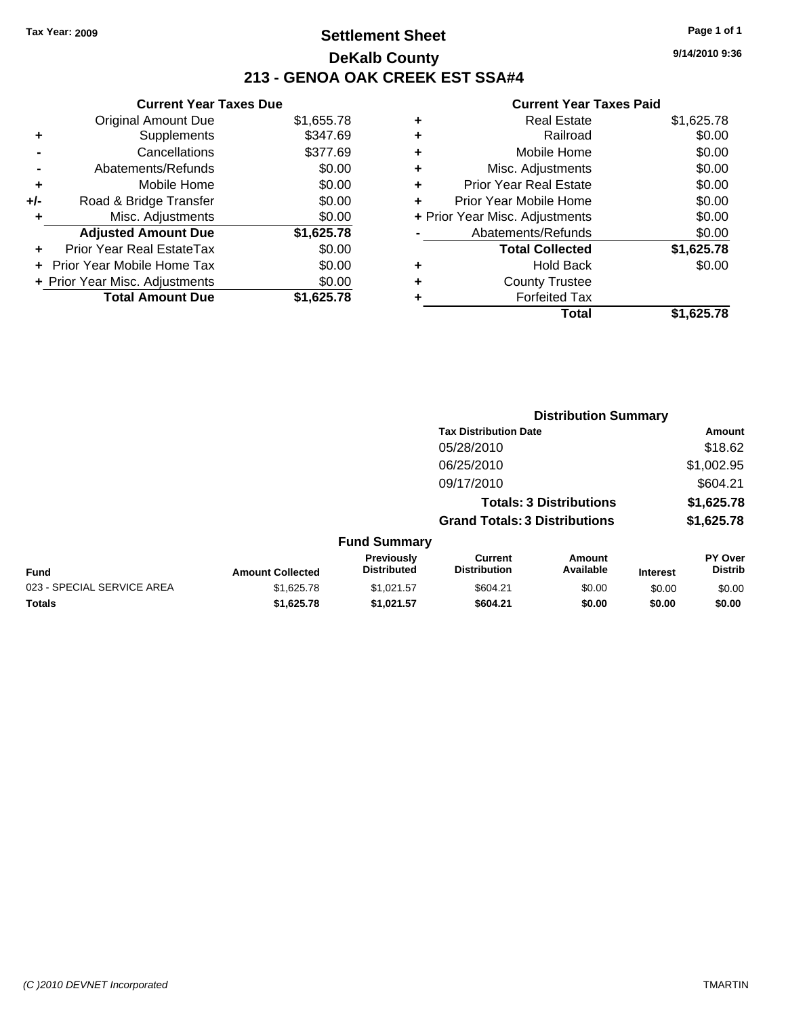### **Settlement Sheet Tax Year: 2009 Page 1 of 1 DeKalb County 213 - GENOA OAK CREEK EST SSA#4**

**9/14/2010 9:36**

| <b>Original Amount Due</b>     | \$1,655.78 |                               |
|--------------------------------|------------|-------------------------------|
| Supplements                    | \$347.69   |                               |
| Cancellations                  | \$377.69   |                               |
| Abatements/Refunds             | \$0.00     |                               |
| Mobile Home                    | \$0.00     |                               |
| Road & Bridge Transfer         | \$0.00     |                               |
| Misc. Adjustments              | \$0.00     |                               |
| <b>Adjusted Amount Due</b>     | \$1,625.78 |                               |
| Prior Year Real EstateTax      | \$0.00     |                               |
| Prior Year Mobile Home Tax     | \$0.00     |                               |
| + Prior Year Misc. Adjustments | \$0.00     |                               |
| <b>Total Amount Due</b>        | \$1.625.78 |                               |
|                                |            | <b>Current Year Taxes Due</b> |

| ٠ | <b>Real Estate</b>             | \$1,625.78 |
|---|--------------------------------|------------|
| ٠ | Railroad                       | \$0.00     |
| ٠ | Mobile Home                    | \$0.00     |
| ٠ | Misc. Adjustments              | \$0.00     |
| ٠ | <b>Prior Year Real Estate</b>  | \$0.00     |
| ÷ | Prior Year Mobile Home         | \$0.00     |
|   | + Prior Year Misc. Adjustments | \$0.00     |
|   | Abatements/Refunds             | \$0.00     |
|   | <b>Total Collected</b>         | \$1,625.78 |
| ٠ | Hold Back                      | \$0.00     |
| ٠ | <b>County Trustee</b>          |            |
| ٠ | <b>Forfeited Tax</b>           |            |
|   | Total                          | \$1,625.78 |
|   |                                |            |

|                            |                         |                                  | <b>Distribution Summary</b>           |                                |                 |                           |
|----------------------------|-------------------------|----------------------------------|---------------------------------------|--------------------------------|-----------------|---------------------------|
|                            |                         |                                  | <b>Tax Distribution Date</b>          |                                |                 | Amount                    |
|                            |                         |                                  | 05/28/2010                            |                                |                 | \$18.62                   |
|                            |                         |                                  | 06/25/2010                            |                                |                 | \$1,002.95                |
|                            |                         |                                  | 09/17/2010                            |                                |                 | \$604.21                  |
|                            |                         |                                  |                                       | <b>Totals: 3 Distributions</b> |                 | \$1,625.78                |
|                            |                         |                                  | <b>Grand Totals: 3 Distributions</b>  |                                |                 | \$1,625.78                |
|                            |                         | <b>Fund Summary</b>              |                                       |                                |                 |                           |
| Fund                       | <b>Amount Collected</b> | Previously<br><b>Distributed</b> | <b>Current</b><br><b>Distribution</b> | Amount<br>Available            | <b>Interest</b> | PY Over<br><b>Distrib</b> |
| 023 - SPECIAL SERVICE AREA | \$1,625.78              | \$1,021.57                       | \$604.21                              | \$0.00                         | \$0.00          | \$0.00                    |
| Totals                     | \$1,625.78              | \$1,021.57                       | \$604.21                              | \$0.00                         | \$0.00          | \$0.00                    |
|                            |                         |                                  |                                       |                                |                 |                           |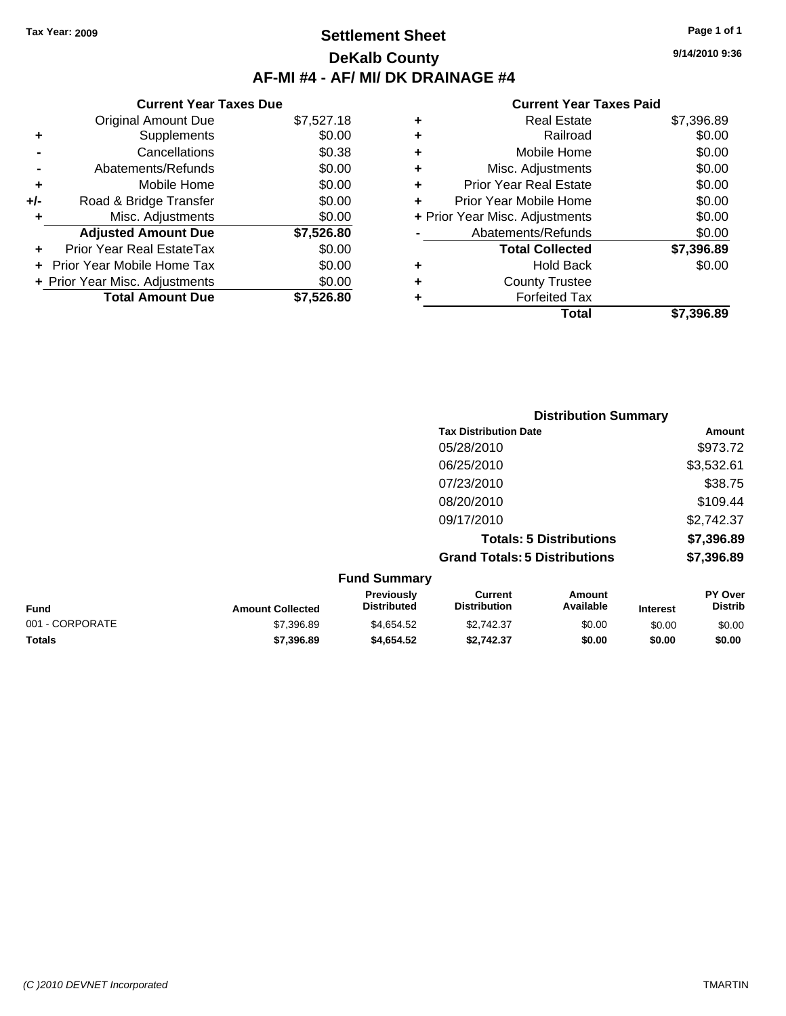### **Settlement Sheet Tax Year: 2009 Page 1 of 1 DeKalb County AF-MI #4 - AF/ MI/ DK DRAINAGE #4**

**9/14/2010 9:36**

| <b>Current Year Taxes Due</b> |                                |            |  |  |  |
|-------------------------------|--------------------------------|------------|--|--|--|
|                               | <b>Original Amount Due</b>     | \$7,527.18 |  |  |  |
| ٠                             | Supplements                    | \$0.00     |  |  |  |
|                               | Cancellations                  | \$0.38     |  |  |  |
|                               | Abatements/Refunds             | \$0.00     |  |  |  |
| ٠                             | Mobile Home                    | \$0.00     |  |  |  |
| +/-                           | Road & Bridge Transfer         | \$0.00     |  |  |  |
| ٠                             | Misc. Adjustments              | \$0.00     |  |  |  |
|                               | <b>Adjusted Amount Due</b>     | \$7,526.80 |  |  |  |
|                               | Prior Year Real EstateTax      | \$0.00     |  |  |  |
|                               | Prior Year Mobile Home Tax     | \$0.00     |  |  |  |
|                               | + Prior Year Misc. Adjustments | \$0.00     |  |  |  |
|                               | <b>Total Amount Due</b>        | \$7.526.80 |  |  |  |

| \$7,396.89 |
|------------|
| \$0.00     |
| \$0.00     |
| \$0.00     |
| \$0.00     |
| \$0.00     |
| \$0.00     |
| \$0.00     |
| \$7,396.89 |
| \$0.00     |
|            |
|            |
| \$7.396.89 |
|            |

|                         |                                         | <b>Distribution Summary</b>           |                                |          |                           |
|-------------------------|-----------------------------------------|---------------------------------------|--------------------------------|----------|---------------------------|
|                         |                                         | <b>Tax Distribution Date</b>          |                                |          | Amount                    |
|                         |                                         | 05/28/2010                            |                                |          | \$973.72                  |
|                         |                                         | 06/25/2010                            |                                |          | \$3,532.61                |
|                         |                                         | 07/23/2010                            |                                |          | \$38.75                   |
|                         |                                         | 08/20/2010                            |                                |          | \$109.44                  |
|                         |                                         | 09/17/2010                            |                                |          | \$2,742.37                |
|                         |                                         |                                       | <b>Totals: 5 Distributions</b> |          | \$7,396.89                |
|                         |                                         | <b>Grand Totals: 5 Distributions</b>  |                                |          | \$7,396.89                |
|                         | <b>Fund Summary</b>                     |                                       |                                |          |                           |
| <b>Amount Collected</b> | <b>Previously</b><br><b>Distributed</b> | <b>Current</b><br><b>Distribution</b> | Amount<br>Available            | Interest | PY Over<br><b>Distrib</b> |

| Fund            | <b>Amount Collected</b> | <b>Previously</b><br><b>Distributed</b> | Current<br><b>Distribution</b> | Amount<br>Available | <b>Interest</b> | <b>PY Over</b><br><b>Distrib</b> |
|-----------------|-------------------------|-----------------------------------------|--------------------------------|---------------------|-----------------|----------------------------------|
| 001 - CORPORATE | \$7,396.89              | \$4.654.52                              | \$2,742.37                     | \$0.00              | \$0.00          | \$0.00                           |
| <b>Totals</b>   | \$7,396.89              | \$4,654.52                              | \$2.742.37                     | \$0.00              | \$0.00          | \$0.00                           |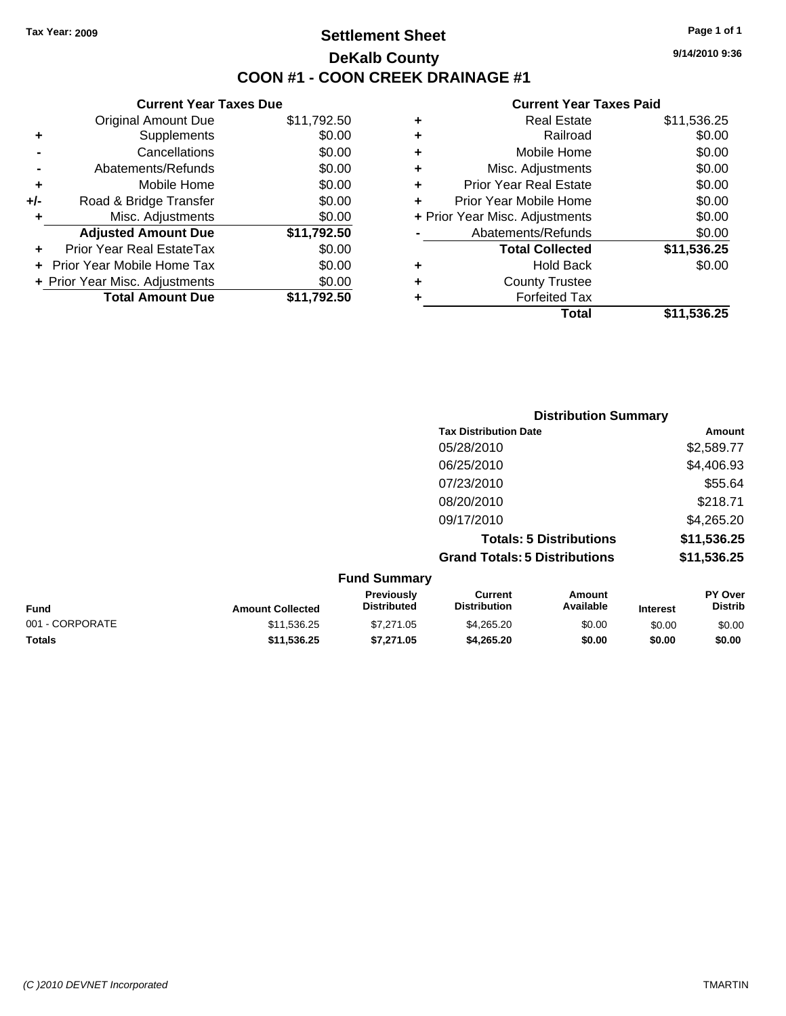### **Settlement Sheet Tax Year: 2009 Page 1 of 1 DeKalb County COON #1 - COON CREEK DRAINAGE #1**

**9/14/2010 9:36**

| <b>Current Year Taxes Due</b> |                                |             |  |  |
|-------------------------------|--------------------------------|-------------|--|--|
|                               | <b>Original Amount Due</b>     | \$11,792.50 |  |  |
| ٠                             | Supplements                    | \$0.00      |  |  |
|                               | Cancellations                  | \$0.00      |  |  |
|                               | Abatements/Refunds             | \$0.00      |  |  |
| ٠                             | Mobile Home                    | \$0.00      |  |  |
| +/-                           | Road & Bridge Transfer         | \$0.00      |  |  |
| ٠                             | Misc. Adjustments              | \$0.00      |  |  |
|                               | <b>Adjusted Amount Due</b>     | \$11,792.50 |  |  |
|                               | Prior Year Real EstateTax      | \$0.00      |  |  |
|                               | Prior Year Mobile Home Tax     | \$0.00      |  |  |
|                               | + Prior Year Misc. Adjustments | \$0.00      |  |  |
|                               | <b>Total Amount Due</b>        | \$11,792.50 |  |  |
|                               |                                |             |  |  |

|   | <b>Real Estate</b>             | \$11,536.25 |
|---|--------------------------------|-------------|
| ٠ | Railroad                       | \$0.00      |
| ٠ | Mobile Home                    | \$0.00      |
| ٠ | Misc. Adjustments              | \$0.00      |
| ٠ | <b>Prior Year Real Estate</b>  | \$0.00      |
| ٠ | Prior Year Mobile Home         | \$0.00      |
|   | + Prior Year Misc. Adjustments | \$0.00      |
|   | Abatements/Refunds             | \$0.00      |
|   | <b>Total Collected</b>         | \$11,536.25 |
| ٠ | Hold Back                      | \$0.00      |
| ٠ | <b>County Trustee</b>          |             |
|   | <b>Forfeited Tax</b>           |             |
|   | Total                          | \$11,536.25 |
|   |                                |             |

| <b>Distribution Summary</b>              |             |
|------------------------------------------|-------------|
| <b>Tax Distribution Date</b>             | Amount      |
| 05/28/2010                               | \$2,589.77  |
| 06/25/2010                               | \$4,406.93  |
| 07/23/2010                               | \$55.64     |
| 08/20/2010                               | \$218.71    |
| 09/17/2010                               | \$4,265.20  |
| <b>Totals: 5 Distributions</b>           | \$11,536.25 |
| <b>Grand Totals: 5 Distributions</b>     | \$11,536.25 |
| $F_{\text{total}}$ $F_{\text{constant}}$ |             |

|                 |                         | <b>Fund Summary</b>                     |                                |                     |                 |                           |
|-----------------|-------------------------|-----------------------------------------|--------------------------------|---------------------|-----------------|---------------------------|
| <b>Fund</b>     | <b>Amount Collected</b> | <b>Previously</b><br><b>Distributed</b> | Current<br><b>Distribution</b> | Amount<br>Available | <b>Interest</b> | PY Over<br><b>Distrib</b> |
| 001 - CORPORATE | \$11,536.25             | \$7.271.05                              | \$4.265.20                     | \$0.00              | \$0.00          | \$0.00                    |
| <b>Totals</b>   | \$11,536.25             | \$7.271.05                              | \$4,265,20                     | \$0.00              | \$0.00          | \$0.00                    |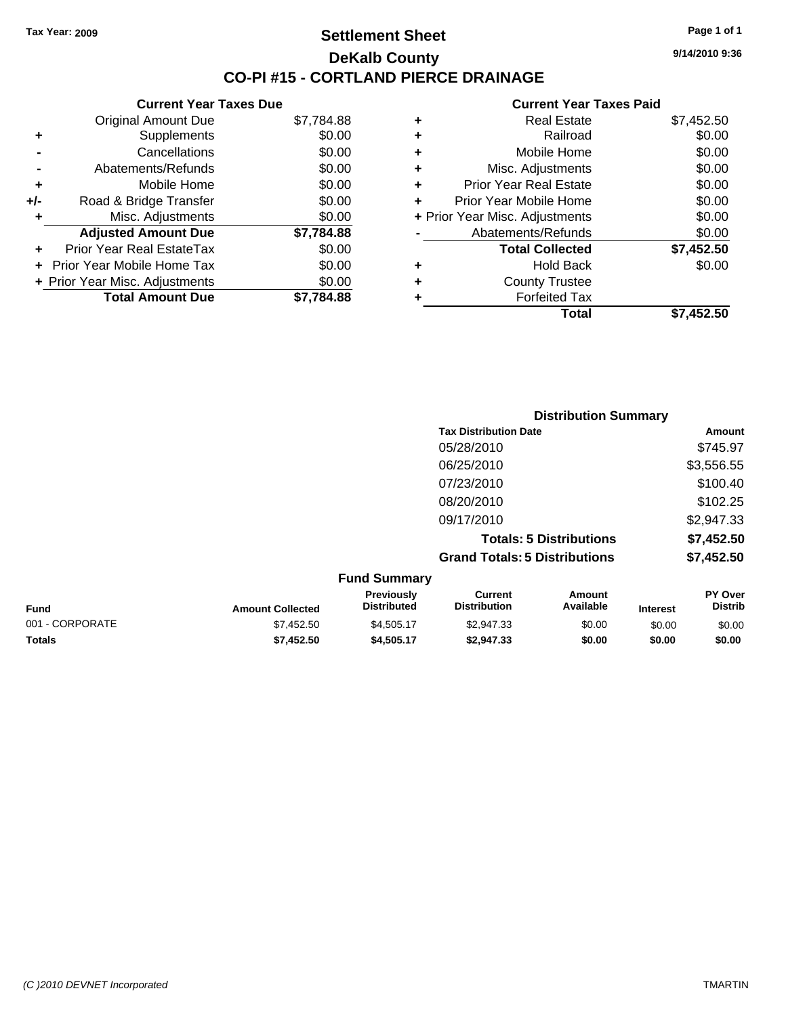**Current Year Taxes Due** Original Amount Due \$7,784.88

**Adjusted Amount Due \$7,784.88**

**Total Amount Due \$7,784.88**

**+** Supplements \$0.00 **-** Cancellations \$0.00 **-** Abatements/Refunds \$0.00 **+** Mobile Home \$0.00 **+/-** Road & Bridge Transfer \$0.00 **+** Misc. Adjustments \$0.00

**+** Prior Year Real EstateTax \$0.00 **+** Prior Year Mobile Home Tax \$0.00 **+ Prior Year Misc. Adjustments**  $$0.00$ 

### **Settlement Sheet Tax Year: 2009 Page 1 of 1 DeKalb County CO-PI #15 - CORTLAND PIERCE DRAINAGE**

**9/14/2010 9:36**

#### **Current Year Taxes Paid**

|   | Total                          | \$7,452.50 |
|---|--------------------------------|------------|
|   | <b>Forfeited Tax</b>           |            |
|   | <b>County Trustee</b>          |            |
| ٠ | <b>Hold Back</b>               | \$0.00     |
|   | <b>Total Collected</b>         | \$7,452.50 |
|   | Abatements/Refunds             | \$0.00     |
|   | + Prior Year Misc. Adjustments | \$0.00     |
|   | Prior Year Mobile Home         | \$0.00     |
| ٠ | <b>Prior Year Real Estate</b>  | \$0.00     |
| ٠ | Misc. Adjustments              | \$0.00     |
| ٠ | Mobile Home                    | \$0.00     |
| ٠ | Railroad                       | \$0.00     |
| ٠ | <b>Real Estate</b>             | \$7,452.50 |
|   |                                |            |

|                 |                         |                                  |                                       | <b>Distribution Summary</b>    |                 |                                  |
|-----------------|-------------------------|----------------------------------|---------------------------------------|--------------------------------|-----------------|----------------------------------|
|                 |                         |                                  | <b>Tax Distribution Date</b>          |                                |                 | Amount                           |
|                 |                         |                                  | 05/28/2010                            |                                |                 | \$745.97                         |
|                 |                         |                                  | 06/25/2010                            |                                |                 | \$3,556.55                       |
|                 |                         |                                  | 07/23/2010                            |                                |                 | \$100.40                         |
|                 |                         |                                  | 08/20/2010                            |                                |                 | \$102.25                         |
|                 |                         |                                  | 09/17/2010                            |                                |                 | \$2,947.33                       |
|                 |                         |                                  |                                       | <b>Totals: 5 Distributions</b> |                 | \$7,452.50                       |
|                 |                         |                                  | <b>Grand Totals: 5 Distributions</b>  |                                |                 | \$7,452.50                       |
|                 |                         | <b>Fund Summary</b>              |                                       |                                |                 |                                  |
| <b>Fund</b>     | <b>Amount Collected</b> | Previously<br><b>Distributed</b> | <b>Current</b><br><b>Distribution</b> | <b>Amount</b><br>Available     | <b>Interest</b> | <b>PY Over</b><br><b>Distrib</b> |
| 001 - CORPORATE | \$7,452.50              | \$4,505.17                       | \$2,947.33                            | \$0.00                         | \$0.00          | \$0.00                           |

**Totals \$7,452.50 \$4,505.17 \$2,947.33 \$0.00 \$0.00 \$0.00**

*(C )2010 DEVNET Incorporated* TMARTIN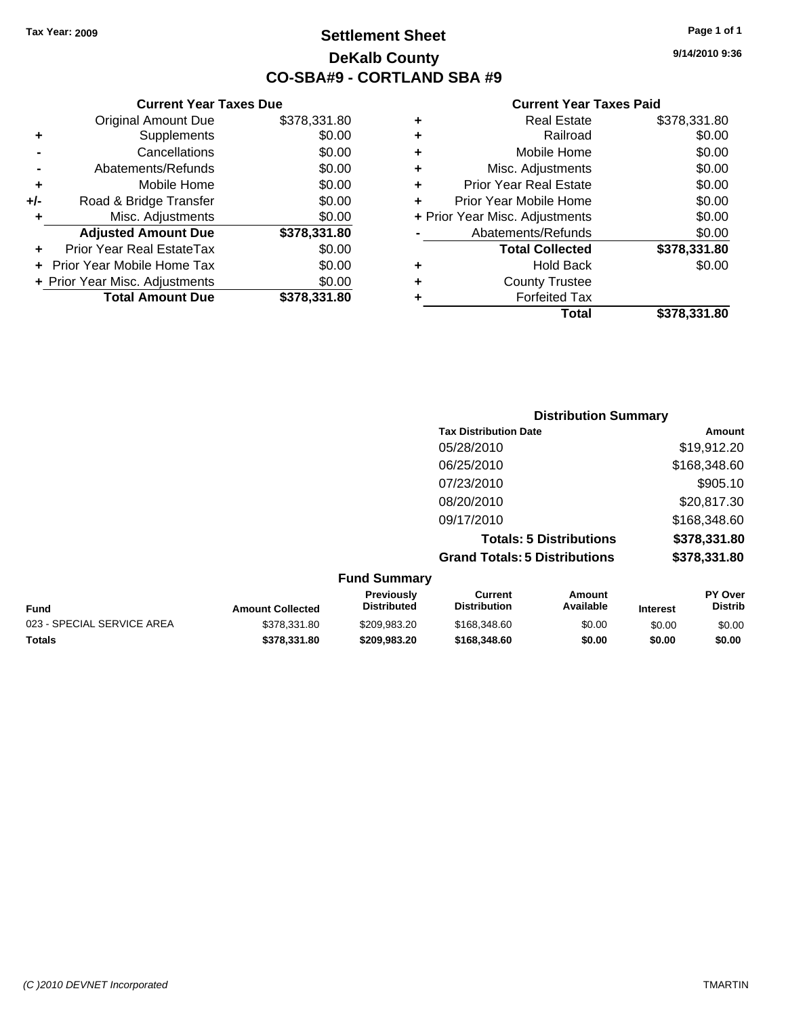### **Settlement Sheet Tax Year: 2009 Page 1 of 1 DeKalb County CO-SBA#9 - CORTLAND SBA #9**

**9/14/2010 9:36**

|   | Total                          | \$378.331.80 |
|---|--------------------------------|--------------|
|   | <b>Forfeited Tax</b>           |              |
| ٠ | <b>County Trustee</b>          |              |
|   | <b>Hold Back</b>               | \$0.00       |
|   | <b>Total Collected</b>         | \$378,331.80 |
|   | Abatements/Refunds             | \$0.00       |
|   | + Prior Year Misc. Adjustments | \$0.00       |
| ÷ | Prior Year Mobile Home         | \$0.00       |
| ٠ | <b>Prior Year Real Estate</b>  | \$0.00       |
| ٠ | Misc. Adjustments              | \$0.00       |
| ٠ | Mobile Home                    | \$0.00       |
| ٠ | Railroad                       | \$0.00       |
| ٠ | <b>Real Estate</b>             | \$378,331.80 |

|     | <b>Current Year Taxes Due</b>     |              |
|-----|-----------------------------------|--------------|
|     | <b>Original Amount Due</b>        | \$378,331.80 |
| ٠   | Supplements                       | \$0.00       |
|     | Cancellations                     | \$0.00       |
|     | Abatements/Refunds                | \$0.00       |
| ٠   | Mobile Home                       | \$0.00       |
| +/- | Road & Bridge Transfer            | \$0.00       |
| ٠   | Misc. Adjustments                 | \$0.00       |
|     | <b>Adjusted Amount Due</b>        | \$378,331.80 |
|     | <b>Prior Year Real EstateTax</b>  | \$0.00       |
|     | <b>Prior Year Mobile Home Tax</b> | \$0.00       |
|     | + Prior Year Misc. Adjustments    | \$0.00       |
|     | <b>Total Amount Due</b>           | \$378.331.80 |

|                     | <b>Distribution Summary</b>          |              |
|---------------------|--------------------------------------|--------------|
|                     | <b>Tax Distribution Date</b>         | Amount       |
|                     | 05/28/2010                           | \$19,912.20  |
|                     | 06/25/2010                           | \$168,348.60 |
|                     | 07/23/2010                           | \$905.10     |
|                     | 08/20/2010                           | \$20,817.30  |
|                     | 09/17/2010                           | \$168,348.60 |
|                     | <b>Totals: 5 Distributions</b>       | \$378,331.80 |
|                     | <b>Grand Totals: 5 Distributions</b> | \$378,331.80 |
| <b>Fund Summary</b> |                                      |              |

|                            |                         | Funu Junniary      |                     |           |                 |                |
|----------------------------|-------------------------|--------------------|---------------------|-----------|-----------------|----------------|
|                            |                         | <b>Previously</b>  | Current             | Amount    |                 | <b>PY Over</b> |
| Fund                       | <b>Amount Collected</b> | <b>Distributed</b> | <b>Distribution</b> | Available | <b>Interest</b> | <b>Distrib</b> |
| 023 - SPECIAL SERVICE AREA | \$378,331.80            | \$209.983.20       | \$168,348,60        | \$0.00    | \$0.00          | \$0.00         |
| Totals                     | \$378.331.80            | \$209.983.20       | \$168,348,60        | \$0.00    | \$0.00          | \$0.00         |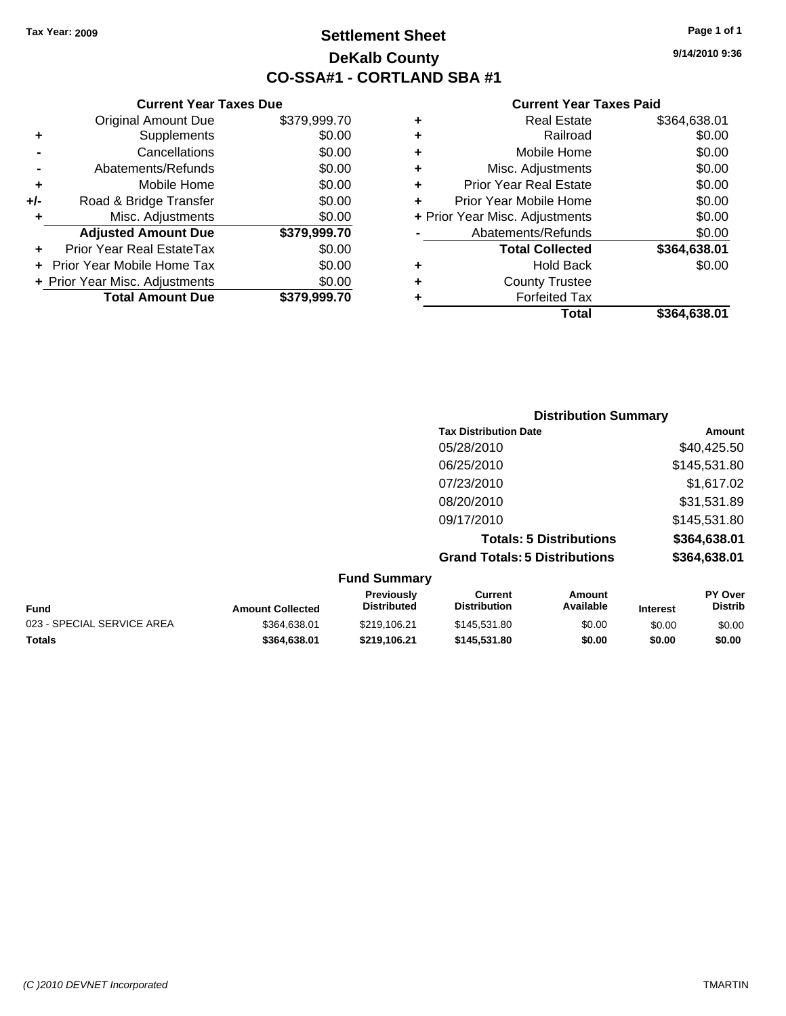### **Settlement Sheet Tax Year: 2009 Page 1 of 1 DeKalb County CO-SSA#1 - CORTLAND SBA #1**

**9/14/2010 9:36**

#### **Current Year Taxes Paid**

|   | Total                          | \$364.638.01 |
|---|--------------------------------|--------------|
|   | <b>Forfeited Tax</b>           |              |
| ٠ | <b>County Trustee</b>          |              |
| ٠ | <b>Hold Back</b>               | \$0.00       |
|   | <b>Total Collected</b>         | \$364,638.01 |
|   | Abatements/Refunds             | \$0.00       |
|   | + Prior Year Misc. Adjustments | \$0.00       |
| ÷ | Prior Year Mobile Home         | \$0.00       |
| ٠ | <b>Prior Year Real Estate</b>  | \$0.00       |
| ٠ | Misc. Adjustments              | \$0.00       |
| ٠ | Mobile Home                    | \$0.00       |
| ٠ | Railroad                       | \$0.00       |
| ٠ | <b>Real Estate</b>             | \$364,638.01 |

|                            |                         |                                  |                                       | <b>Distribution Summary</b>    |                 |                                  |
|----------------------------|-------------------------|----------------------------------|---------------------------------------|--------------------------------|-----------------|----------------------------------|
|                            |                         |                                  | <b>Tax Distribution Date</b>          |                                |                 | Amount                           |
|                            |                         |                                  | 05/28/2010                            |                                |                 | \$40,425.50                      |
|                            |                         |                                  | 06/25/2010                            |                                |                 | \$145,531.80                     |
|                            |                         |                                  | 07/23/2010                            |                                |                 | \$1,617.02                       |
|                            |                         |                                  | 08/20/2010                            |                                |                 | \$31,531.89                      |
|                            |                         |                                  | 09/17/2010                            |                                |                 | \$145,531.80                     |
|                            |                         |                                  |                                       | <b>Totals: 5 Distributions</b> |                 | \$364,638.01                     |
|                            |                         |                                  | <b>Grand Totals: 5 Distributions</b>  |                                |                 | \$364,638.01                     |
|                            |                         | <b>Fund Summary</b>              |                                       |                                |                 |                                  |
| <b>Fund</b>                | <b>Amount Collected</b> | Previously<br><b>Distributed</b> | <b>Current</b><br><b>Distribution</b> | Amount<br>Available            | <b>Interest</b> | <b>PY Over</b><br><b>Distrib</b> |
| 023 - SPECIAL SERVICE AREA | \$364,638.01            | \$219,106.21                     | \$145,531.80                          | \$0.00                         | \$0.00          | \$0.00                           |

**Totals \$364,638.01 \$219,106.21 \$145,531.80 \$0.00 \$0.00 \$0.00**

|       | <b>Original Amount Due</b>        | \$379,999.70 |
|-------|-----------------------------------|--------------|
| ٠     | Supplements                       | \$0.00       |
|       | Cancellations                     | \$0.00       |
|       | Abatements/Refunds                | \$0.00       |
| ٠     | Mobile Home                       | \$0.00       |
| $+/-$ | Road & Bridge Transfer            | \$0.00       |
| ٠     | Misc. Adjustments                 | \$0.00       |
|       | <b>Adjusted Amount Due</b>        | \$379,999.70 |
|       | Prior Year Real EstateTax         | \$0.00       |
|       | <b>Prior Year Mobile Home Tax</b> | \$0.00       |
|       | + Prior Year Misc. Adjustments    | \$0.00       |
|       | <b>Total Amount Due</b>           | \$379,999.70 |

**Current Year Taxes Due**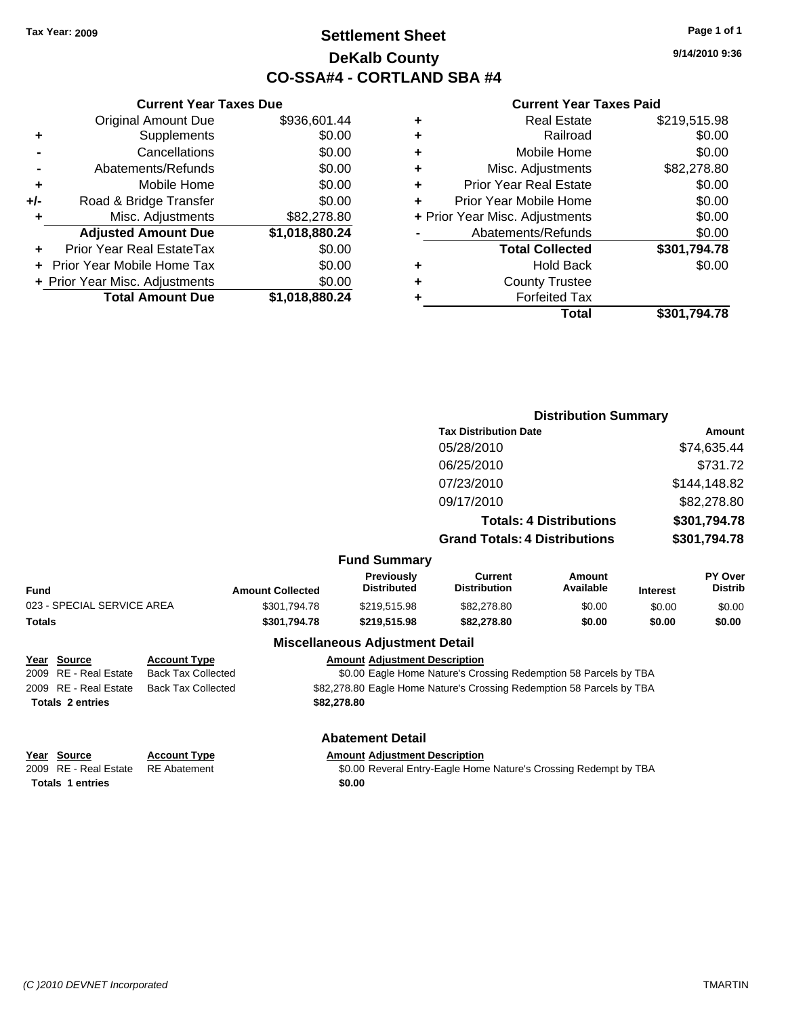### **Settlement Sheet Tax Year: 2009 Page 1 of 1 DeKalb County CO-SSA#4 - CORTLAND SBA #4**

**9/14/2010 9:36**

#### **Current Year Taxes Paid**

| ٠ | <b>Real Estate</b>             | \$219,515.98 |
|---|--------------------------------|--------------|
| ٠ | Railroad                       | \$0.00       |
| ٠ | Mobile Home                    | \$0.00       |
| ٠ | Misc. Adjustments              | \$82,278.80  |
| ٠ | <b>Prior Year Real Estate</b>  | \$0.00       |
| ٠ | Prior Year Mobile Home         | \$0.00       |
|   | + Prior Year Misc. Adjustments | \$0.00       |
|   | Abatements/Refunds             | \$0.00       |
|   | <b>Total Collected</b>         | \$301,794.78 |
| ٠ | <b>Hold Back</b>               | \$0.00       |
| ٠ | <b>County Trustee</b>          |              |
| ٠ | <b>Forfeited Tax</b>           |              |
|   | Total                          | \$301.794.78 |

**Distribution Summary**

|     | <b>Current Year Taxes Due</b>  |                |
|-----|--------------------------------|----------------|
|     | <b>Original Amount Due</b>     | \$936,601.44   |
| ٠   | Supplements                    | \$0.00         |
|     | Cancellations                  | \$0.00         |
|     | Abatements/Refunds             | \$0.00         |
| ٠   | Mobile Home                    | \$0.00         |
| +/- | Road & Bridge Transfer         | \$0.00         |
| ٠   | Misc. Adjustments              | \$82,278.80    |
|     | <b>Adjusted Amount Due</b>     | \$1,018,880.24 |
|     | Prior Year Real EstateTax      | \$0.00         |
|     | Prior Year Mobile Home Tax     | \$0.00         |
|     | + Prior Year Misc. Adjustments | \$0.00         |
|     | <b>Total Amount Due</b>        | \$1,018,880.24 |

|                            |                           |                         |                                        | <b>Tax Distribution Date</b>                                     |                                |                 | Amount                           |
|----------------------------|---------------------------|-------------------------|----------------------------------------|------------------------------------------------------------------|--------------------------------|-----------------|----------------------------------|
|                            |                           |                         |                                        | 05/28/2010                                                       |                                |                 | \$74,635.44                      |
|                            |                           |                         |                                        | 06/25/2010                                                       |                                |                 | \$731.72                         |
|                            |                           |                         |                                        | 07/23/2010                                                       |                                |                 | \$144,148.82                     |
|                            |                           |                         |                                        | 09/17/2010                                                       |                                |                 | \$82,278.80                      |
|                            |                           |                         |                                        |                                                                  | <b>Totals: 4 Distributions</b> |                 | \$301,794.78                     |
|                            |                           |                         |                                        | <b>Grand Totals: 4 Distributions</b>                             |                                |                 | \$301,794.78                     |
|                            |                           |                         | <b>Fund Summary</b>                    |                                                                  |                                |                 |                                  |
| Fund                       |                           | <b>Amount Collected</b> | Previously<br><b>Distributed</b>       | <b>Current</b><br><b>Distribution</b>                            | <b>Amount</b><br>Available     | <b>Interest</b> | <b>PY Over</b><br><b>Distrib</b> |
| 023 - SPECIAL SERVICE AREA |                           | \$301.794.78            | \$219,515.98                           | \$82,278.80                                                      | \$0.00                         | \$0.00          | \$0.00                           |
| Totals                     |                           | \$301,794.78            | \$219,515.98                           | \$82,278.80                                                      | \$0.00                         | \$0.00          | \$0.00                           |
|                            |                           |                         | <b>Miscellaneous Adjustment Detail</b> |                                                                  |                                |                 |                                  |
| Year Source                | <b>Account Type</b>       |                         | <b>Amount Adjustment Description</b>   |                                                                  |                                |                 |                                  |
| 2009 RE - Real Estate      | <b>Back Tax Collected</b> |                         |                                        | \$0.00 Eagle Home Nature's Crossing Redemption 58 Parcels by TBA |                                |                 |                                  |

### 2009 RE - Real **Totals \$82,278.80 2 entries**

**Year Source** 

2009 RE - Real Estate Back Tax Collected \$82,278.80 Eagle Home Nature's Crossing Redemption 58 Parcels by TBA

#### **Abatement Detail**

**Year Source Account Type Amount Adjustment Description Totals 1 entries** \$0.00

2009 RE - Real Estate RE Abatement **\$0.00 Reveral Entry-Eagle Home Nature's Crossing Redempt by TBA**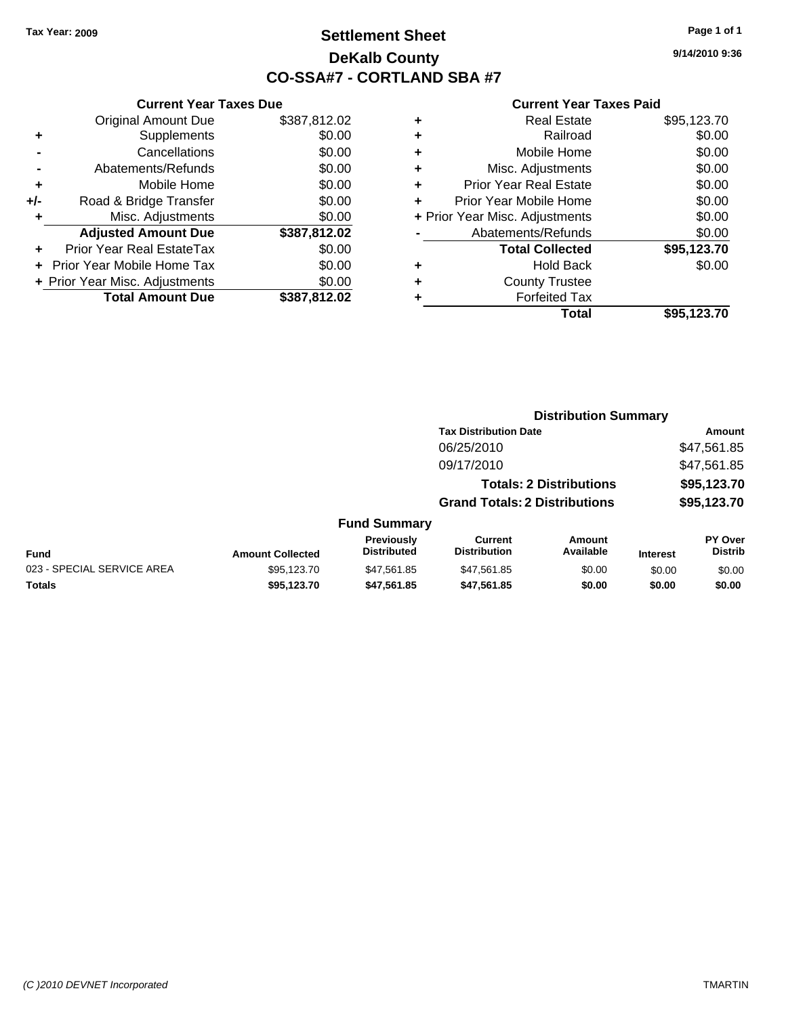### **Settlement Sheet Tax Year: 2009 Page 1 of 1 DeKalb County CO-SSA#7 - CORTLAND SBA #7**

**9/14/2010 9:36**

|     | <b>Current Year Taxes Due</b>  |              |
|-----|--------------------------------|--------------|
|     | <b>Original Amount Due</b>     | \$387,812.02 |
| ٠   | Supplements                    | \$0.00       |
|     | Cancellations                  | \$0.00       |
|     | Abatements/Refunds             | \$0.00       |
| ٠   | Mobile Home                    | \$0.00       |
| +/- | Road & Bridge Transfer         | \$0.00       |
| ٠   | Misc. Adjustments              | \$0.00       |
|     | <b>Adjusted Amount Due</b>     | \$387,812.02 |
| ٠   | Prior Year Real EstateTax      | \$0.00       |
|     | Prior Year Mobile Home Tax     | \$0.00       |
|     | + Prior Year Misc. Adjustments | \$0.00       |
|     | <b>Total Amount Due</b>        | \$387,812.02 |

|   | <b>Real Estate</b>             | \$95,123.70 |
|---|--------------------------------|-------------|
| ٠ | Railroad                       | \$0.00      |
| ٠ | Mobile Home                    | \$0.00      |
| ٠ | Misc. Adjustments              | \$0.00      |
| ٠ | <b>Prior Year Real Estate</b>  | \$0.00      |
|   | Prior Year Mobile Home         | \$0.00      |
|   | + Prior Year Misc. Adjustments | \$0.00      |
|   | Abatements/Refunds             | \$0.00      |
|   | <b>Total Collected</b>         | \$95,123.70 |
| ٠ | <b>Hold Back</b>               | \$0.00      |
| ٠ | <b>County Trustee</b>          |             |
| ٠ | <b>Forfeited Tax</b>           |             |
|   | Total                          | \$95,123.70 |
|   |                                |             |

|                            |                         |                                  |                                       | <b>Distribution Summary</b>    |                 |                                  |
|----------------------------|-------------------------|----------------------------------|---------------------------------------|--------------------------------|-----------------|----------------------------------|
|                            |                         |                                  | <b>Tax Distribution Date</b>          |                                |                 | <b>Amount</b>                    |
|                            |                         |                                  | 06/25/2010                            |                                |                 | \$47,561.85                      |
|                            |                         |                                  | 09/17/2010                            |                                |                 | \$47,561.85                      |
|                            |                         |                                  |                                       | <b>Totals: 2 Distributions</b> |                 | \$95,123.70                      |
|                            |                         |                                  | <b>Grand Totals: 2 Distributions</b>  |                                |                 | \$95,123.70                      |
|                            |                         | <b>Fund Summary</b>              |                                       |                                |                 |                                  |
| Fund                       | <b>Amount Collected</b> | Previously<br><b>Distributed</b> | <b>Current</b><br><b>Distribution</b> | Amount<br>Available            | <b>Interest</b> | <b>PY Over</b><br><b>Distrib</b> |
| 023 - SPECIAL SERVICE AREA | \$95,123.70             | \$47.561.85                      | \$47,561.85                           | \$0.00                         | \$0.00          | \$0.00                           |
| Totals                     | \$95,123.70             | \$47,561.85                      | \$47.561.85                           | \$0.00                         | \$0.00          | \$0.00                           |
|                            |                         |                                  |                                       |                                |                 |                                  |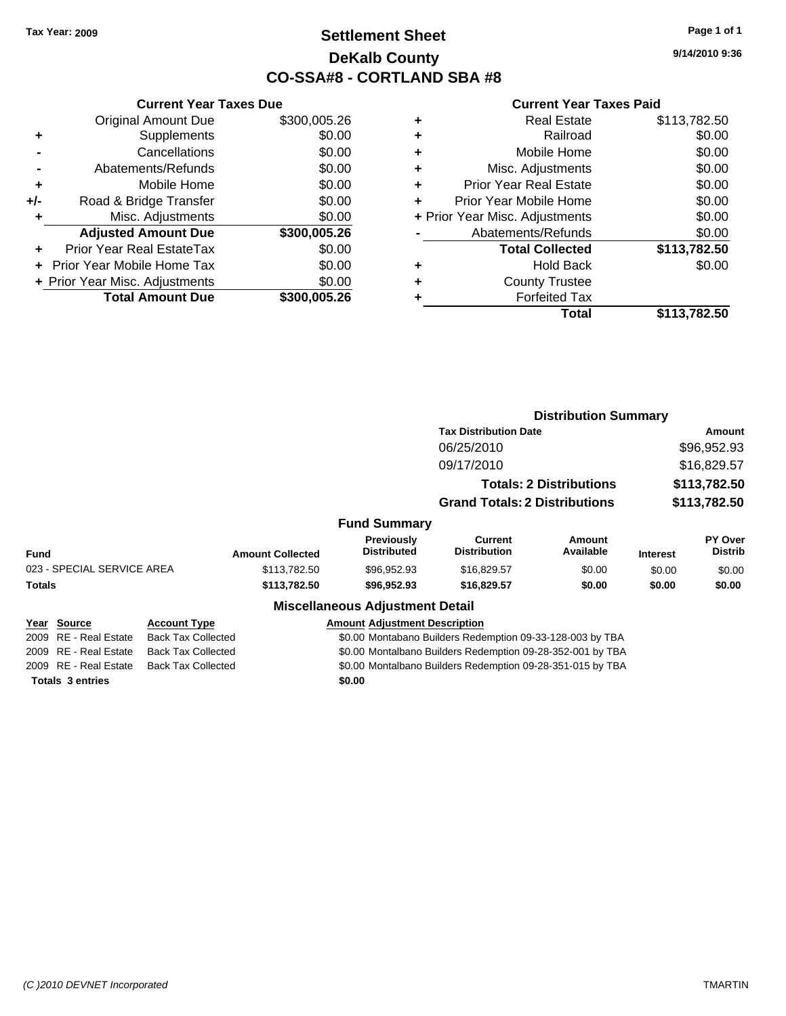### **Settlement Sheet Tax Year: 2009 Page 1 of 1 DeKalb County CO-SSA#8 - CORTLAND SBA #8**

**9/14/2010 9:36**

|       | <b>Current Year Taxes Due</b>     |              |  |  |  |  |  |
|-------|-----------------------------------|--------------|--|--|--|--|--|
|       | <b>Original Amount Due</b>        | \$300,005.26 |  |  |  |  |  |
| ٠     | Supplements                       | \$0.00       |  |  |  |  |  |
|       | Cancellations                     | \$0.00       |  |  |  |  |  |
|       | Abatements/Refunds                | \$0.00       |  |  |  |  |  |
| ٠     | Mobile Home                       | \$0.00       |  |  |  |  |  |
| $+/-$ | Road & Bridge Transfer            | \$0.00       |  |  |  |  |  |
|       | Misc. Adjustments                 | \$0.00       |  |  |  |  |  |
|       | <b>Adjusted Amount Due</b>        | \$300,005.26 |  |  |  |  |  |
|       | Prior Year Real EstateTax         | \$0.00       |  |  |  |  |  |
|       | <b>Prior Year Mobile Home Tax</b> | \$0.00       |  |  |  |  |  |
|       | + Prior Year Misc. Adjustments    | \$0.00       |  |  |  |  |  |
|       | <b>Total Amount Due</b>           | \$300,005.26 |  |  |  |  |  |
|       |                                   |              |  |  |  |  |  |

| ٠ | <b>Real Estate</b>             | \$113,782.50 |
|---|--------------------------------|--------------|
| ٠ | Railroad                       | \$0.00       |
| ٠ | Mobile Home                    | \$0.00       |
| ٠ | Misc. Adjustments              | \$0.00       |
| ÷ | <b>Prior Year Real Estate</b>  | \$0.00       |
| ٠ | Prior Year Mobile Home         | \$0.00       |
|   | + Prior Year Misc. Adjustments | \$0.00       |
|   | Abatements/Refunds             | \$0.00       |
|   | <b>Total Collected</b>         | \$113,782.50 |
| ٠ | Hold Back                      | \$0.00       |
| ٠ | <b>County Trustee</b>          |              |
| ٠ | <b>Forfeited Tax</b>           |              |
|   | Total                          | \$113,782.50 |
|   |                                |              |

|                            |                           |                         |                                        |                                                            | <b>Distribution Summary</b>    |                 |                    |
|----------------------------|---------------------------|-------------------------|----------------------------------------|------------------------------------------------------------|--------------------------------|-----------------|--------------------|
|                            |                           |                         |                                        | <b>Tax Distribution Date</b>                               |                                | Amount          |                    |
|                            |                           |                         |                                        | 06/25/2010                                                 |                                |                 | \$96,952.93        |
|                            |                           |                         |                                        | 09/17/2010                                                 |                                |                 | \$16,829.57        |
|                            |                           |                         |                                        |                                                            | <b>Totals: 2 Distributions</b> |                 | \$113,782.50       |
|                            |                           |                         |                                        | <b>Grand Totals: 2 Distributions</b>                       |                                |                 | \$113,782.50       |
|                            |                           |                         | <b>Fund Summary</b>                    |                                                            |                                |                 |                    |
| Fund                       |                           | <b>Amount Collected</b> | Previously<br><b>Distributed</b>       | <b>Current</b><br><b>Distribution</b>                      | Amount<br>Available            | <b>Interest</b> | PY Over<br>Distrib |
| 023 - SPECIAL SERVICE AREA |                           | \$113,782.50            | \$96,952.93                            | \$16,829.57                                                | \$0.00                         | \$0.00          | \$0.00             |
| Totals                     |                           | \$113,782.50            | \$96,952.93                            | \$16,829.57                                                | \$0.00                         | \$0.00          | \$0.00             |
|                            |                           |                         | <b>Miscellaneous Adjustment Detail</b> |                                                            |                                |                 |                    |
| Year Source                | <b>Account Type</b>       |                         | <b>Amount Adiustment Description</b>   |                                                            |                                |                 |                    |
| 2009 RE - Real Estate      | <b>Back Tax Collected</b> |                         |                                        | \$0.00 Montabano Builders Redemption 09-33-128-003 by TBA  |                                |                 |                    |
| 2009 RE - Real Estate      | <b>Back Tax Collected</b> |                         |                                        | \$0.00 Montalbano Builders Redemption 09-28-352-001 by TBA |                                |                 |                    |
| 2009 RE - Real Estate      | <b>Back Tax Collected</b> |                         |                                        | \$0.00 Montalbano Builders Redemption 09-28-351-015 by TBA |                                |                 |                    |
| <b>Totals 3 entries</b>    |                           |                         | \$0.00                                 |                                                            |                                |                 |                    |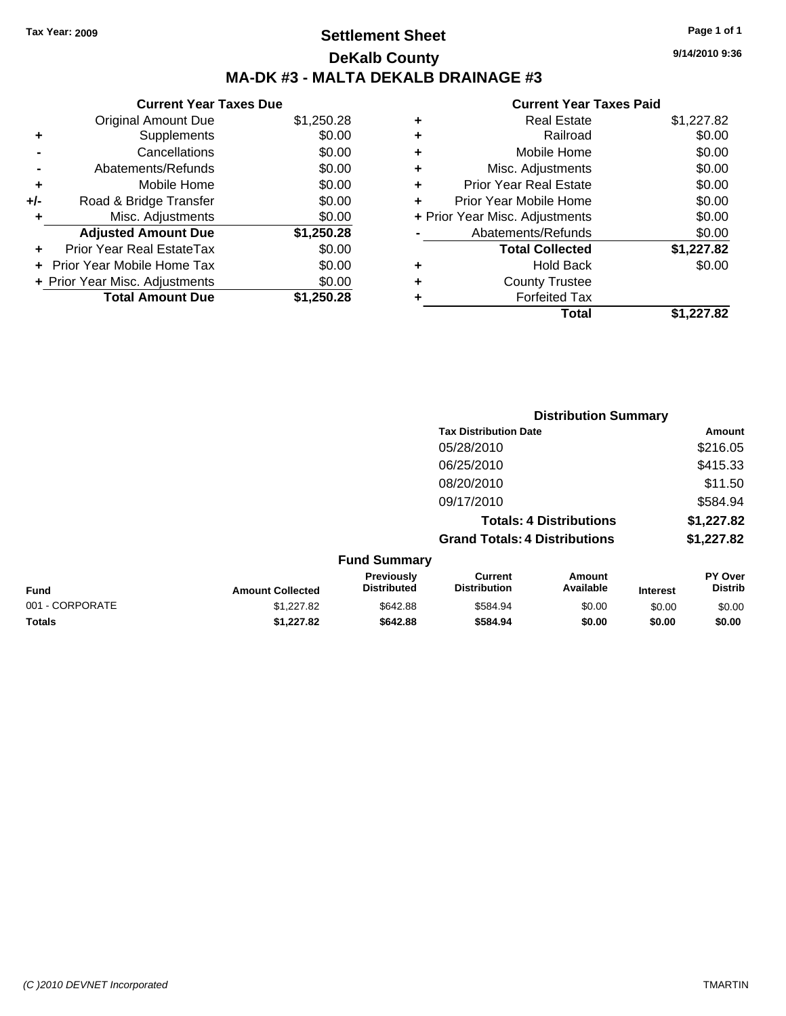### **Settlement Sheet Tax Year: 2009 Page 1 of 1 DeKalb County MA-DK #3 - MALTA DEKALB DRAINAGE #3**

**Current Year Taxes Due**

|     | <b>Original Amount Due</b>       | \$1,250.28 |
|-----|----------------------------------|------------|
| ٠   | Supplements                      | \$0.00     |
|     | Cancellations                    | \$0.00     |
|     | Abatements/Refunds               | \$0.00     |
| ٠   | Mobile Home                      | \$0.00     |
| +/- | Road & Bridge Transfer           | \$0.00     |
| ٠   | Misc. Adjustments                | \$0.00     |
|     | <b>Adjusted Amount Due</b>       | \$1,250.28 |
|     | <b>Prior Year Real EstateTax</b> | \$0.00     |
|     | Prior Year Mobile Home Tax       | \$0.00     |
|     | + Prior Year Misc. Adjustments   | \$0.00     |
|     | <b>Total Amount Due</b>          | \$1,250.28 |

| \$1,227.82 |
|------------|
| \$0.00     |
| \$0.00     |
| \$0.00     |
| \$0.00     |
| \$0.00     |
| \$0.00     |
| \$0.00     |
| \$1,227.82 |
| \$0.00     |
|            |
|            |
| \$1,227.82 |
|            |

|                 |                         |                                  | <b>Distribution Summary</b>           |                                |                 |                                  |
|-----------------|-------------------------|----------------------------------|---------------------------------------|--------------------------------|-----------------|----------------------------------|
|                 |                         |                                  | <b>Tax Distribution Date</b>          |                                |                 | Amount                           |
|                 |                         |                                  | 05/28/2010                            |                                |                 | \$216.05                         |
|                 |                         |                                  | 06/25/2010                            |                                |                 | \$415.33                         |
|                 |                         |                                  | 08/20/2010                            |                                |                 | \$11.50                          |
|                 |                         |                                  | 09/17/2010                            |                                |                 | \$584.94                         |
|                 |                         |                                  |                                       | <b>Totals: 4 Distributions</b> |                 | \$1,227.82                       |
|                 |                         |                                  | <b>Grand Totals: 4 Distributions</b>  |                                |                 | \$1,227.82                       |
|                 |                         | <b>Fund Summary</b>              |                                       |                                |                 |                                  |
| Fund            | <b>Amount Collected</b> | Previously<br><b>Distributed</b> | <b>Current</b><br><b>Distribution</b> | <b>Amount</b><br>Available     | <b>Interest</b> | <b>PY Over</b><br><b>Distrib</b> |
| 001 - CORPORATE | \$1,227.82              | \$642.88                         | \$584.94                              | \$0.00                         | \$0.00          | \$0.00                           |
| Totals          | \$1,227.82              | \$642.88                         | \$584.94                              | \$0.00                         | \$0.00          | \$0.00                           |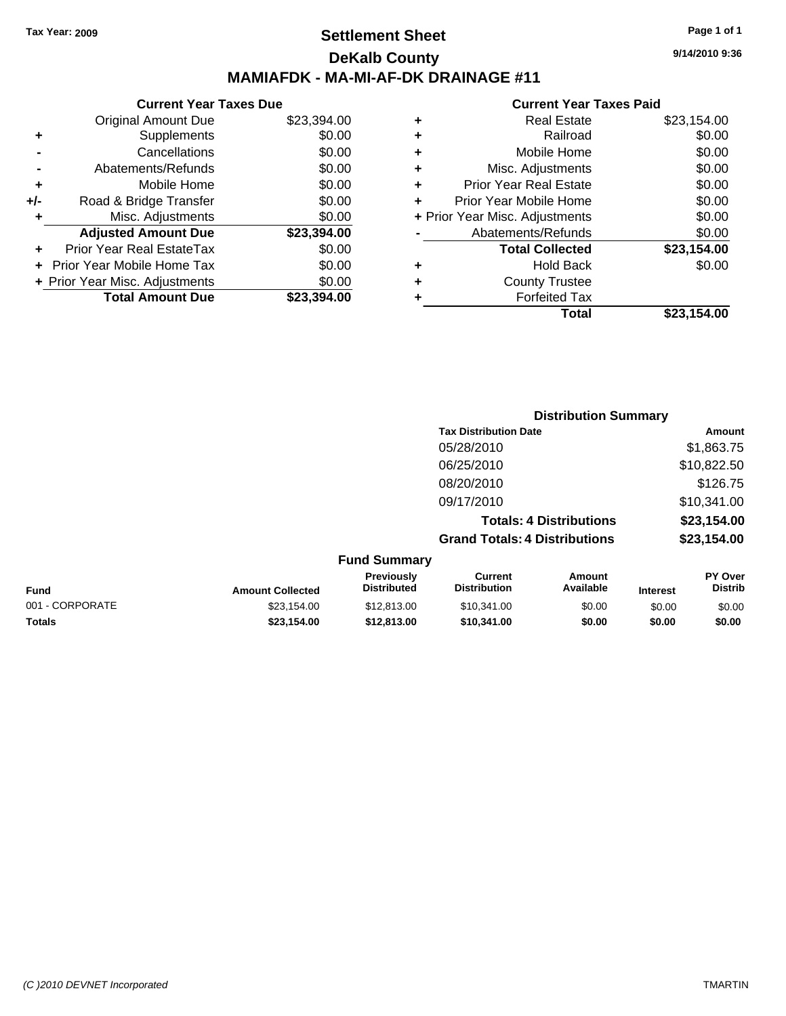### **Settlement Sheet Tax Year: 2009 Page 1 of 1 DeKalb County MAMIAFDK - MA-MI-AF-DK DRAINAGE #11**

**9/14/2010 9:36**

#### **Current Year Taxes Paid**

|     | <b>Current Year Taxes Due</b>  |             |  |
|-----|--------------------------------|-------------|--|
|     | <b>Original Amount Due</b>     | \$23,394.00 |  |
| ٠   | Supplements                    | \$0.00      |  |
|     | Cancellations                  | \$0.00      |  |
|     | Abatements/Refunds             | \$0.00      |  |
| ٠   | Mobile Home                    | \$0.00      |  |
| +/- | Road & Bridge Transfer         | \$0.00      |  |
| ٠   | Misc. Adjustments              | \$0.00      |  |
|     | <b>Adjusted Amount Due</b>     | \$23,394.00 |  |
| ÷   | Prior Year Real EstateTax      | \$0.00      |  |
|     | Prior Year Mobile Home Tax     | \$0.00      |  |
|     | + Prior Year Misc. Adjustments | \$0.00      |  |
|     | <b>Total Amount Due</b>        | \$23,394,00 |  |
|     |                                |             |  |

| ٠ | <b>Real Estate</b>             | \$23,154.00 |
|---|--------------------------------|-------------|
| ٠ | Railroad                       | \$0.00      |
| ٠ | Mobile Home                    | \$0.00      |
| ٠ | Misc. Adjustments              | \$0.00      |
| ٠ | <b>Prior Year Real Estate</b>  | \$0.00      |
| ÷ | Prior Year Mobile Home         | \$0.00      |
|   | + Prior Year Misc. Adjustments | \$0.00      |
|   | Abatements/Refunds             | \$0.00      |
|   | <b>Total Collected</b>         | \$23,154.00 |
| ٠ | Hold Back                      | \$0.00      |
| ٠ | <b>County Trustee</b>          |             |
| ٠ | <b>Forfeited Tax</b>           |             |
|   | Total                          | \$23,154.00 |
|   |                                |             |

|                 |                         |                                  | <b>Distribution Summary</b>           |                                |                 |                           |
|-----------------|-------------------------|----------------------------------|---------------------------------------|--------------------------------|-----------------|---------------------------|
|                 |                         |                                  | <b>Tax Distribution Date</b>          |                                |                 | Amount                    |
|                 |                         |                                  | 05/28/2010                            |                                |                 | \$1,863.75                |
|                 |                         |                                  | 06/25/2010                            |                                | \$10,822.50     |                           |
|                 |                         |                                  | 08/20/2010                            |                                |                 | \$126.75                  |
|                 |                         |                                  | 09/17/2010                            |                                |                 | \$10,341.00               |
|                 |                         |                                  |                                       | <b>Totals: 4 Distributions</b> |                 | \$23,154.00               |
|                 |                         |                                  | <b>Grand Totals: 4 Distributions</b>  |                                |                 | \$23,154.00               |
|                 |                         | <b>Fund Summary</b>              |                                       |                                |                 |                           |
| <b>Fund</b>     | <b>Amount Collected</b> | Previously<br><b>Distributed</b> | <b>Current</b><br><b>Distribution</b> | Amount<br>Available            | <b>Interest</b> | PY Over<br><b>Distrib</b> |
| 001 - CORPORATE | \$23.154.00             | \$12,813,00                      | \$10.341.00                           | \$0.00                         | \$0.00          | \$0.00                    |

**Totals \$23,154.00 \$12,813.00 \$10,341.00 \$0.00 \$0.00 \$0.00**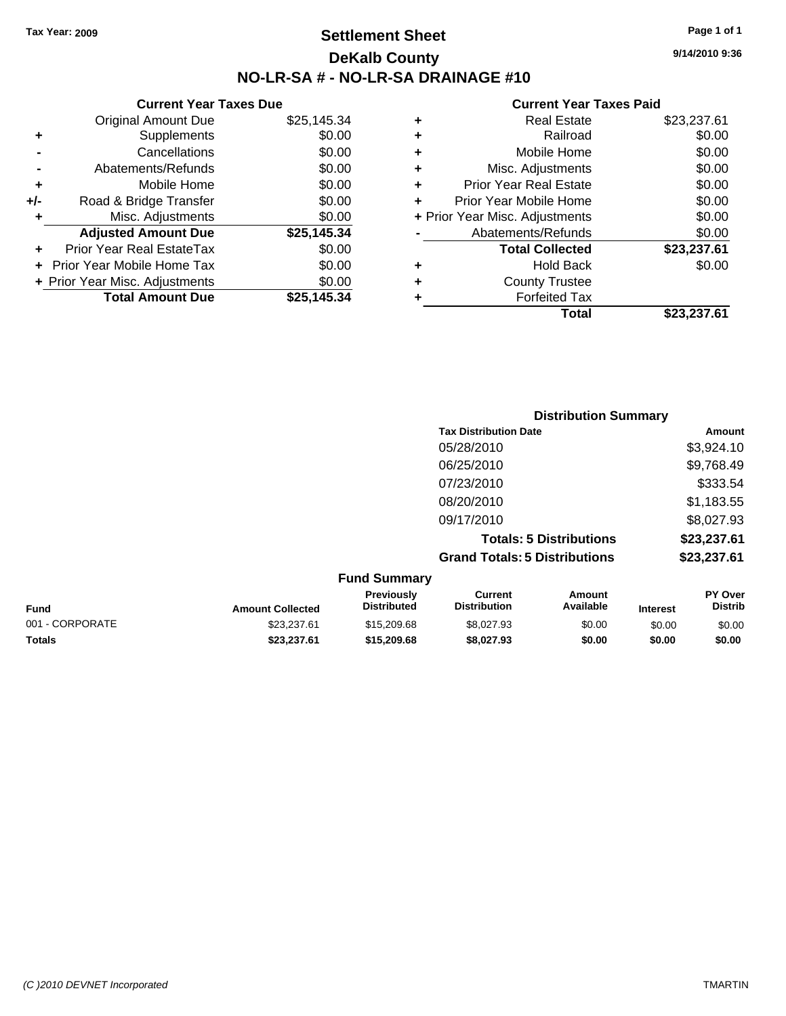**Current Year Taxes Due** Original Amount Due \$25,145.34

**Adjusted Amount Due \$25,145.34**

**Total Amount Due \$25,145.34**

**+** Supplements \$0.00 **-** Cancellations \$0.00 **-** Abatements/Refunds \$0.00 **+** Mobile Home \$0.00 **+/-** Road & Bridge Transfer \$0.00 **+** Misc. Adjustments \$0.00

**+** Prior Year Real EstateTax \$0.00 **+** Prior Year Mobile Home Tax \$0.00 **+ Prior Year Misc. Adjustments**  $$0.00$ 

### **Settlement Sheet Tax Year: 2009 Page 1 of 1 DeKalb County NO-LR-SA # - NO-LR-SA DRAINAGE #10**

**9/14/2010 9:36**

#### **Current Year Taxes Paid**

| Total                              | \$23,237.61 |
|------------------------------------|-------------|
| <b>Forfeited Tax</b>               |             |
| <b>County Trustee</b><br>٠         |             |
| <b>Hold Back</b><br>٠              | \$0.00      |
| <b>Total Collected</b>             | \$23,237.61 |
| Abatements/Refunds                 | \$0.00      |
| + Prior Year Misc. Adjustments     | \$0.00      |
| Prior Year Mobile Home             | \$0.00      |
| <b>Prior Year Real Estate</b><br>٠ | \$0.00      |
| Misc. Adjustments<br>٠             | \$0.00      |
| Mobile Home<br>٠                   | \$0.00      |
| Railroad<br>٠                      | \$0.00      |
| <b>Real Estate</b><br>٠            | \$23,237.61 |
|                                    |             |

|                 |                         |                                  | <b>Distribution Summary</b>           |                                |                 |                           |
|-----------------|-------------------------|----------------------------------|---------------------------------------|--------------------------------|-----------------|---------------------------|
|                 |                         |                                  | <b>Tax Distribution Date</b>          |                                |                 | Amount                    |
|                 |                         |                                  | 05/28/2010                            |                                |                 | \$3,924.10                |
|                 |                         |                                  | 06/25/2010                            |                                |                 | \$9,768.49                |
|                 |                         |                                  | 07/23/2010                            |                                |                 | \$333.54                  |
|                 |                         |                                  | 08/20/2010                            |                                |                 | \$1,183.55                |
|                 |                         |                                  | 09/17/2010                            |                                |                 | \$8,027.93                |
|                 |                         |                                  |                                       | <b>Totals: 5 Distributions</b> |                 | \$23,237.61               |
|                 |                         |                                  | <b>Grand Totals: 5 Distributions</b>  |                                |                 | \$23,237.61               |
|                 |                         | <b>Fund Summary</b>              |                                       |                                |                 |                           |
| Fund            | <b>Amount Collected</b> | Previously<br><b>Distributed</b> | <b>Current</b><br><b>Distribution</b> | <b>Amount</b><br>Available     | <b>Interest</b> | PY Over<br><b>Distrib</b> |
| 001 - CORPORATE | \$23,237.61             | \$15,209.68                      | \$8,027.93                            | \$0.00                         | \$0.00          | \$0.00                    |

**Totals \$23,237.61 \$15,209.68 \$8,027.93 \$0.00 \$0.00 \$0.00**

```
(C )2010 DEVNET Incorporated TMARTIN
```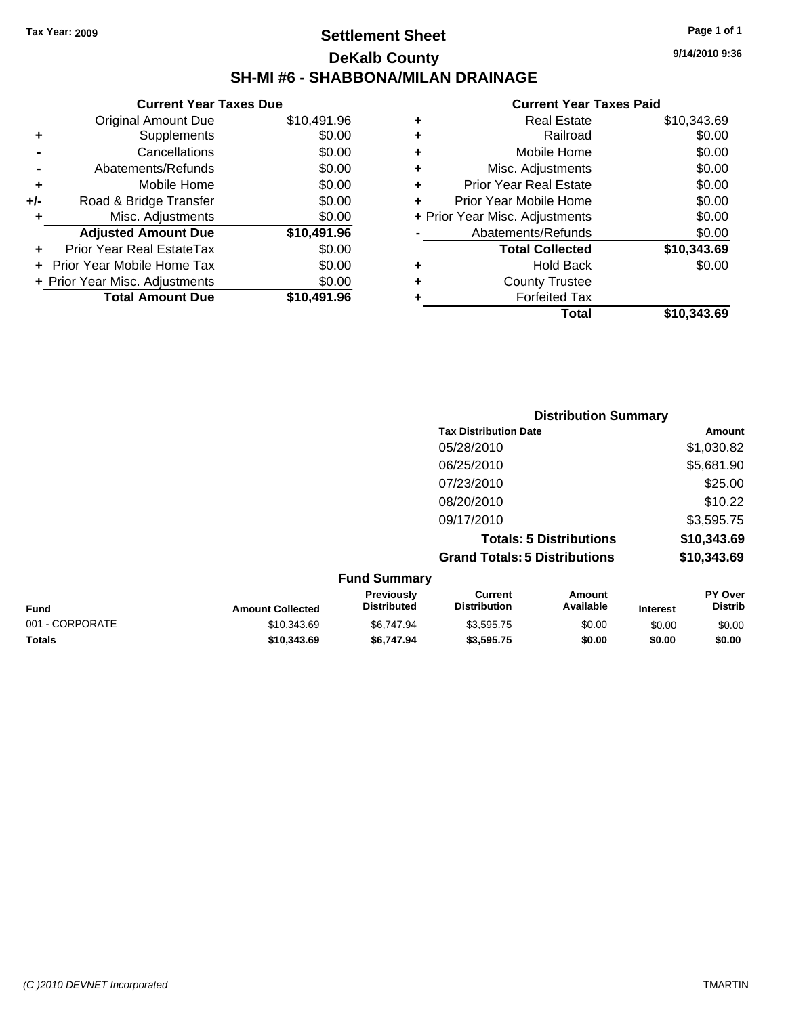### **Settlement Sheet Tax Year: 2009 Page 1 of 1 DeKalb County SH-MI #6 - SHABBONA/MILAN DRAINAGE**

**9/14/2010 9:36**

|               |   | Total                          | \$10,343.69 |
|---------------|---|--------------------------------|-------------|
|               |   | <b>Forfeited Tax</b>           |             |
| $\frac{0}{6}$ |   | <b>County Trustee</b>          |             |
| 0             |   | <b>Hold Back</b>               | \$0.00      |
| 0             |   | <b>Total Collected</b>         | \$10,343.69 |
|               |   | Abatements/Refunds             | \$0.00      |
| $\frac{0}{6}$ |   | + Prior Year Misc. Adjustments | \$0.00      |
| 0             |   | Prior Year Mobile Home         | \$0.00      |
| 0             |   | <b>Prior Year Real Estate</b>  | \$0.00      |
| 0             |   | Misc. Adjustments              | \$0.00      |
| 0             | ٠ | Mobile Home                    | \$0.00      |
| 0             | ٠ | Railroad                       | \$0.00      |
| 6             |   | <b>Real Estate</b>             | \$10,343.69 |
|               |   |                                |             |

|     | <b>Current Year Taxes Due</b>     |             |
|-----|-----------------------------------|-------------|
|     | <b>Original Amount Due</b>        | \$10,491.96 |
| ٠   | Supplements                       | \$0.00      |
|     | Cancellations                     | \$0.00      |
|     | Abatements/Refunds                | \$0.00      |
| ٠   | Mobile Home                       | \$0.00      |
| +/- | Road & Bridge Transfer            | \$0.00      |
| ٠   | Misc. Adjustments                 | \$0.00      |
|     | <b>Adjusted Amount Due</b>        | \$10,491.96 |
|     | Prior Year Real EstateTax         | \$0.00      |
|     | <b>Prior Year Mobile Home Tax</b> | \$0.00      |
|     | + Prior Year Misc. Adjustments    | \$0.00      |
|     | <b>Total Amount Due</b>           | \$10,491.96 |

|                     | <b>Distribution Summary</b>          |             |
|---------------------|--------------------------------------|-------------|
|                     | <b>Tax Distribution Date</b>         | Amount      |
|                     | 05/28/2010                           | \$1,030.82  |
|                     | 06/25/2010                           | \$5,681.90  |
|                     | 07/23/2010                           | \$25.00     |
|                     | 08/20/2010                           | \$10.22     |
|                     | 09/17/2010                           | \$3,595.75  |
|                     | <b>Totals: 5 Distributions</b>       | \$10,343.69 |
|                     | <b>Grand Totals: 5 Distributions</b> | \$10,343.69 |
| <b>Fund Summary</b> |                                      |             |

| UIIU VUIIIIIIII Y |                         |                                         |                                |                     |                 |                           |
|-------------------|-------------------------|-----------------------------------------|--------------------------------|---------------------|-----------------|---------------------------|
| <b>Fund</b>       | <b>Amount Collected</b> | <b>Previously</b><br><b>Distributed</b> | Current<br><b>Distribution</b> | Amount<br>Available | <b>Interest</b> | PY Over<br><b>Distrib</b> |
| 001 - CORPORATE   | \$10,343.69             | \$6.747.94                              | \$3.595.75                     | \$0.00              | \$0.00          | \$0.00                    |
| <b>Totals</b>     | \$10,343,69             | \$6.747.94                              | \$3.595.75                     | \$0.00              | \$0.00          | \$0.00                    |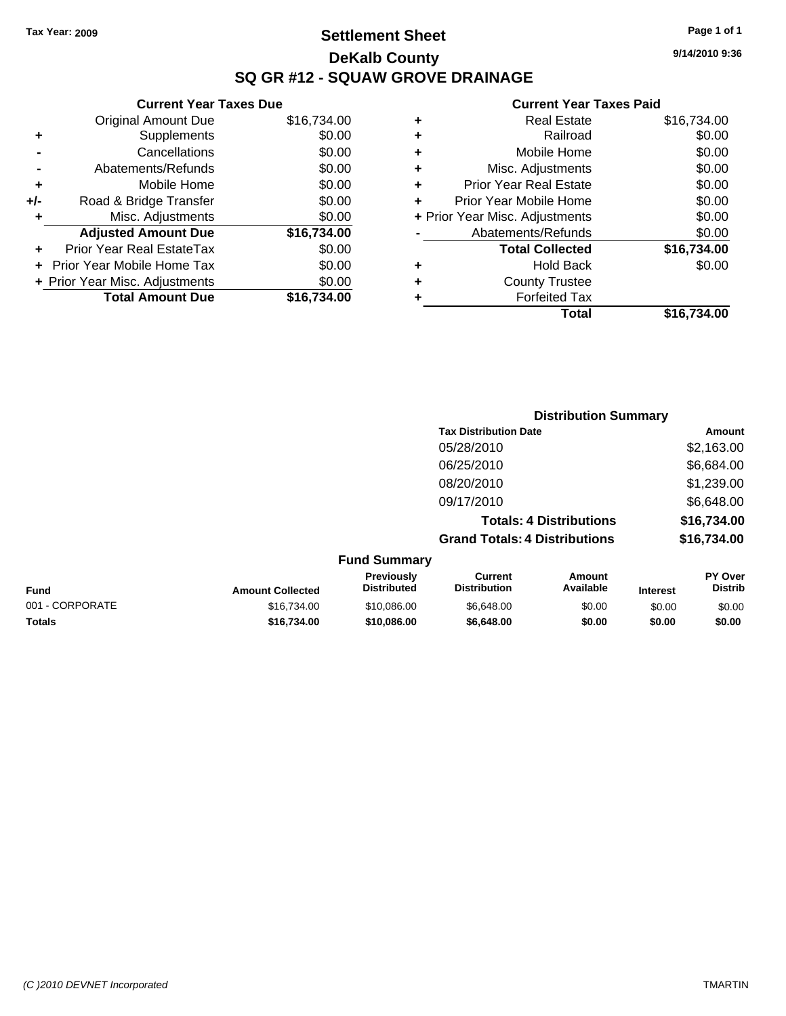### **Settlement Sheet Tax Year: 2009 Page 1 of 1 DeKalb County SQ GR #12 - SQUAW GROVE DRAINAGE**

### **Current Year Taxes Due**

| <b>Original Amount Due</b>        | \$16,734.00             |
|-----------------------------------|-------------------------|
| Supplements                       | \$0.00                  |
| Cancellations                     | \$0.00                  |
| Abatements/Refunds                | \$0.00                  |
| Mobile Home                       | \$0.00                  |
| Road & Bridge Transfer            | \$0.00                  |
| Misc. Adjustments                 | \$0.00                  |
| <b>Adjusted Amount Due</b>        | \$16,734.00             |
| <b>Prior Year Real EstateTax</b>  | \$0.00                  |
| <b>Prior Year Mobile Home Tax</b> | \$0.00                  |
| + Prior Year Misc. Adjustments    | \$0.00                  |
|                                   | \$16.734.00             |
|                                   | <b>Total Amount Due</b> |

| ٠ | <b>Real Estate</b>             | \$16,734.00 |
|---|--------------------------------|-------------|
| ٠ | Railroad                       | \$0.00      |
| ٠ | Mobile Home                    | \$0.00      |
| ٠ | Misc. Adjustments              | \$0.00      |
| ÷ | <b>Prior Year Real Estate</b>  | \$0.00      |
| ÷ | Prior Year Mobile Home         | \$0.00      |
|   | + Prior Year Misc. Adjustments | \$0.00      |
|   | Abatements/Refunds             | \$0.00      |
|   | <b>Total Collected</b>         | \$16,734.00 |
| ٠ | Hold Back                      | \$0.00      |
| ٠ | <b>County Trustee</b>          |             |
| ٠ | <b>Forfeited Tax</b>           |             |
|   | Total                          | \$16,734.00 |
|   |                                |             |

|                     | <b>Distribution Summary</b>          |             |
|---------------------|--------------------------------------|-------------|
|                     | <b>Tax Distribution Date</b>         | Amount      |
|                     | 05/28/2010                           | \$2,163.00  |
|                     | 06/25/2010                           | \$6,684.00  |
|                     | 08/20/2010                           | \$1,239.00  |
|                     | 09/17/2010                           | \$6,648.00  |
|                     | <b>Totals: 4 Distributions</b>       | \$16,734.00 |
|                     | <b>Grand Totals: 4 Distributions</b> | \$16,734.00 |
| <b>Fund Summary</b> |                                      |             |

| Fund            | <b>Amount Collected</b> | <b>Previously</b><br><b>Distributed</b> | Current<br><b>Distribution</b> | Amount<br>Available | <b>Interest</b> | <b>PY Over</b><br><b>Distrib</b> |
|-----------------|-------------------------|-----------------------------------------|--------------------------------|---------------------|-----------------|----------------------------------|
| 001 - CORPORATE | \$16,734.00             | \$10,086,00                             | \$6.648.00                     | \$0.00              | \$0.00          | \$0.00                           |
| <b>Totals</b>   | \$16,734.00             | \$10.086.00                             | \$6,648,00                     | \$0.00              | \$0.00          | \$0.00                           |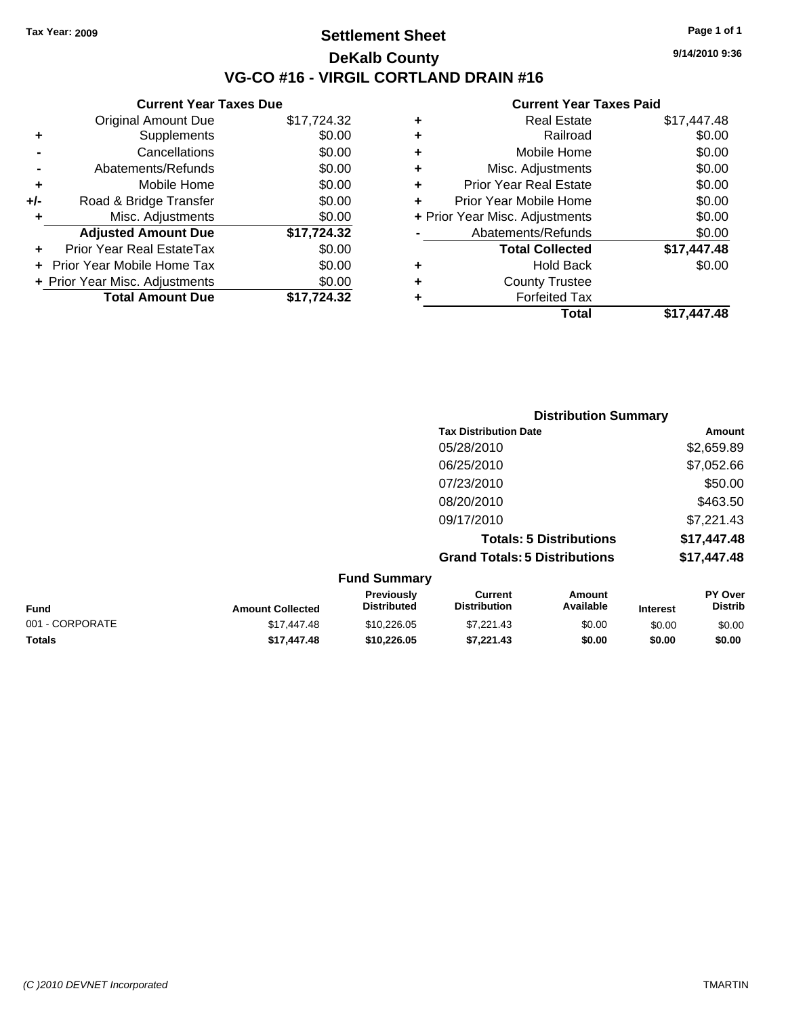**Current Year Taxes Due** Original Amount Due \$17,724.32

**Adjusted Amount Due \$17,724.32**

**Total Amount Due \$17,724.32**

**+** Supplements \$0.00 **-** Cancellations \$0.00 **-** Abatements/Refunds \$0.00 **+** Mobile Home \$0.00 **+/-** Road & Bridge Transfer \$0.00 **+** Misc. Adjustments \$0.00

**+** Prior Year Real EstateTax \$0.00 **+** Prior Year Mobile Home Tax \$0.00 **+ Prior Year Misc. Adjustments**  $$0.00$ 

### **Settlement Sheet Tax Year: 2009 Page 1 of 1 DeKalb County VG-CO #16 - VIRGIL CORTLAND DRAIN #16**

**9/14/2010 9:36**

#### **Current Year Taxes Paid**

|   | Total                          | \$17,447.48 |
|---|--------------------------------|-------------|
| ٠ | <b>Forfeited Tax</b>           |             |
| ٠ | <b>County Trustee</b>          |             |
| ٠ | <b>Hold Back</b>               | \$0.00      |
|   | <b>Total Collected</b>         | \$17,447.48 |
|   | Abatements/Refunds             | \$0.00      |
|   | + Prior Year Misc. Adjustments | \$0.00      |
|   | Prior Year Mobile Home         | \$0.00      |
| ٠ | <b>Prior Year Real Estate</b>  | \$0.00      |
| ٠ | Misc. Adjustments              | \$0.00      |
| ٠ | Mobile Home                    | \$0.00      |
| ٠ | Railroad                       | \$0.00      |
| ٠ | <b>Real Estate</b>             | \$17,447.48 |
|   |                                |             |

|                 |                         |                                  | <b>Distribution Summary</b>           |                                |                 |                           |
|-----------------|-------------------------|----------------------------------|---------------------------------------|--------------------------------|-----------------|---------------------------|
|                 |                         |                                  | <b>Tax Distribution Date</b>          |                                |                 | Amount                    |
|                 |                         |                                  | 05/28/2010                            |                                |                 | \$2,659.89                |
|                 |                         |                                  | 06/25/2010                            |                                |                 | \$7,052.66                |
|                 |                         |                                  | 07/23/2010                            |                                |                 | \$50.00                   |
|                 |                         |                                  | 08/20/2010                            |                                |                 | \$463.50                  |
|                 |                         |                                  | 09/17/2010                            |                                |                 | \$7,221.43                |
|                 |                         |                                  |                                       | <b>Totals: 5 Distributions</b> |                 | \$17,447.48               |
|                 |                         |                                  | <b>Grand Totals: 5 Distributions</b>  |                                |                 | \$17,447.48               |
|                 |                         | <b>Fund Summary</b>              |                                       |                                |                 |                           |
| Fund            | <b>Amount Collected</b> | Previously<br><b>Distributed</b> | <b>Current</b><br><b>Distribution</b> | <b>Amount</b><br>Available     | <b>Interest</b> | PY Over<br><b>Distrib</b> |
| 001 - CORPORATE | \$17,447.48             | \$10,226.05                      | \$7,221.43                            | \$0.00                         | \$0.00          | \$0.00                    |

**Totals \$17,447.48 \$10,226.05 \$7,221.43 \$0.00 \$0.00 \$0.00**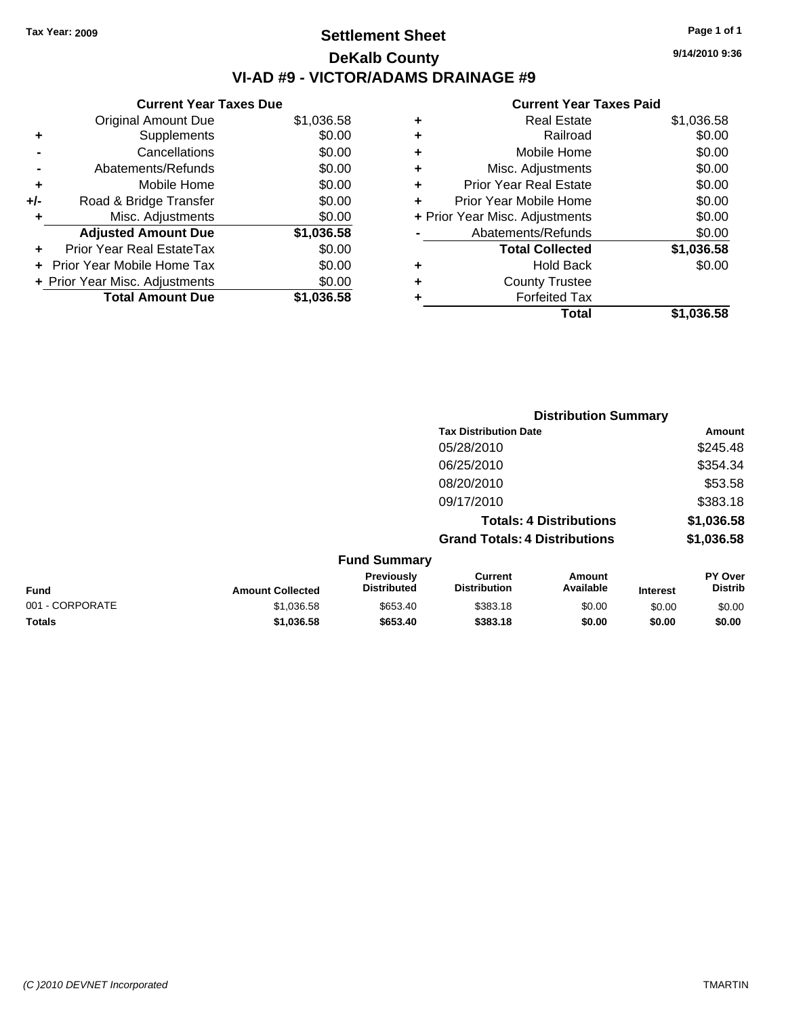### **Settlement Sheet Tax Year: 2009 Page 1 of 1 DeKalb County VI-AD #9 - VICTOR/ADAMS DRAINAGE #9**

**Current Year Taxes Due**

|     | <b>Original Amount Due</b>     | \$1,036.58 |
|-----|--------------------------------|------------|
| ٠   | Supplements                    | \$0.00     |
|     | Cancellations                  | \$0.00     |
|     | Abatements/Refunds             | \$0.00     |
| ٠   | Mobile Home                    | \$0.00     |
| +/- | Road & Bridge Transfer         | \$0.00     |
| ٠   | Misc. Adjustments              | \$0.00     |
|     | <b>Adjusted Amount Due</b>     | \$1,036.58 |
|     | Prior Year Real EstateTax      | \$0.00     |
|     | Prior Year Mobile Home Tax     | \$0.00     |
|     | + Prior Year Misc. Adjustments | \$0.00     |
|     | <b>Total Amount Due</b>        | \$1.036.58 |

#### **Current Year Taxes Paid**

|                                | <b>Real Estate</b>            | \$1,036.58 |
|--------------------------------|-------------------------------|------------|
| ٠                              | Railroad                      | \$0.00     |
| ٠                              | Mobile Home                   | \$0.00     |
| ٠                              | Misc. Adjustments             | \$0.00     |
| ٠                              | <b>Prior Year Real Estate</b> | \$0.00     |
| ٠                              | Prior Year Mobile Home        | \$0.00     |
| + Prior Year Misc. Adjustments |                               | \$0.00     |
|                                | Abatements/Refunds            | \$0.00     |
|                                | <b>Total Collected</b>        | \$1,036.58 |
| ٠                              | <b>Hold Back</b>              | \$0.00     |
| ٠                              | <b>County Trustee</b>         |            |
| ٠                              | <b>Forfeited Tax</b>          |            |
|                                | Total                         | \$1,036.58 |
|                                |                               |            |

|                 | <b>Distribution Summary</b> |                                  |                                       |                                |                 |                                  |
|-----------------|-----------------------------|----------------------------------|---------------------------------------|--------------------------------|-----------------|----------------------------------|
|                 |                             |                                  | <b>Tax Distribution Date</b>          |                                |                 | Amount                           |
|                 |                             |                                  | 05/28/2010                            |                                |                 | \$245.48                         |
|                 |                             |                                  | 06/25/2010                            |                                |                 | \$354.34                         |
|                 |                             |                                  | 08/20/2010                            |                                |                 | \$53.58                          |
|                 |                             |                                  | 09/17/2010                            |                                |                 | \$383.18                         |
|                 |                             |                                  |                                       | <b>Totals: 4 Distributions</b> |                 | \$1,036.58                       |
|                 |                             |                                  | <b>Grand Totals: 4 Distributions</b>  |                                |                 | \$1,036.58                       |
|                 |                             | <b>Fund Summary</b>              |                                       |                                |                 |                                  |
| Fund            | <b>Amount Collected</b>     | Previously<br><b>Distributed</b> | <b>Current</b><br><b>Distribution</b> | Amount<br>Available            | <b>Interest</b> | <b>PY Over</b><br><b>Distrib</b> |
| 001 - CORPORATE | \$1,036.58                  | \$653.40                         | \$383.18                              | \$0.00                         | \$0.00          | \$0.00                           |
|                 |                             |                                  |                                       |                                |                 |                                  |

**Totals \$1,036.58 \$653.40 \$383.18 \$0.00 \$0.00 \$0.00**

**9/14/2010 9:36**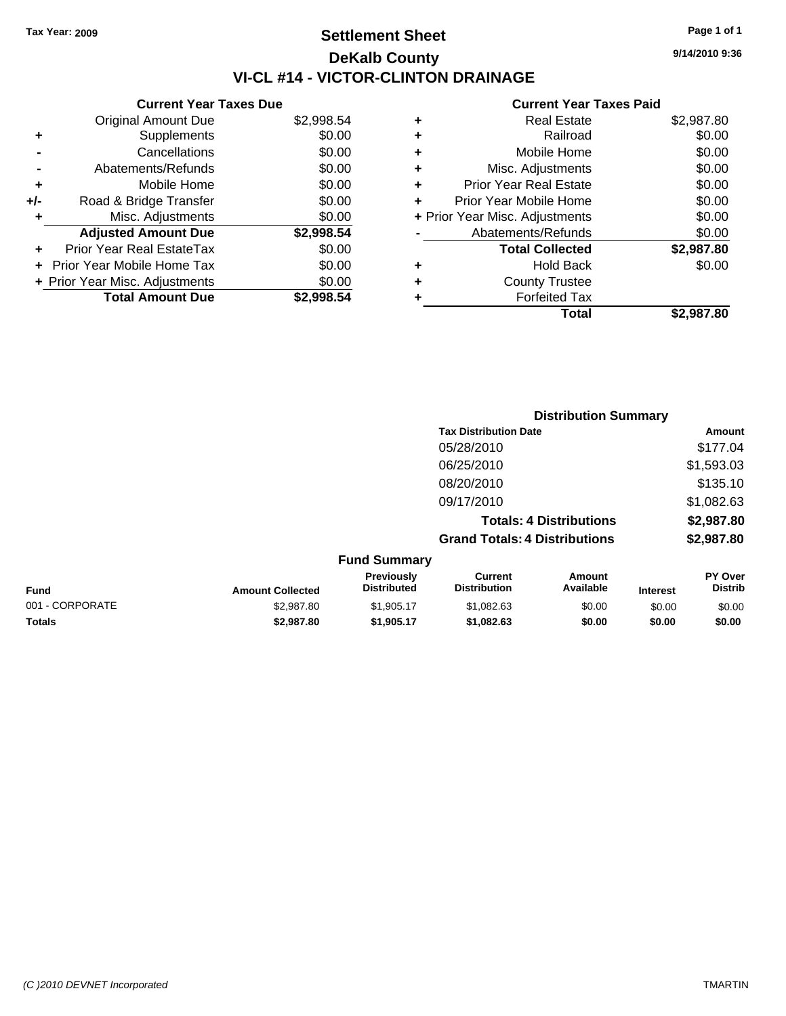### **Settlement Sheet Tax Year: 2009 Page 1 of 1 DeKalb County VI-CL #14 - VICTOR-CLINTON DRAINAGE**

|     | <b>Current Year Taxes Due</b>  |            |  |  |  |
|-----|--------------------------------|------------|--|--|--|
|     | <b>Original Amount Due</b>     | \$2,998.54 |  |  |  |
| ٠   | Supplements                    | \$0.00     |  |  |  |
|     | Cancellations                  | \$0.00     |  |  |  |
|     | Abatements/Refunds             | \$0.00     |  |  |  |
| ٠   | Mobile Home                    | \$0.00     |  |  |  |
| +/- | Road & Bridge Transfer         | \$0.00     |  |  |  |
| ٠   | Misc. Adjustments              | \$0.00     |  |  |  |
|     | <b>Adjusted Amount Due</b>     | \$2,998.54 |  |  |  |
| ÷   | Prior Year Real EstateTax      | \$0.00     |  |  |  |
|     | Prior Year Mobile Home Tax     | \$0.00     |  |  |  |
|     | + Prior Year Misc. Adjustments | \$0.00     |  |  |  |
|     | <b>Total Amount Due</b>        | \$2.998.54 |  |  |  |
|     |                                |            |  |  |  |

#### **Current Year Taxes Paid**

| ٠ | <b>Real Estate</b>             | \$2,987.80 |
|---|--------------------------------|------------|
| ÷ | Railroad                       | \$0.00     |
| ÷ | Mobile Home                    | \$0.00     |
| ٠ | Misc. Adjustments              | \$0.00     |
| ٠ | <b>Prior Year Real Estate</b>  | \$0.00     |
| ÷ | Prior Year Mobile Home         | \$0.00     |
|   | + Prior Year Misc. Adjustments | \$0.00     |
|   | Abatements/Refunds             | \$0.00     |
|   | <b>Total Collected</b>         | \$2,987.80 |
| ٠ | <b>Hold Back</b>               | \$0.00     |
| ٠ | <b>County Trustee</b>          |            |
| ٠ | <b>Forfeited Tax</b>           |            |
|   | Total                          | \$2,987.80 |
|   |                                |            |

|                 |                         |                                  |                                       | <b>Distribution Summary</b>    |                 |                                  |
|-----------------|-------------------------|----------------------------------|---------------------------------------|--------------------------------|-----------------|----------------------------------|
|                 |                         |                                  | <b>Tax Distribution Date</b>          |                                |                 | Amount                           |
|                 |                         |                                  | 05/28/2010                            |                                |                 | \$177.04                         |
|                 |                         |                                  | 06/25/2010                            |                                |                 | \$1,593.03                       |
|                 |                         |                                  | 08/20/2010                            |                                |                 | \$135.10                         |
|                 |                         |                                  | 09/17/2010                            |                                |                 | \$1,082.63                       |
|                 |                         |                                  |                                       | <b>Totals: 4 Distributions</b> |                 | \$2,987.80                       |
|                 |                         |                                  | <b>Grand Totals: 4 Distributions</b>  |                                |                 | \$2,987.80                       |
|                 |                         | <b>Fund Summary</b>              |                                       |                                |                 |                                  |
| Fund            | <b>Amount Collected</b> | Previously<br><b>Distributed</b> | <b>Current</b><br><b>Distribution</b> | Amount<br>Available            | <b>Interest</b> | <b>PY Over</b><br><b>Distrib</b> |
| 001 - CORPORATE | \$2,987.80              | \$1,905.17                       | \$1,082.63                            | \$0.00                         | \$0.00          | \$0.00                           |
| Totals          | \$2,987.80              | \$1,905.17                       | \$1,082.63                            | \$0.00                         | \$0.00          | \$0.00                           |

**9/14/2010 9:36**